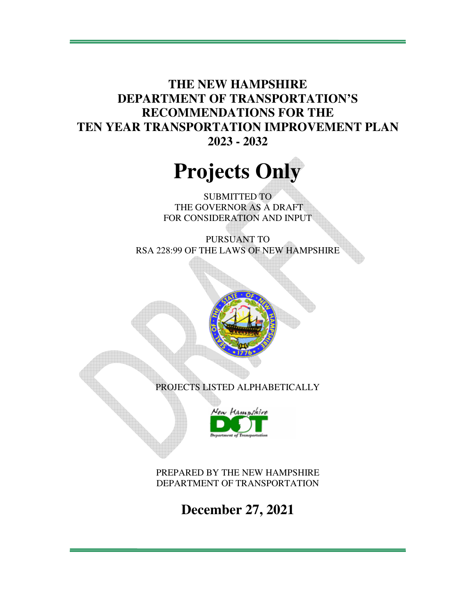**THE NEW HAMPSHIRE DEPARTMENT OF TRANSPORTATION'S RECOMMENDATIONS FOR THE TEN YEAR TRANSPORTATION IMPROVEMENT PLAN 2023 - 2032** 

# **Projects Only**

SUBMITTED TO THE GOVERNOR AS A DRAFT FOR CONSIDERATION AND INPUT

PURSUANT TO RSA 228:99 OF THE LAWS OF NEW HAMPSHIRE





PREPARED BY THE NEW HAMPSHIRE DEPARTMENT OF TRANSPORTATION

**December 27, 2021**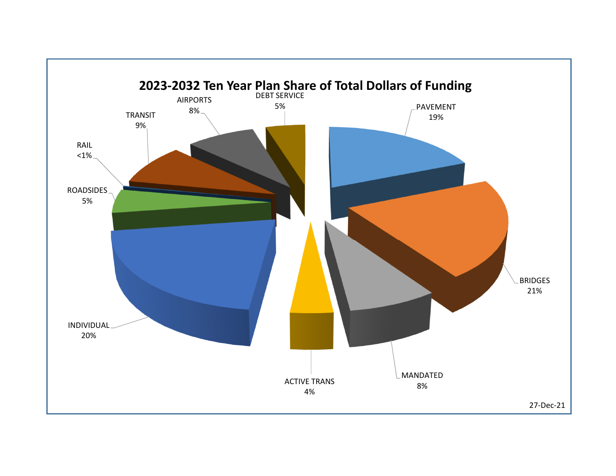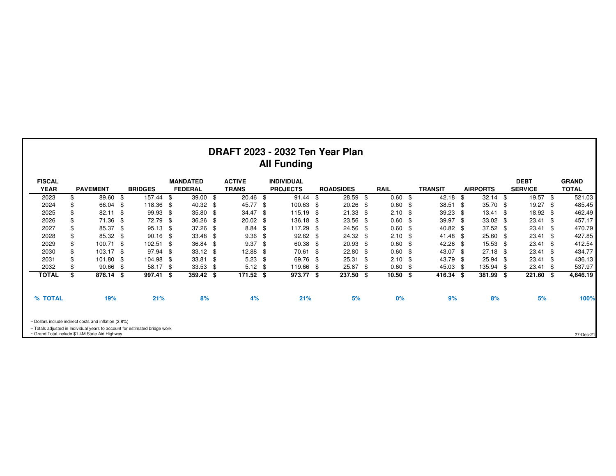|                              |                                                                                                                              |      |                |      |                                   |     |                               |      | DRAFT 2023 - 2032 Ten Year Plan<br><b>All Funding</b> |      |                  |      |             |     |                |      |                 |      |                               |      |                              |
|------------------------------|------------------------------------------------------------------------------------------------------------------------------|------|----------------|------|-----------------------------------|-----|-------------------------------|------|-------------------------------------------------------|------|------------------|------|-------------|-----|----------------|------|-----------------|------|-------------------------------|------|------------------------------|
| <b>FISCAL</b><br><b>YEAR</b> | <b>PAVEMENT</b>                                                                                                              |      | <b>BRIDGES</b> |      | <b>MANDATED</b><br><b>FEDERAL</b> |     | <b>ACTIVE</b><br><b>TRANS</b> |      | <b>INDIVIDUAL</b><br><b>PROJECTS</b>                  |      | <b>ROADSIDES</b> |      | <b>RAIL</b> |     | <b>TRANSIT</b> |      | <b>AIRPORTS</b> |      | <b>DEBT</b><br><b>SERVICE</b> |      | <b>GRAND</b><br><b>TOTAL</b> |
| 2023                         | 89.60                                                                                                                        | - \$ | 157.44         | \$   | 39.00                             | -\$ | $20.46$ \$                    |      | 91.44                                                 | \$   | 28.59            | - \$ | 0.60        | -\$ | 42.18          | -\$  | $32.14$ \$      |      | $19.57$ \$                    |      | 521.03                       |
| 2024                         | 66.04                                                                                                                        |      | 118.36         | -9   | 40.32                             | \$  | 45.77                         | \$   | 100.63                                                | - \$ | 20.26            | - \$ | 0.60        | \$  | 38.51          | - \$ | 35.70 \$        |      | 19.27                         | - \$ | 485.45                       |
| 2025                         | 82.11                                                                                                                        |      | 99.93          | \$   | 35.80                             | \$  | 34.47                         | -\$  | 115.19                                                | - \$ | $21.33$ \$       |      | 2.10        | \$  | 39.23          | - \$ | 13.41           | - \$ | 18.92                         | - \$ | 462.49                       |
| 2026                         | 71.36                                                                                                                        |      | 72.79          | \$   | 36.26                             | \$  | 20.02                         | -\$  | 136.18                                                | -\$  | 23.56 \$         |      | 0.60        | \$  | 39.97          | -\$  | $33.02$ \$      |      | 23.41                         | -\$  | 457.17                       |
| 2027                         | 85.37 \$                                                                                                                     |      | 95.13          | \$   | 37.26                             | \$  | 8.84                          | -\$  | 117.29                                                | -\$  | 24.56 \$         |      | 0.60        | \$  | 40.82 \$       |      | $37.52$ \$      |      | 23.41                         | -\$  | 470.79                       |
| 2028                         | 85.32 \$                                                                                                                     |      | 90.16          | \$   | 33.48                             | \$  | 9.36                          | \$   | $92.62$ \$                                            |      | $24.32$ \$       |      | 2.10        | \$  | 41.48          | - \$ | $25.60$ \$      |      | 23.41                         | - \$ | 427.85                       |
|                              |                                                                                                                              |      |                |      |                                   |     |                               |      |                                                       |      |                  |      | 0.60        |     |                |      |                 |      |                               |      |                              |
| 2029                         | 100.71 \$                                                                                                                    |      | 102.51         | \$   | 36.84                             | \$  | 9.37                          | \$   | 60.38                                                 | \$   | 20.93            | - \$ |             | \$  | 42.26          | - \$ | 15.53 \$        |      | 23.41                         | -\$  | 412.54                       |
| 2030                         | 103.17                                                                                                                       | -\$  | 97.94          | \$   | 33.12                             | \$  | 12.88                         | -\$  | 70.61                                                 | \$   | 22.80            | -\$  | 0.60        | \$  | 43.07          | \$   | 27.18 \$        |      | 23.41                         | -\$  | 434.77                       |
| 2031                         | 101.80 \$                                                                                                                    |      | 104.98         | £    | 33.81                             | -S  | 5.23                          | \$   | 69.76                                                 | - \$ | 25.31            | - \$ | 2.10        | \$  | 43.79          | - \$ | 25.94 \$        |      | 23.41                         | \$   | 436.13                       |
| 2032                         | 90.66                                                                                                                        | - \$ | 58.17          | - \$ | 33.53                             | S.  | 5.12                          | - \$ | 119.66                                                | - \$ | 25.87            | -\$  | 0.60        | \$  | 45.03          | - \$ | 135.94 \$       |      | 23.41                         | - \$ | 537.97                       |
| TOTAL                        | \$<br>876.14 \$                                                                                                              |      | 997.41         | \$   | 359.42                            | -\$ | 171.52 \$                     |      | 973.77                                                | - \$ | 237.50 \$        |      | 10.50       | -\$ | 416.34         | - \$ | 381.99 \$       |      | 221.60 \$                     |      | 4,646.19                     |
| % TOTAL                      | 19%                                                                                                                          |      | 21%            |      | 8%                                |     | 4%                            |      | 21%                                                   |      | 5%               |      | 0%          |     | 9%             |      | 8%              |      | 5%                            |      | 100%                         |
|                              | ~ Dollars include indirect costs and inflation (2.8%)                                                                        |      |                |      |                                   |     |                               |      |                                                       |      |                  |      |             |     |                |      |                 |      |                               |      |                              |
|                              | ~ Totals adjusted in Individual years to account for estimated bridge work<br>~ Grand Total include \$1.4M State Aid Highway |      |                |      |                                   |     |                               |      |                                                       |      |                  |      |             |     |                |      |                 |      |                               |      | 27-Dec-21                    |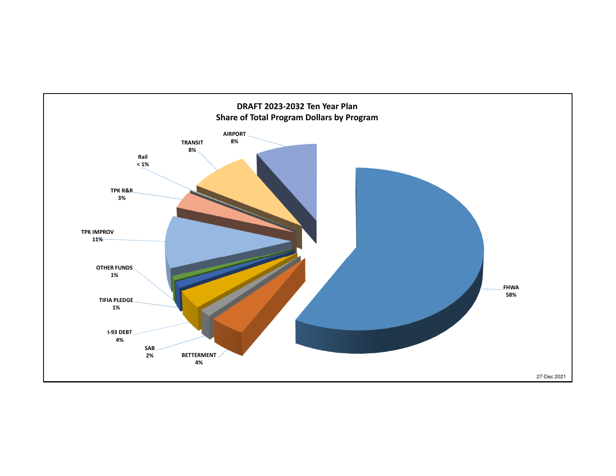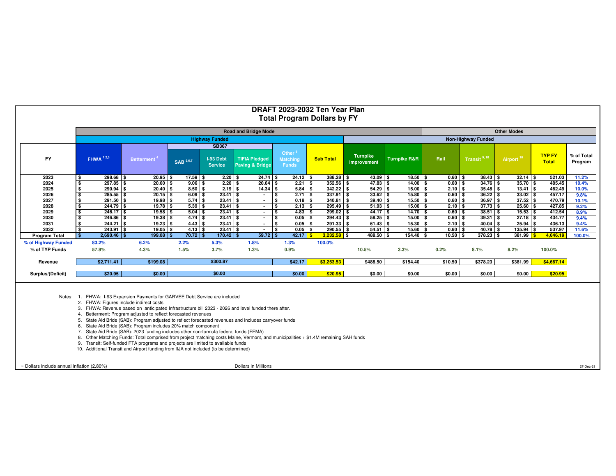|                      |                                                                                                                                                                                                                |                                                                                                                                                                                                                                                                                                                                                                                                                                                                                                                                                                                                                                                                   |                        |                             |                                                    | DRAFT 2023-2032 Ten Year Plan            |                            |                                |                          |         |                                                    |                          |                               |                       |
|----------------------|----------------------------------------------------------------------------------------------------------------------------------------------------------------------------------------------------------------|-------------------------------------------------------------------------------------------------------------------------------------------------------------------------------------------------------------------------------------------------------------------------------------------------------------------------------------------------------------------------------------------------------------------------------------------------------------------------------------------------------------------------------------------------------------------------------------------------------------------------------------------------------------------|------------------------|-----------------------------|----------------------------------------------------|------------------------------------------|----------------------------|--------------------------------|--------------------------|---------|----------------------------------------------------|--------------------------|-------------------------------|-----------------------|
|                      |                                                                                                                                                                                                                |                                                                                                                                                                                                                                                                                                                                                                                                                                                                                                                                                                                                                                                                   |                        |                             |                                                    | <b>Total Program Dollars by FY</b>       |                            |                                |                          |         |                                                    |                          |                               |                       |
|                      |                                                                                                                                                                                                                |                                                                                                                                                                                                                                                                                                                                                                                                                                                                                                                                                                                                                                                                   |                        |                             | <b>Road and Bridge Mode</b>                        |                                          |                            |                                |                          |         |                                                    | <b>Other Modes</b>       |                               |                       |
|                      |                                                                                                                                                                                                                |                                                                                                                                                                                                                                                                                                                                                                                                                                                                                                                                                                                                                                                                   |                        | <b>Highway Funded</b>       |                                                    |                                          |                            |                                |                          |         | <b>Non-Highway Funded</b>                          |                          |                               |                       |
|                      |                                                                                                                                                                                                                |                                                                                                                                                                                                                                                                                                                                                                                                                                                                                                                                                                                                                                                                   |                        | <b>SB367</b>                |                                                    |                                          |                            |                                |                          |         |                                                    |                          |                               |                       |
| FY                   | <b>FHWA</b> 1,2,3                                                                                                                                                                                              | <b>Betterment</b>                                                                                                                                                                                                                                                                                                                                                                                                                                                                                                                                                                                                                                                 | <b>SAB</b> 5,6,7       | I-93 Debt<br><b>Service</b> | <b>TIFIA Pledged</b><br><b>Paving &amp; Bridge</b> | Other<br><b>Matching</b><br><b>Funds</b> | <b>Sub Total</b>           | <b>Turnpike</b><br>Improvement | <b>Turnpike R&amp;R</b>  | Rail    | Transit <sup>9, 10</sup>                           | Airport <sup>10</sup>    | <b>TYP FY</b><br><b>Total</b> | % of Total<br>Program |
| 2023                 | $298.68$ \$<br>\$                                                                                                                                                                                              | $20.95$ \$                                                                                                                                                                                                                                                                                                                                                                                                                                                                                                                                                                                                                                                        | $17.59$ \$             | $2.20$ \$                   | $24.74$ \$                                         | $24.12$ \$                               | $388.28$ \$                | $43.09$ \$                     | $18.50$ \$               |         | $0.60$ \$<br>$38.43$ \$                            | $32.14$ \$               | 521.03                        | 11.2%                 |
| 2024                 | $297.85$ \$<br>\$                                                                                                                                                                                              | $20.60$ \$                                                                                                                                                                                                                                                                                                                                                                                                                                                                                                                                                                                                                                                        | $9.06$ \$              | $2.20$ \$                   | $20.64$ \$                                         | $2.21$ \$                                | $352.56$ \$                | $47.83$ \$                     | $14.00$ \$               |         | $0.60$ \$<br>$34.76$ \$                            | $35.70$ \$               | 485.45                        | 10.4%                 |
| 2025                 | \$<br>$290.94$ \$                                                                                                                                                                                              | $20.40$ \$                                                                                                                                                                                                                                                                                                                                                                                                                                                                                                                                                                                                                                                        | $8.50$ \$              | $2.19$ \$                   | $14.34$ \$                                         | $5.84$ \$                                | $342.22$ \$                | $54.29$ \$                     | $15.00$ \$               |         | $2.10$ \$<br>$35.48$ \$                            | $13.41$ \$               | 462.49                        | 10.0%                 |
| 2026                 | $285.55$ \$<br>\$                                                                                                                                                                                              | $20.15$ \$                                                                                                                                                                                                                                                                                                                                                                                                                                                                                                                                                                                                                                                        | $6.09$ \$              | $23.41$ \$                  | $\sim$                                             | $2.71$ \$<br>\$                          | $337.91$ \$                | $33.62$ \$                     | $15.80$ \$               |         | $36.22$ \$<br>$0.60$ \$                            | $33.02$ \$               | 457.17                        | 9.8%                  |
| 2027                 | $291.50$ \$                                                                                                                                                                                                    | $19.98$ \$                                                                                                                                                                                                                                                                                                                                                                                                                                                                                                                                                                                                                                                        | $5.74$ \$              | $23.41$ \$                  | $\sim$                                             | \$<br>$0.18$ \$                          | $340.81$ \$                | $39.40$ \$                     | $15.50$ \$               |         | $36.97$ \$<br>$0.60$ \$                            | $37.52$ \$               | 470.79                        | 10.1%                 |
| 2028                 | $244.79$ \$                                                                                                                                                                                                    | $19.78$ \$                                                                                                                                                                                                                                                                                                                                                                                                                                                                                                                                                                                                                                                        | $5.39$ \$              | $23.41$ \$                  | $\sim$                                             | $2.13$ \$<br>\$                          | $295.49$ \$                | $51.93$ \$                     | $15.00$ \$               |         | $37.73$ \$<br>$2.10$ \$                            | $25.60$ \$               | 427.85                        | 9.2%                  |
| 2029<br>2030         | $246.17$ \$<br>$246.86$ \$                                                                                                                                                                                     | $19.58$ \$<br>$19.38$ \$                                                                                                                                                                                                                                                                                                                                                                                                                                                                                                                                                                                                                                          | $5.04$ \$              | $23.41$ \$<br>$23.41$ \$    | $\sim$                                             | \$<br>$4.83$ \$<br>$0.05$ \$             | $299.02$ \$<br>$294.43$ \$ | $44.17$ \$<br>$58.25$ \$       | $14.70$ \$<br>$15.00$ \$ |         | $0.60$ \$<br>$38.51$ \$<br>$0.60$ \$<br>$39.31$ \$ | $15.53$ \$<br>$27.18$ \$ | 412.54<br>434.77              | 8.9%                  |
| 2031                 | $244.21$ \$                                                                                                                                                                                                    | $19.23$ \$                                                                                                                                                                                                                                                                                                                                                                                                                                                                                                                                                                                                                                                        | $4.74$ \$<br>$4.43$ \$ | $23.41$ \$                  | $\sim$<br>$\sim$                                   | \$<br>l \$<br>$0.05$ \$                  | $291.33$ \$                | $61.43$ \$                     | $15.30$ \$               |         | $40.04$ \$<br>$2.10$ \$                            | $25.94$ \$               | 436.13                        | 9.4%<br>9.4%          |
| 2032                 | \$<br>$243.91$ \$                                                                                                                                                                                              | $19.05$ \$                                                                                                                                                                                                                                                                                                                                                                                                                                                                                                                                                                                                                                                        | $4.13$ \$              | $23.41$ \$                  | $\sim$                                             | l s<br>$0.05$ \$                         | $290.55$ \$                | $54.51$ \$                     | $15.60$ \$               |         | $0.60$ \$<br>$40.78$ \$                            | $135.94$ \$              | 537.97                        | 11.6%                 |
| <b>Program Total</b> | $\mathbf{s}$<br>$2,690.46$ \$                                                                                                                                                                                  | $199.08$ \$                                                                                                                                                                                                                                                                                                                                                                                                                                                                                                                                                                                                                                                       | $70.72$ \$             | $170.42$ \$                 | $59.72$ \$                                         | $42.17$ \$                               | $3,232.58$ \$              | 488.50 \$                      | $154.40$ \$              |         | $10.50$ \$<br>$378.23$ \$                          | 381.99 \$                | 4,646.19                      | 100.0%                |
| % of Highway Funded  | 83.2%                                                                                                                                                                                                          | 6.2%                                                                                                                                                                                                                                                                                                                                                                                                                                                                                                                                                                                                                                                              | 2.2%                   | 5.3%                        | 1.8%                                               | 1.3%                                     | 100.0%                     |                                |                          |         |                                                    |                          |                               |                       |
| % of TYP Funds       | 57.9%                                                                                                                                                                                                          | 4.3%                                                                                                                                                                                                                                                                                                                                                                                                                                                                                                                                                                                                                                                              | 1.5%                   | 3.7%                        | 1.3%                                               | 0.9%                                     |                            | 10.5%                          | 3.3%                     | 0.2%    | 8.1%                                               | 8.2%                     | 100.0%                        |                       |
| Revenue              | \$2,711.41                                                                                                                                                                                                     | \$199.08                                                                                                                                                                                                                                                                                                                                                                                                                                                                                                                                                                                                                                                          |                        | \$300.87                    |                                                    | \$42.17                                  | \$3,253.53                 | \$488.50                       | \$154.40                 | \$10.50 | \$378.23                                           | \$381.99                 | \$4,667.14                    |                       |
| Surplus/(Deficit)    | \$20.95                                                                                                                                                                                                        | \$0.00                                                                                                                                                                                                                                                                                                                                                                                                                                                                                                                                                                                                                                                            |                        | \$0.00                      |                                                    | \$0.00                                   | \$20.95                    | \$0.00                         | \$0.00                   | \$0.00  | \$0.00                                             | \$0.00                   | \$20.95                       |                       |
| Notes:               | 1. FHWA: I-93 Expansion Payments for GARVEE Debt Service are included<br>2. FHWA: Figures include indirect costs<br>6.<br>10. Additional Transit and Airport funding from IIJA not included (to be determined) | 3. FHWA: Revenue based on anticipated Infrastructure bill 2023 - 2026 and level funded there after.<br>4. Betterment: Program adjusted to reflect forecasted revenues<br>State Aid Bride (SAB): Program adjusted to reflect forecasted revenues and includes carryover funds<br>State Aid Bride (SAB): Program includes 20% match component<br>7. State Aid Bride (SAB): 2023 funding includes other non-formula federal funds (FEMA)<br>8. Other Matching Funds: Total comprised from project matching costs Maine, Vermont, and municipalities + \$1.4M remaining SAH funds<br>9. Transit: Self-funded FTA programs and projects are limited to available funds |                        |                             |                                                    |                                          |                            |                                |                          |         |                                                    |                          |                               |                       |

~ Dollars include annual inflation (2.80%)

Dollars in Millions

 $S$  27-Dec-21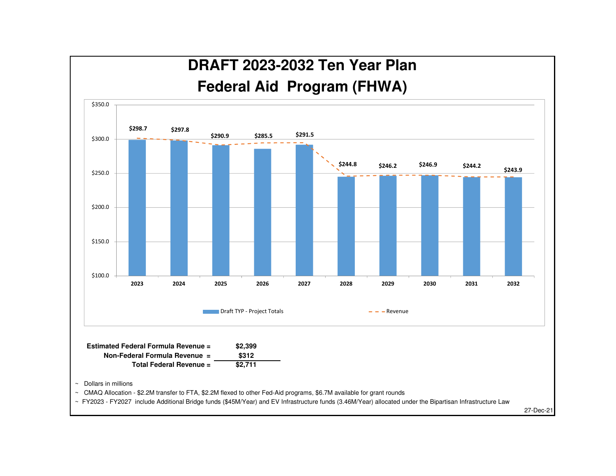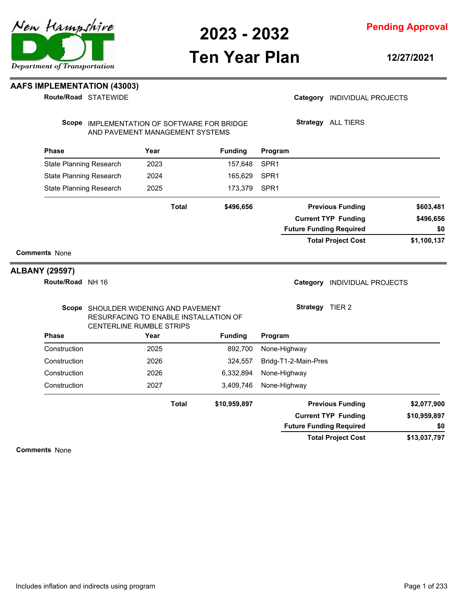## **Ten Year Plan**

**12/27/2021**

### **AAFS IMPLEMENTATION (43003)**

**Route/Road STATEWIDE** 

### Category **INDIVIDUAL PROJECTS**

Scope IMPLEMENTATION OF SOFTWARE FOR BRIDGE AND PAVEMENT MANAGEMENT SYSTEMS

**Strategy** ALL TIERS

| <b>Phase</b>                   | Year         | <b>Funding</b> | Program                        |             |
|--------------------------------|--------------|----------------|--------------------------------|-------------|
| <b>State Planning Research</b> | 2023         | 157,648        | SPR <sub>1</sub>               |             |
| State Planning Research        | 2024         | 165,629        | SPR <sub>1</sub>               |             |
| State Planning Research        | 2025         | 173,379        | SPR <sub>1</sub>               |             |
|                                | <b>Total</b> | \$496,656      | <b>Previous Funding</b>        | \$603,481   |
|                                |              |                | <b>Current TYP Funding</b>     | \$496,656   |
|                                |              |                | <b>Future Funding Required</b> | \$0         |
|                                |              |                | <b>Total Project Cost</b>      | \$1,100,137 |
| <b>Comments None</b>           |              |                |                                |             |

### **ALBANY (29597)**

**Route/Road** NH 16

Category **INDIVIDUAL PROJECTS** 

**Strategy** TIER 2

### Scope SHOULDER WIDENING AND PAVEMENT RESURFACING TO ENABLE INSTALLATION OF CENTERLINE RUMBLE STRIPS

| <b>Phase</b> | Year         | <b>Funding</b> | Program                        |              |
|--------------|--------------|----------------|--------------------------------|--------------|
| Construction | 2025         | 892,700        | None-Highway                   |              |
| Construction | 2026         | 324.557        | Bridg-T1-2-Main-Pres           |              |
| Construction | 2026         | 6,332,894      | None-Highway                   |              |
| Construction | 2027         | 3,409,746      | None-Highway                   |              |
|              | <b>Total</b> | \$10,959,897   | <b>Previous Funding</b>        | \$2,077,900  |
|              |              |                | <b>Current TYP Funding</b>     | \$10,959,897 |
|              |              |                | <b>Future Funding Required</b> | \$0          |
|              |              |                | <b>Total Project Cost</b>      | \$13,037,797 |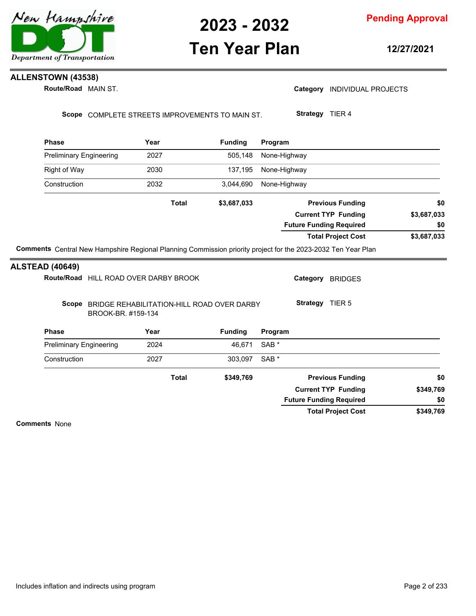

## **Ten Year Plan**

**12/27/2021**

## **ALLENSTOWN (43538)**

**Route/Road** MAIN ST.

|  | Category INDIVIDUAL PROJECTS |  |
|--|------------------------------|--|
|--|------------------------------|--|

Scope COMPLETE STREETS IMPROVEMENTS TO MAIN ST.

**Strategy** TIER 4

| <b>Phase</b>                          | Year                                                                   | <b>Funding</b> | Program                                   |
|---------------------------------------|------------------------------------------------------------------------|----------------|-------------------------------------------|
| <b>Preliminary Engineering</b>        | 2027                                                                   | 505,148        | None-Highway                              |
| <b>Right of Way</b>                   | 2030                                                                   | 137,195        | None-Highway                              |
| Construction                          | 2032                                                                   | 3,044,690      | None-Highway                              |
|                                       | <b>Total</b>                                                           | \$3,687,033    | <b>Previous Funding</b><br>\$0            |
|                                       |                                                                        |                | <b>Current TYP Funding</b><br>\$3,687,033 |
|                                       |                                                                        |                | <b>Future Funding Required</b><br>\$0     |
|                                       |                                                                        |                | <b>Total Project Cost</b><br>\$3,687,033  |
| <b>ALSTEAD (40649)</b>                |                                                                        |                |                                           |
| Route/Road HILL ROAD OVER DARBY BROOK |                                                                        |                | Category<br><b>BRIDGES</b>                |
|                                       | Scope BRIDGE REHABILITATION-HILL ROAD OVER DARBY<br>BROOK-BR. #159-134 |                | Strategy TIER 5                           |
| <b>Phase</b>                          | Year                                                                   | <b>Funding</b> | Program                                   |
| <b>Preliminary Engineering</b>        | 2024                                                                   | 46,671         | SAB <sup>*</sup>                          |
| Construction                          | 2027                                                                   | 303,097        | SAB <sup>*</sup>                          |
|                                       | <b>Total</b>                                                           | \$349,769      | <b>Previous Funding</b><br>\$0            |
|                                       |                                                                        |                | <b>Current TYP Funding</b><br>\$349,769   |
|                                       |                                                                        |                | <b>Future Funding Required</b><br>\$0     |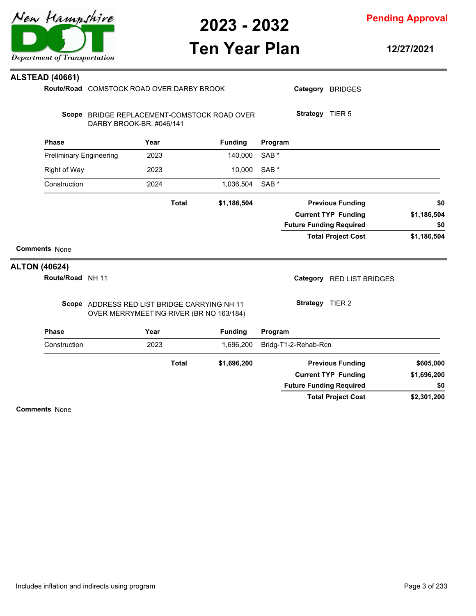

**Pending Approval**

## **Ten Year Plan**

**12/27/2021**

| <b>ALTON (40624)</b> | <b>Comments None</b><br>Route/Road NH 11       |                                           |              |              |                                             |                             |                 | <b>Future Funding Required</b><br><b>Total Project Cost</b><br>Category RED LIST BRIDGES | \$0<br>\$1,186,504 |
|----------------------|------------------------------------------------|-------------------------------------------|--------------|--------------|---------------------------------------------|-----------------------------|-----------------|------------------------------------------------------------------------------------------|--------------------|
|                      |                                                |                                           |              |              |                                             |                             |                 |                                                                                          |                    |
|                      |                                                |                                           |              |              |                                             |                             |                 |                                                                                          |                    |
|                      |                                                |                                           |              |              |                                             |                             |                 |                                                                                          |                    |
|                      |                                                |                                           |              |              |                                             |                             |                 |                                                                                          |                    |
|                      |                                                |                                           |              |              |                                             |                             |                 | <b>Current TYP Funding</b>                                                               | \$1,186,504        |
|                      |                                                |                                           |              | <b>Total</b> | \$1,186,504                                 |                             |                 | <b>Previous Funding</b>                                                                  | \$0                |
|                      |                                                |                                           |              |              |                                             |                             |                 |                                                                                          |                    |
|                      | Construction                                   |                                           | 2024         |              | 1,036,504                                   | SAB <sup>*</sup>            |                 |                                                                                          |                    |
|                      | <b>Right of Way</b>                            |                                           | 2023         |              | 10,000                                      | SAB <sup>*</sup>            |                 |                                                                                          |                    |
|                      | <b>Phase</b><br><b>Preliminary Engineering</b> |                                           | Year<br>2023 |              | <b>Funding</b><br>140,000                   | Program<br>SAB <sup>*</sup> |                 |                                                                                          |                    |
|                      |                                                | DARBY BROOK-BR. #046/141                  |              |              |                                             |                             |                 |                                                                                          |                    |
|                      |                                                |                                           |              |              | Scope BRIDGE REPLACEMENT-COMSTOCK ROAD OVER |                             | Strategy TIER 5 |                                                                                          |                    |
|                      |                                                | Route/Road COMSTOCK ROAD OVER DARBY BROOK |              |              |                                             |                             |                 | Category BRIDGES                                                                         |                    |
|                      | <b>ALSTEAD (40661)</b>                         |                                           |              |              |                                             |                             |                 |                                                                                          |                    |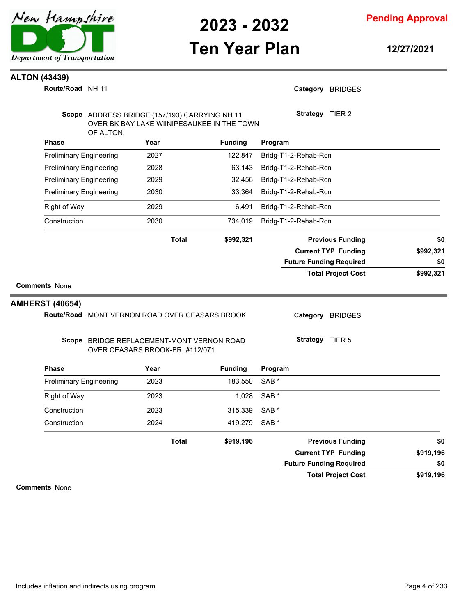

## **Ten Year Plan**

**Pending Approval**

**12/27/2021**

### **ALTON (43439)**

NH 11 **Route/Road**

| OF ALTON.                              | Scope ADDRESS BRIDGE (157/193) CARRYING NH 11<br>OVER BK BAY LAKE WIINIPESAUKEE IN THE TOWN |                | Strategy TIER 2                |           |
|----------------------------------------|---------------------------------------------------------------------------------------------|----------------|--------------------------------|-----------|
| <b>Phase</b>                           | Year                                                                                        | <b>Funding</b> | Program                        |           |
| <b>Preliminary Engineering</b>         | 2027                                                                                        | 122,847        | Bridg-T1-2-Rehab-Rcn           |           |
| <b>Preliminary Engineering</b>         | 2028                                                                                        | 63,143         | Bridg-T1-2-Rehab-Rcn           |           |
| <b>Preliminary Engineering</b>         | 2029                                                                                        | 32,456         | Bridg-T1-2-Rehab-Rcn           |           |
| <b>Preliminary Engineering</b>         | 2030                                                                                        | 33,364         | Bridg-T1-2-Rehab-Rcn           |           |
| <b>Right of Way</b>                    | 2029                                                                                        | 6,491          | Bridg-T1-2-Rehab-Rcn           |           |
| Construction                           | 2030                                                                                        | 734,019        | Bridg-T1-2-Rehab-Rcn           |           |
|                                        | <b>Total</b>                                                                                | \$992,321      | <b>Previous Funding</b>        | \$0       |
|                                        |                                                                                             |                | <b>Current TYP Funding</b>     | \$992,321 |
|                                        |                                                                                             |                | <b>Future Funding Required</b> | \$0       |
|                                        |                                                                                             |                | <b>Total Project Cost</b>      | \$992,321 |
| <b>Comments None</b>                   |                                                                                             |                |                                |           |
|                                        |                                                                                             |                |                                |           |
|                                        |                                                                                             |                |                                |           |
|                                        | Route/Road MONT VERNON ROAD OVER CEASARS BROOK                                              |                | Category BRIDGES               |           |
|                                        | Scope BRIDGE REPLACEMENT-MONT VERNON ROAD<br>OVER CEASARS BROOK-BR. #112/071                |                | <b>Strategy</b> TIER 5         |           |
| <b>AMHERST (40654)</b><br><b>Phase</b> | Year                                                                                        | <b>Funding</b> | Program                        |           |
| <b>Preliminary Engineering</b>         | 2023                                                                                        | 183,550        | SAB <sup>*</sup>               |           |
| <b>Right of Way</b>                    | 2023                                                                                        | 1,028          | SAB <sup>*</sup>               |           |
| Construction                           | 2023                                                                                        | 315,339        | SAB <sup>*</sup>               |           |
| Construction                           | 2024                                                                                        | 419,279        | SAB <sup>*</sup>               |           |
|                                        | <b>Total</b>                                                                                | \$919,196      | <b>Previous Funding</b>        | \$0       |
|                                        |                                                                                             |                | <b>Current TYP Funding</b>     | \$919,196 |

**Comments** None

**\$919,196**

**Total Project Cost**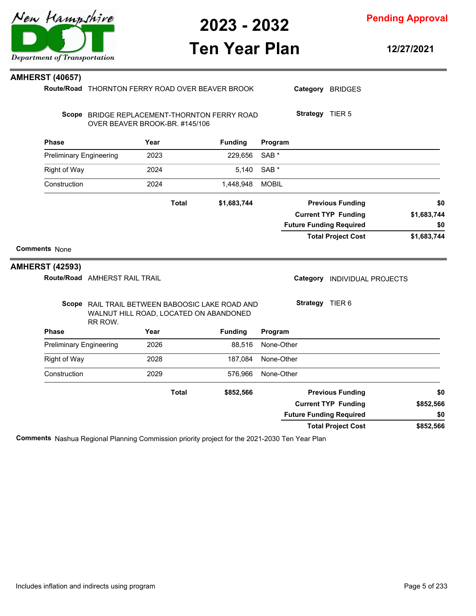**Pending Approval**

## **Ten Year Plan**

**12/27/2021**

| <b>AMHERST (40657)</b>                         |                                                                                                      |      |              |                |                  |                 |                                |             |
|------------------------------------------------|------------------------------------------------------------------------------------------------------|------|--------------|----------------|------------------|-----------------|--------------------------------|-------------|
|                                                | Route/Road THORNTON FERRY ROAD OVER BEAVER BROOK                                                     |      |              |                |                  |                 | Category BRIDGES               |             |
|                                                | Scope BRIDGE REPLACEMENT-THORNTON FERRY ROAD<br>OVER BEAVER BROOK-BR. #145/106                       |      |              |                |                  | Strategy TIER 5 |                                |             |
| <b>Phase</b>                                   |                                                                                                      | Year |              | <b>Funding</b> | Program          |                 |                                |             |
| <b>Preliminary Engineering</b>                 |                                                                                                      | 2023 |              | 229,656        | SAB <sup>*</sup> |                 |                                |             |
| <b>Right of Way</b>                            |                                                                                                      | 2024 |              | 5,140          | SAB *            |                 |                                |             |
| Construction                                   |                                                                                                      | 2024 |              | 1,448,948      | <b>MOBIL</b>     |                 |                                |             |
|                                                |                                                                                                      |      | <b>Total</b> | \$1,683,744    |                  |                 | <b>Previous Funding</b>        | \$0         |
|                                                |                                                                                                      |      |              |                |                  |                 | <b>Current TYP Funding</b>     | \$1,683,744 |
|                                                |                                                                                                      |      |              |                |                  |                 | <b>Future Funding Required</b> | \$0         |
|                                                |                                                                                                      |      |              |                |                  |                 | <b>Total Project Cost</b>      | \$1,683,744 |
| <b>Comments None</b><br><b>AMHERST (42593)</b> |                                                                                                      |      |              |                |                  |                 |                                |             |
|                                                | Route/Road AMHERST RAIL TRAIL                                                                        |      |              |                |                  |                 | Category INDIVIDUAL PROJECTS   |             |
|                                                | Scope RAIL TRAIL BETWEEN BABOOSIC LAKE ROAD AND<br>WALNUT HILL ROAD, LOCATED ON ABANDONED<br>RR ROW. |      |              |                |                  | Strategy TIER 6 |                                |             |
| <b>Phase</b>                                   |                                                                                                      | Year |              | <b>Funding</b> | Program          |                 |                                |             |
| <b>Preliminary Engineering</b>                 |                                                                                                      | 2026 |              | 88,516         | None-Other       |                 |                                |             |
| Right of Way                                   |                                                                                                      | 2028 |              | 187,084        | None-Other       |                 |                                |             |
| Construction                                   |                                                                                                      | 2029 |              | 576,966        | None-Other       |                 |                                |             |
|                                                |                                                                                                      |      | <b>Total</b> | \$852,566      |                  |                 | <b>Previous Funding</b>        | \$0         |
|                                                |                                                                                                      |      |              |                |                  |                 | <b>Current TYP Funding</b>     | \$852,566   |
|                                                |                                                                                                      |      |              |                |                  |                 | <b>Future Funding Required</b> | \$0         |
|                                                |                                                                                                      |      |              |                |                  |                 | <b>Total Project Cost</b>      | \$852,566   |

**Comments** Nashua Regional Planning Commission priority project for the 2021-2030 Ten Year Plan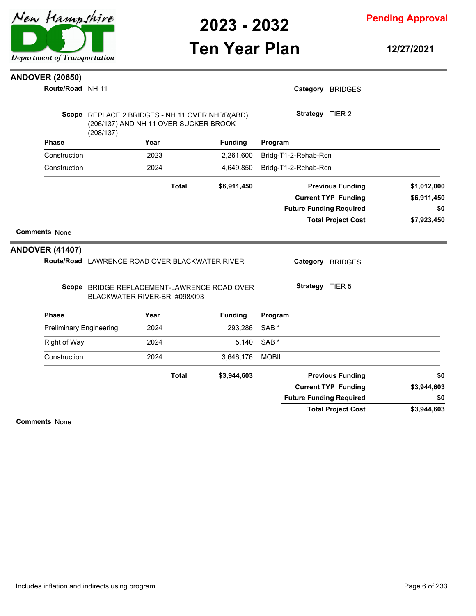

**Pending Approval**

## **Ten Year Plan**

**12/27/2021**

### **ANDOVER (20650)**

| Route/Road NH 11               |                                                                                                      |              |                |                  | Category BRIDGES     |                                |             |     |
|--------------------------------|------------------------------------------------------------------------------------------------------|--------------|----------------|------------------|----------------------|--------------------------------|-------------|-----|
|                                | Scope REPLACE 2 BRIDGES - NH 11 OVER NHRR(ABD)<br>(206/137) AND NH 11 OVER SUCKER BROOK<br>(208/137) |              |                |                  | Strategy TIER 2      |                                |             |     |
| <b>Phase</b>                   | Year                                                                                                 |              | <b>Funding</b> | Program          |                      |                                |             |     |
| Construction                   | 2023                                                                                                 |              | 2,261,600      |                  | Bridg-T1-2-Rehab-Rcn |                                |             |     |
| Construction                   | 2024                                                                                                 |              | 4,649,850      |                  | Bridg-T1-2-Rehab-Rcn |                                |             |     |
|                                |                                                                                                      | <b>Total</b> | \$6,911,450    |                  |                      | <b>Previous Funding</b>        | \$1,012,000 |     |
|                                |                                                                                                      |              |                |                  |                      | <b>Current TYP Funding</b>     | \$6,911,450 |     |
|                                |                                                                                                      |              |                |                  |                      | <b>Future Funding Required</b> |             | \$0 |
|                                |                                                                                                      |              |                |                  |                      | <b>Total Project Cost</b>      | \$7,923,450 |     |
| <b>Comments None</b>           |                                                                                                      |              |                |                  |                      |                                |             |     |
|                                |                                                                                                      |              |                |                  |                      |                                |             |     |
| <b>ANDOVER (41407)</b>         |                                                                                                      |              |                |                  |                      |                                |             |     |
|                                | Route/Road LAWRENCE ROAD OVER BLACKWATER RIVER                                                       |              |                |                  | Category             | <b>BRIDGES</b>                 |             |     |
|                                | Scope BRIDGE REPLACEMENT-LAWRENCE ROAD OVER<br>BLACKWATER RIVER-BR. #098/093                         |              |                |                  | Strategy TIER 5      |                                |             |     |
| <b>Phase</b>                   | Year                                                                                                 |              | <b>Funding</b> | Program          |                      |                                |             |     |
| <b>Preliminary Engineering</b> | 2024                                                                                                 |              | 293,286        | SAB <sup>*</sup> |                      |                                |             |     |
| <b>Right of Way</b>            | 2024                                                                                                 |              | 5,140          | SAB <sup>*</sup> |                      |                                |             |     |
| Construction                   | 2024                                                                                                 |              | 3,646,176      | <b>MOBIL</b>     |                      |                                |             |     |
|                                |                                                                                                      | <b>Total</b> | \$3,944,603    |                  |                      | <b>Previous Funding</b>        |             | \$0 |
|                                |                                                                                                      |              |                |                  |                      | <b>Current TYP Funding</b>     | \$3,944,603 |     |
|                                |                                                                                                      |              |                |                  |                      | <b>Future Funding Required</b> |             | \$0 |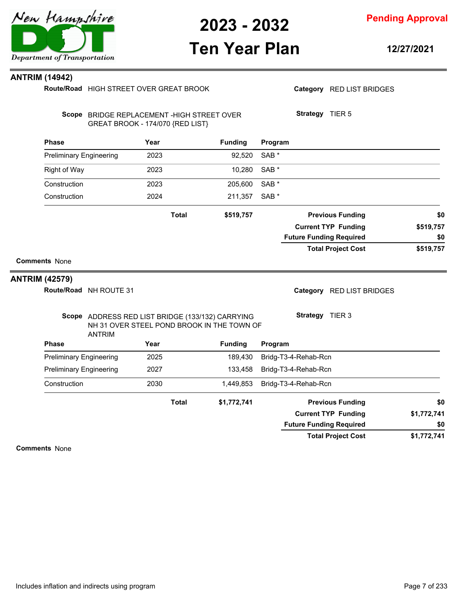

## **Ten Year Plan**

**12/27/2021**

### **ANTRIM (14942)**

|                                | Route/Road HIGH STREET OVER GREAT BROOK                                                                         |      |              |                |                  |                      | Category RED LIST BRIDGES      |             |
|--------------------------------|-----------------------------------------------------------------------------------------------------------------|------|--------------|----------------|------------------|----------------------|--------------------------------|-------------|
|                                | Scope BRIDGE REPLACEMENT - HIGH STREET OVER<br>GREAT BROOK - 174/070 {RED LIST}                                 |      |              |                |                  | Strategy TIER 5      |                                |             |
| <b>Phase</b>                   |                                                                                                                 | Year |              | <b>Funding</b> | Program          |                      |                                |             |
| <b>Preliminary Engineering</b> |                                                                                                                 | 2023 |              | 92,520         | SAB <sup>*</sup> |                      |                                |             |
| <b>Right of Way</b>            |                                                                                                                 | 2023 |              | 10,280         | SAB <sup>*</sup> |                      |                                |             |
| Construction                   |                                                                                                                 | 2023 |              | 205,600        | SAB <sup>*</sup> |                      |                                |             |
| Construction                   |                                                                                                                 | 2024 |              | 211,357        | SAB <sup>*</sup> |                      |                                |             |
|                                |                                                                                                                 |      | <b>Total</b> | \$519,757      |                  |                      | <b>Previous Funding</b>        | \$0         |
|                                |                                                                                                                 |      |              |                |                  |                      | <b>Current TYP Funding</b>     | \$519,757   |
|                                |                                                                                                                 |      |              |                |                  |                      |                                |             |
|                                |                                                                                                                 |      |              |                |                  |                      | <b>Future Funding Required</b> | \$0         |
|                                |                                                                                                                 |      |              |                |                  |                      | <b>Total Project Cost</b>      | \$519,757   |
| <b>Comments None</b>           |                                                                                                                 |      |              |                |                  |                      |                                |             |
|                                |                                                                                                                 |      |              |                |                  |                      |                                |             |
| <b>ANTRIM (42579)</b>          | Route/Road NH ROUTE 31                                                                                          |      |              |                |                  |                      | Category RED LIST BRIDGES      |             |
|                                | Scope ADDRESS RED LIST BRIDGE (133/132) CARRYING<br>NH 31 OVER STEEL POND BROOK IN THE TOWN OF<br><b>ANTRIM</b> |      |              |                |                  | Strategy TIER 3      |                                |             |
| <b>Phase</b>                   |                                                                                                                 | Year |              | <b>Funding</b> | Program          |                      |                                |             |
| <b>Preliminary Engineering</b> |                                                                                                                 | 2025 |              | 189,430        |                  | Bridg-T3-4-Rehab-Rcn |                                |             |
| <b>Preliminary Engineering</b> |                                                                                                                 | 2027 |              | 133,458        |                  | Bridg-T3-4-Rehab-Rcn |                                |             |
| Construction                   |                                                                                                                 | 2030 |              | 1,449,853      |                  | Bridg-T3-4-Rehab-Rcn |                                |             |
|                                |                                                                                                                 |      | <b>Total</b> | \$1,772,741    |                  |                      | <b>Previous Funding</b>        | \$0         |
|                                |                                                                                                                 |      |              |                |                  |                      | <b>Current TYP Funding</b>     | \$1,772,741 |

**\$1,772,741 Total Project Cost**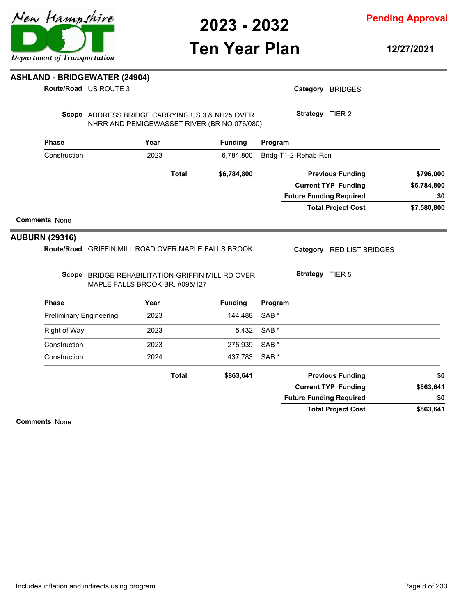# **Ten Year Plan**

Category BRIDGES

**Strategy** TIER 2

### **ASHLAND - BRIDGEWATER (24904)**

**Route/Road** US ROUTE 3

Scope ADDRESS BRIDGE CARRYING US 3 & NH25 OVER NHRR AND PEMIGEWASSET RIVER (BR NO 076/080)

| <b>Phase</b>                   | Year                           | <b>Funding</b>                                  | Program          |                                |                            |             |
|--------------------------------|--------------------------------|-------------------------------------------------|------------------|--------------------------------|----------------------------|-------------|
| Construction                   | 2023                           | 6,784,800                                       |                  | Bridg-T1-2-Rehab-Rcn           |                            |             |
|                                | <b>Total</b>                   | \$6,784,800                                     |                  |                                | <b>Previous Funding</b>    | \$796,000   |
|                                |                                |                                                 |                  |                                | <b>Current TYP Funding</b> | \$6,784,800 |
|                                |                                |                                                 |                  | <b>Future Funding Required</b> |                            | \$0         |
|                                |                                |                                                 |                  |                                | <b>Total Project Cost</b>  | \$7,580,800 |
| <b>Comments None</b>           |                                |                                                 |                  |                                |                            |             |
| <b>UBURN (29316)</b>           |                                |                                                 |                  |                                |                            |             |
| <b>Route/Road</b>              |                                | <b>GRIFFIN MILL ROAD OVER MAPLE FALLS BROOK</b> |                  |                                | Category RED LIST BRIDGES  |             |
| Scope                          | MAPLE FALLS BROOK-BR. #095/127 | BRIDGE REHABILITATION-GRIFFIN MILL RD OVER      |                  | Strategy TIER 5                |                            |             |
| <b>Phase</b>                   | Year                           | <b>Funding</b>                                  | Program          |                                |                            |             |
| <b>Preliminary Engineering</b> | 2023                           | 144,488                                         | SAB <sup>*</sup> |                                |                            |             |
| Right of Way                   | 2023                           | 5,432                                           | SAB <sup>*</sup> |                                |                            |             |
| Construction                   | 2023                           | 275,939                                         | SAB <sup>*</sup> |                                |                            |             |
| Construction                   | 2024                           | 437,783                                         | SAB <sup>*</sup> |                                |                            |             |
|                                | <b>Total</b>                   | \$863,641                                       |                  |                                | <b>Previous Funding</b>    | \$0         |
|                                |                                |                                                 |                  |                                | <b>Current TYP Funding</b> | \$863,641   |
|                                |                                |                                                 |                  | <b>Future Funding Required</b> |                            | \$0         |
|                                |                                |                                                 |                  |                                | <b>Total Project Cost</b>  | \$863,641   |
| <b>Comments None</b>           |                                |                                                 |                  |                                |                            |             |



**AUBU** 

**12/27/2021**



**Pending Approval**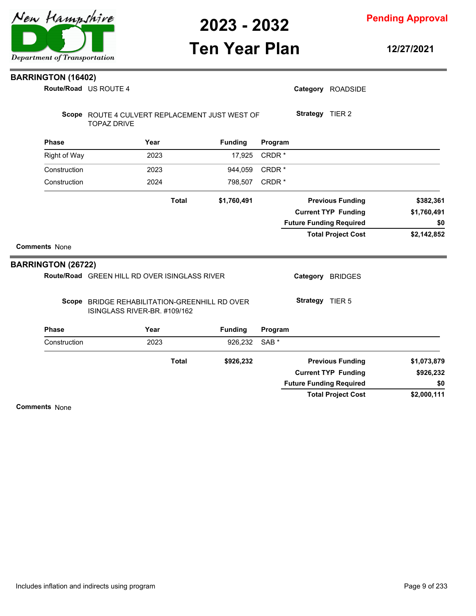

**Ten Year Plan**

**Pending Approval**

**12/27/2021**

| <b>BARRINGTON (16402)</b> |                                                                               |              |                |                   |                                |                            |             |
|---------------------------|-------------------------------------------------------------------------------|--------------|----------------|-------------------|--------------------------------|----------------------------|-------------|
|                           | Route/Road US ROUTE 4                                                         |              |                |                   |                                | Category ROADSIDE          |             |
|                           | Scope ROUTE 4 CULVERT REPLACEMENT JUST WEST OF<br><b>TOPAZ DRIVE</b>          |              |                |                   | Strategy TIER 2                |                            |             |
| <b>Phase</b>              | Year                                                                          |              | <b>Funding</b> | Program           |                                |                            |             |
| <b>Right of Way</b>       | 2023                                                                          |              | 17,925         | CRDR*             |                                |                            |             |
| Construction              | 2023                                                                          |              | 944,059        | CRDR <sup>*</sup> |                                |                            |             |
| Construction              | 2024                                                                          |              | 798,507        | CRDR*             |                                |                            |             |
|                           |                                                                               | <b>Total</b> | \$1,760,491    |                   |                                | <b>Previous Funding</b>    | \$382,361   |
|                           |                                                                               |              |                |                   |                                | <b>Current TYP Funding</b> | \$1,760,491 |
|                           |                                                                               |              |                |                   | <b>Future Funding Required</b> |                            | \$0         |
|                           |                                                                               |              |                |                   |                                | <b>Total Project Cost</b>  | \$2,142,852 |
| <b>Comments None</b>      |                                                                               |              |                |                   |                                |                            |             |
| <b>BARRINGTON (26722)</b> |                                                                               |              |                |                   |                                |                            |             |
|                           | Route/Road GREEN HILL RD OVER ISINGLASS RIVER                                 |              |                |                   |                                | Category BRIDGES           |             |
|                           | Scope BRIDGE REHABILITATION-GREENHILL RD OVER<br>ISINGLASS RIVER-BR. #109/162 |              |                |                   | Strategy TIER 5                |                            |             |
| <b>Phase</b>              | Year                                                                          |              | <b>Funding</b> | Program           |                                |                            |             |
| Construction              | 2023                                                                          |              | 926,232        | SAB <sup>*</sup>  |                                |                            |             |
|                           |                                                                               | <b>Total</b> | \$926,232      |                   |                                | <b>Previous Funding</b>    | \$1,073,879 |
|                           |                                                                               |              |                |                   |                                | <b>Current TYP Funding</b> | \$926,232   |
|                           |                                                                               |              |                |                   | <b>Future Funding Required</b> |                            | \$0         |
|                           |                                                                               |              |                |                   |                                | <b>Total Project Cost</b>  | \$2,000,111 |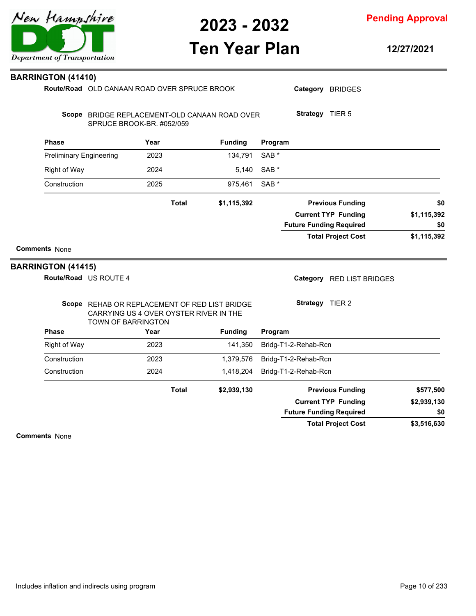# **Ten Year Plan**

**12/27/2021**

| <b>BARRINGTON (41410)</b>                                                  |                                              |      |                                                                                         |                  |                                |                            |                                                |
|----------------------------------------------------------------------------|----------------------------------------------|------|-----------------------------------------------------------------------------------------|------------------|--------------------------------|----------------------------|------------------------------------------------|
|                                                                            | Route/Road OLD CANAAN ROAD OVER SPRUCE BROOK |      |                                                                                         |                  |                                | Category BRIDGES           |                                                |
| Scope BRIDGE REPLACEMENT-OLD CANAAN ROAD OVER<br>SPRUCE BROOK-BR. #052/059 |                                              |      |                                                                                         |                  | Strategy TIER 5                |                            |                                                |
| <b>Phase</b>                                                               |                                              | Year | <b>Funding</b>                                                                          | Program          |                                |                            |                                                |
| <b>Preliminary Engineering</b>                                             |                                              | 2023 | 134,791                                                                                 | SAB <sup>*</sup> |                                |                            |                                                |
| <b>Right of Way</b>                                                        |                                              | 2024 | 5,140                                                                                   | SAB <sup>*</sup> |                                |                            |                                                |
| Construction                                                               |                                              | 2025 | 975,461                                                                                 | SAB <sup>*</sup> |                                |                            |                                                |
|                                                                            |                                              |      | <b>Total</b><br>\$1,115,392                                                             |                  |                                | <b>Previous Funding</b>    | \$0                                            |
|                                                                            |                                              |      |                                                                                         |                  |                                | <b>Current TYP Funding</b> | \$1,115,392                                    |
|                                                                            |                                              |      |                                                                                         |                  | <b>Future Funding Required</b> |                            | \$0                                            |
| <b>Comments None</b>                                                       |                                              |      |                                                                                         |                  |                                | <b>Total Project Cost</b>  |                                                |
| <b>BARRINGTON (41415)</b><br>Route/Road US ROUTE 4                         |                                              |      |                                                                                         |                  |                                | Category RED LIST BRIDGES  |                                                |
|                                                                            |                                              |      | Scope REHAB OR REPLACEMENT OF RED LIST BRIDGE<br>CARRYING US 4 OVER OYSTER RIVER IN THE |                  | Strategy TIER 2                |                            |                                                |
| <b>Phase</b>                                                               | TOWN OF BARRINGTON                           | Year | <b>Funding</b>                                                                          | Program          |                                |                            |                                                |
| <b>Right of Way</b>                                                        |                                              | 2023 | 141,350                                                                                 |                  | Bridg-T1-2-Rehab-Rcn           |                            |                                                |
| Construction                                                               |                                              | 2023 | 1,379,576                                                                               |                  | Bridg-T1-2-Rehab-Rcn           |                            |                                                |
| Construction                                                               |                                              | 2024 | 1,418,204                                                                               |                  | Bridg-T1-2-Rehab-Rcn           |                            |                                                |
|                                                                            |                                              |      | <b>Total</b><br>\$2,939,130                                                             |                  |                                | <b>Previous Funding</b>    |                                                |
|                                                                            |                                              |      |                                                                                         |                  |                                | <b>Current TYP Funding</b> |                                                |
|                                                                            |                                              |      |                                                                                         |                  | <b>Future Funding Required</b> |                            | \$1,115,392<br>\$577,500<br>\$2,939,130<br>\$0 |

**Comments** None



**Pending Approval**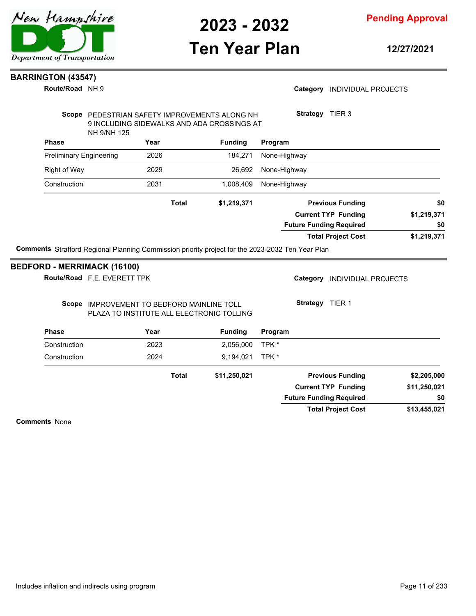## **Ten Year Plan**

**Pending Approval**

**12/27/2021**

### **BARRINGTON (43547)**

**Route/Road** NH 9

Route/Road F.E. EVERETT TPK

### Category **INDIVIDUAL PROJECTS**

|                                    | NH 9/NH 125 | Scope PEDESTRIAN SAFETY IMPROVEMENTS ALONG NH<br>9 INCLUDING SIDEWALKS AND ADA CROSSINGS AT |                | TIER <sub>3</sub><br><b>Strategy</b>                                                                    |             |
|------------------------------------|-------------|---------------------------------------------------------------------------------------------|----------------|---------------------------------------------------------------------------------------------------------|-------------|
| <b>Phase</b>                       |             | Year                                                                                        | <b>Funding</b> | Program                                                                                                 |             |
| <b>Preliminary Engineering</b>     |             | 2026                                                                                        | 184,271        | None-Highway                                                                                            |             |
| <b>Right of Way</b>                |             | 2029                                                                                        | 26,692         | None-Highway                                                                                            |             |
| Construction                       |             | 2031                                                                                        | 1,008,409      | None-Highway                                                                                            |             |
|                                    |             | <b>Total</b>                                                                                | \$1,219,371    | <b>Previous Funding</b>                                                                                 | \$0         |
|                                    |             |                                                                                             |                | <b>Current TYP Funding</b>                                                                              | \$1,219,371 |
|                                    |             |                                                                                             |                | <b>Future Funding Required</b>                                                                          | \$0         |
|                                    |             |                                                                                             |                | <b>Total Project Cost</b>                                                                               | \$1,219,371 |
|                                    |             |                                                                                             |                | <b>Comments</b> Strafford Regional Planning Commission priority project for the 2023-2032 Ten Year Plan |             |
| <b>BEDFORD - MERRIMACK (16100)</b> |             |                                                                                             |                |                                                                                                         |             |

### Scope IMPROVEMENT TO BEDFORD MAINLINE TOLL PLAZA TO INSTITUTE ALL ELECTRONIC TOLLING

Category **INDIVIDUAL PROJECTS** 

**Strategy** TIER 1

| <b>Phase</b> | Year         | <b>Funding</b> | Program                        |              |
|--------------|--------------|----------------|--------------------------------|--------------|
| Construction | 2023         | 2,056,000      | TPK *                          |              |
| Construction | 2024         | 9.194.021      | TPK *                          |              |
|              | <b>Total</b> | \$11,250,021   | <b>Previous Funding</b>        | \$2,205,000  |
|              |              |                | <b>Current TYP Funding</b>     | \$11,250,021 |
|              |              |                | <b>Future Funding Required</b> | \$0          |
|              |              |                | <b>Total Project Cost</b>      | \$13,455,021 |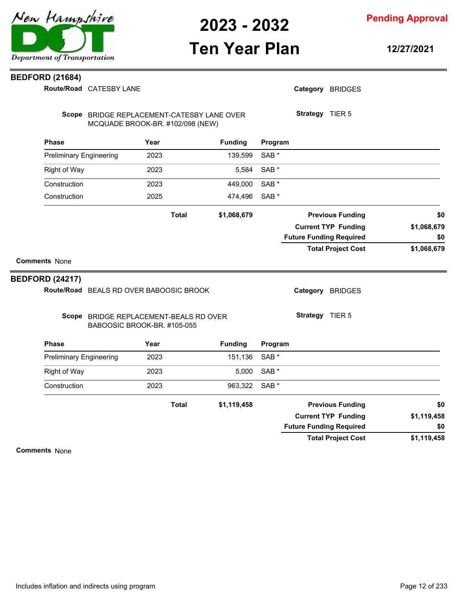

**Pending Approval**

## **Ten Year Plan**

**12/27/2021**

### **BEDFORD (21684)**

Route/Road CATESBY LANE

|                                | Route/Road CATESBY LANE                                               |                                                                                |              |                |                  | Category BRIDGES               |             |
|--------------------------------|-----------------------------------------------------------------------|--------------------------------------------------------------------------------|--------------|----------------|------------------|--------------------------------|-------------|
|                                |                                                                       | Scope BRIDGE REPLACEMENT-CATESBY LANE OVER<br>MCQUADE BROOK-BR. #102/098 (NEW) |              |                |                  | Strategy TIER 5                |             |
| <b>Phase</b>                   |                                                                       | Year                                                                           |              | <b>Funding</b> | Program          |                                |             |
| <b>Preliminary Engineering</b> |                                                                       | 2023                                                                           |              | 139,599        | SAB <sup>*</sup> |                                |             |
| <b>Right of Way</b>            |                                                                       | 2023                                                                           |              | 5,584          | SAB <sup>*</sup> |                                |             |
| Construction                   |                                                                       | 2023                                                                           |              | 449,000        | SAB <sup>*</sup> |                                |             |
| Construction                   |                                                                       | 2025                                                                           |              | 474,496        | SAB *            |                                |             |
|                                |                                                                       |                                                                                | <b>Total</b> | \$1,068,679    |                  | <b>Previous Funding</b>        | \$0         |
|                                |                                                                       |                                                                                |              |                |                  | <b>Current TYP Funding</b>     | \$1,068,679 |
|                                |                                                                       |                                                                                |              |                |                  | <b>Future Funding Required</b> | \$0         |
| <b>BEDFORD (24217)</b>         | Route/Road BEALS RD OVER BABOOSIC BROOK                               |                                                                                |              |                |                  | Category BRIDGES               |             |
|                                | Scope BRIDGE REPLACEMENT-BEALS RD OVER<br>BABOOSIC BROOK-BR. #105-055 |                                                                                |              |                |                  | Strategy TIER 5                |             |
| <b>Phase</b>                   |                                                                       | Year                                                                           |              | <b>Funding</b> | Program          |                                |             |
| <b>Preliminary Engineering</b> |                                                                       | 2023                                                                           |              | 151,136        | SAB <sup>*</sup> |                                |             |
| <b>Right of Way</b>            |                                                                       | 2023                                                                           |              | 5,000          | SAB <sup>*</sup> |                                |             |
| Construction                   |                                                                       | 2023                                                                           |              | 963,322        | SAB <sup>*</sup> |                                |             |
|                                |                                                                       |                                                                                | <b>Total</b> | \$1,119,458    |                  | <b>Previous Funding</b>        | \$0         |
|                                |                                                                       |                                                                                |              |                |                  | <b>Current TYP Funding</b>     | \$1,119,458 |
|                                |                                                                       |                                                                                |              |                |                  | <b>Future Funding Required</b> | \$0         |
|                                |                                                                       |                                                                                |              |                |                  | <b>Total Project Cost</b>      | \$1,119,458 |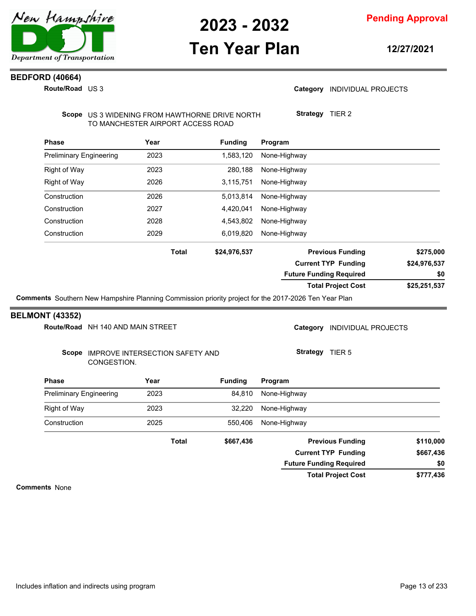

## **Ten Year Plan**

**Pending Approval**

**12/27/2021**

### **BEDFORD (40664)**

**Route/Road** US 3

### Category **INDIVIDUAL PROJECTS**

**Strategy** TIER 2

**Total Project Cost**

**Future Funding Required**

Scope US 3 WIDENING FROM HAWTHORNE DRIVE NORTH TO MANCHESTER AIRPORT ACCESS ROAD

| <b>Phase</b>                   | Year         | <b>Funding</b> | Program                        |              |
|--------------------------------|--------------|----------------|--------------------------------|--------------|
| <b>Preliminary Engineering</b> | 2023         | 1,583,120      | None-Highway                   |              |
| <b>Right of Way</b>            | 2023         | 280,188        | None-Highway                   |              |
| Right of Way                   | 2026         | 3,115,751      | None-Highway                   |              |
| Construction                   | 2026         | 5,013,814      | None-Highway                   |              |
| Construction                   | 2027         | 4,420,041      | None-Highway                   |              |
| Construction                   | 2028         | 4,543,802      | None-Highway                   |              |
| Construction                   | 2029         | 6,019,820      | None-Highway                   |              |
|                                | <b>Total</b> | \$24,976,537   | <b>Previous Funding</b>        | \$275,000    |
|                                |              |                | <b>Current TYP Funding</b>     | \$24,976,537 |
|                                |              |                | <b>Future Funding Required</b> | \$0          |
|                                |              |                | <b>Total Project Cost</b>      | \$25,251,537 |

### **BELMONT (43352)**

|                                |             |                                   |                | <b>Current TYP Funding</b>           | \$667,436                  |  |
|--------------------------------|-------------|-----------------------------------|----------------|--------------------------------------|----------------------------|--|
|                                |             | <b>Total</b>                      | \$667,436      | <b>Previous Funding</b>              | \$110,000                  |  |
| Construction                   |             | 2025                              | 550.406        | None-Highway                         |                            |  |
| Right of Way                   |             | 2023                              | 32,220         | None-Highway                         |                            |  |
| <b>Preliminary Engineering</b> |             | 2023                              | 84.810         | None-Highway                         |                            |  |
| <b>Phase</b>                   |             | Year                              | <b>Funding</b> | Program                              |                            |  |
| Scope                          | CONGESTION. | IMPROVE INTERSECTION SAFETY AND   |                | <b>Strategy</b><br>TIER <sub>5</sub> |                            |  |
|                                |             | Route/Road NH 140 AND MAIN STREET |                | Category                             | <b>INDIVIDUAL PROJECTS</b> |  |

**Comments** None

**\$777,436**

**\$0**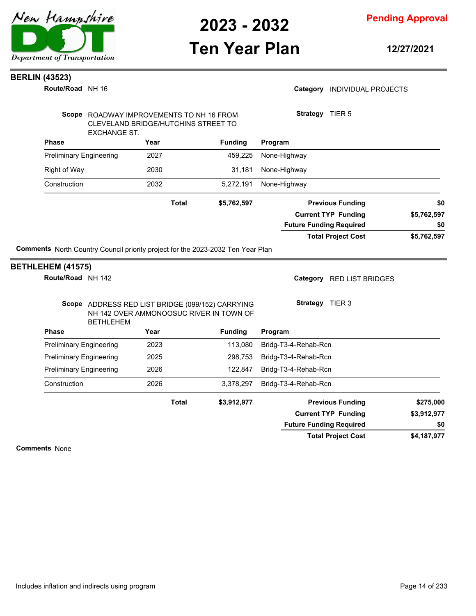

**Pending Approval**

## **Ten Year Plan**

**12/27/2021**

Category **INDIVIDUAL PROJECTS** 

### **BERLIN (43523)**

**Route/Road** NH 16

|                                     | Scope ROADWAY IMPROVEMENTS TO NH 16 FROM<br>CLEVELAND BRIDGE/HUTCHINS STREET TO                     |                | Strategy TIER 5                              |             |
|-------------------------------------|-----------------------------------------------------------------------------------------------------|----------------|----------------------------------------------|-------------|
| <b>EXCHANGE ST.</b><br><b>Phase</b> | <b>Funding</b><br>Year                                                                              |                | Program                                      |             |
| <b>Preliminary Engineering</b>      | 2027                                                                                                | 459,225        | None-Highway                                 |             |
| <b>Right of Way</b>                 | 2030                                                                                                | 31,181         | None-Highway                                 |             |
| Construction                        | 2032                                                                                                | 5,272,191      | None-Highway                                 |             |
|                                     | <b>Total</b>                                                                                        | \$5,762,597    | <b>Previous Funding</b>                      | \$0         |
|                                     |                                                                                                     |                | <b>Current TYP Funding</b>                   | \$5,762,597 |
|                                     |                                                                                                     |                | <b>Future Funding Required</b>               | \$0         |
|                                     |                                                                                                     |                | <b>Total Project Cost</b>                    | \$5,762,597 |
| <b>BETHLEHEM</b><br><b>Phase</b>    | Scope ADDRESS RED LIST BRIDGE (099/152) CARRYING<br>NH 142 OVER AMMONOOSUC RIVER IN TOWN OF<br>Year |                | Category RED LIST BRIDGES<br>Strategy TIER 3 |             |
|                                     |                                                                                                     | <b>Funding</b> | Program                                      |             |
| <b>Preliminary Engineering</b>      | 2023                                                                                                | 113,080        | Bridg-T3-4-Rehab-Rcn                         |             |
| <b>Preliminary Engineering</b>      | 2025                                                                                                | 298,753        | Bridg-T3-4-Rehab-Rcn                         |             |
| <b>Preliminary Engineering</b>      | 2026                                                                                                | 122,847        | Bridg-T3-4-Rehab-Rcn                         |             |
| Construction                        | 2026                                                                                                | 3,378,297      | Bridg-T3-4-Rehab-Rcn                         |             |
|                                     | <b>Total</b>                                                                                        | \$3,912,977    | <b>Previous Funding</b>                      | \$275,000   |
|                                     |                                                                                                     |                | <b>Current TYP Funding</b>                   | \$3,912,977 |
|                                     |                                                                                                     |                |                                              |             |
|                                     |                                                                                                     |                | <b>Future Funding Required</b>               | \$0         |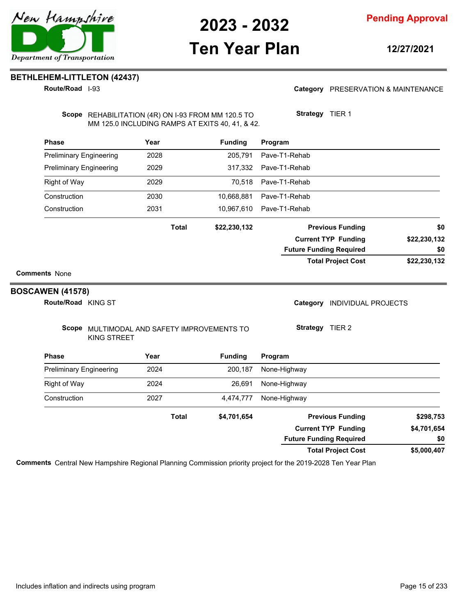

**12/27/2021**

### **BETHLEHEM-LITTLETON (42437)**

**Route/Road** I-93

Category PRESERVATION & MAINTENANCE

Scope REHABILITATION (4R) ON I-93 FROM MM 120.5 TO MM 125.0 INCLUDING RAMPS AT EXITS 40, 41, & 42. **Strategy** TIER 1

| <b>Phase</b>                   |                                                                   | Year |              | <b>Funding</b> | Program                                |              |
|--------------------------------|-------------------------------------------------------------------|------|--------------|----------------|----------------------------------------|--------------|
| <b>Preliminary Engineering</b> |                                                                   | 2028 |              | 205,791        | Pave-T1-Rehab                          |              |
| <b>Preliminary Engineering</b> |                                                                   | 2029 |              | 317,332        | Pave-T1-Rehab                          |              |
| <b>Right of Way</b>            |                                                                   | 2029 |              | 70,518         | Pave-T1-Rehab                          |              |
| Construction                   |                                                                   | 2030 |              | 10,668,881     | Pave-T1-Rehab                          |              |
| Construction                   |                                                                   | 2031 |              | 10,967,610     | Pave-T1-Rehab                          |              |
|                                |                                                                   |      | <b>Total</b> | \$22,230,132   | <b>Previous Funding</b>                | \$0          |
|                                |                                                                   |      |              |                | <b>Current TYP Funding</b>             | \$22,230,132 |
|                                |                                                                   |      |              |                | <b>Future Funding Required</b>         | \$0          |
|                                |                                                                   |      |              |                | <b>Total Project Cost</b>              | \$22,230,132 |
| <b>Comments None</b>           |                                                                   |      |              |                |                                        |              |
| <b>BOSCAWEN (41578)</b>        |                                                                   |      |              |                |                                        |              |
| Route/Road KING ST             |                                                                   |      |              |                | Category<br><b>INDIVIDUAL PROJECTS</b> |              |
|                                | Scope MULTIMODAL AND SAFETY IMPROVEMENTS TO<br><b>KING STREET</b> |      |              |                | Strategy TIER 2                        |              |
| <b>Phase</b>                   |                                                                   | Year |              | <b>Funding</b> | Program                                |              |
| <b>Preliminary Engineering</b> |                                                                   | 2024 |              | 200,187        | None-Highway                           |              |
| <b>Right of Way</b>            |                                                                   | 2024 |              | 26,691         | None-Highway                           |              |
| Construction                   |                                                                   | 2027 |              | 4,474,777      | None-Highway                           |              |
|                                |                                                                   |      | <b>Total</b> | \$4,701,654    | <b>Previous Funding</b>                | \$298,753    |
|                                |                                                                   |      |              |                | <b>Current TYP Funding</b>             | \$4,701,654  |
|                                |                                                                   |      |              |                | <b>Future Funding Required</b>         | \$0          |
|                                |                                                                   |      |              |                | <b>Total Project Cost</b>              | \$5,000,407  |

**Comments** Central New Hampshire Regional Planning Commission priority project for the 2019-2028 Ten Year Plan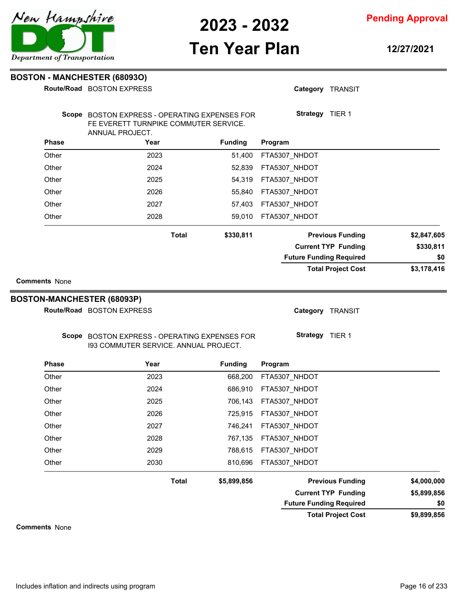

**Pending Approval**

## **Ten Year Plan**

**12/27/2021**

| <b>BOSTON - MANCHESTER (680930)</b> |                           |  |  |  |  |
|-------------------------------------|---------------------------|--|--|--|--|
|                                     | Route/Road BOSTON EXPRESS |  |  |  |  |

|                                                           | Route/Road BOSTON EXPRESS                                                                                 |                           | Category TRANSIT               |                            |             |
|-----------------------------------------------------------|-----------------------------------------------------------------------------------------------------------|---------------------------|--------------------------------|----------------------------|-------------|
|                                                           | Scope BOSTON EXPRESS - OPERATING EXPENSES FOR<br>FE EVERETT TURNPIKE COMMUTER SERVICE.<br>ANNUAL PROJECT. |                           | Strategy TIER 1                |                            |             |
| <b>Phase</b>                                              | Year                                                                                                      | <b>Funding</b>            | Program                        |                            |             |
| Other                                                     | 2023                                                                                                      | 51,400                    | FTA5307_NHDOT                  |                            |             |
| Other                                                     | 2024                                                                                                      | 52,839                    | FTA5307_NHDOT                  |                            |             |
| Other                                                     | 2025                                                                                                      | 54,319                    | FTA5307_NHDOT                  |                            |             |
| Other                                                     | 2026                                                                                                      | 55,840                    | FTA5307_NHDOT                  |                            |             |
| Other                                                     | 2027                                                                                                      | 57,403                    | FTA5307_NHDOT                  |                            |             |
| Other                                                     | 2028                                                                                                      | 59,010                    | FTA5307_NHDOT                  |                            |             |
|                                                           |                                                                                                           | <b>Total</b><br>\$330,811 |                                | <b>Previous Funding</b>    | \$2,847,605 |
|                                                           |                                                                                                           |                           |                                | <b>Current TYP Funding</b> | \$330,811   |
|                                                           |                                                                                                           |                           | <b>Future Funding Required</b> |                            | \$0         |
| <b>Comments None</b><br><b>BOSTON-MANCHESTER (68093P)</b> |                                                                                                           |                           |                                |                            |             |
|                                                           | Route/Road BOSTON EXPRESS                                                                                 |                           |                                | Category TRANSIT           |             |
|                                                           | Scope BOSTON EXPRESS - OPERATING EXPENSES FOR<br>193 COMMUTER SERVICE. ANNUAL PROJECT.                    |                           | Strategy TIER 1                |                            |             |
| <b>Phase</b>                                              | Year                                                                                                      | <b>Funding</b>            | Program                        |                            |             |
| Other                                                     | 2023                                                                                                      | 668,200                   | FTA5307_NHDOT                  |                            |             |
| Other                                                     | 2024                                                                                                      | 686,910                   | FTA5307_NHDOT                  |                            |             |
| Other                                                     | 2025                                                                                                      | 706,143                   | FTA5307_NHDOT                  |                            |             |
| Other                                                     | 2026                                                                                                      | 725,915                   | FTA5307_NHDOT                  |                            |             |
| Other                                                     | 2027                                                                                                      | 746,241                   | FTA5307_NHDOT                  |                            |             |
| Other                                                     | 2028                                                                                                      | 767,135                   | FTA5307_NHDOT                  |                            |             |
| Other                                                     | 2029                                                                                                      | 788,615                   | FTA5307_NHDOT                  |                            |             |
| Other                                                     | 2030                                                                                                      | 810,696                   | FTA5307 NHDOT                  |                            |             |

**Total**

**\$9,899,856 \$5,899,856 \$5,899,856 Previous Funding \$4,000,000 Current TYP Funding Future Funding Required \$0**

**Total Project Cost**

**Comments** None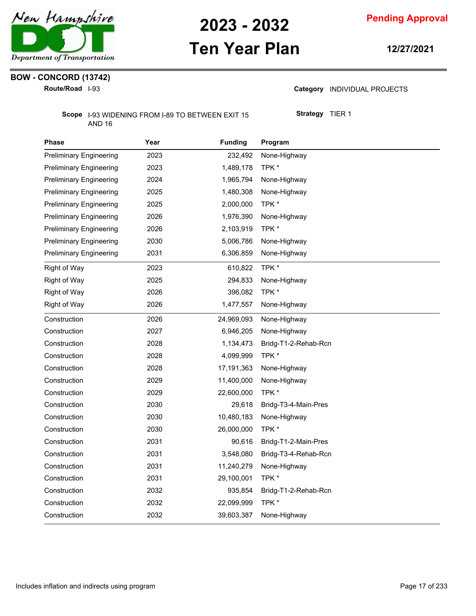

## **Ten Year Plan**

**12/27/2021**

## **BOW - CONCORD (13742)**

**Route/Road** I-93

Category **INDIVIDUAL PROJECTS** 

Scope 1-93 WIDENING FROM 1-89 TO BETWEEN EXIT 15 AND 16

**Strategy** TIER 1

| Phase                          | Year | <b>Funding</b> | Program              |
|--------------------------------|------|----------------|----------------------|
| <b>Preliminary Engineering</b> | 2023 | 232,492        | None-Highway         |
| <b>Preliminary Engineering</b> | 2023 | 1,489,178      | TPK *                |
| <b>Preliminary Engineering</b> | 2024 | 1,965,794      | None-Highway         |
| <b>Preliminary Engineering</b> | 2025 | 1,480,308      | None-Highway         |
| <b>Preliminary Engineering</b> | 2025 | 2,000,000      | TPK*                 |
| <b>Preliminary Engineering</b> | 2026 | 1,976,390      | None-Highway         |
| <b>Preliminary Engineering</b> | 2026 | 2,103,919      | TPK*                 |
| <b>Preliminary Engineering</b> | 2030 | 5,006,786      | None-Highway         |
| <b>Preliminary Engineering</b> | 2031 | 6,306,859      | None-Highway         |
| <b>Right of Way</b>            | 2023 | 610,822        | TPK *                |
| Right of Way                   | 2025 | 294,833        | None-Highway         |
| Right of Way                   | 2026 | 396,082        | TPK *                |
| Right of Way                   | 2026 | 1,477,557      | None-Highway         |
| Construction                   | 2026 | 24,969,093     | None-Highway         |
| Construction                   | 2027 | 6,946,205      | None-Highway         |
| Construction                   | 2028 | 1,134,473      | Bridg-T1-2-Rehab-Rcn |
| Construction                   | 2028 | 4,099,999      | TPK*                 |
| Construction                   | 2028 | 17,191,363     | None-Highway         |
| Construction                   | 2029 | 11,400,000     | None-Highway         |
| Construction                   | 2029 | 22,600,000     | TPK*                 |
| Construction                   | 2030 | 29,618         | Bridg-T3-4-Main-Pres |
| Construction                   | 2030 | 10,480,183     | None-Highway         |
| Construction                   | 2030 | 26,000,000     | TPK *                |
| Construction                   | 2031 | 90,616         | Bridg-T1-2-Main-Pres |
| Construction                   | 2031 | 3,548,080      | Bridg-T3-4-Rehab-Rcn |
| Construction                   | 2031 | 11,240,279     | None-Highway         |
| Construction                   | 2031 | 29,100,001     | TPK*                 |
| Construction                   | 2032 | 935,854        | Bridg-T1-2-Rehab-Rcn |
| Construction                   | 2032 | 22,099,999     | TPK*                 |
| Construction                   | 2032 | 39,603,387     | None-Highway         |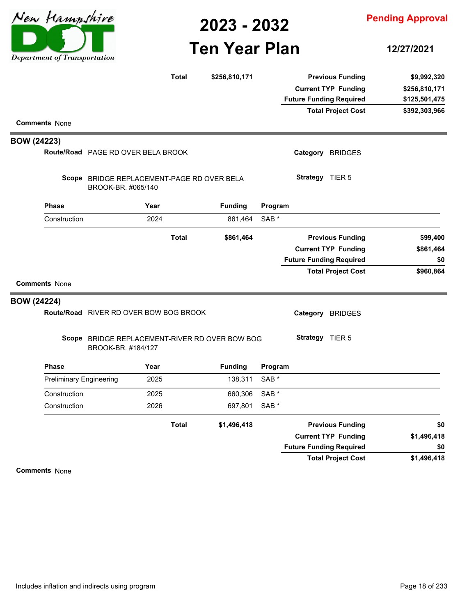

# **Ten Year Plan**

**12/27/2021**

|                    |                                |                                                                      | <b>Total</b> | \$256,810,171  |                  | <b>Previous Funding</b>        | \$9,992,320   |
|--------------------|--------------------------------|----------------------------------------------------------------------|--------------|----------------|------------------|--------------------------------|---------------|
|                    |                                |                                                                      |              |                |                  | <b>Current TYP Funding</b>     | \$256,810,171 |
|                    |                                |                                                                      |              |                |                  | <b>Future Funding Required</b> | \$125,501,475 |
|                    |                                |                                                                      |              |                |                  | <b>Total Project Cost</b>      | \$392,303,966 |
|                    | <b>Comments None</b>           |                                                                      |              |                |                  |                                |               |
| <b>BOW (24223)</b> |                                |                                                                      |              |                |                  |                                |               |
|                    |                                | Route/Road PAGE RD OVER BELA BROOK                                   |              |                |                  | Category BRIDGES               |               |
|                    |                                | Scope BRIDGE REPLACEMENT-PAGE RD OVER BELA<br>BROOK-BR. #065/140     |              |                |                  | Strategy TIER 5                |               |
|                    | <b>Phase</b>                   | Year                                                                 |              | <b>Funding</b> | Program          |                                |               |
|                    | Construction                   | 2024                                                                 |              | 861,464        | SAB <sup>*</sup> |                                |               |
|                    |                                |                                                                      | <b>Total</b> | \$861,464      |                  | <b>Previous Funding</b>        | \$99,400      |
|                    |                                |                                                                      |              |                |                  | <b>Current TYP Funding</b>     | \$861,464     |
|                    |                                |                                                                      |              |                |                  | <b>Future Funding Required</b> | \$0           |
|                    | <b>Comments None</b>           |                                                                      |              |                |                  | <b>Total Project Cost</b>      | \$960,864     |
| <b>BOW (24224)</b> |                                |                                                                      |              |                |                  |                                |               |
|                    |                                | Route/Road RIVER RD OVER BOW BOG BROOK                               |              |                |                  | Category BRIDGES               |               |
|                    |                                | Scope BRIDGE REPLACEMENT-RIVER RD OVER BOW BOG<br>BROOK-BR. #184/127 |              |                |                  | Strategy TIER 5                |               |
|                    | Phase                          | Year                                                                 |              | <b>Funding</b> | Program          |                                |               |
|                    | <b>Preliminary Engineering</b> | 2025                                                                 |              | 138,311        | SAB <sup>*</sup> |                                |               |
|                    | Construction                   | 2025                                                                 |              | 660,306        | SAB <sup>*</sup> |                                |               |
|                    | Construction                   | 2026                                                                 |              | 697,801        | SAB <sup>*</sup> |                                |               |
|                    |                                |                                                                      | <b>Total</b> | \$1,496,418    |                  | <b>Previous Funding</b>        | \$0           |
|                    |                                |                                                                      |              |                |                  | <b>Current TYP Funding</b>     | \$1,496,418   |
|                    |                                |                                                                      |              |                |                  | <b>Future Funding Required</b> | \$0           |
|                    |                                |                                                                      |              |                |                  | <b>Total Project Cost</b>      | \$1,496,418   |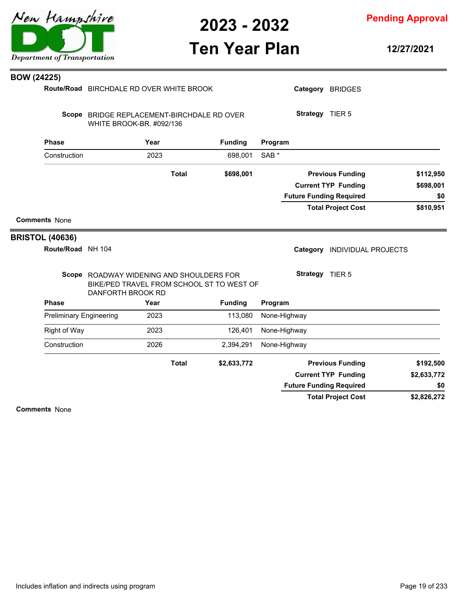

**Pending Approval**

## **Ten Year Plan**

**12/27/2021**

| <b>BOW (24225)</b> |  |  |  |
|--------------------|--|--|--|
|--------------------|--|--|--|

| Comments None                               |                                                                                                            |      |              |                |                  | <b>Total Project Cost</b>                             | \$2,826,272            |
|---------------------------------------------|------------------------------------------------------------------------------------------------------------|------|--------------|----------------|------------------|-------------------------------------------------------|------------------------|
|                                             |                                                                                                            |      |              |                |                  | <b>Future Funding Required</b>                        | \$0                    |
|                                             |                                                                                                            |      |              |                |                  | <b>Current TYP Funding</b>                            | \$2,633,772            |
|                                             |                                                                                                            |      | <b>Total</b> | \$2,633,772    |                  | <b>Previous Funding</b>                               | \$192,500              |
| Construction                                |                                                                                                            | 2026 |              | 2,394,291      | None-Highway     |                                                       |                        |
| <b>Right of Way</b>                         |                                                                                                            | 2023 |              | 126,401        | None-Highway     |                                                       |                        |
| <b>Preliminary Engineering</b>              |                                                                                                            | 2023 |              | 113,080        | None-Highway     |                                                       |                        |
| <b>Phase</b>                                |                                                                                                            | Year |              | <b>Funding</b> | Program          |                                                       |                        |
|                                             | Scope ROADWAY WIDENING AND SHOULDERS FOR<br>BIKE/PED TRAVEL FROM SCHOOL ST TO WEST OF<br>DANFORTH BROOK RD |      |              |                |                  | Strategy TIER 5                                       |                        |
| <b>BRISTOL (40636)</b><br>Route/Road NH 104 |                                                                                                            |      |              |                | Category         | <b>INDIVIDUAL PROJECTS</b>                            |                        |
| <b>Comments None</b>                        |                                                                                                            |      |              |                |                  |                                                       |                        |
|                                             |                                                                                                            |      |              |                |                  | <b>Total Project Cost</b>                             | \$810,951              |
|                                             |                                                                                                            |      |              |                |                  | <b>Future Funding Required</b>                        | \$0                    |
|                                             |                                                                                                            |      | <b>Total</b> | \$698,001      |                  | <b>Previous Funding</b><br><b>Current TYP Funding</b> | \$112,950<br>\$698,001 |
| Construction                                |                                                                                                            | 2023 |              | 698,001        | SAB <sup>*</sup> |                                                       |                        |
| <b>Phase</b>                                |                                                                                                            | Year |              | <b>Funding</b> | Program          |                                                       |                        |
|                                             | Scope BRIDGE REPLACEMENT-BIRCHDALE RD OVER<br>WHITE BROOK-BR. #092/136                                     |      |              |                |                  | Strategy TIER 5                                       |                        |
| PO II (47449)                               | Route/Road BIRCHDALE RD OVER WHITE BROOK                                                                   |      |              |                |                  | Category BRIDGES                                      |                        |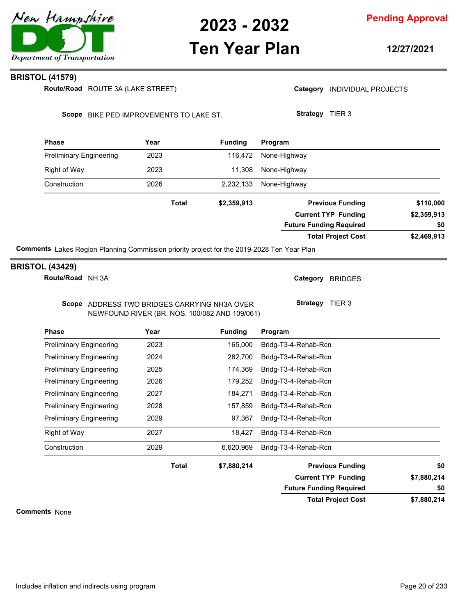

### **Pending Approval**

## **Ten Year Plan**

**12/27/2021**

### **BRISTOL (41579)**

ROUTE 3A (LAKE STREET) **Route/Road**

Category **INDIVIDUAL PROJECTS** 

Scope BIKE PED IMPROVEMENTS TO LAKE ST.

**Strategy** TIER 3

| <b>Phase</b>                   | Year                                                                                                                                                                                                                              | <b>Funding</b> | Program                        |             |
|--------------------------------|-----------------------------------------------------------------------------------------------------------------------------------------------------------------------------------------------------------------------------------|----------------|--------------------------------|-------------|
| <b>Preliminary Engineering</b> | 2023                                                                                                                                                                                                                              | 116.472        | None-Highway                   |             |
| <b>Right of Way</b>            | 2023                                                                                                                                                                                                                              | 11,308         | None-Highway                   |             |
| Construction                   | 2026                                                                                                                                                                                                                              | 2,232,133      | None-Highway                   |             |
|                                | <b>Total</b>                                                                                                                                                                                                                      | \$2,359,913    | <b>Previous Funding</b>        | \$110,000   |
|                                |                                                                                                                                                                                                                                   |                | <b>Current TYP Funding</b>     | \$2,359,913 |
|                                |                                                                                                                                                                                                                                   |                | <b>Future Funding Required</b> | \$0         |
|                                |                                                                                                                                                                                                                                   |                | <b>Total Project Cost</b>      | \$2,469,913 |
| .                              | $\mathbf{r}$ . The set of the set of the set of the set of the set of the set of the set of the set of the set of the set of the set of the set of the set of the set of the set of the set of the set of the set of the set of t |                |                                |             |

**Comments** Lakes Region Planning Commission priority project for the 2019-2028 Ten Year Plan

### **BRISTOL (43429)**

**Route/Road** NH 3A

Category BRIDGES

**Strategy** TIER 3

**Total Project Cost**

**Future Funding Required**

Scope ADDRESS TWO BRIDGES CARRYING NH3A OVER NEWFOUND RIVER (BR. NOS. 100/082 AND 109/061)

| <b>Phase</b>                   | Year         | <b>Funding</b> | Program                    |             |
|--------------------------------|--------------|----------------|----------------------------|-------------|
| <b>Preliminary Engineering</b> | 2023         | 165,000        | Bridg-T3-4-Rehab-Rcn       |             |
| <b>Preliminary Engineering</b> | 2024         | 282.700        | Bridg-T3-4-Rehab-Rcn       |             |
| <b>Preliminary Engineering</b> | 2025         | 174,369        | Bridg-T3-4-Rehab-Rcn       |             |
| <b>Preliminary Engineering</b> | 2026         | 179.252        | Bridg-T3-4-Rehab-Rcn       |             |
| <b>Preliminary Engineering</b> | 2027         | 184,271        | Bridg-T3-4-Rehab-Rcn       |             |
| <b>Preliminary Engineering</b> | 2028         | 157,859        | Bridg-T3-4-Rehab-Rcn       |             |
| <b>Preliminary Engineering</b> | 2029         | 97,367         | Bridg-T3-4-Rehab-Rcn       |             |
| Right of Way                   | 2027         | 18.427         | Bridg-T3-4-Rehab-Rcn       |             |
| Construction                   | 2029         | 6.620.969      | Bridg-T3-4-Rehab-Rcn       |             |
|                                | <b>Total</b> | \$7,880,214    | <b>Previous Funding</b>    | \$0         |
|                                |              |                | <b>Current TYP Funding</b> | \$7,880,214 |

**Comments** None

**\$7,880,214**

**\$0**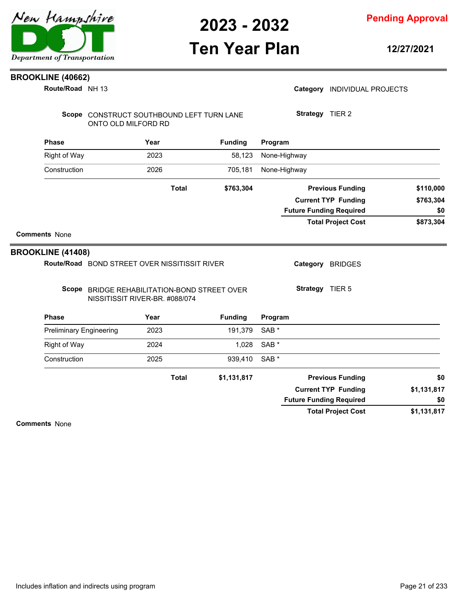**Pending Approval**

## **Ten Year Plan**

**12/27/2021**

### **BROOKLINE (40662)**

**Route/Road** NH 13

Scope CONSTRUCT SOUTHBOUND LEFT TURN LANE ONTO OLD MILFORD RD

| <b>Phase</b> | Year  | <b>Funding</b> | Program                        |           |
|--------------|-------|----------------|--------------------------------|-----------|
| Right of Way | 2023  | 58,123         | None-Highway                   |           |
| Construction | 2026  | 705,181        | None-Highway                   |           |
|              | Total | \$763,304      | <b>Previous Funding</b>        | \$110,000 |
|              |       |                | <b>Current TYP Funding</b>     | \$763,304 |
|              |       |                | <b>Future Funding Required</b> | \$0       |
|              |       |                | <b>Total Project Cost</b>      | \$873,304 |

### **Comments** None

### **BROOKLINE (41408)**

Route/Road BOND STREET OVER NISSITISSIT RIVER

Category BRIDGES

Scope BRIDGE REHABILITATION-BOND STREET OVER NISSITISSIT RIVER-BR. #088/074

**Strategy** TIER 5

| <b>Phase</b>                   | Year         | <b>Funding</b> | Program                        |             |
|--------------------------------|--------------|----------------|--------------------------------|-------------|
| <b>Preliminary Engineering</b> | 2023         | 191,379        | SAB <sup>*</sup>               |             |
| <b>Right of Way</b>            | 2024         | 1,028          | SAB *                          |             |
| Construction                   | 2025         | 939,410        | SAB <sup>*</sup>               |             |
|                                | <b>Total</b> | \$1,131,817    | <b>Previous Funding</b>        | \$0         |
|                                |              |                | <b>Current TYP Funding</b>     | \$1,131,817 |
|                                |              |                | <b>Future Funding Required</b> | \$0         |
|                                |              |                | <b>Total Project Cost</b>      | \$1,131,817 |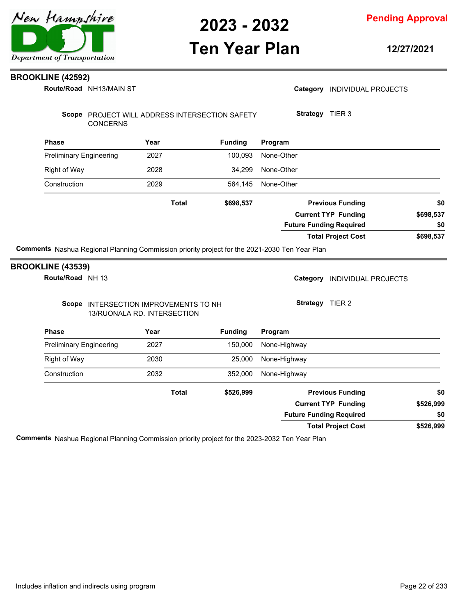

## **Ten Year Plan**

**Pending Approval**

**12/27/2021**

### **BROOKLINE (42592)**

NH13/MAIN ST **Route/Road**

| Route/Road NH13/MAIN ST                                                                       |                                                                      |                | Category INDIVIDUAL PROJECTS   |           |
|-----------------------------------------------------------------------------------------------|----------------------------------------------------------------------|----------------|--------------------------------|-----------|
| <b>CONCERNS</b>                                                                               | Scope PROJECT WILL ADDRESS INTERSECTION SAFETY                       |                | Strategy TIER 3                |           |
| <b>Phase</b>                                                                                  | Year                                                                 | <b>Funding</b> | Program                        |           |
| <b>Preliminary Engineering</b>                                                                | 2027                                                                 | 100,093        | None-Other                     |           |
| <b>Right of Way</b>                                                                           | 2028                                                                 | 34,299         | None-Other                     |           |
| Construction                                                                                  | 2029                                                                 | 564,145        | None-Other                     |           |
|                                                                                               | <b>Total</b>                                                         | \$698,537      | <b>Previous Funding</b>        | \$0       |
|                                                                                               |                                                                      |                | <b>Current TYP Funding</b>     | \$698,537 |
|                                                                                               |                                                                      |                | <b>Future Funding Required</b> | \$0       |
|                                                                                               |                                                                      |                |                                |           |
| Comments Nashua Regional Planning Commission priority project for the 2021-2030 Ten Year Plan |                                                                      |                | <b>Total Project Cost</b>      | \$698,537 |
|                                                                                               |                                                                      |                | Category INDIVIDUAL PROJECTS   |           |
| <b>BROOKLINE (43539)</b><br>Route/Road NH 13                                                  | Scope INTERSECTION IMPROVEMENTS TO NH<br>13/RUONALA RD. INTERSECTION |                | Strategy TIER 2                |           |
| <b>Phase</b>                                                                                  | Year                                                                 | <b>Funding</b> | Program                        |           |
| <b>Preliminary Engineering</b>                                                                | 2027                                                                 | 150,000        | None-Highway                   |           |
| Right of Way                                                                                  | 2030                                                                 | 25,000         | None-Highway                   |           |
| Construction                                                                                  | 2032                                                                 | 352,000        | None-Highway                   |           |
|                                                                                               | <b>Total</b>                                                         | \$526,999      | <b>Previous Funding</b>        | \$0       |
|                                                                                               |                                                                      |                | <b>Current TYP Funding</b>     | \$526,999 |

**\$526,999 Total Project Cost**

**Comments** Nashua Regional Planning Commission priority project for the 2023-2032 Ten Year Plan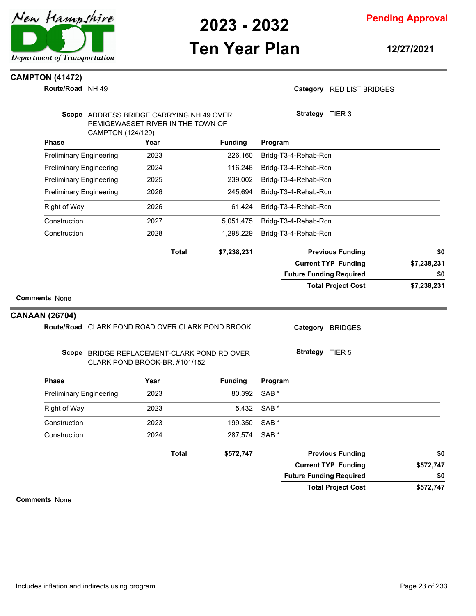

**Pending Approval**

## **Ten Year Plan**

**12/27/2021**

### **CAMPTON (41472)**

**Route/Road** NH 49

### Category RED LIST BRIDGES

|                       | Scope ADDRESS BRIDGE CARRYING NH 49 OVER<br>CAMPTON (124/129) | PEMIGEWASSET RIVER IN THE TOWN OF |                | Strategy TIER 3                |             |
|-----------------------|---------------------------------------------------------------|-----------------------------------|----------------|--------------------------------|-------------|
|                       | <b>Phase</b>                                                  | Year                              | <b>Funding</b> | Program                        |             |
|                       | <b>Preliminary Engineering</b>                                | 2023                              | 226,160        | Bridg-T3-4-Rehab-Rcn           |             |
|                       | <b>Preliminary Engineering</b>                                | 2024                              | 116,246        | Bridg-T3-4-Rehab-Rcn           |             |
|                       | <b>Preliminary Engineering</b>                                | 2025                              | 239,002        | Bridg-T3-4-Rehab-Rcn           |             |
|                       | <b>Preliminary Engineering</b>                                | 2026                              | 245,694        | Bridg-T3-4-Rehab-Rcn           |             |
|                       | <b>Right of Way</b>                                           | 2026                              | 61,424         | Bridg-T3-4-Rehab-Rcn           |             |
|                       | Construction                                                  | 2027                              | 5,051,475      | Bridg-T3-4-Rehab-Rcn           |             |
|                       | Construction                                                  | 2028                              | 1,298,229      | Bridg-T3-4-Rehab-Rcn           |             |
|                       |                                                               | <b>Total</b>                      | \$7,238,231    | <b>Previous Funding</b>        | \$0         |
|                       |                                                               |                                   |                | <b>Current TYP Funding</b>     | \$7,238,231 |
|                       |                                                               |                                   |                | <b>Future Funding Required</b> | \$0         |
| <b>CANAAN (26704)</b> | Route/Road CLARK POND ROAD OVER CLARK POND BROOK              |                                   |                | Category<br><b>BRIDGES</b>     |             |
|                       | Scope BRIDGE REPLACEMENT-CLARK POND RD OVER                   | CLARK POND BROOK-BR. #101/152     |                | <b>Strategy</b> TIER 5         |             |
|                       | <b>Phase</b>                                                  | Year                              | <b>Funding</b> | Program                        |             |
|                       | <b>Preliminary Engineering</b>                                | 2023                              | 80,392         | SAB *                          |             |
|                       | Right of Way                                                  | 2023                              | 5,432          | SAB *                          |             |
|                       | Construction                                                  | 2023                              | 199,350        | SAB *                          |             |
|                       | Construction                                                  | 2024                              | 287,574        | SAB <sup>*</sup>               |             |
|                       |                                                               | <b>Total</b>                      | \$572,747      | <b>Previous Funding</b>        | \$0         |
|                       |                                                               |                                   |                | <b>Current TYP Funding</b>     | \$572,747   |
|                       |                                                               |                                   |                | <b>Future Funding Required</b> | \$0         |
|                       |                                                               |                                   |                | <b>Total Project Cost</b>      | \$572,747   |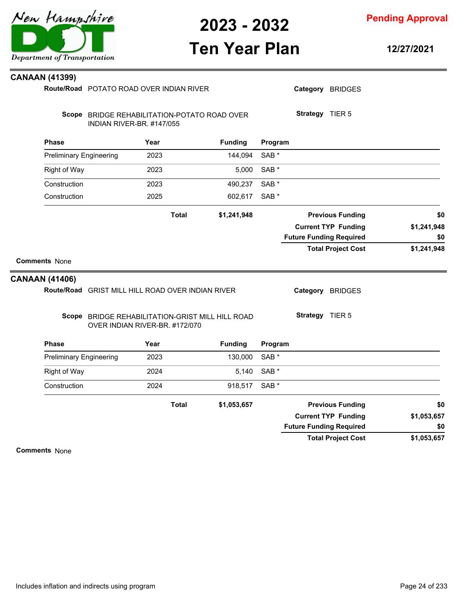

**Pending Approval**

## **Ten Year Plan**

**12/27/2021**

| CANAAN (41399) |  |  |  |
|----------------|--|--|--|
|----------------|--|--|--|

|                                | Route/Road POTATO ROAD OVER INDIAN RIVER                                           |      |              |                |                  |                                | Category BRIDGES           |             |
|--------------------------------|------------------------------------------------------------------------------------|------|--------------|----------------|------------------|--------------------------------|----------------------------|-------------|
|                                |                                                                                    |      |              |                |                  |                                |                            |             |
|                                | Scope BRIDGE REHABILITATION-POTATO ROAD OVER<br>INDIAN RIVER-BR. #147/055          |      |              |                |                  | Strategy TIER 5                |                            |             |
| <b>Phase</b>                   |                                                                                    | Year |              | <b>Funding</b> | Program          |                                |                            |             |
| <b>Preliminary Engineering</b> |                                                                                    | 2023 |              | 144,094        | SAB <sup>*</sup> |                                |                            |             |
| <b>Right of Way</b>            |                                                                                    | 2023 |              | 5,000          | SAB <sup>*</sup> |                                |                            |             |
| Construction                   |                                                                                    | 2023 |              | 490,237        | SAB <sup>*</sup> |                                |                            |             |
| Construction                   |                                                                                    | 2025 |              | 602,617        | SAB *            |                                |                            |             |
|                                |                                                                                    |      | <b>Total</b> | \$1,241,948    |                  |                                | <b>Previous Funding</b>    | \$0         |
|                                |                                                                                    |      |              |                |                  |                                | <b>Current TYP Funding</b> | \$1,241,948 |
|                                |                                                                                    |      |              |                |                  | <b>Future Funding Required</b> |                            | \$0         |
|                                |                                                                                    |      |              |                |                  |                                | <b>Total Project Cost</b>  | \$1,241,948 |
| <b>Comments None</b>           |                                                                                    |      |              |                |                  |                                |                            |             |
| <b>CANAAN (41406)</b>          |                                                                                    |      |              |                |                  |                                |                            |             |
|                                | Route/Road GRIST MILL HILL ROAD OVER INDIAN RIVER                                  |      |              |                |                  |                                | Category BRIDGES           |             |
|                                | Scope BRIDGE REHABILITATION-GRIST MILL HILL ROAD<br>OVER INDIAN RIVER-BR. #172/070 |      |              |                |                  | Strategy TIER 5                |                            |             |
| <b>Phase</b>                   |                                                                                    | Year |              | <b>Funding</b> | Program          |                                |                            |             |
| <b>Preliminary Engineering</b> |                                                                                    | 2023 |              | 130,000        | SAB <sup>*</sup> |                                |                            |             |
| Right of Way                   |                                                                                    | 2024 |              | 5,140          | SAB <sup>*</sup> |                                |                            |             |
| Construction                   |                                                                                    | 2024 |              | 918,517        | SAB *            |                                |                            |             |
|                                |                                                                                    |      | <b>Total</b> | \$1,053,657    |                  |                                | <b>Previous Funding</b>    | \$0         |
|                                |                                                                                    |      |              |                |                  |                                | <b>Current TYP Funding</b> | \$1,053,657 |
|                                |                                                                                    |      |              |                |                  | <b>Future Funding Required</b> |                            | \$0         |
|                                |                                                                                    |      |              |                |                  |                                | <b>Total Project Cost</b>  | \$1,053,657 |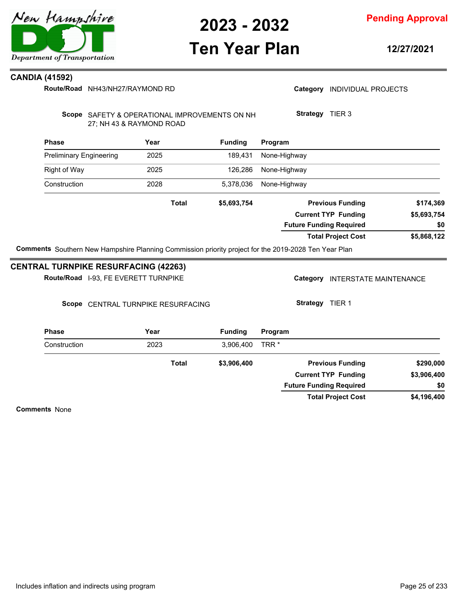

**2023 - 2032**

### **Pending Approval**

## **Ten Year Plan**

**12/27/2021**

### **CANDIA (41592)**

**Route/Road** NH43/NH27/RAYMOND RD

|  | Category INDIVIDUAL PROJECTS |  |
|--|------------------------------|--|
|--|------------------------------|--|

**Strategy** TIER 3

Scope SAFETY & OPERATIONAL IMPROVEMENTS ON NH 27; NH 43 & RAYMOND ROAD

| <b>Phase</b>                   | Year | <b>Funding</b> | Program                |
|--------------------------------|------|----------------|------------------------|
| <b>Preliminary Engineering</b> | 2025 |                | 189,431 None-Highway   |
| Right of Way                   | 2025 |                | 126,286 None-Highway   |
| Construction                   | 2028 |                | 5,378,036 None-Highway |

| \$174,369   | <b>Previous Funding</b>        | \$5,693,754 | Total |
|-------------|--------------------------------|-------------|-------|
| \$5,693,754 | <b>Current TYP Funding</b>     |             |       |
| \$0         | <b>Future Funding Required</b> |             |       |
| \$5,868,122 | <b>Total Project Cost</b>      |             |       |
|             |                                |             |       |

**Comments** Southern New Hampshire Planning Commission priority project for the 2019-2028 Ten Year Plan

### **CENTRAL TURNPIKE RESURFACING (42263)**

Scope CENTRAL TURNPIKE RESURFACING

Category INTERSTATE MAINTENANCE

**Strategy** TIER 1

| <b>Phase</b> | Year  | <b>Funding</b> | Program                        |             |
|--------------|-------|----------------|--------------------------------|-------------|
| Construction | 2023  | 3,906,400      | TRR <sup>*</sup>               |             |
|              | Total | \$3,906,400    | <b>Previous Funding</b>        | \$290,000   |
|              |       |                | <b>Current TYP Funding</b>     | \$3,906,400 |
|              |       |                | <b>Future Funding Required</b> | \$0         |
|              |       |                | <b>Total Project Cost</b>      | \$4,196,400 |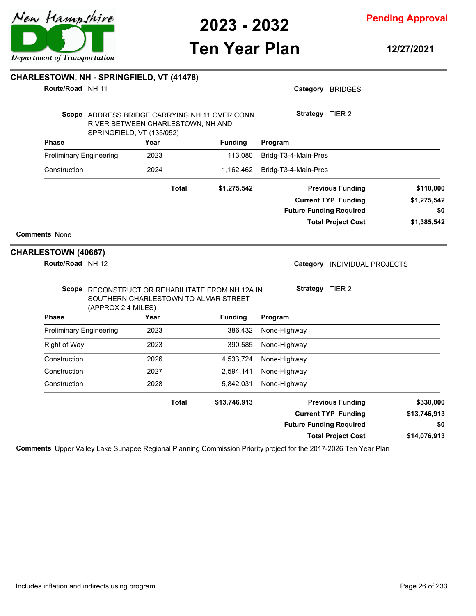

**College** 

**2023 - 2032**

**Pending Approval**

## **Ten Year Plan**

**12/27/2021**

| Route/Road NH 11                               |                                                                                                                 |              |                |                                | Category BRIDGES           |              |
|------------------------------------------------|-----------------------------------------------------------------------------------------------------------------|--------------|----------------|--------------------------------|----------------------------|--------------|
|                                                | Scope ADDRESS BRIDGE CARRYING NH 11 OVER CONN<br>RIVER BETWEEN CHARLESTOWN, NH AND<br>SPRINGFIELD, VT (135/052) |              |                | Strategy TIER 2                |                            |              |
| <b>Phase</b>                                   | Year                                                                                                            |              | <b>Funding</b> | Program                        |                            |              |
| <b>Preliminary Engineering</b>                 | 2023                                                                                                            |              | 113,080        | Bridg-T3-4-Main-Pres           |                            |              |
| Construction                                   | 2024                                                                                                            |              | 1,162,462      | Bridg-T3-4-Main-Pres           |                            |              |
|                                                |                                                                                                                 | <b>Total</b> | \$1,275,542    |                                | <b>Previous Funding</b>    | \$110,000    |
|                                                |                                                                                                                 |              |                |                                | <b>Current TYP Funding</b> | \$1,275,542  |
|                                                |                                                                                                                 |              |                | <b>Future Funding Required</b> |                            | \$0          |
|                                                |                                                                                                                 |              |                |                                | <b>Total Project Cost</b>  | \$1,385,542  |
| <b>Comments None</b>                           |                                                                                                                 |              |                |                                |                            |              |
| <b>CHARLESTOWN (40667)</b><br>Route/Road NH 12 |                                                                                                                 |              |                | Category                       | <b>INDIVIDUAL PROJECTS</b> |              |
|                                                | Scope RECONSTRUCT OR REHABILITATE FROM NH 12A IN<br>SOUTHERN CHARLESTOWN TO ALMAR STREET<br>(APPROX 2.4 MILES)  |              |                | Strategy TIER 2                |                            |              |
| <b>Phase</b>                                   | Year                                                                                                            |              | <b>Funding</b> | Program                        |                            |              |
| <b>Preliminary Engineering</b>                 | 2023                                                                                                            |              | 386,432        | None-Highway                   |                            |              |
| <b>Right of Way</b>                            | 2023                                                                                                            |              | 390,585        | None-Highway                   |                            |              |
| Construction                                   | 2026                                                                                                            |              | 4,533,724      | None-Highway                   |                            |              |
| Construction                                   | 2027                                                                                                            |              | 2,594,141      | None-Highway                   |                            |              |
| Construction                                   | 2028                                                                                                            |              | 5,842,031      | None-Highway                   |                            |              |
|                                                |                                                                                                                 | <b>Total</b> | \$13,746,913   |                                | <b>Previous Funding</b>    | \$330,000    |
|                                                |                                                                                                                 |              |                |                                | <b>Current TYP Funding</b> | \$13,746,913 |
|                                                |                                                                                                                 |              |                | <b>Future Funding Required</b> |                            | \$0          |

**Comments** Upper Valley Lake Sunapee Regional Planning Commission Priority project for the 2017-2026 Ten Year Plan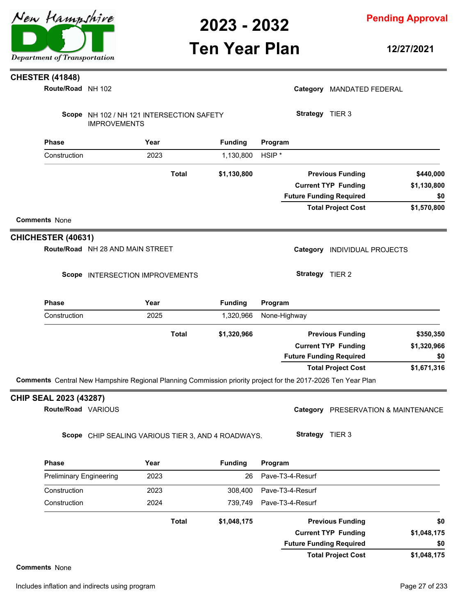

**Ten Year Plan**

**Pending Approval**

**12/27/2021**

### **CHESTER (41848)**

NH 102 **Route/Road**

| Route/Road NH 102                            |                                  |                                                                                                              |                |                                | Category MANDATED FEDERAL           |             |
|----------------------------------------------|----------------------------------|--------------------------------------------------------------------------------------------------------------|----------------|--------------------------------|-------------------------------------|-------------|
|                                              | <b>IMPROVEMENTS</b>              | Scope NH 102 / NH 121 INTERSECTION SAFETY                                                                    |                | Strategy TIER 3                |                                     |             |
| <b>Phase</b>                                 |                                  | Year                                                                                                         | <b>Funding</b> | Program                        |                                     |             |
| Construction                                 |                                  | 2023                                                                                                         | 1,130,800      | HSIP <sup>*</sup>              |                                     |             |
|                                              |                                  | <b>Total</b>                                                                                                 | \$1,130,800    |                                | <b>Previous Funding</b>             | \$440,000   |
|                                              |                                  |                                                                                                              |                |                                | <b>Current TYP Funding</b>          | \$1,130,800 |
|                                              |                                  |                                                                                                              |                | <b>Future Funding Required</b> |                                     | \$0         |
| <b>Comments None</b>                         |                                  |                                                                                                              |                |                                | <b>Total Project Cost</b>           | \$1,570,800 |
| <b>CHICHESTER (40631)</b>                    |                                  |                                                                                                              |                |                                |                                     |             |
|                                              | Route/Road NH 28 AND MAIN STREET |                                                                                                              |                |                                | Category INDIVIDUAL PROJECTS        |             |
|                                              |                                  | Scope INTERSECTION IMPROVEMENTS                                                                              |                | Strategy TIER 2                |                                     |             |
| <b>Phase</b>                                 |                                  | Year                                                                                                         | <b>Funding</b> | Program                        |                                     |             |
| Construction                                 |                                  | 2025                                                                                                         | 1,320,966      | None-Highway                   |                                     |             |
|                                              |                                  | <b>Total</b>                                                                                                 | \$1,320,966    |                                | <b>Previous Funding</b>             | \$350,350   |
|                                              |                                  |                                                                                                              |                |                                | <b>Current TYP Funding</b>          | \$1,320,966 |
|                                              |                                  |                                                                                                              |                | <b>Future Funding Required</b> |                                     | \$0         |
|                                              |                                  |                                                                                                              |                |                                | <b>Total Project Cost</b>           | \$1,671,316 |
|                                              |                                  | Comments Central New Hampshire Regional Planning Commission priority project for the 2017-2026 Ten Year Plan |                |                                |                                     |             |
| CHIP SEAL 2023 (43287)<br>Route/Road VARIOUS |                                  |                                                                                                              |                |                                | Category PRESERVATION & MAINTENANCE |             |
|                                              |                                  |                                                                                                              |                |                                |                                     |             |
|                                              |                                  | Scope CHIP SEALING VARIOUS TIER 3, AND 4 ROADWAYS.                                                           |                | Strategy TIER 3                |                                     |             |
| <b>Phase</b>                                 |                                  | Year                                                                                                         | <b>Funding</b> | Program                        |                                     |             |
| <b>Preliminary Engineering</b>               |                                  | 2023                                                                                                         | 26             | Pave-T3-4-Resurf               |                                     |             |
| Construction                                 |                                  | 2023                                                                                                         | 308,400        | Pave-T3-4-Resurf               |                                     |             |
| Construction                                 |                                  | 2024                                                                                                         | 739,749        | Pave-T3-4-Resurf               |                                     |             |
|                                              |                                  | <b>Total</b>                                                                                                 | \$1,048,175    |                                | <b>Previous Funding</b>             | \$0         |
|                                              |                                  |                                                                                                              |                |                                | <b>Current TYP Funding</b>          | \$1,048,175 |
|                                              |                                  |                                                                                                              |                | <b>Future Funding Required</b> |                                     | \$0         |

**\$1,048,175 Total Project Cost**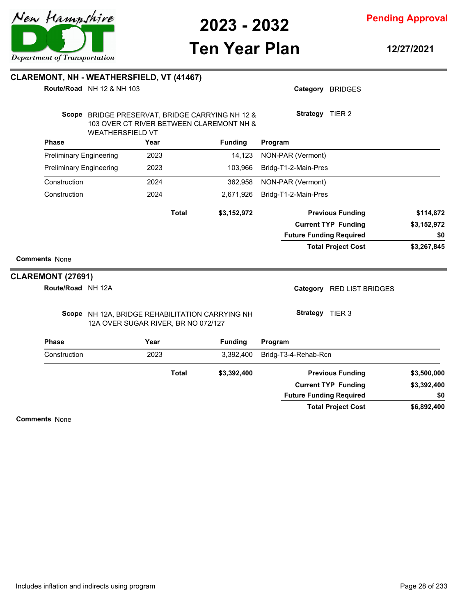

**Ten Year Plan**

**12/27/2021**

**\$6,892,400**

**\$0**

**Total Project Cost**

**Future Funding Required**

| <b>Comments None</b><br>CLAREMONT (27691)<br>Route/Road NH 12A<br><b>Phase</b><br>Construction |                         | 12A OVER SUGAR RIVER, BR NO 072/127<br>Year<br>2023<br><b>Total</b> | Scope NH 12A, BRIDGE REHABILITATION CARRYING NH<br><b>Funding</b><br>3,392,400<br>\$3,392,400 | Category<br><b>RED LIST BRIDGES</b><br>Strategy TIER 3<br>Program<br>Bridg-T3-4-Rehab-Rcn<br><b>Previous Funding</b> | \$3,500,000              |
|------------------------------------------------------------------------------------------------|-------------------------|---------------------------------------------------------------------|-----------------------------------------------------------------------------------------------|----------------------------------------------------------------------------------------------------------------------|--------------------------|
|                                                                                                |                         |                                                                     |                                                                                               |                                                                                                                      |                          |
|                                                                                                |                         |                                                                     |                                                                                               |                                                                                                                      |                          |
|                                                                                                |                         |                                                                     |                                                                                               |                                                                                                                      |                          |
|                                                                                                |                         |                                                                     |                                                                                               |                                                                                                                      |                          |
|                                                                                                |                         |                                                                     |                                                                                               |                                                                                                                      |                          |
|                                                                                                |                         |                                                                     |                                                                                               | <b>Total Project Cost</b>                                                                                            | \$3,267,845              |
|                                                                                                |                         |                                                                     |                                                                                               | <b>Future Funding Required</b>                                                                                       | \$0                      |
|                                                                                                |                         | <b>Total</b>                                                        | \$3,152,972                                                                                   | <b>Previous Funding</b><br><b>Current TYP Funding</b>                                                                | \$114,872<br>\$3,152,972 |
|                                                                                                |                         |                                                                     |                                                                                               |                                                                                                                      |                          |
| Construction<br>Construction                                                                   |                         | 2024<br>2024                                                        | 362,958<br>2,671,926                                                                          | NON-PAR (Vermont)<br>Bridg-T1-2-Main-Pres                                                                            |                          |
| <b>Preliminary Engineering</b>                                                                 |                         | 2023                                                                | 103,966                                                                                       | Bridg-T1-2-Main-Pres                                                                                                 |                          |
| <b>Preliminary Engineering</b>                                                                 |                         | 2023                                                                | 14,123                                                                                        | NON-PAR (Vermont)                                                                                                    |                          |
| <b>Phase</b>                                                                                   |                         | Year                                                                | <b>Funding</b>                                                                                | Program                                                                                                              |                          |
|                                                                                                | <b>WEATHERSFIELD VT</b> |                                                                     | Scope BRIDGE PRESERVAT, BRIDGE CARRYING NH 12 &<br>103 OVER CT RIVER BETWEEN CLAREMONT NH &   | Strategy TIER 2                                                                                                      |                          |
|                                                                                                |                         |                                                                     |                                                                                               |                                                                                                                      |                          |

**Comments** None



**CLAREMONT, NH - WEATHERSFIELD, VT (41467)**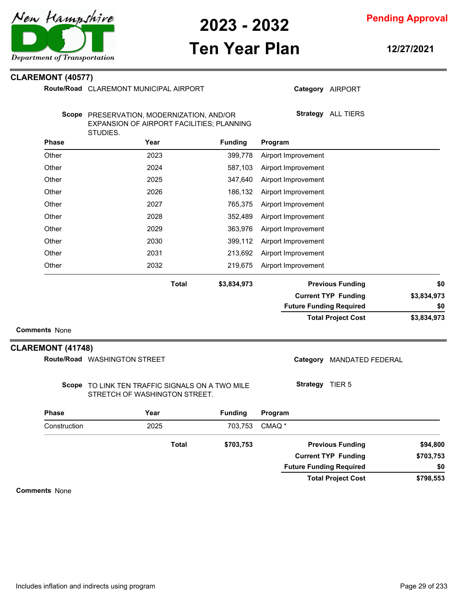

**Ten Year Plan**

### **Pending Approval**

**12/27/2021**

**Category** AIRPORT

**Total Project Cost**

**Future Funding Required**

## **CLAREMONT (40577)**

Route/Road CLAREMONT MUNICIPAL AIRPORT

|                          | Scope PRESERVATION, MODERNIZATION, AND/OR<br>EXPANSION OF AIRPORT FACILITIES; PLANNING<br>STUDIES. |              |                |                   |                     | Strategy ALL TIERS             |             |
|--------------------------|----------------------------------------------------------------------------------------------------|--------------|----------------|-------------------|---------------------|--------------------------------|-------------|
| <b>Phase</b>             | Year                                                                                               |              | <b>Funding</b> | Program           |                     |                                |             |
| Other                    | 2023                                                                                               |              | 399,778        |                   | Airport Improvement |                                |             |
| Other                    | 2024                                                                                               |              | 587,103        |                   | Airport Improvement |                                |             |
| Other                    | 2025                                                                                               |              | 347,640        |                   | Airport Improvement |                                |             |
| Other                    | 2026                                                                                               |              | 186,132        |                   | Airport Improvement |                                |             |
| Other                    | 2027                                                                                               |              | 765,375        |                   | Airport Improvement |                                |             |
| Other                    | 2028                                                                                               |              | 352,489        |                   | Airport Improvement |                                |             |
| Other                    | 2029                                                                                               |              | 363,976        |                   | Airport Improvement |                                |             |
| Other                    | 2030                                                                                               |              | 399,112        |                   | Airport Improvement |                                |             |
| Other                    | 2031                                                                                               |              | 213,692        |                   | Airport Improvement |                                |             |
| Other                    | 2032                                                                                               |              | 219,675        |                   | Airport Improvement |                                |             |
|                          |                                                                                                    | <b>Total</b> | \$3,834,973    |                   |                     | <b>Previous Funding</b>        | \$0         |
|                          |                                                                                                    |              |                |                   |                     | <b>Current TYP Funding</b>     | \$3,834,973 |
|                          |                                                                                                    |              |                |                   |                     | <b>Future Funding Required</b> | \$0         |
|                          |                                                                                                    |              |                |                   |                     | <b>Total Project Cost</b>      | \$3,834,973 |
| <b>Comments None</b>     |                                                                                                    |              |                |                   |                     |                                |             |
| <b>CLAREMONT (41748)</b> |                                                                                                    |              |                |                   |                     |                                |             |
|                          | Route/Road WASHINGTON STREET                                                                       |              |                |                   |                     | Category MANDATED FEDERAL      |             |
|                          | Scope TO LINK TEN TRAFFIC SIGNALS ON A TWO MILE<br>STRETCH OF WASHINGTON STREET.                   |              |                |                   | Strategy TIER 5     |                                |             |
| <b>Phase</b>             | Year                                                                                               |              | <b>Funding</b> | Program           |                     |                                |             |
| Construction             | 2025                                                                                               |              | 703,753        | CMAQ <sup>*</sup> |                     |                                |             |
|                          |                                                                                                    | <b>Total</b> | \$703,753      |                   |                     | <b>Previous Funding</b>        | \$94,800    |
|                          |                                                                                                    |              |                |                   |                     | <b>Current TYP Funding</b>     | \$703,753   |

**Comments** None



**\$798,553**

**\$0**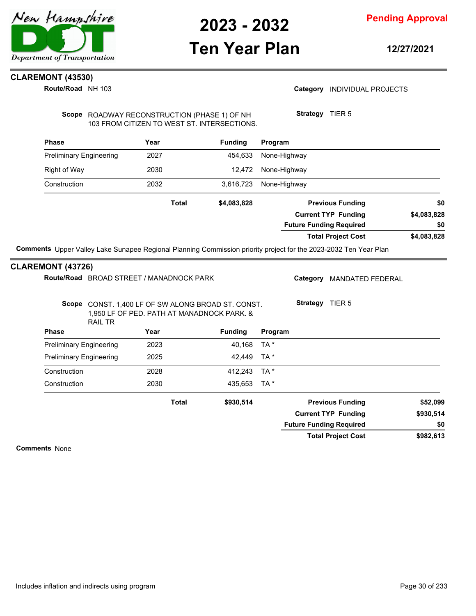

## **Ten Year Plan**

**12/27/2021**

## **CLAREMONT (43530)**

**Route/Road** NH 103

### Category **INDIVIDUAL PROJECTS**

Scope ROADWAY RECONSTRUCTION (PHASE 1) OF NH 103 FROM CITIZEN TO WEST ST. INTERSECTIONS. **Strategy** TIER 5

| Year  | <b>Funding</b> | Program                        |             |
|-------|----------------|--------------------------------|-------------|
| 2027  | 454,633        | None-Highway                   |             |
| 2030  | 12.472         | None-Highway                   |             |
| 2032  | 3.616.723      | None-Highway                   |             |
| Total | \$4,083,828    | <b>Previous Funding</b>        | \$0         |
|       |                | <b>Current TYP Funding</b>     | \$4,083,828 |
|       |                | <b>Future Funding Required</b> | \$0         |
|       |                | <b>Total Project Cost</b>      | \$4,083,828 |
|       |                |                                |             |

### **CLAREMONT (43726)**

| Route/Road BROAD STREET / MANADNOCK PARK |                                                                                            |                |         | Category                | <b>MANDATED FEDERAL</b>        |           |  |
|------------------------------------------|--------------------------------------------------------------------------------------------|----------------|---------|-------------------------|--------------------------------|-----------|--|
| Scope<br>RAIL TR                         | CONST. 1,400 LF OF SW ALONG BROAD ST. CONST.<br>1,950 LF OF PED. PATH AT MANADNOCK PARK. & |                |         | Strategy                | TIER <sub>5</sub>              |           |  |
| <b>Phase</b>                             | Year                                                                                       | <b>Funding</b> | Program |                         |                                |           |  |
| <b>Preliminary Engineering</b>           | 2023                                                                                       | 40,168         | TA *    |                         |                                |           |  |
| <b>Preliminary Engineering</b>           | 2025                                                                                       | 42,449         | TA *    |                         |                                |           |  |
| Construction                             | 2028                                                                                       | 412.243        | TA *    |                         |                                |           |  |
| Construction                             | 2030                                                                                       | 435,653        | $TA^*$  |                         |                                |           |  |
|                                          | <b>Total</b>                                                                               | \$930,514      |         | <b>Previous Funding</b> |                                | \$52,099  |  |
|                                          |                                                                                            |                |         |                         | <b>Current TYP Funding</b>     | \$930,514 |  |
|                                          |                                                                                            |                |         |                         | <b>Future Funding Required</b> | \$0       |  |
|                                          |                                                                                            |                |         |                         | <b>Total Project Cost</b>      | \$982,613 |  |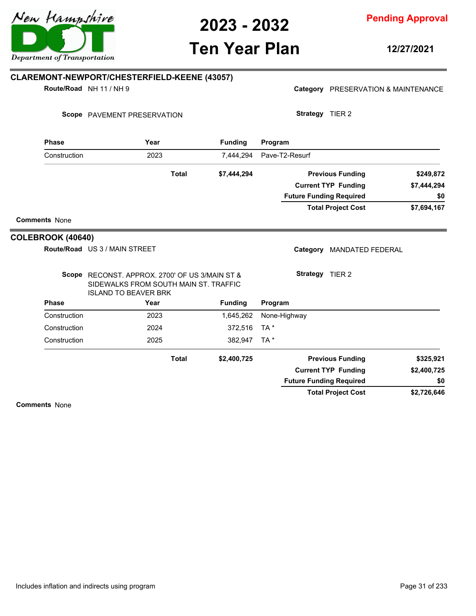

**Ten Year Plan**

**12/27/2021**

### **Phase Year Funding Route/Road** NH 11 / NH 9 **CLAREMONT-NEWPORT/CHESTERFIELD-KEENE (43057)** Scope PAVEMENT PRESERVATION **Program** Category PRESERVATION & MAINTENANCE **Strategy** TIER 2 Construction 2023 7,444,294 Pave-T2-Resurf **\$7,694,167 \$7,444,294 \$7,444,294 Previous Funding \$249,872 Current TYP Funding Total Project Cost Future Funding Required Total Comments** None **\$0 Phase Phase Phase Phase Phase Phase Phase Phase Phase Phase Phase Phase Phase Phase Phase Phase Phase Phase Phase Phase Phase Phase Phase Phase Phase Phase Phase Phase** Route/Road US 3 / MAIN STREET **COLEBROOK (40640)** Scope RECONST. APPROX. 2700' OF US 3/MAIN ST & SIDEWALKS FROM SOUTH MAIN ST. TRAFFIC ISLAND TO BEAVER BRK **Program** Category MANDATED FEDERAL **Strategy** TIER 2 Construction 2023 1,645,262 None-Highway Construction 2024 372,516 TA \* Construction 2025 382,947 TA \* **\$2,726,646 \$2,400,725 \$2,400,725 Previous Funding \$325,921 Current TYP Funding Total Project Cost Future Funding Required Total Comments** None **\$0**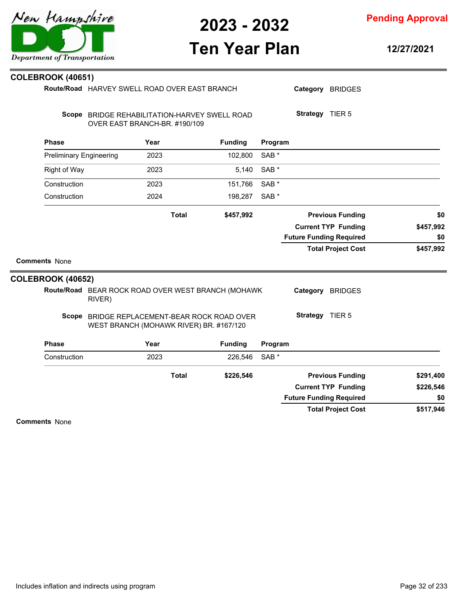| 2023 - 2032 |  |
|-------------|--|
|-------------|--|

# **Ten Year Plan**

**12/27/2021**

**Pending Approval**

| Route/Road HARVEY SWELL ROAD OVER EAST BRANCH |                                                                                         |              |                                               |                  |                                | Category BRIDGES           |           |
|-----------------------------------------------|-----------------------------------------------------------------------------------------|--------------|-----------------------------------------------|------------------|--------------------------------|----------------------------|-----------|
|                                               | OVER EAST BRANCH-BR. #190/109                                                           |              | Scope BRIDGE REHABILITATION-HARVEY SWELL ROAD |                  | Strategy TIER 5                |                            |           |
| <b>Phase</b>                                  | Year                                                                                    |              | <b>Funding</b>                                | Program          |                                |                            |           |
| <b>Preliminary Engineering</b>                |                                                                                         | 2023         | 102,800                                       | SAB <sup>*</sup> |                                |                            |           |
| Right of Way                                  |                                                                                         | 2023         | 5,140                                         | SAB <sup>*</sup> |                                |                            |           |
| Construction                                  |                                                                                         | 2023         | 151,766                                       | SAB <sup>*</sup> |                                |                            |           |
| Construction                                  |                                                                                         | 2024         | 198,287                                       | SAB <sup>*</sup> |                                |                            |           |
|                                               |                                                                                         | <b>Total</b> | \$457,992                                     |                  |                                | <b>Previous Funding</b>    | \$0       |
|                                               |                                                                                         |              |                                               |                  |                                | <b>Current TYP Funding</b> | \$457,992 |
|                                               |                                                                                         |              |                                               |                  | <b>Future Funding Required</b> |                            | \$0       |
| <b>Comments None</b>                          |                                                                                         |              |                                               |                  |                                | <b>Total Project Cost</b>  | \$457,992 |
| <b>COLEBROOK (40652)</b>                      |                                                                                         |              |                                               |                  |                                |                            |           |
|                                               | Route/Road BEAR ROCK ROAD OVER WEST BRANCH (MOHAWK<br>RIVER)                            |              |                                               |                  |                                | Category BRIDGES           |           |
|                                               | Scope BRIDGE REPLACEMENT-BEAR ROCK ROAD OVER<br>WEST BRANCH (MOHAWK RIVER) BR. #167/120 |              |                                               |                  | Strategy TIER 5                |                            |           |
| <b>Phase</b>                                  | Year                                                                                    |              | <b>Funding</b>                                | Program          |                                |                            |           |
| Construction                                  |                                                                                         | 2023         | 226,546                                       | SAB <sup>*</sup> |                                |                            |           |
|                                               |                                                                                         | <b>Total</b> | \$226,546                                     |                  |                                | <b>Previous Funding</b>    | \$291,400 |
|                                               |                                                                                         |              |                                               |                  |                                | <b>Current TYP Funding</b> | \$226,546 |
|                                               |                                                                                         |              |                                               |                  | <b>Future Funding Required</b> |                            | \$0       |
|                                               |                                                                                         |              |                                               |                  |                                | <b>Total Project Cost</b>  | \$517,946 |

**Comments** None

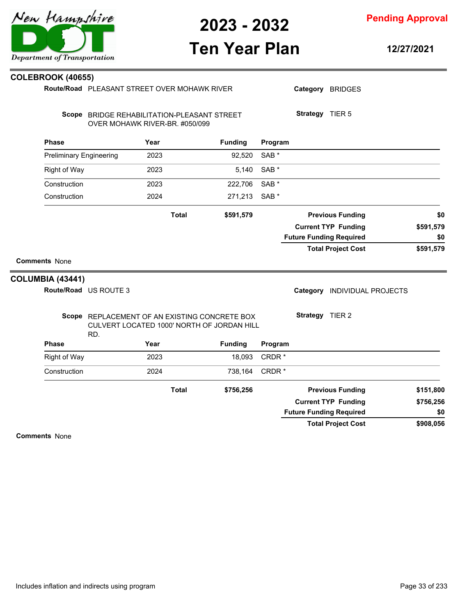

**Ten Year Plan**

### **Pending Approval**

#### **12/27/2021**

|                                | Year | <b>Funding</b> |                                                                                                                 |                                            |                                      |                                                                                                                                                                                                                                                                                                 |
|--------------------------------|------|----------------|-----------------------------------------------------------------------------------------------------------------|--------------------------------------------|--------------------------------------|-------------------------------------------------------------------------------------------------------------------------------------------------------------------------------------------------------------------------------------------------------------------------------------------------|
| <b>Preliminary Engineering</b> | 2023 | 92,520         | SAB <sup>*</sup>                                                                                                |                                            |                                      |                                                                                                                                                                                                                                                                                                 |
|                                | 2023 | 5,140          | SAB <sup>*</sup>                                                                                                |                                            |                                      |                                                                                                                                                                                                                                                                                                 |
|                                | 2023 | 222,706        | SAB <sup>*</sup>                                                                                                |                                            |                                      |                                                                                                                                                                                                                                                                                                 |
|                                | 2024 | 271,213        | SAB <sup>*</sup>                                                                                                |                                            |                                      |                                                                                                                                                                                                                                                                                                 |
|                                |      | \$591,579      |                                                                                                                 |                                            |                                      | \$0                                                                                                                                                                                                                                                                                             |
|                                |      |                |                                                                                                                 |                                            |                                      | \$591,579                                                                                                                                                                                                                                                                                       |
|                                |      |                |                                                                                                                 |                                            |                                      | \$0                                                                                                                                                                                                                                                                                             |
|                                |      |                |                                                                                                                 |                                            |                                      | \$591,579                                                                                                                                                                                                                                                                                       |
|                                |      |                |                                                                                                                 |                                            |                                      |                                                                                                                                                                                                                                                                                                 |
| MBIA (43441)                   |      |                |                                                                                                                 |                                            |                                      |                                                                                                                                                                                                                                                                                                 |
| Route/Road US ROUTE 3          |      |                |                                                                                                                 |                                            |                                      |                                                                                                                                                                                                                                                                                                 |
|                                |      |                |                                                                                                                 |                                            |                                      |                                                                                                                                                                                                                                                                                                 |
|                                | Year | <b>Funding</b> |                                                                                                                 |                                            |                                      |                                                                                                                                                                                                                                                                                                 |
|                                | 2023 | 18,093         |                                                                                                                 |                                            |                                      |                                                                                                                                                                                                                                                                                                 |
|                                | 2024 | 738,164        |                                                                                                                 |                                            |                                      |                                                                                                                                                                                                                                                                                                 |
|                                |      | \$756,256      |                                                                                                                 |                                            |                                      | \$151,800                                                                                                                                                                                                                                                                                       |
|                                |      |                |                                                                                                                 |                                            |                                      | \$756,256                                                                                                                                                                                                                                                                                       |
|                                |      |                |                                                                                                                 |                                            |                                      | \$0                                                                                                                                                                                                                                                                                             |
|                                |      |                |                                                                                                                 |                                            |                                      | \$908,056                                                                                                                                                                                                                                                                                       |
|                                | RD.  |                | OVER MOHAWK RIVER-BR. #050/099<br><b>Total</b><br>Scope REPLACEMENT OF AN EXISTING CONCRETE BOX<br><b>Total</b> | CULVERT LOCATED 1000' NORTH OF JORDAN HILL | Program<br>Program<br>CRDR*<br>CRDR* | <b>Previous Funding</b><br><b>Current TYP Funding</b><br><b>Future Funding Required</b><br><b>Total Project Cost</b><br>Category INDIVIDUAL PROJECTS<br>Strategy TIER 2<br><b>Previous Funding</b><br><b>Current TYP Funding</b><br><b>Future Funding Required</b><br><b>Total Project Cost</b> |

**Comments** None



**COLEBROOK (40655)**

**Route/Road** PLEASANT STREET OVER MOHAWK RIVER

Category BRIDGES

Scope BRIDGE REHABILITATION-PLEASANT STREET

**Strategy** TIER 5

**Comm COLUMBIA (43441)**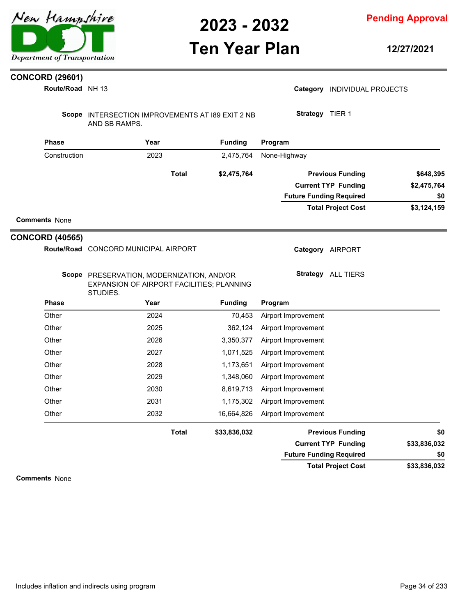# **Ten Year Plan**

**Pending Approval**

**12/27/2021**

### **CONCORD (29601)**

| Route/Road NH 13       |                                                                                                    |              |                |                                | Category INDIVIDUAL PROJECTS |              |
|------------------------|----------------------------------------------------------------------------------------------------|--------------|----------------|--------------------------------|------------------------------|--------------|
|                        | Scope INTERSECTION IMPROVEMENTS AT 189 EXIT 2 NB<br>AND SB RAMPS.                                  |              |                | Strategy TIER 1                |                              |              |
| <b>Phase</b>           | Year                                                                                               |              | <b>Funding</b> | Program                        |                              |              |
| Construction           | 2023                                                                                               |              | 2,475,764      | None-Highway                   |                              |              |
|                        |                                                                                                    | <b>Total</b> | \$2,475,764    |                                | <b>Previous Funding</b>      | \$648,395    |
|                        |                                                                                                    |              |                |                                | <b>Current TYP Funding</b>   | \$2,475,764  |
|                        |                                                                                                    |              |                | <b>Future Funding Required</b> |                              | \$0          |
|                        |                                                                                                    |              |                |                                | <b>Total Project Cost</b>    | \$3,124,159  |
| <b>Comments None</b>   |                                                                                                    |              |                |                                |                              |              |
| <b>CONCORD (40565)</b> |                                                                                                    |              |                |                                |                              |              |
|                        | Route/Road CONCORD MUNICIPAL AIRPORT                                                               |              |                |                                | Category AIRPORT             |              |
|                        | Scope PRESERVATION, MODERNIZATION, AND/OR<br>EXPANSION OF AIRPORT FACILITIES; PLANNING<br>STUDIES. |              |                |                                | <b>Strategy</b> ALL TIERS    |              |
| <b>Phase</b>           | Year                                                                                               |              | <b>Funding</b> | Program                        |                              |              |
| Other                  | 2024                                                                                               |              | 70,453         | Airport Improvement            |                              |              |
| Other                  | 2025                                                                                               |              | 362,124        | Airport Improvement            |                              |              |
| Other                  | 2026                                                                                               |              | 3,350,377      | Airport Improvement            |                              |              |
| Other                  | 2027                                                                                               |              | 1,071,525      | Airport Improvement            |                              |              |
| Other                  | 2028                                                                                               |              | 1,173,651      | Airport Improvement            |                              |              |
| Other                  | 2029                                                                                               |              | 1,348,060      | Airport Improvement            |                              |              |
| Other                  | 2030                                                                                               |              | 8,619,713      | Airport Improvement            |                              |              |
| Other                  | 2031                                                                                               |              | 1,175,302      | Airport Improvement            |                              |              |
| Other                  | 2032                                                                                               |              | 16,664,826     | Airport Improvement            |                              |              |
|                        | <b>Total</b>                                                                                       |              | \$33,836,032   |                                | <b>Previous Funding</b>      | \$0          |
|                        |                                                                                                    |              |                |                                | <b>Current TYP Funding</b>   | \$33,836,032 |
|                        |                                                                                                    |              |                | <b>Future Funding Required</b> |                              | \$0          |

**\$33,836,032 Total Project Cost**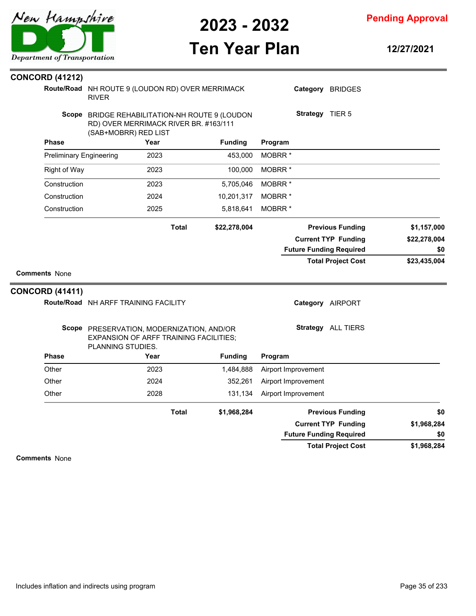

**Pending Approval**

# **Ten Year Plan**

**12/27/2021**

| <b>CONCORD (41212)</b>         |                                                                                                                 |              |                |                                                              |                 |                                |              |
|--------------------------------|-----------------------------------------------------------------------------------------------------------------|--------------|----------------|--------------------------------------------------------------|-----------------|--------------------------------|--------------|
|                                | Route/Road NH ROUTE 9 (LOUDON RD) OVER MERRIMACK<br><b>RIVER</b>                                                |              |                |                                                              | Category        | <b>BRIDGES</b>                 |              |
|                                | Scope BRIDGE REHABILITATION-NH ROUTE 9 (LOUDON<br>RD) OVER MERRIMACK RIVER BR. #163/111<br>(SAB+MOBRR) RED LIST |              |                |                                                              | Strategy TIER 5 |                                |              |
| <b>Phase</b>                   | Year                                                                                                            |              | <b>Funding</b> | Program                                                      |                 |                                |              |
| <b>Preliminary Engineering</b> | 2023                                                                                                            |              | 453,000        | MOBRR <sup>*</sup>                                           |                 |                                |              |
| <b>Right of Way</b>            | 2023                                                                                                            |              | 100,000        | MOBRR <sup>*</sup>                                           |                 |                                |              |
| Construction                   | 2023                                                                                                            |              | 5,705,046      | MOBRR <sup>*</sup>                                           |                 |                                |              |
| Construction                   | 2024                                                                                                            |              | 10,201,317     | MOBRR <sup>*</sup>                                           |                 |                                |              |
| Construction                   | 2025                                                                                                            |              | 5,818,641      | MOBRR <sup>*</sup>                                           |                 |                                |              |
|                                |                                                                                                                 | <b>Total</b> | \$22,278,004   |                                                              |                 | <b>Previous Funding</b>        | \$1,157,000  |
|                                |                                                                                                                 |              |                |                                                              |                 | <b>Current TYP Funding</b>     | \$22,278,004 |
|                                |                                                                                                                 |              |                |                                                              |                 | <b>Future Funding Required</b> | \$0          |
|                                |                                                                                                                 |              |                |                                                              |                 | <b>Total Project Cost</b>      | \$23,435,004 |
| <b>Comments None</b>           |                                                                                                                 |              |                |                                                              |                 |                                |              |
| <b>CONCORD (41411)</b>         |                                                                                                                 |              |                |                                                              |                 |                                |              |
|                                | Route/Road NH ARFF TRAINING FACILITY                                                                            |              |                |                                                              |                 | Category AIRPORT               |              |
|                                | Scope PRESERVATION, MODERNIZATION, AND/OR<br><b>EXPANSION OF ARFF TRAINING FACILITIES;</b><br>PLANNING STUDIES. |              |                |                                                              |                 | Strategy ALL TIERS             |              |
| <b>Phase</b>                   | Year                                                                                                            |              | <b>Funding</b> | Program                                                      |                 |                                |              |
| Other                          | 2023                                                                                                            |              | 1,484,888      | Airport Improvement                                          |                 |                                |              |
| Other                          | 2024                                                                                                            |              | 352,261        | Airport Improvement                                          |                 |                                |              |
| Other                          | 2028                                                                                                            |              | 131,134        | Airport Improvement                                          |                 |                                |              |
|                                |                                                                                                                 | <b>Total</b> | \$1,968,284    |                                                              |                 | <b>Previous Funding</b>        | \$0          |
|                                |                                                                                                                 |              |                | <b>Current TYP Funding</b><br><b>Future Funding Required</b> |                 |                                | \$1,968,284  |
|                                |                                                                                                                 |              |                |                                                              |                 |                                | \$0          |
|                                |                                                                                                                 |              |                |                                                              |                 | <b>Total Project Cost</b>      | \$1,968,284  |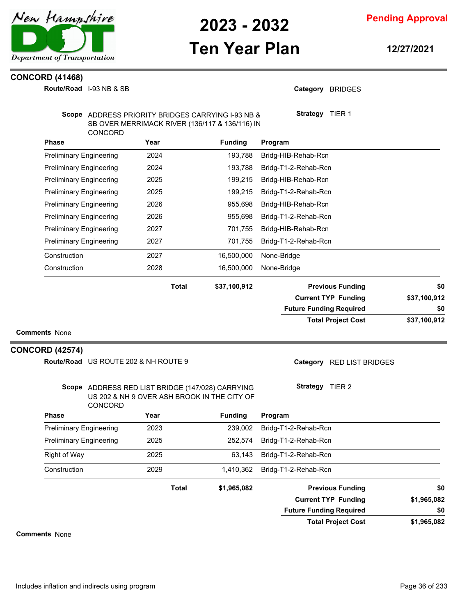

# **Ten Year Plan**

**Pending Approval**

**12/27/2021**

#### **CONCORD (41468)**

|                        | Route/Road I-93 NB & SB              |                                                                                                     |                | Category BRIDGES               |              |
|------------------------|--------------------------------------|-----------------------------------------------------------------------------------------------------|----------------|--------------------------------|--------------|
|                        | CONCORD                              | Scope ADDRESS PRIORITY BRIDGES CARRYING I-93 NB &<br>SB OVER MERRIMACK RIVER (136/117 & 136/116) IN |                | Strategy TIER 1                |              |
| <b>Phase</b>           |                                      | Year                                                                                                | <b>Funding</b> | Program                        |              |
|                        | <b>Preliminary Engineering</b>       | 2024                                                                                                | 193,788        | Bridg-HIB-Rehab-Rcn            |              |
|                        | <b>Preliminary Engineering</b>       | 2024                                                                                                | 193,788        | Bridg-T1-2-Rehab-Rcn           |              |
|                        | <b>Preliminary Engineering</b>       | 2025                                                                                                | 199,215        | Bridg-HIB-Rehab-Rcn            |              |
|                        | <b>Preliminary Engineering</b>       | 2025                                                                                                | 199,215        | Bridg-T1-2-Rehab-Rcn           |              |
|                        | <b>Preliminary Engineering</b>       | 2026                                                                                                | 955,698        | Bridg-HIB-Rehab-Rcn            |              |
|                        | <b>Preliminary Engineering</b>       | 2026                                                                                                | 955,698        | Bridg-T1-2-Rehab-Rcn           |              |
|                        | <b>Preliminary Engineering</b>       | 2027                                                                                                | 701,755        | Bridg-HIB-Rehab-Rcn            |              |
|                        | <b>Preliminary Engineering</b>       | 2027                                                                                                | 701,755        | Bridg-T1-2-Rehab-Rcn           |              |
| Construction           |                                      | 2027                                                                                                | 16,500,000     | None-Bridge                    |              |
| Construction           |                                      | 2028                                                                                                | 16,500,000     | None-Bridge                    |              |
|                        |                                      | <b>Total</b>                                                                                        | \$37,100,912   | <b>Previous Funding</b>        | \$0          |
|                        |                                      |                                                                                                     |                | <b>Current TYP Funding</b>     | \$37,100,912 |
|                        |                                      |                                                                                                     |                | <b>Future Funding Required</b> | \$0          |
| <b>Comments None</b>   |                                      |                                                                                                     |                | <b>Total Project Cost</b>      | \$37,100,912 |
| <b>CONCORD (42574)</b> |                                      |                                                                                                     |                |                                |              |
|                        | Route/Road US ROUTE 202 & NH ROUTE 9 |                                                                                                     |                | Category RED LIST BRIDGES      |              |
|                        | CONCORD                              | Scope ADDRESS RED LIST BRIDGE (147/028) CARRYING<br>US 202 & NH 9 OVER ASH BROOK IN THE CITY OF     |                | Strategy TIER 2                |              |
| Phase                  |                                      | Year                                                                                                | <b>Funding</b> | Program                        |              |
|                        | Preliminary Engineering              | 2023                                                                                                | 239,002        | Bridg-T1-2-Rehab-Rcn           |              |
|                        | <b>Preliminary Engineering</b>       | 2025                                                                                                | 252,574        | Bridg-T1-2-Rehab-Rcn           |              |
| <b>Right of Way</b>    |                                      | 2025                                                                                                | 63,143         | Bridg-T1-2-Rehab-Rcn           |              |
| Construction           |                                      | 2029                                                                                                | 1,410,362      | Bridg-T1-2-Rehab-Rcn           |              |
|                        |                                      | <b>Total</b>                                                                                        | \$1,965,082    | <b>Previous Funding</b>        | \$0          |
|                        |                                      |                                                                                                     |                | <b>Current TYP Funding</b>     | \$1,965,082  |
|                        |                                      |                                                                                                     |                | <b>Future Funding Required</b> | \$0          |

**\$1,965,082 Total Project Cost**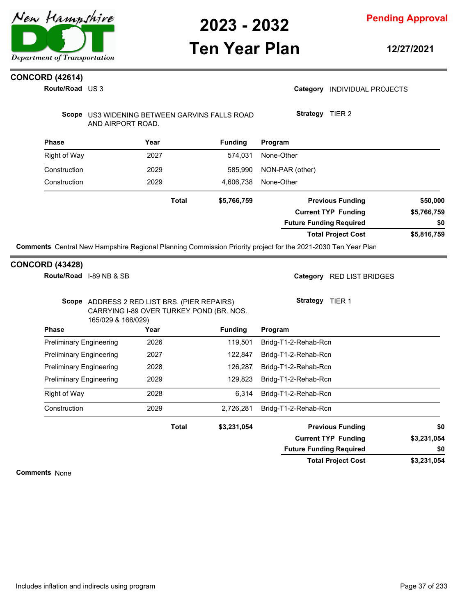

**12/27/2021**

### **CONCORD (42614)**

**Route/Road** US 3

#### Category **INDIVIDUAL PROJECTS**

Scope US3 WIDENING BETWEEN GARVINS FALLS ROAD AND AIRPORT ROAD.

**Strategy** TIER 2

| Year         | <b>Funding</b> | Program                        |             |
|--------------|----------------|--------------------------------|-------------|
| 2027         | 574.031        | None-Other                     |             |
| 2029         | 585,990        | NON-PAR (other)                |             |
| 2029         | 4.606.738      | None-Other                     |             |
| <b>Total</b> | \$5,766,759    | <b>Previous Funding</b>        | \$50,000    |
|              |                | <b>Current TYP Funding</b>     | \$5,766,759 |
|              |                | <b>Future Funding Required</b> | \$0         |
|              |                | <b>Total Project Cost</b>      | \$5,816,759 |
|              |                |                                |             |

#### **CONCORD (43428)**

**Route/Road** I-89 NB & SB

Category RED LIST BRIDGES

**Strategy** TIER 1

| haea | Voar                                         | <b>Funding</b> | <b>Program</b> |
|------|----------------------------------------------|----------------|----------------|
|      | 165/029 & 166/029)                           |                |                |
|      | CARRYING I-89 OVER TURKEY POND (BR. NOS.     |                |                |
|      | Scope ADDRESS 2 RED LIST BRS. (PIER REPAIRS) |                |                |

| <b>Phase</b>                   | Year  | <b>Fundina</b> | Program                 |     |
|--------------------------------|-------|----------------|-------------------------|-----|
| <b>Preliminary Engineering</b> | 2026  | 119.501        | Bridg-T1-2-Rehab-Rcn    |     |
| <b>Preliminary Engineering</b> | 2027  | 122.847        | Bridg-T1-2-Rehab-Rcn    |     |
| <b>Preliminary Engineering</b> | 2028  | 126.287        | Bridg-T1-2-Rehab-Rcn    |     |
| <b>Preliminary Engineering</b> | 2029  | 129.823        | Bridg-T1-2-Rehab-Rcn    |     |
| Right of Way                   | 2028  | 6.314          | Bridg-T1-2-Rehab-Rcn    |     |
| Construction                   | 2029  | 2.726.281      | Bridg-T1-2-Rehab-Rcn    |     |
|                                | Total | \$3,231,054    | <b>Previous Funding</b> | \$0 |

| \$3,231,054 | <b>Current TYP Funding</b>     |
|-------------|--------------------------------|
| SO.         | <b>Future Funding Required</b> |
| \$3,231,054 | <b>Total Project Cost</b>      |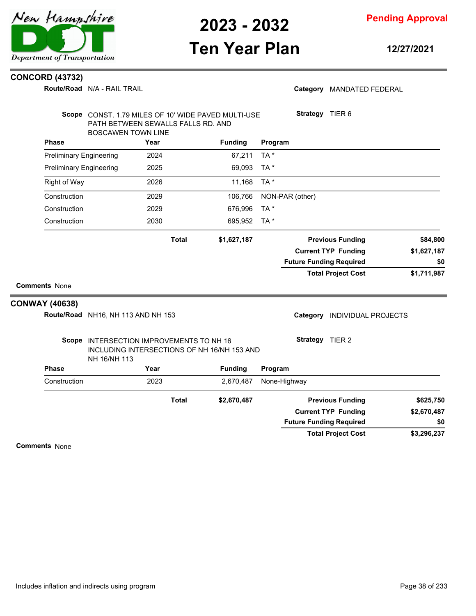

**Pending Approval**

## **Ten Year Plan**

**12/27/2021**

#### **CONCORD (43732)**

**Route/Road** N/A - RAIL TRAIL

#### Category MANDATED FEDERAL

|                                               | PATH BETWEEN SEWALLS FALLS RD. AND<br><b>BOSCAWEN TOWN LINE</b> |              | Scope CONST. 1.79 MILES OF 10' WIDE PAVED MULTI-USE |                 | Strategy TIER 6                |                            |             |
|-----------------------------------------------|-----------------------------------------------------------------|--------------|-----------------------------------------------------|-----------------|--------------------------------|----------------------------|-------------|
| <b>Phase</b>                                  |                                                                 | Year         | <b>Funding</b>                                      | Program         |                                |                            |             |
| <b>Preliminary Engineering</b>                |                                                                 | 2024         | 67.211                                              | TA*             |                                |                            |             |
| <b>Preliminary Engineering</b>                |                                                                 | 2025         | 69,093                                              | TA*             |                                |                            |             |
| <b>Right of Way</b>                           |                                                                 | 2026         | 11,168                                              | TA*             |                                |                            |             |
| Construction                                  |                                                                 | 2029         | 106,766                                             | NON-PAR (other) |                                |                            |             |
| Construction                                  |                                                                 | 2029         | 676,996                                             | TA*             |                                |                            |             |
| Construction                                  |                                                                 | 2030         | 695,952                                             | TA*             |                                |                            |             |
|                                               |                                                                 | <b>Total</b> | \$1,627,187                                         |                 |                                | <b>Previous Funding</b>    | \$84,800    |
|                                               |                                                                 |              |                                                     |                 |                                | <b>Current TYP Funding</b> | \$1,627,187 |
|                                               |                                                                 |              |                                                     |                 | <b>Future Funding Required</b> |                            | \$0         |
| <b>Comments None</b><br><b>CONWAY (40638)</b> |                                                                 |              |                                                     |                 |                                | <b>Total Project Cost</b>  | \$1,711,987 |
|                                               | Route/Road NH16, NH 113 AND NH 153                              |              |                                                     |                 | Category                       | <b>INDIVIDUAL PROJECTS</b> |             |
|                                               | Scope INTERSECTION IMPROVEMENTS TO NH 16<br>NH 16/NH 113        |              | INCLUDING INTERSECTIONS OF NH 16/NH 153 AND         |                 | Strategy TIER 2                |                            |             |
| <b>Phase</b>                                  |                                                                 | Year         | <b>Funding</b>                                      | Program         |                                |                            |             |
| Construction                                  |                                                                 | 2023         | 2,670,487                                           | None-Highway    |                                |                            |             |
|                                               |                                                                 | <b>Total</b> | \$2,670,487                                         |                 |                                | <b>Previous Funding</b>    | \$625,750   |
|                                               |                                                                 |              |                                                     |                 |                                | <b>Current TYP Funding</b> | \$2,670,487 |
|                                               |                                                                 |              |                                                     |                 | <b>Future Funding Required</b> |                            | \$0         |
|                                               |                                                                 |              |                                                     |                 |                                | <b>Total Project Cost</b>  | \$3,296,237 |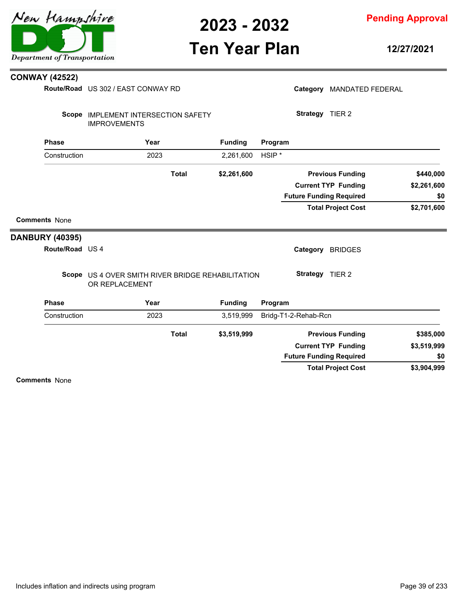

**Pending Approval**

## **Ten Year Plan**

**12/27/2021**

#### **CONWAY (42522)**

**Route/Road** US 302 / EAST CONWAY RD

|                        | <b>Route/Road</b> US 302 / EAST CONWAY RD                           |              |                |                   |                      | Category MANDATED FEDERAL      |             |
|------------------------|---------------------------------------------------------------------|--------------|----------------|-------------------|----------------------|--------------------------------|-------------|
| Scope                  | <b>IMPLEMENT INTERSECTION SAFETY</b><br><b>IMPROVEMENTS</b>         |              |                |                   | Strategy TIER 2      |                                |             |
| <b>Phase</b>           | Year                                                                |              | <b>Funding</b> | Program           |                      |                                |             |
| Construction           | 2023                                                                |              | 2,261,600      | HSIP <sup>*</sup> |                      |                                |             |
|                        |                                                                     | <b>Total</b> | \$2,261,600    |                   |                      | <b>Previous Funding</b>        | \$440,000   |
|                        |                                                                     |              |                |                   |                      | <b>Current TYP Funding</b>     | \$2,261,600 |
|                        |                                                                     |              |                |                   |                      | <b>Future Funding Required</b> | \$0         |
|                        |                                                                     |              |                |                   |                      | <b>Total Project Cost</b>      | \$2,701,600 |
| <b>Comments None</b>   |                                                                     |              |                |                   |                      |                                |             |
| <b>DANBURY (40395)</b> |                                                                     |              |                |                   |                      |                                |             |
| Route/Road US 4        |                                                                     |              |                |                   | Category             | <b>BRIDGES</b>                 |             |
|                        | Scope US 4 OVER SMITH RIVER BRIDGE REHABILITATION<br>OR REPLACEMENT |              |                |                   | Strategy TIER 2      |                                |             |
| <b>Phase</b>           | Year                                                                |              | <b>Funding</b> | Program           |                      |                                |             |
| Construction           | 2023                                                                |              | 3,519,999      |                   | Bridg-T1-2-Rehab-Rcn |                                |             |
|                        |                                                                     | <b>Total</b> | \$3,519,999    |                   |                      | <b>Previous Funding</b>        | \$385,000   |
|                        |                                                                     |              |                |                   |                      | <b>Current TYP Funding</b>     | \$3,519,999 |
|                        |                                                                     |              |                |                   |                      | <b>Future Funding Required</b> | \$0         |

**Comments** None

**\$3,904,999**

**Total Project Cost**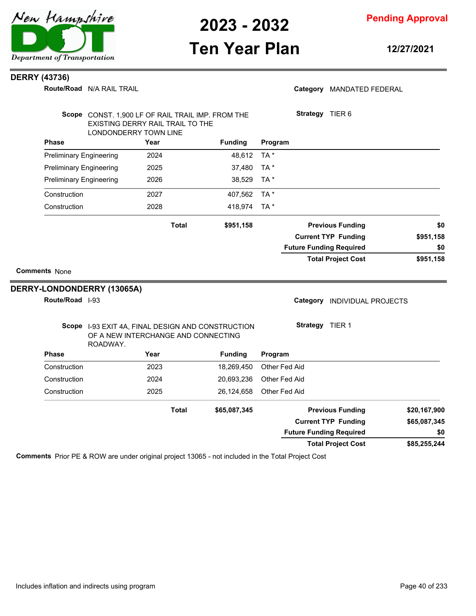

### **Ten Year Plan**

**12/27/2021**

#### **DERRY (43736)**

**Route/Road** N/A RAIL TRAIL

### Category MANDATED FEDERAL **Strategy** TIER 6

|              |                            |                                |                | EXISTING DERRY RAIL TRAIL TO THE                                                         |                                |
|--------------|----------------------------|--------------------------------|----------------|------------------------------------------------------------------------------------------|--------------------------------|
|              |                            |                                |                | LONDONDERRY TOWN LINE                                                                    |                                |
|              |                            | Program                        | <b>Funding</b> | Year                                                                                     | <b>Phase</b>                   |
|              |                            | TA*                            | 48,612         | 2024                                                                                     | <b>Preliminary Engineering</b> |
|              |                            | TA *                           | 37,480         | 2025                                                                                     | <b>Preliminary Engineering</b> |
|              |                            | TA*                            | 38,529         | 2026                                                                                     | <b>Preliminary Engineering</b> |
|              |                            | TA*                            | 407,562        | 2027                                                                                     | Construction                   |
|              |                            | TA *                           | 418,974        | 2028                                                                                     | Construction                   |
| \$0          | <b>Previous Funding</b>    |                                | \$951,158      | <b>Total</b>                                                                             |                                |
| \$951,158    | <b>Current TYP Funding</b> |                                |                |                                                                                          |                                |
| \$0          |                            | <b>Future Funding Required</b> |                |                                                                                          |                                |
| \$951,158    | <b>Total Project Cost</b>  |                                |                |                                                                                          |                                |
|              |                            |                                |                |                                                                                          | <b>Comments None</b>           |
|              |                            |                                |                |                                                                                          |                                |
|              |                            |                                |                |                                                                                          | DERRY-LONDONDERRY (13065A)     |
|              | <b>INDIVIDUAL PROJECTS</b> | Category                       |                |                                                                                          | Route/Road  -93                |
|              |                            | Strategy TIER 1                |                | Scope 1-93 EXIT 4A, FINAL DESIGN AND CONSTRUCTION<br>OF A NEW INTERCHANGE AND CONNECTING | ROADWAY.                       |
|              |                            | Program                        | <b>Funding</b> | Year                                                                                     | <b>Phase</b>                   |
|              |                            | Other Fed Aid                  | 18,269,450     | 2023                                                                                     | Construction                   |
|              |                            | Other Fed Aid                  | 20,693,236     | 2024                                                                                     | Construction                   |
|              |                            | Other Fed Aid                  | 26,124,658     | 2025                                                                                     | Construction                   |
| \$20,167,900 | <b>Previous Funding</b>    |                                | \$65,087,345   | <b>Total</b>                                                                             |                                |
| \$65,087,345 | <b>Current TYP Funding</b> |                                |                |                                                                                          |                                |
| \$0          |                            | <b>Future Funding Required</b> |                |                                                                                          |                                |

**Comments** Prior PE & ROW are under original project 13065 - not included in the Total Project Cost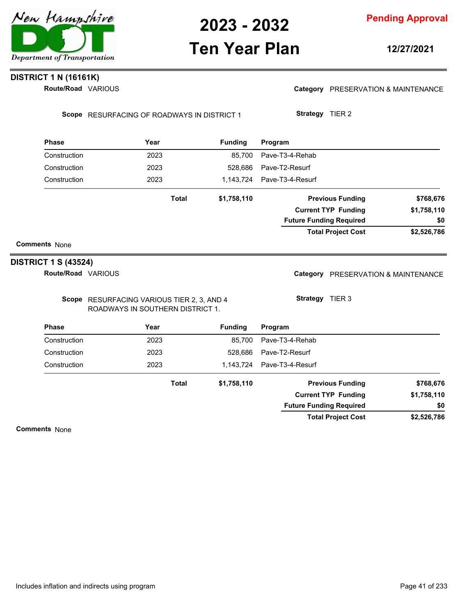

## **Ten Year Plan**

**12/27/2021**

### **DISTRICT 1 N (16161K)**

**Route/Road VARIOUS** 

Category PRESERVATION & MAINTENANCE

Scope RESURFACING OF ROADWAYS IN DISTRICT 1

**Strategy** TIER 2

| <b>Phase</b>         | Year         | <b>Funding</b> | Program                        |             |
|----------------------|--------------|----------------|--------------------------------|-------------|
| Construction         | 2023         | 85.700         | Pave-T3-4-Rehab                |             |
| Construction         | 2023         | 528,686        | Pave-T2-Resurf                 |             |
| Construction         | 2023         | 1.143.724      | Pave-T3-4-Resurf               |             |
|                      | <b>Total</b> | \$1,758,110    | <b>Previous Funding</b>        | \$768,676   |
|                      |              |                | <b>Current TYP Funding</b>     | \$1,758,110 |
|                      |              |                | <b>Future Funding Required</b> | \$0         |
|                      |              |                | <b>Total Project Cost</b>      | \$2,526,786 |
| <b>Comments None</b> |              |                |                                |             |

### **DISTRICT 1 S (43524)**

**Route/Road VARIOUS** 

Scope RESURFACING VARIOUS TIER 2, 3, AND 4 ROADWAYS IN SOUTHERN DISTRICT 1.

Category PRESERVATION & MAINTENANCE

**Strategy** TIER 3

| <b>Phase</b> | Year  | <b>Funding</b> | Program                        |             |
|--------------|-------|----------------|--------------------------------|-------------|
| Construction | 2023  | 85.700         | Pave-T3-4-Rehab                |             |
| Construction | 2023  | 528.686        | Pave-T2-Resurf                 |             |
| Construction | 2023  | 1.143.724      | Pave-T3-4-Resurf               |             |
|              | Total | \$1,758,110    | <b>Previous Funding</b>        | \$768,676   |
|              |       |                | <b>Current TYP Funding</b>     | \$1,758,110 |
|              |       |                | <b>Future Funding Required</b> | \$0         |
|              |       |                | <b>Total Project Cost</b>      | \$2,526,786 |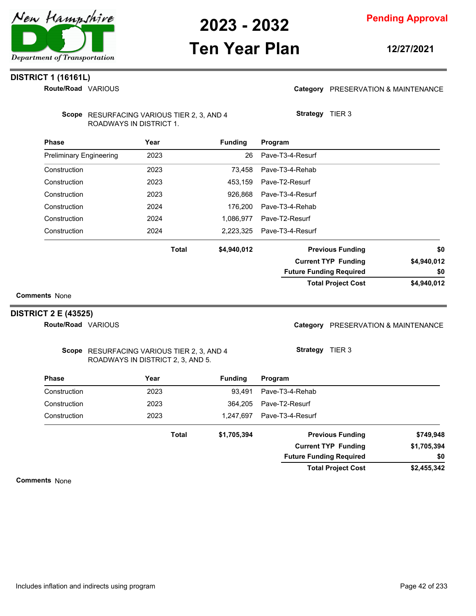

## **Ten Year Plan**

#### **12/27/2021**

### **DISTRICT 1 (16161L)**

**Route/Road VARIOUS** 

#### Category PRESERVATION & MAINTENANCE

Scope RESURFACING VARIOUS TIER 2, 3, AND 4 ROADWAYS IN DISTRICT 1.

| <b>Phase</b>                   | Year         | <b>Funding</b> | Program                        |             |
|--------------------------------|--------------|----------------|--------------------------------|-------------|
| <b>Preliminary Engineering</b> | 2023         | 26             | Pave-T3-4-Resurf               |             |
| Construction                   | 2023         | 73.458         | Pave-T3-4-Rehab                |             |
| Construction                   | 2023         | 453,159        | Pave-T2-Resurf                 |             |
| Construction                   | 2023         | 926.868        | Pave-T3-4-Resurf               |             |
| Construction                   | 2024         | 176.200        | Pave-T3-4-Rehab                |             |
| Construction                   | 2024         | 1,086,977      | Pave-T2-Resurf                 |             |
| Construction                   | 2024         | 2.223.325      | Pave-T3-4-Resurf               |             |
|                                | <b>Total</b> | \$4,940,012    | <b>Previous Funding</b>        | \$0         |
|                                |              |                | <b>Current TYP Funding</b>     | \$4,940,012 |
|                                |              |                | <b>Future Funding Required</b> | \$0         |
|                                |              |                | <b>Total Project Cost</b>      | \$4,940,012 |

**Comments** None

#### **DISTRICT 2 E (43525)**

**Route/Road VARIOUS** 

### Category PRESERVATION & MAINTENANCE

Scope RESURFACING VARIOUS TIER 2, 3, AND 4 ROADWAYS IN DISTRICT 2, 3, AND 5.

**Strategy** TIER 3

**Strategy** TIER 3

| <b>Phase</b> | Year         | <b>Funding</b> | Program                        |             |
|--------------|--------------|----------------|--------------------------------|-------------|
| Construction | 2023         | 93.491         | Pave-T3-4-Rehab                |             |
| Construction | 2023         | 364.205        | Pave-T2-Resurf                 |             |
| Construction | 2023         | 1.247.697      | Pave-T3-4-Resurf               |             |
|              | <b>Total</b> | \$1,705,394    | <b>Previous Funding</b>        | \$749,948   |
|              |              |                | <b>Current TYP Funding</b>     | \$1,705,394 |
|              |              |                | <b>Future Funding Required</b> | \$0         |
|              |              |                | <b>Total Project Cost</b>      | \$2,455,342 |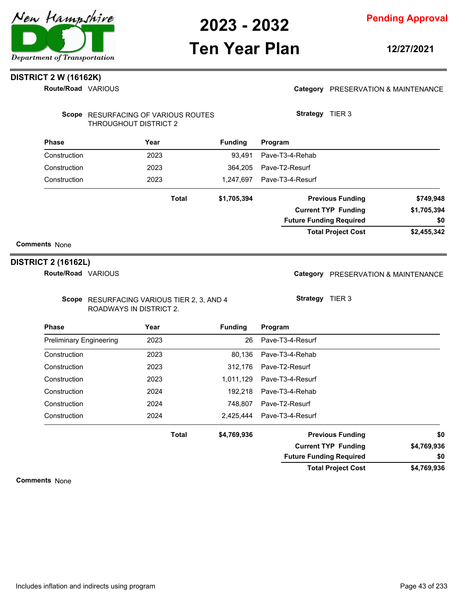

### **Ten Year Plan**

**12/27/2021**

### **DISTRICT 2 W (16162K)**

**Route/Road VARIOUS** 

#### Category PRESERVATION & MAINTENANCE

| Scope RESURFACING OF VARIOUS ROUTES |
|-------------------------------------|
| THROUGHOUT DISTRICT 2               |

| <b>Phase</b> | Year         | <b>Funding</b> | Program                        |             |
|--------------|--------------|----------------|--------------------------------|-------------|
| Construction | 2023         | 93.491         | Pave-T3-4-Rehab                |             |
| Construction | 2023         | 364.205        | Pave-T2-Resurf                 |             |
| Construction | 2023         | 1.247.697      | Pave-T3-4-Resurf               |             |
|              | <b>Total</b> | \$1,705,394    | <b>Previous Funding</b>        | \$749,948   |
|              |              |                | <b>Current TYP Funding</b>     | \$1,705,394 |
|              |              |                | <b>Future Funding Required</b> | \$0         |
|              |              |                | <b>Total Project Cost</b>      | \$2,455,342 |

#### **Comments** None

#### **DISTRICT 2 (16162L)**

**Route/Road VARIOUS** 

Scope RESURFACING VARIOUS TIER 2, 3, AND 4 ROADWAYS IN DISTRICT 2.

Category PRESERVATION & MAINTENANCE

**Strategy** TIER 3

**Strategy** TIER 3

| <b>Phase</b>                   | Year         | <b>Funding</b> | Program                        |             |
|--------------------------------|--------------|----------------|--------------------------------|-------------|
| <b>Preliminary Engineering</b> | 2023         | 26             | Pave-T3-4-Resurf               |             |
| Construction                   | 2023         | 80.136         | Pave-T3-4-Rehab                |             |
| Construction                   | 2023         | 312.176        | Pave-T2-Resurf                 |             |
| Construction                   | 2023         | 1.011.129      | Pave-T3-4-Resurf               |             |
| Construction                   | 2024         | 192.218        | Pave-T3-4-Rehab                |             |
| Construction                   | 2024         | 748.807        | Pave-T2-Resurf                 |             |
| Construction                   | 2024         |                | 2,425,444    Pave-T3-4-Resurf  |             |
|                                | <b>Total</b> | \$4,769,936    | <b>Previous Funding</b>        | \$0         |
|                                |              |                | <b>Current TYP Funding</b>     | \$4,769,936 |
|                                |              |                | <b>Future Funding Required</b> | \$0         |

**\$4,769,936 Total Project Cost**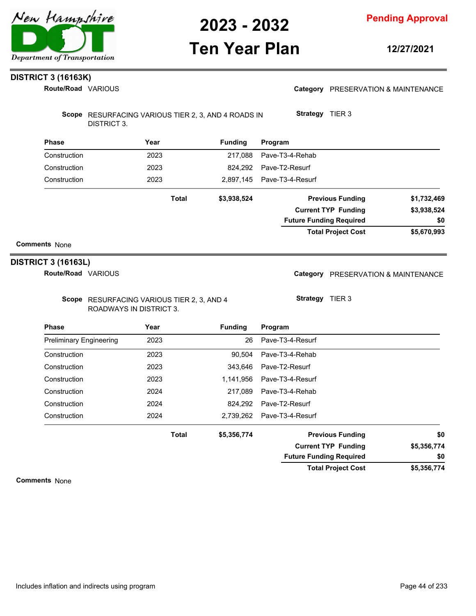

## **Ten Year Plan**

**12/27/2021**

### **DISTRICT 3 (16163K)**

**Route/Road VARIOUS** 

|  | Category PRESERVATION & MAINTENANCE |
|--|-------------------------------------|
|--|-------------------------------------|

Scope RESURFACING VARIOUS TIER 2, 3, AND 4 ROADS IN DISTRICT 3.

| <b>Phase</b> | Year         | <b>Funding</b> | Program                        |             |
|--------------|--------------|----------------|--------------------------------|-------------|
| Construction | 2023         | 217.088        | Pave-T3-4-Rehab                |             |
| Construction | 2023         | 824.292        | Pave-T2-Resurf                 |             |
| Construction | 2023         | 2.897.145      | Pave-T3-4-Resurf               |             |
|              | <b>Total</b> | \$3,938,524    | <b>Previous Funding</b>        | \$1,732,469 |
|              |              |                | <b>Current TYP Funding</b>     | \$3,938,524 |
|              |              |                | <b>Future Funding Required</b> | \$0         |
|              |              |                | <b>Total Project Cost</b>      | \$5,670,993 |

#### **Comments** None

#### **DISTRICT 3 (16163L)**

**Route/Road VARIOUS** 

Scope RESURFACING VARIOUS TIER 2, 3, AND 4 ROADWAYS IN DISTRICT 3.

Category PRESERVATION & MAINTENANCE

**Strategy** TIER 3

**Strategy** TIER 3

| <b>Phase</b>                   | Year         | <b>Funding</b> | Program                        |             |
|--------------------------------|--------------|----------------|--------------------------------|-------------|
| <b>Preliminary Engineering</b> | 2023         | 26             | Pave-T3-4-Resurf               |             |
| Construction                   | 2023         | 90.504         | Pave-T3-4-Rehab                |             |
| Construction                   | 2023         | 343.646        | Pave-T2-Resurf                 |             |
| Construction                   | 2023         | 1.141.956      | Pave-T3-4-Resurf               |             |
| Construction                   | 2024         | 217.089        | Pave-T3-4-Rehab                |             |
| Construction                   | 2024         | 824.292        | Pave-T2-Resurf                 |             |
| Construction                   | 2024         | 2,739,262      | Pave-T3-4-Resurf               |             |
|                                | <b>Total</b> | \$5,356,774    | <b>Previous Funding</b>        | \$0         |
|                                |              |                | <b>Current TYP Funding</b>     | \$5,356,774 |
|                                |              |                | <b>Future Funding Required</b> | \$0         |
|                                |              |                | <b>Total Project Cost</b>      | \$5,356,774 |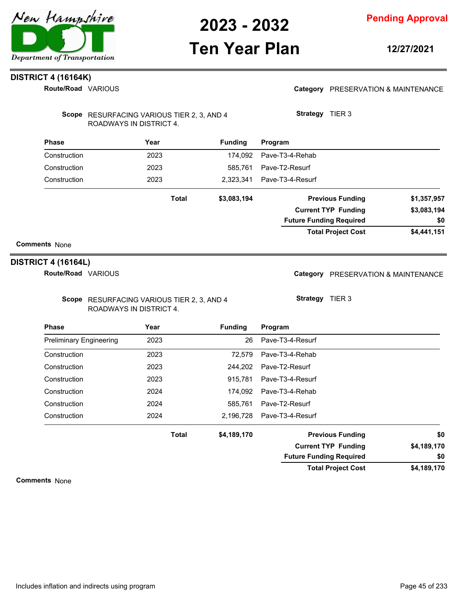

### **Ten Year Plan**

**12/27/2021**

### **DISTRICT 4 (16164K)**

**Route/Road VARIOUS** 

#### Category PRESERVATION & MAINTENANCE

| Scope RESURFACING VARIOUS TIER 2, 3, AND 4 |
|--------------------------------------------|
| ROADWAYS IN DISTRICT 4.                    |

| <b>Phase</b> | Year         | <b>Funding</b> | Program                        |             |
|--------------|--------------|----------------|--------------------------------|-------------|
| Construction | 2023         | 174.092        | Pave-T3-4-Rehab                |             |
| Construction | 2023         | 585.761        | Pave-T2-Resurf                 |             |
| Construction | 2023         | 2.323.341      | Pave-T3-4-Resurf               |             |
|              | <b>Total</b> | \$3,083,194    | <b>Previous Funding</b>        | \$1,357,957 |
|              |              |                | <b>Current TYP Funding</b>     | \$3,083,194 |
|              |              |                | <b>Future Funding Required</b> | \$0         |
|              |              |                | <b>Total Project Cost</b>      | \$4,441,151 |
|              |              |                |                                |             |

#### **Comments** None

#### **DISTRICT 4 (16164L)**

**Route/Road VARIOUS** 

Scope RESURFACING VARIOUS TIER 2, 3, AND 4 ROADWAYS IN DISTRICT 4.

Category PRESERVATION & MAINTENANCE

**Strategy** TIER 3

**Strategy** TIER 3

| <b>Phase</b>                   | Year         | <b>Funding</b> | Program                        |             |
|--------------------------------|--------------|----------------|--------------------------------|-------------|
| <b>Preliminary Engineering</b> | 2023         | 26             | Pave-T3-4-Resurf               |             |
| Construction                   | 2023         | 72.579         | Pave-T3-4-Rehab                |             |
| Construction                   | 2023         | 244.202        | Pave-T2-Resurf                 |             |
| Construction                   | 2023         | 915.781        | Pave-T3-4-Resurf               |             |
| Construction                   | 2024         | 174.092        | Pave-T3-4-Rehab                |             |
| Construction                   | 2024         | 585.761        | Pave-T2-Resurf                 |             |
| Construction                   | 2024         | 2.196.728      | Pave-T3-4-Resurf               |             |
|                                | <b>Total</b> | \$4,189,170    | <b>Previous Funding</b>        | \$0         |
|                                |              |                | <b>Current TYP Funding</b>     | \$4,189,170 |
|                                |              |                | <b>Future Funding Required</b> | \$0         |
|                                |              |                | <b>Total Project Cost</b>      | \$4,189,170 |

**Comments** None

Includes inflation and indirects using program **Page 45** of 233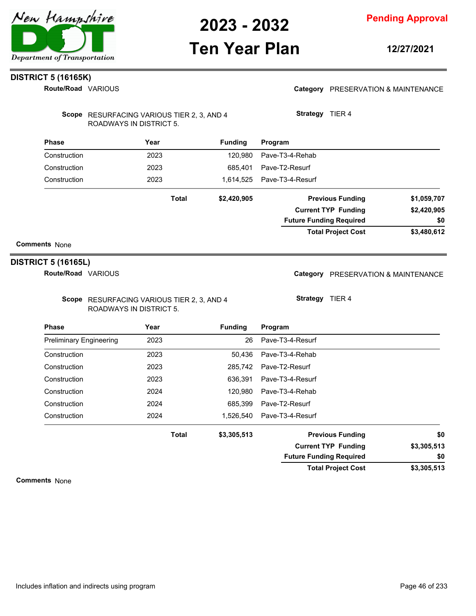

### **Ten Year Plan**

**12/27/2021**

### **DISTRICT 5 (16165K)**

**Route/Road VARIOUS** 

#### Category PRESERVATION & MAINTENANCE

Scope RESURFACING VARIOUS TIER 2, 3, AND 4 ROADWAYS IN DISTRICT 5.

**Strategy** TIER 4

| <b>Phase</b>         | Year         | <b>Funding</b> | Program                        |             |
|----------------------|--------------|----------------|--------------------------------|-------------|
| Construction         | 2023         | 120.980        | Pave-T3-4-Rehab                |             |
| Construction         | 2023         | 685.401        | Pave-T2-Resurf                 |             |
| Construction         | 2023         | 1,614,525      | Pave-T3-4-Resurf               |             |
|                      | <b>Total</b> | \$2,420,905    | <b>Previous Funding</b>        | \$1,059,707 |
|                      |              |                | <b>Current TYP Funding</b>     | \$2,420,905 |
|                      |              |                | <b>Future Funding Required</b> | \$0         |
|                      |              |                | <b>Total Project Cost</b>      | \$3,480,612 |
| <b>Comments None</b> |              |                |                                |             |

### **DISTRICT 5 (16165L)**

**Route/Road VARIOUS** 

Scope RESURFACING VARIOUS TIER 2, 3, AND 4 ROADWAYS IN DISTRICT 5.

Category PRESERVATION & MAINTENANCE

**Strategy** TIER 4

| <b>Phase</b>                   | Year         | <b>Funding</b> | Program                        |             |
|--------------------------------|--------------|----------------|--------------------------------|-------------|
| <b>Preliminary Engineering</b> | 2023         | 26             | Pave-T3-4-Resurf               |             |
| Construction                   | 2023         | 50.436         | Pave-T3-4-Rehab                |             |
| Construction                   | 2023         |                | 285.742 Pave-T2-Resurf         |             |
| Construction                   | 2023         | 636.391        | Pave-T3-4-Resurf               |             |
| Construction                   | 2024         | 120.980        | Pave-T3-4-Rehab                |             |
| Construction                   | 2024         | 685.399        | Pave-T2-Resurf                 |             |
| Construction                   | 2024         |                | 1.526.540    Pave-T3-4-Resurf  |             |
|                                | <b>Total</b> | \$3,305,513    | <b>Previous Funding</b>        | \$0         |
|                                |              |                | <b>Current TYP Funding</b>     | \$3,305,513 |
|                                |              |                | <b>Future Funding Required</b> | \$0         |

**\$3,305,513 Total Project Cost**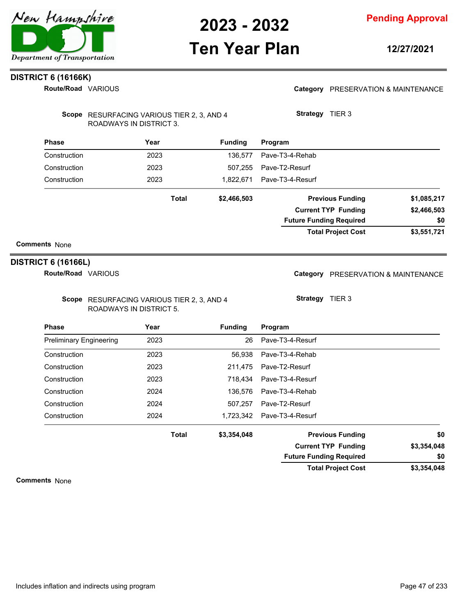

### **Ten Year Plan**

**12/27/2021**

### **DISTRICT 6 (16166K)**

**Route/Road VARIOUS** 

#### Category PRESERVATION & MAINTENANCE

| Scope RESURFACING VARIOUS TIER 2, 3, AND 4 |
|--------------------------------------------|
| ROADWAYS IN DISTRICT 3.                    |

| <b>Phase</b> | Year         | <b>Funding</b> | Program                        |             |
|--------------|--------------|----------------|--------------------------------|-------------|
| Construction | 2023         | 136.577        | Pave-T3-4-Rehab                |             |
| Construction | 2023         | 507.255        | Pave-T2-Resurf                 |             |
| Construction | 2023         | 1.822.671      | Pave-T3-4-Resurf               |             |
|              | <b>Total</b> | \$2,466,503    | <b>Previous Funding</b>        | \$1,085,217 |
|              |              |                | <b>Current TYP Funding</b>     | \$2,466,503 |
|              |              |                | <b>Future Funding Required</b> | \$0         |
|              |              |                | <b>Total Project Cost</b>      | \$3,551,721 |

#### **Comments** None

#### **DISTRICT 6 (16166L)**

**Route/Road VARIOUS** 

Scope RESURFACING VARIOUS TIER 2, 3, AND 4 ROADWAYS IN DISTRICT 5.

Category PRESERVATION & MAINTENANCE

**Strategy** TIER 3

**Strategy** TIER 3

| <b>Phase</b>                   | Year         | <b>Funding</b> | Program                        |             |
|--------------------------------|--------------|----------------|--------------------------------|-------------|
| <b>Preliminary Engineering</b> | 2023         | 26             | Pave-T3-4-Resurf               |             |
| Construction                   | 2023         | 56.938         | Pave-T3-4-Rehab                |             |
| Construction                   | 2023         | 211.475        | Pave-T2-Resurf                 |             |
| Construction                   | 2023         | 718.434        | Pave-T3-4-Resurf               |             |
| Construction                   | 2024         | 136.576        | Pave-T3-4-Rehab                |             |
| Construction                   | 2024         | 507.257        | Pave-T2-Resurf                 |             |
| Construction                   | 2024         |                | 1.723.342    Pave-T3-4-Resurf  |             |
|                                | <b>Total</b> | \$3,354,048    | <b>Previous Funding</b>        | \$0         |
|                                |              |                | <b>Current TYP Funding</b>     | \$3,354,048 |
|                                |              |                | <b>Future Funding Required</b> | \$0         |

**\$3,354,048 Total Project Cost**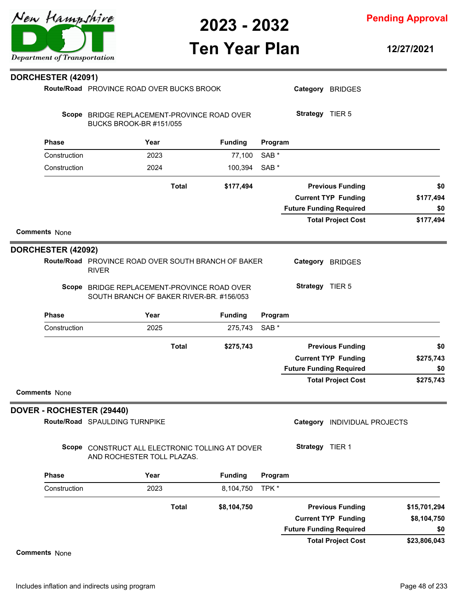**Pending Approval**

# **Ten Year Plan**

**12/27/2021**

| <b>DORCHESTER (42091)</b>        |                                                                                         |              |                |                  |                                |                              |              |
|----------------------------------|-----------------------------------------------------------------------------------------|--------------|----------------|------------------|--------------------------------|------------------------------|--------------|
|                                  | Route/Road PROVINCE ROAD OVER BUCKS BROOK                                               |              |                |                  |                                | Category BRIDGES             |              |
|                                  | Scope BRIDGE REPLACEMENT-PROVINCE ROAD OVER<br>BUCKS BROOK-BR #151/055                  |              |                |                  | Strategy TIER 5                |                              |              |
| <b>Phase</b>                     | Year                                                                                    |              | <b>Funding</b> | Program          |                                |                              |              |
| Construction                     | 2023                                                                                    |              | 77,100         | SAB <sup>*</sup> |                                |                              |              |
| Construction                     | 2024                                                                                    |              | 100,394        | SAB <sup>*</sup> |                                |                              |              |
|                                  |                                                                                         | <b>Total</b> | \$177,494      |                  |                                | <b>Previous Funding</b>      |              |
|                                  |                                                                                         |              |                |                  |                                | <b>Current TYP Funding</b>   | \$177,494    |
|                                  |                                                                                         |              |                |                  | <b>Future Funding Required</b> |                              |              |
|                                  |                                                                                         |              |                |                  |                                | <b>Total Project Cost</b>    | \$177,494    |
| <b>Comments None</b>             |                                                                                         |              |                |                  |                                |                              |              |
| <b>DORCHESTER (42092)</b>        |                                                                                         |              |                |                  |                                |                              |              |
|                                  | Route/Road PROVINCE ROAD OVER SOUTH BRANCH OF BAKER<br><b>RIVER</b>                     |              |                |                  |                                | Category BRIDGES             |              |
|                                  | Scope BRIDGE REPLACEMENT-PROVINCE ROAD OVER<br>SOUTH BRANCH OF BAKER RIVER-BR. #156/053 |              |                |                  | Strategy TIER 5                |                              |              |
| <b>Phase</b>                     | Year                                                                                    |              | <b>Funding</b> | Program          |                                |                              |              |
| Construction                     | 2025                                                                                    |              | 275,743        | SAB <sup>*</sup> |                                |                              |              |
|                                  |                                                                                         | <b>Total</b> | \$275,743      |                  |                                | <b>Previous Funding</b>      |              |
|                                  |                                                                                         |              |                |                  |                                | <b>Current TYP Funding</b>   | \$275,743    |
|                                  |                                                                                         |              |                |                  | <b>Future Funding Required</b> |                              |              |
| <b>Comments None</b>             |                                                                                         |              |                |                  |                                | <b>Total Project Cost</b>    | \$275,743    |
| <b>DOVER - ROCHESTER (29440)</b> |                                                                                         |              |                |                  |                                |                              |              |
|                                  | Route/Road SPAULDING TURNPIKE                                                           |              |                |                  |                                | Category INDIVIDUAL PROJECTS |              |
|                                  | Scope CONSTRUCT ALL ELECTRONIC TOLLING AT DOVER<br>AND ROCHESTER TOLL PLAZAS.           |              |                |                  | Strategy TIER 1                |                              |              |
| <b>Phase</b>                     | Year                                                                                    |              | <b>Funding</b> | Program          |                                |                              |              |
| Construction                     | 2023                                                                                    |              | 8,104,750      | TPK *            |                                |                              |              |
|                                  |                                                                                         | <b>Total</b> | \$8,104,750    |                  |                                | <b>Previous Funding</b>      | \$15,701,294 |
|                                  |                                                                                         |              |                |                  |                                | <b>Current TYP Funding</b>   | \$8,104,750  |
|                                  |                                                                                         |              |                |                  |                                |                              |              |
|                                  |                                                                                         |              |                |                  | <b>Future Funding Required</b> | <b>Total Project Cost</b>    | \$23,806,043 |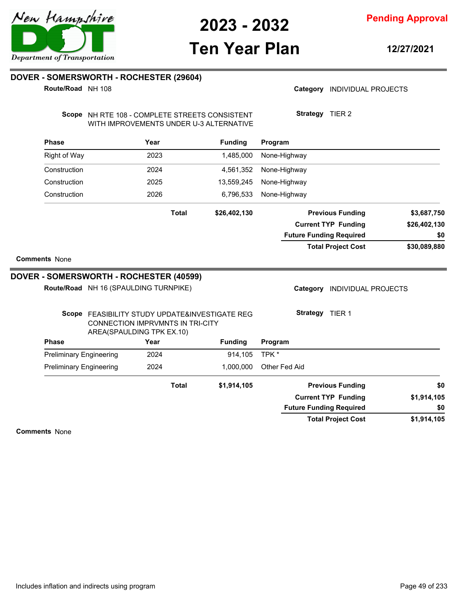

## **Ten Year Plan**

**12/27/2021**

### **DOVER - SOMERSWORTH - ROCHESTER (29604)**

**Route/Road** NH 108

Category **INDIVIDUAL PROJECTS** 

Scope NH RTE 108 - COMPLETE STREETS CONSISTENT WITH IMPROVEMENTS UNDER U-3 ALTERNATIVE **Strategy** TIER 2

| <b>Phase</b>                                                                                                           | Year |              | <b>Funding</b>  | Program                                |              |  |  |
|------------------------------------------------------------------------------------------------------------------------|------|--------------|-----------------|----------------------------------------|--------------|--|--|
| <b>Right of Way</b>                                                                                                    | 2023 |              | 1,485,000       | None-Highway                           |              |  |  |
| Construction                                                                                                           | 2024 |              | 4,561,352       | None-Highway                           |              |  |  |
| Construction                                                                                                           | 2025 |              | 13,559,245      | None-Highway                           |              |  |  |
| Construction                                                                                                           | 2026 |              | 6,796,533       | None-Highway                           |              |  |  |
|                                                                                                                        |      | <b>Total</b> | \$26,402,130    | <b>Previous Funding</b>                | \$3,687,750  |  |  |
|                                                                                                                        |      |              |                 | <b>Current TYP Funding</b>             | \$26,402,130 |  |  |
|                                                                                                                        |      |              |                 | <b>Future Funding Required</b>         | \$0          |  |  |
|                                                                                                                        |      |              |                 | <b>Total Project Cost</b>              | \$30,089,880 |  |  |
| <b>Comments None</b>                                                                                                   |      |              |                 |                                        |              |  |  |
| DOVER - SOMERSWORTH - ROCHESTER (40599)                                                                                |      |              |                 |                                        |              |  |  |
| Route/Road NH 16 (SPAULDING TURNPIKE)                                                                                  |      |              |                 | Category<br><b>INDIVIDUAL PROJECTS</b> |              |  |  |
| Scope FEASIBILITY STUDY UPDATE&INVESTIGATE REG<br><b>CONNECTION IMPRVMNTS IN TRI-CITY</b><br>AREA(SPAULDING TPK EX.10) |      |              | Strategy TIER 1 |                                        |              |  |  |
| <b>Phase</b>                                                                                                           | Year |              | <b>Funding</b>  | Program                                |              |  |  |
| <b>Preliminary Engineering</b>                                                                                         | 2024 |              | 914,105         | TPK *                                  |              |  |  |
| <b>Preliminary Engineering</b>                                                                                         | 2024 |              | 1,000,000       | Other Fed Aid                          |              |  |  |
|                                                                                                                        |      | <b>Total</b> | \$1,914,105     | <b>Previous Funding</b>                | \$0          |  |  |
|                                                                                                                        |      |              |                 | <b>Current TYP Funding</b>             | \$1,914,105  |  |  |
|                                                                                                                        |      |              |                 | <b>Future Funding Required</b>         | \$0          |  |  |
|                                                                                                                        |      |              |                 | <b>Total Project Cost</b>              | \$1,914,105  |  |  |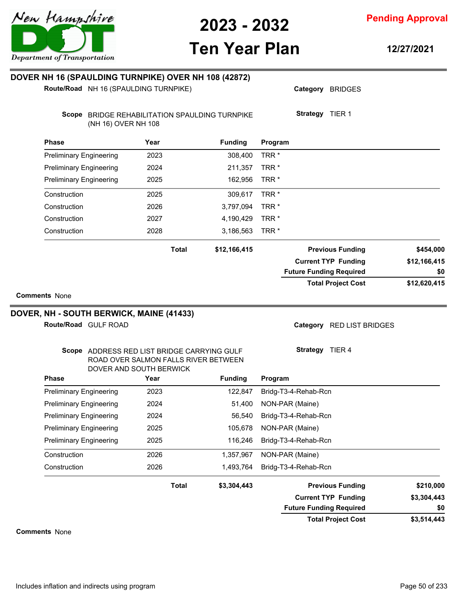

**Pending Approval**

# **Ten Year Plan**

**12/27/2021**

| Route/Road NH 16 (SPAULDING TURNPIKE)                                 |                                      | DOVER NH 16 (SPAULDING TURNPIKE) OVER NH 108 (42872) | Category BRIDGES               |                                  |
|-----------------------------------------------------------------------|--------------------------------------|------------------------------------------------------|--------------------------------|----------------------------------|
| Scope BRIDGE REHABILITATION SPAULDING TURNPIKE<br>(NH 16) OVER NH 108 |                                      |                                                      | Strategy TIER 1                |                                  |
| <b>Phase</b>                                                          | Year                                 | <b>Funding</b>                                       | Program                        |                                  |
| <b>Preliminary Engineering</b>                                        | 2023                                 | 308,400                                              | TRR <sup>*</sup>               |                                  |
| <b>Preliminary Engineering</b>                                        | 2024                                 | 211,357                                              | TRR <sup>*</sup>               |                                  |
| <b>Preliminary Engineering</b>                                        | 2025                                 | 162,956                                              | TRR <sup>*</sup>               |                                  |
| Construction                                                          | 2025                                 | 309,617                                              | TRR <sup>*</sup>               |                                  |
| Construction                                                          | 2026                                 | 3,797,094                                            | TRR <sup>*</sup>               |                                  |
| Construction                                                          | 2027                                 | 4,190,429                                            | TRR <sup>*</sup>               |                                  |
| Construction                                                          | 2028                                 | 3,186,563                                            | TRR <sup>*</sup>               |                                  |
|                                                                       | <b>Total</b>                         | \$12,166,415                                         | <b>Previous Funding</b>        | \$454,000                        |
|                                                                       |                                      |                                                      | <b>Current TYP Funding</b>     | \$12,166,415                     |
|                                                                       |                                      |                                                      |                                |                                  |
|                                                                       |                                      |                                                      | <b>Future Funding Required</b> |                                  |
| <b>Comments None</b>                                                  |                                      |                                                      | <b>Total Project Cost</b>      |                                  |
| Route/Road GULF ROAD                                                  |                                      |                                                      | Category RED LIST BRIDGES      |                                  |
| Scope ADDRESS RED LIST BRIDGE CARRYING GULF                           | ROAD OVER SALMON FALLS RIVER BETWEEN |                                                      | Strategy TIER 4                |                                  |
| DOVER, NH - SOUTH BERWICK, MAINE (41433)<br><b>Phase</b>              | DOVER AND SOUTH BERWICK<br>Year      | <b>Funding</b>                                       | Program                        |                                  |
| <b>Preliminary Engineering</b>                                        | 2023                                 | 122,847                                              | Bridg-T3-4-Rehab-Rcn           |                                  |
| <b>Preliminary Engineering</b>                                        | 2024                                 | 51,400                                               | NON-PAR (Maine)                |                                  |
| <b>Preliminary Engineering</b>                                        | 2024                                 | 56,540                                               | Bridg-T3-4-Rehab-Rcn           |                                  |
| <b>Preliminary Engineering</b>                                        | 2025                                 | 105,678                                              | NON-PAR (Maine)                |                                  |
| <b>Preliminary Engineering</b>                                        | 2025                                 | 116,246                                              | Bridg-T3-4-Rehab-Rcn           |                                  |
| Construction                                                          | 2026                                 | 1,357,967                                            | NON-PAR (Maine)                |                                  |
| Construction                                                          | 2026                                 | 1,493,764                                            | Bridg-T3-4-Rehab-Rcn           |                                  |
|                                                                       | <b>Total</b>                         | \$3,304,443                                          | <b>Previous Funding</b>        | \$0<br>\$12,620,415<br>\$210,000 |

**Comments** None

**\$3,514,443**

**\$0**

**Total Project Cost**

**Future Funding Required**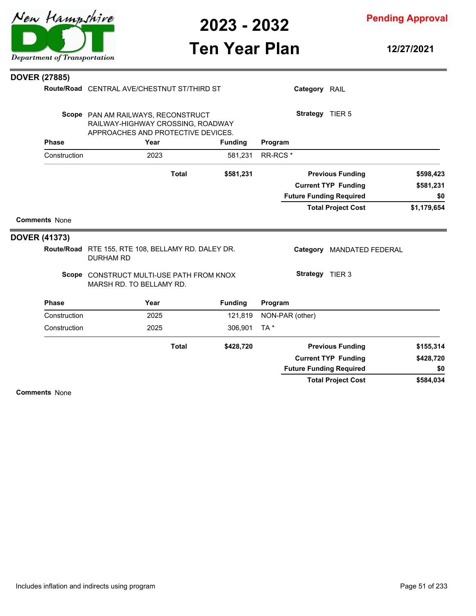

**Pending Approval**

# **Ten Year Plan**

**12/27/2021**

|              | RAILWAY-HIGHWAY CROSSING, ROADWAY                                    |              |                                    |                                                                                                                                                                                     |                                        |                                                                                                                                                                                                          |
|--------------|----------------------------------------------------------------------|--------------|------------------------------------|-------------------------------------------------------------------------------------------------------------------------------------------------------------------------------------|----------------------------------------|----------------------------------------------------------------------------------------------------------------------------------------------------------------------------------------------------------|
| <b>Phase</b> | Year                                                                 |              | <b>Funding</b>                     | Program                                                                                                                                                                             |                                        |                                                                                                                                                                                                          |
| Construction | 2023                                                                 |              | 581,231                            |                                                                                                                                                                                     |                                        |                                                                                                                                                                                                          |
|              |                                                                      | <b>Total</b> | \$581,231                          |                                                                                                                                                                                     |                                        | \$598,423                                                                                                                                                                                                |
|              |                                                                      |              |                                    |                                                                                                                                                                                     |                                        | \$581,231                                                                                                                                                                                                |
|              |                                                                      |              |                                    |                                                                                                                                                                                     |                                        | \$0                                                                                                                                                                                                      |
|              |                                                                      |              |                                    |                                                                                                                                                                                     |                                        | \$1,179,654                                                                                                                                                                                              |
|              |                                                                      |              |                                    |                                                                                                                                                                                     |                                        |                                                                                                                                                                                                          |
|              |                                                                      |              |                                    |                                                                                                                                                                                     |                                        |                                                                                                                                                                                                          |
|              | <b>DURHAM RD</b>                                                     |              |                                    |                                                                                                                                                                                     |                                        |                                                                                                                                                                                                          |
|              | MARSH RD. TO BELLAMY RD.                                             |              |                                    |                                                                                                                                                                                     |                                        |                                                                                                                                                                                                          |
| <b>Phase</b> | Year                                                                 |              | <b>Funding</b>                     | Program                                                                                                                                                                             |                                        |                                                                                                                                                                                                          |
| Construction | 2025                                                                 |              | 121,819                            |                                                                                                                                                                                     |                                        |                                                                                                                                                                                                          |
| Construction | 2025                                                                 |              | 306,901                            | TA*                                                                                                                                                                                 |                                        |                                                                                                                                                                                                          |
|              |                                                                      |              |                                    |                                                                                                                                                                                     |                                        |                                                                                                                                                                                                          |
|              |                                                                      | <b>Total</b> | \$428,720                          |                                                                                                                                                                                     | <b>Previous Funding</b>                | \$155,314                                                                                                                                                                                                |
|              |                                                                      |              |                                    |                                                                                                                                                                                     | <b>Current TYP Funding</b>             | \$428,720                                                                                                                                                                                                |
|              |                                                                      |              |                                    |                                                                                                                                                                                     | <b>Future Funding Required</b>         | \$0                                                                                                                                                                                                      |
|              | <b>DOVER (27885)</b><br><b>Comments None</b><br><b>DOVER (41373)</b> |              | Scope PAN AM RAILWAYS, RECONSTRUCT | Route/Road CENTRAL AVE/CHESTNUT ST/THIRD ST<br>APPROACHES AND PROTECTIVE DEVICES.<br>Route/Road RTE 155, RTE 108, BELLAMY RD. DALEY DR.<br>Scope CONSTRUCT MULTI-USE PATH FROM KNOX | RR-RCS <sup>*</sup><br>NON-PAR (other) | Category RAIL<br>Strategy TIER 5<br><b>Previous Funding</b><br><b>Current TYP Funding</b><br><b>Future Funding Required</b><br><b>Total Project Cost</b><br>Category MANDATED FEDERAL<br>Strategy TIER 3 |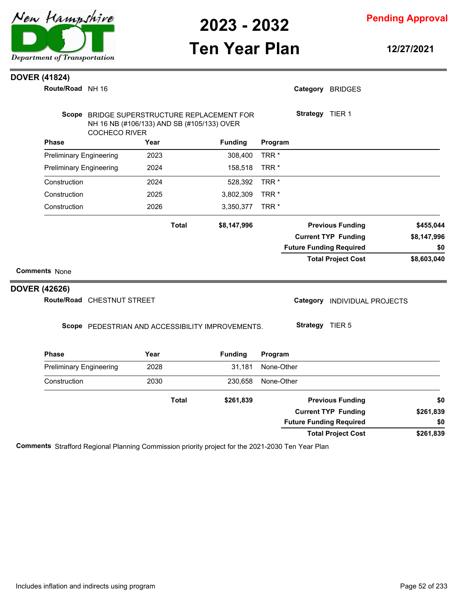

**Pending Approval**

# **Ten Year Plan**

**12/27/2021**

#### **DOVER (41824)**

**DOVER** 

| Route/Road NH 16               |                            |                                            |                                                  |                  |                 | Category BRIDGES               |             |
|--------------------------------|----------------------------|--------------------------------------------|--------------------------------------------------|------------------|-----------------|--------------------------------|-------------|
| <b>Scope</b>                   | <b>COCHECO RIVER</b>       | NH 16 NB (#106/133) AND SB (#105/133) OVER | BRIDGE SUPERSTRUCTURE REPLACEMENT FOR            |                  | Strategy TIER 1 |                                |             |
| <b>Phase</b>                   |                            | Year                                       | <b>Funding</b>                                   | Program          |                 |                                |             |
| <b>Preliminary Engineering</b> |                            | 2023                                       | 308,400                                          | TRR <sup>*</sup> |                 |                                |             |
| <b>Preliminary Engineering</b> |                            | 2024                                       | 158,518                                          | TRR <sup>*</sup> |                 |                                |             |
| Construction                   |                            | 2024                                       | 528,392                                          | TRR <sup>*</sup> |                 |                                |             |
| Construction                   |                            | 2025                                       | 3,802,309                                        | TRR <sup>*</sup> |                 |                                |             |
| Construction                   |                            | 2026                                       | 3,350,377                                        | TRR <sup>*</sup> |                 |                                |             |
|                                |                            | <b>Total</b>                               | \$8,147,996                                      |                  |                 | <b>Previous Funding</b>        | \$455,044   |
|                                |                            |                                            |                                                  |                  |                 | <b>Current TYP Funding</b>     | \$8,147,996 |
|                                |                            |                                            |                                                  |                  |                 | <b>Future Funding Required</b> | \$0         |
|                                |                            |                                            |                                                  |                  |                 | <b>Total Project Cost</b>      | \$8,603,040 |
| <b>Comments None</b>           |                            |                                            |                                                  |                  |                 |                                |             |
| OVER (42626)                   |                            |                                            |                                                  |                  |                 |                                |             |
|                                | Route/Road CHESTNUT STREET |                                            |                                                  |                  |                 | Category INDIVIDUAL PROJECTS   |             |
|                                |                            |                                            | Scope PEDESTRIAN AND ACCESSIBILITY IMPROVEMENTS. |                  | Strategy TIER 5 |                                |             |
| <b>Phase</b>                   |                            | Year                                       | <b>Funding</b>                                   | Program          |                 |                                |             |
| <b>Preliminary Engineering</b> |                            | 2028                                       | 31,181                                           | None-Other       |                 |                                |             |
| Construction                   |                            | 2030                                       | 230,658                                          | None-Other       |                 |                                |             |

| гнаэе                          | i ear        | <b>Funding</b> | <b>Program</b>                 |           |
|--------------------------------|--------------|----------------|--------------------------------|-----------|
| <b>Preliminary Engineering</b> | 2028         | 31.181         | None-Other                     |           |
| Construction                   | 2030         | 230.658        | None-Other                     |           |
|                                | <b>Total</b> | \$261,839      | <b>Previous Funding</b>        | \$0       |
|                                |              |                | <b>Current TYP Funding</b>     | \$261,839 |
|                                |              |                | <b>Future Funding Required</b> | \$0       |
|                                |              |                | <b>Total Project Cost</b>      | \$261,839 |

**Comments** Strafford Regional Planning Commission priority project for the 2021-2030 Ten Year Plan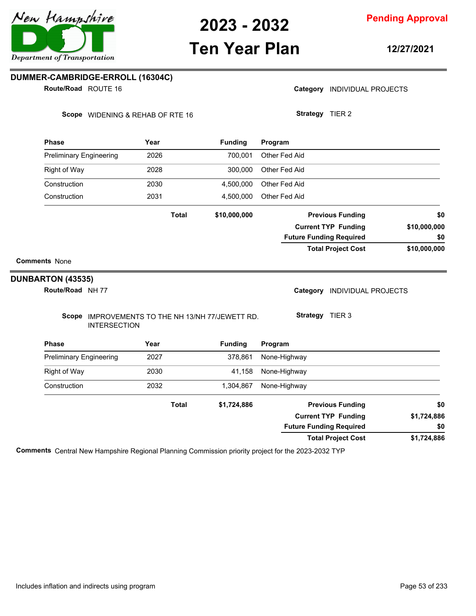

**Pending Approval**

## **Ten Year Plan**

**12/27/2021**

#### **DUMMER-CAMBRIDGE-ERROLL (16304C)**

ROUTE 16 **Route/Road**

Category **INDIVIDUAL PROJECTS** 

Scope WIDENING & REHAB OF RTE 16

**Strategy** TIER 2

| <b>Phase</b>                   |                     | Year |              | <b>Funding</b>                                   | Program       |          |                                |              |
|--------------------------------|---------------------|------|--------------|--------------------------------------------------|---------------|----------|--------------------------------|--------------|
| <b>Preliminary Engineering</b> |                     | 2026 |              | 700,001                                          | Other Fed Aid |          |                                |              |
| Right of Way                   |                     | 2028 |              | 300,000                                          | Other Fed Aid |          |                                |              |
| Construction                   |                     | 2030 |              | 4,500,000                                        | Other Fed Aid |          |                                |              |
| Construction                   |                     | 2031 |              | 4,500,000                                        | Other Fed Aid |          |                                |              |
|                                |                     |      | <b>Total</b> | \$10,000,000                                     |               |          | <b>Previous Funding</b>        | \$0          |
|                                |                     |      |              |                                                  |               |          | <b>Current TYP Funding</b>     | \$10,000,000 |
|                                |                     |      |              |                                                  |               |          | <b>Future Funding Required</b> | \$0          |
|                                |                     |      |              |                                                  |               |          | <b>Total Project Cost</b>      | \$10,000,000 |
| <b>Comments None</b>           |                     |      |              |                                                  |               |          |                                |              |
| DUNBARTON (43535)              |                     |      |              |                                                  |               |          |                                |              |
| Route/Road NH 77               |                     |      |              |                                                  |               | Category | <b>INDIVIDUAL PROJECTS</b>     |              |
|                                | <b>INTERSECTION</b> |      |              | Scope IMPROVEMENTS TO THE NH 13/NH 77/JEWETT RD. |               |          | Strategy TIER 3                |              |
| <b>Phase</b>                   |                     | Year |              | <b>Funding</b>                                   | Program       |          |                                |              |
| <b>Preliminary Engineering</b> |                     | 2027 |              | 378,861                                          | None-Highway  |          |                                |              |
| <b>Right of Way</b>            |                     | 2030 |              | 41,158                                           | None-Highway  |          |                                |              |
| Construction                   |                     | 2032 |              | 1,304,867                                        | None-Highway  |          |                                |              |
|                                |                     |      | <b>Total</b> | \$1,724,886                                      |               |          | <b>Previous Funding</b>        | \$0          |
|                                |                     |      |              |                                                  |               |          | <b>Current TYP Funding</b>     | \$1,724,886  |
|                                |                     |      |              |                                                  |               |          | <b>Future Funding Required</b> | \$0          |
|                                |                     |      |              |                                                  |               |          | <b>Total Project Cost</b>      | \$1,724,886  |

**Comments** Central New Hampshire Regional Planning Commission priority project for the 2023-2032 TYP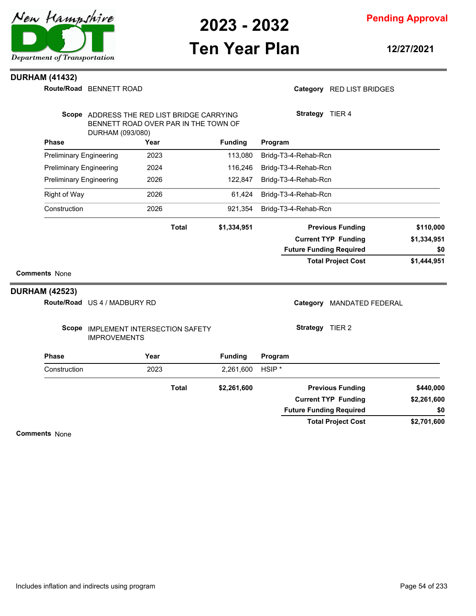

**Pending Approval**

# **Ten Year Plan**

**12/27/2021**

#### **DURHAM (41432)**

Route/Road BENNETT ROAD

Category RED LIST BRIDGES

|                                |                                                             | Scope ADDRESS THE RED LIST BRIDGE CARRYING |              |                |                   | Strategy TIER 4            |                                |             |
|--------------------------------|-------------------------------------------------------------|--------------------------------------------|--------------|----------------|-------------------|----------------------------|--------------------------------|-------------|
|                                | BENNETT ROAD OVER PAR IN THE TOWN OF<br>DURHAM (093/080)    |                                            |              |                |                   |                            |                                |             |
| <b>Phase</b>                   |                                                             | Year                                       |              | <b>Funding</b> | Program           |                            |                                |             |
| <b>Preliminary Engineering</b> |                                                             | 2023                                       |              | 113,080        |                   | Bridg-T3-4-Rehab-Rcn       |                                |             |
| <b>Preliminary Engineering</b> |                                                             | 2024                                       |              | 116,246        |                   | Bridg-T3-4-Rehab-Rcn       |                                |             |
| <b>Preliminary Engineering</b> |                                                             | 2026                                       |              | 122,847        |                   | Bridg-T3-4-Rehab-Rcn       |                                |             |
| <b>Right of Way</b>            |                                                             | 2026                                       |              | 61,424         |                   | Bridg-T3-4-Rehab-Rcn       |                                |             |
| Construction                   |                                                             | 2026                                       |              | 921,354        |                   | Bridg-T3-4-Rehab-Rcn       |                                |             |
|                                |                                                             |                                            | <b>Total</b> | \$1,334,951    |                   |                            | <b>Previous Funding</b>        | \$110,000   |
|                                |                                                             |                                            |              |                |                   |                            | <b>Current TYP Funding</b>     | \$1,334,951 |
|                                |                                                             |                                            |              |                |                   |                            | <b>Future Funding Required</b> | \$0         |
|                                |                                                             |                                            |              |                |                   |                            | <b>Total Project Cost</b>      | \$1,444,951 |
| <b>Comments None</b>           |                                                             |                                            |              |                |                   |                            |                                |             |
| <b>DURHAM (42523)</b>          |                                                             |                                            |              |                |                   |                            |                                |             |
|                                | Route/Road US 4 / MADBURY RD                                |                                            |              |                |                   | Category                   | <b>MANDATED FEDERAL</b>        |             |
| Scope                          | <b>IMPLEMENT INTERSECTION SAFETY</b><br><b>IMPROVEMENTS</b> |                                            |              |                |                   | Strategy TIER 2            |                                |             |
| <b>Phase</b>                   |                                                             | Year                                       |              | <b>Funding</b> | Program           |                            |                                |             |
| Construction                   |                                                             | 2023                                       |              | 2,261,600      | HSIP <sup>*</sup> |                            |                                |             |
|                                |                                                             |                                            | <b>Total</b> | \$2,261,600    |                   |                            | <b>Previous Funding</b>        | \$440,000   |
|                                |                                                             |                                            |              |                |                   | <b>Current TYP Funding</b> |                                | \$2,261,600 |
|                                |                                                             |                                            |              |                |                   |                            | <b>Future Funding Required</b> | \$0         |
|                                |                                                             |                                            |              |                |                   |                            | <b>Total Project Cost</b>      | \$2,701,600 |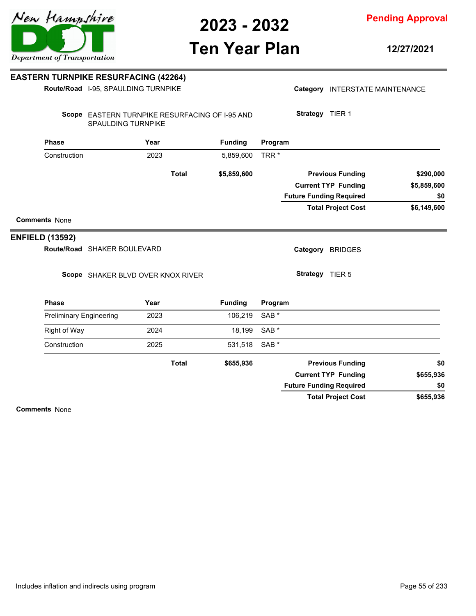**Pending Approval**

# **Ten Year Plan**

**12/27/2021**

#### **EASTERN TURNPIKE RESURFACING (42264) Route/Road**

|                                | Route/Road I-95, SPAULDING TURNPIKE                                         |      |              |                |                  |                 | Category INTERSTATE MAINTENANCE |             |
|--------------------------------|-----------------------------------------------------------------------------|------|--------------|----------------|------------------|-----------------|---------------------------------|-------------|
|                                | Scope EASTERN TURNPIKE RESURFACING OF I-95 AND<br><b>SPAULDING TURNPIKE</b> |      |              |                |                  | Strategy TIER 1 |                                 |             |
| Phase                          |                                                                             | Year |              | <b>Funding</b> | Program          |                 |                                 |             |
| Construction                   |                                                                             | 2023 |              | 5,859,600      | TRR <sup>*</sup> |                 |                                 |             |
|                                |                                                                             |      | <b>Total</b> | \$5,859,600    |                  |                 | <b>Previous Funding</b>         | \$290,000   |
|                                |                                                                             |      |              |                |                  |                 | <b>Current TYP Funding</b>      | \$5,859,600 |
|                                |                                                                             |      |              |                |                  |                 | <b>Future Funding Required</b>  | \$0         |
|                                |                                                                             |      |              |                |                  |                 | <b>Total Project Cost</b>       | \$6,149,600 |
| <b>Comments None</b>           |                                                                             |      |              |                |                  |                 |                                 |             |
| <b>NFIELD (13592)</b>          |                                                                             |      |              |                |                  |                 |                                 |             |
|                                | Route/Road SHAKER BOULEVARD                                                 |      |              |                |                  |                 | Category BRIDGES                |             |
|                                | Scope SHAKER BLVD OVER KNOX RIVER                                           |      |              |                |                  | Strategy TIER 5 |                                 |             |
| <b>Phase</b>                   |                                                                             | Year |              | <b>Funding</b> | Program          |                 |                                 |             |
| <b>Preliminary Engineering</b> |                                                                             | 2023 |              | 106,219        | SAB <sup>*</sup> |                 |                                 |             |
| <b>Right of Way</b>            |                                                                             | 2024 |              | 18,199         | SAB <sup>*</sup> |                 |                                 |             |
| Construction                   |                                                                             | 2025 |              | 531,518        | SAB <sup>*</sup> |                 |                                 |             |
|                                |                                                                             |      | <b>Total</b> | \$655,936      |                  |                 | <b>Previous Funding</b>         | \$0         |
|                                |                                                                             |      |              |                |                  |                 | <b>Current TYP Funding</b>      | \$655,936   |
|                                |                                                                             |      |              |                |                  |                 | <b>Future Funding Required</b>  | \$0         |

**Comments** None

**ENFIELD (13592)**

**\$655,936**

**Total Project Cost**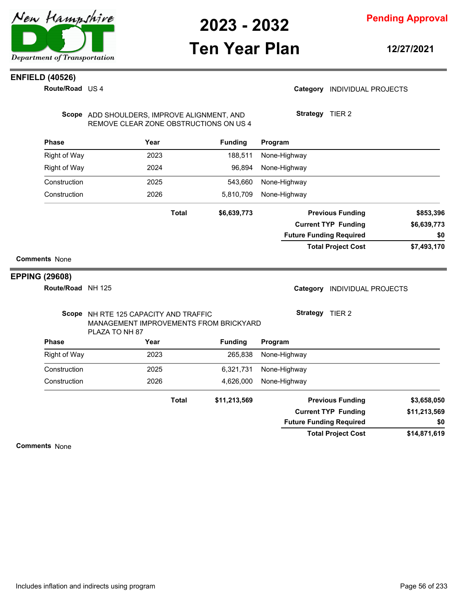

## **Ten Year Plan**

**Pending Approval**

**12/27/2021**

### **ENFIELD (40526)**

**Route/Road** US 4

#### Category **INDIVIDUAL PROJECTS**

Scope ADD SHOULDERS, IMPROVE ALIGNMENT, AND REMOVE CLEAR ZONE OBSTRUCTIONS ON US 4 **Strategy** TIER 2

| Phase                 | Year                                                                                              |                                                                                             | <b>Funding</b> | Program                                |                    |
|-----------------------|---------------------------------------------------------------------------------------------------|---------------------------------------------------------------------------------------------|----------------|----------------------------------------|--------------------|
| <b>Right of Way</b>   | 2023                                                                                              |                                                                                             | 188,511        | None-Highway                           |                    |
| <b>Right of Way</b>   | 2024                                                                                              |                                                                                             | 96,894         | None-Highway                           |                    |
| Construction          | 2025                                                                                              | 543,660<br>None-Highway<br>2026<br>5,810,709<br>None-Highway<br><b>Total</b><br>\$6,639,773 |                |                                        |                    |
| Construction          |                                                                                                   |                                                                                             |                |                                        |                    |
|                       |                                                                                                   |                                                                                             |                | <b>Previous Funding</b>                | \$853,396          |
|                       |                                                                                                   |                                                                                             |                | <b>Current TYP Funding</b>             | \$6,639,773<br>\$0 |
|                       |                                                                                                   |                                                                                             |                | <b>Future Funding Required</b>         |                    |
|                       |                                                                                                   |                                                                                             |                | <b>Total Project Cost</b>              | \$7,493,170        |
| <b>Comments None</b>  |                                                                                                   |                                                                                             |                |                                        |                    |
| <b>EPPING (29608)</b> |                                                                                                   |                                                                                             |                |                                        |                    |
| Route/Road NH 125     |                                                                                                   |                                                                                             |                | Category<br><b>INDIVIDUAL PROJECTS</b> |                    |
|                       | Scope NH RTE 125 CAPACITY AND TRAFFIC<br>MANAGEMENT IMPROVEMENTS FROM BRICKYARD<br>PLAZA TO NH 87 |                                                                                             |                | Strategy TIER 2                        |                    |
| <b>Phase</b>          | Year                                                                                              |                                                                                             | <b>Funding</b> | Program                                |                    |
| Right of Way          | 2023                                                                                              |                                                                                             | 265,838        | None-Highway                           |                    |
| Construction          | 2025                                                                                              |                                                                                             | 6,321,731      | None-Highway                           |                    |
| Construction          | 2026                                                                                              |                                                                                             | 4,626,000      | None-Highway                           |                    |
|                       |                                                                                                   | <b>Total</b>                                                                                | \$11,213,569   | <b>Previous Funding</b>                | \$3,658,050        |
|                       |                                                                                                   |                                                                                             |                | <b>Current TYP Funding</b>             | \$11,213,569       |
|                       |                                                                                                   |                                                                                             |                | <b>Future Funding Required</b>         | \$0                |
|                       |                                                                                                   |                                                                                             |                | <b>Total Project Cost</b>              | \$14,871,619       |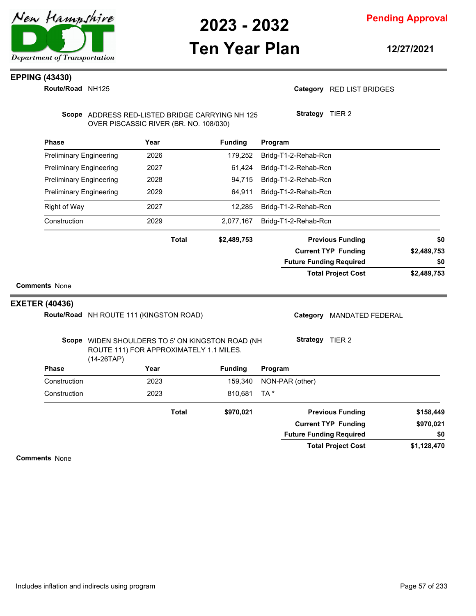

## **Ten Year Plan**

**Pending Approval**

**12/27/2021**

#### **EPPING (43430)**

**Route/Road NH125** 

#### Category RED LIST BRIDGES

**Strategy** TIER 2

Scope ADDRESS RED-LISTED BRIDGE CARRYING NH 125 OVER PISCASSIC RIVER (BR. NO. 108/030)

|                       |                                         | Year         | <b>Funding</b>                                                                              | Program                             |             |
|-----------------------|-----------------------------------------|--------------|---------------------------------------------------------------------------------------------|-------------------------------------|-------------|
|                       | <b>Preliminary Engineering</b>          | 2026         | 179,252                                                                                     | Bridg-T1-2-Rehab-Rcn                |             |
|                       | <b>Preliminary Engineering</b>          | 2027         | 61,424                                                                                      | Bridg-T1-2-Rehab-Rcn                |             |
|                       | <b>Preliminary Engineering</b>          | 2028         | 94,715                                                                                      | Bridg-T1-2-Rehab-Rcn                |             |
|                       | <b>Preliminary Engineering</b>          | 2029         | 64,911                                                                                      | Bridg-T1-2-Rehab-Rcn                |             |
| <b>Right of Way</b>   |                                         | 2027         | 12,285                                                                                      | Bridg-T1-2-Rehab-Rcn                |             |
| Construction          |                                         | 2029         | 2,077,167                                                                                   | Bridg-T1-2-Rehab-Rcn                |             |
|                       |                                         | <b>Total</b> | \$2,489,753                                                                                 | <b>Previous Funding</b>             | \$0         |
|                       |                                         |              |                                                                                             | <b>Current TYP Funding</b>          | \$2,489,753 |
|                       |                                         |              |                                                                                             | <b>Future Funding Required</b>      | \$0         |
|                       |                                         |              |                                                                                             | <b>Total Project Cost</b>           | \$2,489,753 |
| <b>Comments None</b>  |                                         |              |                                                                                             |                                     |             |
|                       |                                         |              |                                                                                             |                                     |             |
|                       | Route/Road NH ROUTE 111 (KINGSTON ROAD) |              |                                                                                             | Category<br><b>MANDATED FEDERAL</b> |             |
|                       |                                         |              | Scope WIDEN SHOULDERS TO 5' ON KINGSTON ROAD (NH<br>ROUTE 111) FOR APPROXIMATELY 1.1 MILES. | <b>Strategy</b><br>TIER 2           |             |
| <b>Phase</b>          | $(14-26TAP)$                            | Year         | <b>Funding</b>                                                                              | Program                             |             |
| Construction          |                                         | 2023         | 159,340                                                                                     | NON-PAR (other)                     |             |
| Construction          |                                         | 2023         | 810,681                                                                                     | TA *                                |             |
| <b>EXETER (40436)</b> |                                         | <b>Total</b> | \$970,021                                                                                   | <b>Previous Funding</b>             | \$158,449   |
|                       |                                         |              |                                                                                             | <b>Current TYP Funding</b>          | \$970,021   |

**\$1,128,470 Total Project Cost**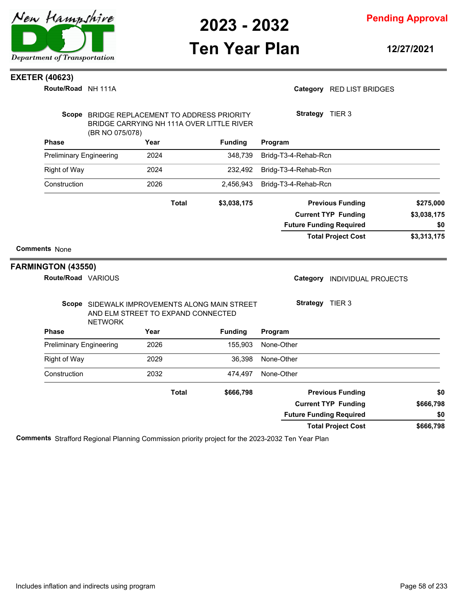

**Pending Approval**

# **Ten Year Plan**

**12/27/2021**

#### **EXETER (40623)**

**Route/Road** NH 111A

#### Category RED LIST BRIDGES

|                      | (BR NO 075/078)                | Scope BRIDGE REPLACEMENT TO ADDRESS PRIORITY<br>BRIDGE CARRYING NH 111A OVER LITTLE RIVER |                                               | Strategy TIER 3                        |             |  |
|----------------------|--------------------------------|-------------------------------------------------------------------------------------------|-----------------------------------------------|----------------------------------------|-------------|--|
| <b>Phase</b>         |                                | Year                                                                                      | <b>Funding</b>                                | Program                                |             |  |
|                      | <b>Preliminary Engineering</b> | 2024                                                                                      | 348,739                                       | Bridg-T3-4-Rehab-Rcn                   |             |  |
| <b>Right of Way</b>  |                                | 2024                                                                                      | 232,492                                       | Bridg-T3-4-Rehab-Rcn                   |             |  |
| Construction         |                                | 2026                                                                                      | 2,456,943                                     | Bridg-T3-4-Rehab-Rcn                   |             |  |
|                      |                                | <b>Total</b>                                                                              | \$3,038,175                                   | <b>Previous Funding</b>                | \$275,000   |  |
|                      |                                |                                                                                           |                                               | <b>Current TYP Funding</b>             | \$3,038,175 |  |
|                      |                                |                                                                                           |                                               | <b>Future Funding Required</b>         | \$0         |  |
|                      |                                |                                                                                           |                                               | <b>Total Project Cost</b>              | \$3,313,175 |  |
| <b>Comments None</b> |                                |                                                                                           |                                               |                                        |             |  |
| FARMINGTON (43550)   | Route/Road VARIOUS             |                                                                                           |                                               | Category<br><b>INDIVIDUAL PROJECTS</b> |             |  |
|                      | <b>NETWORK</b>                 | AND ELM STREET TO EXPAND CONNECTED                                                        | Scope SIDEWALK IMPROVEMENTS ALONG MAIN STREET | Strategy TIER 3                        |             |  |
| <b>Phase</b>         |                                | Year                                                                                      | <b>Funding</b>                                | Program                                |             |  |
|                      | <b>Preliminary Engineering</b> | 2026                                                                                      | 155,903                                       | None-Other                             |             |  |
| <b>Right of Way</b>  |                                | 2029                                                                                      | 36,398                                        | None-Other                             |             |  |
| Construction         |                                | 2032                                                                                      | 474,497                                       | None-Other                             |             |  |
|                      |                                | <b>Total</b>                                                                              | \$666,798                                     | <b>Previous Funding</b>                | \$0         |  |
|                      |                                |                                                                                           |                                               | <b>Current TYP Funding</b>             | \$666,798   |  |
|                      |                                |                                                                                           |                                               | <b>Future Funding Required</b>         | \$0         |  |
|                      |                                |                                                                                           |                                               | <b>Total Project Cost</b>              | \$666,798   |  |

**Comments** Strafford Regional Planning Commission priority project for the 2023-2032 Ten Year Plan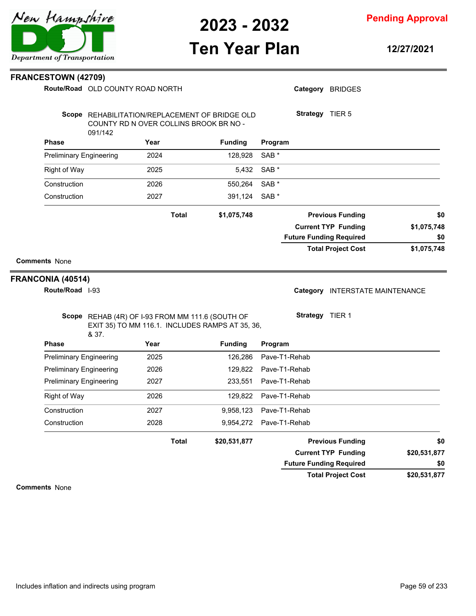

### **Pending Approval**

### **Ten Year Plan**

**12/27/2021**

**\$0**

**\$0**

# **\$1,075,748 \$1,075,748 \$1,075,748 Previous Funding \$0 Current TYP Funding Total Project Cost Future Funding Required Total** Scope REHAB (4R) OF I-93 FROM MM 111.6 (SOUTH OF EXIT 35) TO MM 116.1. INCLUDES RAMPS AT 35, 36, & 37. **Program** Category INTERSTATE MAINTENANCE **Strategy** TIER 1 **\$20,531,877 \$20,531,877 \$20,531,877 Previous Funding \$0 Current TYP Funding Total Project Cost Future Funding Required Total** Includes inflation and indirects using program Page 59 of 233





**FRANCESTOWN (42709)**

**Route/Road** OLD COUNTY ROAD NORTH

Category BRIDGES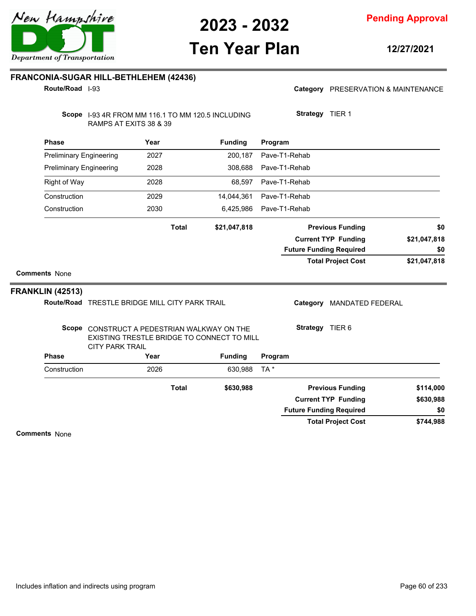

## **Ten Year Plan**

**12/27/2021**

#### **FRANCONIA-SUGAR HILL-BETHLEHEM (42436)**

**Route/Road** I-93

Category PRESERVATION & MAINTENANCE

**Strategy** TIER 1

Scope 1-93 4R FROM MM 116.1 TO MM 120.5 INCLUDING RAMPS AT EXITS 38 & 39

| <b>Phase</b>                   |                                                                                                                     | Year |              | <b>Funding</b> | Program       |                 |                                |              |
|--------------------------------|---------------------------------------------------------------------------------------------------------------------|------|--------------|----------------|---------------|-----------------|--------------------------------|--------------|
| <b>Preliminary Engineering</b> |                                                                                                                     | 2027 |              | 200,187        | Pave-T1-Rehab |                 |                                |              |
| <b>Preliminary Engineering</b> |                                                                                                                     | 2028 |              | 308,688        | Pave-T1-Rehab |                 |                                |              |
| <b>Right of Way</b>            |                                                                                                                     | 2028 |              | 68,597         | Pave-T1-Rehab |                 |                                |              |
| Construction                   |                                                                                                                     | 2029 |              | 14,044,361     | Pave-T1-Rehab |                 |                                |              |
| Construction                   |                                                                                                                     | 2030 |              | 6,425,986      | Pave-T1-Rehab |                 |                                |              |
|                                |                                                                                                                     |      | <b>Total</b> | \$21,047,818   |               |                 | <b>Previous Funding</b>        | \$0          |
|                                |                                                                                                                     |      |              |                |               |                 | <b>Current TYP Funding</b>     | \$21,047,818 |
|                                |                                                                                                                     |      |              |                |               |                 | <b>Future Funding Required</b> | \$0          |
|                                |                                                                                                                     |      |              |                |               |                 | <b>Total Project Cost</b>      | \$21,047,818 |
| <b>Comments None</b>           |                                                                                                                     |      |              |                |               |                 |                                |              |
| <b>FRANKLIN (42513)</b>        |                                                                                                                     |      |              |                |               |                 |                                |              |
|                                | Route/Road TRESTLE BRIDGE MILL CITY PARK TRAIL                                                                      |      |              |                |               | Category        | <b>MANDATED FEDERAL</b>        |              |
|                                | Scope CONSTRUCT A PEDESTRIAN WALKWAY ON THE<br>EXISTING TRESTLE BRIDGE TO CONNECT TO MILL<br><b>CITY PARK TRAIL</b> |      |              |                |               | Strategy TIER 6 |                                |              |
| <b>Phase</b>                   |                                                                                                                     | Year |              | <b>Funding</b> | Program       |                 |                                |              |
| Construction                   |                                                                                                                     | 2026 |              | 630,988        | TA*           |                 |                                |              |
|                                |                                                                                                                     |      | <b>Total</b> | \$630,988      |               |                 | <b>Previous Funding</b>        | \$114,000    |
|                                |                                                                                                                     |      |              |                |               |                 | <b>Current TYP Funding</b>     | \$630,988    |
|                                |                                                                                                                     |      |              |                |               |                 | <b>Future Funding Required</b> | \$0          |
|                                |                                                                                                                     |      |              |                |               |                 | <b>Total Project Cost</b>      | \$744,988    |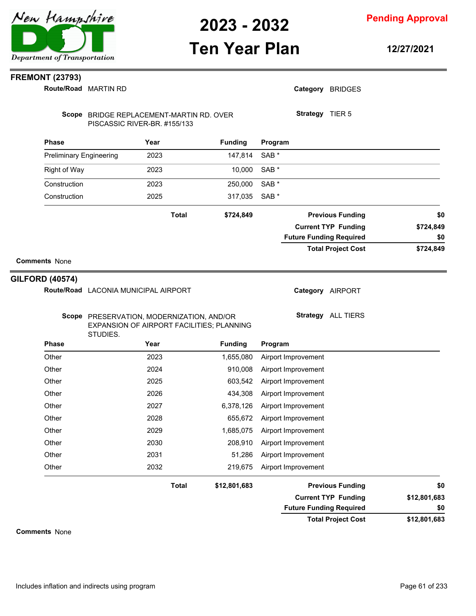# **Ten Year Plan**

**Pending Approval**

**12/27/2021**

### **FREMONT (23793)**

|                                | Route/Road MARTIN RD                                                     |              |                | Category BRIDGES               |  |              |
|--------------------------------|--------------------------------------------------------------------------|--------------|----------------|--------------------------------|--|--------------|
|                                | Scope BRIDGE REPLACEMENT-MARTIN RD. OVER<br>PISCASSIC RIVER-BR. #155/133 |              |                | Strategy TIER 5                |  |              |
| <b>Phase</b>                   | Year                                                                     |              | <b>Funding</b> | Program                        |  |              |
| <b>Preliminary Engineering</b> | 2023                                                                     |              | 147,814        | SAB <sup>*</sup>               |  |              |
| <b>Right of Way</b>            | 2023                                                                     |              | 10,000         | SAB *                          |  |              |
| Construction                   | 2023                                                                     |              | 250,000        | SAB *                          |  |              |
| Construction                   | 2025                                                                     |              | 317,035        | SAB <sup>*</sup>               |  |              |
|                                |                                                                          | <b>Total</b> | \$724,849      | <b>Previous Funding</b>        |  | \$0          |
|                                |                                                                          |              |                | <b>Current TYP Funding</b>     |  | \$724,849    |
|                                |                                                                          |              |                | <b>Future Funding Required</b> |  | \$0          |
|                                |                                                                          |              |                | <b>Total Project Cost</b>      |  | \$724,849    |
| <b>Comments None</b>           |                                                                          |              |                |                                |  |              |
| <b>GILFORD (40574)</b>         |                                                                          |              |                |                                |  |              |
|                                | Route/Road LACONIA MUNICIPAL AIRPORT                                     |              |                | Category AIRPORT               |  |              |
|                                |                                                                          |              |                |                                |  |              |
|                                | Scope PRESERVATION, MODERNIZATION, AND/OR                                |              |                | Strategy ALL TIERS             |  |              |
|                                | EXPANSION OF AIRPORT FACILITIES; PLANNING<br>STUDIES.                    |              |                |                                |  |              |
| <b>Phase</b>                   | Year                                                                     |              | <b>Funding</b> | Program                        |  |              |
| Other                          | 2023                                                                     |              | 1,655,080      | Airport Improvement            |  |              |
| Other                          | 2024                                                                     |              | 910,008        | Airport Improvement            |  |              |
| Other                          | 2025                                                                     |              | 603,542        | Airport Improvement            |  |              |
| Other                          | 2026                                                                     |              | 434,308        | Airport Improvement            |  |              |
| Other                          | 2027                                                                     |              | 6,378,126      | Airport Improvement            |  |              |
| Other                          | 2028                                                                     |              | 655,672        | Airport Improvement            |  |              |
| Other                          | 2029                                                                     |              | 1,685,075      | Airport Improvement            |  |              |
| Other                          | 2030                                                                     |              | 208,910        | Airport Improvement            |  |              |
| Other                          | 2031                                                                     |              | 51,286         | Airport Improvement            |  |              |
| Other                          | 2032                                                                     |              | 219,675        | Airport Improvement            |  |              |
|                                |                                                                          | <b>Total</b> | \$12,801,683   | <b>Previous Funding</b>        |  | \$0          |
|                                |                                                                          |              |                | <b>Current TYP Funding</b>     |  | \$12,801,683 |
|                                |                                                                          |              |                | <b>Future Funding Required</b> |  | \$0          |
|                                |                                                                          |              |                | <b>Total Project Cost</b>      |  | \$12,801,683 |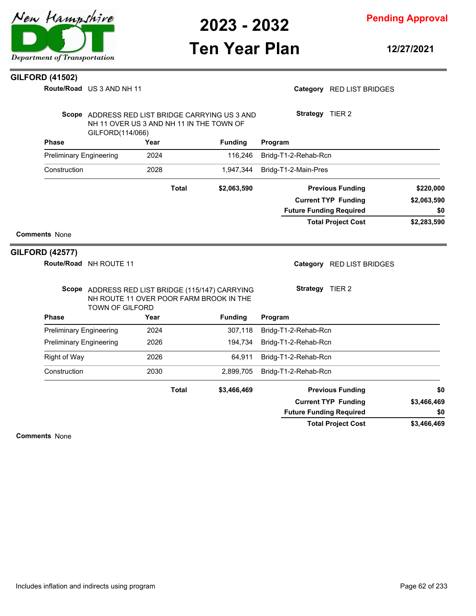

**Pending Approval**

# **Ten Year Plan**

**12/27/2021**

#### **GILFORD (41502)**

**Route/Road** US 3 AND NH 11

Category RED LIST BRIDGES

| Scope<br>ADDRESS RED LIST BRIDGE CARRYING US 3 AND<br>NH 11 OVER US 3 AND NH 11 IN THE TOWN OF<br>GILFORD(114/066) |       |                | <b>Strategy</b><br>TIER <sub>2</sub> |             |  |
|--------------------------------------------------------------------------------------------------------------------|-------|----------------|--------------------------------------|-------------|--|
| <b>Phase</b>                                                                                                       | Year  | <b>Funding</b> | Program                              |             |  |
| <b>Preliminary Engineering</b>                                                                                     | 2024  | 116.246        | Bridg-T1-2-Rehab-Rcn                 |             |  |
| Construction                                                                                                       | 2028  | 1,947,344      | Bridg-T1-2-Main-Pres                 |             |  |
|                                                                                                                    | Total | \$2,063,590    | <b>Previous Funding</b>              | \$220,000   |  |
|                                                                                                                    |       |                | <b>Current TYP Funding</b>           | \$2,063,590 |  |
|                                                                                                                    |       |                | <b>Future Funding Required</b>       | \$0         |  |
|                                                                                                                    |       |                | <b>Total Project Cost</b>            | \$2,283,590 |  |

#### **Comments** None

#### **GILFORD (42577)**

**Route/Road** NH ROUTE 11

Category RED LIST BRIDGES

**Current TYP Funding**

**Future Funding Required**

**Total Project Cost**

|                                | Scope ADDRESS RED LIST BRIDGE (115/147) CARRYING<br>NH ROUTE 11 OVER POOR FARM BROOK IN THE<br><b>TOWN OF GILFORD</b> | <b>Strategy</b><br>TIER 2 |                      |
|--------------------------------|-----------------------------------------------------------------------------------------------------------------------|---------------------------|----------------------|
| <b>Phase</b>                   | Year                                                                                                                  | <b>Funding</b>            | Program              |
| <b>Preliminary Engineering</b> | 2024                                                                                                                  | 307.118                   | Bridg-T1-2-Rehab-Rcn |
| <b>Preliminary Engineering</b> | 2026                                                                                                                  | 194.734                   | Bridg-T1-2-Rehab-Rcn |
| Right of Way                   | 2026                                                                                                                  | 64.911                    | Bridg-T1-2-Rehab-Rcn |

**Total**

Construction 2030 2,899,705 Bridg-T1-2-Rehab-Rcn

|            | <b>Previous Funding</b> | \$3,466,469 |
|------------|-------------------------|-------------|
| 63 A66 A69 | Curront TVD Eunding     |             |

**Comments** None

**\$3,466,469**

**\$3,466,469**

**\$0**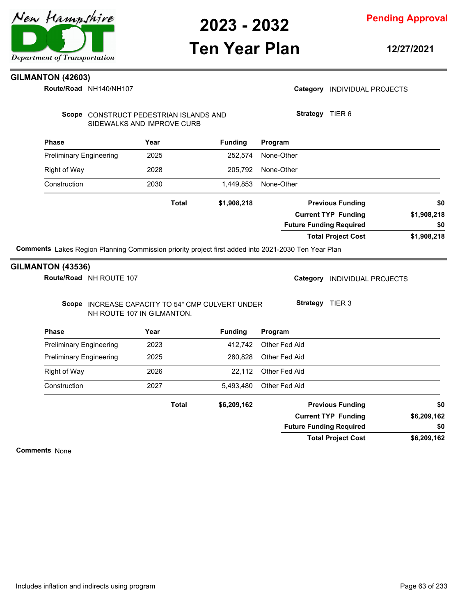### **Pending Approval**

## **Ten Year Plan**

**12/27/2021**

### **GILMANTON (42603)**

NH140/NH107 **Route/Road**

|                                | Route/Road NH140/NH107                                               |              |                                                  | Category INDIVIDUAL PROJECTS   |             |
|--------------------------------|----------------------------------------------------------------------|--------------|--------------------------------------------------|--------------------------------|-------------|
|                                | Scope CONSTRUCT PEDESTRIAN ISLANDS AND<br>SIDEWALKS AND IMPROVE CURB |              |                                                  | Strategy TIER 6                |             |
| <b>Phase</b>                   |                                                                      | Year         | <b>Funding</b>                                   | Program                        |             |
| <b>Preliminary Engineering</b> |                                                                      | 2025         | 252,574                                          | None-Other                     |             |
| Right of Way                   |                                                                      | 2028         | 205,792                                          | None-Other                     |             |
| Construction                   |                                                                      | 2030         | 1,449,853                                        | None-Other                     |             |
|                                |                                                                      | <b>Total</b> | \$1,908,218                                      | <b>Previous Funding</b>        | \$0         |
|                                |                                                                      |              |                                                  | <b>Current TYP Funding</b>     | \$1,908,218 |
|                                |                                                                      |              |                                                  | <b>Future Funding Required</b> | \$0         |
|                                |                                                                      |              |                                                  | <b>Total Project Cost</b>      | \$1,908,218 |
|                                | NH ROUTE 107 IN GILMANTON.                                           |              | Scope INCREASE CAPACITY TO 54" CMP CULVERT UNDER | Strategy TIER 3                |             |
| Phase                          |                                                                      | Year         | <b>Funding</b>                                   | Program                        |             |
| <b>Preliminary Engineering</b> |                                                                      | 2023         | 412,742                                          | Other Fed Aid                  |             |
| <b>Preliminary Engineering</b> |                                                                      | 2025         | 280,828                                          | Other Fed Aid                  |             |
| <b>Right of Way</b>            |                                                                      | 2026         | 22,112                                           | Other Fed Aid                  |             |
| Construction                   |                                                                      |              |                                                  |                                |             |
|                                |                                                                      | 2027         | 5,493,480                                        | Other Fed Aid                  |             |
|                                |                                                                      | <b>Total</b> | \$6,209,162                                      | <b>Previous Funding</b>        | \$0         |
|                                |                                                                      |              |                                                  | <b>Current TYP Funding</b>     | \$6,209,162 |
|                                |                                                                      |              |                                                  | <b>Future Funding Required</b> | \$0         |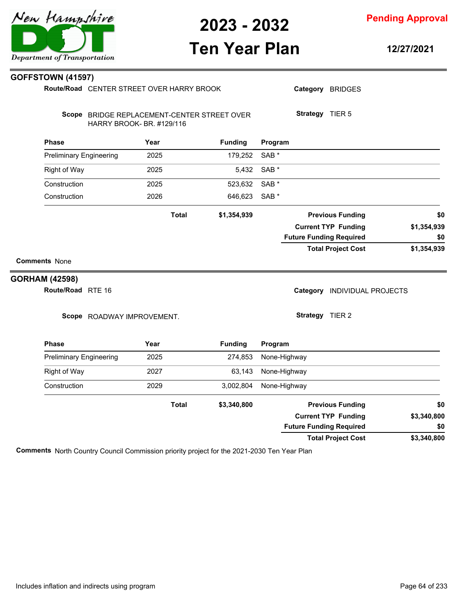

# **Ten Year Plan**

**Pending Approval**

**12/27/2021**

|                       | <b>GOFFSTOWN (41597)</b>       |                                                                          |              |                |                  |                                |                            |             |
|-----------------------|--------------------------------|--------------------------------------------------------------------------|--------------|----------------|------------------|--------------------------------|----------------------------|-------------|
|                       |                                | Route/Road CENTER STREET OVER HARRY BROOK                                |              |                |                  |                                | Category BRIDGES           |             |
|                       |                                | Scope BRIDGE REPLACEMENT-CENTER STREET OVER<br>HARRY BROOK- BR. #129/116 |              |                |                  | Strategy TIER 5                |                            |             |
|                       | <b>Phase</b>                   | Year                                                                     |              | <b>Funding</b> | Program          |                                |                            |             |
|                       | <b>Preliminary Engineering</b> | 2025                                                                     |              | 179,252        | SAB <sup>*</sup> |                                |                            |             |
|                       | Right of Way                   | 2025                                                                     |              | 5,432          | SAB <sup>*</sup> |                                |                            |             |
|                       | Construction                   | 2025                                                                     |              | 523,632        | SAB <sup>*</sup> |                                |                            |             |
|                       | Construction                   | 2026                                                                     |              | 646,623        | SAB <sup>*</sup> |                                |                            |             |
|                       |                                |                                                                          | <b>Total</b> | \$1,354,939    |                  |                                | <b>Previous Funding</b>    | \$0         |
|                       |                                |                                                                          |              |                |                  |                                | <b>Current TYP Funding</b> | \$1,354,939 |
|                       |                                |                                                                          |              |                |                  | <b>Future Funding Required</b> |                            | \$0         |
| <b>Comments None</b>  |                                |                                                                          |              |                |                  |                                | <b>Total Project Cost</b>  | \$1,354,939 |
| <b>GORHAM (42598)</b> |                                |                                                                          |              |                |                  |                                |                            |             |
|                       | Route/Road RTE 16              |                                                                          |              |                |                  | Category                       | <b>INDIVIDUAL PROJECTS</b> |             |
|                       |                                | Scope ROADWAY IMPROVEMENT.                                               |              |                |                  | Strategy TIER 2                |                            |             |
|                       | <b>Phase</b>                   | Year                                                                     |              | <b>Funding</b> | Program          |                                |                            |             |
|                       | <b>Preliminary Engineering</b> | 2025                                                                     |              | 274,853        |                  | None-Highway                   |                            |             |
|                       | Right of Way                   | 2027                                                                     |              | 63,143         |                  | None-Highway                   |                            |             |
|                       | Construction                   | 2029                                                                     |              | 3,002,804      |                  | None-Highway                   |                            |             |
|                       |                                |                                                                          |              |                |                  |                                |                            |             |

**\$3,340,800 Previous Funding \$0 Current TYP Funding Future Funding Required Total**

**\$3,340,800 Total Project Cost**

**\$3,340,800**

**\$0**

**Comments** North Country Council Commission priority project for the 2021-2030 Ten Year Plan

New Hampshire Department of Transportation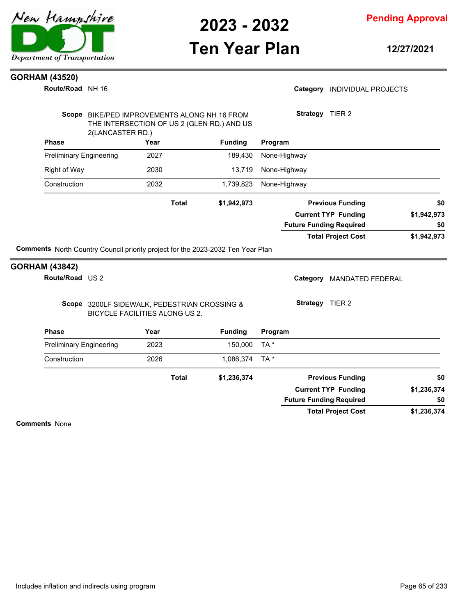

**Pending Approval**

## **Ten Year Plan**

**12/27/2021**

Category **INDIVIDUAL PROJECTS** 

#### **GORHAM (43520)**

**Route/Road** NH 16

|                                                                                        | BIKE/PED IMPROVEMENTS ALONG NH 16 FROM                                                |                | Strategy TIER 2                |             |
|----------------------------------------------------------------------------------------|---------------------------------------------------------------------------------------|----------------|--------------------------------|-------------|
| 2(LANCASTER RD.)                                                                       | THE INTERSECTION OF US 2 (GLEN RD.) AND US                                            |                |                                |             |
| <b>Phase</b>                                                                           | Year                                                                                  | <b>Funding</b> | Program                        |             |
| <b>Preliminary Engineering</b>                                                         | 2027                                                                                  | 189,430        | None-Highway                   |             |
| <b>Right of Way</b>                                                                    | 2030                                                                                  | 13,719         | None-Highway                   |             |
| Construction                                                                           | 2032                                                                                  | 1,739,823      | None-Highway                   |             |
|                                                                                        | <b>Total</b>                                                                          | \$1,942,973    | <b>Previous Funding</b>        | \$0         |
|                                                                                        |                                                                                       |                | <b>Current TYP Funding</b>     | \$1,942,973 |
|                                                                                        |                                                                                       |                | <b>Future Funding Required</b> | \$0         |
|                                                                                        |                                                                                       |                | <b>Total Project Cost</b>      | \$1,942,973 |
| <b>Comments</b> North Country Council priority project for the 2023-2032 Ten Year Plan |                                                                                       |                |                                |             |
|                                                                                        |                                                                                       |                | Category MANDATED FEDERAL      |             |
| <b>GORHAM (43842)</b><br>Route/Road US 2                                               | Scope 3200LF SIDEWALK, PEDESTRIAN CROSSING &<br><b>BICYCLE FACILITIES ALONG US 2.</b> |                | Strategy TIER 2                |             |
|                                                                                        | Year                                                                                  | <b>Funding</b> | Program                        |             |
| <b>Phase</b><br><b>Preliminary Engineering</b>                                         | 2023                                                                                  | 150,000        | TA *                           |             |
|                                                                                        | 2026                                                                                  | 1,086,374      | $TA^*$                         |             |
|                                                                                        | <b>Total</b>                                                                          | \$1,236,374    | <b>Previous Funding</b>        | \$0         |
| Construction                                                                           |                                                                                       |                | <b>Current TYP Funding</b>     | \$1,236,374 |
|                                                                                        |                                                                                       |                | <b>Future Funding Required</b> | \$0         |

**Comments** None

**GORHAM (43842)**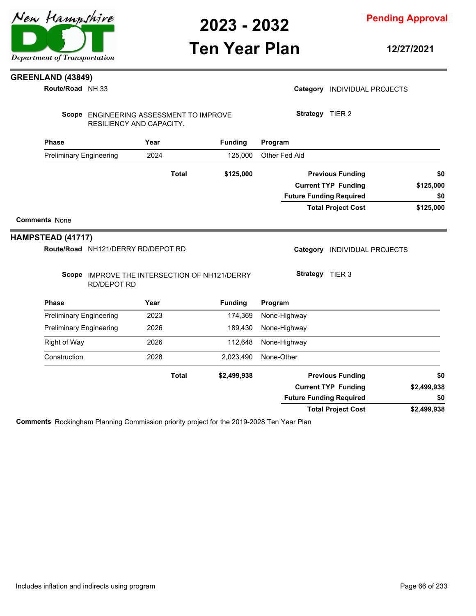### **Pending Approval**

# **Ten Year Plan**

**12/27/2021**

### **GREENLAND (43849)**

NH 33 **Route/Road**

|                                |                                    | Scope ENGINEERING ASSESSMENT TO IMPROVE       |                | Strategy TIER 2                        |                           |
|--------------------------------|------------------------------------|-----------------------------------------------|----------------|----------------------------------------|---------------------------|
|                                | RESILIENCY AND CAPACITY.           |                                               |                |                                        |                           |
| <b>Phase</b>                   |                                    | Year                                          | <b>Funding</b> | Program                                |                           |
| <b>Preliminary Engineering</b> |                                    | 2024                                          | 125,000        | Other Fed Aid                          |                           |
|                                |                                    | <b>Total</b>                                  | \$125,000      | <b>Previous Funding</b>                | \$0                       |
|                                |                                    |                                               |                | <b>Current TYP Funding</b>             | \$125,000                 |
|                                |                                    |                                               |                | <b>Future Funding Required</b>         | \$0                       |
|                                |                                    |                                               |                | <b>Total Project Cost</b>              | \$125,000                 |
| <b>Comments None</b>           |                                    |                                               |                |                                        |                           |
|                                |                                    |                                               |                |                                        |                           |
|                                |                                    |                                               |                |                                        |                           |
| HAMPSTEAD (41717)              |                                    |                                               |                |                                        |                           |
|                                | Route/Road NH121/DERRY RD/DEPOT RD |                                               |                | Category<br><b>INDIVIDUAL PROJECTS</b> |                           |
|                                |                                    |                                               |                |                                        |                           |
|                                | <b>RD/DEPOT RD</b>                 | Scope IMPROVE THE INTERSECTION OF NH121/DERRY |                | Strategy TIER 3                        |                           |
| <b>Phase</b>                   |                                    | Year                                          | <b>Funding</b> | Program                                |                           |
| <b>Preliminary Engineering</b> |                                    | 2023                                          | 174,369        | None-Highway                           |                           |
| <b>Preliminary Engineering</b> |                                    | 2026                                          | 189,430        | None-Highway                           |                           |
| Right of Way                   |                                    | 2026                                          | 112,648        | None-Highway                           |                           |
| Construction                   |                                    | 2028                                          | 2,023,490      | None-Other                             |                           |
|                                |                                    | <b>Total</b>                                  | \$2,499,938    | <b>Previous Funding</b>                |                           |
|                                |                                    |                                               |                | <b>Current TYP Funding</b>             |                           |
|                                |                                    |                                               |                | <b>Future Funding Required</b>         | \$0<br>\$2,499,938<br>\$0 |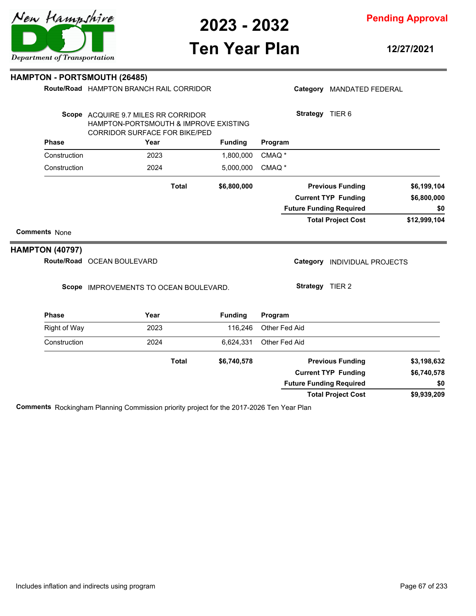# **Ten Year Plan**

|                        | <b>HAMPTON - PORTSMOUTH (26485)</b>                                                                                  |              |                |                   |                 |                                |              |
|------------------------|----------------------------------------------------------------------------------------------------------------------|--------------|----------------|-------------------|-----------------|--------------------------------|--------------|
|                        | Route/Road HAMPTON BRANCH RAIL CORRIDOR                                                                              |              |                |                   |                 | Category MANDATED FEDERAL      |              |
|                        | Scope ACQUIRE 9.7 MILES RR CORRIDOR<br>HAMPTON-PORTSMOUTH & IMPROVE EXISTING<br><b>CORRIDOR SURFACE FOR BIKE/PED</b> |              |                |                   | Strategy TIER 6 |                                |              |
| <b>Phase</b>           | Year                                                                                                                 |              | <b>Funding</b> | Program           |                 |                                |              |
| Construction           | 2023                                                                                                                 |              | 1,800,000      | CMAQ <sup>*</sup> |                 |                                |              |
| Construction           | 2024                                                                                                                 |              | 5,000,000      | CMAQ <sup>*</sup> |                 |                                |              |
|                        |                                                                                                                      | <b>Total</b> | \$6,800,000    |                   |                 | <b>Previous Funding</b>        | \$6,199,104  |
|                        |                                                                                                                      |              |                |                   |                 | <b>Current TYP Funding</b>     | \$6,800,000  |
|                        |                                                                                                                      |              |                |                   |                 | <b>Future Funding Required</b> | \$0          |
|                        |                                                                                                                      |              |                |                   |                 | <b>Total Project Cost</b>      | \$12,999,104 |
| <b>Comments None</b>   |                                                                                                                      |              |                |                   |                 |                                |              |
| <b>HAMPTON (40797)</b> |                                                                                                                      |              |                |                   |                 |                                |              |
|                        | Route/Road OCEAN BOULEVARD                                                                                           |              |                |                   |                 | Category INDIVIDUAL PROJECTS   |              |
|                        | Scope IMPROVEMENTS TO OCEAN BOULEVARD.                                                                               |              |                |                   | Strategy TIER 2 |                                |              |
| <b>Phase</b>           | Year                                                                                                                 |              | <b>Funding</b> | Program           |                 |                                |              |
| <b>Right of Way</b>    | 2023                                                                                                                 |              | 116,246        | Other Fed Aid     |                 |                                |              |
| Construction           | 2024                                                                                                                 |              | 6,624,331      | Other Fed Aid     |                 |                                |              |
|                        |                                                                                                                      | <b>Total</b> | \$6,740,578    |                   |                 | <b>Previous Funding</b>        | \$3,198,632  |
|                        |                                                                                                                      |              |                |                   |                 | <b>Current TYP Funding</b>     | \$6.740.578  |

**Comments** Rockingham Planning Commission priority project for the 2017-2026 Ten Year Plan

# Department of Transportation

New Hampshire

**12/27/2021**

**\$9,939,209**

**\$0**

**Total Project Cost**

**Future Funding Required**

**Pending Approval**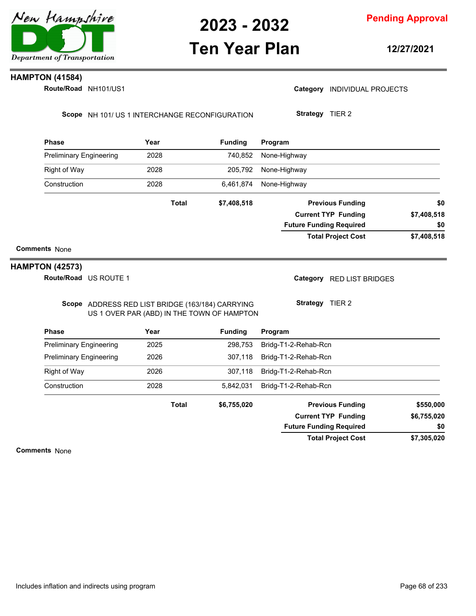

### **Ten Year Plan**

**Pending Approval**

**12/27/2021**

#### **HAMPTON (41584)**

**Route/Road NH101/US1** 

Category **INDIVIDUAL PROJECTS** 

Scope NH 101/ US 1 INTERCHANGE RECONFIGURATION

**Strategy** TIER 2

| <b>Phase</b>                   | Year         | <b>Funding</b> | Program                        |             |
|--------------------------------|--------------|----------------|--------------------------------|-------------|
| <b>Preliminary Engineering</b> | 2028         | 740,852        | None-Highway                   |             |
| Right of Way                   | 2028         | 205,792        | None-Highway                   |             |
| Construction                   | 2028         | 6,461,874      | None-Highway                   |             |
|                                | <b>Total</b> | \$7,408,518    | <b>Previous Funding</b>        | \$0         |
|                                |              |                | <b>Current TYP Funding</b>     | \$7,408,518 |
|                                |              |                | <b>Future Funding Required</b> | \$0         |
|                                |              |                | <b>Total Project Cost</b>      | \$7,408,518 |

#### **Comments** None

#### **HAMPTON (42573)**

**Route/Road** US ROUTE 1

Category RED LIST BRIDGES

**Strategy** TIER 2

Scope ADDRESS RED LIST BRIDGE (163/184) CARRYING US 1 OVER PAR (ABD) IN THE TOWN OF HAMPTON

**Phase Year Funding Program** Preliminary Engineering 2025 298,753 Bridg-T1-2-Rehab-Rcn Preliminary Engineering 2026 307,118 Bridg-T1-2-Rehab-Rcn Right of Way 2026 307,118 Bridg-T1-2-Rehab-Rcn Construction 2028 5,842,031 Bridg-T1-2-Rehab-Rcn **\$7,305,020 \$6,755,020 \$6,755,020 Previous Funding \$550,000 Current TYP Funding Total Project Cost Future Funding Required Total \$0**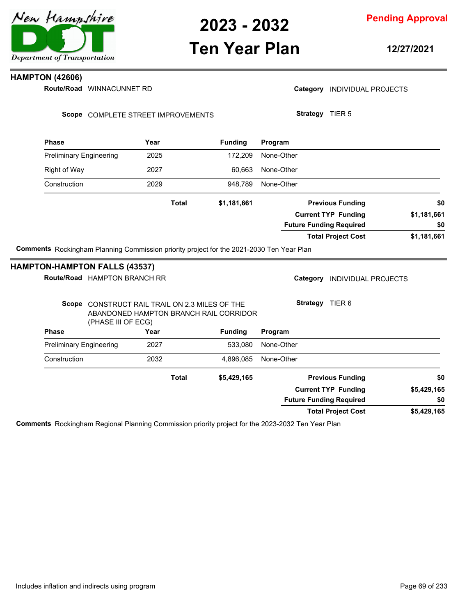

### **Ten Year Plan**

**12/27/2021**

#### **HAMPTON (42606)**

Route/Road WINNACUNNET RD

Category **INDIVIDUAL PROJECTS** 

**Strategy** TIER 5

Scope COMPLETE STREET IMPROVEMENTS

| <b>Phase</b>                                                                             | Year         | <b>Funding</b> | Program                        |             |  |
|------------------------------------------------------------------------------------------|--------------|----------------|--------------------------------|-------------|--|
| <b>Preliminary Engineering</b>                                                           | 2025         | 172.209        | None-Other                     |             |  |
| Right of Way                                                                             | 2027         | 60.663         | None-Other                     |             |  |
| Construction                                                                             | 2029         | 948.789        | None-Other                     |             |  |
|                                                                                          | <b>Total</b> | \$1,181,661    | <b>Previous Funding</b>        | \$0         |  |
|                                                                                          |              |                | <b>Current TYP Funding</b>     | \$1,181,661 |  |
|                                                                                          |              |                | <b>Future Funding Required</b> | \$0         |  |
|                                                                                          |              |                | <b>Total Project Cost</b>      | \$1,181,661 |  |
| Comments Rockingham Planning Commission priority project for the 2021-2030 Ten Year Plan |              |                |                                |             |  |

### **HAMPTON-HAMPTON FALLS (43537)**

|             |                            |                                                              |                              |                                                                                    | <b>PIN-LIAINE LON LALLS (49997)</b> |              |  |
|-------------|----------------------------|--------------------------------------------------------------|------------------------------|------------------------------------------------------------------------------------|-------------------------------------|--------------|--|
|             | <b>INDIVIDUAL PROJECTS</b> | Category                                                     | Route/Road HAMPTON BRANCH RR |                                                                                    |                                     |              |  |
|             | TIER <sub>6</sub>          | <b>Strategy</b>                                              |                              | CONSTRUCT RAIL TRAIL ON 2.3 MILES OF THE<br>ABANDONED HAMPTON BRANCH RAIL CORRIDOR | (PHASE III OF ECG)                  | Scope        |  |
|             |                            | Program                                                      | <b>Funding</b>               | Year                                                                               |                                     | <b>Phase</b> |  |
|             |                            | None-Other                                                   | 533.080                      | 2027                                                                               | <b>Preliminary Engineering</b>      |              |  |
|             |                            | None-Other                                                   | 4,896,085                    | 2032                                                                               |                                     | Construction |  |
| \$0         | <b>Previous Funding</b>    |                                                              | \$5,429,165                  | <b>Total</b>                                                                       |                                     |              |  |
| \$5,429,165 |                            | <b>Current TYP Funding</b><br><b>Future Funding Required</b> |                              |                                                                                    |                                     |              |  |
| \$0         |                            |                                                              |                              |                                                                                    |                                     |              |  |
| \$5,429,165 | <b>Total Project Cost</b>  |                                                              |                              |                                                                                    |                                     |              |  |
|             |                            |                                                              |                              |                                                                                    |                                     |              |  |

**Comments** Rockingham Regional Planning Commission priority project for the 2023-2032 Ten Year Plan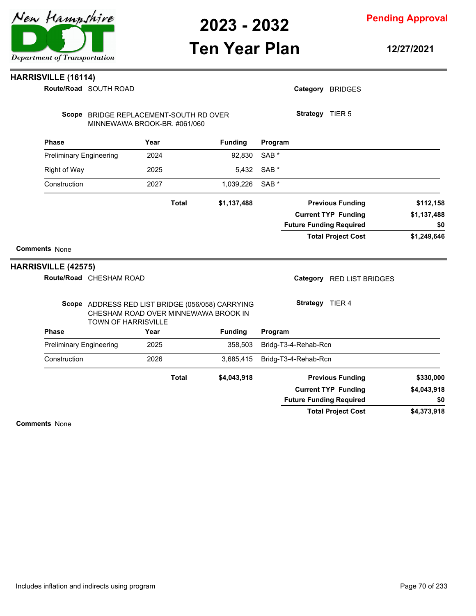# **Ten Year Plan**

**Pending Approval**

**12/27/2021**

| <b>HARRISVILLE (16114)</b> |                                                                                                                        |              |                |                  |                                |             |
|----------------------------|------------------------------------------------------------------------------------------------------------------------|--------------|----------------|------------------|--------------------------------|-------------|
|                            | Route/Road SOUTH ROAD                                                                                                  |              |                |                  | Category BRIDGES               |             |
|                            | Scope BRIDGE REPLACEMENT-SOUTH RD OVER<br>MINNEWAWA BROOK-BR. #061/060                                                 |              |                |                  | Strategy TIER 5                |             |
| <b>Phase</b>               |                                                                                                                        | Year         | <b>Funding</b> | Program          |                                |             |
|                            | <b>Preliminary Engineering</b>                                                                                         | 2024         | 92,830         | SAB <sup>*</sup> |                                |             |
| Right of Way               |                                                                                                                        | 2025         | 5,432          | SAB *            |                                |             |
| Construction               |                                                                                                                        | 2027         | 1,039,226      | SAB <sup>*</sup> |                                |             |
|                            |                                                                                                                        | <b>Total</b> | \$1,137,488    |                  | <b>Previous Funding</b>        | \$112,158   |
|                            |                                                                                                                        |              |                |                  | <b>Current TYP Funding</b>     | \$1,137,488 |
|                            |                                                                                                                        |              |                |                  | <b>Future Funding Required</b> | \$0         |
|                            |                                                                                                                        |              |                |                  | <b>Total Project Cost</b>      | \$1,249,646 |
| <b>Comments None</b>       |                                                                                                                        |              |                |                  |                                |             |
| <b>HARRISVILLE (42575)</b> | Route/Road CHESHAM ROAD                                                                                                |              |                |                  | Category RED LIST BRIDGES      |             |
|                            | Scope ADDRESS RED LIST BRIDGE (056/058) CARRYING<br>CHESHAM ROAD OVER MINNEWAWA BROOK IN<br><b>TOWN OF HARRISVILLE</b> |              |                | Strategy TIER 4  |                                |             |
| <b>Phase</b>               |                                                                                                                        | Year         | <b>Funding</b> | Program          |                                |             |
|                            | <b>Preliminary Engineering</b>                                                                                         | 2025         | 358,503        |                  | Bridg-T3-4-Rehab-Rcn           |             |
| Construction               |                                                                                                                        | 2026         | 3,685,415      |                  | Bridg-T3-4-Rehab-Rcn           |             |
|                            |                                                                                                                        | <b>Total</b> | \$4,043,918    |                  | <b>Previous Funding</b>        | \$330,000   |
|                            |                                                                                                                        |              |                |                  | <b>Current TYP Funding</b>     | \$4,043,918 |
|                            |                                                                                                                        |              |                |                  | <b>Future Funding Required</b> | \$0         |
|                            |                                                                                                                        |              |                |                  | <b>Total Project Cost</b>      | \$4,373,918 |
| <b>Comments None</b>       |                                                                                                                        |              |                |                  |                                |             |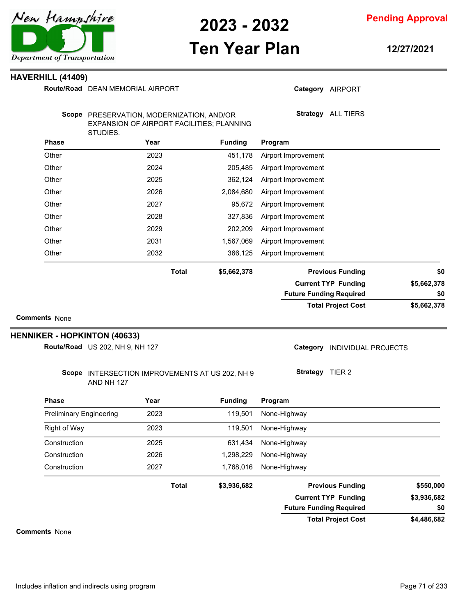

**Pending Approval**

# **Ten Year Plan**

**12/27/2021**

#### **HAVERHILL (41409)**

|                                | Route/Road DEAN MEMORIAL AIRPORT                                                                   |              |                    | Category AIRPORT               |             |  |
|--------------------------------|----------------------------------------------------------------------------------------------------|--------------|--------------------|--------------------------------|-------------|--|
|                                | Scope PRESERVATION, MODERNIZATION, AND/OR<br>EXPANSION OF AIRPORT FACILITIES; PLANNING<br>STUDIES. |              | Strategy ALL TIERS |                                |             |  |
| <b>Phase</b>                   | Year                                                                                               |              | <b>Funding</b>     | Program                        |             |  |
| Other                          | 2023                                                                                               |              | 451,178            | Airport Improvement            |             |  |
| Other                          | 2024                                                                                               |              | 205,485            | Airport Improvement            |             |  |
| Other                          | 2025                                                                                               |              | 362,124            | Airport Improvement            |             |  |
| Other                          | 2026                                                                                               |              | 2,084,680          | Airport Improvement            |             |  |
| Other                          | 2027                                                                                               |              | 95,672             | Airport Improvement            |             |  |
| Other                          | 2028                                                                                               |              | 327,836            | Airport Improvement            |             |  |
| Other                          | 2029                                                                                               |              | 202,209            | Airport Improvement            |             |  |
| Other                          | 2031                                                                                               |              | 1,567,069          | Airport Improvement            |             |  |
| Other                          | 2032                                                                                               |              | 366,125            | Airport Improvement            |             |  |
|                                |                                                                                                    | <b>Total</b> | \$5,662,378        | <b>Previous Funding</b>        | \$0         |  |
|                                |                                                                                                    |              |                    | <b>Current TYP Funding</b>     | \$5,662,378 |  |
|                                |                                                                                                    |              |                    | <b>Future Funding Required</b> | \$0         |  |
| <b>Comments None</b>           |                                                                                                    |              |                    | <b>Total Project Cost</b>      | \$5,662,378 |  |
|                                | <b>HENNIKER - HOPKINTON (40633)</b><br>Route/Road US 202, NH 9, NH 127                             |              |                    | Category INDIVIDUAL PROJECTS   |             |  |
|                                | Scope INTERSECTION IMPROVEMENTS AT US 202, NH 9<br>AND NH 127                                      |              |                    | Strategy TIER 2                |             |  |
| <b>Phase</b>                   | Year                                                                                               |              | <b>Funding</b>     | Program                        |             |  |
| <b>Preliminary Engineering</b> | 2023                                                                                               |              | 119,501            | None-Highway                   |             |  |
| Right of Way                   | 2023                                                                                               |              | 119,501            | None-Highway                   |             |  |
| Construction                   | 2025                                                                                               |              | 631,434            | None-Highway                   |             |  |
| Construction                   | 2026                                                                                               |              | 1,298,229          | None-Highway                   |             |  |
| Construction                   | 2027                                                                                               |              | 1,768,016          | None-Highway                   |             |  |
|                                |                                                                                                    |              |                    |                                |             |  |
|                                |                                                                                                    | <b>Total</b> | \$3,936,682        | <b>Previous Funding</b>        | \$550,000   |  |
|                                |                                                                                                    |              |                    | <b>Current TYP Funding</b>     | \$3,936,682 |  |
|                                |                                                                                                    |              |                    | <b>Future Funding Required</b> | \$0         |  |
|                                |                                                                                                    |              |                    | <b>Total Project Cost</b>      | \$4,486,682 |  |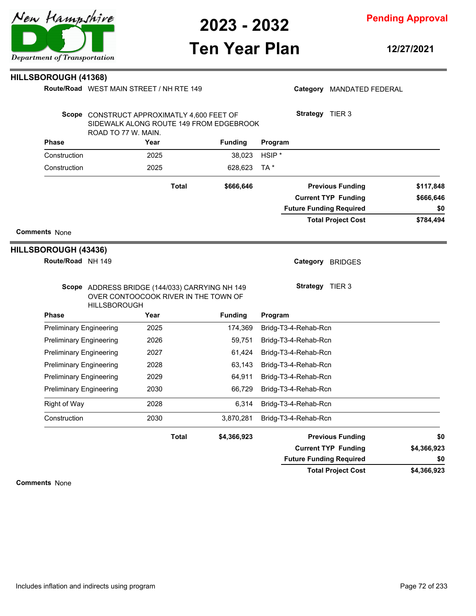

**Ten Year Plan**

#### **Pending Approval**

**12/27/2021**

#### **HILLSBOROUGH (41368)**

**Route/Road** WEST MAIN STREET / NH RTE 149

|                                              | ROAD TO 77 W. MAIN.            | Scope CONSTRUCT APPROXIMATLY 4,600 FEET OF<br>SIDEWALK ALONG ROUTE 149 FROM EDGEBROOK  |                | Strategy<br>TIER 3                                           |                  |
|----------------------------------------------|--------------------------------|----------------------------------------------------------------------------------------|----------------|--------------------------------------------------------------|------------------|
| <b>Phase</b>                                 |                                | Year                                                                                   | <b>Funding</b> | Program                                                      |                  |
| Construction                                 |                                | 2025                                                                                   | 38,023         | $HSIP^*$                                                     |                  |
| Construction                                 |                                | 2025                                                                                   | 628,623        | TA *                                                         |                  |
|                                              |                                | <b>Total</b>                                                                           | \$666,646      | <b>Previous Funding</b>                                      | \$117,848        |
|                                              |                                |                                                                                        |                | <b>Current TYP Funding</b><br><b>Future Funding Required</b> | \$666,646<br>\$0 |
|                                              |                                |                                                                                        |                | <b>Total Project Cost</b>                                    | \$784,494        |
| <b>Comments None</b><br>HILLSBOROUGH (43436) |                                |                                                                                        |                |                                                              |                  |
|                                              | Route/Road NH 149              |                                                                                        |                | Category<br><b>BRIDGES</b>                                   |                  |
|                                              | <b>HILLSBOROUGH</b>            | Scope ADDRESS BRIDGE (144/033) CARRYING NH 149<br>OVER CONTOOCOOK RIVER IN THE TOWN OF |                | <b>Strategy</b><br>TIER 3                                    |                  |
| <b>Phase</b>                                 |                                | Year                                                                                   | <b>Funding</b> | Program                                                      |                  |
|                                              | <b>Preliminary Engineering</b> | 2025                                                                                   | 174,369        | Bridg-T3-4-Rehab-Rcn                                         |                  |
|                                              | <b>Preliminary Engineering</b> | 2026                                                                                   | 59,751         | Bridg-T3-4-Rehab-Rcn                                         |                  |
|                                              | <b>Preliminary Engineering</b> | 2027                                                                                   | 61,424         | Bridg-T3-4-Rehab-Rcn                                         |                  |
|                                              | <b>Preliminary Engineering</b> | 2028                                                                                   | 63.143         | Bridg-T3-4-Rehab-Rcn                                         |                  |
|                                              | <b>Preliminary Engineering</b> | 2029                                                                                   | 64,911         | Bridg-T3-4-Rehab-Rcn                                         |                  |

Preliminary Engineering 2030 66,729 Bridg-T3-4-Rehab-Rcn Right of Way 2028 2028 6,314 Bridg-T3-4-Rehab-Rcn Construction 2030 3,870,281 Bridg-T3-4-Rehab-Rcn

**Total**

#### **Comments** None

**\$4,366,923**

**\$4,366,923**

**\$0**



| Category MANDATED FEDERAL |
|---------------------------|
|                           |

**\$4,366,923 Previous Funding \$0 Current TYP Funding**

**Future Funding Required**

**Total Project Cost**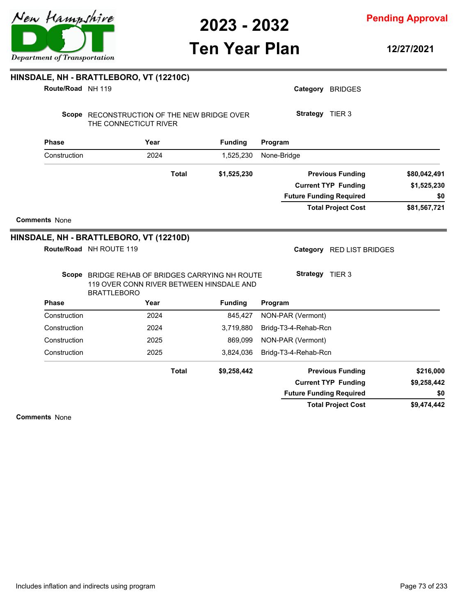**Pending Approval**

| Route/Road NH 119    |                                                                                                                   |              |                | Category BRIDGES               |              |
|----------------------|-------------------------------------------------------------------------------------------------------------------|--------------|----------------|--------------------------------|--------------|
|                      | Scope RECONSTRUCTION OF THE NEW BRIDGE OVER<br>THE CONNECTICUT RIVER                                              |              |                | Strategy TIER 3                |              |
| <b>Phase</b>         | Year                                                                                                              |              | <b>Funding</b> | Program                        |              |
| Construction         | 2024                                                                                                              |              | 1,525,230      | None-Bridge                    |              |
|                      |                                                                                                                   | <b>Total</b> | \$1,525,230    | <b>Previous Funding</b>        | \$80,042,491 |
|                      |                                                                                                                   |              |                | <b>Current TYP Funding</b>     | \$1,525,230  |
|                      |                                                                                                                   |              |                | <b>Future Funding Required</b> | \$0          |
|                      |                                                                                                                   |              |                | <b>Total Project Cost</b>      | \$81,567,721 |
| <b>Comments None</b> |                                                                                                                   |              |                |                                |              |
|                      | HINSDALE, NH - BRATTLEBORO, VT (12210D)                                                                           |              |                |                                |              |
|                      | Route/Road NH ROUTE 119                                                                                           |              |                | Category RED LIST BRIDGES      |              |
|                      | Scope BRIDGE REHAB OF BRIDGES CARRYING NH ROUTE<br>119 OVER CONN RIVER BETWEEN HINSDALE AND<br><b>BRATTLEBORO</b> |              |                | Strategy TIER 3                |              |
| <b>Phase</b>         | Year                                                                                                              |              | <b>Funding</b> | Program                        |              |
| Construction         | 2024                                                                                                              |              | 845,427        | NON-PAR (Vermont)              |              |
| Construction         | 2024                                                                                                              |              | 3,719,880      | Bridg-T3-4-Rehab-Rcn           |              |
| Construction         | 2025                                                                                                              |              | 869,099        | NON-PAR (Vermont)              |              |
| Construction         | 2025                                                                                                              |              | 3,824,036      | Bridg-T3-4-Rehab-Rcn           |              |
|                      |                                                                                                                   | <b>Total</b> | \$9,258,442    | <b>Previous Funding</b>        | \$216,000    |
|                      |                                                                                                                   |              |                | <b>Current TYP Funding</b>     | \$9,258,442  |
|                      |                                                                                                                   |              |                | <b>Future Funding Required</b> | \$0          |
|                      |                                                                                                                   |              |                | <b>Total Project Cost</b>      | \$9,474,442  |
| <b>Comments None</b> |                                                                                                                   |              |                |                                |              |
|                      |                                                                                                                   |              |                |                                |              |

**HINSDALE, NH - BRATTLEBORO, VT (12210C)**

**12/27/2021**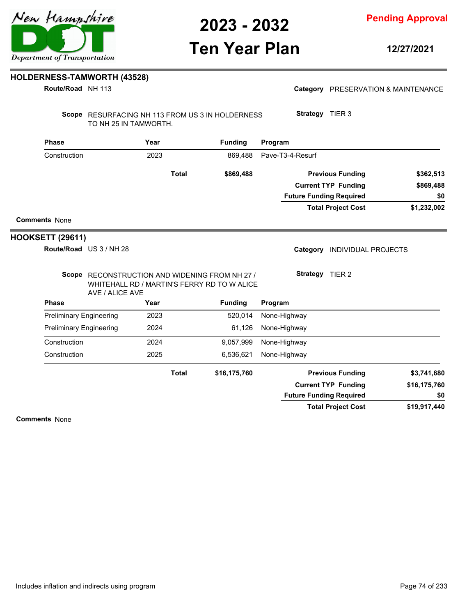### **Ten Year Plan**

**12/27/2021**

#### **HOLDERNESS-TAMWORTH (43528)**

**Route/Road** NH 113

| Category PRESERVATION & MAINTENANCE |  |
|-------------------------------------|--|
|                                     |  |

Scope RESURFACING NH 113 FROM US 3 IN HOLDERNESS TO NH 25 IN TAMWORTH.

| <b>Phase</b>         | Year  | <b>Funding</b> | Program                        |             |
|----------------------|-------|----------------|--------------------------------|-------------|
| Construction         | 2023  | 869.488        | Pave-T3-4-Resurf               |             |
|                      | Total | \$869,488      | <b>Previous Funding</b>        | \$362,513   |
|                      |       |                | <b>Current TYP Funding</b>     | \$869,488   |
|                      |       |                | <b>Future Funding Required</b> | \$0         |
|                      |       |                | <b>Total Project Cost</b>      | \$1,232,002 |
| <b>Comments None</b> |       |                |                                |             |

#### **HOOKSETT (29611)**

US 3 / NH 28 **Route/Road**

Category **INDIVIDUAL PROJECTS** 

Scope RECONSTRUCTION AND WIDENING FROM NH 27 / WHITEHALL RD / MARTIN'S FERRY RD TO W ALICE **Strategy** TIER 2

**Strategy** TIER 3

| AVE / ALICE AVE                |              |                |                                |              |
|--------------------------------|--------------|----------------|--------------------------------|--------------|
| <b>Phase</b>                   | Year         | <b>Funding</b> | Program                        |              |
| <b>Preliminary Engineering</b> | 2023         | 520.014        | None-Highway                   |              |
| <b>Preliminary Engineering</b> | 2024         | 61,126         | None-Highway                   |              |
| Construction                   | 2024         | 9,057,999      | None-Highway                   |              |
| Construction                   | 2025         | 6,536,621      | None-Highway                   |              |
|                                | <b>Total</b> | \$16,175,760   | <b>Previous Funding</b>        | \$3,741,680  |
|                                |              |                | <b>Current TYP Funding</b>     | \$16,175,760 |
|                                |              |                | <b>Future Funding Required</b> | \$0          |
|                                |              |                | <b>Total Project Cost</b>      | \$19,917,440 |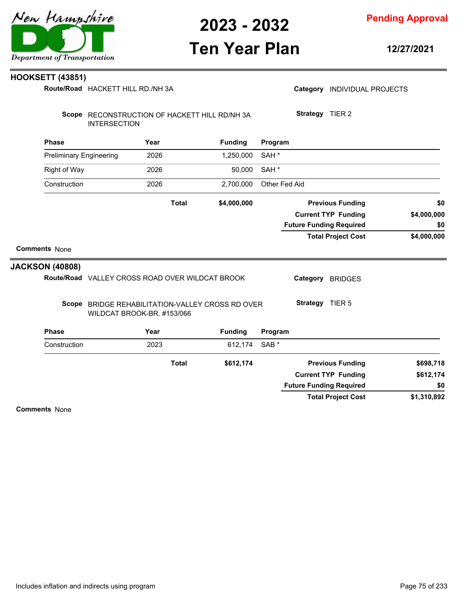



### **Ten Year Plan**

**12/27/2021**

#### **HOOKSETT (43851)**

**Route/Road** HACKETT HILL RD./NH 3A

|                                | <b>INTERSECTION</b>                                                            |      |              |                |                  |                 |                                |             |
|--------------------------------|--------------------------------------------------------------------------------|------|--------------|----------------|------------------|-----------------|--------------------------------|-------------|
| <b>Phase</b>                   |                                                                                | Year |              | <b>Funding</b> | Program          |                 |                                |             |
| <b>Preliminary Engineering</b> |                                                                                | 2026 |              | 1,250,000      | SAH <sup>*</sup> |                 |                                |             |
| <b>Right of Way</b>            |                                                                                | 2026 |              | 50,000         | SAH <sup>*</sup> |                 |                                |             |
| Construction                   |                                                                                | 2026 |              | 2,700,000      | Other Fed Aid    |                 |                                |             |
|                                |                                                                                |      | <b>Total</b> | \$4,000,000    |                  |                 | <b>Previous Funding</b>        | \$0         |
|                                |                                                                                |      |              |                |                  |                 | <b>Current TYP Funding</b>     | \$4,000,000 |
|                                |                                                                                |      |              |                |                  |                 | <b>Future Funding Required</b> | \$0         |
|                                |                                                                                |      |              |                |                  |                 |                                |             |
|                                |                                                                                |      |              |                |                  |                 | <b>Total Project Cost</b>      | \$4,000,000 |
| <b>Comments None</b>           |                                                                                |      |              |                |                  |                 |                                |             |
|                                |                                                                                |      |              |                |                  |                 |                                |             |
| <b>JACKSON (40808)</b>         | Route/Road VALLEY CROSS ROAD OVER WILDCAT BROOK                                |      |              |                |                  |                 | Category BRIDGES               |             |
|                                | Scope BRIDGE REHABILITATION-VALLEY CROSS RD OVER<br>WILDCAT BROOK-BR. #153/066 |      |              |                |                  | Strategy TIER 5 |                                |             |
| <b>Phase</b>                   |                                                                                | Year |              | <b>Funding</b> | Program          |                 |                                |             |
| Construction                   |                                                                                | 2023 |              | 612,174        | SAB <sup>*</sup> |                 |                                |             |
|                                |                                                                                |      | <b>Total</b> | \$612,174      |                  |                 | <b>Previous Funding</b>        | \$698,718   |
|                                |                                                                                |      |              |                |                  |                 | <b>Current TYP Funding</b>     | \$612,174   |
|                                |                                                                                |      |              |                |                  |                 | <b>Future Funding Required</b> | \$0         |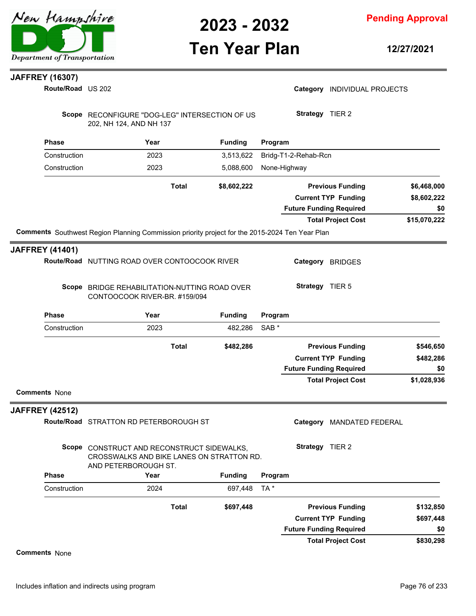

**Pending Approval**

### **Ten Year Plan**

**12/27/2021**

### **JAFFREY (16307)**

| Route/Road US 202      |                                                                                                                 |                |                  |                                | Category INDIVIDUAL PROJECTS |              |
|------------------------|-----------------------------------------------------------------------------------------------------------------|----------------|------------------|--------------------------------|------------------------------|--------------|
|                        | Scope RECONFIGURE "DOG-LEG" INTERSECTION OF US<br>202, NH 124, AND NH 137                                       |                |                  | Strategy TIER 2                |                              |              |
| <b>Phase</b>           | Year                                                                                                            | <b>Funding</b> | Program          |                                |                              |              |
| Construction           | 2023                                                                                                            | 3,513,622      |                  | Bridg-T1-2-Rehab-Rcn           |                              |              |
| Construction           | 2023                                                                                                            | 5,088,600      | None-Highway     |                                |                              |              |
|                        | <b>Total</b>                                                                                                    | \$8,602,222    |                  |                                | <b>Previous Funding</b>      | \$6,468,000  |
|                        |                                                                                                                 |                |                  |                                | <b>Current TYP Funding</b>   | \$8,602,222  |
|                        |                                                                                                                 |                |                  | <b>Future Funding Required</b> |                              | \$0          |
|                        |                                                                                                                 |                |                  |                                | <b>Total Project Cost</b>    | \$15,070,222 |
|                        | Comments Southwest Region Planning Commission priority project for the 2015-2024 Ten Year Plan                  |                |                  |                                |                              |              |
| <b>JAFFREY (41401)</b> |                                                                                                                 |                |                  |                                |                              |              |
|                        | Route/Road NUTTING ROAD OVER CONTOOCOOK RIVER                                                                   |                |                  |                                | Category BRIDGES             |              |
|                        | Scope BRIDGE REHABILITATION-NUTTING ROAD OVER<br>CONTOOCOOK RIVER-BR. #159/094                                  |                |                  | Strategy TIER 5                |                              |              |
| <b>Phase</b>           | Year                                                                                                            | <b>Funding</b> | Program          |                                |                              |              |
| Construction           | 2023                                                                                                            | 482,286        | SAB <sup>*</sup> |                                |                              |              |
|                        | <b>Total</b>                                                                                                    | \$482,286      |                  |                                | <b>Previous Funding</b>      | \$546,650    |
|                        |                                                                                                                 |                |                  |                                | <b>Current TYP Funding</b>   | \$482,286    |
|                        |                                                                                                                 |                |                  | <b>Future Funding Required</b> |                              | \$0          |
| <b>Comments None</b>   |                                                                                                                 |                |                  |                                | <b>Total Project Cost</b>    | \$1,028,936  |
| <b>JAFFREY (42512)</b> |                                                                                                                 |                |                  |                                |                              |              |
|                        | Route/Road STRATTON RD PETERBOROUGH ST                                                                          |                |                  | Category                       | <b>MANDATED FEDERAL</b>      |              |
|                        | Scope CONSTRUCT AND RECONSTRUCT SIDEWALKS,<br>CROSSWALKS AND BIKE LANES ON STRATTON RD.<br>AND PETERBOROUGH ST. |                |                  | Strategy TIER 2                |                              |              |
| <b>Phase</b>           | Year                                                                                                            | <b>Funding</b> | Program          |                                |                              |              |
| Construction           | 2024                                                                                                            | 697,448        | TA *             |                                |                              |              |
|                        | <b>Total</b>                                                                                                    | \$697,448      |                  |                                | <b>Previous Funding</b>      | \$132,850    |
|                        |                                                                                                                 |                |                  |                                | <b>Current TYP Funding</b>   | \$697,448    |
|                        |                                                                                                                 |                |                  | <b>Future Funding Required</b> |                              | \$0          |
|                        |                                                                                                                 |                |                  |                                | <b>Total Project Cost</b>    | \$830,298    |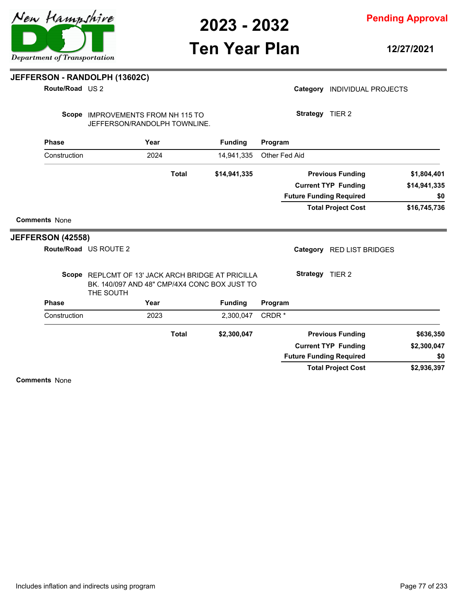**Pending Approval**

### **Ten Year Plan**

**12/27/2021**

#### **JEFFERSON - RANDOLPH (13602C)**

**Route/Road** US 2

|  | Category INDIVIDUAL PROJECTS |  |
|--|------------------------------|--|
|--|------------------------------|--|

**Strategy** TIER 2

Scope IMPROVEMENTS FROM NH 115 TO JEFFERSON/RANDOLPH TOWNLINE.

|                          | <b>Phase</b> | Year                                                                                                           |              | <b>Funding</b> | Program       |                                     |              |
|--------------------------|--------------|----------------------------------------------------------------------------------------------------------------|--------------|----------------|---------------|-------------------------------------|--------------|
|                          | Construction | 2024                                                                                                           |              | 14,941,335     | Other Fed Aid |                                     |              |
|                          |              |                                                                                                                | <b>Total</b> | \$14,941,335   |               | <b>Previous Funding</b>             | \$1,804,401  |
|                          |              |                                                                                                                |              |                |               | <b>Current TYP Funding</b>          | \$14,941,335 |
|                          |              |                                                                                                                |              |                |               | <b>Future Funding Required</b>      | \$0          |
|                          |              |                                                                                                                |              |                |               | <b>Total Project Cost</b>           | \$16,745,736 |
| <b>Comments None</b>     |              |                                                                                                                |              |                |               |                                     |              |
| <b>JEFFERSON (42558)</b> |              |                                                                                                                |              |                |               |                                     |              |
|                          |              | Route/Road US ROUTE 2                                                                                          |              |                |               | Category<br><b>RED LIST BRIDGES</b> |              |
|                          |              | Scope REPLCMT OF 13' JACK ARCH BRIDGE AT PRICILLA<br>BK, 140/097 AND 48" CMP/4X4 CONC BOX JUST TO<br>THE SOUTH |              |                |               | Strategy TIER 2                     |              |
|                          | <b>Phase</b> | Year                                                                                                           |              | <b>Funding</b> | Program       |                                     |              |
|                          | Construction | 2023                                                                                                           |              | 2,300,047      | CRDR*         |                                     |              |
|                          |              |                                                                                                                | <b>Total</b> | \$2,300,047    |               | <b>Previous Funding</b>             | \$636,350    |
|                          |              |                                                                                                                |              |                |               | <b>Current TYP Funding</b>          | \$2,300,047  |
|                          |              |                                                                                                                |              |                |               | <b>Future Funding Required</b>      | \$0          |
|                          |              |                                                                                                                |              |                |               | <b>Total Project Cost</b>           | \$2,936,397  |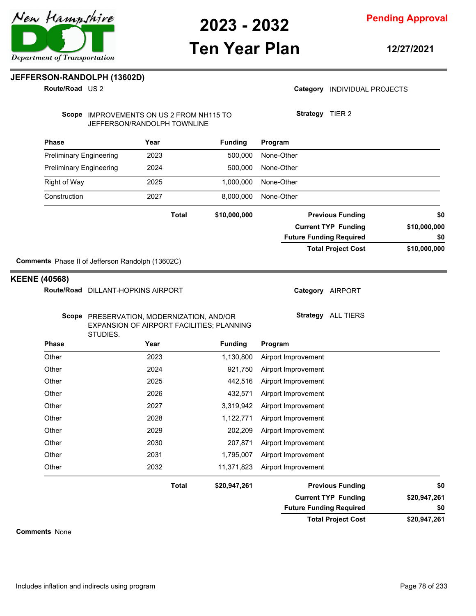**Pending Approval**

### **Ten Year Plan**

**12/27/2021**

#### **JEFFERSON-RANDOLPH (13602D)**

**Route/Road** US 2

#### Category **INDIVIDUAL PROJECTS**

Scope IMPROVEMENTS ON US 2 FROM NH115 TO JEFFERSON/RANDOLPH TOWNLINE

**Strategy** TIER 2

| <b>Phase</b>                   | Year                                                                                               |              | <b>Funding</b> | Program                        |                           |              |  |
|--------------------------------|----------------------------------------------------------------------------------------------------|--------------|----------------|--------------------------------|---------------------------|--------------|--|
| <b>Preliminary Engineering</b> | 2023                                                                                               |              | 500,000        | None-Other                     |                           |              |  |
| <b>Preliminary Engineering</b> | 2024                                                                                               |              | 500,000        | None-Other                     |                           |              |  |
| <b>Right of Way</b>            | 2025                                                                                               |              | 1,000,000      | None-Other                     |                           |              |  |
| Construction                   | 2027                                                                                               |              | 8,000,000      | None-Other                     |                           |              |  |
|                                |                                                                                                    | <b>Total</b> | \$10,000,000   |                                | <b>Previous Funding</b>   | \$0          |  |
|                                |                                                                                                    |              |                | <b>Current TYP Funding</b>     |                           | \$10,000,000 |  |
|                                |                                                                                                    |              |                | <b>Future Funding Required</b> |                           | \$0          |  |
|                                |                                                                                                    |              |                |                                | <b>Total Project Cost</b> | \$10,000,000 |  |
|                                | Comments Phase II of Jefferson Randolph (13602C)                                                   |              |                |                                |                           |              |  |
| <b>KEENE (40568)</b>           |                                                                                                    |              |                |                                |                           |              |  |
|                                | Route/Road DILLANT-HOPKINS AIRPORT                                                                 |              |                | Category AIRPORT               |                           |              |  |
|                                | Scope PRESERVATION, MODERNIZATION, AND/OR<br>EXPANSION OF AIRPORT FACILITIES; PLANNING<br>STUDIES. |              |                | Strategy ALL TIERS             |                           |              |  |
| <b>Phase</b>                   | Year                                                                                               |              | <b>Funding</b> | Program                        |                           |              |  |
| Other                          | 2023                                                                                               |              | 1,130,800      | Airport Improvement            |                           |              |  |
| Other                          | 2024                                                                                               |              | 921,750        | Airport Improvement            |                           |              |  |
| Other                          | 2025                                                                                               |              | 442,516        | Airport Improvement            |                           |              |  |
| Other                          | 2026                                                                                               |              | 432,571        | Airport Improvement            |                           |              |  |
| Other                          | 2027                                                                                               |              | 3,319,942      | Airport Improvement            |                           |              |  |
| Other                          | 2028                                                                                               |              | 1,122,771      | Airport Improvement            |                           |              |  |
| Other                          | 2029                                                                                               |              | 202,209        | Airport Improvement            |                           |              |  |
| Other                          | 2030                                                                                               |              | 207,871        | Airport Improvement            |                           |              |  |
| Other                          | 2031                                                                                               |              | 1,795,007      | Airport Improvement            |                           |              |  |
| Other                          | 2032                                                                                               |              | 11,371,823     | Airport Improvement            |                           |              |  |
|                                |                                                                                                    | <b>Total</b> | \$20,947,261   |                                | <b>Previous Funding</b>   | \$0          |  |
|                                |                                                                                                    |              |                | <b>Current TYP Funding</b>     |                           | \$20,947,261 |  |
|                                |                                                                                                    |              |                | <b>Future Funding Required</b> |                           | \$0          |  |
|                                |                                                                                                    |              |                |                                | <b>Total Project Cost</b> | \$20,947,261 |  |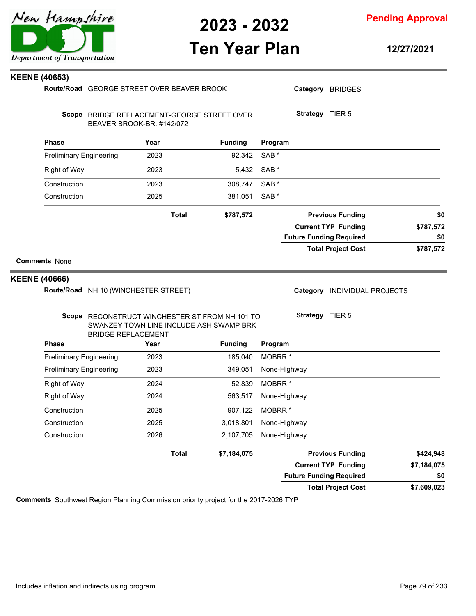

**Pending Approval**

### **Ten Year Plan**

**12/27/2021**

| <b>KEENE (40653)</b>           |                                                                             |                                         |                            |                    |                                |             |
|--------------------------------|-----------------------------------------------------------------------------|-----------------------------------------|----------------------------|--------------------|--------------------------------|-------------|
|                                | Route/Road GEORGE STREET OVER BEAVER BROOK                                  |                                         |                            |                    | Category BRIDGES               |             |
|                                | Scope BRIDGE REPLACEMENT-GEORGE STREET OVER<br>BEAVER BROOK-BR. #142/072    |                                         |                            | Strategy TIER 5    |                                |             |
| <b>Phase</b>                   | Year                                                                        | <b>Funding</b>                          |                            | Program            |                                |             |
| <b>Preliminary Engineering</b> | 2023                                                                        |                                         | SAB <sup>*</sup><br>92,342 |                    |                                |             |
| <b>Right of Way</b>            | 2023                                                                        |                                         | 5,432<br>SAB <sup>*</sup>  |                    |                                |             |
| Construction                   | 2023                                                                        | 308,747                                 | SAB <sup>*</sup>           |                    |                                |             |
| Construction                   | 2025                                                                        | 381,051                                 | SAB <sup>*</sup>           |                    |                                |             |
|                                |                                                                             | <b>Total</b><br>\$787,572               |                            |                    | <b>Previous Funding</b>        | \$0         |
|                                |                                                                             |                                         |                            |                    | <b>Current TYP Funding</b>     | \$787,572   |
|                                |                                                                             |                                         |                            |                    | <b>Future Funding Required</b> | \$0         |
| <b>Comments None</b>           |                                                                             |                                         |                            |                    |                                |             |
| <b>KEENE (40666)</b>           |                                                                             |                                         |                            |                    |                                |             |
|                                | Route/Road NH 10 (WINCHESTER STREET)                                        |                                         |                            |                    | Category INDIVIDUAL PROJECTS   |             |
|                                | Scope RECONSTRUCT WINCHESTER ST FROM NH 101 TO<br><b>BRIDGE REPLACEMENT</b> | SWANZEY TOWN LINE INCLUDE ASH SWAMP BRK |                            | Strategy TIER 5    |                                |             |
| <b>Phase</b>                   | Year                                                                        | <b>Funding</b>                          |                            | Program            |                                |             |
| <b>Preliminary Engineering</b> | 2023                                                                        | 185,040                                 |                            | MOBRR <sup>*</sup> |                                |             |
| <b>Preliminary Engineering</b> | 2023                                                                        | 349,051                                 |                            | None-Highway       |                                |             |
| <b>Right of Way</b>            | 2024                                                                        |                                         | 52,839                     | MOBRR <sup>*</sup> |                                |             |
| <b>Right of Way</b>            | 2024                                                                        | 563,517                                 |                            | None-Highway       |                                |             |
| Construction                   | 2025                                                                        | 907,122                                 |                            | MOBRR <sup>*</sup> |                                |             |
| Construction                   | 2025                                                                        | 3,018,801                               |                            | None-Highway       |                                |             |
| Construction                   | 2026                                                                        | 2,107,705                               |                            | None-Highway       |                                |             |
|                                |                                                                             | <b>Total</b><br>\$7,184,075             |                            |                    | <b>Previous Funding</b>        | \$424,948   |
|                                |                                                                             |                                         |                            |                    | <b>Current TYP Funding</b>     | \$7,184,075 |
|                                |                                                                             |                                         |                            |                    | <b>Future Funding Required</b> | \$0         |
|                                |                                                                             |                                         |                            |                    | <b>Total Project Cost</b>      | \$7,609,023 |

**Comments** Southwest Region Planning Commission priority project for the 2017-2026 TYP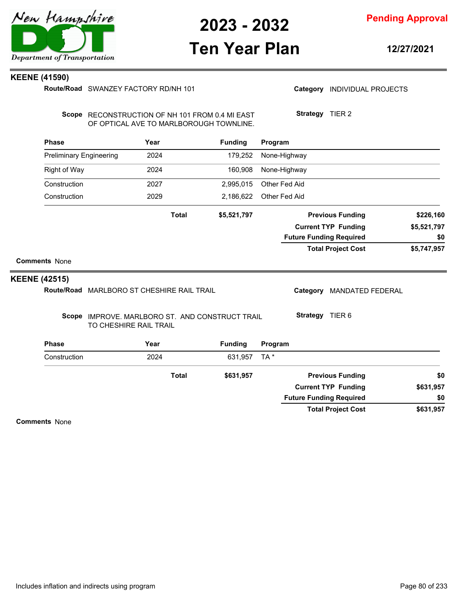

### **Ten Year Plan**

**12/27/2021**

#### **KEENE (41590)**

Route/Road SWANZEY FACTORY RD/NH 101

Category **INDIVIDUAL PROJECTS** 

**Strategy** TIER 2

Scope RECONSTRUCTION OF NH 101 FROM 0.4 MI EAST OF OPTICAL AVE TO MARLBOROUGH TOWNLINE.

| <b>Phase</b>        |                                              |                                |                                                                                | <b>Funding</b>                  |     |                                           |                                                                                      |                                                                                                                                                                                                                                                               |
|---------------------|----------------------------------------------|--------------------------------|--------------------------------------------------------------------------------|---------------------------------|-----|-------------------------------------------|--------------------------------------------------------------------------------------|---------------------------------------------------------------------------------------------------------------------------------------------------------------------------------------------------------------------------------------------------------------|
|                     |                                              |                                |                                                                                | 179,252                         |     |                                           |                                                                                      |                                                                                                                                                                                                                                                               |
| <b>Right of Way</b> |                                              |                                |                                                                                | 160,908                         |     |                                           |                                                                                      |                                                                                                                                                                                                                                                               |
| Construction        |                                              |                                |                                                                                | 2,995,015                       |     |                                           |                                                                                      |                                                                                                                                                                                                                                                               |
| Construction        |                                              |                                |                                                                                | 2,186,622                       |     |                                           |                                                                                      |                                                                                                                                                                                                                                                               |
|                     |                                              | <b>Total</b>                   |                                                                                | \$5,521,797                     |     |                                           |                                                                                      | \$226,160                                                                                                                                                                                                                                                     |
|                     |                                              |                                |                                                                                |                                 |     |                                           |                                                                                      | \$5,521,797                                                                                                                                                                                                                                                   |
|                     |                                              |                                |                                                                                |                                 |     |                                           |                                                                                      | \$0                                                                                                                                                                                                                                                           |
|                     |                                              |                                |                                                                                |                                 |     |                                           |                                                                                      | \$5,747,957                                                                                                                                                                                                                                                   |
|                     |                                              |                                |                                                                                |                                 |     |                                           |                                                                                      |                                                                                                                                                                                                                                                               |
|                     |                                              |                                |                                                                                |                                 |     |                                           |                                                                                      |                                                                                                                                                                                                                                                               |
| <b>Route/Road</b>   |                                              |                                |                                                                                |                                 |     | Category                                  |                                                                                      |                                                                                                                                                                                                                                                               |
| Scope               |                                              |                                |                                                                                |                                 |     |                                           |                                                                                      |                                                                                                                                                                                                                                                               |
| <b>Phase</b>        |                                              |                                |                                                                                | <b>Funding</b>                  |     |                                           |                                                                                      |                                                                                                                                                                                                                                                               |
| Construction        |                                              |                                |                                                                                | 631,957                         | TA* |                                           |                                                                                      |                                                                                                                                                                                                                                                               |
|                     |                                              | <b>Total</b>                   |                                                                                | \$631,957                       |     |                                           |                                                                                      | \$0                                                                                                                                                                                                                                                           |
|                     |                                              |                                |                                                                                |                                 |     |                                           |                                                                                      | \$631,957                                                                                                                                                                                                                                                     |
|                     |                                              |                                |                                                                                |                                 |     |                                           |                                                                                      | \$0                                                                                                                                                                                                                                                           |
|                     |                                              |                                |                                                                                |                                 |     |                                           |                                                                                      |                                                                                                                                                                                                                                                               |
|                     | <b>Comments None</b><br><b>KEENE (42515)</b> | <b>Preliminary Engineering</b> | Year<br>2024<br>2024<br>2027<br>2029<br>TO CHESHIRE RAIL TRAIL<br>Year<br>2024 | MARLBORO ST CHESHIRE RAIL TRAIL |     | IMPROVE, MARLBORO ST. AND CONSTRUCT TRAIL | Program<br>None-Highway<br>None-Highway<br>Other Fed Aid<br>Other Fed Aid<br>Program | <b>Previous Funding</b><br><b>Current TYP Funding</b><br><b>Future Funding Required</b><br><b>Total Project Cost</b><br><b>MANDATED FEDERAL</b><br>Strategy TIER 6<br><b>Previous Funding</b><br><b>Current TYP Funding</b><br><b>Future Funding Required</b> |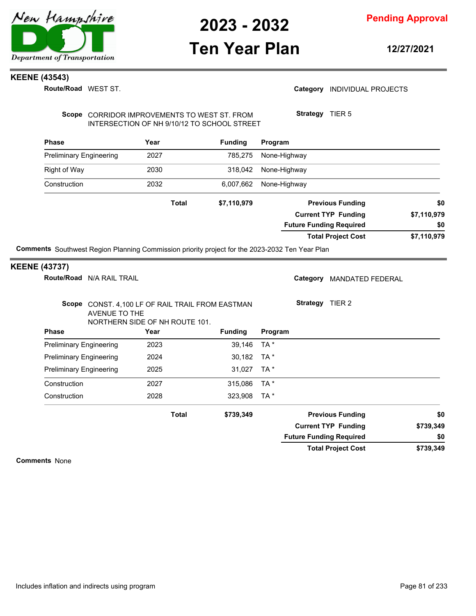

### **Ten Year Plan**

**Pending Approval**

**12/27/2021**

#### **KEENE (43543)**

**Route/Road** WEST ST.

Scope CORRIDOR IMPROVEMENTS TO WEST ST. FROM INTERSECTION OF NH 9/10/12 TO SCHOOL STREET **Strategy** TIER 5

| <b>Phase</b>                   | Year  | <b>Funding</b> | Program                        |             |
|--------------------------------|-------|----------------|--------------------------------|-------------|
| <b>Preliminary Engineering</b> | 2027  | 785,275        | None-Highway                   |             |
| Right of Way                   | 2030  | 318,042        | None-Highway                   |             |
| Construction                   | 2032  | 6,007,662      | None-Highway                   |             |
|                                | Total | \$7,110,979    | <b>Previous Funding</b>        | \$0         |
|                                |       |                | <b>Current TYP Funding</b>     | \$7,110,979 |
|                                |       |                | <b>Future Funding Required</b> | \$0         |
|                                |       |                | <b>Total Project Cost</b>      | \$7,110,979 |

**Comments** Southwest Region Planning Commission priority project for the 2023-2032 Ten Year Plan

#### **KEENE (43737)**

**Phase Year Funding Route/Road** N/A RAIL TRAIL Scope CONST. 4,100 LF OF RAIL TRAIL FROM EASTMAN AVENUE TO THE NORTHERN SIDE OF NH ROUTE 101. **Program** Category MANDATED FEDERAL **Strategy** TIER 2 Preliminary Engineering 2023 39,146 TA \* Preliminary Engineering 2024 30,182 TA \* Preliminary Engineering 2025 31,027 TA \* Construction 2027 315,086 TA \* Construction 2028 323,908 TA \* **\$739,349 \$739,349 \$739,349 Previous Funding \$0 Current TYP Funding Total Project Cost Future Funding Required Total \$0**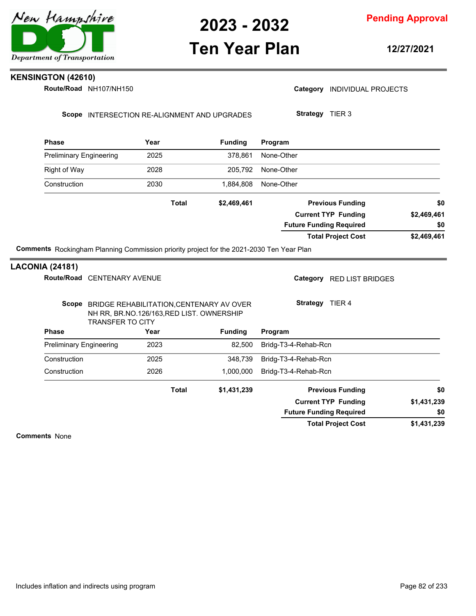

### **Ten Year Plan**

**Pending Approval**

**12/27/2021**

### **KENSINGTON (42610)**

**Route/Road NH107/NH150** 

Category **INDIVIDUAL PROJECTS** 

Scope INTERSECTION RE-ALIGNMENT AND UPGRADES

**Strategy** TIER 3

| Year                                   |              | <b>Funding</b> | Program                        |             |
|----------------------------------------|--------------|----------------|--------------------------------|-------------|
| 2025<br><b>Preliminary Engineering</b> |              | 378,861        | None-Other                     |             |
| 2028                                   |              | 205,792        | None-Other                     |             |
| 2030                                   |              | 1,884,808      | None-Other                     |             |
|                                        | <b>Total</b> | \$2,469,461    | <b>Previous Funding</b>        | \$0         |
|                                        |              |                | <b>Current TYP Funding</b>     | \$2,469,461 |
|                                        |              |                | <b>Future Funding Required</b> | \$0         |
|                                        |              |                | <b>Total Project Cost</b>      | \$2,469,461 |

#### **LACONIA (24181)**

| Route/Road CENTENARY AVENUE    |                                                                                       |                | Category RED LIST BRIDGES      |             |
|--------------------------------|---------------------------------------------------------------------------------------|----------------|--------------------------------|-------------|
| Scope<br>TRANSFER TO CITY      | BRIDGE REHABILITATION, CENTENARY AV OVER<br>NH RR, BR.NO.126/163, RED LIST. OWNERSHIP |                | Strategy<br>TIER 4             |             |
| <b>Phase</b>                   | Year                                                                                  | <b>Funding</b> | Program                        |             |
| <b>Preliminary Engineering</b> | 2023                                                                                  | 82,500         | Bridg-T3-4-Rehab-Rcn           |             |
| Construction                   | 2025                                                                                  | 348,739        | Bridg-T3-4-Rehab-Rcn           |             |
| Construction                   | 2026                                                                                  | 1,000,000      | Bridg-T3-4-Rehab-Rcn           |             |
|                                | <b>Total</b>                                                                          | \$1,431,239    | <b>Previous Funding</b>        | \$0         |
|                                |                                                                                       |                | <b>Current TYP Funding</b>     | \$1,431,239 |
|                                |                                                                                       |                | <b>Future Funding Required</b> | \$0         |
|                                |                                                                                       |                | <b>Total Project Cost</b>      | \$1,431,239 |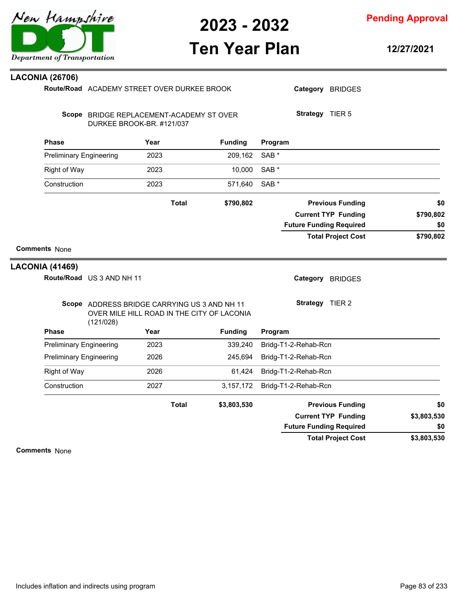

**Pending Approval**

### **Ten Year Plan**

**12/27/2021**

| <b>LACONIA (26706)</b> |                                |                                                                                            |                |                                |             |
|------------------------|--------------------------------|--------------------------------------------------------------------------------------------|----------------|--------------------------------|-------------|
|                        |                                | Route/Road ACADEMY STREET OVER DURKEE BROOK                                                |                | Category BRIDGES               |             |
|                        |                                | Scope BRIDGE REPLACEMENT-ACADEMY ST OVER<br>DURKEE BROOK-BR. #121/037                      |                | Strategy TIER 5                |             |
| <b>Phase</b>           |                                | Year                                                                                       | <b>Funding</b> | Program                        |             |
|                        | <b>Preliminary Engineering</b> | 2023                                                                                       | 209,162        | SAB *                          |             |
| <b>Right of Way</b>    |                                | 2023                                                                                       | 10,000         | SAB *                          |             |
| Construction           |                                | 2023                                                                                       | 571,640        | SAB <sup>*</sup>               |             |
|                        |                                | <b>Total</b>                                                                               | \$790,802      | <b>Previous Funding</b>        | \$0         |
|                        |                                |                                                                                            |                | <b>Current TYP Funding</b>     | \$790,802   |
|                        |                                |                                                                                            |                | <b>Future Funding Required</b> | \$0         |
|                        |                                |                                                                                            |                | <b>Total Project Cost</b>      | \$790,802   |
| <b>Comments None</b>   |                                |                                                                                            |                |                                |             |
| <b>LACONIA (41469)</b> |                                |                                                                                            |                |                                |             |
|                        | Route/Road US 3 AND NH 11      |                                                                                            |                | Category BRIDGES               |             |
|                        | (121/028)                      | Scope ADDRESS BRIDGE CARRYING US 3 AND NH 11<br>OVER MILE HILL ROAD IN THE CITY OF LACONIA |                | Strategy TIER 2                |             |
| <b>Phase</b>           |                                | Year                                                                                       | <b>Funding</b> | Program                        |             |
|                        | <b>Preliminary Engineering</b> | 2023                                                                                       | 339,240        | Bridg-T1-2-Rehab-Rcn           |             |
|                        | <b>Preliminary Engineering</b> | 2026                                                                                       | 245,694        | Bridg-T1-2-Rehab-Rcn           |             |
| <b>Right of Way</b>    |                                | 2026                                                                                       | 61,424         | Bridg-T1-2-Rehab-Rcn           |             |
| Construction           |                                | 2027                                                                                       | 3,157,172      | Bridg-T1-2-Rehab-Rcn           |             |
|                        |                                | <b>Total</b>                                                                               | \$3,803,530    | <b>Previous Funding</b>        | \$0         |
|                        |                                |                                                                                            |                | <b>Current TYP Funding</b>     | \$3,803,530 |
|                        |                                |                                                                                            |                | <b>Future Funding Required</b> | \$0         |
|                        |                                |                                                                                            |                | <b>Total Project Cost</b>      | \$3,803,530 |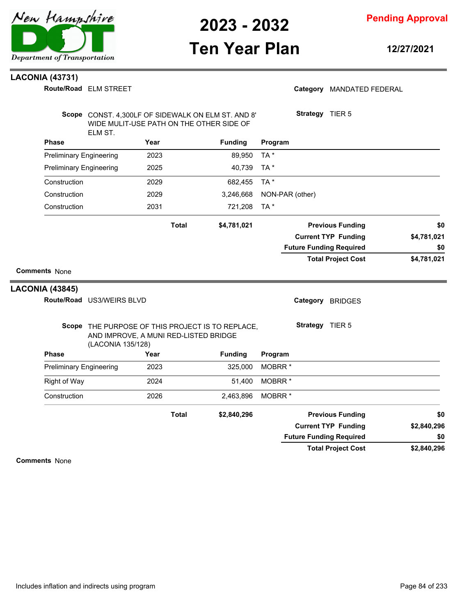

**Pending Approval**

### **Ten Year Plan**

**12/27/2021**

#### **LACONIA (43731)**

|                                                | Route/Road ELM STREET                                                                                          |              |                |                    | Category MANDATED FEDERAL                                    |                    |
|------------------------------------------------|----------------------------------------------------------------------------------------------------------------|--------------|----------------|--------------------|--------------------------------------------------------------|--------------------|
|                                                | Scope CONST. 4,300LF OF SIDEWALK ON ELM ST. AND 8'<br>WIDE MULIT-USE PATH ON THE OTHER SIDE OF<br>ELM ST.      |              |                |                    | Strategy TIER 5                                              |                    |
| <b>Phase</b>                                   |                                                                                                                | Year         | <b>Funding</b> | Program            |                                                              |                    |
| <b>Preliminary Engineering</b>                 |                                                                                                                | 2023         | 89,950         | TA*                |                                                              |                    |
| <b>Preliminary Engineering</b>                 |                                                                                                                | 2025         | 40,739         | TA*                |                                                              |                    |
| Construction                                   |                                                                                                                | 2029         | 682,455        | TA*                |                                                              |                    |
| Construction                                   |                                                                                                                | 2029         | 3,246,668      | NON-PAR (other)    |                                                              |                    |
| Construction                                   |                                                                                                                | 2031         | 721,208        | TA *               |                                                              |                    |
|                                                |                                                                                                                | <b>Total</b> | \$4,781,021    |                    | <b>Previous Funding</b>                                      | \$0                |
|                                                |                                                                                                                |              |                |                    | <b>Current TYP Funding</b><br><b>Future Funding Required</b> | \$4,781,021<br>\$0 |
|                                                |                                                                                                                |              |                |                    | <b>Total Project Cost</b>                                    | \$4,781,021        |
| <b>Comments None</b><br><b>LACONIA (43845)</b> | Route/Road US3/WEIRS BLVD                                                                                      |              |                |                    | Category BRIDGES                                             |                    |
|                                                | Scope THE PURPOSE OF THIS PROJECT IS TO REPLACE,<br>AND IMPROVE, A MUNI RED-LISTED BRIDGE<br>(LACONIA 135/128) |              |                |                    | Strategy TIER 5                                              |                    |
| Phase                                          |                                                                                                                | Year         | <b>Funding</b> | Program            |                                                              |                    |
| <b>Preliminary Engineering</b>                 |                                                                                                                | 2023         | 325,000        | MOBRR <sup>*</sup> |                                                              |                    |
| <b>Right of Way</b>                            |                                                                                                                | 2024         | 51,400         | MOBRR <sup>*</sup> |                                                              |                    |
| Construction                                   |                                                                                                                | 2026         | 2,463,896      | MOBRR <sup>*</sup> |                                                              |                    |
|                                                |                                                                                                                | <b>Total</b> | \$2,840,296    |                    | <b>Previous Funding</b>                                      | \$0                |
|                                                |                                                                                                                |              |                |                    | <b>Current TYP Funding</b>                                   | \$2,840,296        |
|                                                |                                                                                                                |              |                |                    | <b>Future Funding Required</b>                               | \$0                |

**Comments** None

**\$2,840,296**

**Total Project Cost**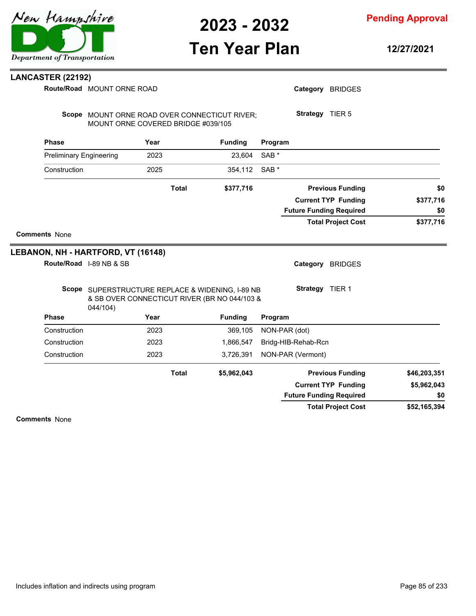# **Ten Year Plan**

**Pending Approval**

**12/27/2021**

#### **LANCASTER (22192)**

 $M<sub>0</sub>$ **Route/Road**

|                                | Route/Road MOUNT ORNE ROAD         |              |                                                                                                  |                  |                        | Category BRIDGES               |           |
|--------------------------------|------------------------------------|--------------|--------------------------------------------------------------------------------------------------|------------------|------------------------|--------------------------------|-----------|
|                                | MOUNT ORNE COVERED BRIDGE #039/105 |              | Scope MOUNT ORNE ROAD OVER CONNECTICUT RIVER;                                                    |                  | Strategy TIER 5        |                                |           |
| <b>Phase</b>                   |                                    | Year         | <b>Funding</b>                                                                                   | Program          |                        |                                |           |
| <b>Preliminary Engineering</b> |                                    | 2023         | 23.604                                                                                           | SAB <sup>*</sup> |                        |                                |           |
| Construction                   |                                    | 2025         | 354,112                                                                                          | SAB <sup>*</sup> |                        |                                |           |
|                                |                                    | <b>Total</b> | \$377,716                                                                                        |                  |                        | <b>Previous Funding</b>        | \$0       |
|                                |                                    |              |                                                                                                  |                  |                        | <b>Current TYP Funding</b>     | \$377,716 |
|                                |                                    |              |                                                                                                  |                  |                        | <b>Future Funding Required</b> | \$0       |
|                                |                                    |              |                                                                                                  |                  |                        | <b>Total Project Cost</b>      | \$377,716 |
| <b>Comments None</b>           |                                    |              |                                                                                                  |                  |                        |                                |           |
|                                | LEBANON, NH - HARTFORD, VT (16148) |              |                                                                                                  |                  |                        |                                |           |
|                                | Route/Road I-89 NB & SB            |              |                                                                                                  |                  | Category               | <b>BRIDGES</b>                 |           |
|                                | 044/104)                           |              | Scope SUPERSTRUCTURE REPLACE & WIDENING, I-89 NB<br>& SB OVER CONNECTICUT RIVER (BR NO 044/103 & |                  | <b>Strategy</b> TIER 1 |                                |           |
| <b>Phase</b>                   |                                    | Year         | <b>Funding</b>                                                                                   | Program          |                        |                                |           |
| Construction                   |                                    | 2023         | 369,105                                                                                          | NON-PAR (dot)    |                        |                                |           |
| Construction                   |                                    | 2023         | 1,866,547                                                                                        |                  | Bridg-HIB-Rehab-Rcn    |                                |           |
| Construction                   |                                    | 2023         | 3,726,391                                                                                        |                  | NON-PAR (Vermont)      |                                |           |
|                                |                                    |              |                                                                                                  |                  |                        |                                |           |

**\$5,962,043 Previous Funding \$46,203,351**

**Total**

| <b>Previous Funding</b>        | \$46,203,351 |
|--------------------------------|--------------|
| <b>Current TYP Funding</b>     | \$5,962,043  |
| <b>Future Funding Required</b> | \$0          |
| <b>Total Project Cost</b>      | \$52,165,394 |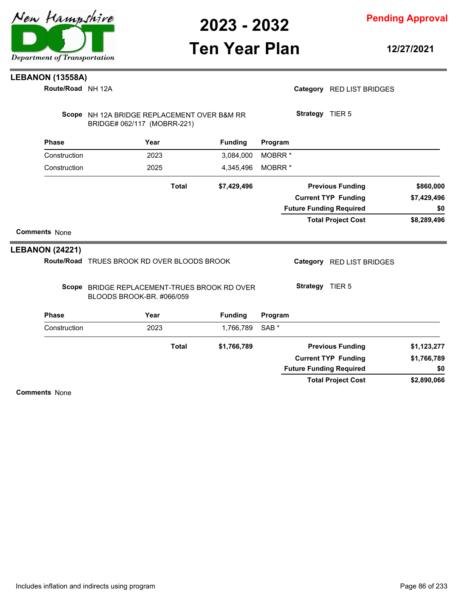

**Pending Approval**

### **Ten Year Plan**

**12/27/2021**

### **LEBANON (13558A)**

NH 12A **Route/Road**

| Route/Road NH 12A      |                                                                            |                | Category RED LIST BRIDGES      |             |
|------------------------|----------------------------------------------------------------------------|----------------|--------------------------------|-------------|
|                        | Scope NH 12A BRIDGE REPLACEMENT OVER B&M RR<br>BRIDGE# 062/117 (MOBRR-221) |                | Strategy TIER 5                |             |
| <b>Phase</b>           | Year                                                                       | <b>Funding</b> | Program                        |             |
| Construction           | 2023                                                                       | 3,084,000      | MOBRR <sup>*</sup>             |             |
| Construction           | 2025                                                                       | 4,345,496      | MOBRR <sup>*</sup>             |             |
|                        | <b>Total</b>                                                               | \$7,429,496    | <b>Previous Funding</b>        | \$860,000   |
|                        |                                                                            |                | <b>Current TYP Funding</b>     | \$7,429,496 |
|                        |                                                                            |                | <b>Future Funding Required</b> | \$0         |
|                        |                                                                            |                | <b>Total Project Cost</b>      | \$8,289,496 |
| <b>Comments None</b>   |                                                                            |                |                                |             |
| <b>LEBANON (24221)</b> |                                                                            |                |                                |             |
|                        | Route/Road TRUES BROOK RD OVER BLOODS BROOK                                |                | Category RED LIST BRIDGES      |             |
|                        | Scope BRIDGE REPLACEMENT-TRUES BROOK RD OVER<br>BLOODS BROOK-BR. #066/059  |                | Strategy TIER 5                |             |
| <b>Phase</b>           | Year                                                                       | <b>Funding</b> | Program                        |             |
| Construction           | 2023                                                                       | 1,766,789      | SAB <sup>*</sup>               |             |
|                        | <b>Total</b>                                                               | \$1,766,789    | <b>Previous Funding</b>        | \$1,123,277 |
|                        |                                                                            |                | <b>Current TYP Funding</b>     | \$1,766,789 |
|                        |                                                                            |                | <b>Future Funding Required</b> | \$0         |

**Comments** None

**\$2,890,066**

**Total Project Cost**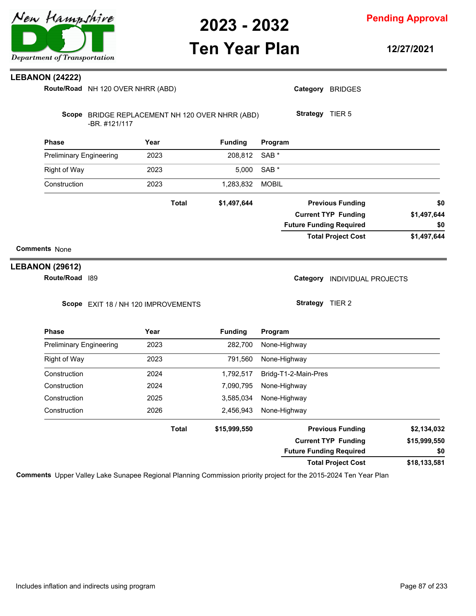

**Pending Approval**

### **Ten Year Plan**

**12/27/2021**

#### **LEBANON (24222)**

**Route/Road** NH 120 OVER NHRR (ABD)

| -BR. #121/117                  |              | Scope BRIDGE REPLACEMENT NH 120 OVER NHRR (ABD) |                  | <b>Strategy</b><br>TIER <sub>5</sub> |             |
|--------------------------------|--------------|-------------------------------------------------|------------------|--------------------------------------|-------------|
| <b>Phase</b>                   | Year         | <b>Funding</b>                                  | Program          |                                      |             |
| <b>Preliminary Engineering</b> | 2023         | 208,812                                         | SAB <sup>*</sup> |                                      |             |
| Right of Way                   | 2023         | 5,000                                           | SAB <sup>*</sup> |                                      |             |
| Construction                   | 2023         | 1,283,832                                       | <b>MOBIL</b>     |                                      |             |
|                                | <b>Total</b> | \$1,497,644                                     |                  | <b>Previous Funding</b>              | \$0         |
|                                |              |                                                 |                  | <b>Current TYP Funding</b>           | \$1,497,644 |
|                                |              |                                                 |                  | <b>Future Funding Required</b>       | \$0         |
|                                |              |                                                 |                  | <b>Total Project Cost</b>            | \$1,497,644 |
| <b>Comments None</b>           |              |                                                 |                  |                                      |             |
| <b>LEBANON (29612)</b>         |              |                                                 |                  |                                      |             |

**Route/Road** 189

Category **INDIVIDUAL PROJECTS** 

Scope EXIT 18 / NH 120 IMPROVEMENTS

**Strategy** TIER 2

Category BRIDGES

| <b>Phase</b>                   | Year         | <b>Funding</b> | Program                        |              |
|--------------------------------|--------------|----------------|--------------------------------|--------------|
| <b>Preliminary Engineering</b> | 2023         | 282.700        | None-Highway                   |              |
| Right of Way                   | 2023         | 791.560        | None-Highway                   |              |
| Construction                   | 2024         | 1,792,517      | Bridg-T1-2-Main-Pres           |              |
| Construction                   | 2024         | 7,090,795      | None-Highway                   |              |
| Construction                   | 2025         | 3,585,034      | None-Highway                   |              |
| Construction                   | 2026         | 2,456,943      | None-Highway                   |              |
|                                | <b>Total</b> | \$15,999,550   | <b>Previous Funding</b>        | \$2,134,032  |
|                                |              |                | <b>Current TYP Funding</b>     | \$15,999,550 |
|                                |              |                | <b>Future Funding Required</b> | \$0          |
|                                |              |                | <b>Total Project Cost</b>      | \$18,133,581 |

**Comments** Upper Valley Lake Sunapee Regional Planning Commission priority project for the 2015-2024 Ten Year Plan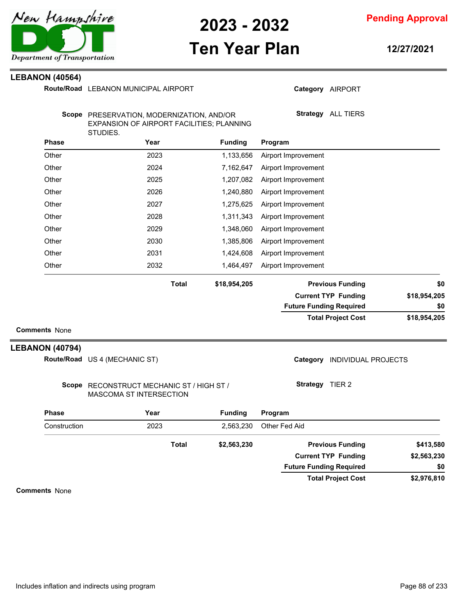

**Pending Approval**

### **Ten Year Plan**

**12/27/2021**

#### **LEBANON (40564)**

|                        | Route/Road LEBANON MUNICIPAL AIRPORT                                                               |              |                |                                | Category AIRPORT             |              |
|------------------------|----------------------------------------------------------------------------------------------------|--------------|----------------|--------------------------------|------------------------------|--------------|
|                        | Scope PRESERVATION, MODERNIZATION, AND/OR<br>EXPANSION OF AIRPORT FACILITIES; PLANNING<br>STUDIES. |              |                |                                | Strategy ALL TIERS           |              |
| <b>Phase</b>           | Year                                                                                               |              | <b>Funding</b> | Program                        |                              |              |
| Other                  | 2023                                                                                               |              | 1,133,656      | Airport Improvement            |                              |              |
| Other                  | 2024                                                                                               |              | 7,162,647      | Airport Improvement            |                              |              |
| Other                  | 2025                                                                                               |              | 1,207,082      | Airport Improvement            |                              |              |
| Other                  | 2026                                                                                               |              | 1,240,880      | Airport Improvement            |                              |              |
| Other                  | 2027                                                                                               |              | 1,275,625      | Airport Improvement            |                              |              |
| Other                  | 2028                                                                                               |              | 1,311,343      | Airport Improvement            |                              |              |
| Other                  | 2029                                                                                               |              | 1,348,060      | Airport Improvement            |                              |              |
| Other                  | 2030                                                                                               |              | 1,385,806      | Airport Improvement            |                              |              |
| Other                  | 2031                                                                                               |              | 1,424,608      | Airport Improvement            |                              |              |
| Other                  | 2032                                                                                               |              | 1,464,497      | Airport Improvement            |                              |              |
|                        |                                                                                                    | <b>Total</b> | \$18,954,205   |                                | <b>Previous Funding</b>      | \$0          |
|                        |                                                                                                    |              |                |                                | <b>Current TYP Funding</b>   | \$18,954,205 |
|                        |                                                                                                    |              |                | <b>Future Funding Required</b> |                              | \$0          |
|                        |                                                                                                    |              |                |                                | <b>Total Project Cost</b>    | \$18,954,205 |
| <b>Comments None</b>   |                                                                                                    |              |                |                                |                              |              |
| <b>LEBANON (40794)</b> |                                                                                                    |              |                |                                |                              |              |
|                        | Route/Road US 4 (MECHANIC ST)                                                                      |              |                |                                | Category INDIVIDUAL PROJECTS |              |
|                        | Scope RECONSTRUCT MECHANIC ST / HIGH ST /<br>MASCOMA ST INTERSECTION                               |              |                | Strategy TIER 2                |                              |              |
| <b>Phase</b>           | Year                                                                                               |              | <b>Funding</b> | Program                        |                              |              |
| Construction           | 2023                                                                                               |              | 2,563,230      | Other Fed Aid                  |                              |              |
|                        |                                                                                                    | <b>Total</b> | \$2,563,230    |                                | <b>Previous Funding</b>      | \$413.580    |

**Comments** None

**\$2,976,810**

**\$0**

**\$2,563,230**

**Current TYP Funding**

**Future Funding Required**

**Total Project Cost**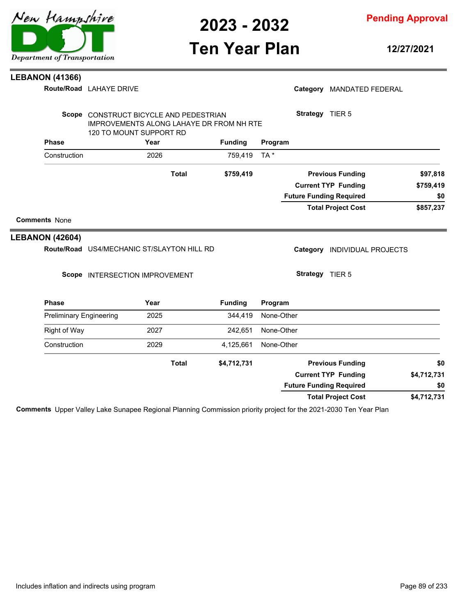

## **Ten Year Plan**

**12/27/2021**

#### **LEBANON (41366)**

**Route/Road LAHAYE DRIVE** 

|                        |                                |                                |      | Scope CONSTRUCT BICYCLE AND PEDESTRIAN          |                |                            | <b>Strategy</b> TIER 5 |                                |             |
|------------------------|--------------------------------|--------------------------------|------|-------------------------------------------------|----------------|----------------------------|------------------------|--------------------------------|-------------|
|                        |                                | 120 TO MOUNT SUPPORT RD        |      | <b>IMPROVEMENTS ALONG LAHAYE DR FROM NH RTE</b> |                |                            |                        |                                |             |
|                        | <b>Phase</b>                   |                                | Year |                                                 | <b>Funding</b> | Program                    |                        |                                |             |
|                        | Construction                   |                                | 2026 |                                                 | 759,419        | TA*                        |                        |                                |             |
|                        |                                |                                |      | <b>Total</b>                                    | \$759,419      |                            |                        | <b>Previous Funding</b>        | \$97,818    |
|                        |                                |                                |      |                                                 |                | <b>Current TYP Funding</b> |                        |                                | \$759,419   |
|                        |                                |                                |      |                                                 |                |                            |                        | <b>Future Funding Required</b> | \$0         |
|                        |                                |                                |      |                                                 |                |                            |                        | <b>Total Project Cost</b>      | \$857,237   |
| <b>Comments None</b>   |                                |                                |      |                                                 |                |                            |                        |                                |             |
| <b>LEBANON (42604)</b> |                                |                                |      |                                                 |                |                            |                        |                                |             |
|                        |                                |                                |      | Route/Road US4/MECHANIC ST/SLAYTON HILL RD      |                |                            | Category               | <b>INDIVIDUAL PROJECTS</b>     |             |
|                        |                                | Scope INTERSECTION IMPROVEMENT |      |                                                 |                |                            | Strategy TIER 5        |                                |             |
|                        | <b>Phase</b>                   |                                | Year |                                                 | <b>Funding</b> | Program                    |                        |                                |             |
|                        | <b>Preliminary Engineering</b> |                                | 2025 |                                                 | 344,419        | None-Other                 |                        |                                |             |
|                        | Right of Way                   |                                | 2027 |                                                 | 242,651        | None-Other                 |                        |                                |             |
|                        | Construction                   |                                | 2029 |                                                 | 4,125,661      | None-Other                 |                        |                                |             |
|                        |                                |                                |      | <b>Total</b>                                    | \$4,712,731    |                            |                        | <b>Previous Funding</b>        | \$0         |
|                        |                                |                                |      |                                                 |                |                            |                        | <b>Current TYP Funding</b>     | \$4,712,731 |

**Comments** Upper Valley Lake Sunapee Regional Planning Commission priority project for the 2021-2030 Ten Year Plan

**\$4,712,731**

**\$0**



Category MANDATED FEDERAL

**Total Project Cost**

**Future Funding Required**

# Department of Transportation

New Hampshire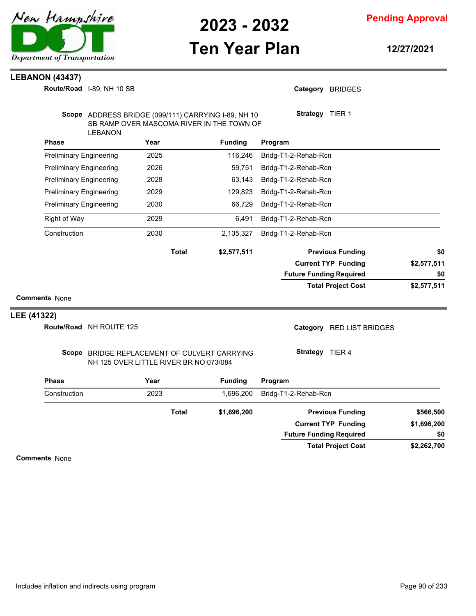

**Ten Year Plan**

**Pending Approval**

**12/27/2021**

#### **LEBANON (43437)**

I-89, NH 10 SB **Route/Road**

| <b>Phase</b><br>Construction                                     | Route/Road NH ROUTE 125 | Scope BRIDGE REPLACEMENT OF CULVERT CARRYING<br>NH 125 OVER LITTLE RIVER BR NO 073/084<br>Year<br>2023<br><b>Total</b> | <b>Funding</b><br>1,696,200<br>\$1,696,200                                                       | Category RED LIST BRIDGES<br>Strategy TIER 4<br>Program<br>Bridg-T1-2-Rehab-Rcn<br><b>Previous Funding</b> | \$566,500          |
|------------------------------------------------------------------|-------------------------|------------------------------------------------------------------------------------------------------------------------|--------------------------------------------------------------------------------------------------|------------------------------------------------------------------------------------------------------------|--------------------|
|                                                                  |                         |                                                                                                                        |                                                                                                  |                                                                                                            |                    |
|                                                                  |                         |                                                                                                                        |                                                                                                  |                                                                                                            |                    |
|                                                                  |                         |                                                                                                                        |                                                                                                  |                                                                                                            |                    |
|                                                                  |                         |                                                                                                                        |                                                                                                  |                                                                                                            |                    |
| LEE (41322)                                                      |                         |                                                                                                                        |                                                                                                  |                                                                                                            |                    |
| <b>Comments None</b>                                             |                         |                                                                                                                        |                                                                                                  |                                                                                                            |                    |
|                                                                  |                         |                                                                                                                        |                                                                                                  | <b>Total Project Cost</b>                                                                                  | \$2,577,511        |
|                                                                  |                         |                                                                                                                        |                                                                                                  | <b>Future Funding Required</b>                                                                             | \$0                |
|                                                                  |                         | <b>Total</b>                                                                                                           | \$2,577,511                                                                                      | <b>Previous Funding</b><br><b>Current TYP Funding</b>                                                      | \$0<br>\$2,577,511 |
|                                                                  |                         |                                                                                                                        |                                                                                                  |                                                                                                            |                    |
| Construction                                                     |                         | 2030                                                                                                                   | 2,135,327                                                                                        | Bridg-T1-2-Rehab-Rcn                                                                                       |                    |
| <b>Right of Way</b>                                              |                         | 2029                                                                                                                   | 6,491                                                                                            | Bridg-T1-2-Rehab-Rcn                                                                                       |                    |
| <b>Preliminary Engineering</b>                                   |                         | 2030                                                                                                                   | 66,729                                                                                           | Bridg-T1-2-Rehab-Rcn                                                                                       |                    |
| <b>Preliminary Engineering</b><br><b>Preliminary Engineering</b> |                         | 2028<br>2029                                                                                                           | 63,143<br>129,823                                                                                | Bridg-T1-2-Rehab-Rcn<br>Bridg-T1-2-Rehab-Rcn                                                               |                    |
| <b>Preliminary Engineering</b>                                   |                         | 2026                                                                                                                   | 59,751                                                                                           | Bridg-T1-2-Rehab-Rcn                                                                                       |                    |
| <b>Preliminary Engineering</b>                                   |                         | 2025                                                                                                                   | 116,246                                                                                          | Bridg-T1-2-Rehab-Rcn                                                                                       |                    |
| Phase                                                            |                         | Year                                                                                                                   | <b>Funding</b>                                                                                   | Program                                                                                                    |                    |
|                                                                  | <b>LEBANON</b>          |                                                                                                                        | Scope ADDRESS BRIDGE (099/111) CARRYING I-89, NH 10<br>SB RAMP OVER MASCOMA RIVER IN THE TOWN OF | Strategy TIER 1                                                                                            |                    |
| Route/Road 1-89, NH 10 SB                                        |                         |                                                                                                                        |                                                                                                  | Category BRIDGES                                                                                           |                    |

**Comments** None

**\$2,262,700**

**\$0**

**Total Project Cost**

**Future Funding Required**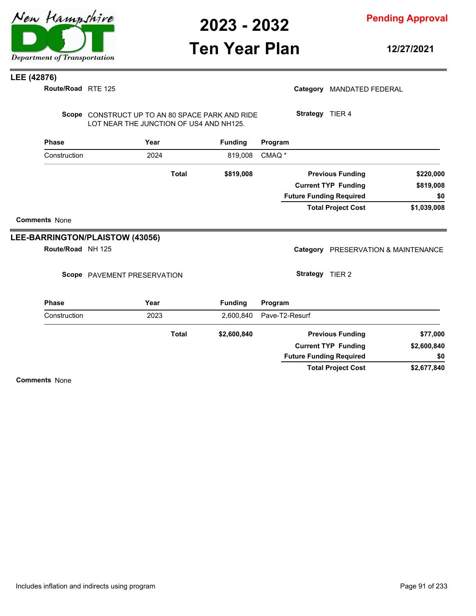

### **Ten Year Plan**

**Pending Approval**

**12/27/2021**

#### **LEE (42876)**

| Route/Road RTE 125   |                                                                                            |              |                |                   |                 | Category MANDATED FEDERAL           |             |
|----------------------|--------------------------------------------------------------------------------------------|--------------|----------------|-------------------|-----------------|-------------------------------------|-------------|
|                      | Scope CONSTRUCT UP TO AN 80 SPACE PARK AND RIDE<br>LOT NEAR THE JUNCTION OF US4 AND NH125. |              |                |                   | Strategy TIER 4 |                                     |             |
| <b>Phase</b>         | Year                                                                                       |              | <b>Funding</b> | Program           |                 |                                     |             |
| Construction         | 2024                                                                                       |              | 819.008        | CMAQ <sup>*</sup> |                 |                                     |             |
|                      |                                                                                            | <b>Total</b> | \$819,008      |                   |                 | <b>Previous Funding</b>             | \$220,000   |
|                      |                                                                                            |              |                |                   |                 | <b>Current TYP Funding</b>          | \$819,008   |
|                      |                                                                                            |              |                |                   |                 | <b>Future Funding Required</b>      | \$0         |
|                      |                                                                                            |              |                |                   |                 | <b>Total Project Cost</b>           | \$1,039,008 |
| <b>Comments None</b> |                                                                                            |              |                |                   |                 |                                     |             |
|                      | LEE-BARRINGTON/PLAISTOW (43056)                                                            |              |                |                   |                 |                                     |             |
| Route/Road NH 125    |                                                                                            |              |                |                   |                 | Category PRESERVATION & MAINTENANCE |             |
|                      | Scope PAVEMENT PRESERVATION                                                                |              |                |                   | Strategy TIER 2 |                                     |             |
| <b>Phase</b>         | Year                                                                                       |              | <b>Funding</b> | Program           |                 |                                     |             |
| Construction         | 2023                                                                                       |              | 2,600,840      | Pave-T2-Resurf    |                 |                                     |             |
|                      |                                                                                            | <b>Total</b> | \$2,600,840    |                   |                 | <b>Previous Funding</b>             | \$77,000    |
|                      |                                                                                            |              |                |                   |                 | <b>Current TYP Funding</b>          | \$2,600,840 |
|                      |                                                                                            |              |                |                   |                 | <b>Future Funding Required</b>      | \$0         |

**\$2,677,840 Total Project Cost**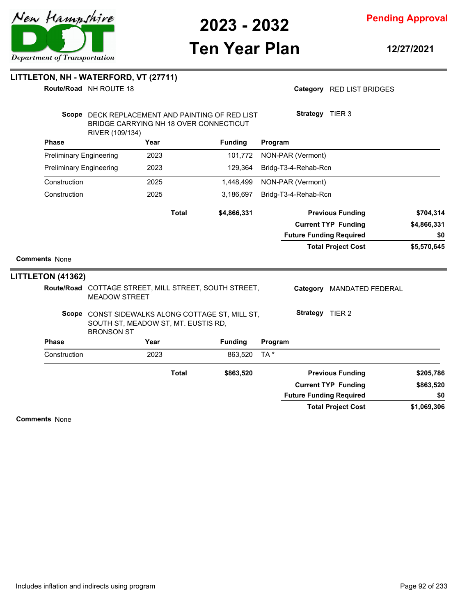

**Pending Approval**

# **Ten Year Plan**

**12/27/2021**

|                                | Route/Road NH ROUTE 18                                   |              |                                                                                           |         |                      | Category RED LIST BRIDGES      |                        |
|--------------------------------|----------------------------------------------------------|--------------|-------------------------------------------------------------------------------------------|---------|----------------------|--------------------------------|------------------------|
|                                | RIVER (109/134)                                          |              | Scope DECK REPLACEMENT AND PAINTING OF RED LIST<br>BRIDGE CARRYING NH 18 OVER CONNECTICUT |         | Strategy TIER 3      |                                |                        |
| <b>Phase</b>                   |                                                          | Year         | <b>Funding</b>                                                                            | Program |                      |                                |                        |
| <b>Preliminary Engineering</b> |                                                          | 2023         | 101,772                                                                                   |         | NON-PAR (Vermont)    |                                |                        |
| <b>Preliminary Engineering</b> |                                                          | 2023         | 129,364                                                                                   |         | Bridg-T3-4-Rehab-Rcn |                                |                        |
| Construction                   |                                                          | 2025         | 1,448,499                                                                                 |         | NON-PAR (Vermont)    |                                |                        |
| Construction                   |                                                          | 2025         | 3,186,697                                                                                 |         | Bridg-T3-4-Rehab-Rcn |                                |                        |
|                                |                                                          | <b>Total</b> | \$4,866,331                                                                               |         |                      | <b>Previous Funding</b>        | \$704,314              |
|                                |                                                          |              |                                                                                           |         |                      | <b>Current TYP Funding</b>     | \$4,866,331            |
|                                |                                                          |              |                                                                                           |         |                      |                                |                        |
|                                |                                                          |              |                                                                                           |         |                      | <b>Future Funding Required</b> | \$0                    |
|                                |                                                          |              |                                                                                           |         |                      | <b>Total Project Cost</b>      | \$5,570,645            |
| <b>Comments None</b>           |                                                          |              |                                                                                           |         |                      |                                |                        |
|                                |                                                          |              |                                                                                           |         |                      |                                |                        |
|                                | <b>MEADOW STREET</b>                                     |              | Route/Road COTTAGE STREET, MILL STREET, SOUTH STREET,                                     |         |                      | Category MANDATED FEDERAL      |                        |
| <b>LITTLETON (41362)</b>       | SOUTH ST, MEADOW ST, MT. EUSTIS RD,<br><b>BRONSON ST</b> |              | Scope CONST SIDEWALKS ALONG COTTAGE ST, MILL ST,                                          |         | Strategy TIER 2      |                                |                        |
| <b>Phase</b>                   |                                                          | Year         | <b>Funding</b>                                                                            | Program |                      |                                |                        |
| Construction                   |                                                          | 2023         | 863,520                                                                                   | TA*     |                      |                                |                        |
|                                |                                                          | <b>Total</b> | \$863,520                                                                                 |         |                      | <b>Previous Funding</b>        |                        |
|                                |                                                          |              |                                                                                           |         |                      | <b>Current TYP Funding</b>     | \$205,786<br>\$863,520 |
|                                |                                                          |              |                                                                                           |         |                      | <b>Future Funding Required</b> | \$0                    |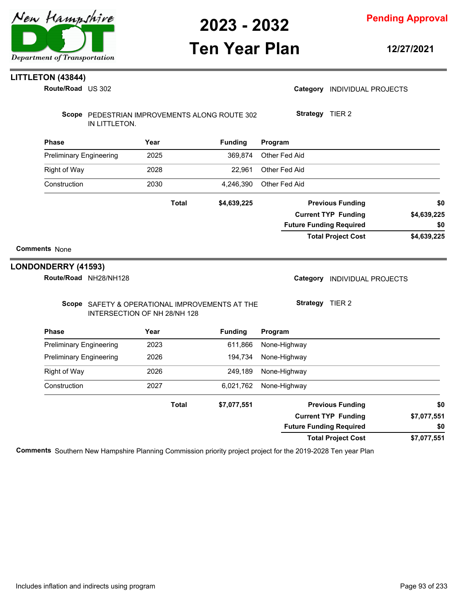

### **Ten Year Plan**

**Pending Approval**

**12/27/2021**

#### **LITTLETON (43844)**

US 302 **Route/Road**

| Route/Road US 302                            |                                                                                |                | Category INDIVIDUAL PROJECTS   |             |
|----------------------------------------------|--------------------------------------------------------------------------------|----------------|--------------------------------|-------------|
| IN LITTLETON.                                | Scope PEDESTRIAN IMPROVEMENTS ALONG ROUTE 302                                  |                | Strategy TIER 2                |             |
| <b>Phase</b>                                 | Year                                                                           | <b>Funding</b> | Program                        |             |
| <b>Preliminary Engineering</b>               | 2025                                                                           | 369,874        | Other Fed Aid                  |             |
| <b>Right of Way</b>                          | 2028                                                                           | 22,961         | Other Fed Aid                  |             |
| Construction                                 | 2030                                                                           | 4,246,390      | Other Fed Aid                  |             |
|                                              | <b>Total</b>                                                                   | \$4,639,225    | <b>Previous Funding</b>        | \$0         |
|                                              |                                                                                |                | <b>Current TYP Funding</b>     | \$4,639,225 |
|                                              |                                                                                |                | <b>Future Funding Required</b> | \$0         |
|                                              |                                                                                |                | <b>Total Project Cost</b>      | \$4,639,225 |
| <b>Comments None</b>                         |                                                                                |                |                                |             |
| LONDONDERRY (41593)<br>Route/Road NH28/NH128 |                                                                                |                | Category INDIVIDUAL PROJECTS   |             |
|                                              | Scope SAFETY & OPERATIONAL IMPROVEMENTS AT THE<br>INTERSECTION OF NH 28/NH 128 |                | Strategy TIER 2                |             |
| <b>Phase</b>                                 | Year                                                                           | <b>Funding</b> | Program                        |             |
| <b>Preliminary Engineering</b>               | 2023                                                                           | 611,866        | None-Highway                   |             |
| <b>Preliminary Engineering</b>               | 2026                                                                           | 194,734        | None-Highway                   |             |
| <b>Right of Way</b>                          | 2026                                                                           | 249,189        | None-Highway                   |             |
| Construction                                 | 2027                                                                           | 6,021,762      | None-Highway                   |             |
|                                              | <b>Total</b>                                                                   | \$7,077,551    | <b>Previous Funding</b>        | \$0         |
|                                              |                                                                                |                | <b>Current TYP Funding</b>     | \$7,077,551 |
|                                              |                                                                                |                | <b>Future Funding Required</b> | \$0         |

**Total Project Cost Comments** Southern New Hampshire Planning Commission priority project project for the 2019-2028 Ten year Plan

**\$7,077,551**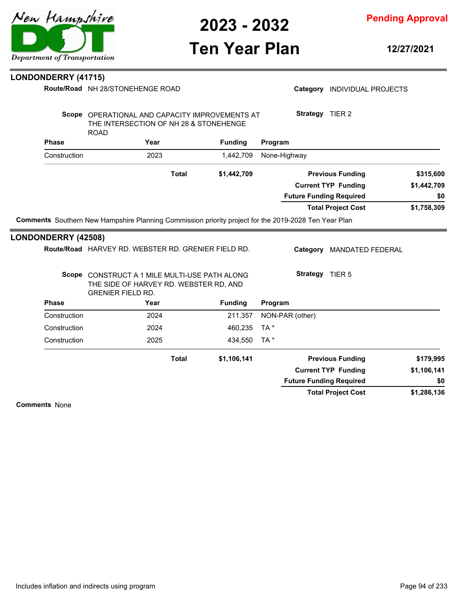

**Pending Approval**

### **Ten Year Plan**

**12/27/2021**

#### **Phase Year Funding Route/Road** NH 28/STONEHENGE ROAD **LONDONDERRY (41715)** Scope OPERATIONAL AND CAPACITY IMPROVEMENTS AT THE INTERSECTION OF NH 28 & STONEHENGE ROAD **Program** Category **INDIVIDUAL PROJECTS Strategy** TIER 2 Construction 2023 1,442,709 None-Highway **\$1,758,309 \$1,442,709 \$1,442,709 Previous Funding \$315,600 Current TYP Funding Total Project Cost Future Funding Required Total Comments** Southern New Hampshire Planning Commission priority project for the 2019-2028 Ten Year Plan **\$0 Phase Phase Phase Phase Phase Phase Phase Phase Phase Phase Phase Phase Phase Phase Phase Phase Phase Phase Phase Phase Phase Phase Phase Phase Phase Phase Phase Phase** Route/Road HARVEY RD. WEBSTER RD. GRENIER FIELD RD. **LONDONDERRY (42508)** Scope CONSTRUCT A 1 MILE MULTI-USE PATH ALONG THE SIDE OF HARVEY RD. WEBSTER RD, AND GRENIER FIELD RD. **Program** Category MANDATED FEDERAL **Strategy** TIER 5 Construction 2024 211,357 NON-PAR (other) Construction 2024 460,235 TA \* Construction 2025 434,550 TA \* **\$1,286,136 \$1,106,141 \$1,106,141 Previous Funding \$179,995 Current TYP Funding Total Project Cost Future Funding Required Total Comments** None **\$0**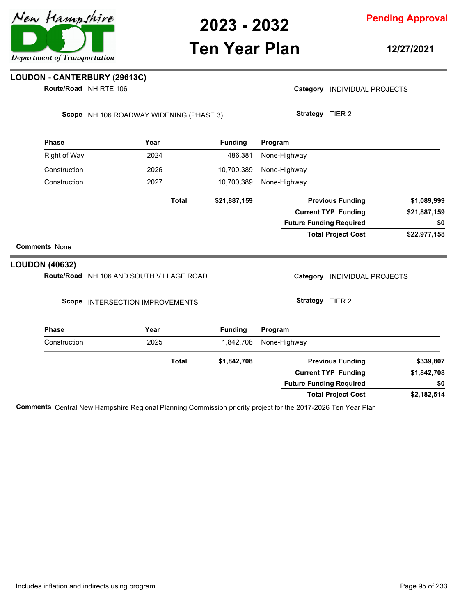

**Pending Approval**

### **Ten Year Plan**

**12/27/2021**

#### **LOUDON - CANTERBURY (29613C)**

**Route/Road** NH RTE 106

Category **INDIVIDUAL PROJECTS** 

Scope NH 106 ROADWAY WIDENING (PHASE 3)

**Strategy** TIER 2

| <b>Phase</b>         | Year         | <b>Funding</b> | Program                        |              |
|----------------------|--------------|----------------|--------------------------------|--------------|
| Right of Way         | 2024         | 486,381        | None-Highway                   |              |
| Construction         | 2026         | 10,700,389     | None-Highway                   |              |
| Construction         | 2027         | 10,700,389     | None-Highway                   |              |
|                      | <b>Total</b> | \$21,887,159   | <b>Previous Funding</b>        | \$1,089,999  |
|                      |              |                | <b>Current TYP Funding</b>     | \$21,887,159 |
|                      |              |                | <b>Future Funding Required</b> | \$0          |
|                      |              |                | <b>Total Project Cost</b>      | \$22,977,158 |
| <b>Comments None</b> |              |                |                                |              |

#### **LOUDON (40632)**

Route/Road NH 106 AND SOUTH VILLAGE ROAD

Scope INTERSECTION IMPROVEMENTS

Category **INDIVIDUAL PROJECTS** 

**Strategy** TIER 2

| <b>Phase</b> | Year  | <b>Funding</b> | Program                        |             |
|--------------|-------|----------------|--------------------------------|-------------|
| Construction | 2025  | 1,842,708      | None-Highway                   |             |
|              | Total | \$1,842,708    | <b>Previous Funding</b>        | \$339,807   |
|              |       |                | <b>Current TYP Funding</b>     | \$1,842,708 |
|              |       |                | <b>Future Funding Required</b> | \$0         |
|              |       |                | <b>Total Project Cost</b>      | \$2,182,514 |

**Comments** Central New Hampshire Regional Planning Commission priority project for the 2017-2026 Ten Year Plan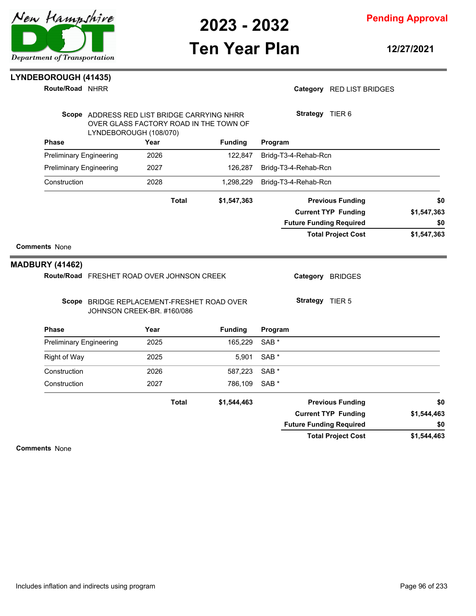**Pending Approval**

### **Ten Year Plan**

**12/27/2021**

### **LYNDEBOROUGH (41435)**

**Route/Road NHRR** 

#### Category RED LIST BRIDGES

|                        | LYNDEBOROUGH (108/070)         |                                                                          |      | Scope ADDRESS RED LIST BRIDGE CARRYING NHRR<br>OVER GLASS FACTORY ROAD IN THE TOWN OF |                      |                  | Strategy TIER 6                |                    |
|------------------------|--------------------------------|--------------------------------------------------------------------------|------|---------------------------------------------------------------------------------------|----------------------|------------------|--------------------------------|--------------------|
|                        | <b>Phase</b><br>Year           |                                                                          |      | <b>Funding</b>                                                                        |                      | Program          |                                |                    |
|                        | <b>Preliminary Engineering</b> |                                                                          | 2026 |                                                                                       | 122.847              |                  | Bridg-T3-4-Rehab-Rcn           |                    |
|                        | <b>Preliminary Engineering</b> |                                                                          | 2027 |                                                                                       | 126,287<br>1,298,229 |                  | Bridg-T3-4-Rehab-Rcn           |                    |
|                        | Construction                   |                                                                          | 2028 |                                                                                       |                      |                  | Bridg-T3-4-Rehab-Rcn           |                    |
|                        |                                |                                                                          |      | <b>Total</b>                                                                          | \$1,547,363          |                  | <b>Previous Funding</b>        | \$0                |
|                        |                                |                                                                          |      |                                                                                       |                      |                  | <b>Current TYP Funding</b>     | \$1,547,363<br>\$0 |
|                        |                                |                                                                          |      |                                                                                       |                      |                  | <b>Future Funding Required</b> |                    |
|                        |                                |                                                                          |      |                                                                                       |                      |                  | <b>Total Project Cost</b>      | \$1,547,363        |
| <b>Comments None</b>   |                                |                                                                          |      |                                                                                       |                      |                  |                                |                    |
| <b>MADBURY (41462)</b> |                                |                                                                          |      |                                                                                       |                      |                  |                                |                    |
|                        |                                | Route/Road FRESHET ROAD OVER JOHNSON CREEK                               |      |                                                                                       |                      |                  | Category BRIDGES               |                    |
|                        |                                | Scope BRIDGE REPLACEMENT-FRESHET ROAD OVER<br>JOHNSON CREEK-BR. #160/086 |      |                                                                                       |                      |                  | Strategy TIER 5                |                    |
| <b>Phase</b>           |                                |                                                                          | Year |                                                                                       | <b>Funding</b>       | Program          |                                |                    |
|                        | <b>Preliminary Engineering</b> |                                                                          | 2025 |                                                                                       | 165,229              | SAB <sup>*</sup> |                                |                    |
|                        | <b>Right of Way</b>            |                                                                          | 2025 |                                                                                       | 5,901                | SAB <sup>*</sup> |                                |                    |
|                        | Construction                   |                                                                          | 2026 |                                                                                       | 587,223              | SAB <sup>*</sup> |                                |                    |
|                        | Construction                   |                                                                          | 2027 |                                                                                       | 786,109              | SAB <sup>*</sup> |                                |                    |
|                        |                                |                                                                          |      | <b>Total</b>                                                                          | \$1,544,463          |                  | <b>Previous Funding</b>        | \$0                |
|                        |                                |                                                                          |      |                                                                                       |                      |                  | <b>Current TYP Funding</b>     | \$1,544,463        |
|                        |                                |                                                                          |      |                                                                                       |                      |                  | <b>Future Funding Required</b> | \$0                |
|                        |                                |                                                                          |      |                                                                                       |                      |                  | <b>Total Project Cost</b>      | \$1,544,463        |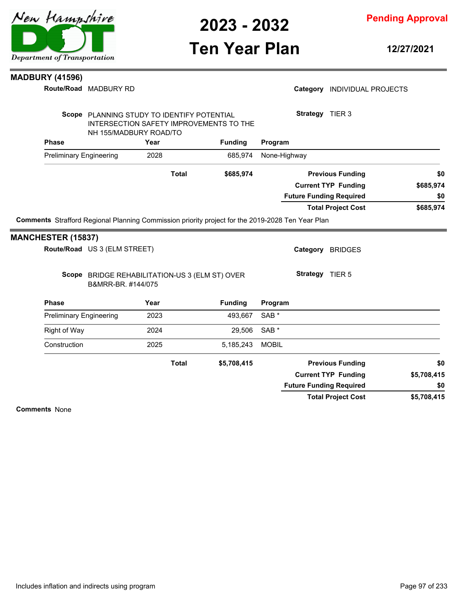**Pending Approval**

### **Ten Year Plan**

**12/27/2021**

#### **MADBURY (41596)**

**Route/Road** MADBURY RD

|                           | Route/Road MADBURY RD                                                |      |              |                                         |                  |                 | Category INDIVIDUAL PROJECTS   |             |
|---------------------------|----------------------------------------------------------------------|------|--------------|-----------------------------------------|------------------|-----------------|--------------------------------|-------------|
|                           | Scope PLANNING STUDY TO IDENTIFY POTENTIAL<br>NH 155/MADBURY ROAD/TO |      |              | INTERSECTION SAFETY IMPROVEMENTS TO THE |                  | Strategy TIER 3 |                                |             |
| <b>Phase</b>              |                                                                      | Year |              | <b>Funding</b>                          | Program          |                 |                                |             |
|                           | <b>Preliminary Engineering</b>                                       | 2028 |              | 685,974                                 | None-Highway     |                 |                                |             |
|                           |                                                                      |      | <b>Total</b> | \$685,974                               |                  |                 | <b>Previous Funding</b>        | \$0         |
|                           |                                                                      |      |              |                                         |                  |                 | <b>Current TYP Funding</b>     | \$685,974   |
|                           |                                                                      |      |              |                                         |                  |                 | <b>Future Funding Required</b> | \$0         |
|                           |                                                                      |      |              |                                         |                  |                 | <b>Total Project Cost</b>      | \$685,974   |
|                           | Route/Road US 3 (ELM STREET)                                         |      |              |                                         |                  |                 | Category BRIDGES               |             |
| <b>MANCHESTER (15837)</b> | Scope BRIDGE REHABILITATION-US 3 (ELM ST) OVER<br>B&MRR-BR. #144/075 |      |              |                                         |                  | Strategy TIER 5 |                                |             |
| <b>Phase</b>              |                                                                      | Year |              | <b>Funding</b>                          | Program          |                 |                                |             |
|                           | <b>Preliminary Engineering</b>                                       | 2023 |              | 493,667                                 | SAB <sup>*</sup> |                 |                                |             |
| <b>Right of Way</b>       |                                                                      | 2024 |              | 29,506                                  | SAB <sup>*</sup> |                 |                                |             |
| Construction              |                                                                      | 2025 |              | 5,185,243                               | <b>MOBIL</b>     |                 |                                |             |
|                           |                                                                      |      | <b>Total</b> | \$5,708,415                             |                  |                 | <b>Previous Funding</b>        | \$0         |
|                           |                                                                      |      |              |                                         |                  |                 | <b>Current TYP Funding</b>     | \$5,708,415 |
|                           |                                                                      |      |              |                                         |                  |                 | <b>Future Funding Required</b> | \$0         |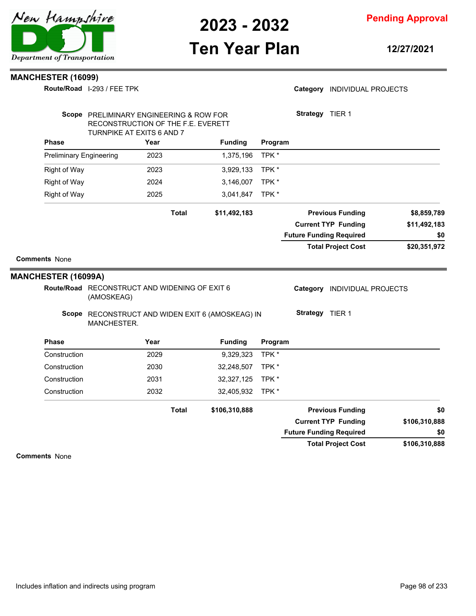

**Pending Approval**

### **Ten Year Plan**

**12/27/2021**

Category **INDIVIDUAL PROJECTS** 

#### **MANCHESTER (16099)**

**Route/Road** I-293 / FEE TPK

|                                | Scope PRELIMINARY ENGINEERING & ROW FOR<br>RECONSTRUCTION OF THE F.E. EVERETT<br>TURNPIKE AT EXITS 6 AND 7                     |              |                |         | Strategy TIER 1                                           |               |
|--------------------------------|--------------------------------------------------------------------------------------------------------------------------------|--------------|----------------|---------|-----------------------------------------------------------|---------------|
| <b>Phase</b>                   | Year                                                                                                                           |              | <b>Funding</b> | Program |                                                           |               |
| <b>Preliminary Engineering</b> | 2023                                                                                                                           |              | 1,375,196      | TPK *   |                                                           |               |
| Right of Way                   | 2023                                                                                                                           |              | 3,929,133      | TPK*    |                                                           |               |
| <b>Right of Way</b>            | 2024                                                                                                                           |              | 3,146,007      | TPK*    |                                                           |               |
| <b>Right of Way</b>            | 2025                                                                                                                           |              | 3,041,847      | TPK *   |                                                           |               |
|                                |                                                                                                                                | <b>Total</b> | \$11,492,183   |         | <b>Previous Funding</b>                                   | \$8,859,789   |
|                                |                                                                                                                                |              |                |         | <b>Current TYP Funding</b>                                | \$11,492,183  |
|                                |                                                                                                                                |              |                |         | <b>Future Funding Required</b>                            | \$0           |
|                                |                                                                                                                                |              |                |         | <b>Total Project Cost</b>                                 | \$20,351,972  |
|                                | Route/Road RECONSTRUCT AND WIDENING OF EXIT 6<br>(AMOSKEAG)<br>Scope RECONSTRUCT AND WIDEN EXIT 6 (AMOSKEAG) IN<br>MANCHESTER. |              |                |         | Category<br><b>INDIVIDUAL PROJECTS</b><br>Strategy TIER 1 |               |
| <b>Phase</b>                   | Year                                                                                                                           |              | <b>Funding</b> | Program |                                                           |               |
| Construction                   | 2029                                                                                                                           |              | 9,329,323      | TPK*    |                                                           |               |
| Construction                   | 2030                                                                                                                           |              | 32,248,507     | TPK*    |                                                           |               |
| Construction                   | 2031                                                                                                                           |              | 32,327,125     | TPK *   |                                                           |               |
| Construction                   | 2032                                                                                                                           |              | 32,405,932     | TPK*    |                                                           |               |
|                                |                                                                                                                                | <b>Total</b> | \$106,310,888  |         | <b>Previous Funding</b>                                   | \$0           |
|                                |                                                                                                                                |              |                |         | <b>Current TYP Funding</b>                                | \$106,310,888 |
|                                |                                                                                                                                |              |                |         |                                                           |               |
|                                |                                                                                                                                |              |                |         | <b>Future Funding Required</b>                            | \$0           |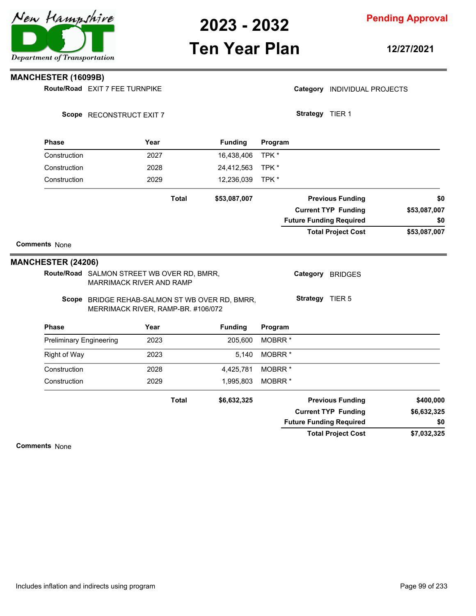## **Ten Year Plan**

**Pending Approval**

**12/27/2021**

Category **INDIVIDUAL PROJECTS** 

#### **MANCHESTER (16099B)**

**Route/Road** EXIT 7 FEE TURNPIKE

|                                | Scope RECONSTRUCT EXIT 7                                                      |                                                | Strategy TIER 1                |              |
|--------------------------------|-------------------------------------------------------------------------------|------------------------------------------------|--------------------------------|--------------|
| <b>Phase</b>                   | Year                                                                          | <b>Funding</b>                                 | Program                        |              |
| Construction                   | 2027                                                                          | 16,438,406                                     | TPK *                          |              |
| Construction                   | 2028                                                                          | 24,412,563                                     | TPK *                          |              |
| Construction                   | 2029                                                                          | 12,236,039                                     | TPK *                          |              |
|                                |                                                                               | <b>Total</b><br>\$53,087,007                   | <b>Previous Funding</b>        | \$0          |
|                                |                                                                               |                                                | <b>Current TYP Funding</b>     | \$53,087,007 |
|                                |                                                                               |                                                | <b>Future Funding Required</b> | \$0          |
|                                |                                                                               |                                                | <b>Total Project Cost</b>      | \$53,087,007 |
| <b>Comments None</b>           |                                                                               |                                                |                                |              |
| <b>MANCHESTER (24206)</b>      |                                                                               |                                                |                                |              |
|                                | Route/Road SALMON STREET WB OVER RD, BMRR,<br><b>MARRIMACK RIVER AND RAMP</b> |                                                | Category BRIDGES               |              |
|                                | MERRIMACK RIVER, RAMP-BR. #106/072                                            | Scope BRIDGE REHAB-SALMON ST WB OVER RD, BMRR, | Strategy TIER 5                |              |
| <b>Phase</b>                   | Year                                                                          | <b>Funding</b>                                 | Program                        |              |
| <b>Preliminary Engineering</b> | 2023                                                                          | 205,600                                        | MOBRR <sup>*</sup>             |              |
| <b>Right of Way</b>            | 2023                                                                          | 5,140                                          | MOBRR <sup>*</sup>             |              |
| Construction                   | 2028                                                                          | 4,425,781                                      | MOBRR <sup>*</sup>             |              |
| Construction                   | 2029                                                                          | 1,995,803                                      | MOBRR <sup>*</sup>             |              |
|                                |                                                                               | <b>Total</b><br>\$6,632,325                    | <b>Previous Funding</b>        | \$400,000    |
|                                |                                                                               |                                                | <b>Current TYP Funding</b>     | \$6,632,325  |
|                                |                                                                               |                                                | <b>Future Funding Required</b> | \$0          |
|                                |                                                                               |                                                | <b>Total Project Cost</b>      | \$7,032,325  |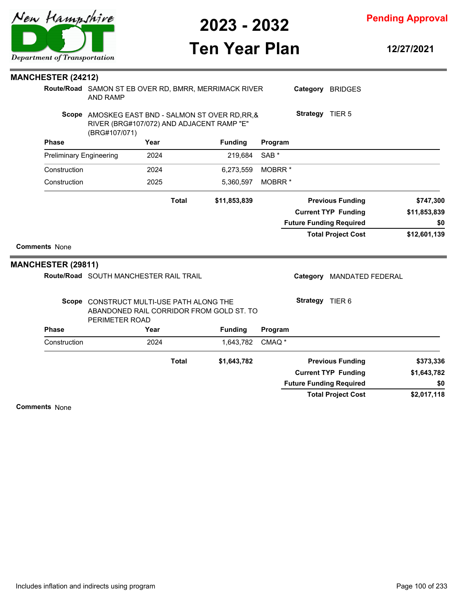

**Pending Approval**

# **Ten Year Plan**

**12/27/2021**

| <b>MANCHESTER (24212)</b>      |                                                                                                                 |      |              |                |                    |                 |                                |              |
|--------------------------------|-----------------------------------------------------------------------------------------------------------------|------|--------------|----------------|--------------------|-----------------|--------------------------------|--------------|
|                                | Route/Road SAMON ST EB OVER RD, BMRR, MERRIMACK RIVER<br><b>AND RAMP</b>                                        |      |              |                |                    |                 | Category BRIDGES               |              |
|                                | Scope AMOSKEG EAST BND - SALMON ST OVER RD, RR, &<br>RIVER (BRG#107/072) AND ADJACENT RAMP "E"<br>(BRG#107/071) |      |              |                |                    | Strategy TIER 5 |                                |              |
| <b>Phase</b>                   |                                                                                                                 | Year |              | <b>Funding</b> | Program            |                 |                                |              |
| <b>Preliminary Engineering</b> |                                                                                                                 | 2024 |              | 219,684        | SAB <sup>*</sup>   |                 |                                |              |
| Construction                   |                                                                                                                 | 2024 |              | 6,273,559      | MOBRR <sup>*</sup> |                 |                                |              |
| Construction                   |                                                                                                                 | 2025 |              | 5,360,597      | MOBRR <sup>*</sup> |                 |                                |              |
|                                |                                                                                                                 |      | <b>Total</b> | \$11,853,839   |                    |                 | <b>Previous Funding</b>        | \$747,300    |
|                                |                                                                                                                 |      |              |                |                    |                 | <b>Current TYP Funding</b>     | \$11,853,839 |
|                                |                                                                                                                 |      |              |                |                    |                 | <b>Future Funding Required</b> | \$0          |
|                                |                                                                                                                 |      |              |                |                    |                 | <b>Total Project Cost</b>      | \$12,601,139 |
| <b>Comments None</b>           |                                                                                                                 |      |              |                |                    |                 |                                |              |
| <b>MANCHESTER (29811)</b>      |                                                                                                                 |      |              |                |                    |                 |                                |              |
|                                | Route/Road SOUTH MANCHESTER RAIL TRAIL                                                                          |      |              |                |                    | Category        | <b>MANDATED FEDERAL</b>        |              |
|                                | Scope CONSTRUCT MULTI-USE PATH ALONG THE<br>ABANDONED RAIL CORRIDOR FROM GOLD ST. TO<br>PERIMETER ROAD          |      |              |                |                    | Strategy TIER 6 |                                |              |
| <b>Phase</b>                   |                                                                                                                 | Year |              | <b>Funding</b> | Program            |                 |                                |              |
| Construction                   |                                                                                                                 | 2024 |              | 1,643,782      | CMAQ <sup>*</sup>  |                 |                                |              |
|                                |                                                                                                                 |      | <b>Total</b> | \$1,643,782    |                    |                 | <b>Previous Funding</b>        | \$373,336    |
|                                |                                                                                                                 |      |              |                |                    |                 | <b>Current TYP Funding</b>     | \$1,643,782  |
|                                |                                                                                                                 |      |              |                |                    |                 | <b>Future Funding Required</b> | \$0          |
|                                |                                                                                                                 |      |              |                |                    |                 | <b>Total Project Cost</b>      | \$2,017,118  |

**Comments** None

 $\overline{\phantom{a}}$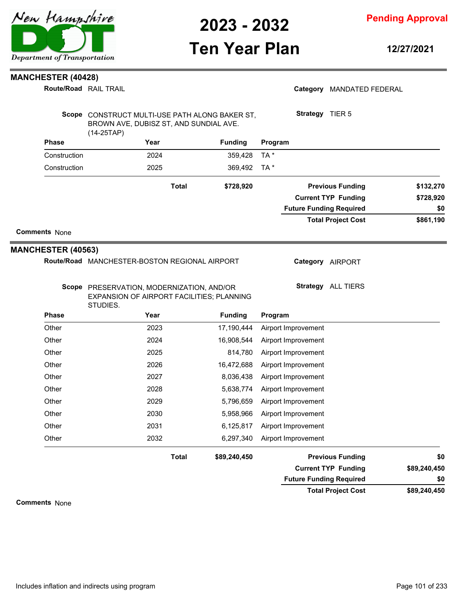

### **Ten Year Plan**

**Pending Approval**

**12/27/2021**

#### **MANCHESTER (40428)**

**Route/Road RAIL TRAIL** 

#### Category MANDATED FEDERAL

| Scope        | CONSTRUCT MULTI-USE PATH ALONG BAKER ST,<br>BROWN AVE, DUBISZ ST, AND SUNDIAL AVE.<br>$(14-25TAP)$ |       |                |         | Strategy<br>TIER <sub>5</sub>  |           |
|--------------|----------------------------------------------------------------------------------------------------|-------|----------------|---------|--------------------------------|-----------|
| <b>Phase</b> | Year                                                                                               |       | <b>Funding</b> | Program |                                |           |
| Construction | 2024                                                                                               |       | 359.428        | TA *    |                                |           |
| Construction | 2025                                                                                               |       | 369,492        | TA *    |                                |           |
|              |                                                                                                    | Total | \$728,920      |         | <b>Previous Funding</b>        | \$132,270 |
|              |                                                                                                    |       |                |         | <b>Current TYP Funding</b>     | \$728,920 |
|              |                                                                                                    |       |                |         | <b>Future Funding Required</b> | \$0       |
|              |                                                                                                    |       |                |         | <b>Total Project Cost</b>      | \$861,190 |

#### **Comments** None

#### **MANCHESTER (40563)**

Route/Road MANCHESTER-BOSTON REGIONAL AIRPORT

**Category** AIRPORT

Scope PRESERVATION, MODERNIZATION, AND/OR EXPANSION OF AIRPORT FACILITIES; PLANNING STUDIES.

**Strategy** ALL TIERS

|              | STUDIES. |              |                |                         |     |
|--------------|----------|--------------|----------------|-------------------------|-----|
| <b>Phase</b> | Year     |              | <b>Funding</b> | Program                 |     |
| Other        | 2023     |              | 17,190,444     | Airport Improvement     |     |
| Other        | 2024     |              | 16,908,544     | Airport Improvement     |     |
| Other        | 2025     |              | 814,780        | Airport Improvement     |     |
| Other        | 2026     |              | 16,472,688     | Airport Improvement     |     |
| Other        | 2027     |              | 8,036,438      | Airport Improvement     |     |
| Other        | 2028     |              | 5,638,774      | Airport Improvement     |     |
| Other        | 2029     |              | 5,796,659      | Airport Improvement     |     |
| Other        | 2030     |              | 5,958,966      | Airport Improvement     |     |
| Other        | 2031     |              | 6,125,817      | Airport Improvement     |     |
| Other        | 2032     |              | 6,297,340      | Airport Improvement     |     |
|              |          | <b>Total</b> | \$89,240,450   | <b>Previous Funding</b> | \$0 |

#### **\$89,240,450 Current TYP Funding**

**Future Funding Required \$0**

**\$89,240,450 Total Project Cost**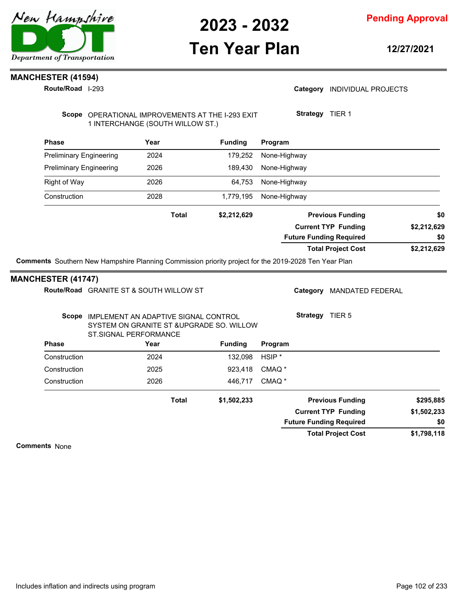

### **Ten Year Plan**

**12/27/2021**

### **MANCHESTER (41594)**

**Route/Road** I-293

#### Category **INDIVIDUAL PROJECTS**

Scope OPERATIONAL IMPROVEMENTS AT THE I-293 EXIT 1 INTERCHANGE (SOUTH WILLOW ST.)

**Strategy** TIER 1

| <b>Phase</b>                   | Year         | <b>Funding</b> | Program                        |             |
|--------------------------------|--------------|----------------|--------------------------------|-------------|
| <b>Preliminary Engineering</b> | 2024         | 179.252        | None-Highway                   |             |
| <b>Preliminary Engineering</b> | 2026         | 189,430        | None-Highway                   |             |
| Right of Way                   | 2026         | 64.753         | None-Highway                   |             |
| Construction                   | 2028         | 1,779,195      | None-Highway                   |             |
|                                | <b>Total</b> | \$2,212,629    | <b>Previous Funding</b>        | \$0         |
|                                |              |                | <b>Current TYP Funding</b>     | \$2,212,629 |
|                                |              |                | <b>Future Funding Required</b> | \$0         |
|                                |              |                | <b>Total Project Cost</b>      | \$2,212,629 |

**Comments** Southern New Hampshire Planning Commission priority project for the 2019-2028 Ten Year Plan

#### **MANCHESTER (41747)**

|              | Route/Road GRANITE ST & SOUTH WILLOW ST                        |                                           | Category          | <b>MANDATED FEDERAL</b> |                                |             |
|--------------|----------------------------------------------------------------|-------------------------------------------|-------------------|-------------------------|--------------------------------|-------------|
| Scope        | IMPLEMENT AN ADAPTIVE SIGNAL CONTROL<br>ST. SIGNAL PERFORMANCE | SYSTEM ON GRANITE ST & UPGRADE SO. WILLOW |                   | Strategy                | TIER <sub>5</sub>              |             |
| <b>Phase</b> | Year                                                           | <b>Funding</b>                            | Program           |                         |                                |             |
| Construction | 2024                                                           | 132.098                                   | HSIP <sup>*</sup> |                         |                                |             |
| Construction | 2025                                                           | 923,418                                   | CMAQ <sup>*</sup> |                         |                                |             |
| Construction | 2026                                                           | 446.717                                   | CMAQ <sup>*</sup> |                         |                                |             |
|              |                                                                | Total<br>\$1,502,233                      |                   |                         | <b>Previous Funding</b>        | \$295,885   |
|              |                                                                |                                           |                   |                         | <b>Current TYP Funding</b>     | \$1,502,233 |
|              |                                                                |                                           |                   |                         | <b>Future Funding Required</b> | \$0         |
|              |                                                                |                                           |                   |                         | <b>Total Project Cost</b>      | \$1,798,118 |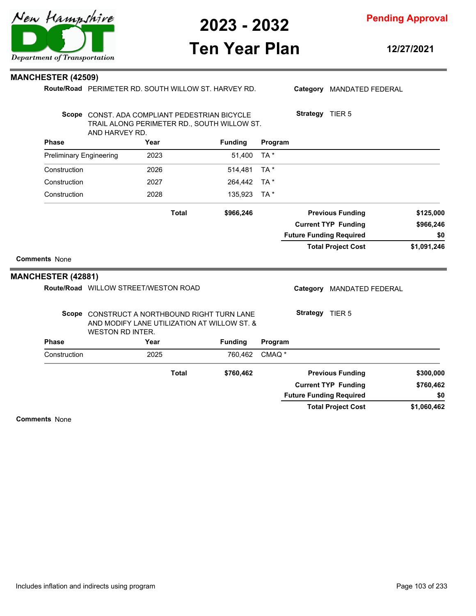**Pending Approval**

### **Ten Year Plan**

**12/27/2021**

#### **MANCHESTER (42509)**

**Route/Road** PERIMETER RD. SOUTH WILLOW ST. HARVEY RD.

Category MANDATED FEDERAL

**Strategy** TIER 5

| $\Box$ and the state of such that $\Box$ and $\Box$ and $\Box$ and $\Box$ |                                               | nnnn | $F = 100$ $T = 1$                           |         |  |  |
|---------------------------------------------------------------------------|-----------------------------------------------|------|---------------------------------------------|---------|--|--|
| Phase                                                                     |                                               | Year | Fundina                                     | Program |  |  |
|                                                                           | AND HARVEY RD.                                |      |                                             |         |  |  |
|                                                                           |                                               |      | TRAIL ALONG PERIMETER RD., SOUTH WILLOW ST. |         |  |  |
|                                                                           | Scope CONST. ADA COMPLIANT PEDESTRIAN BICYCLE |      |                                             |         |  |  |

| .                       | .            | .         | .                              |             |
|-------------------------|--------------|-----------|--------------------------------|-------------|
| Preliminary Engineering | 2023         | 51.400    | TA *                           |             |
| Construction            | 2026         | 514.481   | TA *                           |             |
| Construction            | 2027         | 264.442   | TA *                           |             |
| Construction            | 2028         | 135,923   | TA *                           |             |
|                         | <b>Total</b> | \$966,246 | <b>Previous Funding</b>        | \$125,000   |
|                         |              |           | <b>Current TYP Funding</b>     | \$966,246   |
|                         |              |           | <b>Future Funding Required</b> | \$0         |
|                         |              |           | <b>Total Project Cost</b>      | \$1,091,246 |
|                         |              |           |                                |             |

#### **Comments** None

L.

#### **MANCHESTER (42881)**

**Phase Year Funding** Route/Road WILLOW STREET/WESTON ROAD Scope CONSTRUCT A NORTHBOUND RIGHT TURN LANE AND MODIFY LANE UTILIZATION AT WILLOW ST. & WESTON RD INTER. **Program** Category MANDATED FEDERAL **Strategy** TIER 5 Construction 2025 760,462 CMAQ \* **\$1,060,462 \$760,462 \$760,462 Previous Funding \$300,000 Current TYP Funding Total Project Cost Future Funding Required Total \$0**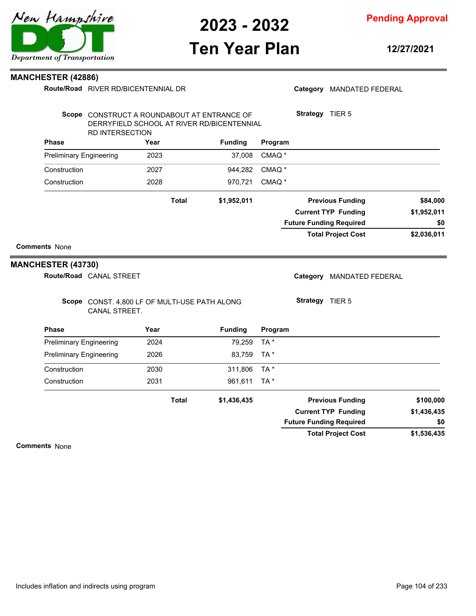

**Pending Approval**

## **Ten Year Plan**

**12/27/2021**

#### **MANCHESTER (42886)**

|  | Route/Road RIVER RD/BICENTENNIAL DR |  |
|--|-------------------------------------|--|
|--|-------------------------------------|--|

| <b>Phase</b><br><b>Preliminary Engineering</b><br><b>Preliminary Engineering</b><br>Construction<br>Construction | Scope CONST. 4,800 LF OF MULTI-USE PATH ALONG<br>CANAL STREET.                                                      | Year<br>2024<br>2026<br>2030<br>2031 | <b>Total</b> | <b>Funding</b><br>79,259<br>83,759<br>311,806<br>961,611<br>\$1,436,435 | Program<br>TA *<br>TA *<br>TA*<br>TA * | Category<br>Strategy TIER 5 | <b>MANDATED FEDERAL</b><br><b>Previous Funding</b>          | \$100,000          |
|------------------------------------------------------------------------------------------------------------------|---------------------------------------------------------------------------------------------------------------------|--------------------------------------|--------------|-------------------------------------------------------------------------|----------------------------------------|-----------------------------|-------------------------------------------------------------|--------------------|
|                                                                                                                  |                                                                                                                     |                                      |              |                                                                         |                                        |                             |                                                             |                    |
|                                                                                                                  |                                                                                                                     |                                      |              |                                                                         |                                        |                             |                                                             |                    |
|                                                                                                                  |                                                                                                                     |                                      |              |                                                                         |                                        |                             |                                                             |                    |
|                                                                                                                  |                                                                                                                     |                                      |              |                                                                         |                                        |                             |                                                             |                    |
|                                                                                                                  |                                                                                                                     |                                      |              |                                                                         |                                        |                             |                                                             |                    |
|                                                                                                                  |                                                                                                                     |                                      |              |                                                                         |                                        |                             |                                                             |                    |
|                                                                                                                  |                                                                                                                     |                                      |              |                                                                         |                                        |                             |                                                             |                    |
| <b>MANCHESTER (43730)</b><br>Route/Road CANAL STREET                                                             |                                                                                                                     |                                      |              |                                                                         |                                        |                             |                                                             |                    |
| <b>Comments None</b>                                                                                             |                                                                                                                     |                                      |              |                                                                         |                                        |                             |                                                             |                    |
|                                                                                                                  |                                                                                                                     |                                      |              |                                                                         |                                        |                             | <b>Future Funding Required</b><br><b>Total Project Cost</b> | \$0<br>\$2,036,011 |
|                                                                                                                  |                                                                                                                     |                                      |              |                                                                         |                                        |                             | <b>Current TYP Funding</b>                                  | \$1,952,011        |
|                                                                                                                  |                                                                                                                     |                                      | <b>Total</b> | \$1,952,011                                                             |                                        |                             | <b>Previous Funding</b>                                     | \$84,000           |
| Construction                                                                                                     |                                                                                                                     | 2028                                 |              | 970,721                                                                 | CMAQ <sup>*</sup>                      |                             |                                                             |                    |
| Construction                                                                                                     |                                                                                                                     | 2027                                 |              | 944,282                                                                 | CMAQ <sup>*</sup>                      |                             |                                                             |                    |
| <b>Preliminary Engineering</b>                                                                                   |                                                                                                                     | 2023                                 |              | 37,008                                                                  | CMAQ <sup>*</sup>                      |                             |                                                             |                    |
| <b>Phase</b>                                                                                                     |                                                                                                                     | Year                                 |              | <b>Funding</b>                                                          | Program                                |                             |                                                             |                    |
|                                                                                                                  | Scope CONSTRUCT A ROUNDABOUT AT ENTRANCE OF<br>DERRYFIELD SCHOOL AT RIVER RD/BICENTENNIAL<br><b>RD INTERSECTION</b> |                                      |              |                                                                         |                                        | Strategy TIER 5             |                                                             |                    |
|                                                                                                                  |                                                                                                                     |                                      |              |                                                                         |                                        |                             |                                                             |                    |

**Comments** None

**\$1,536,435**

**Total Project Cost**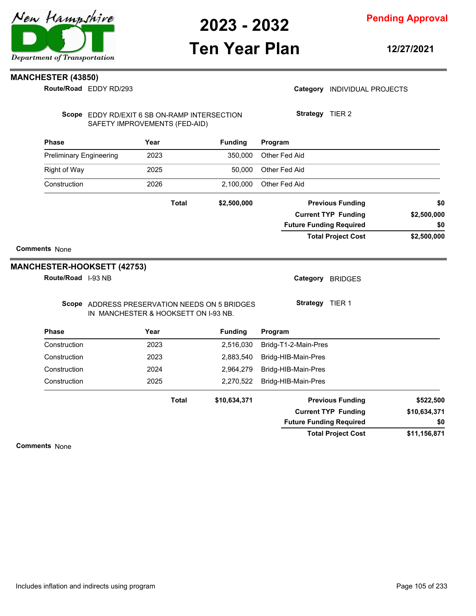### **Ten Year Plan**

**12/27/2021**

#### **MANCHESTER (43850)**

EDDY RD/293 **Route/Road**

|  | Category INDIVIDUAL PROJECTS |  |
|--|------------------------------|--|
|--|------------------------------|--|

Scope EDDY RD/EXIT 6 SB ON-RAMP INTERSECTION SAFETY IMPROVEMENTS (FED-AID)

**Strategy** TIER 2

| <b>Phase</b>                   | Year         | <b>Funding</b> | Program                        |             |
|--------------------------------|--------------|----------------|--------------------------------|-------------|
| <b>Preliminary Engineering</b> | 2023         | 350.000        | Other Fed Aid                  |             |
| Right of Way                   | 2025         | 50.000         | Other Fed Aid                  |             |
| Construction                   | 2026         | 2,100,000      | Other Fed Aid                  |             |
|                                | <b>Total</b> | \$2,500,000    | <b>Previous Funding</b>        | \$0         |
|                                |              |                | <b>Current TYP Funding</b>     | \$2,500,000 |
|                                |              |                | <b>Future Funding Required</b> | \$0         |
|                                |              |                | <b>Total Project Cost</b>      | \$2,500,000 |

#### **Comments** None

#### **MANCHESTER-HOOKSETT (42753)**

**Route/Road** I-93 NB

Category BRIDGES

Scope ADDRESS PRESERVATION NEEDS ON 5 BRIDGES IN MANCHESTER & HOOKSETT ON I-93 NB.

**Strategy** TIER 1

| <b>Phase</b> | Year  | <b>Funding</b> | Program                        |              |
|--------------|-------|----------------|--------------------------------|--------------|
| Construction | 2023  | 2,516,030      | Bridg-T1-2-Main-Pres           |              |
| Construction | 2023  | 2,883,540      | Bridg-HIB-Main-Pres            |              |
| Construction | 2024  | 2,964,279      | Bridg-HIB-Main-Pres            |              |
| Construction | 2025  | 2,270,522      | Bridg-HIB-Main-Pres            |              |
|              | Total | \$10,634,371   | <b>Previous Funding</b>        | \$522,500    |
|              |       |                | <b>Current TYP Funding</b>     | \$10,634,371 |
|              |       |                | <b>Future Funding Required</b> | \$0          |
|              |       |                | <b>Total Project Cost</b>      | \$11,156,871 |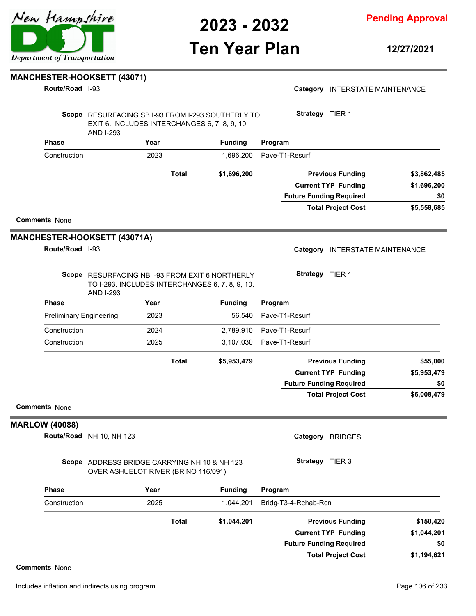

**Pending Approval**

## **Ten Year Plan**

**12/27/2021**

#### **MANCHESTER-HOOKSETT (43071)**

I-93 **Route/Road**

| Route/Road 1-93                |                                                                                                                        |              |                | Category INTERSTATE MAINTENANCE |             |
|--------------------------------|------------------------------------------------------------------------------------------------------------------------|--------------|----------------|---------------------------------|-------------|
|                                | Scope RESURFACING SB I-93 FROM I-293 SOUTHERLY TO<br>EXIT 6. INCLUDES INTERCHANGES 6, 7, 8, 9, 10,<br><b>AND I-293</b> |              |                | Strategy TIER 1                 |             |
| <b>Phase</b>                   | Year                                                                                                                   |              | <b>Funding</b> | Program                         |             |
| Construction                   | 2023                                                                                                                   |              | 1,696,200      | Pave-T1-Resurf                  |             |
|                                |                                                                                                                        | <b>Total</b> | \$1,696,200    | <b>Previous Funding</b>         | \$3,862,485 |
|                                |                                                                                                                        |              |                | <b>Current TYP Funding</b>      | \$1,696,200 |
|                                |                                                                                                                        |              |                | <b>Future Funding Required</b>  | \$0         |
|                                |                                                                                                                        |              |                | <b>Total Project Cost</b>       | \$5,558,685 |
| <b>Comments None</b>           |                                                                                                                        |              |                |                                 |             |
|                                | <b>MANCHESTER-HOOKSETT (43071A)</b>                                                                                    |              |                |                                 |             |
| Route/Road 1-93                |                                                                                                                        |              |                | Category INTERSTATE MAINTENANCE |             |
|                                | Scope RESURFACING NB I-93 FROM EXIT 6 NORTHERLY<br>TO I-293. INCLUDES INTERCHANGES 6, 7, 8, 9, 10,<br><b>AND I-293</b> |              |                | Strategy TIER 1                 |             |
| <b>Phase</b>                   | Year                                                                                                                   |              | <b>Funding</b> | Program                         |             |
| <b>Preliminary Engineering</b> | 2023                                                                                                                   |              | 56,540         | Pave-T1-Resurf                  |             |
| Construction                   | 2024                                                                                                                   |              | 2,789,910      | Pave-T1-Resurf                  |             |
| Construction                   | 2025                                                                                                                   |              | 3,107,030      | Pave-T1-Resurf                  |             |
|                                |                                                                                                                        | <b>Total</b> | \$5,953,479    | <b>Previous Funding</b>         | \$55,000    |
|                                |                                                                                                                        |              |                | <b>Current TYP Funding</b>      | \$5,953,479 |
|                                |                                                                                                                        |              |                | <b>Future Funding Required</b>  | \$0         |
| <b>Comments None</b>           |                                                                                                                        |              |                | <b>Total Project Cost</b>       | \$6,008,479 |
| <b>MARLOW (40088)</b>          |                                                                                                                        |              |                |                                 |             |
|                                | Route/Road NH 10, NH 123                                                                                               |              |                | Category BRIDGES                |             |
|                                | Scope ADDRESS BRIDGE CARRYING NH 10 & NH 123<br>OVER ASHUELOT RIVER (BR NO 116/091)                                    |              |                | Strategy TIER 3                 |             |
| <b>Phase</b>                   | Year                                                                                                                   |              | <b>Funding</b> | Program                         |             |
| Construction                   | 2025                                                                                                                   |              | 1,044,201      | Bridg-T3-4-Rehab-Rcn            |             |
|                                |                                                                                                                        | <b>Total</b> | \$1,044,201    | <b>Previous Funding</b>         | \$150,420   |
|                                |                                                                                                                        |              |                | <b>Current TYP Funding</b>      | \$1,044,201 |
|                                |                                                                                                                        |              |                | <b>Future Funding Required</b>  | \$0         |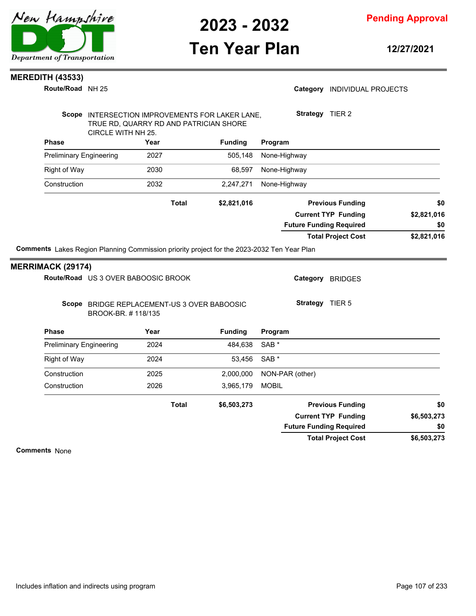

**Pending Approval**

### **Ten Year Plan**

**12/27/2021**

#### **MEREDITH (43533)**

**Route/Road** NH 25

#### Category **INDIVIDUAL PROJECTS**

|                                | Scope INTERSECTION IMPROVEMENTS FOR LAKER LANE,<br>TRUE RD, QUARRY RD AND PATRICIAN SHORE         |              |                | Strategy TIER 2  |                                |             |
|--------------------------------|---------------------------------------------------------------------------------------------------|--------------|----------------|------------------|--------------------------------|-------------|
| <b>Phase</b>                   | CIRCLE WITH NH 25.<br>Year                                                                        |              | <b>Funding</b> | Program          |                                |             |
| <b>Preliminary Engineering</b> |                                                                                                   | 2027         | 505,148        | None-Highway     |                                |             |
| <b>Right of Way</b>            |                                                                                                   | 2030         | 68,597         | None-Highway     |                                |             |
| Construction                   |                                                                                                   | 2032         | 2,247,271      | None-Highway     |                                |             |
|                                |                                                                                                   | <b>Total</b> | \$2,821,016    |                  | <b>Previous Funding</b>        | \$0         |
|                                |                                                                                                   |              |                |                  | <b>Current TYP Funding</b>     | \$2,821,016 |
|                                |                                                                                                   |              |                |                  | <b>Future Funding Required</b> | \$0         |
|                                |                                                                                                   |              |                |                  |                                |             |
|                                |                                                                                                   |              |                |                  | <b>Total Project Cost</b>      | \$2,821,016 |
| <b>MERRIMACK (29174)</b>       | <b>Comments</b> Lakes Region Planning Commission priority project for the 2023-2032 Ten Year Plan |              |                |                  |                                |             |
|                                | Route/Road US 3 OVER BABOOSIC BROOK                                                               |              |                | Category         | <b>BRIDGES</b>                 |             |
|                                | Scope BRIDGE REPLACEMENT-US 3 OVER BABOOSIC<br>BROOK-BR. #118/135                                 |              |                | <b>Strategy</b>  | TIER 5                         |             |
| <b>Phase</b>                   | Year                                                                                              |              | <b>Funding</b> | Program          |                                |             |
| <b>Preliminary Engineering</b> |                                                                                                   | 2024         | 484,638        | SAB <sup>*</sup> |                                |             |
| <b>Right of Way</b>            |                                                                                                   | 2024         | 53,456         | SAB <sup>*</sup> |                                |             |

**\$6,503,273 \$6,503,273 \$6,503,273 Previous Funding \$0 Current TYP Funding Total Project Cost Future Funding Required Total \$0**

Construction 2026 3,965,179 MOBIL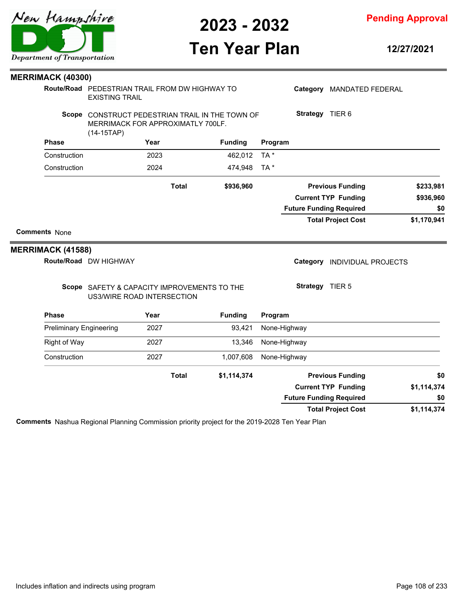

**Pending Approval**

## **Ten Year Plan**

**12/27/2021**

| <b>MERRIMACK (40300)</b>       |                                                                                                      |      |              |                |              |                 |                                |             |
|--------------------------------|------------------------------------------------------------------------------------------------------|------|--------------|----------------|--------------|-----------------|--------------------------------|-------------|
|                                | Route/Road PEDESTRIAN TRAIL FROM DW HIGHWAY TO<br><b>EXISTING TRAIL</b>                              |      |              |                |              |                 | Category MANDATED FEDERAL      |             |
|                                | Scope CONSTRUCT PEDESTRIAN TRAIL IN THE TOWN OF<br>MERRIMACK FOR APPROXIMATLY 700LF.<br>$(14-15TAP)$ |      |              |                |              | Strategy TIER 6 |                                |             |
| <b>Phase</b>                   |                                                                                                      | Year |              | <b>Funding</b> | Program      |                 |                                |             |
| Construction                   |                                                                                                      | 2023 |              | 462,012        | TA *         |                 |                                |             |
| Construction                   |                                                                                                      | 2024 |              | 474,948        | TA *         |                 |                                |             |
|                                |                                                                                                      |      | <b>Total</b> | \$936,960      |              |                 | <b>Previous Funding</b>        | \$233,981   |
|                                |                                                                                                      |      |              |                |              |                 | <b>Current TYP Funding</b>     | \$936,960   |
|                                |                                                                                                      |      |              |                |              |                 | <b>Future Funding Required</b> | \$0         |
|                                |                                                                                                      |      |              |                |              |                 | <b>Total Project Cost</b>      | \$1,170,941 |
| <b>Comments None</b>           |                                                                                                      |      |              |                |              |                 |                                |             |
| <b>MERRIMACK (41588)</b>       |                                                                                                      |      |              |                |              |                 |                                |             |
|                                | Route/Road DW HIGHWAY                                                                                |      |              |                |              |                 | Category INDIVIDUAL PROJECTS   |             |
|                                | Scope SAFETY & CAPACITY IMPROVEMENTS TO THE<br>US3/WIRE ROAD INTERSECTION                            |      |              |                |              | Strategy TIER 5 |                                |             |
| <b>Phase</b>                   |                                                                                                      | Year |              | <b>Funding</b> | Program      |                 |                                |             |
| <b>Preliminary Engineering</b> |                                                                                                      | 2027 |              | 93,421         | None-Highway |                 |                                |             |
| <b>Right of Way</b>            |                                                                                                      | 2027 |              | 13,346         | None-Highway |                 |                                |             |
| Construction                   |                                                                                                      | 2027 |              | 1,007,608      | None-Highway |                 |                                |             |
|                                |                                                                                                      |      | <b>Total</b> | \$1,114,374    |              |                 | <b>Previous Funding</b>        | \$0         |
|                                |                                                                                                      |      |              |                |              |                 | <b>Current TYP Funding</b>     | \$1,114,374 |
|                                |                                                                                                      |      |              |                |              |                 | <b>Future Funding Required</b> | \$0         |
|                                |                                                                                                      |      |              |                |              |                 |                                | \$1,114,374 |

**Comments** Nashua Regional Planning Commission priority project for the 2019-2028 Ten Year Plan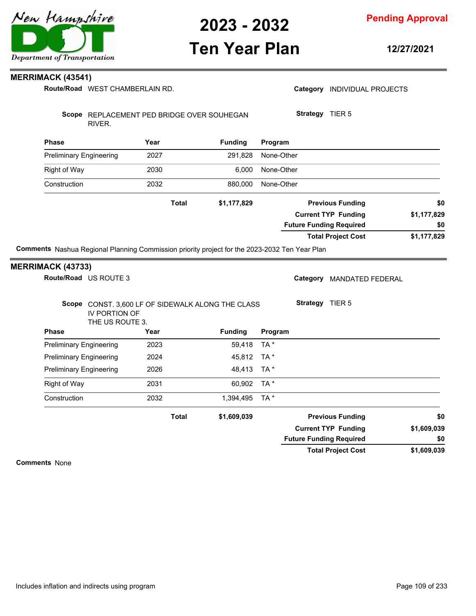

## **Ten Year Plan**

**Pending Approval**

**12/27/2021**

#### **MERRIMACK (43541)**

Route/Road WEST CHAMBERLAIN RD.

|                                | Route/Road WEST CHAMBERLAIN RD.        |      |                                                   |            |                                | Category INDIVIDUAL PROJECTS |                    |
|--------------------------------|----------------------------------------|------|---------------------------------------------------|------------|--------------------------------|------------------------------|--------------------|
|                                | RIVER.                                 |      | Scope REPLACEMENT PED BRIDGE OVER SOUHEGAN        |            | Strategy TIER 5                |                              |                    |
| <b>Phase</b>                   |                                        | Year | <b>Funding</b>                                    | Program    |                                |                              |                    |
| <b>Preliminary Engineering</b> |                                        | 2027 | 291,828                                           | None-Other |                                |                              |                    |
| <b>Right of Way</b>            |                                        | 2030 | 6,000                                             | None-Other |                                |                              |                    |
| Construction                   |                                        | 2032 | 880,000                                           | None-Other |                                |                              |                    |
|                                |                                        |      | <b>Total</b><br>\$1,177,829                       |            |                                | <b>Previous Funding</b>      | \$0                |
|                                |                                        |      |                                                   |            | <b>Future Funding Required</b> | <b>Current TYP Funding</b>   | \$1,177,829<br>\$0 |
|                                |                                        |      |                                                   |            |                                | <b>Total Project Cost</b>    | \$1,177,829        |
|                                | Route/Road US ROUTE 3<br>IV PORTION OF |      | Scope CONST. 3,600 LF OF SIDEWALK ALONG THE CLASS |            | Strategy TIER 5                | Category MANDATED FEDERAL    |                    |
| <b>Phase</b>                   | THE US ROUTE 3.                        | Year | <b>Funding</b>                                    | Program    |                                |                              |                    |
| <b>Preliminary Engineering</b> |                                        | 2023 | 59,418                                            | TA*        |                                |                              |                    |
| <b>Preliminary Engineering</b> |                                        | 2024 | 45,812                                            | TA*        |                                |                              |                    |
| <b>Preliminary Engineering</b> |                                        | 2026 | 48,413                                            | TA*        |                                |                              |                    |
| <b>Right of Way</b>            |                                        | 2031 | 60,902                                            | TA*        |                                |                              |                    |
| Construction                   |                                        |      | 1,394,495                                         | TA*        |                                |                              |                    |
|                                |                                        | 2032 |                                                   |            |                                |                              |                    |
|                                |                                        |      | \$1,609,039<br>Total                              |            |                                | <b>Previous Funding</b>      | \$0                |
|                                |                                        |      |                                                   |            |                                | <b>Current TYP Funding</b>   | \$1,609,039        |
|                                |                                        |      |                                                   |            | <b>Future Funding Required</b> |                              | \$0<br>\$1,609,039 |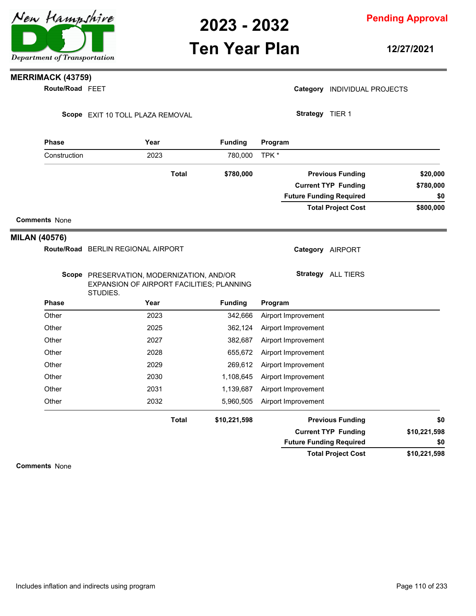## **Ten Year Plan**

**Pending Approval**

**12/27/2021**

### **MERRIMACK (43759)**

**Route/Road FEET** 

Scope EXIT 10 TOLL PLAZA REMOVAL

|  | Category INDIVIDUAL PROJECTS |  |
|--|------------------------------|--|
|--|------------------------------|--|

**Strategy** TIER 1

| <b>Phase</b>         | Year                                                                                               |              | <b>Funding</b> |                     | Program |                                |              |  |
|----------------------|----------------------------------------------------------------------------------------------------|--------------|----------------|---------------------|---------|--------------------------------|--------------|--|
| Construction         | 2023                                                                                               |              | 780,000        | TPK *               |         |                                |              |  |
|                      |                                                                                                    | <b>Total</b> | \$780,000      |                     |         | <b>Previous Funding</b>        | \$20,000     |  |
|                      |                                                                                                    |              |                |                     |         | <b>Current TYP Funding</b>     | \$780,000    |  |
|                      |                                                                                                    |              |                |                     |         | <b>Future Funding Required</b> | \$0          |  |
|                      |                                                                                                    |              |                |                     |         | <b>Total Project Cost</b>      | \$800,000    |  |
| <b>Comments None</b> |                                                                                                    |              |                |                     |         |                                |              |  |
| <b>MILAN (40576)</b> |                                                                                                    |              |                |                     |         |                                |              |  |
|                      | Route/Road BERLIN REGIONAL AIRPORT                                                                 |              |                |                     |         | Category AIRPORT               |              |  |
|                      | Scope PRESERVATION, MODERNIZATION, AND/OR<br>EXPANSION OF AIRPORT FACILITIES; PLANNING<br>STUDIES. |              |                |                     |         | <b>Strategy</b> ALL TIERS      |              |  |
| <b>Phase</b>         | Year                                                                                               |              | <b>Funding</b> | Program             |         |                                |              |  |
| Other                | 2023                                                                                               |              | 342,666        | Airport Improvement |         |                                |              |  |
| Other                | 2025                                                                                               |              | 362,124        | Airport Improvement |         |                                |              |  |
| Other                | 2027                                                                                               |              | 382,687        | Airport Improvement |         |                                |              |  |
| Other                | 2028                                                                                               |              | 655,672        | Airport Improvement |         |                                |              |  |
| Other                | 2029                                                                                               |              | 269,612        | Airport Improvement |         |                                |              |  |
| Other                | 2030                                                                                               |              | 1,108,645      | Airport Improvement |         |                                |              |  |
| Other                | 2031                                                                                               |              | 1,139,687      | Airport Improvement |         |                                |              |  |
| Other                | 2032                                                                                               |              | 5,960,505      | Airport Improvement |         |                                |              |  |
|                      |                                                                                                    | <b>Total</b> | \$10,221,598   |                     |         | <b>Previous Funding</b>        | \$0          |  |
|                      |                                                                                                    |              |                |                     |         | <b>Current TYP Funding</b>     | \$10,221,598 |  |
|                      |                                                                                                    |              |                |                     |         | <b>Future Funding Required</b> | \$0          |  |
|                      |                                                                                                    |              |                |                     |         | <b>Total Project Cost</b>      | \$10,221,598 |  |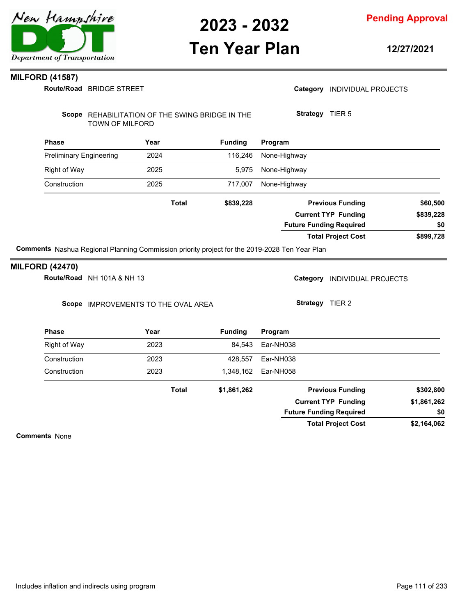

### **Ten Year Plan**

**Pending Approval**

**12/27/2021**

#### **MILFORD (41587)**

BRIDGE STREET **Route/Road**

Scope REHABILITATION OF THE SWING BRIDGE IN THE TOWN OF MILFORD

**Strategy** TIER 5

| <b>Phase</b>                   | Year         | <b>Funding</b> | Program                        |           |
|--------------------------------|--------------|----------------|--------------------------------|-----------|
| <b>Preliminary Engineering</b> | 2024         | 116,246        | None-Highway                   |           |
| Right of Way                   | 2025         | 5,975          | None-Highway                   |           |
| Construction                   | 2025         | 717,007        | None-Highway                   |           |
|                                | <b>Total</b> | \$839,228      | <b>Previous Funding</b>        | \$60,500  |
|                                |              |                | <b>Current TYP Funding</b>     | \$839,228 |
|                                |              |                | <b>Future Funding Required</b> | \$0       |
|                                |              |                | <b>Total Project Cost</b>      | \$899,728 |

**Comments** Nashua Regional Planning Commission priority project for the 2019-2028 Ten Year Plan

#### **MILFORD (42470)**

**Route/Road** NH 101A & NH 13

Scope IMPROVEMENTS TO THE OVAL AREA

Category **INDIVIDUAL PROJECTS** 

**Strategy** TIER 2

| <b>Phase</b> | Year         | <b>Funding</b> | Program                        |             |
|--------------|--------------|----------------|--------------------------------|-------------|
| Right of Way | 2023         | 84.543         | Ear-NH038                      |             |
| Construction | 2023         | 428,557        | Ear-NH038                      |             |
| Construction | 2023         | 1,348,162      | Ear-NH058                      |             |
|              | <b>Total</b> | \$1,861,262    | <b>Previous Funding</b>        | \$302,800   |
|              |              |                | <b>Current TYP Funding</b>     | \$1,861,262 |
|              |              |                | <b>Future Funding Required</b> | \$0         |
|              |              |                | <b>Total Project Cost</b>      | \$2,164,062 |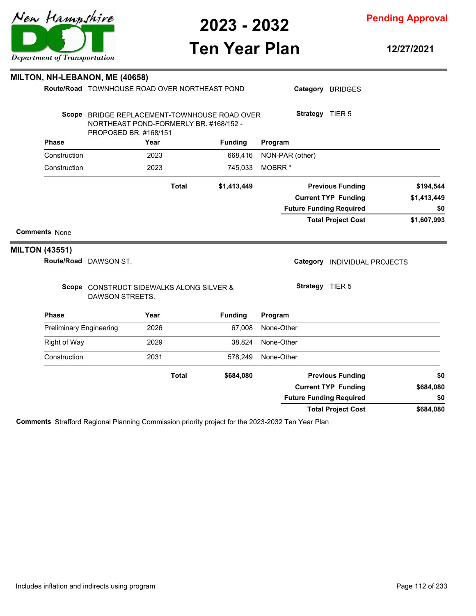

**Ten Year Plan**

### **Pending Approval**

**12/27/2021**

Category BRIDGES

|                                | Scope BRIDGE REPLACEMENT-TOWNHOUSE ROAD OVER<br>NORTHEAST POND-FORMERLY BR. #168/152 - |      |              |                | Strategy TIER 5                        |             |
|--------------------------------|----------------------------------------------------------------------------------------|------|--------------|----------------|----------------------------------------|-------------|
| <b>Phase</b>                   | PROPOSED BR. #168/151                                                                  | Year |              | <b>Funding</b> | Program                                |             |
| Construction                   |                                                                                        | 2023 |              | 668,416        | NON-PAR (other)                        |             |
| Construction                   |                                                                                        | 2023 |              | 745,033        | MOBRR <sup>*</sup>                     |             |
|                                |                                                                                        |      | <b>Total</b> | \$1,413,449    | <b>Previous Funding</b>                | \$194,544   |
|                                |                                                                                        |      |              |                | <b>Current TYP Funding</b>             | \$1,413,449 |
|                                |                                                                                        |      |              |                | <b>Future Funding Required</b>         | \$0         |
|                                |                                                                                        |      |              |                | <b>Total Project Cost</b>              | \$1,607,993 |
| <b>Comments None</b>           |                                                                                        |      |              |                |                                        |             |
| <b>MILTON (43551)</b>          |                                                                                        |      |              |                |                                        |             |
|                                | Route/Road DAWSON ST.                                                                  |      |              |                | Category<br><b>INDIVIDUAL PROJECTS</b> |             |
|                                | Scope CONSTRUCT SIDEWALKS ALONG SILVER &<br><b>DAWSON STREETS.</b>                     |      |              |                | Strategy TIER 5                        |             |
| <b>Phase</b>                   |                                                                                        | Year |              | <b>Funding</b> | Program                                |             |
| <b>Preliminary Engineering</b> |                                                                                        | 2026 |              | 67,008         | None-Other                             |             |
| <b>Right of Way</b>            |                                                                                        | 2029 |              | 38,824         | None-Other                             |             |
| Construction                   |                                                                                        | 2031 |              | 578,249        | None-Other                             |             |
|                                |                                                                                        |      | <b>Total</b> | \$684,080      | <b>Previous Funding</b>                | \$0         |
|                                |                                                                                        |      |              |                | <b>Current TYP Funding</b>             | \$684,080   |
|                                |                                                                                        |      |              |                | <b>Future Funding Required</b>         | \$0         |
|                                |                                                                                        |      |              |                | <b>Total Project Cost</b>              | \$684,080   |

**Comments** Strafford Regional Planning Commission priority project for the 2023-2032 Ten Year Plan



#### **MILTON, NH-LEBANON, ME (40658)**

**Route/Road** TOWNHOUSE ROAD OVER NORTHEAST POND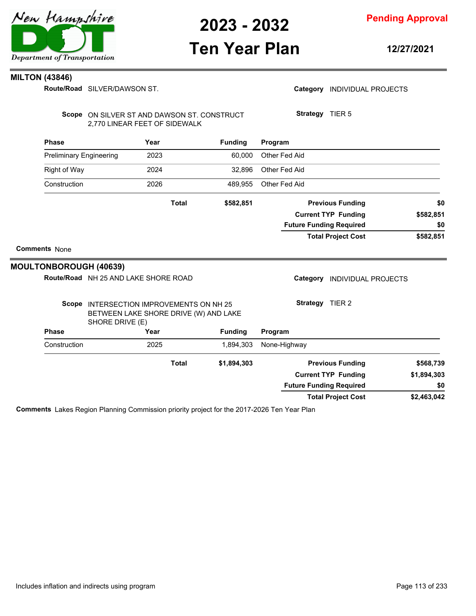

### **Ten Year Plan**

**12/27/2021**

#### **MILTON (43846)**

**Route/Road** SILVER/DAWSON ST.

Scope ON SILVER ST AND DAWSON ST. CONSTRUCT 2,770 LINEAR FEET OF SIDEWALK

**Strategy** TIER 5

|                      | <b>Phase</b>                   |                                                                                                      | Year |              | <b>Funding</b> | Program       |                 |                                |             |
|----------------------|--------------------------------|------------------------------------------------------------------------------------------------------|------|--------------|----------------|---------------|-----------------|--------------------------------|-------------|
|                      | <b>Preliminary Engineering</b> |                                                                                                      | 2023 |              | 60,000         | Other Fed Aid |                 |                                |             |
|                      | <b>Right of Way</b>            |                                                                                                      | 2024 |              | 32,896         | Other Fed Aid |                 |                                |             |
|                      | Construction                   |                                                                                                      | 2026 |              | 489,955        | Other Fed Aid |                 |                                |             |
|                      |                                |                                                                                                      |      | <b>Total</b> | \$582,851      |               |                 | <b>Previous Funding</b>        | \$0         |
|                      |                                |                                                                                                      |      |              |                |               |                 | <b>Current TYP Funding</b>     | \$582,851   |
|                      |                                |                                                                                                      |      |              |                |               |                 | <b>Future Funding Required</b> | \$0         |
|                      |                                |                                                                                                      |      |              |                |               |                 | <b>Total Project Cost</b>      | \$582,851   |
| <b>Comments None</b> |                                |                                                                                                      |      |              |                |               |                 |                                |             |
|                      |                                | <b>MOULTONBOROUGH (40639)</b>                                                                        |      |              |                |               |                 |                                |             |
|                      |                                | Route/Road NH 25 AND LAKE SHORE ROAD                                                                 |      |              |                |               | Category        | INDIVIDUAL PROJECTS            |             |
|                      |                                | Scope INTERSECTION IMPROVEMENTS ON NH 25<br>BETWEEN LAKE SHORE DRIVE (W) AND LAKE<br>SHORE DRIVE (E) |      |              |                |               | Strategy TIER 2 |                                |             |
|                      | <b>Phase</b>                   |                                                                                                      | Year |              | <b>Funding</b> | Program       |                 |                                |             |
|                      | Construction                   |                                                                                                      | 2025 |              | 1,894,303      | None-Highway  |                 |                                |             |
|                      |                                |                                                                                                      |      | <b>Total</b> | \$1,894,303    |               |                 | <b>Previous Funding</b>        | \$568,739   |
|                      |                                |                                                                                                      |      |              |                |               |                 | <b>Current TYP Funding</b>     | \$1,894,303 |
|                      |                                |                                                                                                      |      |              |                |               |                 | <b>Future Funding Required</b> | \$0         |
|                      |                                |                                                                                                      |      |              |                |               |                 | <b>Total Project Cost</b>      | \$2,463,042 |

**Comments** Lakes Region Planning Commission priority project for the 2017-2026 Ten Year Plan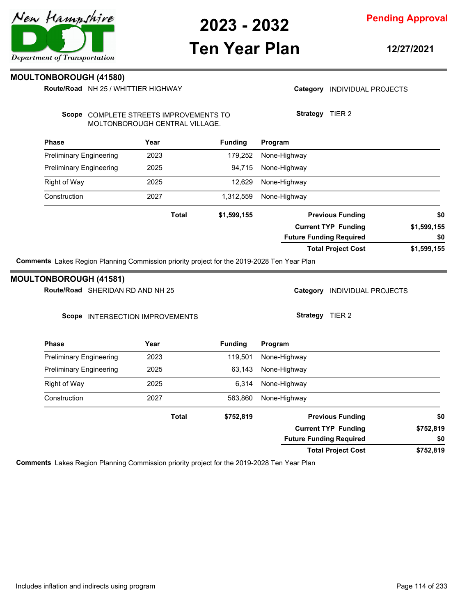# **Ten Year Plan**

**12/27/2021**

Category **INDIVIDUAL PROJECTS** 

**Strategy** TIER 2

**Pending Approval**

#### **MOULTONBOROUGH (41580)**

**Route/Road** NH 25 / WHITTIER HIGHWAY

Scope COMPLETE STREETS IMPROVEMENTS TO MOLTONBOROUGH CENTRAL VILLAGE.

| <b>Phase</b>                                                                               | Year                             | <b>Funding</b> | Program                                |             |
|--------------------------------------------------------------------------------------------|----------------------------------|----------------|----------------------------------------|-------------|
| <b>Preliminary Engineering</b>                                                             | 2023                             | 179,252        | None-Highway                           |             |
| <b>Preliminary Engineering</b>                                                             | 2025                             | 94,715         | None-Highway                           |             |
| Right of Way                                                                               | 2025                             | 12,629         | None-Highway                           |             |
| Construction                                                                               | 2027                             | 1,312,559      | None-Highway                           |             |
|                                                                                            | Total                            | \$1,599,155    | <b>Previous Funding</b>                | \$0         |
|                                                                                            |                                  |                | <b>Current TYP Funding</b>             | \$1,599,155 |
|                                                                                            |                                  |                | <b>Future Funding Required</b>         | \$0         |
|                                                                                            |                                  |                | <b>Total Project Cost</b>              | \$1,599,155 |
| Comments Lakes Region Planning Commission priority project for the 2019-2028 Ten Year Plan |                                  |                |                                        |             |
| <b>MOULTONBOROUGH (41581)</b>                                                              |                                  |                |                                        |             |
| Route/Road SHERIDAN RD AND NH 25                                                           |                                  |                | Category<br><b>INDIVIDUAL PROJECTS</b> |             |
| Scope                                                                                      | <b>INTERSECTION IMPROVEMENTS</b> |                | TIER <sub>2</sub><br>Strategy          |             |

| <b>Phase</b>                   | Year  | <b>Funding</b> | Program                        |           |
|--------------------------------|-------|----------------|--------------------------------|-----------|
| <b>Preliminary Engineering</b> | 2023  | 119,501        | None-Highway                   |           |
| <b>Preliminary Engineering</b> | 2025  | 63,143         | None-Highway                   |           |
| Right of Way                   | 2025  | 6.314          | None-Highway                   |           |
| Construction                   | 2027  | 563,860        | None-Highway                   |           |
|                                | Total | \$752,819      | <b>Previous Funding</b>        | \$0       |
|                                |       |                | <b>Current TYP Funding</b>     | \$752,819 |
|                                |       |                | <b>Future Funding Required</b> | \$0       |
|                                |       |                | <b>Total Project Cost</b>      | \$752,819 |

**Comments** Lakes Region Planning Commission priority project for the 2019-2028 Ten Year Plan

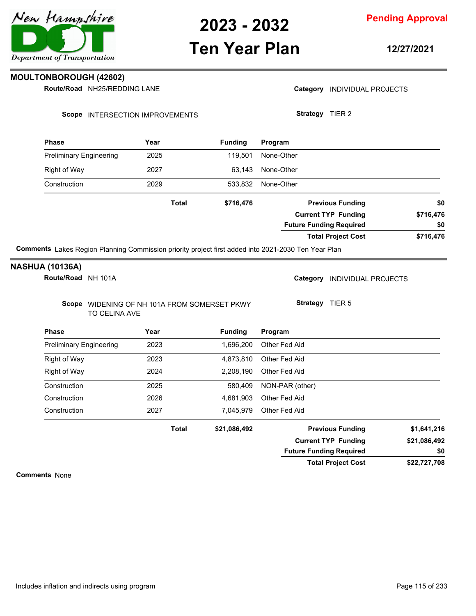

## **Ten Year Plan**

**Pending Approval**

**12/27/2021**

**MOULTONBOROUGH (42602)**

**Route/Road NH25/REDDING LANE** 

Category **INDIVIDUAL PROJECTS** 

**Strategy** TIER 2

Scope INTERSECTION IMPROVEMENTS

| <b>Phase</b>                                                                                        | Year         | <b>Funding</b> | Program                        |           |
|-----------------------------------------------------------------------------------------------------|--------------|----------------|--------------------------------|-----------|
| <b>Preliminary Engineering</b>                                                                      | 2025         | 119.501        | None-Other                     |           |
| Right of Way                                                                                        | 2027         | 63.143         | None-Other                     |           |
| Construction                                                                                        | 2029         | 533.832        | None-Other                     |           |
|                                                                                                     | <b>Total</b> | \$716,476      | <b>Previous Funding</b>        | \$0       |
|                                                                                                     |              |                | <b>Current TYP Funding</b>     | \$716,476 |
|                                                                                                     |              |                | <b>Future Funding Required</b> | \$0       |
|                                                                                                     |              |                | <b>Total Project Cost</b>      | \$716,476 |
| 444   Julie Deniso Discolar Osmanicator national control funk a late 1 ink. 0004 0000 Tea Vern Disc |              |                |                                |           |

**Comments** Lakes Region Planning Commission priority project first added into 2021-2030 Ten Year Plan

#### **NASHUA (10136A)**

**Route/Road** NH 101A

Category **INDIVIDUAL PROJECTS** 

**Strategy** TIER 5

Scope WIDENING OF NH 101A FROM SOMERSET PKWY TO CELINA AVE

| <b>Phase</b>                   | Year         | <b>Fundina</b> | Program                        |              |
|--------------------------------|--------------|----------------|--------------------------------|--------------|
| <b>Preliminary Engineering</b> | 2023         | 1.696.200      | Other Fed Aid                  |              |
| Right of Way                   | 2023         | 4.873.810      | Other Fed Aid                  |              |
| Right of Way                   | 2024         | 2.208.190      | Other Fed Aid                  |              |
| Construction                   | 2025         | 580.409        | NON-PAR (other)                |              |
| Construction                   | 2026         | 4.681.903      | Other Fed Aid                  |              |
| Construction                   | 2027         | 7,045,979      | Other Fed Aid                  |              |
|                                | <b>Total</b> | \$21,086,492   | <b>Previous Funding</b>        | \$1,641,216  |
|                                |              |                | <b>Current TYP Funding</b>     | \$21,086,492 |
|                                |              |                | <b>Future Funding Required</b> | \$0          |

**\$22,727,708 Total Project Cost**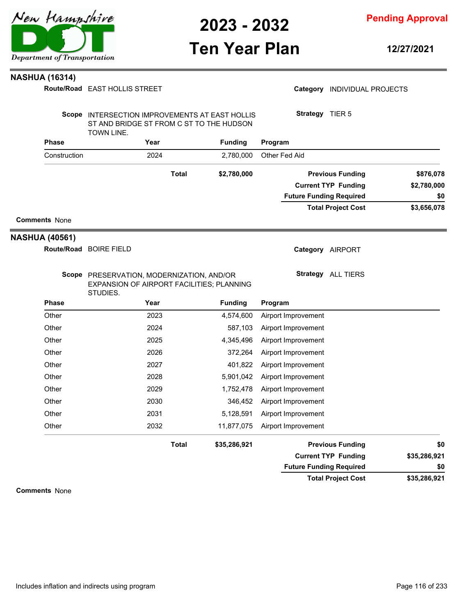

**Pending Approval**

## **Ten Year Plan**

**12/27/2021**

#### **NASHUA (16314)**

|                       | Route/Road EAST HOLLIS STREET                                                                                   |                |                | Category INDIVIDUAL PROJECTS   |              |
|-----------------------|-----------------------------------------------------------------------------------------------------------------|----------------|----------------|--------------------------------|--------------|
|                       | Scope INTERSECTION IMPROVEMENTS AT EAST HOLLIS<br>ST AND BRIDGE ST FROM C ST TO THE HUDSON<br><b>TOWN LINE.</b> |                |                | Strategy TIER 5                |              |
| <b>Phase</b>          | Year                                                                                                            | <b>Funding</b> |                | Program                        |              |
| Construction          | 2024                                                                                                            |                | 2,780,000      | Other Fed Aid                  |              |
|                       |                                                                                                                 | <b>Total</b>   | \$2,780,000    | <b>Previous Funding</b>        | \$876,078    |
|                       |                                                                                                                 |                |                | <b>Current TYP Funding</b>     | \$2,780,000  |
|                       |                                                                                                                 |                |                | <b>Future Funding Required</b> | \$0          |
|                       |                                                                                                                 |                |                | <b>Total Project Cost</b>      | \$3,656,078  |
| <b>Comments None</b>  |                                                                                                                 |                |                |                                |              |
| <b>NASHUA (40561)</b> |                                                                                                                 |                |                |                                |              |
|                       | Route/Road BOIRE FIELD                                                                                          |                |                | Category AIRPORT               |              |
|                       | Scope PRESERVATION, MODERNIZATION, AND/OR<br>EXPANSION OF AIRPORT FACILITIES; PLANNING<br>STUDIES.              |                |                | Strategy ALL TIERS             |              |
| <b>Phase</b>          | Year                                                                                                            |                | <b>Funding</b> | Program                        |              |
| Other                 | 2023                                                                                                            |                | 4,574,600      | Airport Improvement            |              |
| Other                 | 2024                                                                                                            |                | 587,103        | Airport Improvement            |              |
| Other                 | 2025                                                                                                            |                | 4,345,496      | Airport Improvement            |              |
| Other                 | 2026                                                                                                            |                | 372,264        | Airport Improvement            |              |
| Other                 | 2027                                                                                                            |                | 401,822        | Airport Improvement            |              |
| Other                 | 2028                                                                                                            |                | 5,901,042      | Airport Improvement            |              |
| Other                 | 2029                                                                                                            |                | 1,752,478      | Airport Improvement            |              |
| Other                 | 2030                                                                                                            |                | 346,452        | Airport Improvement            |              |
| Other                 | 2031                                                                                                            |                | 5,128,591      | Airport Improvement            |              |
| Other                 | 2032                                                                                                            |                | 11,877,075     | Airport Improvement            |              |
|                       |                                                                                                                 | <b>Total</b>   | \$35,286,921   | <b>Previous Funding</b>        | \$0          |
|                       |                                                                                                                 |                |                | <b>Current TYP Funding</b>     | \$35,286,921 |
|                       |                                                                                                                 |                |                | <b>Future Funding Required</b> | \$0          |

| e Funding Required        | \$0          |
|---------------------------|--------------|
| <b>Total Project Cost</b> | \$35,286,921 |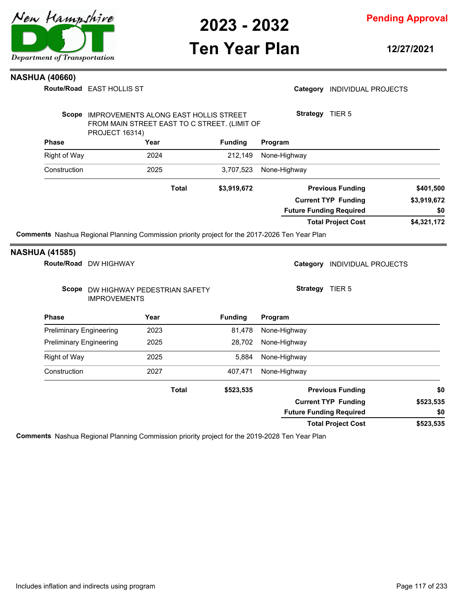

**Pending Approval**

## **Ten Year Plan**

**12/27/2021**

#### **NASHUA (40660)**

| <b>Phase</b><br><b>Preliminary Engineering</b><br><b>Preliminary Engineering</b><br><b>Right of Way</b><br>Construction | <b>IMPROVEMENTS</b>   | Scope DW HIGHWAY PEDESTRIAN SAFETY<br>Year<br>2023<br>2025<br>2025<br>2027<br><b>Total</b>    | <b>Funding</b><br>81,478<br>28,702<br>5,884<br>407,471<br>\$523,535 | Strategy TIER 5<br>Program<br>None-Highway<br>None-Highway<br>None-Highway<br>None-Highway | <b>Previous Funding</b>                               | \$0                      |
|-------------------------------------------------------------------------------------------------------------------------|-----------------------|-----------------------------------------------------------------------------------------------|---------------------------------------------------------------------|--------------------------------------------------------------------------------------------|-------------------------------------------------------|--------------------------|
|                                                                                                                         |                       |                                                                                               |                                                                     |                                                                                            |                                                       |                          |
|                                                                                                                         |                       |                                                                                               |                                                                     |                                                                                            |                                                       |                          |
|                                                                                                                         |                       |                                                                                               |                                                                     |                                                                                            |                                                       |                          |
|                                                                                                                         |                       |                                                                                               |                                                                     |                                                                                            |                                                       |                          |
|                                                                                                                         |                       |                                                                                               |                                                                     |                                                                                            |                                                       |                          |
|                                                                                                                         |                       |                                                                                               |                                                                     |                                                                                            |                                                       |                          |
|                                                                                                                         |                       |                                                                                               |                                                                     |                                                                                            |                                                       |                          |
|                                                                                                                         | Route/Road DW HIGHWAY |                                                                                               |                                                                     |                                                                                            | Category INDIVIDUAL PROJECTS                          |                          |
| <b>NASHUA (41585)</b>                                                                                                   |                       | Comments Nashua Regional Planning Commission priority project for the 2017-2026 Ten Year Plan |                                                                     |                                                                                            |                                                       |                          |
|                                                                                                                         |                       |                                                                                               |                                                                     |                                                                                            | <b>Total Project Cost</b>                             | \$4,321,172              |
|                                                                                                                         |                       |                                                                                               |                                                                     | <b>Future Funding Required</b>                                                             |                                                       | \$0                      |
|                                                                                                                         |                       | <b>Total</b>                                                                                  | \$3,919,672                                                         |                                                                                            | <b>Previous Funding</b><br><b>Current TYP Funding</b> | \$401,500<br>\$3,919,672 |
| Construction                                                                                                            |                       | 2025                                                                                          | 3,707,523                                                           | None-Highway                                                                               |                                                       |                          |
| <b>Right of Way</b>                                                                                                     |                       | 2024                                                                                          | 212,149                                                             | None-Highway                                                                               |                                                       |                          |
| <b>Phase</b>                                                                                                            |                       | Year                                                                                          | <b>Funding</b>                                                      | Program                                                                                    |                                                       |                          |
|                                                                                                                         | <b>PROJECT 16314)</b> | Scope IMPROVEMENTS ALONG EAST HOLLIS STREET<br>FROM MAIN STREET EAST TO C STREET. (LIMIT OF   |                                                                     | Strategy TIER 5                                                                            |                                                       |                          |
|                                                                                                                         |                       |                                                                                               |                                                                     |                                                                                            |                                                       |                          |

**Comments** Nashua Regional Planning Commission priority project for the 2019-2028 Ten Year Plan

**\$523,535**

**\$0**

**Total Project Cost**

**Future Funding Required**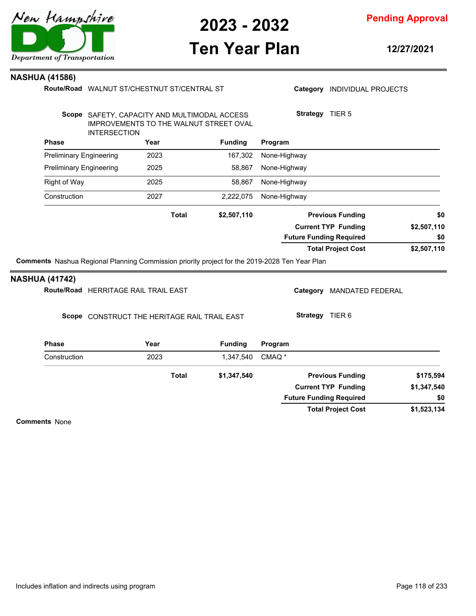

### **Ten Year Plan**

**12/27/2021**

#### **NASHUA (41586)**

**Phase Year Funding** WALNUT ST/CHESTNUT ST/CENTRAL ST **Route/Road** Scope SAFETY, CAPACITY AND MULTIMODAL ACCESS IMPROVEMENTS TO THE WALNUT STREET OVAL INTERSECTION **Program** Category **INDIVIDUAL PROJECTS Strategy** TIER 5 Preliminary Engineering 2023 167,302 None-Highway Preliminary Engineering 2025 58,867 None-Highway Right of Way **2025** 58,867 None-Highway Construction 2027 2,222,075 None-Highway **\$2,507,110 \$2,507,110 \$2,507,110 Previous Funding \$0 Current TYP Funding Total Project Cost Future Funding Required Total Comments** Nashua Regional Planning Commission priority project for the 2019-2028 Ten Year Plan **\$0 Phase Year Funding Route/Road** HERRITAGE RAIL TRAIL EAST **NASHUA (41742)** Scope CONSTRUCT THE HERITAGE RAIL TRAIL EAST **Program** Category MANDATED FEDERAL **Strategy** TIER 6 Construction 2023 1,347,540 CMAQ \* **\$1,347,540 \$1,347,540 Previous Funding \$175,594 Current TYP Funding Total**

**Comments** None

**\$1,523,134**

**\$0**

**Total Project Cost**

**Future Funding Required**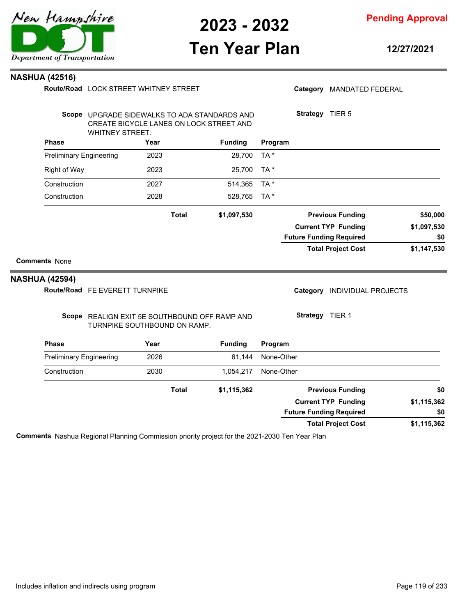

# **Ten Year Plan**

**12/27/2021**

#### **NASHUA (42516)**

|                                | Route/Road LOCK STREET WHITNEY STREET                                                                      |      |              |                |            |          | Category MANDATED FEDERAL      |             |
|--------------------------------|------------------------------------------------------------------------------------------------------------|------|--------------|----------------|------------|----------|--------------------------------|-------------|
|                                | Scope UPGRADE SIDEWALKS TO ADA STANDARDS AND<br>CREATE BICYCLE LANES ON LOCK STREET AND<br>WHITNEY STREET. |      |              |                |            |          | Strategy TIER 5                |             |
| <b>Phase</b>                   |                                                                                                            | Year |              | <b>Funding</b> | Program    |          |                                |             |
| <b>Preliminary Engineering</b> |                                                                                                            | 2023 |              | 28,700         | TA*        |          |                                |             |
| <b>Right of Way</b>            |                                                                                                            | 2023 |              | 25,700         | TA*        |          |                                |             |
| Construction                   |                                                                                                            | 2027 |              | 514,365        | TA*        |          |                                |             |
| Construction                   |                                                                                                            | 2028 |              | 528,765        | TA*        |          |                                |             |
|                                |                                                                                                            |      | <b>Total</b> | \$1,097,530    |            |          | <b>Previous Funding</b>        | \$50,000    |
|                                |                                                                                                            |      |              |                |            |          | <b>Current TYP Funding</b>     | \$1,097,530 |
|                                |                                                                                                            |      |              |                |            |          | <b>Future Funding Required</b> | \$0         |
|                                |                                                                                                            |      |              |                |            |          | <b>Total Project Cost</b>      | \$1,147,530 |
| <b>Comments None</b>           |                                                                                                            |      |              |                |            |          |                                |             |
| <b>NASHUA (42594)</b>          |                                                                                                            |      |              |                |            |          |                                |             |
|                                | Route/Road FE EVERETT TURNPIKE                                                                             |      |              |                |            | Category | <b>INDIVIDUAL PROJECTS</b>     |             |
|                                | Scope REALIGN EXIT 5E SOUTHBOUND OFF RAMP AND<br>TURNPIKE SOUTHBOUND ON RAMP.                              |      |              |                |            |          | Strategy TIER 1                |             |
| <b>Phase</b>                   |                                                                                                            | Year |              | <b>Funding</b> | Program    |          |                                |             |
| <b>Preliminary Engineering</b> |                                                                                                            | 2026 |              | 61,144         | None-Other |          |                                |             |
| Construction                   |                                                                                                            | 2030 |              | 1,054,217      | None-Other |          |                                |             |
|                                |                                                                                                            |      | <b>Total</b> | \$1,115,362    |            |          | <b>Previous Funding</b>        | \$0         |
|                                |                                                                                                            |      |              |                |            |          | <b>Current TYP Funding</b>     | \$1,115,362 |
|                                |                                                                                                            |      |              |                |            |          | <b>Future Funding Required</b> | \$0         |
|                                |                                                                                                            |      |              |                |            |          | <b>Total Project Cost</b>      | \$1,115,362 |

**Comments** Nashua Regional Planning Commission priority project for the 2021-2030 Ten Year Plan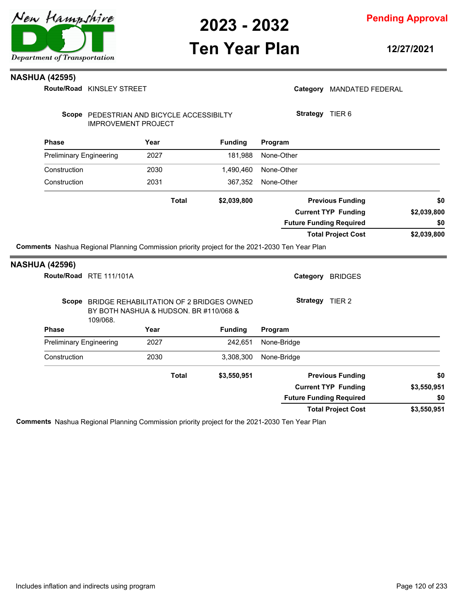

## **Ten Year Plan**

**12/27/2021**

#### **NASHUA (42595)**

| Route/Road KINSLEY STREET                        |                                                                                          |              |                |                                                                                               | Category MANDATED FEDERAL  |                           |
|--------------------------------------------------|------------------------------------------------------------------------------------------|--------------|----------------|-----------------------------------------------------------------------------------------------|----------------------------|---------------------------|
|                                                  | Scope PEDESTRIAN AND BICYCLE ACCESSIBILTY<br><b>IMPROVEMENT PROJECT</b>                  |              |                | Strategy TIER 6                                                                               |                            |                           |
| <b>Phase</b>                                     | Year                                                                                     |              | <b>Funding</b> | Program                                                                                       |                            |                           |
| <b>Preliminary Engineering</b>                   | 2027                                                                                     |              | 181,988        | None-Other                                                                                    |                            |                           |
| Construction                                     | 2030                                                                                     |              | 1,490,460      | None-Other                                                                                    |                            |                           |
| Construction                                     | 2031                                                                                     |              | 367,352        | None-Other                                                                                    |                            |                           |
|                                                  |                                                                                          | <b>Total</b> | \$2,039,800    |                                                                                               | <b>Previous Funding</b>    | \$0                       |
|                                                  |                                                                                          |              |                |                                                                                               | <b>Current TYP Funding</b> | \$2,039,800               |
|                                                  |                                                                                          |              |                | <b>Future Funding Required</b>                                                                |                            | \$0                       |
|                                                  |                                                                                          |              |                |                                                                                               | <b>Total Project Cost</b>  | \$2,039,800               |
|                                                  |                                                                                          |              |                | Comments Nashua Regional Planning Commission priority project for the 2021-2030 Ten Year Plan |                            |                           |
| <b>NASHUA (42596)</b><br>Route/Road RTE 111/101A |                                                                                          |              |                | Category BRIDGES                                                                              |                            |                           |
|                                                  | Scope BRIDGE REHABILITATION OF 2 BRIDGES OWNED<br>BY BOTH NASHUA & HUDSON. BR #110/068 & |              |                | Strategy TIER 2                                                                               |                            |                           |
| <b>Phase</b>                                     | 109/068.<br>Year                                                                         |              | <b>Funding</b> | Program                                                                                       |                            |                           |
| <b>Preliminary Engineering</b>                   | 2027                                                                                     |              | 242,651        | None-Bridge                                                                                   |                            |                           |
| Construction                                     | 2030                                                                                     |              | 3,308,300      | None-Bridge                                                                                   |                            |                           |
|                                                  |                                                                                          | <b>Total</b> | \$3,550,951    |                                                                                               | <b>Previous Funding</b>    |                           |
|                                                  |                                                                                          |              |                |                                                                                               | <b>Current TYP Funding</b> |                           |
|                                                  |                                                                                          |              |                | <b>Future Funding Required</b>                                                                |                            | \$0<br>\$3,550,951<br>\$0 |

**Comments** Nashua Regional Planning Commission priority project for the 2021-2030 Ten Year Plan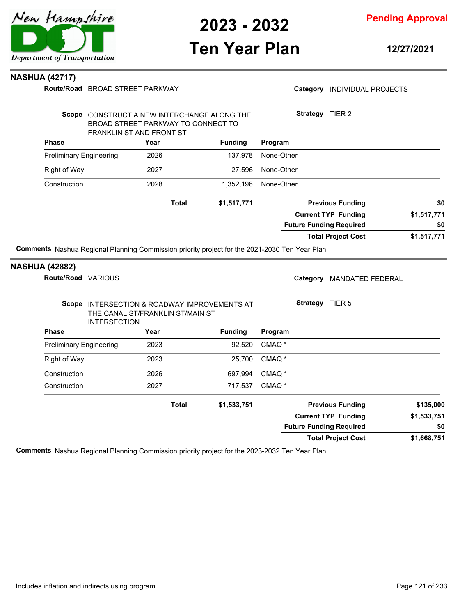

## **Ten Year Plan**

**12/27/2021**

#### **NASHUA (42717)**

| Route/Road BROAD STREET PARKWAY             |
|---------------------------------------------|
|                                             |
| SCODE CONSTRUCT A NEW INTERCHANCE ALONG THE |

Category **INDIVIDUAL PROJECTS** 

|                                                                                                      | Scope CONSTRUCT A NEW INTERCHANGE ALONG THE<br>BROAD STREET PARKWAY TO CONNECT TO<br><b>FRANKLIN ST AND FRONT ST</b> |                | Strategy<br>TIER 2                  |             |
|------------------------------------------------------------------------------------------------------|----------------------------------------------------------------------------------------------------------------------|----------------|-------------------------------------|-------------|
| <b>Phase</b>                                                                                         | Year                                                                                                                 | <b>Funding</b> | Program                             |             |
| <b>Preliminary Engineering</b>                                                                       | 2026                                                                                                                 | 137,978        | None-Other                          |             |
| <b>Right of Way</b>                                                                                  | 2027                                                                                                                 | 27.596         | None-Other                          |             |
| Construction                                                                                         | 2028                                                                                                                 | 1,352,196      | None-Other                          |             |
|                                                                                                      | <b>Total</b>                                                                                                         | \$1,517,771    | <b>Previous Funding</b>             | \$0         |
|                                                                                                      |                                                                                                                      |                | <b>Current TYP Funding</b>          | \$1,517,771 |
|                                                                                                      |                                                                                                                      |                | <b>Future Funding Required</b>      | \$0         |
|                                                                                                      |                                                                                                                      |                | <b>Total Project Cost</b>           | \$1,517,771 |
| <b>Comments</b> Nashua Regional Planning Commission priority project for the 2021-2030 Ten Year Plan |                                                                                                                      |                |                                     |             |
| <b>NASHUA (42882)</b>                                                                                |                                                                                                                      |                |                                     |             |
| <b>Route/Road</b><br><b>VARIOUS</b>                                                                  |                                                                                                                      |                | Category<br><b>MANDATED FEDERAL</b> |             |

| Scope<br>INTERSECTION.         | <b>Strategy</b><br>TIER <sub>5</sub><br>INTERSECTION & ROADWAY IMPROVEMENTS AT<br>THE CANAL ST/FRANKLIN ST/MAIN ST |                |                   |                                |             |
|--------------------------------|--------------------------------------------------------------------------------------------------------------------|----------------|-------------------|--------------------------------|-------------|
| <b>Phase</b>                   | Year                                                                                                               | <b>Funding</b> | Program           |                                |             |
| <b>Preliminary Engineering</b> | 2023                                                                                                               | 92,520         | CMAQ <sup>*</sup> |                                |             |
| Right of Way                   | 2023                                                                                                               | 25.700         | CMAQ <sup>*</sup> |                                |             |
| Construction                   | 2026                                                                                                               | 697.994        | CMAQ <sup>*</sup> |                                |             |
| Construction                   | 2027                                                                                                               | 717,537        | CMAQ <sup>*</sup> |                                |             |
|                                | <b>Total</b>                                                                                                       | \$1,533,751    |                   | <b>Previous Funding</b>        | \$135,000   |
|                                |                                                                                                                    |                |                   | <b>Current TYP Funding</b>     | \$1,533,751 |
|                                |                                                                                                                    |                |                   | <b>Future Funding Required</b> | \$0         |
|                                |                                                                                                                    |                |                   | <b>Total Project Cost</b>      | \$1,668,751 |

**Comments** Nashua Regional Planning Commission priority project for the 2023-2032 Ten Year Plan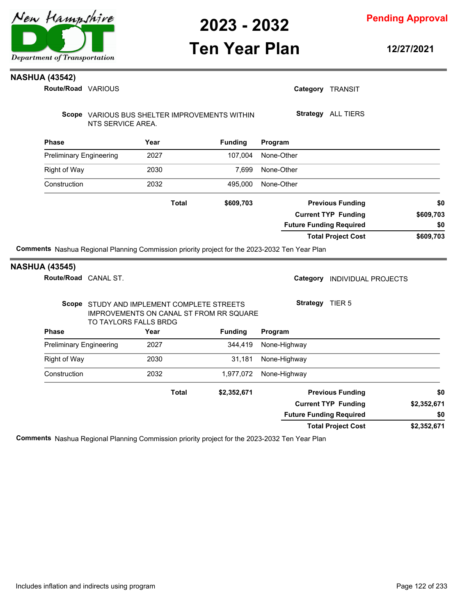

**Ten Year Plan**

**Pending Approval**

**12/27/2021**

#### **NASHUA (43542)**

| <b>Phase</b><br><b>Preliminary Engineering</b><br>Right of Way<br>Construction | TO TAYLORS FALLS BRDG | Scope STUDY AND IMPLEMENT COMPLETE STREETS<br>IMPROVEMENTS ON CANAL ST FROM RR SQUARE<br>Year<br>2027<br>2030<br>2032<br><b>Total</b> | <b>Funding</b><br>344,419<br>31,181<br>1,977,072<br>\$2,352,671 | Strategy TIER 5<br>Program<br>None-Highway<br>None-Highway<br>None-Highway<br><b>Previous Funding</b><br><b>Current TYP Funding</b><br><b>Future Funding Required</b> | \$0<br>\$2,352,671<br>\$0 |
|--------------------------------------------------------------------------------|-----------------------|---------------------------------------------------------------------------------------------------------------------------------------|-----------------------------------------------------------------|-----------------------------------------------------------------------------------------------------------------------------------------------------------------------|---------------------------|
|                                                                                |                       |                                                                                                                                       |                                                                 |                                                                                                                                                                       |                           |
|                                                                                |                       |                                                                                                                                       |                                                                 |                                                                                                                                                                       |                           |
|                                                                                |                       |                                                                                                                                       |                                                                 |                                                                                                                                                                       |                           |
|                                                                                |                       |                                                                                                                                       |                                                                 |                                                                                                                                                                       |                           |
|                                                                                |                       |                                                                                                                                       |                                                                 |                                                                                                                                                                       |                           |
|                                                                                |                       |                                                                                                                                       |                                                                 |                                                                                                                                                                       |                           |
|                                                                                |                       |                                                                                                                                       |                                                                 |                                                                                                                                                                       |                           |
| <b>NASHUA (43545)</b>                                                          | Route/Road CANAL ST.  |                                                                                                                                       |                                                                 | INDIVIDUAL PROJECTS<br>Category                                                                                                                                       |                           |
|                                                                                |                       |                                                                                                                                       |                                                                 | <b>Total Project Cost</b><br>Comments Nashua Regional Planning Commission priority project for the 2023-2032 Ten Year Plan                                            | \$609,703                 |
|                                                                                |                       |                                                                                                                                       |                                                                 | <b>Future Funding Required</b>                                                                                                                                        | \$0                       |
|                                                                                |                       |                                                                                                                                       |                                                                 | <b>Current TYP Funding</b>                                                                                                                                            | \$609,703                 |
|                                                                                |                       | <b>Total</b>                                                                                                                          | \$609,703                                                       | <b>Previous Funding</b>                                                                                                                                               | \$0                       |
| Construction                                                                   |                       | 2032                                                                                                                                  | 495,000                                                         | None-Other                                                                                                                                                            |                           |
| <b>Right of Way</b>                                                            |                       | 2030                                                                                                                                  | 7,699                                                           | None-Other                                                                                                                                                            |                           |
| <b>Preliminary Engineering</b>                                                 |                       | 2027                                                                                                                                  | 107,004                                                         | None-Other                                                                                                                                                            |                           |
| <b>Phase</b>                                                                   |                       | Year                                                                                                                                  | <b>Funding</b>                                                  | Program                                                                                                                                                               |                           |
|                                                                                | NTS SERVICE AREA.     |                                                                                                                                       | Scope VARIOUS BUS SHELTER IMPROVEMENTS WITHIN                   | Strategy ALL TIERS                                                                                                                                                    |                           |
|                                                                                |                       |                                                                                                                                       |                                                                 |                                                                                                                                                                       |                           |

**Comments** Nashua Regional Planning Commission priority project for the 2023-2032 Ten Year Plan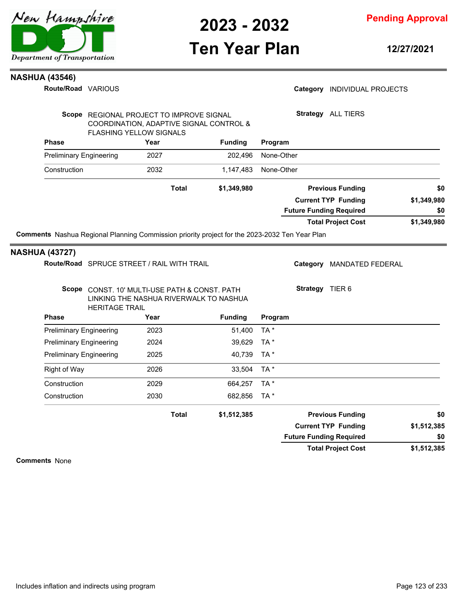

**Pending Approval**

### **Ten Year Plan**

**12/27/2021**

#### **NASHUA (43546)**

**Route/Road VARIOUS** 

|                                |                                                                           |                | <b>Total Project Cost</b>              | \$1,349,980 |
|--------------------------------|---------------------------------------------------------------------------|----------------|----------------------------------------|-------------|
|                                |                                                                           |                | <b>Future Funding Required</b>         | \$0         |
|                                |                                                                           |                | <b>Current TYP Funding</b>             | \$1,349,980 |
|                                | Total                                                                     | \$1,349,980    | <b>Previous Funding</b>                | \$0         |
| Construction                   | 2032                                                                      | 1.147.483      | None-Other                             |             |
| <b>Preliminary Engineering</b> | 2027                                                                      | 202.496        | None-Other                             |             |
| <b>Phase</b>                   | Year                                                                      | <b>Funding</b> | Program                                |             |
|                                | COORDINATION, ADAPTIVE SIGNAL CONTROL &<br><b>FLASHING YELLOW SIGNALS</b> |                |                                        |             |
| Scope                          | REGIONAL PROJECT TO IMPROVE SIGNAL                                        |                | Strategy<br><b>ALL TIERS</b>           |             |
| Route/Road VARIOUS             |                                                                           |                | Category<br><b>INDIVIDUAL PROJECTS</b> |             |

#### **NASHUA (43727)**

Route/Road SPRUCE STREET / RAIL WITH TRAIL

Category MANDATED FEDERAL

| Scope CONST. 10' MULTI-USE PATH & CONST. PATH |
|-----------------------------------------------|
| LINKING THE NASHUA RIVERWALK TO NASHUA        |
| <b>HERITAGE TRAIL</b>                         |

**Strategy** TIER 6

| HERITAGE TRAIL<br><b>Phase</b> | Year         | <b>Funding</b> | Program |                                |             |
|--------------------------------|--------------|----------------|---------|--------------------------------|-------------|
| <b>Preliminary Engineering</b> | 2023         | 51,400         | $TA^*$  |                                |             |
| <b>Preliminary Engineering</b> | 2024         | 39,629         | $TA^*$  |                                |             |
| <b>Preliminary Engineering</b> | 2025         | 40,739         | $TA^*$  |                                |             |
| Right of Way                   | 2026         | 33,504         | TA *    |                                |             |
| Construction                   | 2029         | 664.257        | TA *    |                                |             |
| Construction                   | 2030         | 682,856        | $TA^*$  |                                |             |
|                                | <b>Total</b> | \$1,512,385    |         | <b>Previous Funding</b>        | \$0         |
|                                |              |                |         | <b>Current TYP Funding</b>     | \$1,512,385 |
|                                |              |                |         | <b>Future Funding Required</b> | \$0         |
|                                |              |                |         | <b>Total Project Cost</b>      | \$1,512,385 |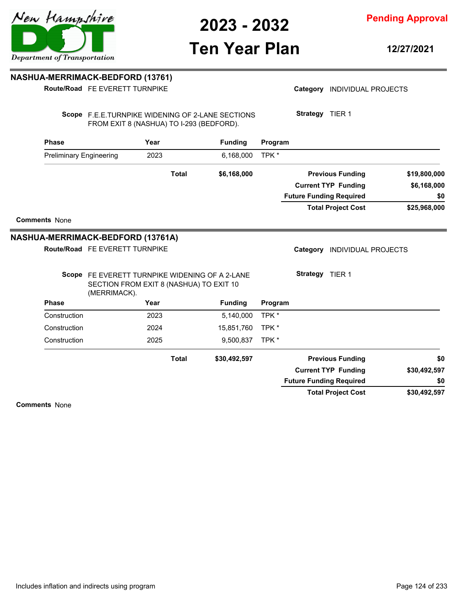**Ten Year Plan**

### **Pending Approval**

**12/27/2021**

### **NASHUA-MERRIMACK-BEDFORD (13761)**

**Route/Road** FE EVERETT TURNPIKE

| <b>Phase</b>                      |                                                                                                           | Year |              | <b>Funding</b> | Program |                                |              |
|-----------------------------------|-----------------------------------------------------------------------------------------------------------|------|--------------|----------------|---------|--------------------------------|--------------|
|                                   | <b>Preliminary Engineering</b>                                                                            | 2023 |              | 6,168,000      | TPK *   |                                |              |
|                                   |                                                                                                           |      | <b>Total</b> | \$6,168,000    |         | <b>Previous Funding</b>        | \$19,800,000 |
|                                   |                                                                                                           |      |              |                |         | <b>Current TYP Funding</b>     | \$6,168,000  |
|                                   |                                                                                                           |      |              |                |         | <b>Future Funding Required</b> | \$0          |
|                                   |                                                                                                           |      |              |                |         | <b>Total Project Cost</b>      | \$25,968,000 |
| <b>Comments None</b>              |                                                                                                           |      |              |                |         |                                |              |
| NASHUA-MERRIMACK-BEDFORD (13761A) |                                                                                                           |      |              |                |         |                                |              |
|                                   | Route/Road FE EVERETT TURNPIKE                                                                            |      |              |                |         | Category INDIVIDUAL PROJECTS   |              |
|                                   | Scope FE EVERETT TURNPIKE WIDENING OF A 2-LANE<br>SECTION FROM EXIT 8 (NASHUA) TO EXIT 10<br>(MERRIMACK). |      |              |                |         | <b>Strategy</b> TIER 1         |              |
| <b>Phase</b>                      |                                                                                                           | Year |              | <b>Funding</b> | Program |                                |              |
| Construction                      |                                                                                                           | 2023 |              | 5,140,000      | TPK *   |                                |              |
| Construction                      |                                                                                                           | 2024 |              | 15,851,760     | TPK *   |                                |              |
| Construction                      |                                                                                                           | 2025 |              | 9,500,837      | TPK*    |                                |              |
|                                   |                                                                                                           |      | <b>Total</b> | \$30,492,597   |         | <b>Previous Funding</b>        | \$0          |
|                                   |                                                                                                           |      |              |                |         | <b>Current TYP Funding</b>     | \$30,492,597 |
|                                   |                                                                                                           |      |              |                |         |                                |              |
|                                   |                                                                                                           |      |              |                |         | <b>Future Funding Required</b> | \$0          |



Category **INDIVIDUAL PROJECTS**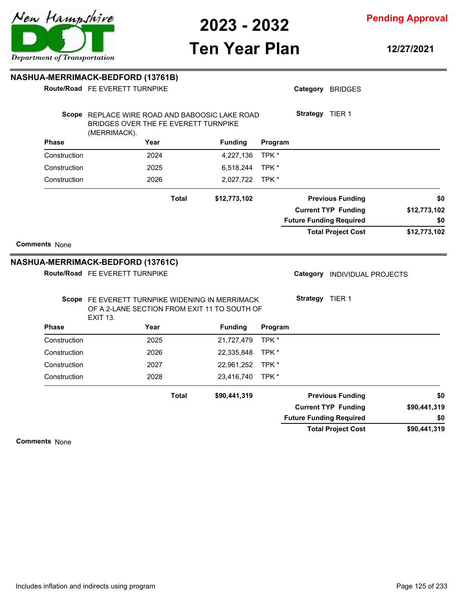

**Pending Approval**

# **Ten Year Plan**

**12/27/2021**

| NASHUA-MERRIMACK-BEDFORD (13761B) |                                                                                                        |              |                |         |                 |                                                         |              |
|-----------------------------------|--------------------------------------------------------------------------------------------------------|--------------|----------------|---------|-----------------|---------------------------------------------------------|--------------|
|                                   | Route/Road FE EVERETT TURNPIKE                                                                         |              |                |         |                 | Category BRIDGES                                        |              |
|                                   | Scope REPLACE WIRE ROAD AND BABOOSIC LAKE ROAD<br>BRIDGES OVER THE FE EVERETT TURNPIKE<br>(MERRIMACK). |              |                |         | Strategy TIER 1 |                                                         |              |
| <b>Phase</b>                      | Year                                                                                                   |              | <b>Funding</b> | Program |                 |                                                         |              |
| Construction                      | 2024                                                                                                   |              | 4,227,136      | TPK *   |                 |                                                         |              |
| Construction                      | 2025                                                                                                   |              | 6,518,244      | TPK *   |                 |                                                         |              |
| Construction                      | 2026                                                                                                   |              | 2,027,722      | TPK*    |                 |                                                         |              |
|                                   |                                                                                                        | <b>Total</b> | \$12,773,102   |         |                 | <b>Previous Funding</b>                                 | \$0          |
|                                   |                                                                                                        |              |                |         |                 | <b>Current TYP Funding</b>                              | \$12,773,102 |
|                                   |                                                                                                        |              |                |         |                 | <b>Future Funding Required</b>                          | \$0          |
|                                   |                                                                                                        |              |                |         |                 |                                                         | \$12,773,102 |
| <b>Comments None</b>              | <b>NASHUA-MERRIMACK-BEDFORD (13761C)</b><br>Route/Road FE EVERETT TURNPIKE                             |              |                |         | Category        | <b>Total Project Cost</b><br><b>INDIVIDUAL PROJECTS</b> |              |
|                                   | Scope FE EVERETT TURNPIKE WIDENING IN MERRIMACK<br>OF A 2-LANE SECTION FROM EXIT 11 TO SOUTH OF        |              |                |         | Strategy TIER 1 |                                                         |              |
| <b>Phase</b>                      | <b>EXIT 13.</b><br>Year                                                                                |              | <b>Funding</b> | Program |                 |                                                         |              |
| Construction                      | 2025                                                                                                   |              | 21,727,479     | TPK*    |                 |                                                         |              |
| Construction                      | 2026                                                                                                   |              | 22,335,848     | TPK *   |                 |                                                         |              |
| Construction                      | 2027                                                                                                   |              | 22,961,252     | TPK*    |                 |                                                         |              |
| Construction                      | 2028                                                                                                   |              | 23,416,740     | TPK*    |                 |                                                         |              |
|                                   |                                                                                                        | <b>Total</b> | \$90,441,319   |         |                 | <b>Previous Funding</b>                                 | \$0          |
|                                   |                                                                                                        |              |                |         |                 | <b>Current TYP Funding</b>                              | \$90,441,319 |
|                                   |                                                                                                        |              |                |         |                 | <b>Future Funding Required</b>                          | \$0          |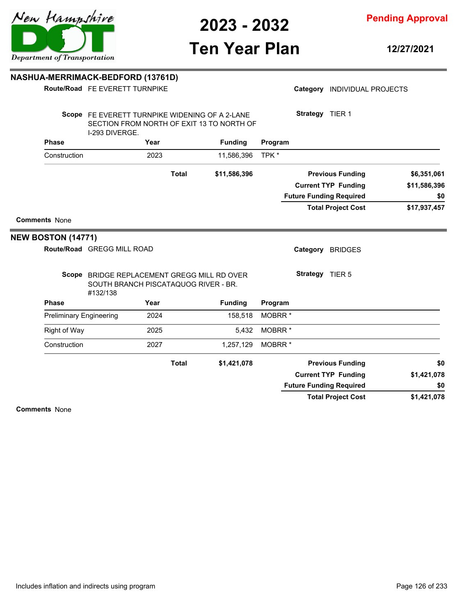

**Pending Approval**

# **Ten Year Plan**

**12/27/2021**

#### **NASHUA-MERRIMACK-BEDFORD (13761D)**

|                                | Route/Road FE EVERETT TURNPIKE                                                                                |              |                |                    |                 | Category INDIVIDUAL PROJECTS   |              |
|--------------------------------|---------------------------------------------------------------------------------------------------------------|--------------|----------------|--------------------|-----------------|--------------------------------|--------------|
|                                | Scope FE EVERETT TURNPIKE WIDENING OF A 2-LANE<br>SECTION FROM NORTH OF EXIT 13 TO NORTH OF<br>I-293 DIVERGE. |              |                |                    | Strategy TIER 1 |                                |              |
| <b>Phase</b>                   | Year                                                                                                          |              | <b>Funding</b> | Program            |                 |                                |              |
| Construction                   | 2023                                                                                                          |              | 11,586,396     | TPK *              |                 |                                |              |
|                                |                                                                                                               | <b>Total</b> | \$11,586,396   |                    |                 | <b>Previous Funding</b>        | \$6,351,061  |
|                                |                                                                                                               |              |                |                    |                 | <b>Current TYP Funding</b>     | \$11,586,396 |
|                                |                                                                                                               |              |                |                    |                 | <b>Future Funding Required</b> | \$0          |
|                                |                                                                                                               |              |                |                    |                 | <b>Total Project Cost</b>      | \$17,937,457 |
|                                |                                                                                                               |              |                |                    |                 |                                |              |
|                                | Route/Road GREGG MILL ROAD                                                                                    |              |                |                    |                 | Category BRIDGES               |              |
|                                | Scope BRIDGE REPLACEMENT GREGG MILL RD OVER<br>SOUTH BRANCH PISCATAQUOG RIVER - BR.                           |              |                |                    | Strategy TIER 5 |                                |              |
| <b>Phase</b>                   | #132/138<br>Year                                                                                              |              | <b>Funding</b> | Program            |                 |                                |              |
| <b>Preliminary Engineering</b> | 2024                                                                                                          |              | 158,518        | MOBRR <sup>*</sup> |                 |                                |              |
| <b>Right of Way</b>            | 2025                                                                                                          |              | 5,432          | MOBRR <sup>*</sup> |                 |                                |              |
| Construction                   | 2027                                                                                                          |              | 1,257,129      | MOBRR <sup>*</sup> |                 |                                |              |
|                                |                                                                                                               | <b>Total</b> | \$1,421,078    |                    |                 | <b>Previous Funding</b>        | \$0          |
|                                |                                                                                                               |              |                |                    |                 | <b>Current TYP Funding</b>     | \$1,421,078  |
| <b>NEW BOSTON (14771)</b>      |                                                                                                               |              |                |                    |                 | <b>Future Funding Required</b> | \$0          |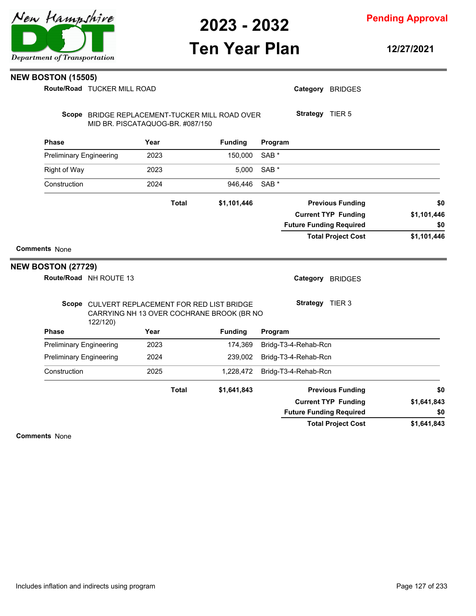

**Pending Approval**

## **Ten Year Plan**

**12/27/2021**

#### **NEW BOSTON (15505)**

**Route/Road TUCKER MILL ROAD** 

| \$1,641,843<br>\$0 | <b>Current TYP Funding</b><br><b>Future Funding Required</b> |                  |                |              |                                                                                                        |                                |
|--------------------|--------------------------------------------------------------|------------------|----------------|--------------|--------------------------------------------------------------------------------------------------------|--------------------------------|
| \$0                | <b>Previous Funding</b>                                      |                  | \$1,641,843    | <b>Total</b> |                                                                                                        |                                |
|                    | Bridg-T3-4-Rehab-Rcn                                         |                  | 1,228,472      |              | 2025                                                                                                   | Construction                   |
|                    | Bridg-T3-4-Rehab-Rcn                                         |                  | 239,002        |              | 2024                                                                                                   | <b>Preliminary Engineering</b> |
|                    | Bridg-T3-4-Rehab-Rcn                                         |                  | 174,369        |              | 2023                                                                                                   | <b>Preliminary Engineering</b> |
|                    |                                                              | Program          | <b>Funding</b> |              | Year                                                                                                   | <b>Phase</b>                   |
|                    | Strategy TIER 3                                              |                  |                |              | Scope CULVERT REPLACEMENT FOR RED LIST BRIDGE<br>CARRYING NH 13 OVER COCHRANE BROOK (BR NO<br>122/120) |                                |
|                    | Category BRIDGES                                             |                  |                |              | Route/Road NH ROUTE 13                                                                                 | <b>NEW BOSTON (27729)</b>      |
|                    |                                                              |                  |                |              |                                                                                                        | <b>Comments None</b>           |
| \$0<br>\$1,101,446 | <b>Future Funding Required</b><br><b>Total Project Cost</b>  |                  |                |              |                                                                                                        |                                |
| \$1,101,446        | <b>Current TYP Funding</b>                                   |                  |                |              |                                                                                                        |                                |
| \$0                | <b>Previous Funding</b>                                      |                  | \$1,101,446    | <b>Total</b> |                                                                                                        |                                |
|                    |                                                              | SAB <sup>*</sup> | 946,446        |              | 2024                                                                                                   | Construction                   |
|                    |                                                              | SAB <sup>*</sup> | 5,000          |              | 2023                                                                                                   | <b>Right of Way</b>            |
|                    |                                                              | SAB <sup>*</sup> | 150,000        |              | 2023                                                                                                   | <b>Preliminary Engineering</b> |
|                    |                                                              | Program          | <b>Funding</b> |              | Year                                                                                                   | <b>Phase</b>                   |
|                    | Strategy TIER 5                                              |                  |                |              | Scope BRIDGE REPLACEMENT-TUCKER MILL ROAD OVER<br>MID BR. PISCATAQUOG-BR. #087/150                     |                                |
|                    | Category BRIDGES                                             |                  |                |              | Route/Road TUCKER MILL ROAD                                                                            |                                |

**\$1,641,843 Total Project Cost**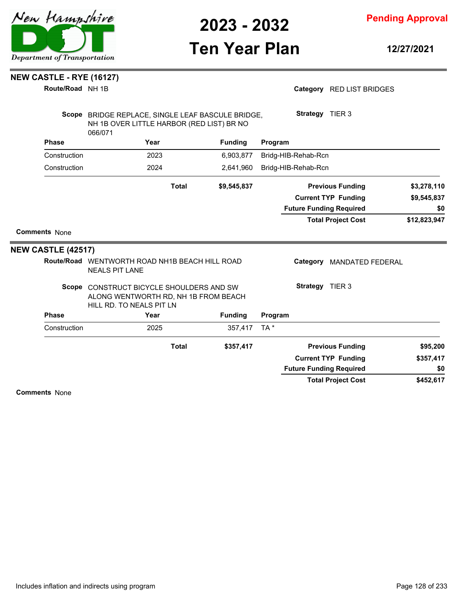

**Pending Approval**

# **Ten Year Plan**

**12/27/2021**

### **NEW CASTLE - RYE (16127)**

**Route/Road** NH 1B

| Category RED LIST BRIDGES |
|---------------------------|
|---------------------------|

|                           | Scope BRIDGE REPLACE, SINGLE LEAF BASCULE BRIDGE,<br>NH 1B OVER LITTLE HARBOR (RED LIST) BR NO<br>066/071    |              |                |                 | <b>Strategy</b> TIER 3         |                                |              |
|---------------------------|--------------------------------------------------------------------------------------------------------------|--------------|----------------|-----------------|--------------------------------|--------------------------------|--------------|
| <b>Phase</b>              | Year                                                                                                         |              | <b>Funding</b> | Program         |                                |                                |              |
| Construction              | 2023                                                                                                         |              | 6,903,877      |                 | Bridg-HIB-Rehab-Rcn            |                                |              |
| Construction              | 2024                                                                                                         |              | 2,641,960      |                 | Bridg-HIB-Rehab-Rcn            |                                |              |
|                           |                                                                                                              | <b>Total</b> | \$9,545,837    |                 |                                | <b>Previous Funding</b>        | \$3,278,110  |
|                           |                                                                                                              |              |                |                 |                                | <b>Current TYP Funding</b>     | \$9,545,837  |
|                           |                                                                                                              |              |                |                 | <b>Future Funding Required</b> |                                | \$0          |
|                           |                                                                                                              |              |                |                 |                                | <b>Total Project Cost</b>      | \$12,823,947 |
| <b>Comments None</b>      |                                                                                                              |              |                |                 |                                |                                |              |
| <b>NEW CASTLE (42517)</b> |                                                                                                              |              |                |                 |                                |                                |              |
|                           | Route/Road WENTWORTH ROAD NH1B BEACH HILL ROAD<br><b>NEALS PIT LANE</b>                                      |              |                |                 | Category                       | <b>MANDATED FEDERAL</b>        |              |
|                           | Scope CONSTRUCT BICYCLE SHOULDERS AND SW<br>ALONG WENTWORTH RD, NH 1B FROM BEACH<br>HILL RD. TO NEALS PIT LN |              |                |                 | Strategy TIER 3                |                                |              |
| <b>Phase</b>              | Year                                                                                                         |              | <b>Funding</b> | Program         |                                |                                |              |
| Construction              | 2025                                                                                                         |              | 357,417        | TA <sup>*</sup> |                                |                                |              |
|                           |                                                                                                              | <b>Total</b> | \$357,417      |                 |                                | <b>Previous Funding</b>        | \$95,200     |
|                           |                                                                                                              |              |                |                 |                                | <b>Current TYP Funding</b>     | \$357,417    |
|                           |                                                                                                              |              |                |                 |                                | <b>Future Funding Required</b> | \$0          |
|                           |                                                                                                              |              |                |                 |                                | <b>Total Project Cost</b>      | \$452,617    |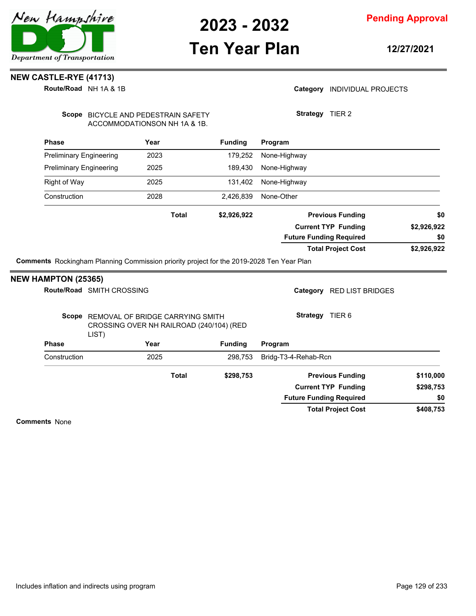

**Pending Approval**

### **Ten Year Plan**

**12/27/2021**

### **NEW CASTLE-RYE (41713)**

**Route/Road** NH 1A & 1B

#### Category **INDIVIDUAL PROJECTS**

**Strategy** TIER 2

Scope BICYCLE AND PEDESTRAIN SAFETY ACCOMMODATIONSON NH 1A & 1B.

| <b>Phase</b>                   | Year         | <b>Funding</b> | Program                        |             |
|--------------------------------|--------------|----------------|--------------------------------|-------------|
| <b>Preliminary Engineering</b> | 2023         | 179,252        | None-Highway                   |             |
| <b>Preliminary Engineering</b> | 2025         | 189.430        | None-Highway                   |             |
| <b>Right of Way</b>            | 2025         | 131,402        | None-Highway                   |             |
| Construction                   | 2028         | 2,426,839      | None-Other                     |             |
|                                | <b>Total</b> | \$2,926,922    | <b>Previous Funding</b>        | \$0         |
|                                |              |                | <b>Current TYP Funding</b>     | \$2,926,922 |
|                                |              |                | <b>Future Funding Required</b> | \$0         |
|                                |              |                | <b>Total Project Cost</b>      | \$2,926,922 |

**Comments** Rockingham Planning Commission priority project for the 2019-2028 Ten Year Plan

#### **Phase Year Funding Route/Road** SMITH CROSSING **NEW HAMPTON (25365)** Scope REMOVAL OF BRIDGE CARRYING SMITH CROSSING OVER NH RAILROAD (240/104) (RED LIST) **Program** Category RED LIST BRIDGES **Strategy** TIER 6 Construction 2025 298,753 Bridg-T3-4-Rehab-Rcn **\$408,753 \$298,753 \$298,753 Previous Funding \$110,000 Current TYP Funding Total Project Cost Future Funding Required Total \$0**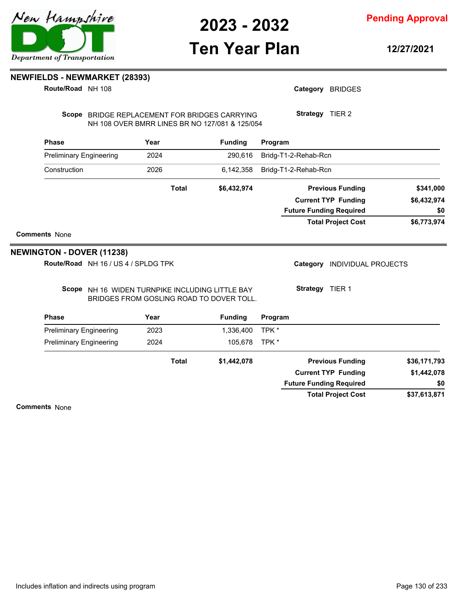## **Ten Year Plan**

**12/27/2021**

**Pending Approval**

**NEWFIELDS - NEWMARKET (28393)**

**Route/Road** NH 108

Scope BRIDGE REPLACEMENT FOR BRIDGES CARRYING NH 108 OVER BMRR LINES BR NO 127/081 & 125/054

| <b>Phase</b>                   | Year         | <b>Funding</b> | Program                        |             |
|--------------------------------|--------------|----------------|--------------------------------|-------------|
| <b>Preliminary Engineering</b> | 2024         | 290.616        | Bridg-T1-2-Rehab-Rcn           |             |
| Construction                   | 2026         | 6,142,358      | Bridg-T1-2-Rehab-Rcn           |             |
|                                | <b>Total</b> | \$6,432,974    | <b>Previous Funding</b>        | \$341,000   |
|                                |              |                | <b>Current TYP Funding</b>     | \$6,432,974 |
|                                |              |                | <b>Future Funding Required</b> | \$0         |
|                                |              |                | <b>Total Project Cost</b>      | \$6,773,974 |

**Comments** None

#### **NEWINGTON - DOVER (11238)**

**Route/Road** NH 16 / US 4 / SPLDG TPK

Category **INDIVIDUAL PROJECTS** 

Scope NH 16 WIDEN TURNPIKE INCLUDING LITTLE BAY BRIDGES FROM GOSLING ROAD TO DOVER TOLL.

| Strategy | TIER 1 |
|----------|--------|
|          |        |

Category BRIDGES

**Strategy** TIER 2

| <b>Phase</b>                   | Year         | <b>Funding</b> | Program                        |              |
|--------------------------------|--------------|----------------|--------------------------------|--------------|
| <b>Preliminary Engineering</b> | 2023         | 1,336,400      | TPK *                          |              |
| <b>Preliminary Engineering</b> | 2024         | 105.678        | TPK *                          |              |
|                                | <b>Total</b> | \$1,442,078    | <b>Previous Funding</b>        | \$36,171,793 |
|                                |              |                | <b>Current TYP Funding</b>     | \$1,442,078  |
|                                |              |                | <b>Future Funding Required</b> | \$0          |
|                                |              |                | <b>Total Project Cost</b>      | \$37,613,871 |

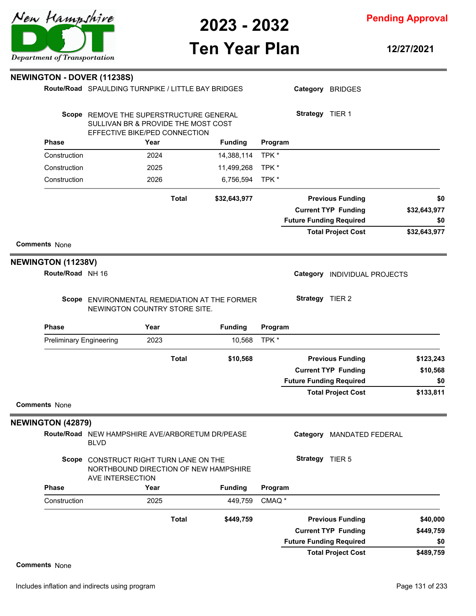

**Pending Approval**

## **Ten Year Plan**

**12/27/2021**

|                                | <b>NEWINGTON - DOVER (11238S)</b>                                                                               |              |                |                   |                                |                            |              |
|--------------------------------|-----------------------------------------------------------------------------------------------------------------|--------------|----------------|-------------------|--------------------------------|----------------------------|--------------|
|                                | Route/Road SPAULDING TURNPIKE / LITTLE BAY BRIDGES                                                              |              |                |                   |                                | Category BRIDGES           |              |
|                                |                                                                                                                 |              |                |                   |                                |                            |              |
|                                | Scope REMOVE THE SUPERSTRUCTURE GENERAL<br>SULLIVAN BR & PROVIDE THE MOST COST<br>EFFECTIVE BIKE/PED CONNECTION |              |                |                   | Strategy TIER 1                |                            |              |
| <b>Phase</b>                   | Year                                                                                                            |              | <b>Funding</b> | Program           |                                |                            |              |
| Construction                   | 2024                                                                                                            |              | 14,388,114     | TPK*              |                                |                            |              |
| Construction                   | 2025                                                                                                            |              | 11,499,268     | TPK*              |                                |                            |              |
| Construction                   | 2026                                                                                                            |              | 6,756,594      | TPK*              |                                |                            |              |
|                                |                                                                                                                 | <b>Total</b> | \$32,643,977   |                   |                                | <b>Previous Funding</b>    | \$0          |
|                                |                                                                                                                 |              |                |                   |                                | <b>Current TYP Funding</b> | \$32,643,977 |
|                                |                                                                                                                 |              |                |                   | <b>Future Funding Required</b> |                            | \$0          |
|                                |                                                                                                                 |              |                |                   |                                | <b>Total Project Cost</b>  | \$32,643,977 |
| <b>Comments None</b>           |                                                                                                                 |              |                |                   |                                |                            |              |
| <b>NEWINGTON (11238V)</b>      |                                                                                                                 |              |                |                   |                                |                            |              |
| Route/Road NH 16               |                                                                                                                 |              |                |                   | Category                       | INDIVIDUAL PROJECTS        |              |
|                                | Scope ENVIRONMENTAL REMEDIATION AT THE FORMER<br>NEWINGTON COUNTRY STORE SITE.                                  |              |                |                   | Strategy TIER 2                |                            |              |
| <b>Phase</b>                   | Year                                                                                                            |              | <b>Funding</b> | Program           |                                |                            |              |
| <b>Preliminary Engineering</b> | 2023                                                                                                            |              | 10,568         | TPK*              |                                |                            |              |
|                                |                                                                                                                 | <b>Total</b> | \$10,568       |                   |                                | <b>Previous Funding</b>    | \$123,243    |
|                                |                                                                                                                 |              |                |                   |                                | <b>Current TYP Funding</b> | \$10,568     |
|                                |                                                                                                                 |              |                |                   | <b>Future Funding Required</b> |                            | \$0          |
|                                |                                                                                                                 |              |                |                   |                                | <b>Total Project Cost</b>  | \$133,811    |
| <b>Comments None</b>           |                                                                                                                 |              |                |                   |                                |                            |              |
| <b>NEWINGTON (42879)</b>       |                                                                                                                 |              |                |                   |                                |                            |              |
|                                | Route/Road NEW HAMPSHIRE AVE/ARBORETUM DR/PEASE<br><b>BLVD</b>                                                  |              |                |                   |                                | Category MANDATED FEDERAL  |              |
|                                | Scope CONSTRUCT RIGHT TURN LANE ON THE<br>NORTHBOUND DIRECTION OF NEW HAMPSHIRE<br>AVE INTERSECTION             |              |                |                   | Strategy TIER 5                |                            |              |
| <b>Phase</b>                   | Year                                                                                                            |              | <b>Funding</b> | Program           |                                |                            |              |
| Construction                   | 2025                                                                                                            |              | 449,759        | CMAQ <sup>*</sup> |                                |                            |              |
|                                |                                                                                                                 | <b>Total</b> | \$449,759      |                   |                                | <b>Previous Funding</b>    | \$40,000     |
|                                |                                                                                                                 |              |                |                   |                                | <b>Current TYP Funding</b> | \$449,759    |
|                                |                                                                                                                 |              |                |                   | <b>Future Funding Required</b> |                            | \$0          |
|                                |                                                                                                                 |              |                |                   |                                | <b>Total Project Cost</b>  | \$489,759    |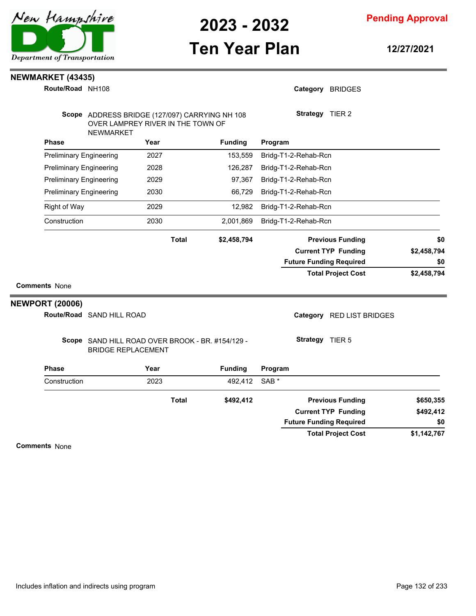## **Ten Year Plan**

**Pending Approval**

**12/27/2021**

#### **NEWMARKET (43435)**

| Route/Road NH108               |                                                                                                         |      |              |                |                      | Category BRIDGES               |             |
|--------------------------------|---------------------------------------------------------------------------------------------------------|------|--------------|----------------|----------------------|--------------------------------|-------------|
|                                | Scope ADDRESS BRIDGE (127/097) CARRYING NH 108<br>OVER LAMPREY RIVER IN THE TOWN OF<br><b>NEWMARKET</b> |      |              |                |                      | Strategy TIER 2                |             |
| <b>Phase</b>                   |                                                                                                         | Year |              | <b>Funding</b> | Program              |                                |             |
| <b>Preliminary Engineering</b> |                                                                                                         | 2027 |              | 153,559        | Bridg-T1-2-Rehab-Rcn |                                |             |
| <b>Preliminary Engineering</b> |                                                                                                         | 2028 |              | 126,287        | Bridg-T1-2-Rehab-Rcn |                                |             |
| <b>Preliminary Engineering</b> |                                                                                                         | 2029 |              | 97,367         | Bridg-T1-2-Rehab-Rcn |                                |             |
| <b>Preliminary Engineering</b> |                                                                                                         | 2030 |              | 66,729         | Bridg-T1-2-Rehab-Rcn |                                |             |
| Right of Way                   |                                                                                                         | 2029 |              | 12,982         | Bridg-T1-2-Rehab-Rcn |                                |             |
| Construction                   |                                                                                                         | 2030 |              | 2,001,869      | Bridg-T1-2-Rehab-Rcn |                                |             |
|                                |                                                                                                         |      | <b>Total</b> | \$2,458,794    |                      | <b>Previous Funding</b>        | \$0         |
|                                |                                                                                                         |      |              |                |                      | <b>Current TYP Funding</b>     | \$2,458,794 |
|                                |                                                                                                         |      |              |                |                      | <b>Future Funding Required</b> | \$0         |
|                                |                                                                                                         |      |              |                |                      | <b>Total Project Cost</b>      | \$2,458,794 |
| <b>Comments None</b>           |                                                                                                         |      |              |                |                      |                                |             |
| <b>NEWPORT (20006)</b>         |                                                                                                         |      |              |                |                      |                                |             |
|                                | Route/Road SAND HILL ROAD                                                                               |      |              |                |                      | Category RED LIST BRIDGES      |             |
|                                | Scope SAND HILL ROAD OVER BROOK - BR. #154/129 -<br><b>BRIDGE REPLACEMENT</b>                           |      |              |                |                      | Strategy TIER 5                |             |
| <b>Phase</b>                   |                                                                                                         | Year |              | <b>Funding</b> | Program              |                                |             |
| Construction                   |                                                                                                         | 2023 |              | 492,412        | SAB <sup>*</sup>     |                                |             |
|                                |                                                                                                         |      | <b>Total</b> | \$492,412      |                      | <b>Previous Funding</b>        | \$650,355   |
|                                |                                                                                                         |      |              |                |                      | <b>Current TYP Funding</b>     | \$492,412   |
|                                |                                                                                                         |      |              |                |                      | <b>Future Funding Required</b> | \$0         |

**Comments** None

**\$1,142,767**

**Total Project Cost**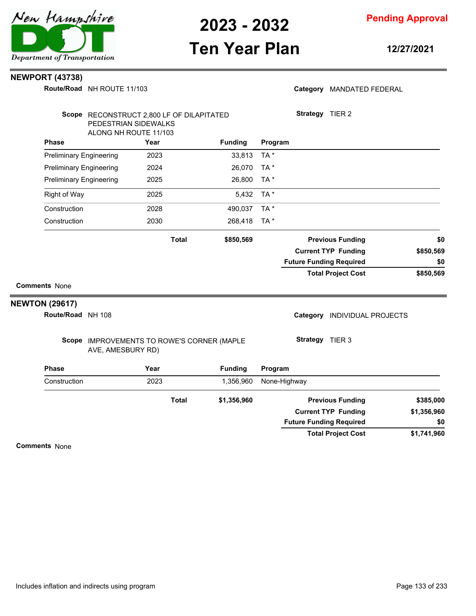

## **Ten Year Plan**

**12/27/2021**

#### **NEWPORT (43738)**

**Route/Road** NH ROUTE 11/103

|  | Category MANDATED FEDERAL |
|--|---------------------------|
|--|---------------------------|

| Scope RECONSTRUCT 2,800 LF OF DILAPITATED<br>PEDESTRIAN SIDEWALKS |                                                                 |      |              |                |                 | Strategy TIER 2                |                            |             |
|-------------------------------------------------------------------|-----------------------------------------------------------------|------|--------------|----------------|-----------------|--------------------------------|----------------------------|-------------|
|                                                                   | ALONG NH ROUTE 11/103                                           |      |              |                |                 |                                |                            |             |
| <b>Phase</b>                                                      |                                                                 | Year |              | <b>Funding</b> | Program         |                                |                            |             |
| <b>Preliminary Engineering</b>                                    |                                                                 | 2023 |              | 33,813         | TA*             |                                |                            |             |
| <b>Preliminary Engineering</b>                                    |                                                                 | 2024 |              | 26,070         | TA <sup>*</sup> |                                |                            |             |
| <b>Preliminary Engineering</b>                                    |                                                                 | 2025 |              | 26,800         | TA *            |                                |                            |             |
| <b>Right of Way</b>                                               |                                                                 | 2025 |              | 5,432          | TA *            |                                |                            |             |
| Construction                                                      |                                                                 | 2028 |              | 490,037        | TA*             |                                |                            |             |
| Construction                                                      |                                                                 | 2030 |              | 268,418        | TA*             |                                |                            |             |
|                                                                   |                                                                 |      | <b>Total</b> | \$850,569      |                 |                                | <b>Previous Funding</b>    | \$0         |
|                                                                   |                                                                 |      |              |                |                 |                                | <b>Current TYP Funding</b> | \$850,569   |
|                                                                   |                                                                 |      |              |                |                 | <b>Future Funding Required</b> |                            | \$0         |
|                                                                   |                                                                 |      |              |                |                 |                                | <b>Total Project Cost</b>  | \$850,569   |
| <b>Comments None</b>                                              |                                                                 |      |              |                |                 |                                |                            |             |
| <b>NEWTON (29617)</b>                                             |                                                                 |      |              |                |                 |                                |                            |             |
| Route/Road NH 108                                                 |                                                                 |      |              |                |                 | Category                       | <b>INDIVIDUAL PROJECTS</b> |             |
|                                                                   | Scope IMPROVEMENTS TO ROWE'S CORNER (MAPLE<br>AVE, AMESBURY RD) |      |              |                |                 | Strategy TIER 3                |                            |             |
| <b>Phase</b>                                                      |                                                                 | Year |              | <b>Funding</b> | Program         |                                |                            |             |
| Construction                                                      |                                                                 | 2023 |              | 1,356,960      |                 | None-Highway                   |                            |             |
|                                                                   |                                                                 |      | <b>Total</b> | \$1,356,960    |                 |                                | <b>Previous Funding</b>    | \$385,000   |
|                                                                   |                                                                 |      |              |                |                 |                                | <b>Current TYP Funding</b> | \$1,356,960 |
|                                                                   |                                                                 |      |              |                |                 | <b>Future Funding Required</b> |                            | \$0         |

**\$1,741,960 Total Project Cost**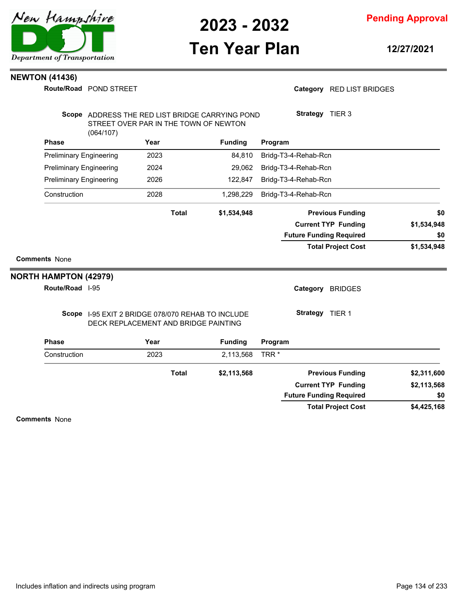

# **Ten Year Plan**

**12/27/2021**

#### **NEWTON (41436)**

**Route/Road** POND STREET

#### Category RED LIST BRIDGES

|                                |           |                                                                                           | Scope ADDRESS THE RED LIST BRIDGE CARRYING POND | Strategy TIER 3                |             |
|--------------------------------|-----------|-------------------------------------------------------------------------------------------|-------------------------------------------------|--------------------------------|-------------|
|                                | (064/107) | STREET OVER PAR IN THE TOWN OF NEWTON                                                     |                                                 |                                |             |
| Phase                          |           | Year                                                                                      | <b>Funding</b>                                  | Program                        |             |
| <b>Preliminary Engineering</b> |           | 2023                                                                                      | 84,810                                          | Bridg-T3-4-Rehab-Rcn           |             |
| <b>Preliminary Engineering</b> |           | 2024                                                                                      | 29,062                                          | Bridg-T3-4-Rehab-Rcn           |             |
| <b>Preliminary Engineering</b> |           | 2026                                                                                      | 122,847                                         | Bridg-T3-4-Rehab-Rcn           |             |
| Construction                   |           | 2028                                                                                      | 1,298,229                                       | Bridg-T3-4-Rehab-Rcn           |             |
|                                |           | <b>Total</b>                                                                              | \$1,534,948                                     | <b>Previous Funding</b>        | \$0         |
|                                |           |                                                                                           |                                                 | <b>Current TYP Funding</b>     | \$1,534,948 |
|                                |           |                                                                                           |                                                 | <b>Future Funding Required</b> | \$0         |
|                                |           |                                                                                           |                                                 | <b>Total Project Cost</b>      | \$1,534,948 |
| <b>Comments None</b>           |           |                                                                                           |                                                 |                                |             |
| <b>NORTH HAMPTON (42979)</b>   |           |                                                                                           |                                                 |                                |             |
| Route/Road I-95                |           |                                                                                           |                                                 | Category<br><b>BRIDGES</b>     |             |
|                                |           | Scope 1-95 EXIT 2 BRIDGE 078/070 REHAB TO INCLUDE<br>DECK REPLACEMENT AND BRIDGE PAINTING |                                                 | Strategy TIER 1                |             |
| Phase                          |           | Year                                                                                      | <b>Funding</b>                                  | Program                        |             |
| Construction                   |           | 2023                                                                                      | 2,113,568                                       | TRR <sup>*</sup>               |             |
|                                |           | <b>Total</b>                                                                              | \$2,113,568                                     | <b>Previous Funding</b>        | \$2,311,600 |
|                                |           |                                                                                           |                                                 | <b>Current TYP Funding</b>     | \$2,113,568 |
|                                |           |                                                                                           |                                                 | <b>Future Funding Required</b> | \$0         |
|                                |           |                                                                                           |                                                 | <b>Total Project Cost</b>      | \$4,425,168 |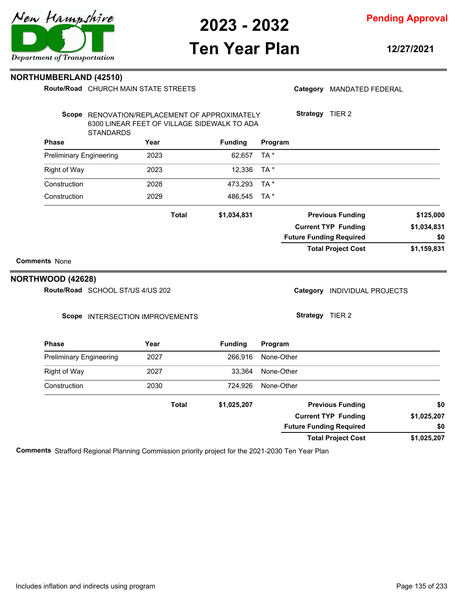

## **Ten Year Plan**

**12/27/2021**

Category MANDATED FEDERAL

**Strategy** TIER 2

**Pending Approval**

#### **NORTHUMBERLAND (42510)**

**Route/Road** CHURCH MAIN STATE STREETS

STANDARDS

Scope RENOVATION/REPLACEMENT OF APPROXIMATELY 6300 LINEAR FEET OF VILLAGE SIDEWALK TO ADA

| <b>Phase</b>                     | Year                            | <b>Funding</b> | Program                                |             |
|----------------------------------|---------------------------------|----------------|----------------------------------------|-------------|
| <b>Preliminary Engineering</b>   | 2023                            | 62,657         | TA*                                    |             |
| <b>Right of Way</b>              | 2023                            | 12,336         | TA *                                   |             |
| Construction                     | 2028                            | 473,293        | TA*                                    |             |
| Construction                     | 2029                            | 486,545        | TA*                                    |             |
|                                  | <b>Total</b>                    | \$1,034,831    | <b>Previous Funding</b>                | \$125,000   |
|                                  |                                 |                | <b>Current TYP Funding</b>             | \$1,034,831 |
|                                  |                                 |                | <b>Future Funding Required</b>         | \$0         |
|                                  |                                 |                | <b>Total Project Cost</b>              | \$1,159,831 |
| <b>Comments None</b>             |                                 |                |                                        |             |
| NORTHWOOD (42628)                |                                 |                |                                        |             |
| Route/Road SCHOOL ST/US 4/US 202 |                                 |                | Category<br><b>INDIVIDUAL PROJECTS</b> |             |
|                                  | Scope INTERSECTION IMPROVEMENTS |                | Strategy TIER 2                        |             |
| <b>Phase</b>                     | Year                            | <b>Funding</b> | Program                                |             |
| <b>Preliminary Engineering</b>   | 2027                            | 266,916        | None-Other                             |             |
| Right of Way                     | 2027                            | 33,364         | None-Other                             |             |
| Construction                     | 2030                            | 724,926        | None-Other                             |             |
|                                  | <b>Total</b>                    | \$1,025,207    | <b>Previous Funding</b>                | \$0         |
|                                  |                                 |                | <b>Current TYP Funding</b>             | \$1,025,207 |
|                                  |                                 |                | <b>Future Funding Required</b>         | \$0         |

**\$1,025,207 Total Project Cost Future Funding Required**

**Comments** Strafford Regional Planning Commission priority project for the 2021-2030 Ten Year Plan

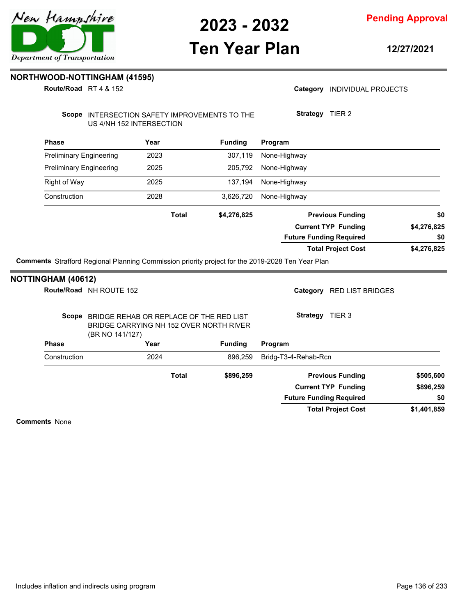

**Pending Approval**

## **Ten Year Plan**

**12/27/2021**

**NORTHWOOD-NOTTINGHAM (41595)**

**Route/Road** RT 4 & 152

| Category INDIVIDUAL PROJECTS |  |
|------------------------------|--|
|                              |  |

**Strategy** TIER 2

Scope INTERSECTION SAFETY IMPROVEMENTS TO THE US 4/NH 152 INTERSECTION

| <b>Phase</b>                   | Year         | <b>Funding</b> | Program                        |             |
|--------------------------------|--------------|----------------|--------------------------------|-------------|
| <b>Preliminary Engineering</b> | 2023         | 307,119        | None-Highway                   |             |
| <b>Preliminary Engineering</b> | 2025         | 205.792        | None-Highway                   |             |
| Right of Way                   | 2025         | 137,194        | None-Highway                   |             |
| Construction                   | 2028         | 3.626.720      | None-Highway                   |             |
|                                | <b>Total</b> | \$4,276,825    | <b>Previous Funding</b>        | \$0         |
|                                |              |                | <b>Current TYP Funding</b>     | \$4,276,825 |
|                                |              |                | <b>Future Funding Required</b> | \$0         |
|                                |              |                | <b>Total Project Cost</b>      | \$4,276,825 |

**Comments** Strafford Regional Planning Commission priority project for the 2019-2028 Ten Year Plan

| <b>NOTTINGHAM (40612)</b> |                                                                                                             |                |                                |             |
|---------------------------|-------------------------------------------------------------------------------------------------------------|----------------|--------------------------------|-------------|
|                           | Route/Road NH ROUTE 152                                                                                     |                | RED LIST BRIDGES<br>Category   |             |
|                           | Scope BRIDGE REHAB OR REPLACE OF THE RED LIST<br>BRIDGE CARRYING NH 152 OVER NORTH RIVER<br>(BR NO 141/127) |                | Strategy<br>TIER <sub>3</sub>  |             |
| <b>Phase</b>              | Year                                                                                                        | <b>Funding</b> | Program                        |             |
| Construction              | 2024                                                                                                        | 896.259        | Bridg-T3-4-Rehab-Rcn           |             |
|                           | <b>Total</b>                                                                                                | \$896,259      | <b>Previous Funding</b>        | \$505,600   |
|                           |                                                                                                             |                | <b>Current TYP Funding</b>     | \$896,259   |
|                           |                                                                                                             |                | <b>Future Funding Required</b> | \$0         |
|                           |                                                                                                             |                | <b>Total Project Cost</b>      | \$1,401,859 |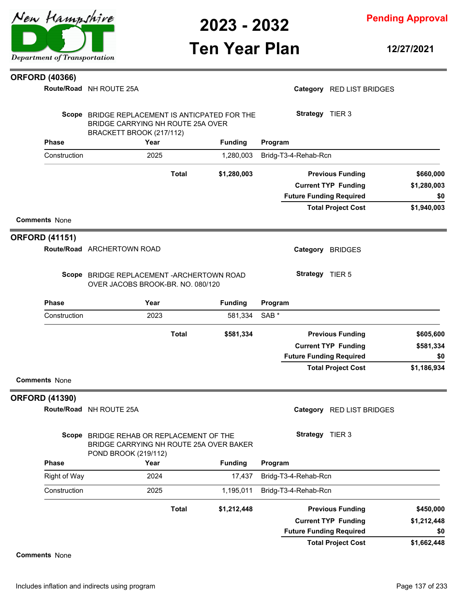

**Pending Approval**

### **Ten Year Plan**

**12/27/2021**

#### **ORFORD (40366)**

**Route/Road** NH ROUTE 25A

**Phase Year Funding** Scope BRIDGE REPLACEMENT IS ANTICPATED FOR THE BRIDGE CARRYING NH ROUTE 25A OVER BRACKETT BROOK (217/112) **Program** Category RED LIST BRIDGES **Strategy** TIER 3 Construction 2025 1,280,003 Bridg-T3-4-Rehab-Rcn **\$1,940,003 \$1,280,003 \$1,280,003 Previous Funding \$660,000 Current TYP Funding Total Project Cost Future Funding Required Total Comments** None **\$0 Phase Year Funding** Route/Road ARCHERTOWN ROAD **ORFORD (41151)** Scope BRIDGE REPLACEMENT - ARCHERTOWN ROAD OVER JACOBS BROOK-BR. NO. 080/120 **Program** Category BRIDGES **Strategy** TIER 5 Construction 2023 581,334 SAB \* **\$1,186,934 \$581,334 \$581,334 Previous Funding \$605,600 Current TYP Funding Total Project Cost Future Funding Required Total Comments** None **\$0 Phase Year Funding Route/Road** NH ROUTE 25A **ORFORD (41390)** Scope BRIDGE REHAB OR REPLACEMENT OF THE BRIDGE CARRYING NH ROUTE 25A OVER BAKER POND BROOK (219/112) **Program** Category RED LIST BRIDGES **Strategy** TIER 3 Right of Way 2024 17,437 Bridg-T3-4-Rehab-Rcn Construction 2025 1,195,011 Bridg-T3-4-Rehab-Rcn **\$1,212,448 \$1,212,448 Previous Funding \$450,000 Current TYP Funding Total**

#### **Comments** None

**\$1,662,448**

**\$0**

**Total Project Cost**

**Future Funding Required**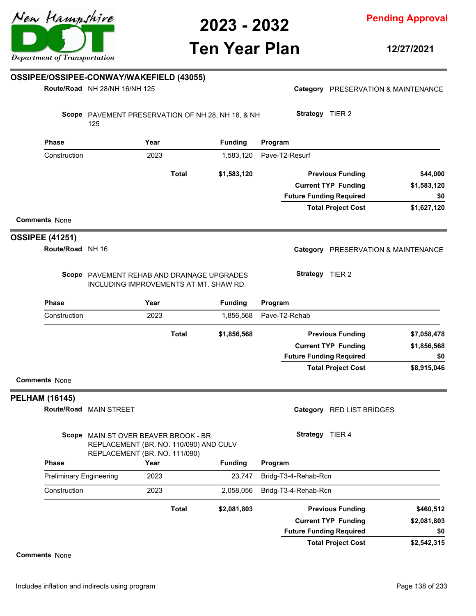# **Ten Year Plan**

**12/27/2021**

|                        |                                | OSSIPEE/OSSIPEE-CONWAY/WAKEFIELD (43055)                                                                        |      |              |                |                |                      |                                     |             |
|------------------------|--------------------------------|-----------------------------------------------------------------------------------------------------------------|------|--------------|----------------|----------------|----------------------|-------------------------------------|-------------|
|                        |                                | Route/Road NH 28/NH 16/NH 125                                                                                   |      |              |                |                |                      | Category PRESERVATION & MAINTENANCE |             |
|                        |                                | Scope PAVEMENT PRESERVATION OF NH 28, NH 16, & NH<br>125                                                        |      |              |                |                | Strategy TIER 2      |                                     |             |
|                        | <b>Phase</b>                   |                                                                                                                 | Year |              | <b>Funding</b> | Program        |                      |                                     |             |
|                        | Construction                   |                                                                                                                 | 2023 |              | 1,583,120      | Pave-T2-Resurf |                      |                                     |             |
|                        |                                |                                                                                                                 |      | <b>Total</b> | \$1,583,120    |                |                      | <b>Previous Funding</b>             | \$44,000    |
|                        |                                |                                                                                                                 |      |              |                |                |                      | <b>Current TYP Funding</b>          | \$1,583,120 |
|                        |                                |                                                                                                                 |      |              |                |                |                      | <b>Future Funding Required</b>      | \$0         |
| <b>Comments None</b>   |                                |                                                                                                                 |      |              |                |                |                      | <b>Total Project Cost</b>           | \$1,627,120 |
| <b>OSSIPEE (41251)</b> |                                |                                                                                                                 |      |              |                |                |                      |                                     |             |
|                        | Route/Road NH 16               |                                                                                                                 |      |              |                |                |                      | Category PRESERVATION & MAINTENANCE |             |
|                        |                                | Scope PAVEMENT REHAB AND DRAINAGE UPGRADES<br>INCLUDING IMPROVEMENTS AT MT. SHAW RD.                            |      |              |                |                | Strategy TIER 2      |                                     |             |
|                        | <b>Phase</b>                   |                                                                                                                 | Year |              | <b>Funding</b> | Program        |                      |                                     |             |
|                        | Construction                   |                                                                                                                 | 2023 |              | 1,856,568      | Pave-T2-Rehab  |                      |                                     |             |
|                        |                                |                                                                                                                 |      | <b>Total</b> | \$1,856,568    |                |                      | <b>Previous Funding</b>             | \$7,058,478 |
|                        |                                |                                                                                                                 |      |              |                |                |                      | <b>Current TYP Funding</b>          | \$1,856,568 |
|                        |                                |                                                                                                                 |      |              |                |                |                      | <b>Future Funding Required</b>      | \$0         |
| <b>Comments None</b>   |                                |                                                                                                                 |      |              |                |                |                      | <b>Total Project Cost</b>           | \$8,915,046 |
| <b>PELHAM (16145)</b>  |                                |                                                                                                                 |      |              |                |                |                      |                                     |             |
|                        |                                | Route/Road MAIN STREET                                                                                          |      |              |                |                |                      | Category RED LIST BRIDGES           |             |
|                        |                                | Scope MAIN ST OVER BEAVER BROOK - BR<br>REPLACEMENT (BR. NO. 110/090) AND CULV<br>REPLACEMENT (BR. NO. 111/090) |      |              |                |                | Strategy TIER 4      |                                     |             |
|                        | <b>Phase</b>                   |                                                                                                                 | Year |              | <b>Funding</b> | Program        |                      |                                     |             |
|                        | <b>Preliminary Engineering</b> |                                                                                                                 | 2023 |              | 23,747         |                | Bridg-T3-4-Rehab-Rcn |                                     |             |
|                        | Construction                   |                                                                                                                 | 2023 |              | 2,058,056      |                | Bridg-T3-4-Rehab-Rcn |                                     |             |
|                        |                                |                                                                                                                 |      | <b>Total</b> | \$2,081,803    |                |                      | <b>Previous Funding</b>             | \$460,512   |
|                        |                                |                                                                                                                 |      |              |                |                |                      | <b>Current TYP Funding</b>          | \$2,081,803 |
|                        |                                |                                                                                                                 |      |              |                |                |                      | <b>Future Funding Required</b>      | \$0         |
|                        |                                |                                                                                                                 |      |              |                |                |                      | <b>Total Project Cost</b>           | \$2,542,315 |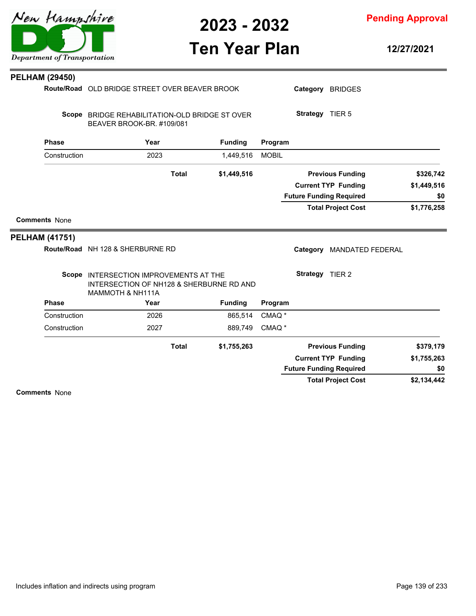

**Pending Approval**

# **Ten Year Plan**

**12/27/2021**

| Route/Road OLD BRIDGE STREET OVER BEAVER BROOK                                                                                |              |                                                               |                                                                                                                                      |                    |                                                                                                                                                                                                                                                                                                                 |
|-------------------------------------------------------------------------------------------------------------------------------|--------------|---------------------------------------------------------------|--------------------------------------------------------------------------------------------------------------------------------------|--------------------|-----------------------------------------------------------------------------------------------------------------------------------------------------------------------------------------------------------------------------------------------------------------------------------------------------------------|
|                                                                                                                               |              |                                                               |                                                                                                                                      | Category BRIDGES   |                                                                                                                                                                                                                                                                                                                 |
|                                                                                                                               |              |                                                               |                                                                                                                                      |                    |                                                                                                                                                                                                                                                                                                                 |
| Year                                                                                                                          |              | <b>Funding</b>                                                |                                                                                                                                      |                    |                                                                                                                                                                                                                                                                                                                 |
| 2023                                                                                                                          |              | 1,449,516                                                     | <b>MOBIL</b>                                                                                                                         |                    |                                                                                                                                                                                                                                                                                                                 |
|                                                                                                                               | <b>Total</b> | \$1,449,516                                                   |                                                                                                                                      |                    | \$326,742                                                                                                                                                                                                                                                                                                       |
|                                                                                                                               |              |                                                               |                                                                                                                                      |                    | \$1,449,516                                                                                                                                                                                                                                                                                                     |
|                                                                                                                               |              |                                                               |                                                                                                                                      |                    | \$0                                                                                                                                                                                                                                                                                                             |
|                                                                                                                               |              |                                                               |                                                                                                                                      |                    | \$1,776,258                                                                                                                                                                                                                                                                                                     |
|                                                                                                                               |              |                                                               |                                                                                                                                      |                    |                                                                                                                                                                                                                                                                                                                 |
|                                                                                                                               |              |                                                               |                                                                                                                                      |                    |                                                                                                                                                                                                                                                                                                                 |
|                                                                                                                               |              |                                                               |                                                                                                                                      |                    |                                                                                                                                                                                                                                                                                                                 |
| MAMMOTH & NH111A                                                                                                              |              |                                                               |                                                                                                                                      |                    |                                                                                                                                                                                                                                                                                                                 |
| Year                                                                                                                          |              | <b>Funding</b>                                                |                                                                                                                                      |                    |                                                                                                                                                                                                                                                                                                                 |
| 2026                                                                                                                          |              | 865,514                                                       | CMAQ <sup>*</sup>                                                                                                                    |                    |                                                                                                                                                                                                                                                                                                                 |
| 2027                                                                                                                          |              | 889,749                                                       | CMAQ <sup>*</sup>                                                                                                                    |                    |                                                                                                                                                                                                                                                                                                                 |
|                                                                                                                               | <b>Total</b> | \$1,755,263                                                   |                                                                                                                                      |                    | \$379,179                                                                                                                                                                                                                                                                                                       |
|                                                                                                                               |              |                                                               |                                                                                                                                      |                    | \$1,755,263                                                                                                                                                                                                                                                                                                     |
|                                                                                                                               |              |                                                               |                                                                                                                                      |                    | \$0                                                                                                                                                                                                                                                                                                             |
|                                                                                                                               |              |                                                               |                                                                                                                                      |                    | \$2,134,442                                                                                                                                                                                                                                                                                                     |
| <b>Phase</b><br>Construction<br><b>Comments None</b><br><b>PELHAM (41751)</b><br><b>Phase</b><br>Construction<br>Construction |              | BEAVER BROOK-BR. #109/081<br>Route/Road NH 128 & SHERBURNE RD | Scope BRIDGE REHABILITATION-OLD BRIDGE ST OVER<br>Scope INTERSECTION IMPROVEMENTS AT THE<br>INTERSECTION OF NH128 & SHERBURNE RD AND | Program<br>Program | Strategy TIER 5<br><b>Previous Funding</b><br><b>Current TYP Funding</b><br><b>Future Funding Required</b><br><b>Total Project Cost</b><br>Category MANDATED FEDERAL<br>Strategy TIER 2<br><b>Previous Funding</b><br><b>Current TYP Funding</b><br><b>Future Funding Required</b><br><b>Total Project Cost</b> |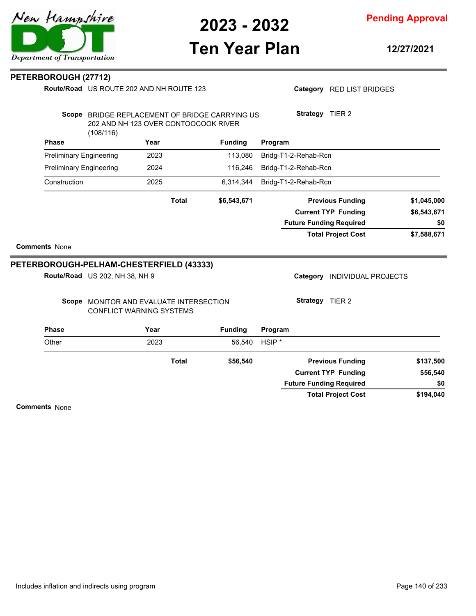

# **Ten Year Plan**

**12/27/2021**

| PETERBOROUGH (27712) |                                |                                                                                        |                |                                |                              |             |
|----------------------|--------------------------------|----------------------------------------------------------------------------------------|----------------|--------------------------------|------------------------------|-------------|
|                      |                                | Route/Road US ROUTE 202 AND NH ROUTE 123                                               |                |                                | Category RED LIST BRIDGES    |             |
|                      | (108/116)                      | Scope BRIDGE REPLACEMENT OF BRIDGE CARRYING US<br>202 AND NH 123 OVER CONTOOCOOK RIVER |                | Strategy TIER 2                |                              |             |
| <b>Phase</b>         |                                | Year                                                                                   | <b>Funding</b> | Program                        |                              |             |
|                      | <b>Preliminary Engineering</b> | 2023                                                                                   | 113,080        | Bridg-T1-2-Rehab-Rcn           |                              |             |
|                      | <b>Preliminary Engineering</b> | 2024                                                                                   | 116,246        | Bridg-T1-2-Rehab-Rcn           |                              |             |
| Construction         |                                | 2025                                                                                   | 6,314,344      | Bridg-T1-2-Rehab-Rcn           |                              |             |
|                      |                                | <b>Total</b>                                                                           | \$6,543,671    |                                | <b>Previous Funding</b>      | \$1,045,000 |
|                      |                                |                                                                                        |                |                                | <b>Current TYP Funding</b>   | \$6,543,671 |
|                      |                                |                                                                                        |                | <b>Future Funding Required</b> |                              | \$0         |
| <b>Comments None</b> |                                |                                                                                        |                |                                | <b>Total Project Cost</b>    | \$7,588,671 |
|                      |                                | <b>PETERBOROUGH-PELHAM-CHESTERFIELD (43333)</b>                                        |                |                                |                              |             |
|                      | Route/Road US 202, NH 38, NH 9 |                                                                                        |                |                                | Category INDIVIDUAL PROJECTS |             |
|                      |                                | Scope MONITOR AND EVALUATE INTERSECTION<br>CONFLICT WARNING SYSTEMS                    |                | Strategy TIER 2                |                              |             |
| <b>Phase</b>         |                                | Year                                                                                   | <b>Funding</b> | Program                        |                              |             |
| Other                |                                | 2023                                                                                   | 56,540         | HSIP <sup>*</sup>              |                              |             |
|                      |                                | <b>Total</b>                                                                           | \$56,540       |                                | <b>Previous Funding</b>      | \$137,500   |
|                      |                                |                                                                                        |                |                                | <b>Current TYP Funding</b>   | \$56,540    |
|                      |                                |                                                                                        |                | <b>Future Funding Required</b> |                              | \$0         |

**\$194,040 Total Project Cost**

**Comments** None

 $\overline{\phantom{a}}$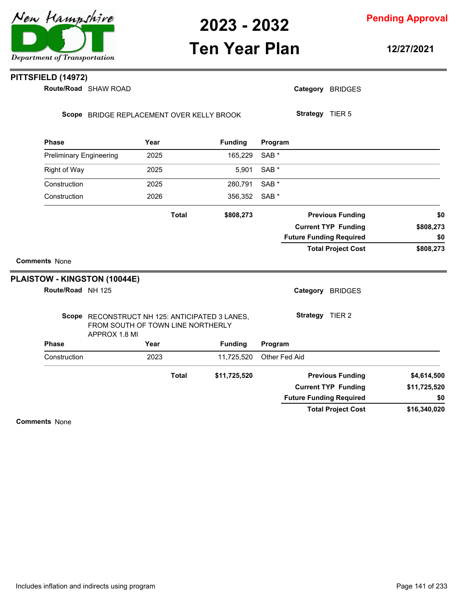### **Ten Year Plan**

**Pending Approval**

**12/27/2021**

#### **PITTSFIELD (14972)**

**Route/Road** SHAW ROAD

Category BRIDGES

Scope BRIDGE REPLACEMENT OVER KELLY BROOK

**Strategy** TIER 5

|                                |               | Year                                                                                | <b>Funding</b> | Program          |                                |              |
|--------------------------------|---------------|-------------------------------------------------------------------------------------|----------------|------------------|--------------------------------|--------------|
| <b>Preliminary Engineering</b> |               | 2025                                                                                | 165,229        | SAB <sup>*</sup> |                                |              |
| <b>Right of Way</b>            |               | 2025                                                                                | 5,901          | SAB <sup>*</sup> |                                |              |
| Construction                   |               | 2025                                                                                | 280,791        | SAB <sup>*</sup> |                                |              |
| Construction                   |               | 2026                                                                                | 356,352        | SAB <sup>*</sup> |                                |              |
|                                |               | <b>Total</b>                                                                        | \$808,273      |                  | <b>Previous Funding</b>        | \$0          |
|                                |               |                                                                                     |                |                  | <b>Current TYP Funding</b>     | \$808,273    |
|                                |               |                                                                                     |                |                  | <b>Future Funding Required</b> | \$0          |
|                                |               |                                                                                     |                |                  | <b>Total Project Cost</b>      | \$808,273    |
| <b>Comments None</b>           |               |                                                                                     |                |                  |                                |              |
|                                |               |                                                                                     |                |                  |                                |              |
|                                |               |                                                                                     |                |                  |                                |              |
| Route/Road NH 125              |               |                                                                                     |                |                  | Category<br><b>BRIDGES</b>     |              |
|                                |               | Scope RECONSTRUCT NH 125: ANTICIPATED 3 LANES,<br>FROM SOUTH OF TOWN LINE NORTHERLY |                |                  | <b>Strategy</b><br>TIER 2      |              |
| <b>Phase</b>                   | APPROX 1.8 MI | Year                                                                                | <b>Funding</b> | Program          |                                |              |
| Construction                   |               | 2023                                                                                | 11,725,520     | Other Fed Aid    |                                |              |
| PLAISTOW - KINGSTON (10044E)   |               | <b>Total</b>                                                                        | \$11,725,520   |                  | <b>Previous Funding</b>        | \$4,614,500  |
|                                |               |                                                                                     |                |                  | <b>Current TYP Funding</b>     | \$11,725,520 |
|                                |               |                                                                                     |                |                  | <b>Future Funding Required</b> | \$0          |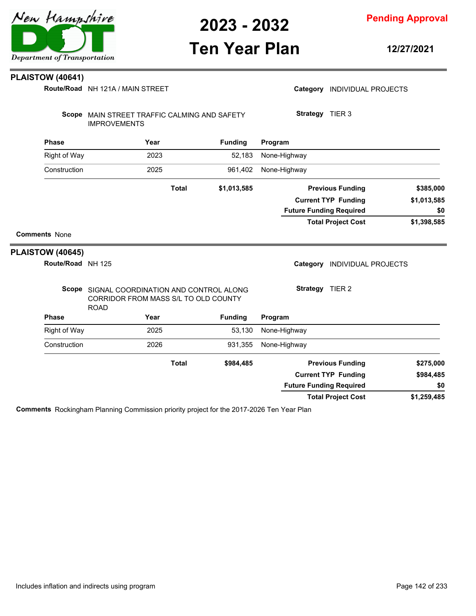#### **Pending Approval**

### **Ten Year Plan**

**12/27/2021**

#### **PLAISTOW (40641)**

NH 121A / MAIN STREET **Route/Road**

|                         | Route/Road NH 121A / MAIN STREET                                                                   |              |                |                                | Category INDIVIDUAL PROJECTS   |             |
|-------------------------|----------------------------------------------------------------------------------------------------|--------------|----------------|--------------------------------|--------------------------------|-------------|
|                         | Scope MAIN STREET TRAFFIC CALMING AND SAFETY<br><b>IMPROVEMENTS</b>                                |              |                | Strategy TIER 3                |                                |             |
| <b>Phase</b>            | Year                                                                                               |              | <b>Funding</b> | Program                        |                                |             |
| <b>Right of Way</b>     | 2023                                                                                               |              | 52,183         | None-Highway                   |                                |             |
| Construction            | 2025                                                                                               |              | 961,402        | None-Highway                   |                                |             |
|                         |                                                                                                    | <b>Total</b> | \$1,013,585    |                                | <b>Previous Funding</b>        | \$385,000   |
|                         |                                                                                                    |              |                |                                | <b>Current TYP Funding</b>     | \$1,013,585 |
|                         |                                                                                                    |              |                | <b>Future Funding Required</b> |                                | \$0         |
|                         |                                                                                                    |              |                |                                | <b>Total Project Cost</b>      | \$1,398,585 |
| <b>Comments None</b>    |                                                                                                    |              |                |                                |                                |             |
| <b>PLAISTOW (40645)</b> |                                                                                                    |              |                |                                |                                |             |
| Route/Road NH 125       |                                                                                                    |              |                |                                | Category INDIVIDUAL PROJECTS   |             |
|                         | Scope SIGNAL COORDINATION AND CONTROL ALONG<br>CORRIDOR FROM MASS S/L TO OLD COUNTY<br><b>ROAD</b> |              |                | Strategy TIER 2                |                                |             |
| <b>Phase</b>            | Year                                                                                               |              | <b>Funding</b> | Program                        |                                |             |
| Right of Way            | 2025                                                                                               |              | 53,130         | None-Highway                   |                                |             |
| Construction            | 2026                                                                                               |              | 931,355        | None-Highway                   |                                |             |
|                         |                                                                                                    | <b>Total</b> | \$984,485      |                                | <b>Previous Funding</b>        | \$275,000   |
|                         |                                                                                                    |              |                |                                | <b>Current TYP Funding</b>     | \$984,485   |
|                         |                                                                                                    |              |                |                                | <b>Future Funding Required</b> | \$0         |

**Comments** Rockingham Planning Commission priority project for the 2017-2026 Ten Year Plan

**\$1,259,485**

**Total Project Cost**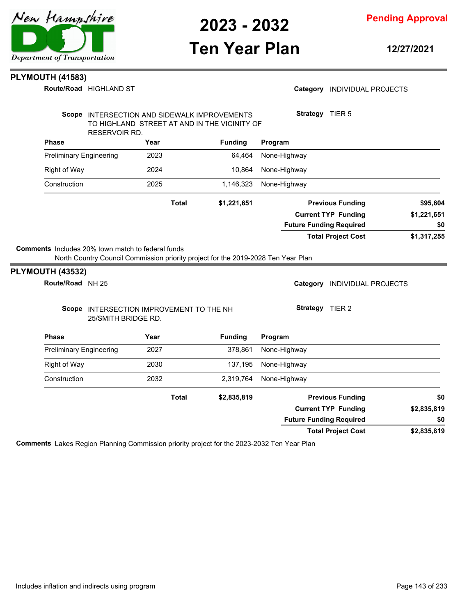

**Pending Approval**

### **Ten Year Plan**

**12/27/2021**

Category **INDIVIDUAL PROJECTS** 

#### **PLYMOUTH (41583)**

**Route/Road HIGHLAND ST** 

|                                      | Scope INTERSECTION AND SIDEWALK IMPROVEMENTS |      |              |                | Strategy TIER 5                                           |
|--------------------------------------|----------------------------------------------|------|--------------|----------------|-----------------------------------------------------------|
|                                      | TO HIGHLAND STREET AT AND IN THE VICINITY OF |      |              |                |                                                           |
| <b>Phase</b>                         | RESERVOIR RD.                                | Year |              | <b>Funding</b> | Program                                                   |
| <b>Preliminary Engineering</b>       |                                              | 2023 |              | 64,464         | None-Highway                                              |
| <b>Right of Way</b>                  |                                              | 2024 |              | 10,864         | None-Highway                                              |
| Construction                         |                                              | 2025 |              | 1,146,323      | None-Highway                                              |
|                                      |                                              |      | <b>Total</b> | \$1,221,651    | <b>Previous Funding</b><br>\$95,604                       |
|                                      |                                              |      |              |                | \$1,221,651<br><b>Current TYP Funding</b>                 |
|                                      |                                              |      |              |                | <b>Future Funding Required</b><br>\$0                     |
|                                      |                                              |      |              |                | <b>Total Project Cost</b><br>\$1,317,255                  |
| PLYMOUTH (43532)<br>Route/Road NH 25 | Scope INTERSECTION IMPROVEMENT TO THE NH     |      |              |                | Category<br><b>INDIVIDUAL PROJECTS</b><br>Strategy TIER 2 |
|                                      | 25/SMITH BRIDGE RD.                          |      |              |                |                                                           |
| <b>Phase</b>                         |                                              | Year |              | <b>Funding</b> | Program                                                   |
| <b>Preliminary Engineering</b>       |                                              | 2027 |              | 378,861        | None-Highway                                              |
| Right of Way                         |                                              | 2030 |              | 137,195        | None-Highway                                              |
| Construction                         |                                              | 2032 |              | 2,319,764      | None-Highway                                              |
|                                      |                                              |      | <b>Total</b> | \$2,835,819    | <b>Previous Funding</b><br>\$0                            |
|                                      |                                              |      |              |                | <b>Current TYP Funding</b><br>\$2,835,819                 |
|                                      |                                              |      |              |                | <b>Future Funding Required</b><br>\$0                     |
|                                      |                                              |      |              |                | \$2,835,819<br><b>Total Project Cost</b>                  |

**Comments** Lakes Region Planning Commission priority project for the 2023-2032 Ten Year Plan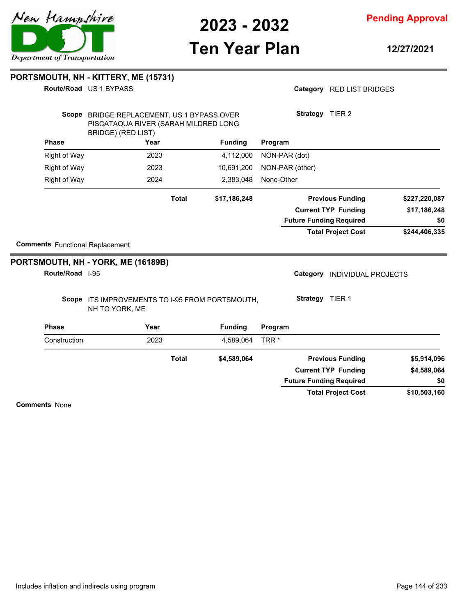

**Pending Approval**

# **Ten Year Plan**

**12/27/2021**

| <b>Comments</b> Functional Replacement<br>Route/Road I-95<br>Phase<br>Construction | PORTSMOUTH, NH - YORK, ME (16189B)<br>Scope ITS IMPROVEMENTS TO I-95 FROM PORTSMOUTH,<br>NH TO YORK, ME<br>Year<br>2023 | <b>Total</b> | <b>Funding</b><br>4,589,064<br>\$4,589,064 | <b>Strategy</b> TIER 1<br>Program<br>TRR <sup>*</sup><br><b>Future Funding Required</b> | Category INDIVIDUAL PROJECTS<br><b>Previous Funding</b><br><b>Current TYP Funding</b> | \$5,914,096<br>\$4,589,064<br>\$0 |
|------------------------------------------------------------------------------------|-------------------------------------------------------------------------------------------------------------------------|--------------|--------------------------------------------|-----------------------------------------------------------------------------------------|---------------------------------------------------------------------------------------|-----------------------------------|
|                                                                                    |                                                                                                                         |              |                                            |                                                                                         |                                                                                       |                                   |
|                                                                                    |                                                                                                                         |              |                                            |                                                                                         |                                                                                       |                                   |
|                                                                                    |                                                                                                                         |              |                                            |                                                                                         |                                                                                       |                                   |
|                                                                                    |                                                                                                                         |              |                                            |                                                                                         |                                                                                       |                                   |
|                                                                                    |                                                                                                                         |              |                                            |                                                                                         |                                                                                       |                                   |
|                                                                                    |                                                                                                                         |              |                                            |                                                                                         |                                                                                       |                                   |
|                                                                                    |                                                                                                                         |              |                                            |                                                                                         | <b>Total Project Cost</b>                                                             | \$244,406,335                     |
|                                                                                    |                                                                                                                         |              |                                            | <b>Future Funding Required</b>                                                          |                                                                                       | \$0                               |
|                                                                                    |                                                                                                                         |              |                                            |                                                                                         | <b>Current TYP Funding</b>                                                            | \$17,186,248                      |
|                                                                                    |                                                                                                                         | <b>Total</b> | \$17,186,248                               |                                                                                         | <b>Previous Funding</b>                                                               | \$227,220,087                     |
| <b>Right of Way</b>                                                                | 2024                                                                                                                    |              | 2,383,048                                  | None-Other                                                                              |                                                                                       |                                   |
| <b>Right of Way</b>                                                                | 2023                                                                                                                    |              | 10,691,200                                 | NON-PAR (other)                                                                         |                                                                                       |                                   |
| <b>Right of Way</b>                                                                | 2023                                                                                                                    |              | 4,112,000                                  | NON-PAR (dot)                                                                           |                                                                                       |                                   |
| <b>Phase</b>                                                                       | Year                                                                                                                    |              | <b>Funding</b>                             | Program                                                                                 |                                                                                       |                                   |
|                                                                                    | Scope BRIDGE REPLACEMENT, US 1 BYPASS OVER<br>PISCATAQUA RIVER (SARAH MILDRED LONG<br>BRIDGE) (RED LIST)                |              |                                            | Strategy TIER 2                                                                         |                                                                                       |                                   |
|                                                                                    |                                                                                                                         |              |                                            |                                                                                         |                                                                                       |                                   |
|                                                                                    | Route/Road US 1 BYPASS                                                                                                  |              |                                            |                                                                                         | Category RED LIST BRIDGES                                                             |                                   |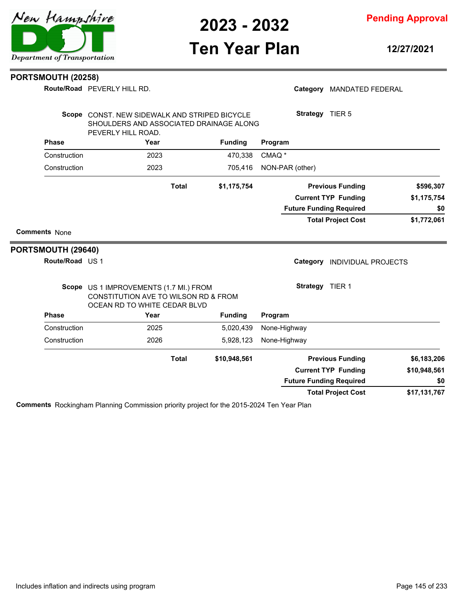

**Pending Approval**

# **Ten Year Plan**

**12/27/2021**

#### **PORTSMOUTH (20258)**

PEVERLY HILL RD. **Route/Road**

|                      | Route/Road PEVERLY HILL RD.                                                                                    |              |                |                   |                 | Category MANDATED FEDERAL      |                                    |
|----------------------|----------------------------------------------------------------------------------------------------------------|--------------|----------------|-------------------|-----------------|--------------------------------|------------------------------------|
|                      | Scope CONST. NEW SIDEWALK AND STRIPED BICYCLE<br>SHOULDERS AND ASSOCIATED DRAINAGE ALONG<br>PEVERLY HILL ROAD. |              |                |                   |                 | Strategy TIER 5                |                                    |
| <b>Phase</b>         | Year                                                                                                           |              | <b>Funding</b> | Program           |                 |                                |                                    |
| Construction         | 2023                                                                                                           |              | 470,338        | CMAQ <sup>*</sup> |                 |                                |                                    |
| Construction         | 2023                                                                                                           |              | 705,416        | NON-PAR (other)   |                 |                                |                                    |
|                      |                                                                                                                | <b>Total</b> | \$1,175,754    |                   |                 | <b>Previous Funding</b>        | \$596,307                          |
|                      |                                                                                                                |              |                |                   |                 | <b>Current TYP Funding</b>     | \$1,175,754                        |
|                      |                                                                                                                |              |                |                   |                 | <b>Future Funding Required</b> | \$0                                |
|                      |                                                                                                                |              |                |                   |                 | <b>Total Project Cost</b>      | \$1,772,061                        |
| <b>Comments None</b> |                                                                                                                |              |                |                   |                 |                                |                                    |
|                      |                                                                                                                |              |                |                   |                 |                                |                                    |
|                      |                                                                                                                |              |                |                   |                 |                                |                                    |
| Route/Road US 1      |                                                                                                                |              |                |                   |                 | Category INDIVIDUAL PROJECTS   |                                    |
|                      | Scope US 1 IMPROVEMENTS (1.7 MI.) FROM<br>CONSTITUTION AVE TO WILSON RD & FROM<br>OCEAN RD TO WHITE CEDAR BLVD |              |                |                   | Strategy TIER 1 |                                |                                    |
| <b>Phase</b>         | Year                                                                                                           |              | <b>Funding</b> | Program           |                 |                                |                                    |
| Construction         | 2025                                                                                                           |              | 5,020,439      | None-Highway      |                 |                                |                                    |
| Construction         | 2026                                                                                                           |              | 5,928,123      | None-Highway      |                 |                                |                                    |
| PORTSMOUTH (29640)   |                                                                                                                | <b>Total</b> | \$10,948,561   |                   |                 | <b>Previous Funding</b>        |                                    |
|                      |                                                                                                                |              |                |                   |                 | <b>Current TYP Funding</b>     |                                    |
|                      |                                                                                                                |              |                |                   |                 | <b>Future Funding Required</b> | \$6,183,206<br>\$10,948,561<br>\$0 |

**Comments** Rockingham Planning Commission priority project for the 2015-2024 Ten Year Plan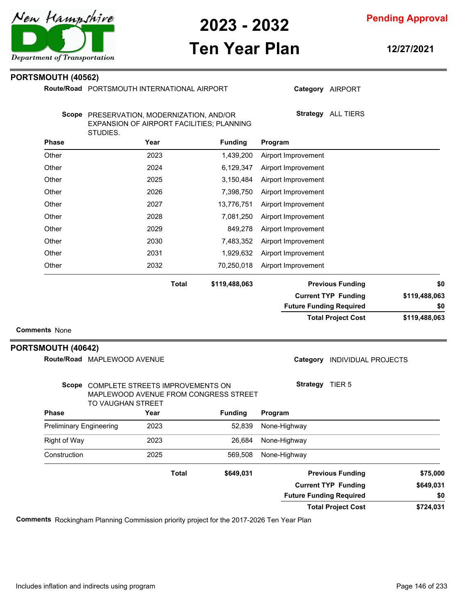

**Ten Year Plan**

**12/27/2021**

#### **PORTSMOUTH (40562)**

Route/Road PORTSMOUTH INTERNATIONAL AIRPORT

| ורוש והורד ניישופייישי |  |  |
|------------------------|--|--|
|                        |  |  |
|                        |  |  |

**Strategy** ALL TIERS

Scope PRESERVATION, MODERNIZATION, AND/OR EXPANSION OF AIRPORT FACILITIES; PLANNING STUDIES.

|               | Program                        | <b>Funding</b> | Year         | <b>Phase</b> |
|---------------|--------------------------------|----------------|--------------|--------------|
|               | Airport Improvement            | 1,439,200      | 2023         | Other        |
|               | Airport Improvement            | 6,129,347      | 2024         | Other        |
|               | Airport Improvement            | 3,150,484      | 2025         | Other        |
|               | Airport Improvement            | 7,398,750      | 2026         | Other        |
|               | Airport Improvement            | 13,776,751     | 2027         | Other        |
|               | Airport Improvement            | 7,081,250      | 2028         | Other        |
|               | Airport Improvement            | 849,278        | 2029         | Other        |
|               | Airport Improvement            | 7,483,352      | 2030         | Other        |
|               | Airport Improvement            | 1,929,632      | 2031         | Other        |
|               | Airport Improvement            | 70,250,018     | 2032         | Other        |
| \$0           | <b>Previous Funding</b>        | \$119,488,063  | <b>Total</b> |              |
| \$119,488,063 | <b>Current TYP Funding</b>     |                |              |              |
| \$0           | <b>Future Funding Required</b> |                |              |              |
| \$119,488,063 | <b>Total Project Cost</b>      |                |              |              |

### **PORTSMOUTH (40642)**

 $\overline{\phantom{a}}$ 

| Route/Road MAPLEWOOD AVENUE |
|-----------------------------|
|                             |

Category **INDIVIDUAL PROJECTS** 

| Scope                   | TO VAUGHAN STREET | COMPLETE STREETS IMPROVEMENTS ON<br>MAPLEWOOD AVENUE FROM CONGRESS STREET |                | <b>Strategy</b><br>TIER <sub>5</sub> |           |
|-------------------------|-------------------|---------------------------------------------------------------------------|----------------|--------------------------------------|-----------|
| <b>Phase</b>            |                   | Year                                                                      | <b>Funding</b> | Program                              |           |
| Preliminary Engineering |                   | 2023                                                                      | 52.839         | None-Highway                         |           |
| Right of Way            |                   | 2023                                                                      | 26.684         | None-Highway                         |           |
| Construction            |                   | 2025                                                                      | 569.508        | None-Highway                         |           |
|                         |                   | <b>Total</b>                                                              | \$649,031      | <b>Previous Funding</b>              | \$75,000  |
|                         |                   |                                                                           |                | <b>Current TYP Funding</b>           | \$649,031 |
|                         |                   |                                                                           |                | <b>Future Funding Required</b>       | \$0       |
|                         |                   |                                                                           |                | <b>Total Project Cost</b>            | \$724,031 |

**Comments** Rockingham Planning Commission priority project for the 2017-2026 Ten Year Plan



**Category** AIRPORT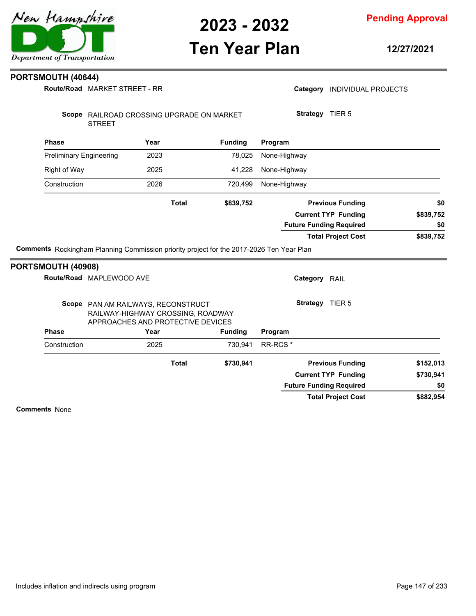

## **Ten Year Plan**

**Pending Approval**

**12/27/2021**

#### **PORTSMOUTH (40644)**

**Route/Road** MARKET STREET - RR

| Route/Road MARKET STREET - RR  |                          |                                                                                                              |                |                                |                            |                                            |
|--------------------------------|--------------------------|--------------------------------------------------------------------------------------------------------------|----------------|--------------------------------|----------------------------|--------------------------------------------|
|                                | <b>STREET</b>            | Scope RAILROAD CROSSING UPGRADE ON MARKET                                                                    |                | Strategy TIER 5                |                            |                                            |
| <b>Phase</b>                   |                          | Year                                                                                                         | <b>Funding</b> | Program                        |                            |                                            |
| <b>Preliminary Engineering</b> |                          | 2023                                                                                                         | 78,025         | None-Highway                   |                            |                                            |
| <b>Right of Way</b>            |                          | 2025                                                                                                         | 41,228         | None-Highway                   |                            |                                            |
| Construction                   |                          | 2026                                                                                                         | 720,499        | None-Highway                   |                            |                                            |
|                                |                          | <b>Total</b>                                                                                                 | \$839,752      |                                | <b>Previous Funding</b>    | \$0                                        |
|                                |                          |                                                                                                              |                |                                | <b>Current TYP Funding</b> | \$839,752                                  |
|                                |                          |                                                                                                              |                |                                |                            |                                            |
|                                |                          |                                                                                                              |                | <b>Future Funding Required</b> |                            |                                            |
|                                |                          | Comments Rockingham Planning Commission priority project for the 2017-2026 Ten Year Plan                     |                |                                | <b>Total Project Cost</b>  |                                            |
|                                | Route/Road MAPLEWOOD AVE |                                                                                                              |                | Category RAIL                  |                            |                                            |
|                                |                          | Scope PAN AM RAILWAYS, RECONSTRUCT<br>RAILWAY-HIGHWAY CROSSING, ROADWAY<br>APPROACHES AND PROTECTIVE DEVICES |                | <b>Strategy</b> TIER 5         |                            |                                            |
| <b>Phase</b>                   |                          | Year                                                                                                         | <b>Funding</b> | Program                        |                            |                                            |
| Construction                   |                          | 2025                                                                                                         | 730,941        | RR-RCS <sup>*</sup>            |                            |                                            |
|                                |                          | <b>Total</b>                                                                                                 | \$730,941      |                                | <b>Previous Funding</b>    |                                            |
| PORTSMOUTH (40908)             |                          |                                                                                                              |                |                                | <b>Current TYP Funding</b> | \$0<br>\$839,752<br>\$152,013<br>\$730,941 |
|                                |                          |                                                                                                              |                | <b>Future Funding Required</b> |                            | \$0                                        |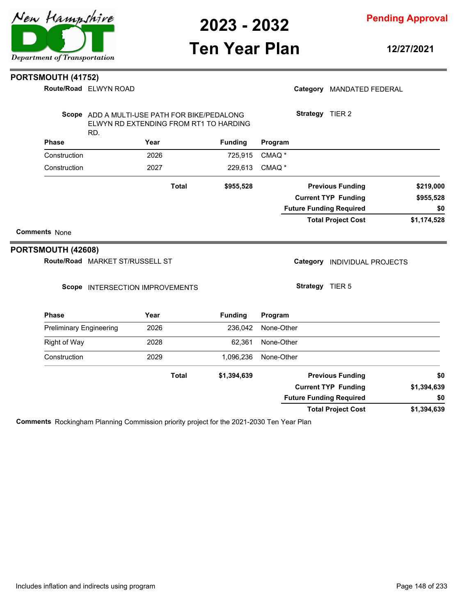#### **Pending Approval**

### **Ten Year Plan**

**12/27/2021**

#### **PORTSMOUTH (41752)**

| <b>Route/Road ELWYN ROAD</b> |
|------------------------------|
|                              |

#### Category MANDATED FEDERAL

| Scope        | ADD A MULTI-USE PATH FOR BIKE/PEDALONG<br>ELWYN RD EXTENDING FROM RT1 TO HARDING<br>RD. |       |                |                   | <b>Strategy</b><br>TIER <sub>2</sub> |             |
|--------------|-----------------------------------------------------------------------------------------|-------|----------------|-------------------|--------------------------------------|-------------|
| <b>Phase</b> | Year                                                                                    |       | <b>Funding</b> | Program           |                                      |             |
| Construction | 2026                                                                                    |       | 725.915        | CMAQ <sup>*</sup> |                                      |             |
| Construction | 2027                                                                                    |       | 229.613        | CMAQ <sup>*</sup> |                                      |             |
|              |                                                                                         | Total | \$955,528      |                   | <b>Previous Funding</b>              | \$219,000   |
|              |                                                                                         |       |                |                   | <b>Current TYP Funding</b>           | \$955,528   |
|              |                                                                                         |       |                |                   | <b>Future Funding Required</b>       | \$0         |
|              |                                                                                         |       |                |                   | <b>Total Project Cost</b>            | \$1,174,528 |

#### **Comments** None

#### **PORTSMOUTH (42608)**

Route/Road MARKET ST/RUSSELL ST

#### Scope INTERSECTION IMPROVEMENTS

Category **INDIVIDUAL PROJECTS** 

**Strategy** TIER 5

| <b>Phase</b>                   | Year         | <b>Funding</b> | Program                        |             |
|--------------------------------|--------------|----------------|--------------------------------|-------------|
| <b>Preliminary Engineering</b> | 2026         | 236.042        | None-Other                     |             |
| Right of Way                   | 2028         | 62.361         | None-Other                     |             |
| Construction                   | 2029         | 1.096.236      | None-Other                     |             |
|                                | <b>Total</b> | \$1,394,639    | <b>Previous Funding</b>        | \$0         |
|                                |              |                | <b>Current TYP Funding</b>     | \$1,394,639 |
|                                |              |                | <b>Future Funding Required</b> | \$0         |
|                                |              |                | <b>Total Project Cost</b>      | \$1,394,639 |

**Comments** Rockingham Planning Commission priority project for the 2021-2030 Ten Year Plan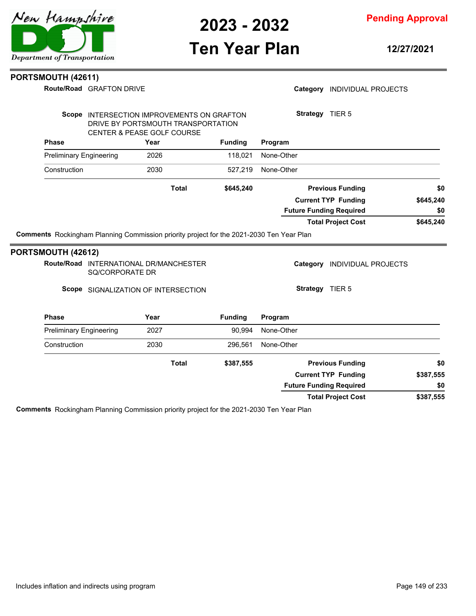**Pending Approval**

### **Ten Year Plan**

**12/27/2021**

#### **PORTSMOUTH (42611)**

**Route/Road** GRAFTON DRIVE

#### Category **INDIVIDUAL PROJECTS**

| Scope                          | INTERSECTION IMPROVEMENTS ON GRAFTON<br>DRIVE BY PORTSMOUTH TRANSPORTATION<br><b>CENTER &amp; PEASE GOLF COURSE</b> |                | <b>Strategy</b><br>TIER <sub>5</sub> |           |
|--------------------------------|---------------------------------------------------------------------------------------------------------------------|----------------|--------------------------------------|-----------|
| <b>Phase</b>                   | Year                                                                                                                | <b>Funding</b> | Program                              |           |
| <b>Preliminary Engineering</b> | 2026                                                                                                                | 118.021        | None-Other                           |           |
| Construction                   | 2030                                                                                                                | 527.219        | None-Other                           |           |
|                                | <b>Total</b>                                                                                                        | \$645,240      | <b>Previous Funding</b>              | \$0       |
|                                |                                                                                                                     |                | <b>Current TYP Funding</b>           | \$645,240 |
|                                |                                                                                                                     |                | <b>Future Funding Required</b>       | \$0       |
|                                |                                                                                                                     |                | <b>Total Project Cost</b>            | \$645,240 |
|                                | Comments Rockingham Planning Commission priority project for the 2021-2030 Ten Year Plan                            |                |                                      |           |
| ADTAMALITLI <i>LIANA</i> N     |                                                                                                                     |                |                                      |           |

#### **PORTSMOUTH (42612)**

Route/Road INTERNATIONAL DR/MANCHESTER SQ/CORPORATE DR

Scope SIGNALIZATION OF INTERSECTION

**Strategy** TIER 5

Category **INDIVIDUAL PROJECTS** 

| <b>Phase</b>                   | Year  | <b>Funding</b> | Program                        |           |
|--------------------------------|-------|----------------|--------------------------------|-----------|
| <b>Preliminary Engineering</b> | 2027  | 90.994         | None-Other                     |           |
| Construction                   | 2030  | 296.561        | None-Other                     |           |
|                                | Total | \$387,555      | <b>Previous Funding</b>        | \$0       |
|                                |       |                | <b>Current TYP Funding</b>     | \$387,555 |
|                                |       |                | <b>Future Funding Required</b> | \$0       |
|                                |       |                | <b>Total Project Cost</b>      | \$387,555 |

**Comments** Rockingham Planning Commission priority project for the 2021-2030 Ten Year Plan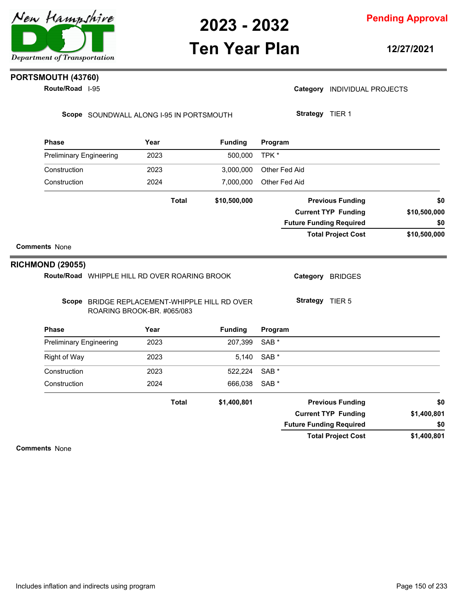

### **Ten Year Plan**

**Pending Approval**

**12/27/2021**

### **PORTSMOUTH (43760)**

**Route/Road** I-95

Category **INDIVIDUAL PROJECTS** 

**Strategy** TIER 1

Scope SOUNDWALL ALONG I-95 IN PORTSMOUTH

**Phase Year Funding Program** Preliminary Engineering 2023 500,000 TPK \* Construction 2023 3,000,000 Other Fed Aid Construction 2024 7,000,000 Other Fed Aid **\$10,500,000 \$10,500,000 \$10,500,000 Previous Funding \$0 Current TYP Funding Total Project Cost Future Funding Required Total Comments** None **\$0 Phase Year Funding** Route/Road WHIPPLE HILL RD OVER ROARING BROOK **RICHMOND (29055)** Scope BRIDGE REPLACEMENT-WHIPPLE HILL RD OVER ROARING BROOK-BR. #065/083 **Program** Category BRIDGES **Strategy** TIER 5 Preliminary Engineering 2023 207,399 SAB \* Right of Way 2023 5,140 SAB \* Construction 2023 522,224 SAB \* Construction 2024 666,038 SAB \* **\$1,400,801 \$1,400,801 \$1,400,801 Previous Funding \$0 Current TYP Funding Total Project Cost Future Funding Required Total \$0**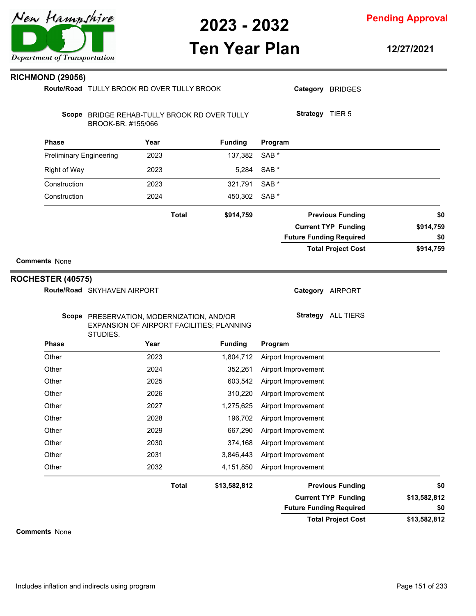

**Pending Approval**

## **Ten Year Plan**

**12/27/2021**

| <b>RICHMOND (29056)</b>        |                                                       |      |                                              |                     |                                |              |
|--------------------------------|-------------------------------------------------------|------|----------------------------------------------|---------------------|--------------------------------|--------------|
|                                | Route/Road TULLY BROOK RD OVER TULLY BROOK            |      |                                              |                     | Category BRIDGES               |              |
|                                | BROOK-BR. #155/066                                    |      | Scope BRIDGE REHAB-TULLY BROOK RD OVER TULLY |                     | Strategy TIER 5                |              |
| <b>Phase</b>                   |                                                       | Year | <b>Funding</b>                               | Program             |                                |              |
| <b>Preliminary Engineering</b> |                                                       | 2023 | 137,382                                      | SAB <sup>*</sup>    |                                |              |
| <b>Right of Way</b>            |                                                       | 2023 | 5,284                                        | SAB *               |                                |              |
| Construction                   |                                                       | 2023 | 321,791                                      | SAB *               |                                |              |
| Construction                   |                                                       | 2024 | 450,302                                      | SAB <sup>*</sup>    |                                |              |
|                                |                                                       |      | <b>Total</b><br>\$914,759                    |                     | <b>Previous Funding</b>        | \$0          |
|                                |                                                       |      |                                              |                     | <b>Current TYP Funding</b>     | \$914,759    |
|                                |                                                       |      |                                              |                     | <b>Future Funding Required</b> | \$0          |
|                                |                                                       |      |                                              |                     | <b>Total Project Cost</b>      | \$914,759    |
| <b>Comments None</b>           |                                                       |      |                                              |                     |                                |              |
|                                |                                                       |      |                                              |                     |                                |              |
| <b>ROCHESTER (40575)</b>       |                                                       |      |                                              |                     |                                |              |
|                                | Route/Road SKYHAVEN AIRPORT                           |      |                                              |                     | Category AIRPORT               |              |
|                                | Scope PRESERVATION, MODERNIZATION, AND/OR<br>STUDIES. |      | EXPANSION OF AIRPORT FACILITIES; PLANNING    |                     | Strategy ALL TIERS             |              |
| <b>Phase</b>                   |                                                       | Year | <b>Funding</b>                               | Program             |                                |              |
| Other                          |                                                       | 2023 | 1,804,712                                    | Airport Improvement |                                |              |
| Other                          |                                                       | 2024 | 352,261                                      | Airport Improvement |                                |              |
| Other                          |                                                       | 2025 | 603,542                                      | Airport Improvement |                                |              |
| Other                          |                                                       | 2026 | 310,220                                      | Airport Improvement |                                |              |
| Other                          |                                                       | 2027 | 1,275,625                                    | Airport Improvement |                                |              |
| Other                          |                                                       | 2028 | 196,702                                      | Airport Improvement |                                |              |
| Other                          |                                                       | 2029 | 667,290                                      | Airport Improvement |                                |              |
| Other                          |                                                       | 2030 | 374,168                                      | Airport Improvement |                                |              |
| Other                          |                                                       | 2031 | 3,846,443                                    | Airport Improvement |                                |              |
| Other                          |                                                       | 2032 | 4,151,850                                    | Airport Improvement |                                |              |
|                                |                                                       |      | <b>Total</b><br>\$13,582,812                 |                     | <b>Previous Funding</b>        | \$0          |
|                                |                                                       |      |                                              |                     | <b>Current TYP Funding</b>     | \$13,582,812 |
|                                |                                                       |      |                                              |                     | <b>Future Funding Required</b> | \$0          |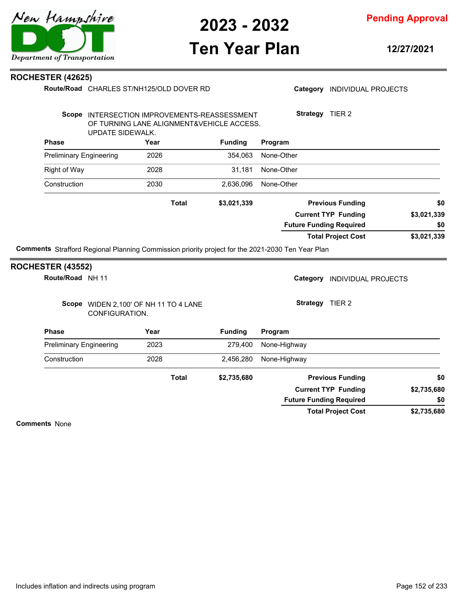

**Pending Approval**

## **Ten Year Plan**

**12/27/2021**

#### **ROCHESTER (42625)**

|                                                                                                                       | Route/Road CHARLES ST/NH125/OLD DOVER RD                                                                      |      |              |                |              |                 | Category INDIVIDUAL PROJECTS   |             |
|-----------------------------------------------------------------------------------------------------------------------|---------------------------------------------------------------------------------------------------------------|------|--------------|----------------|--------------|-----------------|--------------------------------|-------------|
|                                                                                                                       | Scope INTERSECTION IMPROVEMENTS-REASSESSMENT<br>OF TURNING LANE ALIGNMENT&VEHICLE ACCESS.<br>UPDATE SIDEWALK. |      |              |                |              |                 | Strategy TIER 2                |             |
| <b>Phase</b>                                                                                                          |                                                                                                               | Year |              | <b>Funding</b> | Program      |                 |                                |             |
| <b>Preliminary Engineering</b>                                                                                        |                                                                                                               | 2026 |              | 354,063        | None-Other   |                 |                                |             |
| <b>Right of Way</b>                                                                                                   |                                                                                                               | 2028 |              | 31,181         | None-Other   |                 |                                |             |
| Construction                                                                                                          |                                                                                                               | 2030 |              | 2,636,096      | None-Other   |                 |                                |             |
|                                                                                                                       |                                                                                                               |      | <b>Total</b> | \$3,021,339    |              |                 | <b>Previous Funding</b>        | \$0         |
|                                                                                                                       |                                                                                                               |      |              |                |              |                 | <b>Current TYP Funding</b>     | \$3,021,339 |
|                                                                                                                       |                                                                                                               |      |              |                |              |                 | <b>Future Funding Required</b> | \$0         |
|                                                                                                                       |                                                                                                               |      |              |                |              |                 |                                |             |
|                                                                                                                       |                                                                                                               |      |              |                |              |                 | <b>Total Project Cost</b>      | \$3,021,339 |
| Route/Road NH 11                                                                                                      |                                                                                                               |      |              |                |              | Category        | <b>INDIVIDUAL PROJECTS</b>     |             |
|                                                                                                                       | Scope WIDEN 2,100' OF NH 11 TO 4 LANE<br>CONFIGURATION.                                                       |      |              |                |              | Strategy TIER 2 |                                |             |
| <b>Phase</b>                                                                                                          |                                                                                                               | Year |              | <b>Funding</b> | Program      |                 |                                |             |
| <b>Preliminary Engineering</b>                                                                                        |                                                                                                               | 2023 |              | 279,400        | None-Highway |                 |                                |             |
| Construction                                                                                                          |                                                                                                               | 2028 |              | 2,456,280      | None-Highway |                 |                                |             |
|                                                                                                                       |                                                                                                               |      | <b>Total</b> | \$2,735,680    |              |                 | <b>Previous Funding</b>        | \$0         |
| Comments Strafford Regional Planning Commission priority project for the 2021-2030 Ten Year Plan<br>ROCHESTER (43552) |                                                                                                               |      |              |                |              |                 | <b>Current TYP Funding</b>     | \$2,735,680 |
|                                                                                                                       |                                                                                                               |      |              |                |              |                 | <b>Future Funding Required</b> | \$0         |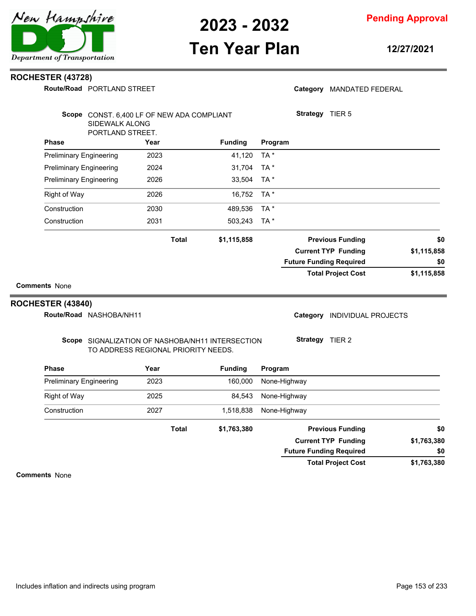

### **Ten Year Plan**

**12/27/2021**

#### **ROCHESTER (43728)**

**Route/Road** PORTLAND STREET

|  | Category MANDATED FEDERAL |
|--|---------------------------|
|--|---------------------------|

| <b>Comments None</b>                                                             |              |                |                 |                                                       |                    |
|----------------------------------------------------------------------------------|--------------|----------------|-----------------|-------------------------------------------------------|--------------------|
|                                                                                  |              |                |                 | <b>Total Project Cost</b>                             | \$1,115,858        |
|                                                                                  |              |                |                 | <b>Future Funding Required</b>                        | \$0                |
|                                                                                  | <b>Total</b> | \$1,115,858    |                 | <b>Previous Funding</b><br><b>Current TYP Funding</b> | \$0<br>\$1,115,858 |
| Construction                                                                     | 2031         | 503,243        | TA *            |                                                       |                    |
| Construction                                                                     | 2030         | 489,536        | TA *            |                                                       |                    |
| <b>Right of Way</b>                                                              | 2026         | 16,752         | TA <sup>*</sup> |                                                       |                    |
| <b>Preliminary Engineering</b>                                                   | 2026         | 33,504         | TA *            |                                                       |                    |
| <b>Preliminary Engineering</b>                                                   | 2024         | 31,704         | TA *            |                                                       |                    |
| <b>Preliminary Engineering</b>                                                   | 2023         | 41,120         | TA *            |                                                       |                    |
| <b>Phase</b>                                                                     | Year         | <b>Funding</b> | Program         |                                                       |                    |
| Scope CONST. 6,400 LF OF NEW ADA COMPLIANT<br>SIDEWALK ALONG<br>PORTLAND STREET. |              |                |                 | <b>Strategy</b><br>TIER <sub>5</sub>                  |                    |

**Route/Road NASHOBA/NH11** 

Category **INDIVIDUAL PROJECTS** 

#### Scope SIGNALIZATION OF NASHOBA/NH11 INTERSECTION TO ADDRESS REGIONAL PRIORITY NEEDS.

**Strategy** TIER 2

| <b>Phase</b>                   | Year  | <b>Funding</b> | Program                        |             |
|--------------------------------|-------|----------------|--------------------------------|-------------|
| <b>Preliminary Engineering</b> | 2023  | 160,000        | None-Highway                   |             |
| Right of Way                   | 2025  | 84.543         | None-Highway                   |             |
| Construction                   | 2027  | 1,518,838      | None-Highway                   |             |
|                                | Total | \$1,763,380    | <b>Previous Funding</b>        | \$0         |
|                                |       |                | <b>Current TYP Funding</b>     | \$1,763,380 |
|                                |       |                | <b>Future Funding Required</b> | \$0         |
|                                |       |                | <b>Total Project Cost</b>      | \$1,763,380 |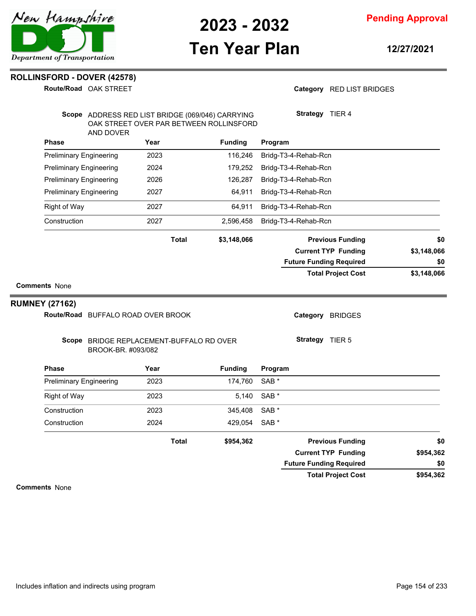

**Pending Approval**

### **Ten Year Plan**

**12/27/2021**

#### **ROLLINSFORD - DOVER (42578)**

**Route/Road** OAK STREET

Category RED LIST BRIDGES

|                                | Scope ADDRESS RED LIST BRIDGE (069/046) CARRYING<br>OAK STREET OVER PAR BETWEEN ROLLINSFORD |              |                | Strategy TIER 4                |             |
|--------------------------------|---------------------------------------------------------------------------------------------|--------------|----------------|--------------------------------|-------------|
| <b>Phase</b>                   | AND DOVER<br>Year                                                                           |              | <b>Funding</b> | Program                        |             |
| <b>Preliminary Engineering</b> | 2023                                                                                        |              | 116,246        | Bridg-T3-4-Rehab-Rcn           |             |
| <b>Preliminary Engineering</b> | 2024                                                                                        |              | 179,252        | Bridg-T3-4-Rehab-Rcn           |             |
| <b>Preliminary Engineering</b> | 2026                                                                                        |              | 126,287        | Bridg-T3-4-Rehab-Rcn           |             |
| <b>Preliminary Engineering</b> | 2027                                                                                        |              | 64,911         | Bridg-T3-4-Rehab-Rcn           |             |
| <b>Right of Way</b>            | 2027                                                                                        |              | 64,911         | Bridg-T3-4-Rehab-Rcn           |             |
| Construction                   | 2027                                                                                        |              | 2,596,458      | Bridg-T3-4-Rehab-Rcn           |             |
|                                |                                                                                             | <b>Total</b> | \$3,148,066    | <b>Previous Funding</b>        | \$0         |
|                                |                                                                                             |              |                | <b>Current TYP Funding</b>     | \$3,148,066 |
|                                |                                                                                             |              |                | <b>Future Funding Required</b> | \$0         |
|                                |                                                                                             |              |                | <b>Total Project Cost</b>      | \$3,148,066 |
| <b>Comments None</b>           |                                                                                             |              |                |                                |             |
| <b>RUMNEY (27162)</b>          |                                                                                             |              |                |                                |             |
|                                | Route/Road BUFFALO ROAD OVER BROOK                                                          |              |                | Category BRIDGES               |             |
|                                | Scope BRIDGE REPLACEMENT-BUFFALO RD OVER<br>BROOK-BR. #093/082                              |              |                | Strategy TIER 5                |             |
| <b>Phase</b>                   | Year                                                                                        |              | <b>Funding</b> | Program                        |             |
| <b>Preliminary Engineering</b> | 2023                                                                                        |              | 174,760        | SAB <sup>*</sup>               |             |
| <b>Right of Way</b>            | 2023                                                                                        |              | 5,140          | SAB <sup>*</sup>               |             |
| Construction                   | 2023                                                                                        |              | 345,408        | SAB <sup>*</sup>               |             |
| Construction                   | 2024                                                                                        |              | 429,054        | SAB <sup>*</sup>               |             |
|                                |                                                                                             | <b>Total</b> | \$954,362      | <b>Previous Funding</b>        | \$0         |
|                                |                                                                                             |              |                | <b>Current TYP Funding</b>     | \$954,362   |
|                                |                                                                                             |              |                | <b>Future Funding Required</b> | \$0         |
|                                |                                                                                             |              |                | <b>Total Project Cost</b>      | \$954,362   |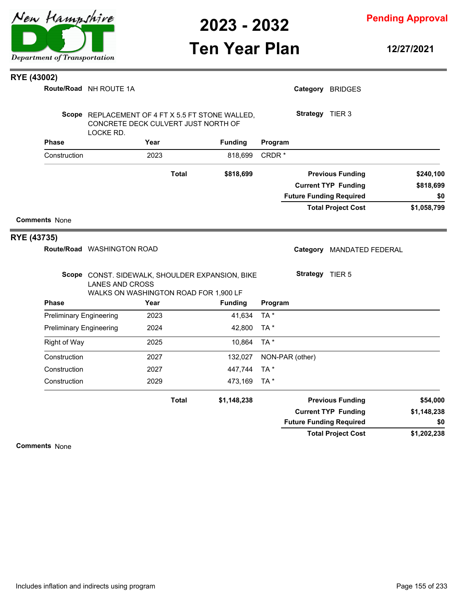

**Pending Approval**

# **Ten Year Plan**

**12/27/2021**

| RYE (43002) |                                |                                                                                                                    |      |              |                |                   |                 |                                |             |
|-------------|--------------------------------|--------------------------------------------------------------------------------------------------------------------|------|--------------|----------------|-------------------|-----------------|--------------------------------|-------------|
|             |                                | Route/Road NH ROUTE 1A                                                                                             |      |              |                |                   |                 | Category BRIDGES               |             |
|             |                                | Scope REPLACEMENT OF 4 FT X 5.5 FT STONE WALLED,<br>CONCRETE DECK CULVERT JUST NORTH OF<br>LOCKE RD.               |      |              |                |                   | Strategy TIER 3 |                                |             |
|             | <b>Phase</b>                   |                                                                                                                    | Year |              | <b>Funding</b> | Program           |                 |                                |             |
|             | Construction                   |                                                                                                                    | 2023 |              | 818,699        | CRDR <sup>*</sup> |                 |                                |             |
|             |                                |                                                                                                                    |      | <b>Total</b> | \$818,699      |                   |                 | <b>Previous Funding</b>        | \$240,100   |
|             |                                |                                                                                                                    |      |              |                |                   |                 | <b>Current TYP Funding</b>     | \$818,699   |
|             |                                |                                                                                                                    |      |              |                |                   |                 | <b>Future Funding Required</b> | \$0         |
|             |                                |                                                                                                                    |      |              |                |                   |                 | <b>Total Project Cost</b>      | \$1,058,799 |
|             | <b>Comments None</b>           |                                                                                                                    |      |              |                |                   |                 |                                |             |
| RYE (43735) |                                |                                                                                                                    |      |              |                |                   |                 |                                |             |
|             |                                | Route/Road WASHINGTON ROAD                                                                                         |      |              |                |                   |                 | Category MANDATED FEDERAL      |             |
|             |                                | Scope CONST. SIDEWALK, SHOULDER EXPANSION, BIKE<br><b>LANES AND CROSS</b><br>WALKS ON WASHINGTON ROAD FOR 1,900 LF |      |              |                |                   | Strategy TIER 5 |                                |             |
|             | <b>Phase</b>                   |                                                                                                                    | Year |              | <b>Funding</b> | Program           |                 |                                |             |
|             | <b>Preliminary Engineering</b> |                                                                                                                    | 2023 |              | 41,634         | TA*               |                 |                                |             |
|             | <b>Preliminary Engineering</b> |                                                                                                                    | 2024 |              | 42,800         | TA*               |                 |                                |             |
|             | <b>Right of Way</b>            |                                                                                                                    | 2025 |              | 10,864         | TA *              |                 |                                |             |
|             | Construction                   |                                                                                                                    | 2027 |              | 132,027        |                   | NON-PAR (other) |                                |             |
|             | Construction                   |                                                                                                                    | 2027 |              | 447,744        | TA*               |                 |                                |             |
|             | Construction                   |                                                                                                                    | 2029 |              | 473,169        | TA *              |                 |                                |             |
|             |                                |                                                                                                                    |      | <b>Total</b> | \$1,148,238    |                   |                 | <b>Previous Funding</b>        | \$54,000    |
|             |                                |                                                                                                                    |      |              |                |                   |                 | <b>Current TYP Funding</b>     | \$1,148,238 |
|             |                                |                                                                                                                    |      |              |                |                   |                 | <b>Future Funding Required</b> | \$0         |
|             |                                |                                                                                                                    |      |              |                |                   |                 | <b>Total Project Cost</b>      | \$1,202,238 |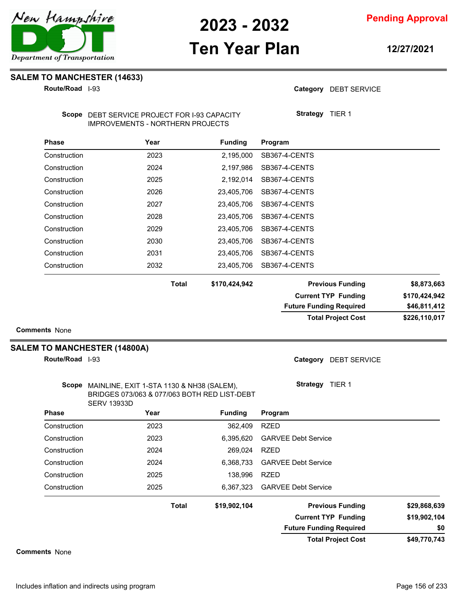

**Pending Approval**

### **Ten Year Plan**

**12/27/2021**

**SALEM TO MANCHESTER (14633)**

**Route/Road** I-93

Category DEBT SERVICE

**Strategy** TIER 1

Scope DEBT SERVICE PROJECT FOR I-93 CAPACITY IMPROVEMENTS - NORTHERN PROJECTS

| <b>Phase</b> | Year  | <b>Funding</b> | Program                 |             |
|--------------|-------|----------------|-------------------------|-------------|
| Construction | 2023  | 2,195,000      | SB367-4-CENTS           |             |
| Construction | 2024  | 2,197,986      | SB367-4-CENTS           |             |
| Construction | 2025  | 2,192,014      | SB367-4-CENTS           |             |
| Construction | 2026  | 23,405,706     | SB367-4-CENTS           |             |
| Construction | 2027  | 23,405,706     | SB367-4-CENTS           |             |
| Construction | 2028  | 23,405,706     | SB367-4-CENTS           |             |
| Construction | 2029  | 23.405.706     | SB367-4-CENTS           |             |
| Construction | 2030  | 23.405.706     | SB367-4-CENTS           |             |
| Construction | 2031  | 23.405.706     | SB367-4-CENTS           |             |
| Construction | 2032  | 23.405.706     | SB367-4-CENTS           |             |
|              | Total | \$170,424,942  | <b>Previous Funding</b> | \$8,873,663 |

| :al | \$170,424,942 |  |
|-----|---------------|--|
|     |               |  |

**\$226,110,017 \$170,424,942 \$170,424,942 Previous Funding \$8,873,663 Current TYP Funding Total Project Cost Future Funding Required \$46,811,412**

**Comments** None

#### **SALEM TO MANCHESTER (14800A)**

**Route/Road** I-93

Category DEBT SERVICE

| Scope        | MAINLINE, EXIT 1-STA 1130 & NH38 (SALEM),<br>BRIDGES 073/063 & 077/063 BOTH RED LIST-DEBT<br><b>SERV 13933D</b> |              |                |                                |                |
|--------------|-----------------------------------------------------------------------------------------------------------------|--------------|----------------|--------------------------------|----------------|
| <b>Phase</b> | Year                                                                                                            |              | <b>Funding</b> | Program                        |                |
| Construction | 2023                                                                                                            |              | 362,409        | <b>RZED</b>                    |                |
| Construction | 2023                                                                                                            |              | 6.395.620      | <b>GARVEE Debt Service</b>     |                |
| Construction | 2024                                                                                                            |              | 269,024        | <b>RZED</b>                    |                |
| Construction | 2024                                                                                                            |              | 6.368.733      | <b>GARVEE Debt Service</b>     |                |
| Construction | 2025                                                                                                            |              | 138.996        | <b>RZED</b>                    |                |
| Construction | 2025                                                                                                            |              |                | 6.367.323 GARVEE Debt Service  |                |
|              |                                                                                                                 | <b>Total</b> | \$19,902,104   | <b>Previous Funding</b>        | \$29,868,639   |
|              |                                                                                                                 |              |                | <b>Current TYP Funding</b>     | \$19,902,104   |
|              |                                                                                                                 |              |                | <b>Future Funding Required</b> | \$0            |
|              |                                                                                                                 |              |                | Tatal Basicat Osst             | * 10. 770. 710 |

**\$49,770,743 Total Project Cost**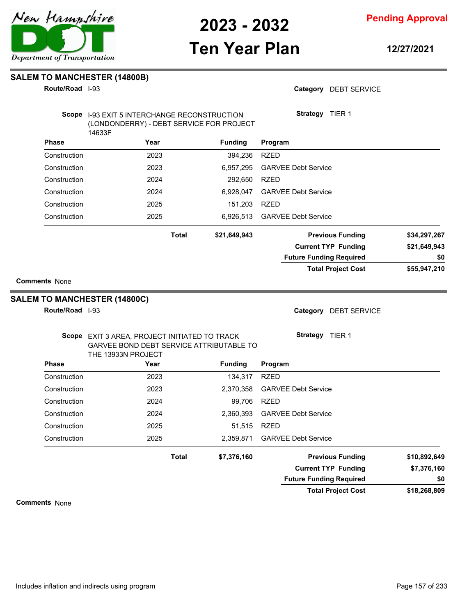

**Pending Approval**

### **Ten Year Plan**

**12/27/2021**

#### **SALEM TO MANCHESTER (14800B)**

**Route/Road** I-93

Category DEBT SERVICE

|                                                 | <b>Scope</b> 1-93 EXIT 5 INTERCHANGE RECONSTRUCTION<br>(LONDONDERRY) - DEBT SERVICE FOR PROJECT<br>14633F |              |                | Strategy TIER 1                |                             |
|-------------------------------------------------|-----------------------------------------------------------------------------------------------------------|--------------|----------------|--------------------------------|-----------------------------|
| <b>Phase</b>                                    | Year                                                                                                      |              | <b>Funding</b> | Program                        |                             |
| Construction                                    | 2023                                                                                                      |              | 394,236        | <b>RZED</b>                    |                             |
| Construction                                    | 2023                                                                                                      |              | 6,957,295      | <b>GARVEE Debt Service</b>     |                             |
| Construction                                    | 2024                                                                                                      |              | 292,650        | <b>RZED</b>                    |                             |
| Construction                                    | 2024                                                                                                      |              | 6,928,047      | <b>GARVEE Debt Service</b>     |                             |
| Construction                                    | 2025                                                                                                      |              | 151,203        | <b>RZED</b>                    |                             |
| Construction                                    | 2025                                                                                                      |              | 6,926,513      | <b>GARVEE Debt Service</b>     |                             |
|                                                 |                                                                                                           | <b>Total</b> | \$21,649,943   | <b>Previous Funding</b>        | \$34,297,267                |
|                                                 |                                                                                                           |              |                | <b>Current TYP Funding</b>     | \$21,649,943                |
|                                                 |                                                                                                           |              |                | <b>Future Funding Required</b> | \$0                         |
|                                                 |                                                                                                           |              |                | <b>Total Project Cost</b>      | \$55,947,210                |
|                                                 | <b>SALEM TO MANCHESTER (14800C)</b>                                                                       |              |                |                                |                             |
|                                                 |                                                                                                           |              |                | Category DEBT SERVICE          |                             |
|                                                 | Scope EXIT 3 AREA, PROJECT INITIATED TO TRACK<br>GARVEE BOND DEBT SERVICE ATTRIBUTABLE TO                 |              |                | <b>Strategy</b> TIER 1         |                             |
|                                                 | THE 13933N PROJECT<br>Year                                                                                |              | <b>Funding</b> | Program                        |                             |
| Route/Road I-93<br><b>Phase</b><br>Construction | 2023                                                                                                      |              | 134,317        | <b>RZED</b>                    |                             |
|                                                 | 2023                                                                                                      |              | 2,370,358      | <b>GARVEE Debt Service</b>     |                             |
| Construction<br>Construction                    | 2024                                                                                                      |              | 99,706         | <b>RZED</b>                    |                             |
| Construction                                    | 2024                                                                                                      |              | 2,360,393      | <b>GARVEE Debt Service</b>     |                             |
| Construction                                    | 2025                                                                                                      |              | 51,515         | <b>RZED</b>                    |                             |
|                                                 | 2025                                                                                                      |              | 2,359,871      | <b>GARVEE Debt Service</b>     |                             |
| Construction                                    |                                                                                                           | <b>Total</b> | \$7,376,160    | <b>Previous Funding</b>        |                             |
|                                                 |                                                                                                           |              |                | <b>Current TYP Funding</b>     | \$10,892,649<br>\$7,376,160 |

**\$18,268,809 Total Project Cost**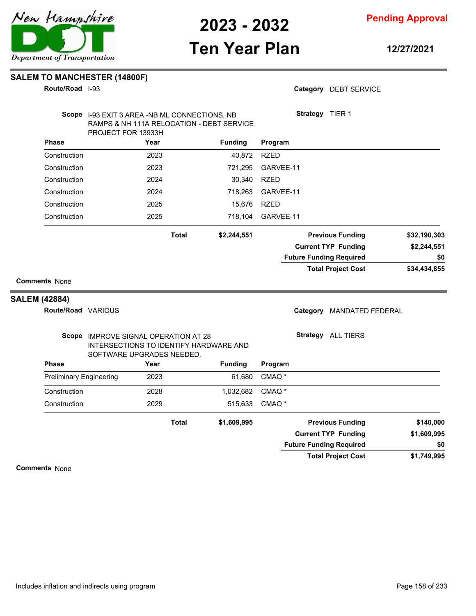

**Comments** None

New Hampshire

**Pending Approval**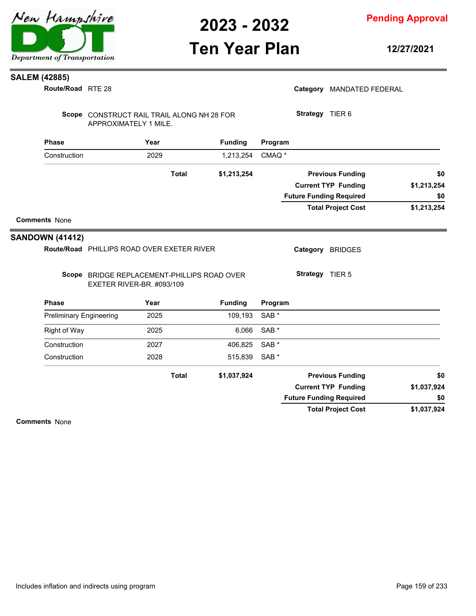

**Pending Approval**

### **Ten Year Plan**

**12/27/2021**

#### **SALEM (42885)**

RTE 28 **Route/Road**

| Route/Road RTE 28              |                                                                          |      |              |                |                   |                 | Category MANDATED FEDERAL      |             |
|--------------------------------|--------------------------------------------------------------------------|------|--------------|----------------|-------------------|-----------------|--------------------------------|-------------|
|                                | Scope CONSTRUCT RAIL TRAIL ALONG NH 28 FOR<br>APPROXIMATELY 1 MILE.      |      |              |                |                   | Strategy TIER 6 |                                |             |
| <b>Phase</b>                   |                                                                          | Year |              | <b>Funding</b> | Program           |                 |                                |             |
| Construction                   |                                                                          | 2029 |              | 1,213,254      | CMAQ <sup>*</sup> |                 |                                |             |
|                                |                                                                          |      | <b>Total</b> | \$1,213,254    |                   |                 | <b>Previous Funding</b>        | \$0         |
|                                |                                                                          |      |              |                |                   |                 | <b>Current TYP Funding</b>     | \$1,213,254 |
|                                |                                                                          |      |              |                |                   |                 | <b>Future Funding Required</b> | \$0         |
|                                |                                                                          |      |              |                |                   |                 | <b>Total Project Cost</b>      | \$1,213,254 |
| <b>Comments None</b>           |                                                                          |      |              |                |                   |                 |                                |             |
|                                |                                                                          |      |              |                |                   |                 |                                |             |
| <b>SANDOWN (41412)</b>         |                                                                          |      |              |                |                   |                 |                                |             |
|                                | Route/Road PHILLIPS ROAD OVER EXETER RIVER                               |      |              |                |                   |                 | Category BRIDGES               |             |
|                                | Scope BRIDGE REPLACEMENT-PHILLIPS ROAD OVER<br>EXETER RIVER-BR. #093/109 |      |              |                |                   | Strategy TIER 5 |                                |             |
| <b>Phase</b>                   |                                                                          | Year |              | <b>Funding</b> | Program           |                 |                                |             |
| <b>Preliminary Engineering</b> |                                                                          | 2025 |              | 109,193        | SAB <sup>*</sup>  |                 |                                |             |
| Right of Way                   |                                                                          | 2025 |              | 6,066          | SAB <sup>*</sup>  |                 |                                |             |
| Construction                   |                                                                          | 2027 |              | 406,825        | SAB <sup>*</sup>  |                 |                                |             |
| Construction                   |                                                                          | 2028 |              | 515,839        | SAB <sup>*</sup>  |                 |                                |             |
|                                |                                                                          |      | <b>Total</b> | \$1,037,924    |                   |                 | <b>Previous Funding</b>        | \$0         |
|                                |                                                                          |      |              |                |                   |                 | <b>Current TYP Funding</b>     | \$1,037,924 |
|                                |                                                                          |      |              |                |                   |                 | <b>Future Funding Required</b> | \$0         |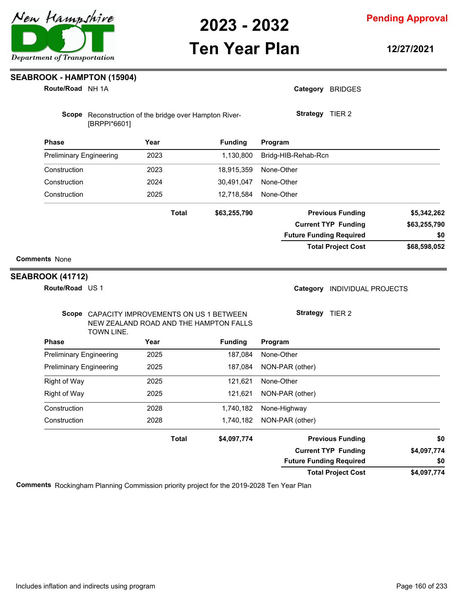

**Pending Approval**

## **Ten Year Plan**

**12/27/2021**

| Route/Road NH 1A               |                                                                                                     |              |                | Category BRIDGES               |              |
|--------------------------------|-----------------------------------------------------------------------------------------------------|--------------|----------------|--------------------------------|--------------|
|                                | Scope Reconstruction of the bridge over Hampton River-<br>[BRPPI*6601]                              |              |                | Strategy TIER 2                |              |
| <b>Phase</b>                   | Year                                                                                                |              | <b>Funding</b> | Program                        |              |
| <b>Preliminary Engineering</b> | 2023                                                                                                |              | 1,130,800      | Bridg-HIB-Rehab-Rcn            |              |
| Construction                   | 2023                                                                                                |              | 18,915,359     | None-Other                     |              |
| Construction                   | 2024                                                                                                |              | 30,491,047     | None-Other                     |              |
| Construction                   | 2025                                                                                                |              | 12,718,584     | None-Other                     |              |
|                                |                                                                                                     | <b>Total</b> | \$63,255,790   | <b>Previous Funding</b>        | \$5,342,262  |
|                                |                                                                                                     |              |                | <b>Current TYP Funding</b>     | \$63,255,790 |
|                                |                                                                                                     |              |                | <b>Future Funding Required</b> | \$0          |
|                                |                                                                                                     |              |                | <b>Total Project Cost</b>      | \$68,598,052 |
| Route/Road US 1                |                                                                                                     |              |                | Category INDIVIDUAL PROJECTS   |              |
|                                | Scope CAPACITY IMPROVEMENTS ON US 1 BETWEEN<br>NEW ZEALAND ROAD AND THE HAMPTON FALLS<br>TOWN LINE. |              |                | <b>Strategy</b> TIER 2         |              |
| <b>Phase</b>                   | Year                                                                                                |              | <b>Funding</b> | Program                        |              |
| <b>Preliminary Engineering</b> | 2025                                                                                                |              | 187,084        | None-Other                     |              |
| <b>Preliminary Engineering</b> | 2025                                                                                                |              | 187,084        | NON-PAR (other)                |              |
| <b>Right of Way</b>            | 2025                                                                                                |              | 121,621        | None-Other                     |              |
| <b>Right of Way</b>            | 2025                                                                                                |              | 121,621        | NON-PAR (other)                |              |
| Construction                   | 2028                                                                                                |              | 1,740,182      | None-Highway                   |              |
| Construction                   | 2028                                                                                                |              | 1,740,182      | NON-PAR (other)                |              |
|                                |                                                                                                     | <b>Total</b> | \$4,097,774    | <b>Previous Funding</b>        | \$0          |
|                                |                                                                                                     |              |                | <b>Current TYP Funding</b>     | \$4,097,774  |
|                                |                                                                                                     |              |                | <b>Future Funding Required</b> | \$0          |
|                                |                                                                                                     |              |                | <b>Total Project Cost</b>      | \$4,097,774  |

**Comments** Rockingham Planning Commission priority project for the 2019-2028 Ten Year Plan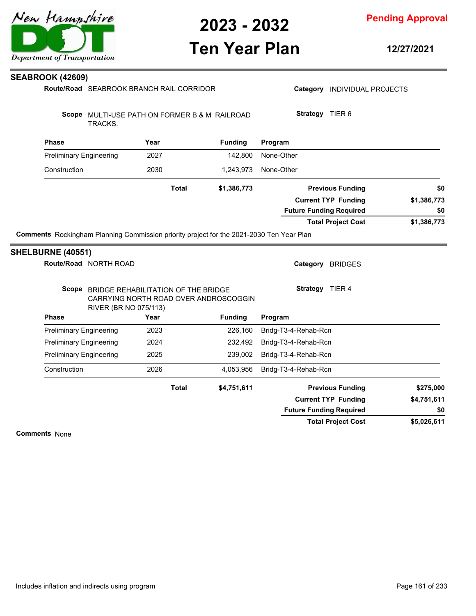**Pending Approval**

### **Ten Year Plan**

**12/27/2021**

|                                                                                          | Route/Road SEABROOK BRANCH RAIL CORRIDOR                                           |                | Category INDIVIDUAL PROJECTS                                 |                    |
|------------------------------------------------------------------------------------------|------------------------------------------------------------------------------------|----------------|--------------------------------------------------------------|--------------------|
| TRACKS.                                                                                  | Scope MULTI-USE PATH ON FORMER B & M RAILROAD                                      |                | Strategy TIER 6                                              |                    |
| <b>Phase</b>                                                                             | Year                                                                               | <b>Funding</b> | Program                                                      |                    |
| <b>Preliminary Engineering</b>                                                           | 2027                                                                               | 142,800        | None-Other                                                   |                    |
| Construction                                                                             | 2030                                                                               | 1,243,973      | None-Other                                                   |                    |
|                                                                                          | <b>Total</b>                                                                       | \$1,386,773    | <b>Previous Funding</b>                                      | \$0                |
|                                                                                          |                                                                                    |                | <b>Current TYP Funding</b><br><b>Future Funding Required</b> | \$1,386,773<br>\$0 |
|                                                                                          |                                                                                    |                | <b>Total Project Cost</b>                                    | \$1,386,773        |
|                                                                                          |                                                                                    |                |                                                              |                    |
| Comments Rockingham Planning Commission priority project for the 2021-2030 Ten Year Plan |                                                                                    |                |                                                              |                    |
| SHELBURNE (40551)<br>Route/Road NORTH ROAD                                               |                                                                                    |                | Category BRIDGES                                             |                    |
|                                                                                          | Scope BRIDGE REHABILITATION OF THE BRIDGE<br>CARRYING NORTH ROAD OVER ANDROSCOGGIN |                | Strategy TIER 4                                              |                    |
| <b>Phase</b>                                                                             | RIVER (BR NO 075/113)<br>Year                                                      | <b>Funding</b> | Program                                                      |                    |
| <b>Preliminary Engineering</b>                                                           | 2023                                                                               | 226,160        | Bridg-T3-4-Rehab-Rcn                                         |                    |
| <b>Preliminary Engineering</b>                                                           | 2024                                                                               | 232,492        | Bridg-T3-4-Rehab-Rcn                                         |                    |
| <b>Preliminary Engineering</b>                                                           | 2025                                                                               | 239,002        | Bridg-T3-4-Rehab-Rcn                                         |                    |
| Construction                                                                             | 2026                                                                               | 4,053,956      | Bridg-T3-4-Rehab-Rcn                                         |                    |
|                                                                                          | <b>Total</b>                                                                       | \$4,751,611    | <b>Previous Funding</b>                                      | \$275,000          |
|                                                                                          |                                                                                    |                | <b>Current TYP Funding</b>                                   | \$4,751,611        |
|                                                                                          |                                                                                    |                | <b>Future Funding Required</b>                               | \$0                |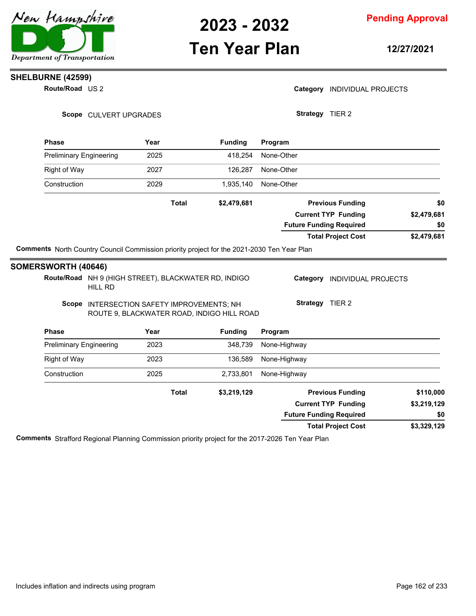

### **Ten Year Plan**

**Pending Approval**

**12/27/2021**

#### **Route/Road** US 2 **SHELBURNE (42599)**

Category **INDIVIDUAL PROJECTS** 

**Strategy** TIER 2

**Total Project Cost**

Scope CULVERT UPGRADES

| <b>Phase</b>                   |                | Year         | <b>Funding</b>                                                                                                                                   | Program                                                                        |             |
|--------------------------------|----------------|--------------|--------------------------------------------------------------------------------------------------------------------------------------------------|--------------------------------------------------------------------------------|-------------|
| <b>Preliminary Engineering</b> |                | 2025         | 418,254                                                                                                                                          | None-Other                                                                     |             |
| Right of Way                   |                | 2027         | 126,287                                                                                                                                          | None-Other                                                                     |             |
| Construction                   |                | 2029         | 1,935,140                                                                                                                                        | None-Other                                                                     |             |
|                                |                | <b>Total</b> | \$2,479,681                                                                                                                                      | <b>Previous Funding</b>                                                        | \$0         |
|                                |                |              |                                                                                                                                                  | <b>Current TYP Funding</b>                                                     | \$2,479,681 |
|                                |                |              |                                                                                                                                                  | <b>Future Funding Required</b>                                                 | \$0         |
|                                |                |              |                                                                                                                                                  | <b>Total Project Cost</b>                                                      | \$2,479,681 |
|                                | <b>HILL RD</b> |              | Route/Road NH 9 (HIGH STREET), BLACKWATER RD, INDIGO<br>Scope INTERSECTION SAFETY IMPROVEMENTS; NH<br>ROUTE 9, BLACKWATER ROAD, INDIGO HILL ROAD | Category<br><b>INDIVIDUAL PROJECTS</b><br>TIER <sub>2</sub><br><b>Strategy</b> |             |
| <b>Phase</b>                   |                | Year         | <b>Funding</b>                                                                                                                                   | Program                                                                        |             |
| <b>Preliminary Engineering</b> |                | 2023         | 348,739                                                                                                                                          | None-Highway                                                                   |             |
| Right of Way                   |                | 2023         | 136,589                                                                                                                                          | None-Highway                                                                   |             |
| Construction                   |                | 2025         | 2,733,801                                                                                                                                        | None-Highway                                                                   |             |
|                                |                | <b>Total</b> | \$3,219,129                                                                                                                                      | <b>Previous Funding</b>                                                        | \$110,000   |
|                                |                |              |                                                                                                                                                  | <b>Current TYP Funding</b>                                                     | \$3,219,129 |
|                                |                |              |                                                                                                                                                  | <b>Future Funding Required</b>                                                 | \$0         |

**Comments** Strafford Regional Planning Commission priority project for the 2017-2026 Ten Year Plan

**\$3,329,129**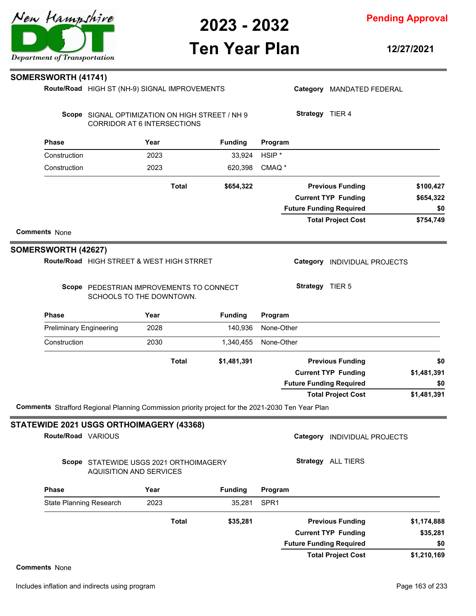**Pending Approval**

### **Ten Year Plan**

**12/27/2021**

#### **SOMERSWORTH (41741)**

|                                |                                | Route/Road HIGH ST (NH-9) SIGNAL IMPROVEMENTS                        |                                                                                                  |                   |                 | Category MANDATED FEDERAL      |             |
|--------------------------------|--------------------------------|----------------------------------------------------------------------|--------------------------------------------------------------------------------------------------|-------------------|-----------------|--------------------------------|-------------|
|                                |                                | <b>CORRIDOR AT 6 INTERSECTIONS</b>                                   | Scope SIGNAL OPTIMIZATION ON HIGH STREET / NH 9                                                  |                   | Strategy TIER 4 |                                |             |
| <b>Phase</b>                   |                                | Year                                                                 | <b>Funding</b>                                                                                   | Program           |                 |                                |             |
| Construction                   |                                | 2023                                                                 | 33,924                                                                                           | HSIP <sup>*</sup> |                 |                                |             |
| Construction                   |                                | 2023                                                                 | 620,398                                                                                          | CMAQ <sup>*</sup> |                 |                                |             |
|                                |                                | <b>Total</b>                                                         | \$654,322                                                                                        |                   |                 | <b>Previous Funding</b>        | \$100,427   |
|                                |                                |                                                                      |                                                                                                  |                   |                 | <b>Current TYP Funding</b>     | \$654,322   |
|                                |                                |                                                                      |                                                                                                  |                   |                 | <b>Future Funding Required</b> | \$0         |
|                                |                                |                                                                      |                                                                                                  |                   |                 | <b>Total Project Cost</b>      | \$754,749   |
| <b>Comments None</b>           |                                |                                                                      |                                                                                                  |                   |                 |                                |             |
| SOMERSWORTH (42627)            |                                |                                                                      |                                                                                                  |                   |                 |                                |             |
|                                |                                | Route/Road HIGH STREET & WEST HIGH STRRET                            |                                                                                                  |                   |                 | Category INDIVIDUAL PROJECTS   |             |
|                                |                                | Scope PEDESTRIAN IMPROVEMENTS TO CONNECT<br>SCHOOLS TO THE DOWNTOWN. |                                                                                                  |                   | Strategy TIER 5 |                                |             |
| <b>Phase</b>                   |                                | Year                                                                 | <b>Funding</b>                                                                                   | Program           |                 |                                |             |
| <b>Preliminary Engineering</b> |                                | 2028                                                                 | 140,936                                                                                          | None-Other        |                 |                                |             |
| Construction                   |                                | 2030                                                                 | 1,340,455                                                                                        | None-Other        |                 |                                |             |
|                                |                                | <b>Total</b>                                                         | \$1,481,391                                                                                      |                   |                 | <b>Previous Funding</b>        | \$0         |
|                                |                                |                                                                      |                                                                                                  |                   |                 | <b>Current TYP Funding</b>     | \$1,481,391 |
|                                |                                |                                                                      |                                                                                                  |                   |                 | <b>Future Funding Required</b> | \$0         |
|                                |                                |                                                                      |                                                                                                  |                   |                 | <b>Total Project Cost</b>      | \$1,481,391 |
|                                |                                |                                                                      | Comments Strafford Regional Planning Commission priority project for the 2021-2030 Ten Year Plan |                   |                 |                                |             |
|                                |                                | STATEWIDE 2021 USGS ORTHOIMAGERY (43368)                             |                                                                                                  |                   |                 |                                |             |
| Route/Road VARIOUS             |                                |                                                                      |                                                                                                  |                   |                 | Category INDIVIDUAL PROJECTS   |             |
|                                | <b>AQUISITION AND SERVICES</b> | Scope STATEWIDE USGS 2021 ORTHOIMAGERY                               |                                                                                                  |                   |                 | Strategy ALL TIERS             |             |
| <b>Phase</b>                   |                                | Year                                                                 | <b>Funding</b>                                                                                   | Program           |                 |                                |             |
| <b>State Planning Research</b> |                                | 2023                                                                 | 35,281                                                                                           | SPR <sub>1</sub>  |                 |                                |             |
|                                |                                | <b>Total</b>                                                         | \$35,281                                                                                         |                   |                 | <b>Previous Funding</b>        | \$1,174,888 |
|                                |                                |                                                                      |                                                                                                  |                   |                 | <b>Current TYP Funding</b>     | \$35,281    |

**\$1,210,169**

**\$0**

**Total Project Cost**

**Future Funding Required**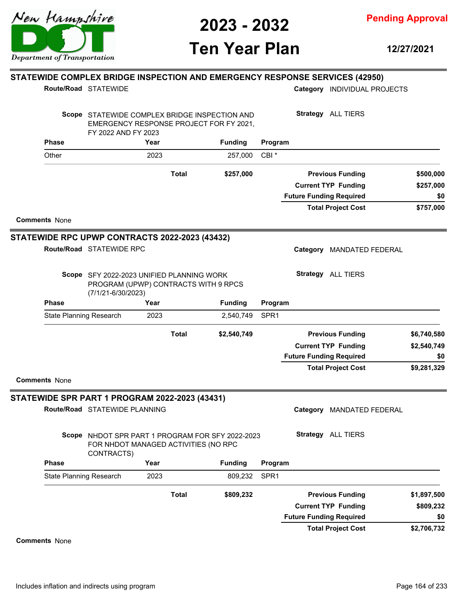

**Pending Approval**

### **Ten Year Plan**

**12/27/2021**

**\$757,000**

**\$257,000**

**\$0**

#### **Phase Year Funding Route/Road STATEWIDE STATEWIDE COMPLEX BRIDGE INSPECTION AND EMERGENCY RESPONSE SERVICES (42950)** Scope STATEWIDE COMPLEX BRIDGE INSPECTION AND EMERGENCY RESPONSE PROJECT FOR FY 2021, FY 2022 AND FY 2023 **Program** Category **INDIVIDUAL PROJECTS Strategy** ALL TIERS Other 2023 257,000 CBI \* **\$257,000 Previous Funding \$500,000 Current TYP Funding Total Project Cost Future Funding Required Total Comments** None Route/Road STATEWIDE RPC **STATEWIDE RPC UPWP CONTRACTS 2022-2023 (43432)** Category MANDATED FEDERAL

Scope SFY 2022-2023 UNIFIED PLANNING WORK PROGRAM (UPWP) CONTRACTS WITH 9 RPCS (7/1/21-6/30/2023)

**Strategy** ALL TIERS

|                      | <b>Phase</b>                   |                                                       | Year |              | <b>Funding</b>                                   | Program          |                                     |             |
|----------------------|--------------------------------|-------------------------------------------------------|------|--------------|--------------------------------------------------|------------------|-------------------------------------|-------------|
|                      | <b>State Planning Research</b> |                                                       | 2023 |              | 2,540,749                                        | SPR <sub>1</sub> |                                     |             |
|                      |                                |                                                       |      | <b>Total</b> | \$2,540,749                                      |                  | <b>Previous Funding</b>             | \$6,740,580 |
|                      |                                |                                                       |      |              |                                                  |                  | <b>Current TYP Funding</b>          | \$2,540,749 |
|                      |                                |                                                       |      |              |                                                  |                  | <b>Future Funding Required</b>      | \$0         |
|                      |                                |                                                       |      |              |                                                  |                  | <b>Total Project Cost</b>           | \$9,281,329 |
| <b>Comments None</b> |                                |                                                       |      |              |                                                  |                  |                                     |             |
|                      |                                | <b>STATEWIDE SPR PART 1 PROGRAM 2022-2023 (43431)</b> |      |              |                                                  |                  |                                     |             |
|                      |                                | Route/Road STATEWIDE PLANNING                         |      |              |                                                  |                  | Category<br><b>MANDATED FEDERAL</b> |             |
|                      |                                | FOR NHDOT MANAGED ACTIVITIES (NO RPC<br>CONTRACTS)    |      |              | Scope NHDOT SPR PART 1 PROGRAM FOR SFY 2022-2023 |                  | <b>Strategy</b> ALL TIERS           |             |
|                      | <b>Phase</b>                   |                                                       | Year |              | <b>Funding</b>                                   | Program          |                                     |             |
|                      | State Planning Research        |                                                       | 2023 |              | 809,232                                          | SPR <sub>1</sub> |                                     |             |
|                      |                                |                                                       |      | <b>Total</b> | \$809,232                                        |                  | <b>Previous Funding</b>             | \$1,897,500 |
|                      |                                |                                                       |      |              |                                                  |                  | <b>Current TYP Funding</b>          | \$809,232   |
|                      |                                |                                                       |      |              |                                                  |                  | <b>Future Funding Required</b>      | \$0         |
|                      |                                |                                                       |      |              |                                                  |                  | <b>Total Project Cost</b>           | \$2,706,732 |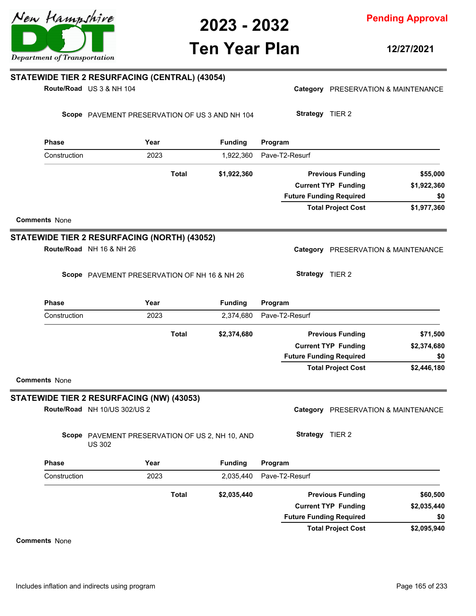

### **Ten Year Plan**

**12/27/2021**

| <b>Phase</b><br>Construction | Route/Road US 3 & NH 104<br>Scope PAVEMENT PRESERVATION OF US 3 AND NH 104 |              |                |                                |                            | Category PRESERVATION & MAINTENANCE |
|------------------------------|----------------------------------------------------------------------------|--------------|----------------|--------------------------------|----------------------------|-------------------------------------|
|                              |                                                                            |              |                |                                |                            |                                     |
|                              |                                                                            |              |                | Strategy TIER 2                |                            |                                     |
|                              | Year                                                                       |              | <b>Funding</b> | Program                        |                            |                                     |
|                              | 2023                                                                       |              | 1,922,360      | Pave-T2-Resurf                 |                            |                                     |
|                              |                                                                            | Total        | \$1,922,360    |                                | <b>Previous Funding</b>    | \$55,000                            |
|                              |                                                                            |              |                |                                | <b>Current TYP Funding</b> | \$1,922,360                         |
|                              |                                                                            |              |                | <b>Future Funding Required</b> | <b>Total Project Cost</b>  | \$0<br>\$1,977,360                  |
| <b>Comments None</b>         |                                                                            |              |                |                                |                            |                                     |
|                              | STATEWIDE TIER 2 RESURFACING (NORTH) (43052)                               |              |                |                                |                            |                                     |
|                              | Route/Road NH 16 & NH 26                                                   |              |                |                                |                            | Category PRESERVATION & MAINTENANCE |
|                              | Scope PAVEMENT PRESERVATION OF NH 16 & NH 26                               |              |                | Strategy TIER 2                |                            |                                     |
| <b>Phase</b>                 | Year                                                                       |              | <b>Funding</b> | Program                        |                            |                                     |
| Construction                 | 2023                                                                       |              | 2,374,680      | Pave-T2-Resurf                 |                            |                                     |
|                              |                                                                            | <b>Total</b> | \$2,374,680    |                                | <b>Previous Funding</b>    | \$71,500                            |
|                              |                                                                            |              |                |                                | <b>Current TYP Funding</b> | \$2,374,680                         |
|                              |                                                                            |              |                | <b>Future Funding Required</b> |                            | \$0                                 |
| <b>Comments None</b>         |                                                                            |              |                |                                | <b>Total Project Cost</b>  | \$2,446,180                         |
|                              | STATEWIDE TIER 2 RESURFACING (NW) (43053)                                  |              |                |                                |                            |                                     |
|                              | Route/Road NH 10/US 302/US 2                                               |              |                |                                |                            | Category PRESERVATION & MAINTENANCE |
|                              | Scope PAVEMENT PRESERVATION OF US 2, NH 10, AND<br><b>US 302</b>           |              |                | Strategy TIER 2                |                            |                                     |
| <b>Phase</b>                 | Year                                                                       |              | <b>Funding</b> | Program                        |                            |                                     |
| Construction                 | 2023                                                                       |              | 2,035,440      | Pave-T2-Resurf                 |                            |                                     |
|                              |                                                                            | <b>Total</b> | \$2,035,440    |                                | <b>Previous Funding</b>    | \$60,500                            |
|                              |                                                                            |              |                |                                | <b>Current TYP Funding</b> | \$2,035,440                         |
|                              |                                                                            |              |                | <b>Future Funding Required</b> | <b>Total Project Cost</b>  | \$0<br>\$2,095,940                  |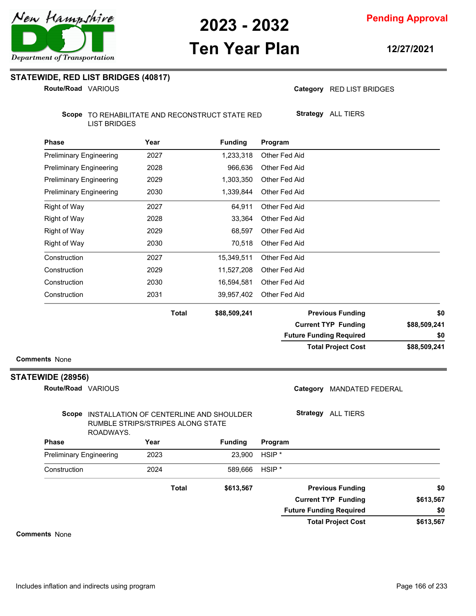**Pending Approval**

# **Ten Year Plan**

**12/27/2021**

**STATEWIDE, RED LIST BRIDGES (40817)**

**Route/Road VARIOUS** 

Category RED LIST BRIDGES

**Strategy** ALL TIERS

Scope TO REHABILITATE AND RECONSTRUCT STATE RED LIST BRIDGES

| <b>Phase</b>                   | Year         | <b>Funding</b> | Program                        |              |
|--------------------------------|--------------|----------------|--------------------------------|--------------|
| <b>Preliminary Engineering</b> | 2027         | 1,233,318      | Other Fed Aid                  |              |
| <b>Preliminary Engineering</b> | 2028         | 966,636        | Other Fed Aid                  |              |
| <b>Preliminary Engineering</b> | 2029         | 1,303,350      | Other Fed Aid                  |              |
| <b>Preliminary Engineering</b> | 2030         | 1,339,844      | Other Fed Aid                  |              |
| <b>Right of Way</b>            | 2027         | 64,911         | Other Fed Aid                  |              |
| <b>Right of Way</b>            | 2028         | 33,364         | Other Fed Aid                  |              |
| Right of Way                   | 2029         | 68,597         | Other Fed Aid                  |              |
| <b>Right of Way</b>            | 2030         | 70,518         | Other Fed Aid                  |              |
| Construction                   | 2027         | 15,349,511     | Other Fed Aid                  |              |
| Construction                   | 2029         | 11,527,208     | Other Fed Aid                  |              |
| Construction                   | 2030         | 16,594,581     | Other Fed Aid                  |              |
| Construction                   | 2031         | 39,957,402     | Other Fed Aid                  |              |
|                                | <b>Total</b> | \$88,509,241   | <b>Previous Funding</b>        | \$0          |
|                                |              |                | <b>Current TYP Funding</b>     | \$88,509,241 |
|                                |              |                | <b>Future Funding Required</b> | \$0          |

**Comments** None

#### **STATEWIDE (28956)**

**Route/Road VARIOUS** 

Category MANDATED FEDERAL

#### Scope INSTALLATION OF CENTERLINE AND SHOULDER RUMBLE STRIPS/STRIPES ALONG STATE ROADWAYS.

**Strategy** ALL TIERS

**Total Project Cost**

| RUADIVATO.                     |              |                |                                |           |
|--------------------------------|--------------|----------------|--------------------------------|-----------|
| <b>Phase</b>                   | Year         | <b>Funding</b> | Program                        |           |
| <b>Preliminary Engineering</b> | 2023         | 23,900         | HSIP <sup>*</sup>              |           |
| Construction                   | 2024         | 589,666        | $HSIP^*$                       |           |
|                                | <b>Total</b> | \$613,567      | <b>Previous Funding</b>        | \$0       |
|                                |              |                | <b>Current TYP Funding</b>     | \$613,567 |
|                                |              |                | <b>Future Funding Required</b> | \$0       |
|                                |              |                | <b>Total Project Cost</b>      | \$613,567 |

**Comments** None

**\$88,509,241**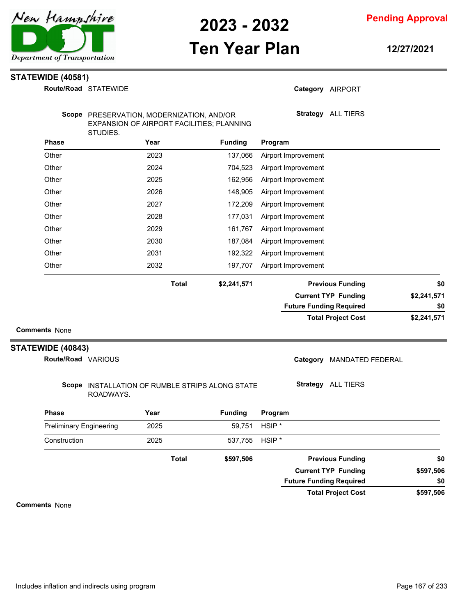

**Pending Approval**

# **Ten Year Plan**

**12/27/2021**

#### **STATEWIDE (40581)**

|                                           | Route/Road STATEWIDE                                                                               |              |                |                                | Category AIRPORT           |             |
|-------------------------------------------|----------------------------------------------------------------------------------------------------|--------------|----------------|--------------------------------|----------------------------|-------------|
|                                           | Scope PRESERVATION, MODERNIZATION, AND/OR<br>EXPANSION OF AIRPORT FACILITIES; PLANNING<br>STUDIES. |              |                |                                | Strategy ALL TIERS         |             |
| <b>Phase</b>                              | Year                                                                                               |              | <b>Funding</b> | Program                        |                            |             |
| Other                                     | 2023                                                                                               |              | 137,066        | Airport Improvement            |                            |             |
| Other                                     | 2024                                                                                               |              | 704,523        | Airport Improvement            |                            |             |
| Other                                     | 2025                                                                                               |              | 162,956        | Airport Improvement            |                            |             |
| Other                                     | 2026                                                                                               |              | 148,905        | Airport Improvement            |                            |             |
| Other                                     | 2027                                                                                               |              | 172,209        | Airport Improvement            |                            |             |
| Other                                     | 2028                                                                                               |              | 177,031        | Airport Improvement            |                            |             |
| Other                                     | 2029                                                                                               |              | 161,767        | Airport Improvement            |                            |             |
| Other                                     | 2030                                                                                               |              | 187,084        | Airport Improvement            |                            |             |
| Other                                     | 2031                                                                                               |              | 192,322        | Airport Improvement            |                            |             |
| Other                                     | 2032                                                                                               |              | 197,707        | Airport Improvement            |                            |             |
|                                           |                                                                                                    | <b>Total</b> | \$2,241,571    |                                | <b>Previous Funding</b>    | \$0         |
|                                           |                                                                                                    |              |                |                                | <b>Current TYP Funding</b> | \$2,241,571 |
|                                           |                                                                                                    |              |                | <b>Future Funding Required</b> |                            | \$0         |
|                                           |                                                                                                    |              |                |                                | <b>Total Project Cost</b>  | \$2,241,571 |
| <b>Comments None</b><br>STATEWIDE (40843) |                                                                                                    |              |                |                                |                            |             |
| Route/Road VARIOUS                        |                                                                                                    |              |                |                                | Category MANDATED FEDERAL  |             |
|                                           | Scope INSTALLATION OF RUMBLE STRIPS ALONG STATE<br>ROADWAYS.                                       |              |                |                                | <b>Strategy</b> ALL TIERS  |             |
| <b>Phase</b>                              | Year                                                                                               |              | <b>Funding</b> | Program                        |                            |             |
| <b>Preliminary Engineering</b>            | 2025                                                                                               |              | 59,751         | HSIP <sup>*</sup>              |                            |             |
| Construction                              | 2025                                                                                               |              | 537,755        | HSIP <sup>*</sup>              |                            |             |
|                                           |                                                                                                    | <b>Total</b> | \$597,506      |                                | <b>Previous Funding</b>    | \$0         |
|                                           |                                                                                                    |              |                |                                | <b>Current TYP Funding</b> | \$597,506   |
|                                           |                                                                                                    |              |                | <b>Future Funding Required</b> |                            | \$0         |

**\$597,506 Total Project Cost**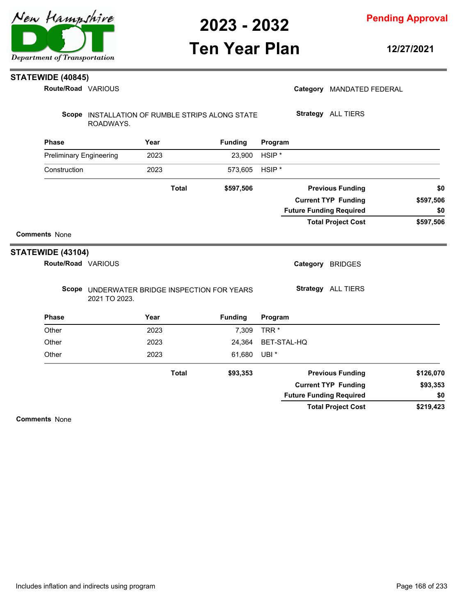

**Pending Approval**

## **Ten Year Plan**

**12/27/2021**

#### **STATEWIDE (40845)**

| Route/Road VARIOUS             |                                                               |      |              |                |                   | Category MANDATED FEDERAL      |                              |
|--------------------------------|---------------------------------------------------------------|------|--------------|----------------|-------------------|--------------------------------|------------------------------|
|                                | Scope INSTALLATION OF RUMBLE STRIPS ALONG STATE<br>ROADWAYS.  |      |              |                |                   | Strategy ALL TIERS             |                              |
| <b>Phase</b>                   |                                                               | Year |              | <b>Funding</b> | Program           |                                |                              |
| <b>Preliminary Engineering</b> |                                                               | 2023 |              | 23,900         | HSIP <sup>*</sup> |                                |                              |
| Construction                   |                                                               | 2023 |              | 573,605        | HSIP <sup>*</sup> |                                |                              |
|                                |                                                               |      | <b>Total</b> | \$597,506      |                   | <b>Previous Funding</b>        | \$0                          |
|                                |                                                               |      |              |                |                   | <b>Current TYP Funding</b>     | \$597,506                    |
|                                |                                                               |      |              |                |                   | <b>Future Funding Required</b> | \$0                          |
|                                |                                                               |      |              |                |                   | <b>Total Project Cost</b>      | \$597,506                    |
| <b>Comments None</b>           |                                                               |      |              |                |                   |                                |                              |
| STATEWIDE (43104)              |                                                               |      |              |                |                   |                                |                              |
| Route/Road VARIOUS             |                                                               |      |              |                |                   | Category BRIDGES               |                              |
|                                | Scope UNDERWATER BRIDGE INSPECTION FOR YEARS<br>2021 TO 2023. |      |              |                |                   | Strategy ALL TIERS             |                              |
| <b>Phase</b>                   |                                                               | Year |              | <b>Funding</b> | Program           |                                |                              |
| Other                          |                                                               | 2023 |              | 7,309          | TRR <sup>*</sup>  |                                |                              |
| Other                          |                                                               | 2023 |              | 24,364         | BET-STAL-HQ       |                                |                              |
| Other                          |                                                               | 2023 |              | 61,680         | UBI <sup>*</sup>  |                                |                              |
|                                |                                                               |      | <b>Total</b> | \$93,353       |                   | <b>Previous Funding</b>        |                              |
|                                |                                                               |      |              |                |                   | <b>Current TYP Funding</b>     |                              |
|                                |                                                               |      |              |                |                   | <b>Future Funding Required</b> | \$126,070<br>\$93,353<br>\$0 |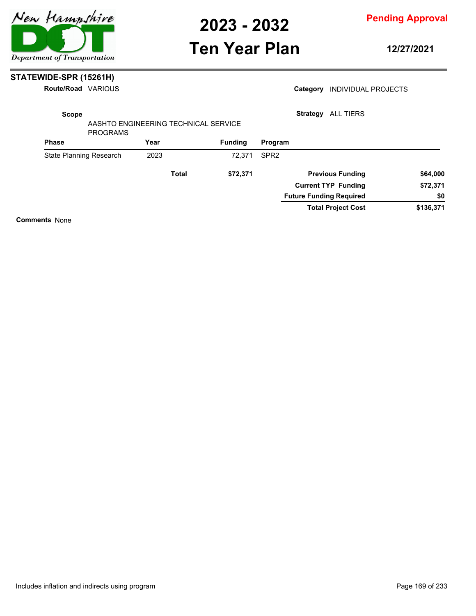

**Pending Approval**

### **Ten Year Plan**

**12/27/2021**

#### **STATEWIDE-SPR (15261H)**

**Route/Road VARIOUS** 

| Route/Road              | VARIOUS         |              |                                      |                  | Category        | <b>INDIVIDUAL PROJECTS</b>     |           |
|-------------------------|-----------------|--------------|--------------------------------------|------------------|-----------------|--------------------------------|-----------|
| <b>Scope</b>            |                 |              |                                      |                  | <b>Strategy</b> | <b>ALL TIERS</b>               |           |
|                         | <b>PROGRAMS</b> |              | AASHTO ENGINEERING TECHNICAL SERVICE |                  |                 |                                |           |
| <b>Phase</b>            |                 | Year         | <b>Funding</b>                       | Program          |                 |                                |           |
| State Planning Research |                 | 2023         | 72.371                               | SPR <sub>2</sub> |                 |                                |           |
|                         |                 | <b>Total</b> | \$72,371                             |                  |                 | <b>Previous Funding</b>        | \$64,000  |
|                         |                 |              |                                      |                  |                 | <b>Current TYP Funding</b>     | \$72,371  |
|                         |                 |              |                                      |                  |                 | <b>Future Funding Required</b> | \$0       |
|                         |                 |              |                                      |                  |                 | <b>Total Project Cost</b>      | \$136,371 |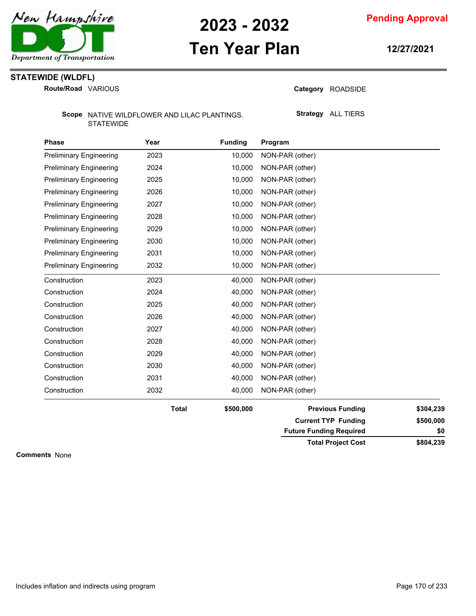

### **Ten Year Plan**

**Pending Approval**

**12/27/2021**

### **STATEWIDE (WLDFL)**

**Route/Road VARIOUS** 

Category ROADSIDE

Scope NATIVE WILDFLOWER AND LILAC PLANTINGS. STATEWIDE

**Strategy** ALL TIERS

| <b>Phase</b>                   | Year         | <b>Funding</b> | Program                        |           |
|--------------------------------|--------------|----------------|--------------------------------|-----------|
| <b>Preliminary Engineering</b> | 2023         | 10,000         | NON-PAR (other)                |           |
| <b>Preliminary Engineering</b> | 2024         | 10,000         | NON-PAR (other)                |           |
| <b>Preliminary Engineering</b> | 2025         | 10,000         | NON-PAR (other)                |           |
| <b>Preliminary Engineering</b> | 2026         | 10,000         | NON-PAR (other)                |           |
| <b>Preliminary Engineering</b> | 2027         | 10,000         | NON-PAR (other)                |           |
| <b>Preliminary Engineering</b> | 2028         | 10,000         | NON-PAR (other)                |           |
| <b>Preliminary Engineering</b> | 2029         | 10,000         | NON-PAR (other)                |           |
| <b>Preliminary Engineering</b> | 2030         | 10,000         | NON-PAR (other)                |           |
| <b>Preliminary Engineering</b> | 2031         | 10,000         | NON-PAR (other)                |           |
| <b>Preliminary Engineering</b> | 2032         | 10,000         | NON-PAR (other)                |           |
| Construction                   | 2023         | 40,000         | NON-PAR (other)                |           |
| Construction                   | 2024         | 40,000         | NON-PAR (other)                |           |
| Construction                   | 2025         | 40,000         | NON-PAR (other)                |           |
| Construction                   | 2026         | 40,000         | NON-PAR (other)                |           |
| Construction                   | 2027         | 40,000         | NON-PAR (other)                |           |
| Construction                   | 2028         | 40,000         | NON-PAR (other)                |           |
| Construction                   | 2029         | 40,000         | NON-PAR (other)                |           |
| Construction                   | 2030         | 40,000         | NON-PAR (other)                |           |
| Construction                   | 2031         | 40,000         | NON-PAR (other)                |           |
| Construction                   | 2032         | 40,000         | NON-PAR (other)                |           |
|                                | <b>Total</b> | \$500,000      | <b>Previous Funding</b>        | \$304,239 |
|                                |              |                | <b>Current TYP Funding</b>     | \$500,000 |
|                                |              |                | <b>Future Funding Required</b> | \$0       |
|                                |              |                | <b>Total Project Cost</b>      | \$804,239 |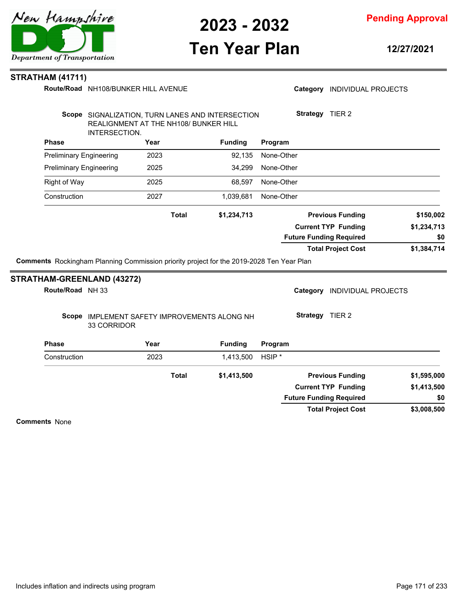

**Pending Approval**

## **Ten Year Plan**

**12/27/2021**

#### **STRATHAM (41711)**

Route/Road NH108/BUNKER HILL AVENUE

#### Category **INDIVIDUAL PROJECTS**

|                                |                                                        |              | Scope SIGNALIZATION, TURN LANES AND INTERSECTION                                         | Strategy          | TIER 2                         |             |
|--------------------------------|--------------------------------------------------------|--------------|------------------------------------------------------------------------------------------|-------------------|--------------------------------|-------------|
|                                | REALIGNMENT AT THE NH108/ BUNKER HILL<br>INTERSECTION. |              |                                                                                          |                   |                                |             |
| <b>Phase</b>                   |                                                        | Year         | <b>Funding</b>                                                                           | Program           |                                |             |
| <b>Preliminary Engineering</b> |                                                        | 2023         | 92,135                                                                                   | None-Other        |                                |             |
| <b>Preliminary Engineering</b> |                                                        | 2025         | 34,299                                                                                   | None-Other        |                                |             |
| <b>Right of Way</b>            |                                                        | 2025         | 68,597                                                                                   | None-Other        |                                |             |
| Construction                   |                                                        | 2027         | 1,039,681                                                                                | None-Other        |                                |             |
|                                |                                                        | <b>Total</b> | \$1,234,713                                                                              |                   | <b>Previous Funding</b>        | \$150,002   |
|                                |                                                        |              |                                                                                          |                   | <b>Current TYP Funding</b>     | \$1,234,713 |
|                                |                                                        |              |                                                                                          |                   | <b>Future Funding Required</b> | \$0         |
|                                |                                                        |              |                                                                                          |                   | <b>Total Project Cost</b>      | \$1,384,714 |
|                                |                                                        |              | Comments Rockingham Planning Commission priority project for the 2019-2028 Ten Year Plan |                   |                                |             |
| Route/Road NH 33               | <b>STRATHAM-GREENLAND (43272)</b>                      |              |                                                                                          | Category          | <b>INDIVIDUAL PROJECTS</b>     |             |
|                                | 33 CORRIDOR                                            |              | Scope IMPLEMENT SAFETY IMPROVEMENTS ALONG NH                                             |                   | Strategy TIER 2                |             |
| <b>Phase</b>                   |                                                        | Year         | <b>Funding</b>                                                                           | Program           |                                |             |
| Construction                   |                                                        | 2023         | 1,413,500                                                                                | HSIP <sup>*</sup> |                                |             |
|                                |                                                        | <b>Total</b> | \$1,413,500                                                                              |                   | <b>Previous Funding</b>        | \$1,595,000 |
|                                |                                                        |              |                                                                                          |                   | <b>Current TYP Funding</b>     | \$1,413,500 |
|                                |                                                        |              |                                                                                          |                   | <b>Future Funding Required</b> | \$0         |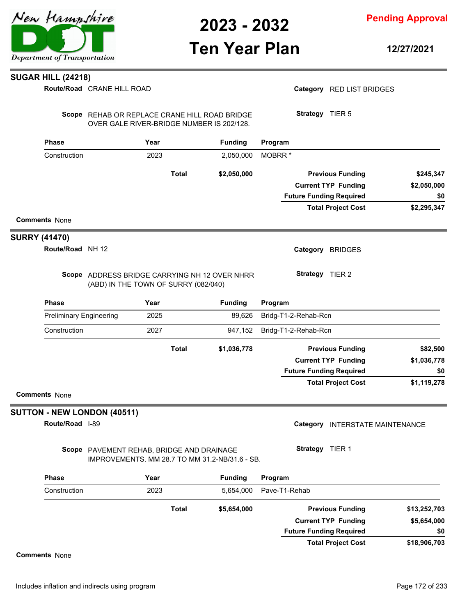

**Pending Approval**

### **Ten Year Plan**

**12/27/2021**

#### **SUGAR HILL (24218)**

|                                |                                                                                             | <b>Total</b> | \$5,654,000    | <b>Previous Funding</b><br><b>Current TYP Funding</b> | \$13,252,703<br>\$5,654,000 |
|--------------------------------|---------------------------------------------------------------------------------------------|--------------|----------------|-------------------------------------------------------|-----------------------------|
| Construction                   | 2023                                                                                        |              | 5,654,000      | Pave-T1-Rehab                                         |                             |
| <b>Phase</b>                   | Year                                                                                        |              | <b>Funding</b> | Program                                               |                             |
|                                | Scope PAVEMENT REHAB, BRIDGE AND DRAINAGE<br>IMPROVEMENTS. MM 28.7 TO MM 31.2-NB/31.6 - SB. |              |                | Strategy TIER 1                                       |                             |
| Route/Road  -89                |                                                                                             |              |                | Category<br>INTERSTATE MAINTENANCE                    |                             |
| SUTTON - NEW LONDON (40511)    |                                                                                             |              |                |                                                       |                             |
| <b>Comments None</b>           |                                                                                             |              |                |                                                       |                             |
|                                |                                                                                             |              |                | <b>Total Project Cost</b>                             | \$1,119,278                 |
|                                |                                                                                             |              |                | <b>Future Funding Required</b>                        | \$0                         |
|                                |                                                                                             |              |                | <b>Current TYP Funding</b>                            | \$1,036,778                 |
|                                |                                                                                             | <b>Total</b> | \$1,036,778    | <b>Previous Funding</b>                               | \$82,500                    |
| Construction                   | 2027                                                                                        |              | 947,152        | Bridg-T1-2-Rehab-Rcn                                  |                             |
| <b>Preliminary Engineering</b> | 2025                                                                                        |              | 89,626         | Bridg-T1-2-Rehab-Rcn                                  |                             |
| <b>Phase</b>                   | Year                                                                                        |              | <b>Funding</b> | Program                                               |                             |
|                                | Scope ADDRESS BRIDGE CARRYING NH 12 OVER NHRR<br>(ABD) IN THE TOWN OF SURRY (082/040)       |              |                | Strategy TIER 2                                       |                             |
| Route/Road NH 12               |                                                                                             |              |                | Category BRIDGES                                      |                             |
| <b>SURRY (41470)</b>           |                                                                                             |              |                |                                                       |                             |
| <b>Comments None</b>           |                                                                                             |              |                |                                                       |                             |
|                                |                                                                                             |              |                | <b>Total Project Cost</b>                             | \$2,295,347                 |
|                                |                                                                                             |              |                | <b>Future Funding Required</b>                        | \$0                         |
|                                |                                                                                             |              |                | <b>Current TYP Funding</b>                            | \$2,050,000                 |
|                                |                                                                                             | <b>Total</b> | \$2,050,000    | <b>Previous Funding</b>                               | \$245,347                   |
| Construction                   | 2023                                                                                        |              | 2,050,000      | MOBRR <sup>*</sup>                                    |                             |
| <b>Phase</b>                   | Year                                                                                        |              | <b>Funding</b> | Program                                               |                             |
|                                | Scope REHAB OR REPLACE CRANE HILL ROAD BRIDGE<br>OVER GALE RIVER-BRIDGE NUMBER IS 202/128.  |              |                | <b>Strategy</b> TIER 5                                |                             |
|                                |                                                                                             |              |                |                                                       |                             |
|                                | Route/Road CRANE HILL ROAD                                                                  |              |                | Category RED LIST BRIDGES                             |                             |

**Comments** None

**\$18,906,703**

**\$0**

**Total Project Cost**

**Future Funding Required**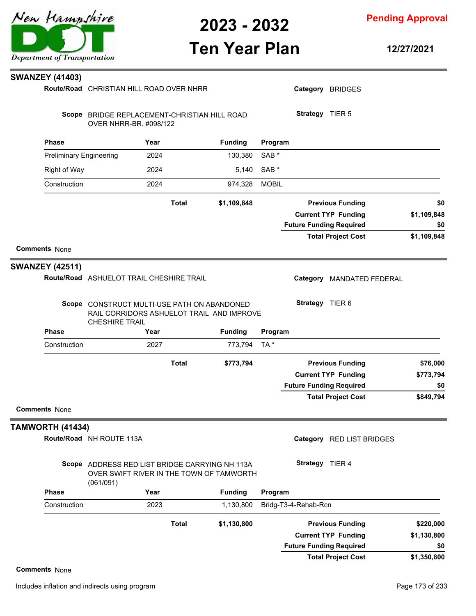

**Pending Approval**

# **Ten Year Plan**

**12/27/2021**

| <b>SWANZEY (41403)</b>         |                                                                                                                   |              |                |                  |                      |                                |             |
|--------------------------------|-------------------------------------------------------------------------------------------------------------------|--------------|----------------|------------------|----------------------|--------------------------------|-------------|
|                                | Route/Road CHRISTIAN HILL ROAD OVER NHRR                                                                          |              |                |                  |                      | Category BRIDGES               |             |
|                                | Scope BRIDGE REPLACEMENT-CHRISTIAN HILL ROAD<br>OVER NHRR-BR. #098/122                                            |              |                |                  | Strategy TIER 5      |                                |             |
| <b>Phase</b>                   | Year                                                                                                              |              | <b>Funding</b> | Program          |                      |                                |             |
| <b>Preliminary Engineering</b> | 2024                                                                                                              |              | 130,380        | SAB <sup>*</sup> |                      |                                |             |
| <b>Right of Way</b>            | 2024                                                                                                              |              | 5,140          | SAB <sup>*</sup> |                      |                                |             |
| Construction                   | 2024                                                                                                              |              | 974,328        | <b>MOBIL</b>     |                      |                                |             |
|                                |                                                                                                                   | <b>Total</b> | \$1,109,848    |                  |                      | <b>Previous Funding</b>        | \$0         |
|                                |                                                                                                                   |              |                |                  |                      | <b>Current TYP Funding</b>     | \$1,109,848 |
|                                |                                                                                                                   |              |                |                  |                      | <b>Future Funding Required</b> | \$0         |
|                                |                                                                                                                   |              |                |                  |                      | <b>Total Project Cost</b>      | \$1,109,848 |
| <b>Comments None</b>           |                                                                                                                   |              |                |                  |                      |                                |             |
| <b>SWANZEY (42511)</b>         |                                                                                                                   |              |                |                  |                      |                                |             |
|                                | Route/Road ASHUELOT TRAIL CHESHIRE TRAIL                                                                          |              |                |                  | Category             | MANDATED FEDERAL               |             |
|                                | Scope CONSTRUCT MULTI-USE PATH ON ABANDONED<br>RAIL CORRIDORS ASHUELOT TRAIL AND IMPROVE<br><b>CHESHIRE TRAIL</b> |              |                |                  | Strategy TIER 6      |                                |             |
| <b>Phase</b>                   | Year                                                                                                              |              | <b>Funding</b> | Program          |                      |                                |             |
| Construction                   | 2027                                                                                                              |              | 773,794        | TA*              |                      |                                |             |
|                                |                                                                                                                   | <b>Total</b> | \$773,794      |                  |                      | <b>Previous Funding</b>        | \$76,000    |
|                                |                                                                                                                   |              |                |                  |                      | <b>Current TYP Funding</b>     | \$773,794   |
|                                |                                                                                                                   |              |                |                  |                      | <b>Future Funding Required</b> | \$0         |
| <b>Comments None</b>           |                                                                                                                   |              |                |                  |                      | <b>Total Project Cost</b>      | \$849,794   |
|                                |                                                                                                                   |              |                |                  |                      |                                |             |
| TAMWORTH (41434)               |                                                                                                                   |              |                |                  |                      |                                |             |
|                                | Route/Road NH ROUTE 113A                                                                                          |              |                |                  |                      | Category RED LIST BRIDGES      |             |
|                                | Scope ADDRESS RED LIST BRIDGE CARRYING NH 113A<br>OVER SWIFT RIVER IN THE TOWN OF TAMWORTH<br>(061/091)           |              |                |                  | Strategy TIER 4      |                                |             |
| <b>Phase</b>                   | Year                                                                                                              |              | <b>Funding</b> | Program          |                      |                                |             |
| Construction                   | 2023                                                                                                              |              | 1,130,800      |                  | Bridg-T3-4-Rehab-Rcn |                                |             |
|                                |                                                                                                                   | <b>Total</b> | \$1,130,800    |                  |                      | <b>Previous Funding</b>        | \$220,000   |
|                                |                                                                                                                   |              |                |                  |                      | <b>Current TYP Funding</b>     | \$1,130,800 |
|                                |                                                                                                                   |              |                |                  |                      | <b>Future Funding Required</b> | \$0         |
|                                |                                                                                                                   |              |                |                  |                      | <b>Total Project Cost</b>      | \$1,350,800 |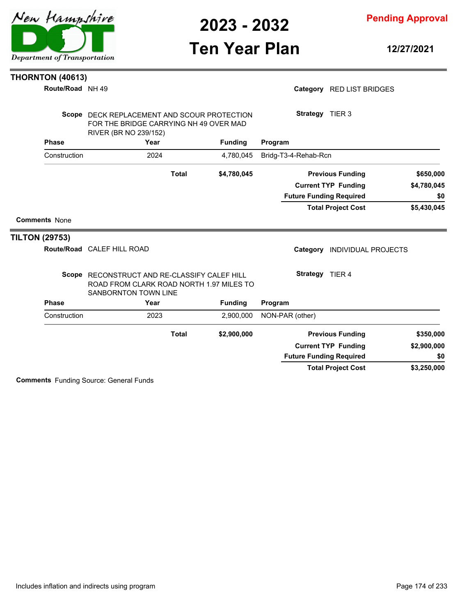**Pending Approval**

## **Ten Year Plan**

**12/27/2021**

#### **THORNTON (40613)**

|                       | Route/Road NH 49     |                                                                                                                  |                |                                | Category RED LIST BRIDGES    |             |
|-----------------------|----------------------|------------------------------------------------------------------------------------------------------------------|----------------|--------------------------------|------------------------------|-------------|
|                       |                      | Scope DECK REPLACEMENT AND SCOUR PROTECTION<br>FOR THE BRIDGE CARRYING NH 49 OVER MAD<br>RIVER (BR NO 239/152)   |                | Strategy TIER 3                |                              |             |
|                       | <b>Phase</b>         | Year                                                                                                             | <b>Funding</b> | Program                        |                              |             |
|                       | Construction         | 2024                                                                                                             | 4.780.045      | Bridg-T3-4-Rehab-Rcn           |                              |             |
|                       |                      | <b>Total</b>                                                                                                     | \$4,780,045    |                                | <b>Previous Funding</b>      | \$650,000   |
|                       |                      |                                                                                                                  |                |                                | <b>Current TYP Funding</b>   | \$4,780,045 |
|                       |                      |                                                                                                                  |                | <b>Future Funding Required</b> |                              | \$0         |
|                       |                      |                                                                                                                  |                |                                | <b>Total Project Cost</b>    | \$5,430,045 |
|                       | <b>Comments None</b> |                                                                                                                  |                |                                |                              |             |
| <b>TILTON (29753)</b> |                      |                                                                                                                  |                |                                |                              |             |
|                       |                      | Route/Road CALEF HILL ROAD                                                                                       |                |                                | Category INDIVIDUAL PROJECTS |             |
|                       |                      | Scope RECONSTRUCT AND RE-CLASSIFY CALEF HILL<br>ROAD FROM CLARK ROAD NORTH 1.97 MILES TO<br>SANBORNTON TOWN LINE |                | Strategy TIER 4                |                              |             |
|                       | <b>Phase</b>         | Year                                                                                                             | <b>Funding</b> | Program                        |                              |             |
|                       | Construction         | 2023                                                                                                             | 2,900,000      | NON-PAR (other)                |                              |             |
|                       |                      | <b>Total</b>                                                                                                     | \$2,900,000    |                                | <b>Previous Funding</b>      | \$350,000   |
|                       |                      |                                                                                                                  |                |                                | <b>Current TYP Funding</b>   | \$2,900,000 |
|                       |                      |                                                                                                                  |                | <b>Future Funding Required</b> |                              | \$0         |
|                       |                      |                                                                                                                  |                |                                | <b>Total Project Cost</b>    | \$3,250,000 |

**Comments** Funding Source: General Funds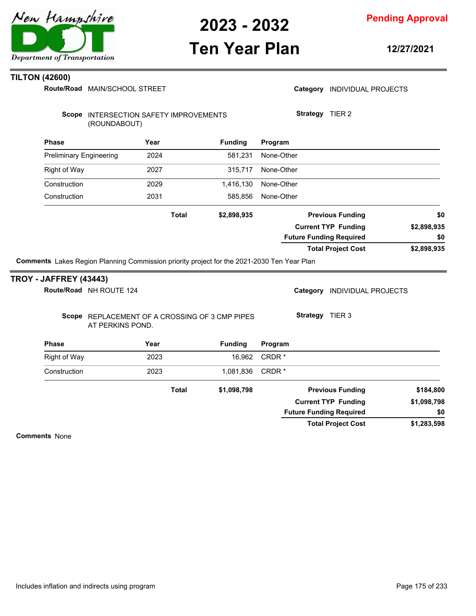

**Pending Approval**

# **Ten Year Plan**

**12/27/2021**

### **TILTON (42600)**

Route/Road MAIN/SCHOOL STREET

|                                              |                                                                                            | Route/Road MAIN/SCHOOL STREET |                |            | Category INDIVIDUAL PROJECTS   |             |
|----------------------------------------------|--------------------------------------------------------------------------------------------|-------------------------------|----------------|------------|--------------------------------|-------------|
|                                              | Scope INTERSECTION SAFETY IMPROVEMENTS<br>(ROUNDABOUT)                                     |                               |                |            | Strategy TIER 2                |             |
| <b>Phase</b>                                 |                                                                                            | Year                          | <b>Funding</b> | Program    |                                |             |
| <b>Preliminary Engineering</b>               |                                                                                            | 2024                          | 581,231        | None-Other |                                |             |
| <b>Right of Way</b>                          |                                                                                            | 2027                          | 315,717        | None-Other |                                |             |
| Construction                                 |                                                                                            | 2029                          | 1,416,130      | None-Other |                                |             |
| Construction                                 |                                                                                            | 2031                          | 585,856        | None-Other |                                |             |
|                                              |                                                                                            | <b>Total</b>                  | \$2,898,935    |            | <b>Previous Funding</b>        | \$0         |
|                                              |                                                                                            |                               |                |            | <b>Current TYP Funding</b>     | \$2,898,935 |
|                                              |                                                                                            |                               |                |            | <b>Future Funding Required</b> | \$0         |
|                                              | Comments Lakes Region Planning Commission priority project for the 2021-2030 Ten Year Plan |                               |                |            | <b>Total Project Cost</b>      | \$2,898,935 |
|                                              |                                                                                            |                               |                |            |                                |             |
| <b>ROY - JAFFREY (43443)</b>                 |                                                                                            |                               |                |            |                                |             |
|                                              |                                                                                            |                               |                |            |                                |             |
|                                              | Route/Road NH ROUTE 124                                                                    |                               |                |            | Category INDIVIDUAL PROJECTS   |             |
|                                              | Scope REPLACEMENT OF A CROSSING OF 3 CMP PIPES<br>AT PERKINS POND.                         |                               |                |            | Strategy TIER 3                |             |
|                                              |                                                                                            | Year                          | <b>Funding</b> | Program    |                                |             |
|                                              |                                                                                            | 2023                          | 16,962         | CRDR*      |                                |             |
|                                              |                                                                                            | 2023                          | 1,081,836      | CRDR*      |                                |             |
| <b>Phase</b><br>Right of Way<br>Construction |                                                                                            | <b>Total</b>                  | \$1,098,798    |            | <b>Previous Funding</b>        | \$184,800   |
|                                              |                                                                                            |                               |                |            | <b>Current TYP Funding</b>     | \$1,098,798 |
|                                              |                                                                                            |                               |                |            | <b>Future Funding Required</b> | \$0         |

**Comments** None

**TROY**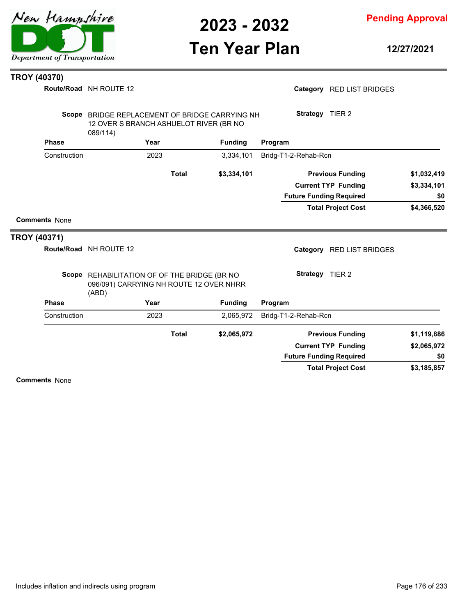

**Pending Approval**

# **Ten Year Plan**

**12/27/2021**

#### **TROY (40370)**

**Route/Road** NH ROUTE 12

|                     |                      | <b>Route/Road</b> NH ROUTE 12                                                                        |              |                |                                | Category RED LIST BRIDGES  |             |
|---------------------|----------------------|------------------------------------------------------------------------------------------------------|--------------|----------------|--------------------------------|----------------------------|-------------|
|                     |                      | Scope BRIDGE REPLACEMENT OF BRIDGE CARRYING NH<br>12 OVER S BRANCH ASHUELOT RIVER (BR NO<br>089/114) |              |                | Strategy TIER 2                |                            |             |
|                     | <b>Phase</b>         | Year                                                                                                 |              | <b>Funding</b> | Program                        |                            |             |
|                     | Construction         | 2023                                                                                                 |              | 3,334,101      | Bridg-T1-2-Rehab-Rcn           |                            |             |
|                     |                      |                                                                                                      | <b>Total</b> | \$3,334,101    |                                | <b>Previous Funding</b>    | \$1,032,419 |
|                     |                      |                                                                                                      |              |                |                                | <b>Current TYP Funding</b> | \$3,334,101 |
|                     |                      |                                                                                                      |              |                | <b>Future Funding Required</b> |                            | \$0         |
|                     |                      |                                                                                                      |              |                |                                | <b>Total Project Cost</b>  | \$4,366,520 |
|                     | <b>Comments None</b> |                                                                                                      |              |                |                                |                            |             |
| <b>TROY (40371)</b> |                      |                                                                                                      |              |                |                                |                            |             |
|                     |                      | Route/Road NH ROUTE 12                                                                               |              |                |                                | Category RED LIST BRIDGES  |             |
|                     |                      | Scope REHABILITATION OF OF THE BRIDGE (BR NO<br>096/091) CARRYING NH ROUTE 12 OVER NHRR<br>(ABD)     |              |                | Strategy TIER 2                |                            |             |
|                     | <b>Phase</b>         | Year                                                                                                 |              | <b>Funding</b> | Program                        |                            |             |
|                     | Construction         | 2023                                                                                                 |              | 2,065,972      | Bridg-T1-2-Rehab-Rcn           |                            |             |
|                     |                      |                                                                                                      | <b>Total</b> | \$2,065,972    |                                | <b>Previous Funding</b>    | \$1,119,886 |
|                     |                      |                                                                                                      |              |                |                                | <b>Current TYP Funding</b> | \$2,065,972 |
|                     |                      |                                                                                                      |              |                | <b>Future Funding Required</b> |                            | \$0         |
|                     |                      |                                                                                                      |              |                |                                | <b>Total Project Cost</b>  | \$3,185,857 |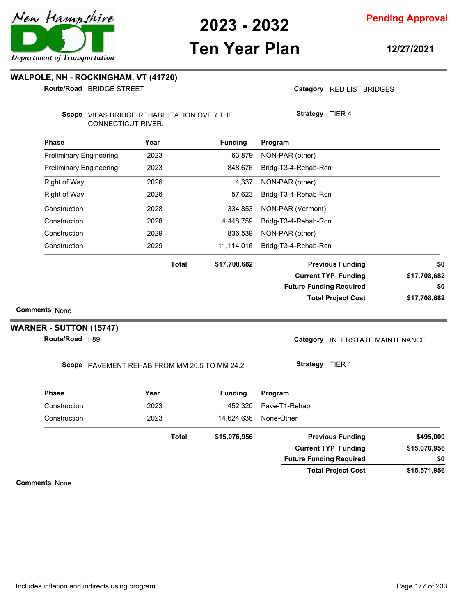# **Ten Year Plan**

**12/27/2021**

### **WALPOLE, NH - ROCKINGHAM, VT (41720)**

BRIDGE STREET **Route/Road**

Category RED LIST BRIDGES

**Strategy** TIER 4

Scope VILAS BRIDGE REHABILITATION OVER THE CONNECTICUT RIVER.

| Phase                          | Year  | <b>Funding</b> | Program                        |              |
|--------------------------------|-------|----------------|--------------------------------|--------------|
| <b>Preliminary Engineering</b> | 2023  | 63,879         | NON-PAR (other)                |              |
| <b>Preliminary Engineering</b> | 2023  | 848,676        | Bridg-T3-4-Rehab-Rcn           |              |
| Right of Way                   | 2026  | 4,337          | NON-PAR (other)                |              |
| <b>Right of Way</b>            | 2026  | 57,623         | Bridg-T3-4-Rehab-Rcn           |              |
| Construction                   | 2028  | 334,853        | NON-PAR (Vermont)              |              |
| Construction                   | 2028  | 4,448,759      | Bridg-T3-4-Rehab-Rcn           |              |
| Construction                   | 2029  | 836,539        | NON-PAR (other)                |              |
| Construction                   | 2029  | 11,114,016     | Bridg-T3-4-Rehab-Rcn           |              |
|                                | Total | \$17,708,682   | <b>Previous Funding</b>        | \$0          |
|                                |       |                | <b>Current TYP Funding</b>     | \$17,708,682 |
|                                |       |                | <b>Future Funding Required</b> | \$0          |
| ite Nono                       |       |                | <b>Total Project Cost</b>      | \$17,708,682 |

**Comments** None

 $\overline{\phantom{a}}$ 

### **WARNER - SUTTON (15747)**

**Route/Road** 1-89

Category INTERSTATE MAINTENANCE

Scope PAVEMENT REHAB FROM MM 20.5 TO MM 24.2

**Strategy** TIER 1

| <b>Phase</b> | Year         | <b>Funding</b> | Program                        |              |
|--------------|--------------|----------------|--------------------------------|--------------|
| Construction | 2023         | 452.320        | Pave-T1-Rehab                  |              |
| Construction | 2023         | 14.624.636     | None-Other                     |              |
|              | <b>Total</b> | \$15,076,956   | <b>Previous Funding</b>        | \$495,000    |
|              |              |                | <b>Current TYP Funding</b>     | \$15,076,956 |
|              |              |                | <b>Future Funding Required</b> | \$0          |
|              |              |                | <b>Total Project Cost</b>      | \$15,571,956 |

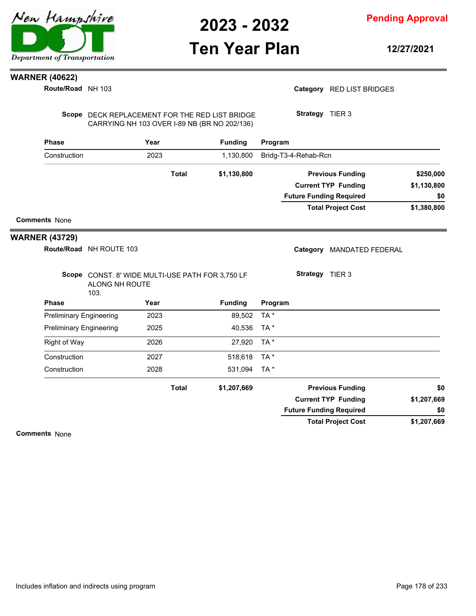

## **Ten Year Plan**

**Pending Approval**

**12/27/2021**

### **WARNER (40622)**

**Route/Road** NH 103

Category RED LIST BRIDGES

Scope DECK REPLACEMENT FOR THE RED LIST BRIDGE CARRYING NH 103 OVER I-89 NB (BR NO 202/136)

**Strategy** TIER 3

| <b>Phase</b>                   |                                                                            | Year |              | <b>Funding</b> | Program |                                |                            |             |
|--------------------------------|----------------------------------------------------------------------------|------|--------------|----------------|---------|--------------------------------|----------------------------|-------------|
| Construction                   | 2023                                                                       |      | 1,130,800    |                |         | Bridg-T3-4-Rehab-Rcn           |                            |             |
|                                |                                                                            |      | <b>Total</b> | \$1,130,800    |         | \$250,000                      |                            |             |
|                                |                                                                            |      |              |                |         |                                | <b>Current TYP Funding</b> | \$1,130,800 |
|                                |                                                                            |      |              |                |         | <b>Future Funding Required</b> |                            | \$0         |
|                                |                                                                            |      |              |                |         |                                | <b>Total Project Cost</b>  | \$1,380,800 |
| <b>Comments None</b>           |                                                                            |      |              |                |         |                                |                            |             |
| <b>WARNER (43729)</b>          |                                                                            |      |              |                |         |                                |                            |             |
|                                | Route/Road NH ROUTE 103                                                    |      |              |                |         | Category                       | <b>MANDATED FEDERAL</b>    |             |
|                                | Scope CONST. 8' WIDE MULTI-USE PATH FOR 3,750 LF<br>ALONG NH ROUTE<br>103. |      |              |                |         | Strategy TIER 3                |                            |             |
| <b>Phase</b>                   |                                                                            | Year |              | <b>Funding</b> | Program |                                |                            |             |
| <b>Preliminary Engineering</b> |                                                                            | 2023 |              | 89,502         | TA*     |                                |                            |             |
| <b>Preliminary Engineering</b> |                                                                            | 2025 |              | 40,536         | TA *    |                                |                            |             |
| Right of Way                   |                                                                            | 2026 |              | 27,920         | TA *    |                                |                            |             |
| Construction                   |                                                                            | 2027 |              | 518,618        | TA*     |                                |                            |             |
| Construction                   |                                                                            | 2028 |              | 531,094        | TA *    |                                |                            |             |
|                                |                                                                            |      | <b>Total</b> | \$1,207,669    |         |                                | <b>Previous Funding</b>    | \$0         |
|                                |                                                                            |      |              |                |         |                                | <b>Current TYP Funding</b> | \$1,207,669 |
|                                |                                                                            |      |              |                |         | <b>Future Funding Required</b> |                            | \$0         |
|                                |                                                                            |      |              |                |         |                                | <b>Total Project Cost</b>  | \$1,207,669 |
| Commands N.L.                  |                                                                            |      |              |                |         |                                |                            |             |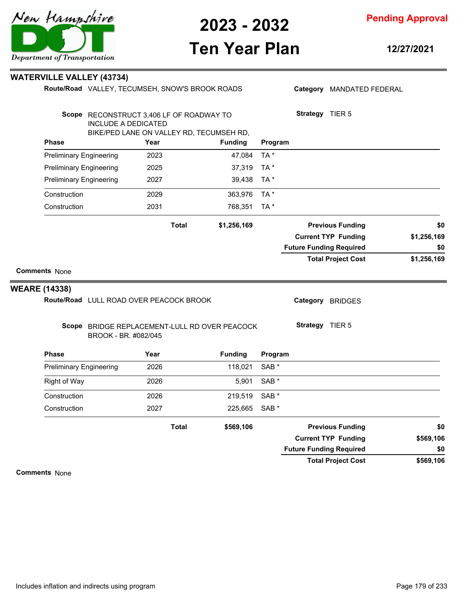

# **Ten Year Plan**

**12/27/2021**

| WATERVILLE VALLEY (43734) |  |  |
|---------------------------|--|--|
|---------------------------|--|--|

|                                              |                                                                                                                    | Route/Road VALLEY, TECUMSEH, SNOW'S BROOK ROADS |              |                |                  | Category MANDATED FEDERAL      |                            |             |
|----------------------------------------------|--------------------------------------------------------------------------------------------------------------------|-------------------------------------------------|--------------|----------------|------------------|--------------------------------|----------------------------|-------------|
|                                              | Scope RECONSTRUCT 3,406 LF OF ROADWAY TO<br><b>INCLUDE A DEDICATED</b><br>BIKE/PED LANE ON VALLEY RD, TECUMSEH RD, |                                                 |              |                |                  | Strategy TIER 5                |                            |             |
| <b>Phase</b>                                 |                                                                                                                    | Year                                            |              | <b>Funding</b> | Program          |                                |                            |             |
| <b>Preliminary Engineering</b>               |                                                                                                                    | 2023                                            |              | 47,084         | TA*              |                                |                            |             |
| <b>Preliminary Engineering</b>               |                                                                                                                    | 2025                                            |              | 37,319         | TA*              |                                |                            |             |
| <b>Preliminary Engineering</b>               |                                                                                                                    | 2027                                            |              | 39,438         | TA *             |                                |                            |             |
| Construction                                 |                                                                                                                    | 2029                                            |              | 363,976        | TA*              |                                |                            |             |
| Construction                                 |                                                                                                                    | 2031                                            |              | 768,351        | TA*              |                                |                            |             |
|                                              |                                                                                                                    |                                                 | <b>Total</b> | \$1,256,169    |                  |                                | <b>Previous Funding</b>    | \$0         |
|                                              |                                                                                                                    |                                                 |              |                |                  |                                | <b>Current TYP Funding</b> | \$1,256,169 |
|                                              |                                                                                                                    |                                                 |              |                |                  | <b>Future Funding Required</b> |                            | \$0         |
| <b>Comments None</b><br><b>WEARE (14338)</b> |                                                                                                                    |                                                 |              |                |                  |                                |                            |             |
|                                              | Route/Road LULL ROAD OVER PEACOCK BROOK                                                                            |                                                 |              |                |                  |                                | Category BRIDGES           |             |
|                                              | Scope BRIDGE REPLACEMENT-LULL RD OVER PEACOCK<br>BROOK - BR. #082/045                                              |                                                 |              |                |                  | Strategy TIER 5                |                            |             |
| <b>Phase</b>                                 |                                                                                                                    | Year                                            |              | <b>Funding</b> | Program          |                                |                            |             |
| <b>Preliminary Engineering</b>               |                                                                                                                    | 2026                                            |              | 118,021        | SAB <sup>*</sup> |                                |                            |             |
| Right of Way                                 |                                                                                                                    | 2026                                            |              | 5,901          | SAB *            |                                |                            |             |
| Construction                                 |                                                                                                                    | 2026                                            |              | 219,519        | SAB *            |                                |                            |             |
| Construction                                 |                                                                                                                    | 2027                                            |              | 225,665        | SAB <sup>*</sup> |                                |                            |             |
|                                              |                                                                                                                    |                                                 | <b>Total</b> | \$569,106      |                  |                                | <b>Previous Funding</b>    | \$0         |
|                                              |                                                                                                                    |                                                 |              |                |                  |                                | <b>Current TYP Funding</b> | \$569,106   |
|                                              |                                                                                                                    |                                                 |              |                |                  | <b>Future Funding Required</b> |                            | \$0         |
|                                              |                                                                                                                    |                                                 |              |                |                  |                                | <b>Total Project Cost</b>  | \$569,106   |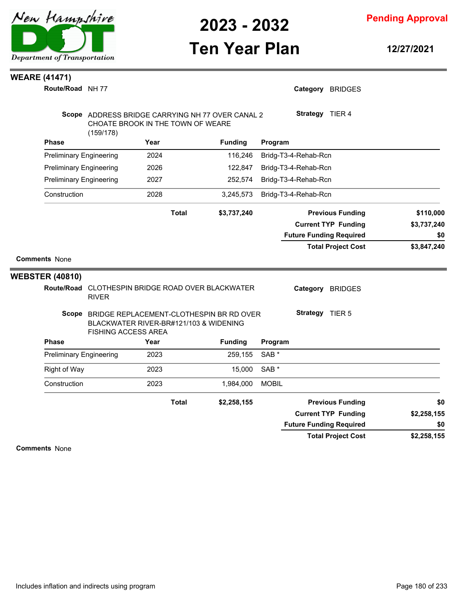

### **Ten Year Plan**

**Pending Approval**

**12/27/2021**

### **WEARE (41471)**

**Route/Road** NH 77

| Route/Road NH 77                                         |                                                                      |      |              |                                                  |                  | Category BRIDGES               |                                   |
|----------------------------------------------------------|----------------------------------------------------------------------|------|--------------|--------------------------------------------------|------------------|--------------------------------|-----------------------------------|
|                                                          | CHOATE BROOK IN THE TOWN OF WEARE<br>(159/178)                       |      |              | Scope ADDRESS BRIDGE CARRYING NH 77 OVER CANAL 2 |                  | Strategy TIER 4                |                                   |
| <b>Phase</b>                                             |                                                                      | Year |              | <b>Funding</b>                                   | Program          |                                |                                   |
| <b>Preliminary Engineering</b>                           |                                                                      | 2024 |              | 116,246                                          |                  | Bridg-T3-4-Rehab-Rcn           |                                   |
| <b>Preliminary Engineering</b>                           |                                                                      | 2026 |              | 122,847                                          |                  | Bridg-T3-4-Rehab-Rcn           |                                   |
| <b>Preliminary Engineering</b>                           |                                                                      | 2027 |              | 252,574                                          |                  | Bridg-T3-4-Rehab-Rcn           |                                   |
| Construction                                             |                                                                      | 2028 |              | 3,245,573                                        |                  | Bridg-T3-4-Rehab-Rcn           |                                   |
|                                                          |                                                                      |      | <b>Total</b> | \$3,737,240                                      |                  | <b>Previous Funding</b>        | \$110,000                         |
|                                                          |                                                                      |      |              |                                                  |                  | <b>Current TYP Funding</b>     | \$3,737,240                       |
|                                                          |                                                                      |      |              |                                                  |                  | <b>Future Funding Required</b> | \$0                               |
|                                                          |                                                                      |      |              |                                                  |                  | <b>Total Project Cost</b>      |                                   |
| <b>Comments None</b>                                     |                                                                      |      |              |                                                  |                  |                                |                                   |
| <b>Route/Road</b>                                        | <b>RIVER</b>                                                         |      |              | CLOTHESPIN BRIDGE ROAD OVER BLACKWATER           |                  | Category BRIDGES               |                                   |
| Scope                                                    | BLACKWATER RIVER-BR#121/103 & WIDENING<br><b>FISHING ACCESS AREA</b> |      |              | BRIDGE REPLACEMENT-CLOTHESPIN BR RD OVER         |                  | Strategy TIER 5                |                                   |
| <b>Phase</b>                                             |                                                                      | Year |              | <b>Funding</b>                                   | Program          |                                |                                   |
| <b>WEBSTER (40810)</b><br><b>Preliminary Engineering</b> |                                                                      | 2023 |              | 259,155                                          | SAB <sup>*</sup> |                                |                                   |
| <b>Right of Way</b>                                      |                                                                      | 2023 |              | 15,000                                           | SAB <sup>*</sup> |                                |                                   |
| Construction                                             |                                                                      | 2023 |              | 1,984,000                                        | <b>MOBIL</b>     |                                |                                   |
|                                                          |                                                                      |      | <b>Total</b> | \$2,258,155                                      |                  | <b>Previous Funding</b>        |                                   |
|                                                          |                                                                      |      |              |                                                  |                  | <b>Current TYP Funding</b>     | \$3,847,240<br>\$0<br>\$2,258,155 |

**\$2,258,155 Total Project Cost**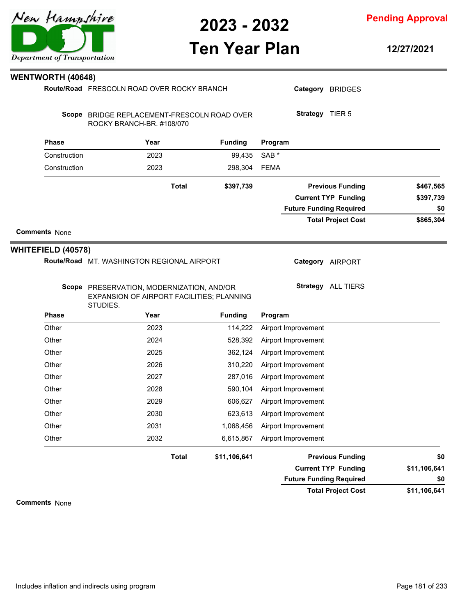

# **Ten Year Plan**

**12/27/2021**

**Pending Approval**

|                           | Route/Road FRESCOLN ROAD OVER ROCKY BRANCH                                                         | Category BRIDGES |                                |              |  |
|---------------------------|----------------------------------------------------------------------------------------------------|------------------|--------------------------------|--------------|--|
|                           | Scope BRIDGE REPLACEMENT-FRESCOLN ROAD OVER<br>ROCKY BRANCH-BR. #108/070                           |                  | Strategy TIER 5                |              |  |
| <b>Phase</b>              | Year                                                                                               | <b>Funding</b>   | Program                        |              |  |
| Construction              | 2023                                                                                               | 99,435           | SAB <sup>*</sup>               |              |  |
| Construction              | 2023                                                                                               | 298,304          | <b>FEMA</b>                    |              |  |
|                           | <b>Total</b>                                                                                       | \$397,739        | <b>Previous Funding</b>        | \$467,565    |  |
|                           |                                                                                                    |                  | <b>Current TYP Funding</b>     | \$397,739    |  |
|                           |                                                                                                    |                  | <b>Future Funding Required</b> | \$0          |  |
|                           |                                                                                                    |                  | <b>Total Project Cost</b>      | \$865,304    |  |
| <b>Comments None</b>      |                                                                                                    |                  |                                |              |  |
| <b>WHITEFIELD (40578)</b> |                                                                                                    |                  |                                |              |  |
|                           | Route/Road MT. WASHINGTON REGIONAL AIRPORT                                                         |                  | Category AIRPORT               |              |  |
|                           | Scope PRESERVATION, MODERNIZATION, AND/OR<br>EXPANSION OF AIRPORT FACILITIES; PLANNING<br>STUDIES. |                  | Strategy ALL TIERS             |              |  |
| <b>Phase</b>              | Year                                                                                               | <b>Funding</b>   | Program                        |              |  |
| Other                     | 2023                                                                                               | 114,222          | Airport Improvement            |              |  |
| Other                     | 2024                                                                                               | 528,392          | Airport Improvement            |              |  |
|                           |                                                                                                    |                  |                                |              |  |
| Other                     | 2025                                                                                               | 362,124          | Airport Improvement            |              |  |
| Other                     | 2026                                                                                               | 310,220          | Airport Improvement            |              |  |
| Other                     | 2027                                                                                               | 287,016          | Airport Improvement            |              |  |
| Other                     | 2028                                                                                               | 590,104          | Airport Improvement            |              |  |
| Other                     | 2029                                                                                               | 606,627          | Airport Improvement            |              |  |
| Other                     | 2030                                                                                               | 623,613          | Airport Improvement            |              |  |
| Other                     | 2031                                                                                               | 1,068,456        | Airport Improvement            |              |  |
| Other                     | 2032                                                                                               | 6,615,867        | Airport Improvement            |              |  |
|                           | <b>Total</b>                                                                                       | \$11,106,641     | <b>Previous Funding</b>        | \$0          |  |
|                           |                                                                                                    |                  | <b>Current TYP Funding</b>     | \$11,106,641 |  |
|                           |                                                                                                    |                  | <b>Future Funding Required</b> | \$0          |  |



**WENTWORTH (40648)**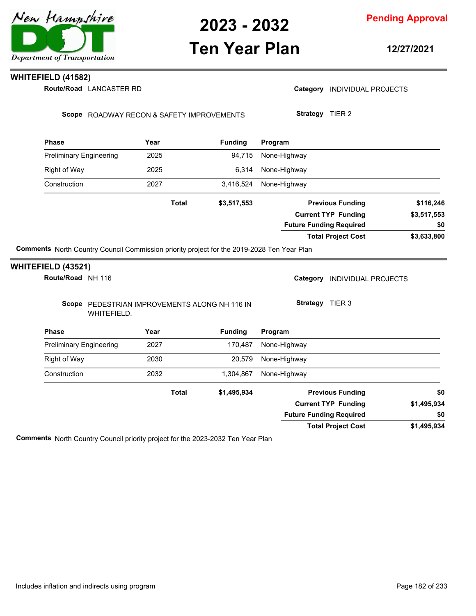

## **Ten Year Plan**

**Pending Approval**

**12/27/2021**

### **WHITEFIELD (41582)**

Route/Road LANCASTER RD

Category **INDIVIDUAL PROJECTS** 

Scope ROADWAY RECON & SAFETY IMPROVEMENTS

**Strategy** TIER 2

| <b>Phase</b>        |                                | Year         | <b>Funding</b>                                                                                    | Program                        |                            |             |
|---------------------|--------------------------------|--------------|---------------------------------------------------------------------------------------------------|--------------------------------|----------------------------|-------------|
|                     | <b>Preliminary Engineering</b> | 2025         | 94,715                                                                                            | None-Highway                   |                            |             |
| <b>Right of Way</b> |                                | 2025         | 6,314                                                                                             | None-Highway                   |                            |             |
| Construction        |                                | 2027         | 3,416,524                                                                                         | None-Highway                   |                            |             |
|                     |                                | <b>Total</b> | \$3,517,553                                                                                       |                                | <b>Previous Funding</b>    | \$116,246   |
|                     |                                |              |                                                                                                   |                                | <b>Current TYP Funding</b> | \$3,517,553 |
|                     |                                |              |                                                                                                   | <b>Future Funding Required</b> |                            | \$0         |
|                     |                                |              |                                                                                                   |                                | <b>Total Project Cost</b>  | \$3,633,800 |
|                     |                                |              | <b>Comments</b> North Country Council Commission priority project for the 2019-2028 Ten Year Plan |                                |                            |             |
| WHITEFIELD (43521)  |                                |              |                                                                                                   |                                |                            |             |
|                     | Route/Road NH 116              |              |                                                                                                   | Category                       | <b>INDIVIDUAL PROJECTS</b> |             |
|                     | WHITEFIELD.                    |              | Scope PEDESTRIAN IMPROVEMENTS ALONG NH 116 IN                                                     | <b>Strategy</b>                | TIER <sub>3</sub>          |             |

| <b>Phase</b>                   | Year         | <b>Funding</b> | Program                        |             |
|--------------------------------|--------------|----------------|--------------------------------|-------------|
| <b>Preliminary Engineering</b> | 2027         | 170.487        | None-Highway                   |             |
| Right of Way                   | 2030         | 20,579         | None-Highway                   |             |
| Construction                   | 2032         | 1,304,867      | None-Highway                   |             |
|                                | <b>Total</b> | \$1,495,934    | <b>Previous Funding</b>        | \$0         |
|                                |              |                | <b>Current TYP Funding</b>     | \$1,495,934 |
|                                |              |                | <b>Future Funding Required</b> | \$0         |
|                                |              |                | <b>Total Project Cost</b>      | \$1,495,934 |

**Comments** North Country Council priority project for the 2023-2032 Ten Year Plan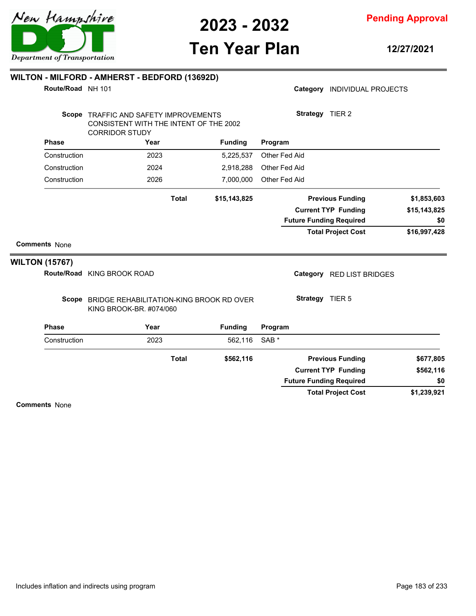

# **Ten Year Plan**

**12/27/2021**

| Route/Road NH 101     | WILTON - MILFORD - AMHERST - BEDFORD (13692D)                                                            |              |                |                  |               | Category INDIVIDUAL PROJECTS   |              |
|-----------------------|----------------------------------------------------------------------------------------------------------|--------------|----------------|------------------|---------------|--------------------------------|--------------|
|                       | Scope TRAFFIC AND SAFETY IMPROVEMENTS<br>CONSISTENT WITH THE INTENT OF THE 2002<br><b>CORRIDOR STUDY</b> |              |                |                  |               | Strategy TIER 2                |              |
| <b>Phase</b>          | Year                                                                                                     |              | <b>Funding</b> | Program          |               |                                |              |
| Construction          | 2023                                                                                                     |              | 5,225,537      |                  | Other Fed Aid |                                |              |
| Construction          | 2024                                                                                                     |              | 2,918,288      |                  | Other Fed Aid |                                |              |
| Construction          | 2026                                                                                                     |              | 7,000,000      |                  | Other Fed Aid |                                |              |
|                       |                                                                                                          | <b>Total</b> | \$15,143,825   |                  |               | <b>Previous Funding</b>        | \$1,853,603  |
|                       |                                                                                                          |              |                |                  |               | <b>Current TYP Funding</b>     | \$15,143,825 |
|                       |                                                                                                          |              |                |                  |               | <b>Future Funding Required</b> | \$0          |
|                       |                                                                                                          |              |                |                  |               | <b>Total Project Cost</b>      | \$16,997,428 |
| <b>Comments None</b>  |                                                                                                          |              |                |                  |               |                                |              |
| <b>WILTON (15767)</b> |                                                                                                          |              |                |                  |               |                                |              |
|                       | Route/Road KING BROOK ROAD                                                                               |              |                |                  |               | Category RED LIST BRIDGES      |              |
|                       | Scope BRIDGE REHABILITATION-KING BROOK RD OVER<br>KING BROOK-BR. #074/060                                |              |                |                  |               | Strategy TIER 5                |              |
| <b>Phase</b>          | Year                                                                                                     |              | <b>Funding</b> | Program          |               |                                |              |
| Construction          | 2023                                                                                                     |              | 562,116        | SAB <sup>*</sup> |               |                                |              |
|                       |                                                                                                          | <b>Total</b> | \$562,116      |                  |               | <b>Previous Funding</b>        | \$677,805    |
|                       |                                                                                                          |              |                |                  |               | <b>Current TYP Funding</b>     | \$562,116    |
|                       |                                                                                                          |              |                |                  |               | <b>Future Funding Required</b> | \$0          |
|                       |                                                                                                          |              |                |                  |               | <b>Total Project Cost</b>      | \$1,239,921  |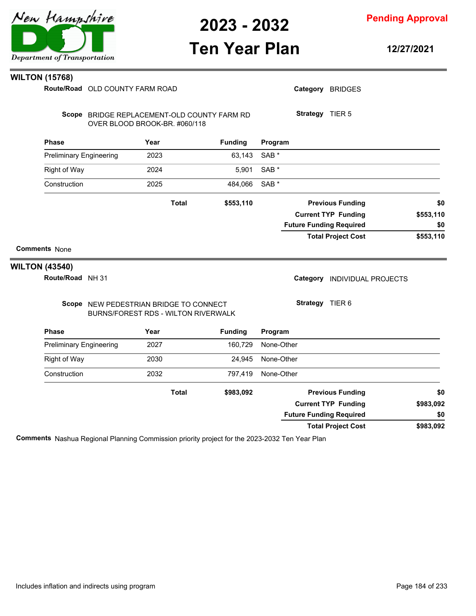

**Pending Approval**

# **Ten Year Plan**

**12/27/2021**

#### **WILTON (15768)**

OLD COUNTY FARM ROAD **Route/Road**

| Route/Road OLD COUNTY FARM ROAD |                                                                               |      |              |                | Category BRIDGES |                 |                                |           |
|---------------------------------|-------------------------------------------------------------------------------|------|--------------|----------------|------------------|-----------------|--------------------------------|-----------|
|                                 | Scope BRIDGE REPLACEMENT-OLD COUNTY FARM RD<br>OVER BLOOD BROOK-BR. #060/118  |      |              |                |                  | Strategy TIER 5 |                                |           |
| <b>Phase</b>                    |                                                                               | Year |              | <b>Funding</b> | Program          |                 |                                |           |
| <b>Preliminary Engineering</b>  |                                                                               | 2023 |              | 63,143         | SAB <sup>*</sup> |                 |                                |           |
| <b>Right of Way</b>             |                                                                               | 2024 |              | 5,901          | SAB <sup>*</sup> |                 |                                |           |
| Construction                    |                                                                               | 2025 |              | 484,066        | SAB <sup>*</sup> |                 |                                |           |
|                                 |                                                                               |      | <b>Total</b> | \$553,110      |                  |                 | <b>Previous Funding</b>        | \$0       |
|                                 |                                                                               |      |              |                |                  |                 | <b>Current TYP Funding</b>     | \$553,110 |
|                                 |                                                                               |      |              |                |                  |                 | <b>Future Funding Required</b> | \$0       |
|                                 |                                                                               |      |              |                |                  |                 | <b>Total Project Cost</b>      | \$553,110 |
| <b>Comments None</b>            |                                                                               |      |              |                |                  |                 |                                |           |
| <b>WILTON (43540)</b>           |                                                                               |      |              |                |                  |                 |                                |           |
| Route/Road NH 31                |                                                                               |      |              |                |                  |                 | Category INDIVIDUAL PROJECTS   |           |
|                                 | Scope NEW PEDESTRIAN BRIDGE TO CONNECT<br>BURNS/FOREST RDS - WILTON RIVERWALK |      |              |                |                  | Strategy TIER 6 |                                |           |
| <b>Phase</b>                    |                                                                               | Year |              | <b>Funding</b> | Program          |                 |                                |           |
| <b>Preliminary Engineering</b>  |                                                                               | 2027 |              | 160,729        | None-Other       |                 |                                |           |
| Right of Way                    |                                                                               | 2030 |              | 24,945         | None-Other       |                 |                                |           |
| Construction                    |                                                                               | 2032 |              | 797,419        | None-Other       |                 |                                |           |
|                                 |                                                                               |      |              |                |                  |                 |                                |           |

| eliminary Engineering | 2027  | 160.729   | None-Other                     |           |
|-----------------------|-------|-----------|--------------------------------|-----------|
| ght of Way            | 2030  | 24.945    | None-Other                     |           |
| nstruction            | 2032  | 797.419   | None-Other                     |           |
|                       | Total | \$983,092 | <b>Previous Funding</b>        | \$0       |
|                       |       |           | <b>Current TYP Funding</b>     | \$983,092 |
|                       |       |           | <b>Future Funding Required</b> | \$0       |
|                       |       |           | <b>Total Project Cost</b>      | \$983,092 |

**Comments** Nashua Regional Planning Commission priority project for the 2023-2032 Ten Year Plan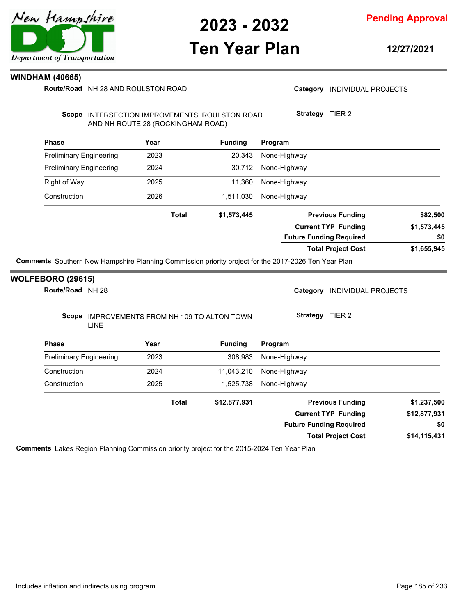

**Pending Approval**

### **Ten Year Plan**

**12/27/2021**

Category **INDIVIDUAL PROJECTS** 

#### **WINDHAM (40665)**

**Route/Road** NH 28 AND ROULSTON ROAD

| <b>Phase</b>                                                                                                | Year         | <b>Funding</b> | Program                                                                                              |              |
|-------------------------------------------------------------------------------------------------------------|--------------|----------------|------------------------------------------------------------------------------------------------------|--------------|
| <b>Preliminary Engineering</b>                                                                              | 2023         | 20,343         | None-Highway                                                                                         |              |
| <b>Preliminary Engineering</b>                                                                              | 2024         | 30,712         | None-Highway                                                                                         |              |
| <b>Right of Way</b>                                                                                         | 2025         | 11,360         | None-Highway                                                                                         |              |
| Construction                                                                                                | 2026         | 1,511,030      | None-Highway                                                                                         |              |
|                                                                                                             | <b>Total</b> | \$1,573,445    | <b>Previous Funding</b>                                                                              | \$82,500     |
|                                                                                                             |              |                | <b>Current TYP Funding</b>                                                                           | \$1,573,445  |
|                                                                                                             |              |                | <b>Future Funding Required</b>                                                                       | \$0          |
|                                                                                                             |              |                | <b>Total Project Cost</b>                                                                            | \$1,655,945  |
|                                                                                                             |              |                | Comments Southern New Hampshire Planning Commission priority project for the 2017-2026 Ten Year Plan |              |
|                                                                                                             |              |                | Category<br><b>INDIVIDUAL PROJECTS</b>                                                               |              |
| <b>WOLFEBORO (29615)</b><br>Route/Road NH 28<br>Scope IMPROVEMENTS FROM NH 109 TO ALTON TOWN<br><b>LINE</b> |              |                | Strategy TIER 2                                                                                      |              |
|                                                                                                             | Year         | <b>Funding</b> | Program                                                                                              |              |
|                                                                                                             | 2023         | 308,983        | None-Highway                                                                                         |              |
| <b>Phase</b><br><b>Preliminary Engineering</b><br>Construction                                              | 2024         | 11,043,210     | None-Highway                                                                                         |              |
|                                                                                                             | 2025         | 1,525,738      | None-Highway                                                                                         |              |
|                                                                                                             | <b>Total</b> | \$12,877,931   | <b>Previous Funding</b>                                                                              | \$1,237,500  |
| Construction                                                                                                |              |                | <b>Current TYP Funding</b>                                                                           | \$12,877,931 |

**\$14,115,431 Total Project Cost**

**Comments** Lakes Region Planning Commission priority project for the 2015-2024 Ten Year Plan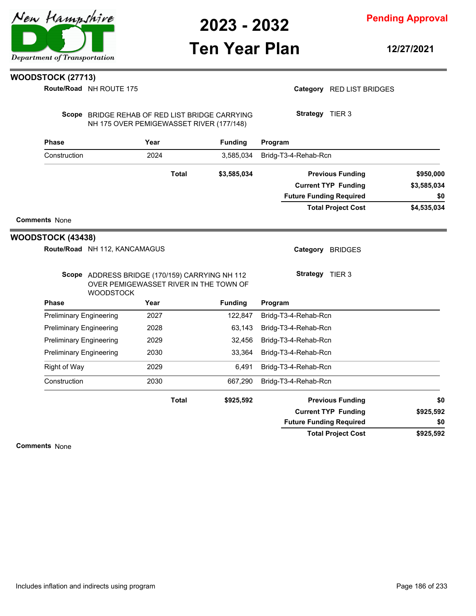## **Ten Year Plan**

**Pending Approval**

**12/27/2021**

### **WOODSTOCK (27713)**

**Route/Road** NH ROUTE 175

Category RED LIST BRIDGES

Scope BRIDGE REHAB OF RED LIST BRIDGE CARRYING NH 175 OVER PEMIGEWASSET RIVER (177/148)

**Strategy** TIER 3

| <b>Phase</b>             | Year                          |              | <b>Funding</b> | Program                        |             |  |
|--------------------------|-------------------------------|--------------|----------------|--------------------------------|-------------|--|
| Construction             | 2024                          |              | 3,585,034      | Bridg-T3-4-Rehab-Rcn           |             |  |
|                          |                               | <b>Total</b> | \$3,585,034    | <b>Previous Funding</b>        | \$950,000   |  |
|                          |                               |              |                | <b>Current TYP Funding</b>     | \$3,585,034 |  |
|                          |                               |              |                | <b>Future Funding Required</b> | \$0         |  |
|                          |                               |              |                | <b>Total Project Cost</b>      | \$4,535,034 |  |
| <b>Comments None</b>     |                               |              |                |                                |             |  |
| <b>WOODSTOCK (43438)</b> |                               |              |                |                                |             |  |
|                          | Route/Road NH 112, KANCAMAGUS |              |                | Category<br><b>BRIDGES</b>     |             |  |

| Scope ADDRESS BRIDGE (170/159) CARRYING NH 112 |
|------------------------------------------------|
| OVER PEMIGEWASSET RIVER IN THE TOWN OF         |
| <b>WOODSTOCK</b>                               |

**Strategy** TIER 3

| <b>WOODSTOCK</b>               |              |                |                                |           |
|--------------------------------|--------------|----------------|--------------------------------|-----------|
| <b>Phase</b>                   | Year         | <b>Funding</b> | Program                        |           |
| <b>Preliminary Engineering</b> | 2027         | 122.847        | Bridg-T3-4-Rehab-Rcn           |           |
| <b>Preliminary Engineering</b> | 2028         | 63.143         | Bridg-T3-4-Rehab-Rcn           |           |
| <b>Preliminary Engineering</b> | 2029         | 32,456         | Bridg-T3-4-Rehab-Rcn           |           |
| <b>Preliminary Engineering</b> | 2030         | 33,364         | Bridg-T3-4-Rehab-Rcn           |           |
| Right of Way                   | 2029         | 6.491          | Bridg-T3-4-Rehab-Rcn           |           |
| Construction                   | 2030         | 667,290        | Bridg-T3-4-Rehab-Rcn           |           |
|                                | <b>Total</b> | \$925,592      | <b>Previous Funding</b>        | \$0       |
|                                |              |                | <b>Current TYP Funding</b>     | \$925,592 |
|                                |              |                | <b>Future Funding Required</b> | \$0       |
|                                |              |                | <b>Total Project Cost</b>      | \$925,592 |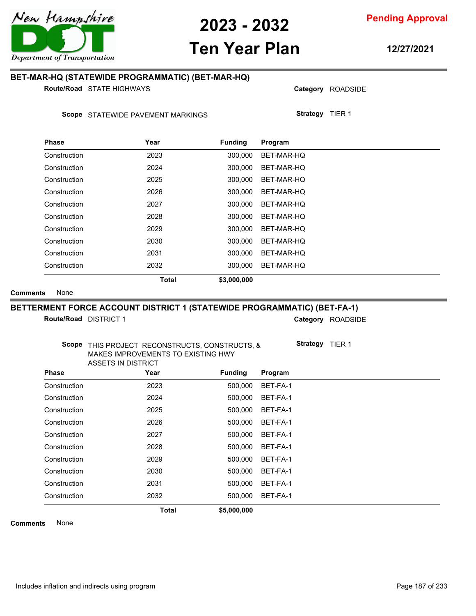

# **Ten Year Plan**

**12/27/2021**

**Pending Approval**

### **BET-MAR-HQ (STATEWIDE PROGRAMMATIC) (BET-MAR-HQ)**

**Route/Road** STATE HIGHWAYS

Scope STATEWIDE PAVEMENT MARKINGS

| <b>Phase</b> | Year         | <b>Funding</b> | Program    |
|--------------|--------------|----------------|------------|
| Construction | 2023         | 300.000        | BET-MAR-HQ |
| Construction | 2024         | 300.000        | BET-MAR-HQ |
| Construction | 2025         | 300.000        | BET-MAR-HQ |
| Construction | 2026         | 300,000        | BET-MAR-HQ |
| Construction | 2027         | 300,000        | BET-MAR-HQ |
| Construction | 2028         | 300.000        | BET-MAR-HQ |
| Construction | 2029         | 300.000        | BET-MAR-HQ |
| Construction | 2030         | 300.000        | BET-MAR-HQ |
| Construction | 2031         | 300.000        | BET-MAR-HQ |
| Construction | 2032         | 300,000        | BET-MAR-HQ |
|              | <b>Total</b> | \$3,000,000    |            |

**Comments** None

#### **BETTERMENT FORCE ACCOUNT DISTRICT 1 (STATEWIDE PROGRAMMATIC) (BET-FA-1)**

**Route/Road DISTRICT 1** 

Category ROADSIDE

**Strategy** TIER 1

Category ROADSIDE

**Strategy** TIER 1

| Scope THIS PROJECT RECONSTRUCTS, CONSTRUCTS, & |
|------------------------------------------------|
| MAKES IMPROVEMENTS TO EXISTING HWY             |
| ASSETS IN DISTRICT                             |
| $\sim$                                         |

| <b>Phase</b> | Year         | <b>Funding</b> | Program  |  |
|--------------|--------------|----------------|----------|--|
| Construction | 2023         | 500,000        | BET-FA-1 |  |
| Construction | 2024         | 500,000        | BET-FA-1 |  |
| Construction | 2025         | 500,000        | BET-FA-1 |  |
| Construction | 2026         | 500,000        | BET-FA-1 |  |
| Construction | 2027         | 500.000        | BET-FA-1 |  |
| Construction | 2028         | 500,000        | BET-FA-1 |  |
| Construction | 2029         | 500,000        | BET-FA-1 |  |
| Construction | 2030         | 500,000        | BET-FA-1 |  |
| Construction | 2031         | 500,000        | BET-FA-1 |  |
| Construction | 2032         | 500.000        | BET-FA-1 |  |
|              | <b>Total</b> | \$5,000,000    |          |  |

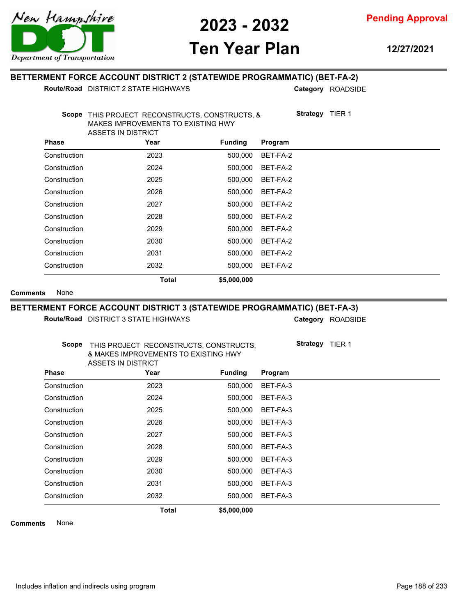

**Ten Year Plan**

**12/27/2021**

### **BETTERMENT FORCE ACCOUNT DISTRICT 2 (STATEWIDE PROGRAMMATIC) (BET-FA-2)**

**Route/Road** DISTRICT 2 STATE HIGHWAYS

Category ROADSIDE

|              | MAKES IMPROVEMENTS TO EXISTING HWY<br>ASSETS IN DISTRICT |                |          |
|--------------|----------------------------------------------------------|----------------|----------|
| <b>Phase</b> | Year                                                     | <b>Funding</b> | Program  |
| Construction | 2023                                                     | 500,000        | BET-FA-2 |
| Construction | 2024                                                     | 500,000        | BET-FA-2 |
| Construction | 2025                                                     | 500,000        | BET-FA-2 |
| Construction | 2026                                                     | 500,000        | BET-FA-2 |
| Construction | 2027                                                     | 500,000        | BET-FA-2 |
| Construction | 2028                                                     | 500,000        | BET-FA-2 |
| Construction | 2029                                                     | 500,000        | BET-FA-2 |
| Construction | 2030                                                     | 500,000        | BET-FA-2 |
| Construction | 2031                                                     | 500,000        | BET-FA-2 |
| Construction | 2032                                                     | 500,000        | BET-FA-2 |
|              | <b>Total</b>                                             | \$5,000,000    |          |

### **BETTERMENT FORCE ACCOUNT DISTRICT 3 (STATEWIDE PROGRAMMATIC) (BET-FA-3)**

Route/Road DISTRICT 3 STATE HIGHWAYS

Category ROADSIDE

| Scope        | THIS PROJECT RECONSTRUCTS, CONSTRUCTS,<br>& MAKES IMPROVEMENTS TO EXISTING HWY<br>ASSETS IN DISTRICT |                |          | <b>Strategy</b> | TIER 1 |
|--------------|------------------------------------------------------------------------------------------------------|----------------|----------|-----------------|--------|
| <b>Phase</b> | Year                                                                                                 | <b>Funding</b> | Program  |                 |        |
| Construction | 2023                                                                                                 | 500,000        | BET-FA-3 |                 |        |
| Construction | 2024                                                                                                 | 500,000        | BET-FA-3 |                 |        |
| Construction | 2025                                                                                                 | 500,000        | BET-FA-3 |                 |        |
| Construction | 2026                                                                                                 | 500,000        | BET-FA-3 |                 |        |
| Construction | 2027                                                                                                 | 500,000        | BET-FA-3 |                 |        |
| Construction | 2028                                                                                                 | 500,000        | BET-FA-3 |                 |        |
| Construction | 2029                                                                                                 | 500,000        | BET-FA-3 |                 |        |
| Construction | 2030                                                                                                 | 500,000        | BET-FA-3 |                 |        |
| Construction | 2031                                                                                                 | 500,000        | BET-FA-3 |                 |        |
| Construction | 2032                                                                                                 | 500.000        | BET-FA-3 |                 |        |
| $N = -$      | <b>Total</b>                                                                                         | \$5,000,000    |          |                 |        |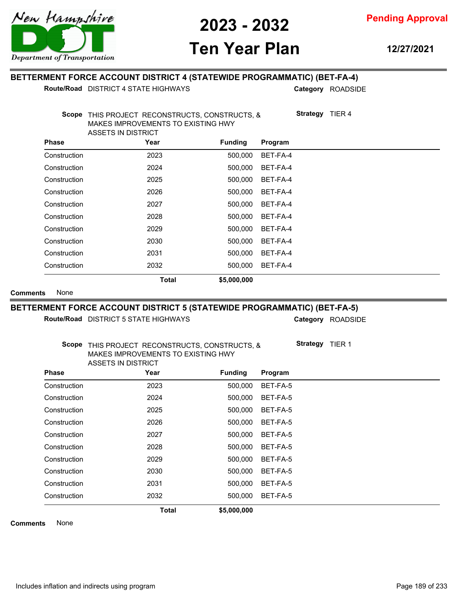

**Ten Year Plan**

**12/27/2021**

### **BETTERMENT FORCE ACCOUNT DISTRICT 4 (STATEWIDE PROGRAMMATIC) (BET-FA-4)**

**Route/Road** DISTRICT 4 STATE HIGHWAYS

Category ROADSIDE

| Scope        | THIS PROJECT RECONSTRUCTS, CONSTRUCTS, &<br>MAKES IMPROVEMENTS TO EXISTING HWY<br>ASSETS IN DISTRICT |                |          | <b>Strategy</b><br>TIER <sub>4</sub> |
|--------------|------------------------------------------------------------------------------------------------------|----------------|----------|--------------------------------------|
| <b>Phase</b> | Year                                                                                                 | <b>Funding</b> | Program  |                                      |
| Construction | 2023                                                                                                 | 500,000        | BET-FA-4 |                                      |
| Construction | 2024                                                                                                 | 500,000        | BET-FA-4 |                                      |
| Construction | 2025                                                                                                 | 500,000        | BET-FA-4 |                                      |
| Construction | 2026                                                                                                 | 500,000        | BET-FA-4 |                                      |
| Construction | 2027                                                                                                 | 500,000        | BET-FA-4 |                                      |
| Construction | 2028                                                                                                 | 500,000        | BET-FA-4 |                                      |
| Construction | 2029                                                                                                 | 500.000        | BET-FA-4 |                                      |
| Construction | 2030                                                                                                 | 500,000        | BET-FA-4 |                                      |
| Construction | 2031                                                                                                 | 500,000        | BET-FA-4 |                                      |
| Construction | 2032                                                                                                 | 500,000        | BET-FA-4 |                                      |
|              | <b>Total</b>                                                                                         | \$5,000,000    |          |                                      |

#### **Comments** None

#### **BETTERMENT FORCE ACCOUNT DISTRICT 5 (STATEWIDE PROGRAMMATIC) (BET-FA-5)**

Route/Road DISTRICT 5 STATE HIGHWAYS

Category ROADSIDE

**Strategy** TIER 1

| Scope THIS PROJECT RECONSTRUCTS, CONSTRUCTS, & |
|------------------------------------------------|
| MAKES IMPROVEMENTS TO EXISTING HWY             |
| ASSETS IN DISTRICT                             |

| <b>Phase</b> | Year         | <b>Funding</b> | Program  |  |
|--------------|--------------|----------------|----------|--|
| Construction | 2023         | 500.000        | BET-FA-5 |  |
| Construction | 2024         | 500.000        | BET-FA-5 |  |
| Construction | 2025         | 500,000        | BET-FA-5 |  |
| Construction | 2026         | 500,000        | BET-FA-5 |  |
| Construction | 2027         | 500.000        | BET-FA-5 |  |
| Construction | 2028         | 500.000        | BET-FA-5 |  |
| Construction | 2029         | 500,000        | BET-FA-5 |  |
| Construction | 2030         | 500,000        | BET-FA-5 |  |
| Construction | 2031         | 500.000        | BET-FA-5 |  |
| Construction | 2032         | 500.000        | BET-FA-5 |  |
|              | <b>Total</b> | \$5,000,000    |          |  |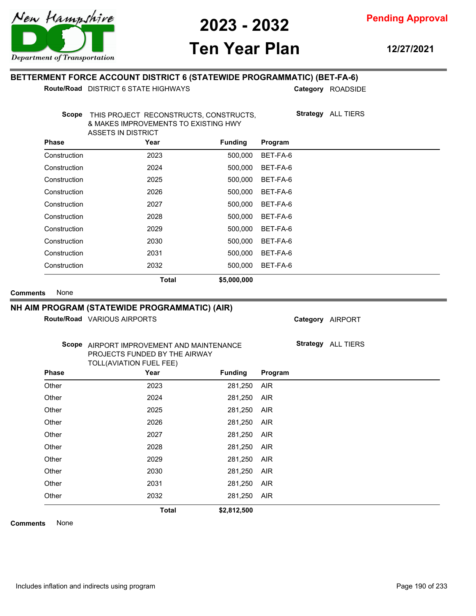

**Pending Approval**

# **Ten Year Plan**

**12/27/2021**

### **BETTERMENT FORCE ACCOUNT DISTRICT 6 (STATEWIDE PROGRAMMATIC) (BET-FA-6)**

**Route/Road** DISTRICT 6 STATE HIGHWAYS

Category ROADSIDE

|                 | <b>Scope</b> | THIS PROJECT RECONSTRUCTS, CONSTRUCTS,<br>& MAKES IMPROVEMENTS TO EXISTING HWY<br><b>ASSETS IN DISTRICT</b> |                | <b>Strategy</b> ALL TIERS |                           |
|-----------------|--------------|-------------------------------------------------------------------------------------------------------------|----------------|---------------------------|---------------------------|
|                 | Phase        | Year                                                                                                        | <b>Funding</b> | Program                   |                           |
|                 | Construction | 2023                                                                                                        | 500,000        | BET-FA-6                  |                           |
|                 | Construction | 2024                                                                                                        | 500.000        | BET-FA-6                  |                           |
|                 | Construction | 2025                                                                                                        | 500,000        | BET-FA-6                  |                           |
|                 | Construction | 2026                                                                                                        | 500,000        | BET-FA-6                  |                           |
|                 | Construction | 2027                                                                                                        | 500,000        | BET-FA-6                  |                           |
|                 | Construction | 2028                                                                                                        | 500,000        | BET-FA-6                  |                           |
|                 | Construction | 2029                                                                                                        | 500,000        | BET-FA-6                  |                           |
|                 | Construction | 2030                                                                                                        | 500,000        | BET-FA-6                  |                           |
|                 | Construction | 2031                                                                                                        | 500,000        | BET-FA-6                  |                           |
|                 | Construction | 2032                                                                                                        | 500,000        | BET-FA-6                  |                           |
|                 |              | <b>Total</b>                                                                                                | \$5,000,000    |                           |                           |
| <b>Comments</b> | None         |                                                                                                             |                |                           |                           |
|                 |              | NH AIM PROGRAM (STATEWIDE PROGRAMMATIC) (AIR)                                                               |                |                           |                           |
|                 |              | Route/Road VARIOUS AIRPORTS                                                                                 |                |                           | Category AIRPORT          |
|                 |              | Scope AIRPORT IMPROVEMENT AND MAINTENANCE<br>PROJECTS FUNDED BY THE AIRWAY<br>TOLL(AVIATION FUEL FEE)       |                |                           | <b>Strategy</b> ALL TIERS |
|                 | <b>Phase</b> | Year                                                                                                        | <b>Funding</b> | Program                   |                           |
|                 | Other        | 2023                                                                                                        | 281,250        | <b>AIR</b>                |                           |
|                 | Other        | 2024                                                                                                        | 281,250        | <b>AIR</b>                |                           |
|                 |              |                                                                                                             |                |                           |                           |

Other 2025 281,250 AIR Other 2026 281,250 AIR Other 2027 281,250 AIR Other 2028 281,250 AIR Other 2029 281,250 AIR Other 2030 281,250 AIR Other 2031 281,250 AIR Other 2032 281,250 AIR **Total \$2,812,500**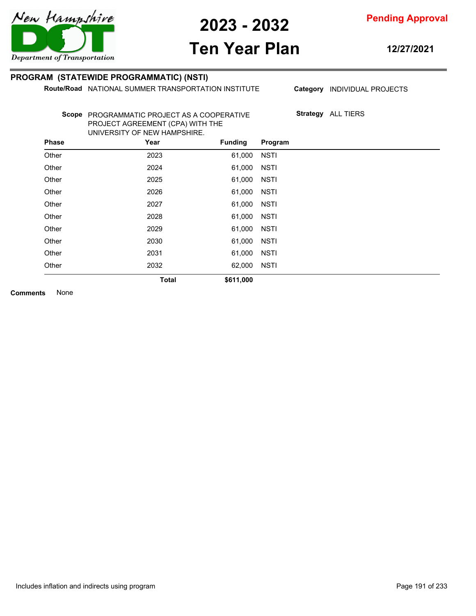

# **Ten Year Plan**

**12/27/2021**

### **PROGRAM (STATEWIDE PROGRAMMATIC) (NSTI)**

**Route/Road NATIONAL SUMMER TRANSPORTATION INSTITUTE** 

Category **INDIVIDUAL PROJECTS** 

**Strategy** ALL TIERS

Scope PROGRAMMATIC PROJECT AS A COOPERATIVE PROJECT AGREEMENT (CPA) WITH THE UNIVERSITY OF NEW HAMPSHIRE.

| <b>Phase</b> | Year         | <b>Funding</b> | Program     |
|--------------|--------------|----------------|-------------|
| Other        | 2023         | 61,000         | <b>NSTI</b> |
| Other        | 2024         | 61,000         | <b>NSTI</b> |
| Other        | 2025         | 61,000         | <b>NSTI</b> |
| Other        | 2026         | 61,000         | <b>NSTI</b> |
| Other        | 2027         | 61,000         | <b>NSTI</b> |
| Other        | 2028         | 61,000         | <b>NSTI</b> |
| Other        | 2029         | 61,000         | <b>NSTI</b> |
| Other        | 2030         | 61,000         | <b>NSTI</b> |
| Other        | 2031         | 61,000         | <b>NSTI</b> |
| Other        | 2032         | 62,000         | <b>NSTI</b> |
|              | <b>Total</b> | \$611,000      |             |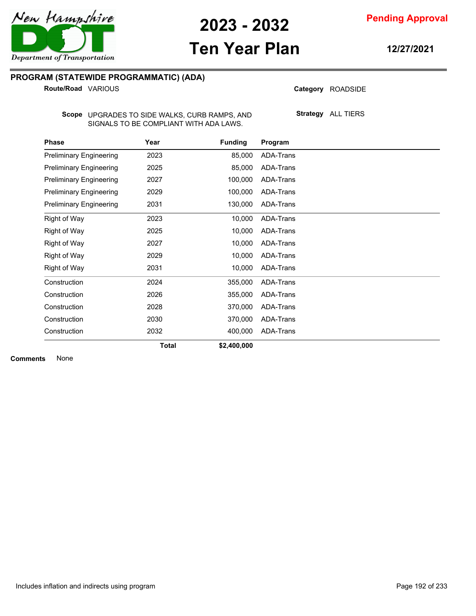

**Pending Approval**

# **Ten Year Plan**

**12/27/2021**

### **PROGRAM (STATEWIDE PROGRAMMATIC) (ADA)**

**Route/Road VARIOUS** 

Category ROADSIDE

UPGRADES TO SIDE WALKS, CURB RAMPS, AND **Scope** SIGNALS TO BE COMPLIANT WITH ADA LAWS.

**Strategy** ALL TIERS

| <b>Phase</b>                   | Year         | <b>Funding</b> | Program          |  |
|--------------------------------|--------------|----------------|------------------|--|
| <b>Preliminary Engineering</b> | 2023         | 85,000         | ADA-Trans        |  |
| <b>Preliminary Engineering</b> | 2025         | 85,000         | ADA-Trans        |  |
| <b>Preliminary Engineering</b> | 2027         | 100,000        | ADA-Trans        |  |
| <b>Preliminary Engineering</b> | 2029         | 100,000        | ADA-Trans        |  |
| <b>Preliminary Engineering</b> | 2031         | 130,000        | ADA-Trans        |  |
| Right of Way                   | 2023         | 10,000         | ADA-Trans        |  |
| Right of Way                   | 2025         | 10,000         | ADA-Trans        |  |
| Right of Way                   | 2027         | 10,000         | ADA-Trans        |  |
| Right of Way                   | 2029         | 10,000         | ADA-Trans        |  |
| Right of Way                   | 2031         | 10,000         | ADA-Trans        |  |
| Construction                   | 2024         | 355,000        | ADA-Trans        |  |
| Construction                   | 2026         | 355,000        | <b>ADA-Trans</b> |  |
| Construction                   | 2028         | 370,000        | ADA-Trans        |  |
| Construction                   | 2030         | 370,000        | ADA-Trans        |  |
| Construction                   | 2032         | 400,000        | ADA-Trans        |  |
|                                | <b>Total</b> | \$2,400,000    |                  |  |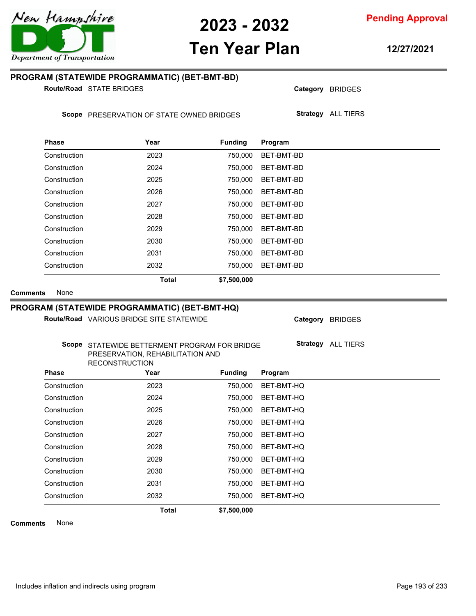

# **Ten Year Plan**

**12/27/2021**

### **PROGRAM (STATEWIDE PROGRAMMATIC) (BET-BMT-BD)**

**Route/Road** STATE BRIDGES

Scope PRESERVATION OF STATE OWNED BRIDGES

| <b>Phase</b> | Year         | <b>Funding</b> | Program    |
|--------------|--------------|----------------|------------|
| Construction | 2023         | 750.000        | BET-BMT-BD |
| Construction | 2024         | 750.000        | BET-BMT-BD |
| Construction | 2025         | 750.000        | BET-BMT-BD |
| Construction | 2026         | 750.000        | BET-BMT-BD |
| Construction | 2027         | 750,000        | BET-BMT-BD |
| Construction | 2028         | 750.000        | BET-BMT-BD |
| Construction | 2029         | 750.000        | BET-BMT-BD |
| Construction | 2030         | 750.000        | BET-BMT-BD |
| Construction | 2031         | 750.000        | BET-BMT-BD |
| Construction | 2032         | 750.000        | BET-BMT-BD |
|              | <b>Total</b> | \$7,500,000    |            |

**Comments** None

#### **PROGRAM (STATEWIDE PROGRAMMATIC) (BET-BMT-HQ)**

Route/Road VARIOUS BRIDGE SITE STATEWIDE

Category BRIDGES **Strategy** ALL TIERS

Category BRIDGES

**Strategy** ALL TIERS

#### Scope STATEWIDE BETTERMENT PROGRAM FOR BRIDGE PRESERVATION, REHABILITATION AND RECONSTRUCTION

| <b>Phase</b> | Year         | <b>Funding</b> | Program    |  |
|--------------|--------------|----------------|------------|--|
| Construction | 2023         | 750,000        | BET-BMT-HQ |  |
| Construction | 2024         | 750,000        | BET-BMT-HQ |  |
| Construction | 2025         | 750,000        | BET-BMT-HQ |  |
| Construction | 2026         | 750,000        | BET-BMT-HQ |  |
| Construction | 2027         | 750,000        | BET-BMT-HQ |  |
| Construction | 2028         | 750,000        | BET-BMT-HQ |  |
| Construction | 2029         | 750,000        | BET-BMT-HQ |  |
| Construction | 2030         | 750.000        | BET-BMT-HQ |  |
| Construction | 2031         | 750,000        | BET-BMT-HQ |  |
| Construction | 2032         | 750.000        | BET-BMT-HQ |  |
|              | <b>Total</b> | \$7,500,000    |            |  |

**Comments** None



**Pending Approval**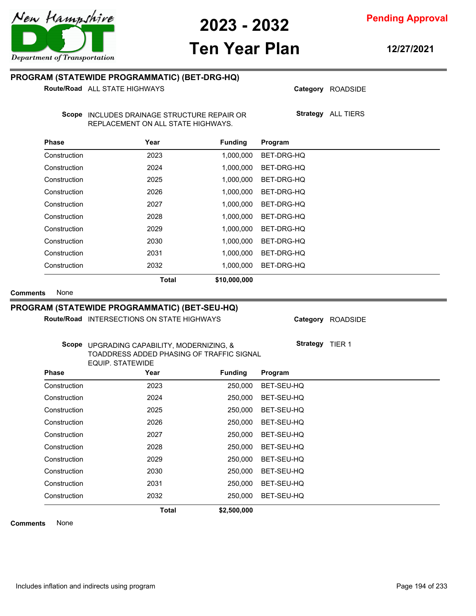

**Pending Approval**

### **Ten Year Plan**

**12/27/2021**

### **PROGRAM (STATEWIDE PROGRAMMATIC) (BET-DRG-HQ)**

**Route/Road** ALL STATE HIGHWAYS

Category ROADSIDE

Scope INCLUDES DRAINAGE STRUCTURE REPAIR OR REPLACEMENT ON ALL STATE HIGHWAYS.

**Strategy** ALL TIERS

| <b>Phase</b> | Year         | <b>Funding</b> | Program    |
|--------------|--------------|----------------|------------|
| Construction | 2023         | 1,000,000      | BET-DRG-HQ |
| Construction | 2024         | 1,000,000      | BET-DRG-HQ |
| Construction | 2025         | 1,000,000      | BET-DRG-HQ |
| Construction | 2026         | 1.000.000      | BET-DRG-HQ |
| Construction | 2027         | 1.000.000      | BET-DRG-HQ |
| Construction | 2028         | 1,000,000      | BET-DRG-HQ |
| Construction | 2029         | 1,000,000      | BET-DRG-HQ |
| Construction | 2030         | 1.000.000      | BET-DRG-HQ |
| Construction | 2031         | 1.000.000      | BET-DRG-HQ |
| Construction | 2032         | 1.000.000      | BET-DRG-HQ |
|              | <b>Total</b> | \$10,000,000   |            |

**Comments** None

#### **PROGRAM (STATEWIDE PROGRAMMATIC) (BET-SEU-HQ)**

Route/Road INTERSECTIONS ON STATE HIGHWAYS

Category ROADSIDE

**Strategy** TIER 1

UPGRADING CAPABILITY, MODERNIZING, & **Scope** TOADDRESS ADDED PHASING OF TRAFFIC SIGNAL EQUIP. STATEWIDE

| <b>Phase</b> | Year         | <b>Funding</b> | Program    |
|--------------|--------------|----------------|------------|
| Construction | 2023         | 250,000        | BET-SEU-HQ |
| Construction | 2024         | 250,000        | BET-SEU-HQ |
| Construction | 2025         | 250,000        | BET-SEU-HQ |
| Construction | 2026         | 250,000        | BET-SEU-HQ |
| Construction | 2027         | 250,000        | BET-SEU-HQ |
| Construction | 2028         | 250,000        | BET-SEU-HQ |
| Construction | 2029         | 250,000        | BET-SEU-HQ |
| Construction | 2030         | 250,000        | BET-SEU-HQ |
| Construction | 2031         | 250,000        | BET-SEU-HQ |
| Construction | 2032         | 250,000        | BET-SEU-HQ |
|              | <b>Total</b> | \$2,500,000    |            |

**Comments** None

Includes inflation and indirects using program Page 194 of 233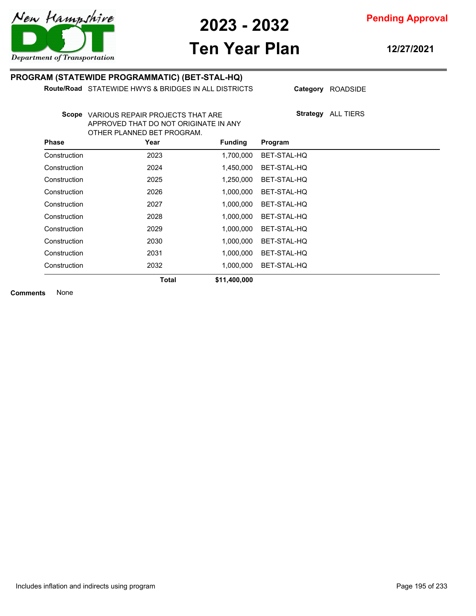

# **Ten Year Plan**

**12/27/2021**

### **PROGRAM (STATEWIDE PROGRAMMATIC) (BET-STAL-HQ)**

**Route/Road** STATEWIDE HWYS & BRIDGES IN ALL DISTRICTS

Category ROADSIDE

Scope VARIOUS REPAIR PROJECTS THAT ARE APPROVED THAT DO NOT ORIGINATE IN ANY OTHER PLANNED BET PROGRAM.

**Strategy** ALL TIERS

| <b>Phase</b> | Year         | <b>Funding</b> | Program     |
|--------------|--------------|----------------|-------------|
| Construction | 2023         | 1.700.000      | BET-STAL-HQ |
| Construction | 2024         | 1,450,000      | BET-STAL-HQ |
| Construction | 2025         | 1,250,000      | BET-STAL-HQ |
| Construction | 2026         | 1,000,000      | BET-STAL-HQ |
| Construction | 2027         | 1,000,000      | BET-STAL-HQ |
| Construction | 2028         | 1,000,000      | BET-STAL-HQ |
| Construction | 2029         | 1,000,000      | BET-STAL-HQ |
| Construction | 2030         | 1,000,000      | BET-STAL-HQ |
| Construction | 2031         | 1.000.000      | BET-STAL-HQ |
| Construction | 2032         | 1.000.000      | BET-STAL-HQ |
|              | <b>Total</b> | \$11,400,000   |             |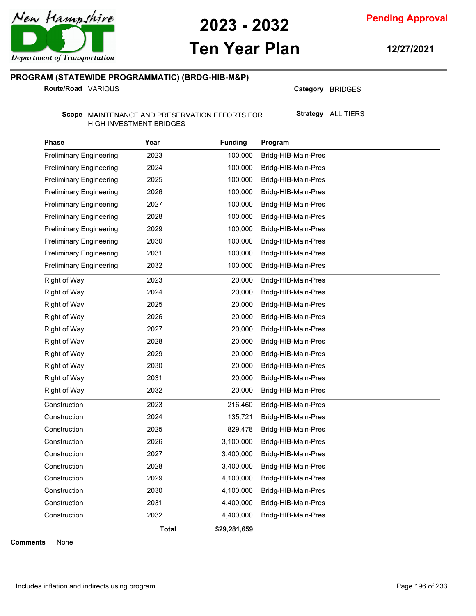

**Pending Approval**

# **Ten Year Plan**

**12/27/2021**

### **PROGRAM (STATEWIDE PROGRAMMATIC) (BRDG-HIB-M&P)**

**Route/Road VARIOUS** 

Category BRIDGES

**Strategy** ALL TIERS

Scope MAINTENANCE AND PRESERVATION EFFORTS FOR HIGH INVESTMENT BRIDGES

| <b>Phase</b>                   | Year  | <b>Funding</b> | Program             |
|--------------------------------|-------|----------------|---------------------|
| <b>Preliminary Engineering</b> | 2023  | 100,000        | Bridg-HIB-Main-Pres |
| <b>Preliminary Engineering</b> | 2024  | 100,000        | Bridg-HIB-Main-Pres |
| <b>Preliminary Engineering</b> | 2025  | 100,000        | Bridg-HIB-Main-Pres |
| <b>Preliminary Engineering</b> | 2026  | 100,000        | Bridg-HIB-Main-Pres |
| <b>Preliminary Engineering</b> | 2027  | 100,000        | Bridg-HIB-Main-Pres |
| <b>Preliminary Engineering</b> | 2028  | 100,000        | Bridg-HIB-Main-Pres |
| <b>Preliminary Engineering</b> | 2029  | 100,000        | Bridg-HIB-Main-Pres |
| <b>Preliminary Engineering</b> | 2030  | 100,000        | Bridg-HIB-Main-Pres |
| <b>Preliminary Engineering</b> | 2031  | 100,000        | Bridg-HIB-Main-Pres |
| <b>Preliminary Engineering</b> | 2032  | 100,000        | Bridg-HIB-Main-Pres |
| Right of Way                   | 2023  | 20,000         | Bridg-HIB-Main-Pres |
| Right of Way                   | 2024  | 20,000         | Bridg-HIB-Main-Pres |
| Right of Way                   | 2025  | 20,000         | Bridg-HIB-Main-Pres |
| <b>Right of Way</b>            | 2026  | 20,000         | Bridg-HIB-Main-Pres |
| <b>Right of Way</b>            | 2027  | 20,000         | Bridg-HIB-Main-Pres |
| <b>Right of Way</b>            | 2028  | 20,000         | Bridg-HIB-Main-Pres |
| Right of Way                   | 2029  | 20,000         | Bridg-HIB-Main-Pres |
| <b>Right of Way</b>            | 2030  | 20,000         | Bridg-HIB-Main-Pres |
| Right of Way                   | 2031  | 20,000         | Bridg-HIB-Main-Pres |
| Right of Way                   | 2032  | 20,000         | Bridg-HIB-Main-Pres |
| Construction                   | 2023  | 216,460        | Bridg-HIB-Main-Pres |
| Construction                   | 2024  | 135,721        | Bridg-HIB-Main-Pres |
| Construction                   | 2025  | 829,478        | Bridg-HIB-Main-Pres |
| Construction                   | 2026  | 3,100,000      | Bridg-HIB-Main-Pres |
| Construction                   | 2027  | 3,400,000      | Bridg-HIB-Main-Pres |
| Construction                   | 2028  | 3,400,000      | Bridg-HIB-Main-Pres |
| Construction                   | 2029  | 4,100,000      | Bridg-HIB-Main-Pres |
| Construction                   | 2030  | 4,100,000      | Bridg-HIB-Main-Pres |
| Construction                   | 2031  | 4,400,000      | Bridg-HIB-Main-Pres |
| Construction                   | 2032  | 4,400,000      | Bridg-HIB-Main-Pres |
|                                | Total | \$29,281,659   |                     |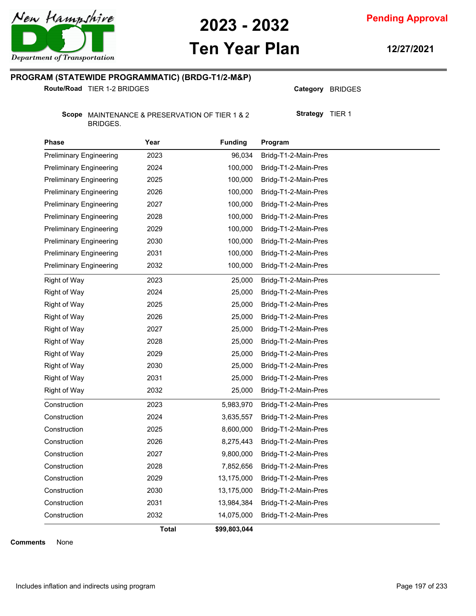

**Pending Approval**

# **Ten Year Plan**

**12/27/2021**

### **PROGRAM (STATEWIDE PROGRAMMATIC) (BRDG-T1/2-M&P)**

**Route/Road** TIER 1-2 BRIDGES

Category BRIDGES

**Strategy** TIER 1

Scope MAINTENANCE & PRESERVATION OF TIER 1 & 2 BRIDGES.

| <b>Phase</b>                   | Year  | <b>Funding</b> | Program              |
|--------------------------------|-------|----------------|----------------------|
| <b>Preliminary Engineering</b> | 2023  | 96,034         | Bridg-T1-2-Main-Pres |
| <b>Preliminary Engineering</b> | 2024  | 100,000        | Bridg-T1-2-Main-Pres |
| <b>Preliminary Engineering</b> | 2025  | 100,000        | Bridg-T1-2-Main-Pres |
| <b>Preliminary Engineering</b> | 2026  | 100,000        | Bridg-T1-2-Main-Pres |
| <b>Preliminary Engineering</b> | 2027  | 100,000        | Bridg-T1-2-Main-Pres |
| <b>Preliminary Engineering</b> | 2028  | 100,000        | Bridg-T1-2-Main-Pres |
| <b>Preliminary Engineering</b> | 2029  | 100,000        | Bridg-T1-2-Main-Pres |
| <b>Preliminary Engineering</b> | 2030  | 100,000        | Bridg-T1-2-Main-Pres |
| <b>Preliminary Engineering</b> | 2031  | 100,000        | Bridg-T1-2-Main-Pres |
| <b>Preliminary Engineering</b> | 2032  | 100,000        | Bridg-T1-2-Main-Pres |
| Right of Way                   | 2023  | 25,000         | Bridg-T1-2-Main-Pres |
| Right of Way                   | 2024  | 25,000         | Bridg-T1-2-Main-Pres |
| Right of Way                   | 2025  | 25,000         | Bridg-T1-2-Main-Pres |
| <b>Right of Way</b>            | 2026  | 25,000         | Bridg-T1-2-Main-Pres |
| <b>Right of Way</b>            | 2027  | 25,000         | Bridg-T1-2-Main-Pres |
| <b>Right of Way</b>            | 2028  | 25,000         | Bridg-T1-2-Main-Pres |
| Right of Way                   | 2029  | 25,000         | Bridg-T1-2-Main-Pres |
| <b>Right of Way</b>            | 2030  | 25,000         | Bridg-T1-2-Main-Pres |
| <b>Right of Way</b>            | 2031  | 25,000         | Bridg-T1-2-Main-Pres |
| Right of Way                   | 2032  | 25,000         | Bridg-T1-2-Main-Pres |
| Construction                   | 2023  | 5,983,970      | Bridg-T1-2-Main-Pres |
| Construction                   | 2024  | 3,635,557      | Bridg-T1-2-Main-Pres |
| Construction                   | 2025  | 8,600,000      | Bridg-T1-2-Main-Pres |
| Construction                   | 2026  | 8,275,443      | Bridg-T1-2-Main-Pres |
| Construction                   | 2027  | 9,800,000      | Bridg-T1-2-Main-Pres |
| Construction                   | 2028  | 7,852,656      | Bridg-T1-2-Main-Pres |
| Construction                   | 2029  | 13,175,000     | Bridg-T1-2-Main-Pres |
| Construction                   | 2030  | 13,175,000     | Bridg-T1-2-Main-Pres |
| Construction                   | 2031  | 13,984,384     | Bridg-T1-2-Main-Pres |
| Construction                   | 2032  | 14,075,000     | Bridg-T1-2-Main-Pres |
|                                | Total | \$99,803,044   |                      |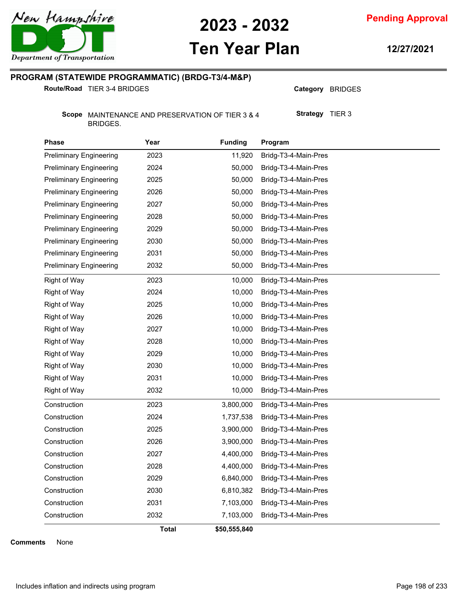

# **Ten Year Plan**

**Pending Approval**

**12/27/2021**

### **PROGRAM (STATEWIDE PROGRAMMATIC) (BRDG-T3/4-M&P)**

**Route/Road** TIER 3-4 BRIDGES

Category BRIDGES

**Strategy** TIER 3

Scope MAINTENANCE AND PRESERVATION OF TIER 3 & 4 BRIDGES.

| <b>Phase</b>                   | Year  | <b>Funding</b> | Program              |
|--------------------------------|-------|----------------|----------------------|
| <b>Preliminary Engineering</b> | 2023  | 11,920         | Bridg-T3-4-Main-Pres |
| <b>Preliminary Engineering</b> | 2024  | 50,000         | Bridg-T3-4-Main-Pres |
| <b>Preliminary Engineering</b> | 2025  | 50,000         | Bridg-T3-4-Main-Pres |
| <b>Preliminary Engineering</b> | 2026  | 50,000         | Bridg-T3-4-Main-Pres |
| <b>Preliminary Engineering</b> | 2027  | 50,000         | Bridg-T3-4-Main-Pres |
| <b>Preliminary Engineering</b> | 2028  | 50,000         | Bridg-T3-4-Main-Pres |
| <b>Preliminary Engineering</b> | 2029  | 50,000         | Bridg-T3-4-Main-Pres |
| <b>Preliminary Engineering</b> | 2030  | 50,000         | Bridg-T3-4-Main-Pres |
| <b>Preliminary Engineering</b> | 2031  | 50,000         | Bridg-T3-4-Main-Pres |
| <b>Preliminary Engineering</b> | 2032  | 50,000         | Bridg-T3-4-Main-Pres |
| Right of Way                   | 2023  | 10,000         | Bridg-T3-4-Main-Pres |
| Right of Way                   | 2024  | 10,000         | Bridg-T3-4-Main-Pres |
| Right of Way                   | 2025  | 10,000         | Bridg-T3-4-Main-Pres |
| Right of Way                   | 2026  | 10,000         | Bridg-T3-4-Main-Pres |
| <b>Right of Way</b>            | 2027  | 10,000         | Bridg-T3-4-Main-Pres |
| <b>Right of Way</b>            | 2028  | 10,000         | Bridg-T3-4-Main-Pres |
| Right of Way                   | 2029  | 10,000         | Bridg-T3-4-Main-Pres |
| <b>Right of Way</b>            | 2030  | 10,000         | Bridg-T3-4-Main-Pres |
| <b>Right of Way</b>            | 2031  | 10,000         | Bridg-T3-4-Main-Pres |
| Right of Way                   | 2032  | 10,000         | Bridg-T3-4-Main-Pres |
| Construction                   | 2023  | 3,800,000      | Bridg-T3-4-Main-Pres |
| Construction                   | 2024  | 1,737,538      | Bridg-T3-4-Main-Pres |
| Construction                   | 2025  | 3,900,000      | Bridg-T3-4-Main-Pres |
| Construction                   | 2026  | 3,900,000      | Bridg-T3-4-Main-Pres |
| Construction                   | 2027  | 4,400,000      | Bridg-T3-4-Main-Pres |
| Construction                   | 2028  | 4,400,000      | Bridg-T3-4-Main-Pres |
| Construction                   | 2029  | 6,840,000      | Bridg-T3-4-Main-Pres |
| Construction                   | 2030  | 6,810,382      | Bridg-T3-4-Main-Pres |
| Construction                   | 2031  | 7,103,000      | Bridg-T3-4-Main-Pres |
| Construction                   | 2032  | 7,103,000      | Bridg-T3-4-Main-Pres |
|                                | Total | \$50,555,840   |                      |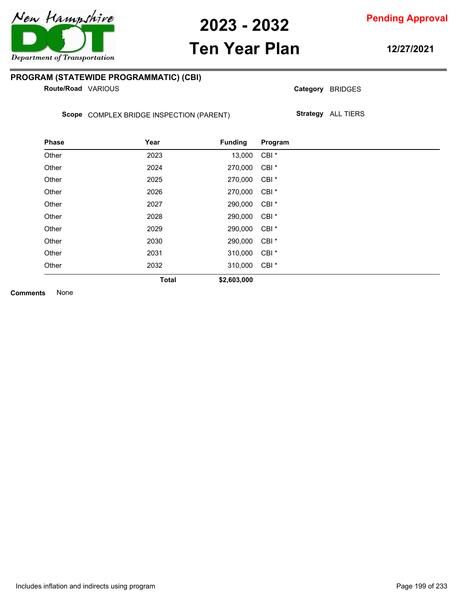

**Pending Approval**

### **Ten Year Plan**

**12/27/2021**

### **PROGRAM (STATEWIDE PROGRAMMATIC) (CBI)**

**Route/Road VARIOUS** 

Category BRIDGES

Scope COMPLEX BRIDGE INSPECTION (PARENT)

**Strategy** ALL TIERS

| <b>Phase</b> | Year         | <b>Funding</b> | Program          |
|--------------|--------------|----------------|------------------|
| Other        | 2023         | 13,000         | CBI <sup>*</sup> |
| Other        | 2024         | 270,000        | CBI <sup>*</sup> |
| Other        | 2025         | 270,000        | CBI <sup>*</sup> |
| Other        | 2026         | 270,000        | CBI <sup>*</sup> |
| Other        | 2027         | 290,000        | CBI <sup>*</sup> |
| Other        | 2028         | 290,000        | CBI <sup>*</sup> |
| Other        | 2029         | 290,000        | CBI <sup>*</sup> |
| Other        | 2030         | 290,000        | CBI <sup>*</sup> |
| Other        | 2031         | 310,000        | CBI <sup>*</sup> |
| Other        | 2032         | 310,000        | CBI <sup>*</sup> |
|              | <b>Total</b> | \$2,603,000    |                  |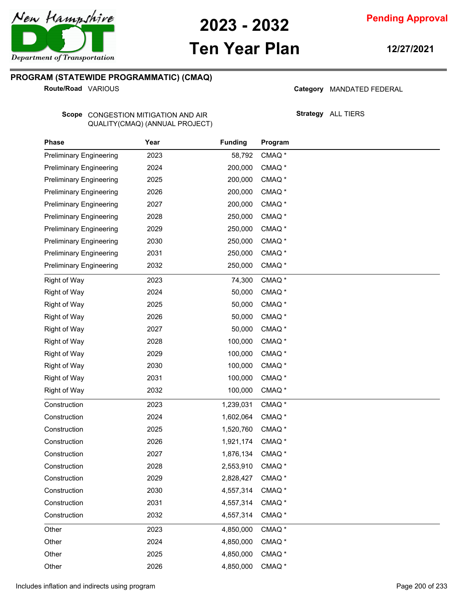

# **Ten Year Plan**

**12/27/2021**

### **PROGRAM (STATEWIDE PROGRAMMATIC) (CMAQ)**

**Route/Road VARIOUS** 

#### Category MANDATED FEDERAL

**Strategy** ALL TIERS

Scope CONGESTION MITIGATION AND AIR QUALITY(CMAQ) (ANNUAL PROJECT)

| Phase                          | Year | <b>Funding</b> | Program           |  |  |
|--------------------------------|------|----------------|-------------------|--|--|
| <b>Preliminary Engineering</b> | 2023 | 58,792         | CMAQ <sup>*</sup> |  |  |
| <b>Preliminary Engineering</b> | 2024 | 200,000        | CMAQ <sup>*</sup> |  |  |
| <b>Preliminary Engineering</b> | 2025 | 200,000        | CMAQ <sup>*</sup> |  |  |
| <b>Preliminary Engineering</b> | 2026 | 200,000        | CMAQ <sup>*</sup> |  |  |
| <b>Preliminary Engineering</b> | 2027 | 200,000        | CMAQ <sup>*</sup> |  |  |
| <b>Preliminary Engineering</b> | 2028 | 250,000        | CMAQ <sup>*</sup> |  |  |
| <b>Preliminary Engineering</b> | 2029 | 250,000        | CMAQ <sup>*</sup> |  |  |
| <b>Preliminary Engineering</b> | 2030 | 250,000        | CMAQ <sup>*</sup> |  |  |
| <b>Preliminary Engineering</b> | 2031 | 250,000        | CMAQ <sup>*</sup> |  |  |
| <b>Preliminary Engineering</b> | 2032 | 250,000        | CMAQ <sup>*</sup> |  |  |
| <b>Right of Way</b>            | 2023 | 74,300         | CMAQ <sup>*</sup> |  |  |
| <b>Right of Way</b>            | 2024 | 50,000         | CMAQ <sup>*</sup> |  |  |
| <b>Right of Way</b>            | 2025 | 50,000         | CMAQ <sup>*</sup> |  |  |
| <b>Right of Way</b>            | 2026 | 50,000         | CMAQ <sup>*</sup> |  |  |
| <b>Right of Way</b>            | 2027 | 50,000         | CMAQ <sup>*</sup> |  |  |
| <b>Right of Way</b>            | 2028 | 100,000        | CMAQ <sup>*</sup> |  |  |
| <b>Right of Way</b>            | 2029 | 100,000        | CMAQ <sup>*</sup> |  |  |
| <b>Right of Way</b>            | 2030 | 100,000        | CMAQ <sup>*</sup> |  |  |
| <b>Right of Way</b>            | 2031 | 100,000        | CMAQ <sup>*</sup> |  |  |
| <b>Right of Way</b>            | 2032 | 100,000        | CMAQ <sup>*</sup> |  |  |
| Construction                   | 2023 | 1,239,031      | CMAQ <sup>*</sup> |  |  |
| Construction                   | 2024 | 1,602,064      | CMAQ <sup>*</sup> |  |  |
| Construction                   | 2025 | 1,520,760      | CMAQ <sup>*</sup> |  |  |
| Construction                   | 2026 | 1,921,174      | CMAQ <sup>*</sup> |  |  |
| Construction                   | 2027 | 1,876,134      | CMAQ <sup>*</sup> |  |  |
| Construction                   | 2028 | 2,553,910      | CMAQ <sup>*</sup> |  |  |
| Construction                   | 2029 | 2,828,427      | CMAQ <sup>*</sup> |  |  |
| Construction                   | 2030 | 4,557,314      | CMAQ <sup>*</sup> |  |  |
| Construction                   | 2031 | 4,557,314      | CMAQ <sup>*</sup> |  |  |
| Construction                   | 2032 | 4,557,314      | CMAQ <sup>*</sup> |  |  |
| Other                          | 2023 | 4,850,000      | CMAQ <sup>*</sup> |  |  |
| Other                          | 2024 | 4,850,000      | CMAQ <sup>*</sup> |  |  |
| Other                          | 2025 | 4,850,000      | CMAQ <sup>*</sup> |  |  |
| Other                          | 2026 | 4,850,000      | CMAQ <sup>*</sup> |  |  |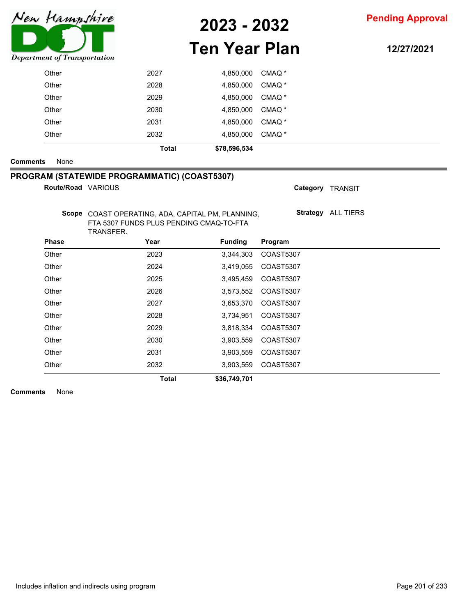

# **Ten Year Plan**

**12/27/2021**

| Other | 2032 | 4,850,000 | CMAQ <sup>*</sup> |
|-------|------|-----------|-------------------|
| Other | 2031 | 4,850,000 | CMAQ <sup>*</sup> |
| Other | 2030 | 4,850,000 | CMAQ *            |
| Other | 2029 | 4,850,000 | CMAQ *            |
| Other | 2028 | 4,850,000 | CMAQ <sup>*</sup> |
| Other | 2027 | 4,850,000 | CMAQ *            |

#### **Comments** None

### **PROGRAM (STATEWIDE PROGRAMMATIC) (COAST5307)**

```
Route/Road
```

|                    | Total                                                                                                     | \$36,749,701   |                  |                    |
|--------------------|-----------------------------------------------------------------------------------------------------------|----------------|------------------|--------------------|
| Other              | 2032                                                                                                      | 3,903,559      | COAST5307        |                    |
| Other              | 2031                                                                                                      | 3,903,559      | COAST5307        |                    |
| Other              | 2030                                                                                                      | 3,903,559      | <b>COAST5307</b> |                    |
| Other              | 2029                                                                                                      | 3,818,334      | COAST5307        |                    |
| Other              | 2028                                                                                                      | 3,734,951      | <b>COAST5307</b> |                    |
| Other              | 2027                                                                                                      | 3,653,370      | COAST5307        |                    |
| Other              | 2026                                                                                                      | 3,573,552      | <b>COAST5307</b> |                    |
| Other              | 2025                                                                                                      | 3,495,459      | <b>COAST5307</b> |                    |
| Other              | 2024                                                                                                      | 3,419,055      | COAST5307        |                    |
| Other              | 2023                                                                                                      | 3,344,303      | <b>COAST5307</b> |                    |
| Phase              | Year                                                                                                      | <b>Funding</b> | Program          |                    |
|                    | Scope COAST OPERATING, ADA, CAPITAL PM, PLANNING,<br>FTA 5307 FUNDS PLUS PENDING CMAQ-TO-FTA<br>TRANSFER. |                |                  | Strategy ALL TIERS |
| Route/Road VARIOUS |                                                                                                           |                | Category TRANSIT |                    |
|                    |                                                                                                           |                |                  |                    |

**Comments** None

 $\overline{\phantom{a}}$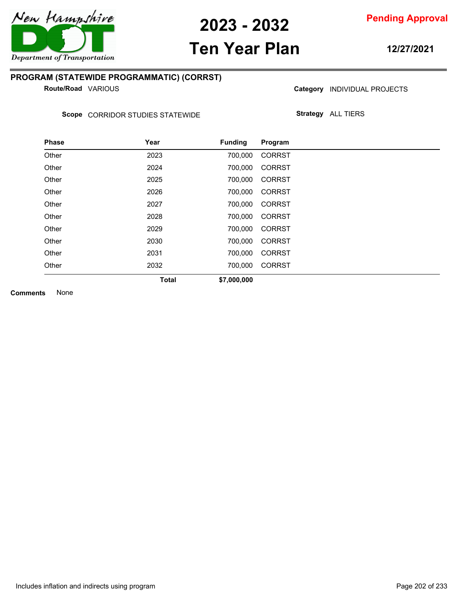

# **Ten Year Plan**

**12/27/2021**

### **PROGRAM (STATEWIDE PROGRAMMATIC) (CORRST)**

**Route/Road VARIOUS** 

Category **INDIVIDUAL PROJECTS** 

Scope CORRIDOR STUDIES STATEWIDE

**Strategy** ALL TIERS

| <b>Phase</b> | Year         | <b>Funding</b> | Program       |
|--------------|--------------|----------------|---------------|
| Other        | 2023         | 700,000        | <b>CORRST</b> |
| Other        | 2024         | 700,000        | <b>CORRST</b> |
| Other        | 2025         | 700,000        | <b>CORRST</b> |
| Other        | 2026         | 700,000        | <b>CORRST</b> |
| Other        | 2027         | 700,000        | <b>CORRST</b> |
| Other        | 2028         | 700,000        | <b>CORRST</b> |
| Other        | 2029         | 700,000        | <b>CORRST</b> |
| Other        | 2030         | 700.000        | <b>CORRST</b> |
| Other        | 2031         | 700,000        | <b>CORRST</b> |
| Other        | 2032         | 700,000        | <b>CORRST</b> |
|              | <b>Total</b> | \$7,000,000    |               |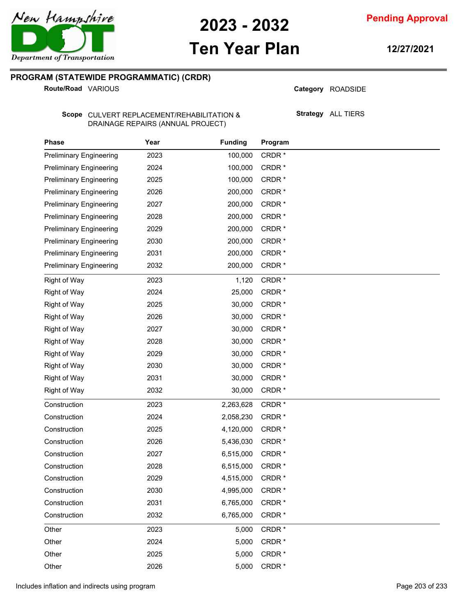**Pending Approval**

# **Ten Year Plan**

**12/27/2021**

### **PROGRAM (STATEWIDE PROGRAMMATIC) (CRDR)**

**Route/Road VARIOUS** 

Category ROADSIDE

Scope CULVERT REPLACEMENT/REHABILITATION & DRAINAGE REPAIRS (ANNUAL PROJECT)

**Strategy** ALL TIERS

| <b>Phase</b>                   | Year | <b>Funding</b> | Program           |
|--------------------------------|------|----------------|-------------------|
| <b>Preliminary Engineering</b> | 2023 | 100,000        | CRDR*             |
| <b>Preliminary Engineering</b> | 2024 | 100,000        | CRDR*             |
| <b>Preliminary Engineering</b> | 2025 | 100,000        | CRDR*             |
| <b>Preliminary Engineering</b> | 2026 | 200,000        | CRDR*             |
| <b>Preliminary Engineering</b> | 2027 | 200,000        | CRDR*             |
| <b>Preliminary Engineering</b> | 2028 | 200,000        | CRDR*             |
| <b>Preliminary Engineering</b> | 2029 | 200,000        | CRDR*             |
| <b>Preliminary Engineering</b> | 2030 | 200,000        | CRDR*             |
| <b>Preliminary Engineering</b> | 2031 | 200,000        | CRDR*             |
| <b>Preliminary Engineering</b> | 2032 | 200,000        | CRDR*             |
| <b>Right of Way</b>            | 2023 | 1,120          | CRDR*             |
| <b>Right of Way</b>            | 2024 | 25,000         | CRDR*             |
| <b>Right of Way</b>            | 2025 | 30,000         | CRDR*             |
| <b>Right of Way</b>            | 2026 | 30,000         | CRDR*             |
| <b>Right of Way</b>            | 2027 | 30,000         | CRDR*             |
| <b>Right of Way</b>            | 2028 | 30,000         | CRDR*             |
| <b>Right of Way</b>            | 2029 | 30,000         | CRDR*             |
| <b>Right of Way</b>            | 2030 | 30,000         | CRDR*             |
| <b>Right of Way</b>            | 2031 | 30,000         | CRDR <sup>*</sup> |
| <b>Right of Way</b>            | 2032 | 30,000         | CRDR $*$          |
| Construction                   | 2023 | 2,263,628      | CRDR*             |
| Construction                   | 2024 | 2,058,230      | CRDR*             |
| Construction                   | 2025 | 4,120,000      | CRDR <sup>*</sup> |
| Construction                   | 2026 | 5,436,030      | CRDR*             |
| Construction                   | 2027 | 6,515,000      | CRDR*             |
| Construction                   | 2028 | 6,515,000      | CRDR*             |
| Construction                   | 2029 | 4,515,000      | CRDR*             |
| Construction                   | 2030 | 4,995,000      | CRDR*             |
| Construction                   | 2031 | 6,765,000      | CRDR*             |
| Construction                   | 2032 | 6,765,000      | CRDR*             |
| Other                          | 2023 | 5,000          | CRDR*             |
| Other                          | 2024 | 5,000          | CRDR*             |
| Other                          | 2025 | 5,000          | CRDR*             |
| Other                          | 2026 | 5,000          | CRDR*             |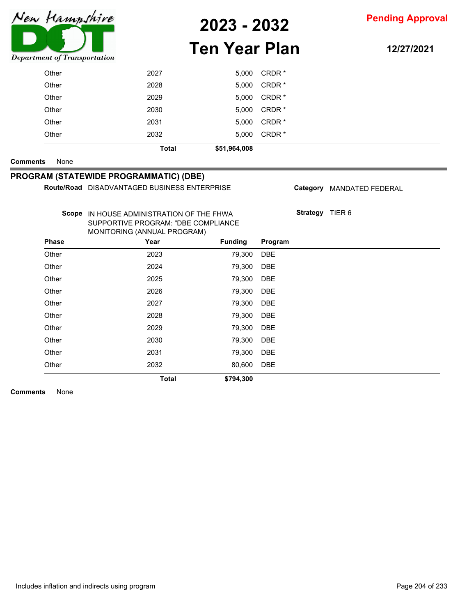

# **Ten Year Plan**

**12/27/2021**

|                 |              | <b>Total</b>                                                                                                    | \$794,300      |                   |                 |                           |
|-----------------|--------------|-----------------------------------------------------------------------------------------------------------------|----------------|-------------------|-----------------|---------------------------|
|                 | Other        | 2032                                                                                                            | 80,600         | <b>DBE</b>        |                 |                           |
|                 | Other        | 2031                                                                                                            | 79,300         | <b>DBE</b>        |                 |                           |
|                 | Other        | 2030                                                                                                            | 79,300         | <b>DBE</b>        |                 |                           |
|                 | Other        | 2029                                                                                                            | 79,300         | <b>DBE</b>        |                 |                           |
|                 | Other        | 2028                                                                                                            | 79,300         | <b>DBE</b>        |                 |                           |
|                 | Other        | 2027                                                                                                            | 79,300         | <b>DBE</b>        |                 |                           |
|                 | Other        | 2026                                                                                                            | 79,300         | <b>DBE</b>        |                 |                           |
|                 | Other        | 2025                                                                                                            | 79,300         | <b>DBE</b>        |                 |                           |
|                 | Other        | 2024                                                                                                            | 79,300         | <b>DBE</b>        |                 |                           |
|                 | Other        | 2023                                                                                                            | 79,300         | <b>DBE</b>        |                 |                           |
|                 | <b>Phase</b> | Year                                                                                                            | <b>Funding</b> | Program           |                 |                           |
|                 |              | Scope IN HOUSE ADMINISTRATION OF THE FHWA<br>SUPPORTIVE PROGRAM: "DBE COMPLIANCE<br>MONITORING (ANNUAL PROGRAM) |                |                   | Strategy TIER 6 |                           |
|                 |              | Route/Road DISADVANTAGED BUSINESS ENTERPRISE                                                                    |                |                   |                 | Category MANDATED FEDERAL |
|                 |              | PROGRAM (STATEWIDE PROGRAMMATIC) (DBE)                                                                          |                |                   |                 |                           |
| <b>Comments</b> | None         |                                                                                                                 |                |                   |                 |                           |
|                 |              | <b>Total</b>                                                                                                    | \$51,964,008   |                   |                 |                           |
|                 | Other        | 2032                                                                                                            | 5,000          | CRDR <sup>*</sup> |                 |                           |
|                 | Other        | 2031                                                                                                            | 5,000          | CRDR*             |                 |                           |
|                 | Other        | 2030                                                                                                            | 5,000          | CRDR*             |                 |                           |
|                 | Other        | 2029                                                                                                            | 5,000          | CRDR*             |                 |                           |
|                 | Other        | 2028                                                                                                            | 5,000          | CRDR*             |                 |                           |
|                 | Other        | 2027                                                                                                            | 5,000          | CRDR*             |                 |                           |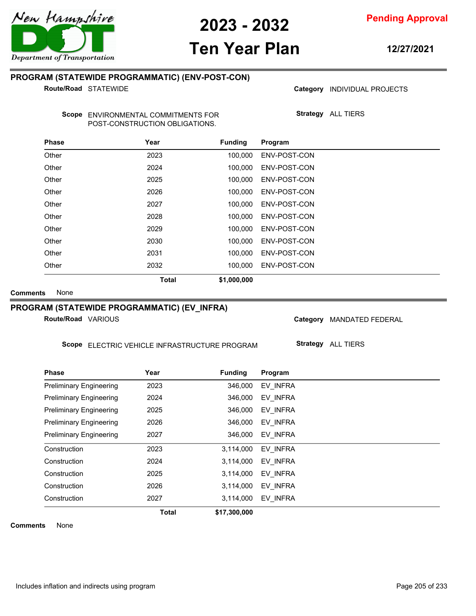# **Ten Year Plan**

**12/27/2021**

### **PROGRAM (STATEWIDE PROGRAMMATIC) (ENV-POST-CON)**

**Route/Road STATEWIDE** 

Category **INDIVIDUAL PROJECTS** 

**Strategy** ALL TIERS

Scope ENVIRONMENTAL COMMITMENTS FOR POST-CONSTRUCTION OBLIGATIONS.

| <b>Phase</b> | Year         | <b>Funding</b> | Program      |
|--------------|--------------|----------------|--------------|
| Other        | 2023         | 100.000        | ENV-POST-CON |
| Other        | 2024         | 100.000        | ENV-POST-CON |
| Other        | 2025         | 100.000        | ENV-POST-CON |
| Other        | 2026         | 100.000        | ENV-POST-CON |
| Other        | 2027         | 100,000        | ENV-POST-CON |
| Other        | 2028         | 100.000        | ENV-POST-CON |
| Other        | 2029         | 100,000        | ENV-POST-CON |
| Other        | 2030         | 100.000        | ENV-POST-CON |
| Other        | 2031         | 100.000        | ENV-POST-CON |
| Other        | 2032         | 100.000        | ENV-POST-CON |
|              | <b>Total</b> | \$1,000,000    |              |

**Comments** None

### **PROGRAM (STATEWIDE PROGRAMMATIC) (EV\_INFRA)**

**Route/Road VARIOUS** 

Scope ELECTRIC VEHICLE INFRASTRUCTURE PROGRAM

Category MANDATED FEDERAL

**Strategy** ALL TIERS

| <b>Phase</b>                   | Year         | <b>Funding</b> | Program  |
|--------------------------------|--------------|----------------|----------|
| <b>Preliminary Engineering</b> | 2023         | 346,000        | EV INFRA |
| <b>Preliminary Engineering</b> | 2024         | 346,000        | EV INFRA |
| <b>Preliminary Engineering</b> | 2025         | 346,000        | EV INFRA |
| <b>Preliminary Engineering</b> | 2026         | 346,000        | EV_INFRA |
| <b>Preliminary Engineering</b> | 2027         | 346,000        | EV INFRA |
| Construction                   | 2023         | 3,114,000      | EV INFRA |
| Construction                   | 2024         | 3,114,000      | EV INFRA |
| Construction                   | 2025         | 3,114,000      | EV INFRA |
| Construction                   | 2026         | 3,114,000      | EV_INFRA |
| Construction                   | 2027         | 3,114,000      | EV INFRA |
|                                | <b>Total</b> | \$17,300,000   |          |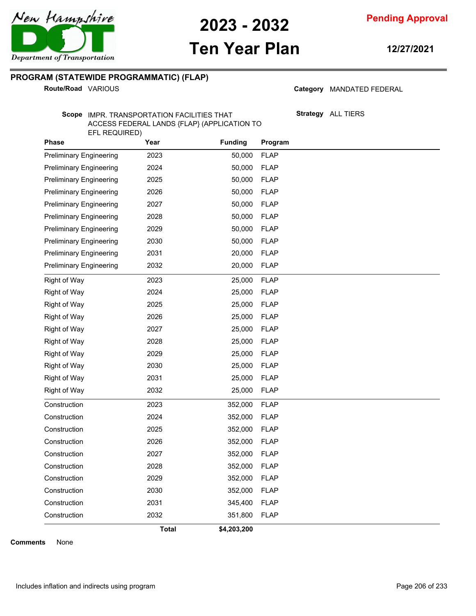

# **Ten Year Plan**

**12/27/2021**

### **PROGRAM (STATEWIDE PROGRAMMATIC) (FLAP)**

**Route/Road VARIOUS** 

Category MANDATED FEDERAL

**Strategy** ALL TIERS

Scope IMPR. TRANSPORTATION FACILITIES THAT ACCESS FEDERAL LANDS {FLAP} (APPLICATION TO EFL REQUIRED)

| <b>Phase</b>                   | Year         | <b>Funding</b> | Program     |
|--------------------------------|--------------|----------------|-------------|
| <b>Preliminary Engineering</b> | 2023         | 50,000         | <b>FLAP</b> |
| <b>Preliminary Engineering</b> | 2024         | 50,000         | <b>FLAP</b> |
| <b>Preliminary Engineering</b> | 2025         | 50,000         | <b>FLAP</b> |
| <b>Preliminary Engineering</b> | 2026         | 50,000         | <b>FLAP</b> |
| <b>Preliminary Engineering</b> | 2027         | 50,000         | <b>FLAP</b> |
| <b>Preliminary Engineering</b> | 2028         | 50,000         | <b>FLAP</b> |
| <b>Preliminary Engineering</b> | 2029         | 50,000         | <b>FLAP</b> |
| <b>Preliminary Engineering</b> | 2030         | 50,000         | <b>FLAP</b> |
| <b>Preliminary Engineering</b> | 2031         | 20,000         | <b>FLAP</b> |
| <b>Preliminary Engineering</b> | 2032         | 20,000         | <b>FLAP</b> |
| Right of Way                   | 2023         | 25,000         | <b>FLAP</b> |
| <b>Right of Way</b>            | 2024         | 25,000         | <b>FLAP</b> |
| Right of Way                   | 2025         | 25,000         | <b>FLAP</b> |
| <b>Right of Way</b>            | 2026         | 25,000         | <b>FLAP</b> |
| <b>Right of Way</b>            | 2027         | 25,000         | <b>FLAP</b> |
| <b>Right of Way</b>            | 2028         | 25,000         | <b>FLAP</b> |
| <b>Right of Way</b>            | 2029         | 25,000         | <b>FLAP</b> |
| <b>Right of Way</b>            | 2030         | 25,000         | <b>FLAP</b> |
| <b>Right of Way</b>            | 2031         | 25,000         | <b>FLAP</b> |
| Right of Way                   | 2032         | 25,000         | <b>FLAP</b> |
| Construction                   | 2023         | 352,000        | <b>FLAP</b> |
| Construction                   | 2024         | 352,000        | <b>FLAP</b> |
| Construction                   | 2025         | 352,000        | <b>FLAP</b> |
| Construction                   | 2026         | 352,000        | <b>FLAP</b> |
| Construction                   | 2027         | 352,000        | <b>FLAP</b> |
| Construction                   | 2028         | 352,000        | <b>FLAP</b> |
| Construction                   | 2029         | 352,000        | <b>FLAP</b> |
| Construction                   | 2030         | 352,000        | <b>FLAP</b> |
| Construction                   | 2031         | 345,400        | <b>FLAP</b> |
| Construction                   | 2032         | 351,800        | <b>FLAP</b> |
|                                | <b>Total</b> | \$4,203,200    |             |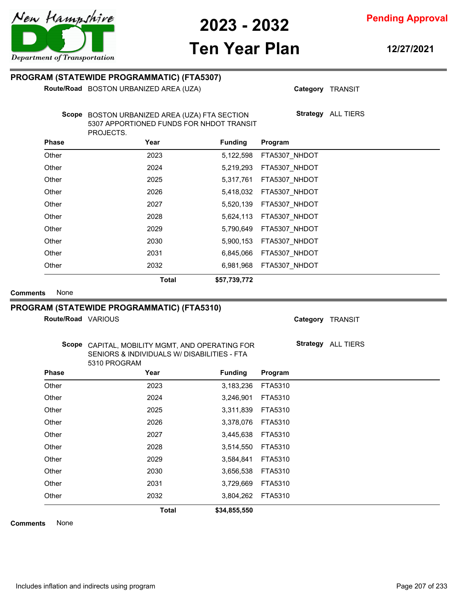

**Ten Year Plan**

### **Pending Approval**

**12/27/2021**

### **PROGRAM (STATEWIDE PROGRAMMATIC) (FTA5307)**

**Route/Road** BOSTON URBANIZED AREA (UZA)

**Category** TRANSIT

**Strategy** ALL TIERS

Scope BOSTON URBANIZED AREA (UZA) FTA SECTION 5307 APPORTIONED FUNDS FOR NHDOT TRANSIT PROJECTS.

| <b>Phase</b> | Year         | <b>Funding</b> | Program       |
|--------------|--------------|----------------|---------------|
| Other        | 2023         | 5,122,598      | FTA5307 NHDOT |
| Other        | 2024         | 5,219,293      | FTA5307 NHDOT |
| Other        | 2025         | 5,317,761      | FTA5307_NHDOT |
| Other        | 2026         | 5,418,032      | FTA5307 NHDOT |
| Other        | 2027         | 5,520,139      | FTA5307 NHDOT |
| Other        | 2028         | 5,624,113      | FTA5307_NHDOT |
| Other        | 2029         | 5,790,649      | FTA5307 NHDOT |
| Other        | 2030         | 5,900,153      | FTA5307 NHDOT |
| Other        | 2031         | 6,845,066      | FTA5307 NHDOT |
| Other        | 2032         | 6,981,968      | FTA5307 NHDOT |
|              | <b>Total</b> | \$57,739,772   |               |

**Comments** None

#### **PROGRAM (STATEWIDE PROGRAMMATIC) (FTA5310)**

**Route/Road VARIOUS** 

**Category** TRANSIT

**Strategy** ALL TIERS

Scope CAPITAL, MOBILITY MGMT, AND OPERATING FOR SENIORS & INDIVIDUALS W/ DISABILITIES - FTA 5310 PROGRAM

| <b>Phase</b> | Year         | <b>Funding</b> | Program |  |
|--------------|--------------|----------------|---------|--|
| Other        | 2023         | 3,183,236      | FTA5310 |  |
| Other        | 2024         | 3,246,901      | FTA5310 |  |
| Other        | 2025         | 3,311,839      | FTA5310 |  |
| Other        | 2026         | 3,378,076      | FTA5310 |  |
| Other        | 2027         | 3,445,638      | FTA5310 |  |
| Other        | 2028         | 3,514,550      | FTA5310 |  |
| Other        | 2029         | 3,584,841      | FTA5310 |  |
| Other        | 2030         | 3,656,538      | FTA5310 |  |
| Other        | 2031         | 3,729,669      | FTA5310 |  |
| Other        | 2032         | 3,804,262      | FTA5310 |  |
|              | <b>Total</b> | \$34,855,550   |         |  |



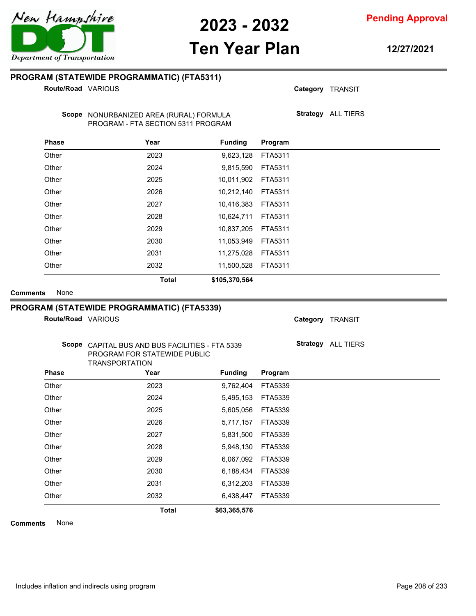# **Ten Year Plan**

### **PROGRAM (STATEWIDE PROGRAMMATIC) (FTA5311)**

**Route/Road VARIOUS** 

Scope NONURBANIZED AREA (RURAL) FORMULA PROGRAM - FTA SECTION 5311 PROGRAM

| <b>Phase</b> | Year         | <b>Funding</b> | Program |
|--------------|--------------|----------------|---------|
| Other        | 2023         | 9,623,128      | FTA5311 |
| Other        | 2024         | 9,815,590      | FTA5311 |
| Other        | 2025         | 10,011,902     | FTA5311 |
| Other        | 2026         | 10,212,140     | FTA5311 |
| Other        | 2027         | 10,416,383     | FTA5311 |
| Other        | 2028         | 10,624,711     | FTA5311 |
| Other        | 2029         | 10,837,205     | FTA5311 |
| Other        | 2030         | 11,053,949     | FTA5311 |
| Other        | 2031         | 11,275,028     | FTA5311 |
| Other        | 2032         | 11,500,528     | FTA5311 |
|              | <b>Total</b> | \$105,370,564  |         |

**Comments** None

#### **PROGRAM (STATEWIDE PROGRAMMATIC) (FTA5339)**

Scope CAPITAL BUS AND BUS FACILITIES - FTA 5339 PROGRAM FOR STATEWIDE PUBLIC

**Route/Road VARIOUS** 

**Strategy** ALL TIERS

**Category** TRANSIT

**Category** TRANSIT

**Strategy** ALL TIERS

|              | <b>Total</b>          | \$63,365,576   |         |  |
|--------------|-----------------------|----------------|---------|--|
| Other        | 2032                  | 6,438,447      | FTA5339 |  |
| Other        | 2031                  | 6,312,203      | FTA5339 |  |
| Other        | 2030                  | 6,188,434      | FTA5339 |  |
| Other        | 2029                  | 6,067,092      | FTA5339 |  |
| Other        | 2028                  | 5,948,130      | FTA5339 |  |
| Other        | 2027                  | 5,831,500      | FTA5339 |  |
| Other        | 2026                  | 5,717,157      | FTA5339 |  |
| Other        | 2025                  | 5,605,056      | FTA5339 |  |
| Other        | 2024                  | 5,495,153      | FTA5339 |  |
| Other        | 2023                  | 9,762,404      | FTA5339 |  |
| <b>Phase</b> | Year                  | <b>Funding</b> | Program |  |
|              | <b>TRANSPORTATION</b> |                |         |  |

**Comments** None



**12/27/2021**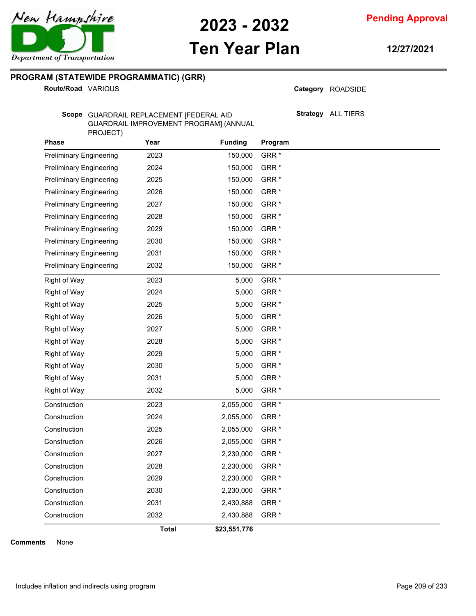**Pending Approval**

## **Ten Year Plan**

**12/27/2021**

### **PROGRAM (STATEWIDE PROGRAMMATIC) (GRR)**

**Route/Road VARIOUS** 

Category ROADSIDE

**Strategy** ALL TIERS

Scope GUARDRAIL REPLACEMENT [FEDERAL AID GUARDRAIL IMPROVEMENT PROGRAM] (ANNUAL PROJECT)

| <b>Phase</b>                   | Year         | <b>Funding</b> | Program          |
|--------------------------------|--------------|----------------|------------------|
| <b>Preliminary Engineering</b> | 2023         | 150,000        | GRR <sup>*</sup> |
| <b>Preliminary Engineering</b> | 2024         | 150,000        | GRR <sup>*</sup> |
| <b>Preliminary Engineering</b> | 2025         | 150,000        | GRR <sup>*</sup> |
| <b>Preliminary Engineering</b> | 2026         | 150,000        | GRR <sup>*</sup> |
| <b>Preliminary Engineering</b> | 2027         | 150,000        | GRR <sup>*</sup> |
| <b>Preliminary Engineering</b> | 2028         | 150,000        | GRR <sup>*</sup> |
| <b>Preliminary Engineering</b> | 2029         | 150,000        | GRR <sup>*</sup> |
| <b>Preliminary Engineering</b> | 2030         | 150,000        | GRR <sup>*</sup> |
| <b>Preliminary Engineering</b> | 2031         | 150,000        | GRR <sup>*</sup> |
| <b>Preliminary Engineering</b> | 2032         | 150,000        | GRR <sup>*</sup> |
| <b>Right of Way</b>            | 2023         | 5,000          | GRR <sup>*</sup> |
| Right of Way                   | 2024         | 5,000          | GRR <sup>*</sup> |
| Right of Way                   | 2025         | 5,000          | GRR <sup>*</sup> |
| Right of Way                   | 2026         | 5,000          | GRR <sup>*</sup> |
| <b>Right of Way</b>            | 2027         | 5,000          | GRR <sup>*</sup> |
| <b>Right of Way</b>            | 2028         | 5,000          | GRR <sup>*</sup> |
| <b>Right of Way</b>            | 2029         | 5,000          | GRR <sup>*</sup> |
| <b>Right of Way</b>            | 2030         | 5,000          | GRR <sup>*</sup> |
| Right of Way                   | 2031         | 5,000          | GRR <sup>*</sup> |
| <b>Right of Way</b>            | 2032         | 5,000          | GRR <sup>*</sup> |
| Construction                   | 2023         | 2,055,000      | GRR <sup>*</sup> |
| Construction                   | 2024         | 2,055,000      | GRR <sup>*</sup> |
| Construction                   | 2025         | 2,055,000      | GRR <sup>*</sup> |
| Construction                   | 2026         | 2,055,000      | GRR <sup>*</sup> |
| Construction                   | 2027         | 2,230,000      | GRR <sup>*</sup> |
| Construction                   | 2028         | 2,230,000      | GRR <sup>*</sup> |
| Construction                   | 2029         | 2,230,000      | GRR <sup>*</sup> |
| Construction                   | 2030         | 2,230,000      | GRR <sup>*</sup> |
| Construction                   | 2031         | 2,430,888      | GRR <sup>*</sup> |
| Construction                   | 2032         | 2,430,888      | GRR <sup>*</sup> |
|                                | <b>Total</b> | \$23,551,776   |                  |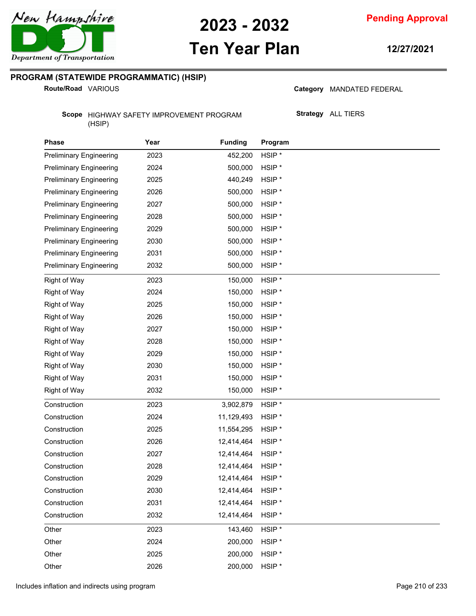

# **Ten Year Plan**

**12/27/2021**

### **PROGRAM (STATEWIDE PROGRAMMATIC) (HSIP)**

**Route/Road VARIOUS** 

Category MANDATED FEDERAL

Scope HIGHWAY SAFETY IMPROVEMENT PROGRAM (HSIP)

**Strategy** ALL TIERS

| <b>Phase</b>                   | Year | <b>Funding</b> | Program           |
|--------------------------------|------|----------------|-------------------|
| <b>Preliminary Engineering</b> | 2023 | 452,200        | HSIP <sup>*</sup> |
| <b>Preliminary Engineering</b> | 2024 | 500,000        | HSIP <sup>*</sup> |
| <b>Preliminary Engineering</b> | 2025 | 440,249        | HSIP <sup>*</sup> |
| <b>Preliminary Engineering</b> | 2026 | 500,000        | HSIP <sup>*</sup> |
| <b>Preliminary Engineering</b> | 2027 | 500,000        | HSIP <sup>*</sup> |
| <b>Preliminary Engineering</b> | 2028 | 500,000        | HSIP <sup>*</sup> |
| <b>Preliminary Engineering</b> | 2029 | 500,000        | HSIP <sup>*</sup> |
| <b>Preliminary Engineering</b> | 2030 | 500,000        | HSIP <sup>*</sup> |
| <b>Preliminary Engineering</b> | 2031 | 500,000        | HSIP <sup>*</sup> |
| <b>Preliminary Engineering</b> | 2032 | 500,000        | HSIP <sup>*</sup> |
| <b>Right of Way</b>            | 2023 | 150,000        | HSIP <sup>*</sup> |
| <b>Right of Way</b>            | 2024 | 150,000        | HSIP <sup>*</sup> |
| <b>Right of Way</b>            | 2025 | 150,000        | HSIP <sup>*</sup> |
| <b>Right of Way</b>            | 2026 | 150,000        | HSIP <sup>*</sup> |
| <b>Right of Way</b>            | 2027 | 150,000        | HSIP <sup>*</sup> |
| <b>Right of Way</b>            | 2028 | 150,000        | HSIP <sup>*</sup> |
| <b>Right of Way</b>            | 2029 | 150,000        | HSIP <sup>*</sup> |
| <b>Right of Way</b>            | 2030 | 150,000        | HSIP <sup>*</sup> |
| <b>Right of Way</b>            | 2031 | 150,000        | HSIP <sup>*</sup> |
| <b>Right of Way</b>            | 2032 | 150,000        | HSIP <sup>*</sup> |
| Construction                   | 2023 | 3,902,879      | HSIP <sup>*</sup> |
| Construction                   | 2024 | 11,129,493     | HSIP <sup>*</sup> |
| Construction                   | 2025 | 11,554,295     | HSIP <sup>*</sup> |
| Construction                   | 2026 | 12,414,464     | HSIP <sup>*</sup> |
| Construction                   | 2027 | 12,414,464     | HSIP <sup>*</sup> |
| Construction                   | 2028 | 12,414,464     | HSIP <sup>*</sup> |
| Construction                   | 2029 | 12,414,464     | HSIP <sup>*</sup> |
| Construction                   | 2030 | 12,414,464     | HSIP <sup>*</sup> |
| Construction                   | 2031 | 12,414,464     | HSIP <sup>*</sup> |
| Construction                   | 2032 | 12,414,464     | HSIP <sup>*</sup> |
| Other                          | 2023 | 143,460        | HSIP*             |
| Other                          | 2024 | 200,000        | HSIP <sup>*</sup> |
| Other                          | 2025 | 200,000        | HSIP*             |
| Other                          | 2026 | 200,000        | HSIP*             |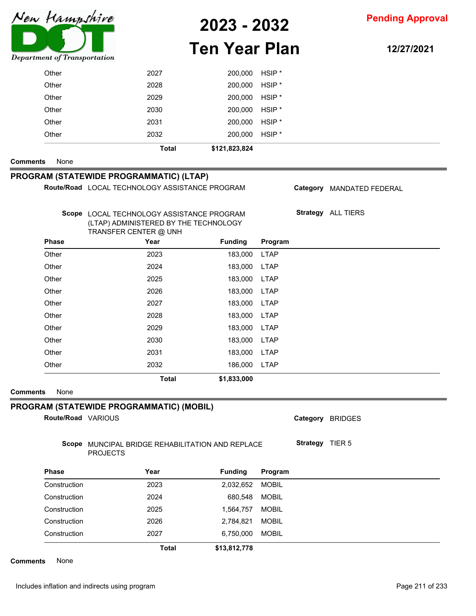

**2023 - 2032**

### **Pending Approval**

# **Ten Year Plan**

**12/27/2021**

| Department of Transportation            |                                                                                        |                                       |                |                   |  |                           |
|-----------------------------------------|----------------------------------------------------------------------------------------|---------------------------------------|----------------|-------------------|--|---------------------------|
| Other                                   |                                                                                        | 2027                                  | 200,000        | HSIP <sup>*</sup> |  |                           |
| Other                                   |                                                                                        | 2028                                  | 200,000        | HSIP <sup>*</sup> |  |                           |
| Other                                   |                                                                                        | 2029                                  | 200,000        | HSIP <sup>*</sup> |  |                           |
| Other                                   |                                                                                        | 2030                                  | 200,000        | HSIP <sup>*</sup> |  |                           |
| Other                                   |                                                                                        | 2031                                  | 200,000        | HSIP <sup>*</sup> |  |                           |
| Other                                   |                                                                                        | 2032                                  | 200,000        | HSIP <sup>*</sup> |  |                           |
|                                         |                                                                                        | <b>Total</b>                          | \$121,823,824  |                   |  |                           |
| None<br><b>Comments</b>                 |                                                                                        |                                       |                |                   |  |                           |
| PROGRAM (STATEWIDE PROGRAMMATIC) (LTAP) |                                                                                        |                                       |                |                   |  |                           |
|                                         | Route/Road LOCAL TECHNOLOGY ASSISTANCE PROGRAM                                         |                                       |                |                   |  | Category MANDATED FEDERAL |
|                                         |                                                                                        |                                       |                |                   |  |                           |
|                                         | Scope LOCAL TECHNOLOGY ASSISTANCE PROGRAM                                              | (LTAP) ADMINISTERED BY THE TECHNOLOGY |                |                   |  | Strategy ALL TIERS        |
|                                         | TRANSFER CENTER @ UNH                                                                  |                                       |                |                   |  |                           |
| <b>Phase</b>                            |                                                                                        | Year                                  | <b>Funding</b> | Program           |  |                           |
| Other                                   |                                                                                        | 2023                                  | 183,000        | <b>LTAP</b>       |  |                           |
| Other                                   |                                                                                        | 2024                                  | 183,000        | <b>LTAP</b>       |  |                           |
| Other                                   |                                                                                        | 2025                                  | 183,000        | <b>LTAP</b>       |  |                           |
| Other                                   |                                                                                        | 2026                                  | 183,000        | <b>LTAP</b>       |  |                           |
| Other                                   |                                                                                        | 2027                                  | 183,000        | <b>LTAP</b>       |  |                           |
| Other                                   |                                                                                        | 2028                                  | 183,000        | <b>LTAP</b>       |  |                           |
| Other                                   |                                                                                        | 2029                                  | 183,000        | <b>LTAP</b>       |  |                           |
| Other                                   |                                                                                        | 2030                                  | 183,000        | <b>LTAP</b>       |  |                           |
| Other                                   |                                                                                        | 2031                                  | 183,000        | <b>LTAP</b>       |  |                           |
| Other                                   |                                                                                        | 2032                                  | 186,000        | <b>LTAP</b>       |  |                           |
|                                         |                                                                                        | <b>Total</b>                          | \$1,833,000    |                   |  |                           |
| None<br><b>Comments</b>                 |                                                                                        |                                       |                |                   |  |                           |
|                                         | PROGRAM (STATEWIDE PROGRAMMATIC) (MOBIL)                                               |                                       |                |                   |  |                           |
|                                         | Route/Road VARIOUS                                                                     |                                       |                |                   |  | Category BRIDGES          |
|                                         |                                                                                        |                                       |                |                   |  |                           |
|                                         | Strategy TIER 5<br>Scope MUNCIPAL BRIDGE REHABILITATION AND REPLACE<br><b>PROJECTS</b> |                                       |                |                   |  |                           |
| <b>Phase</b>                            |                                                                                        | Year                                  | <b>Funding</b> | Program           |  |                           |
|                                         |                                                                                        | 2023                                  | 2,032,652      | <b>MOBIL</b>      |  |                           |
| Construction                            |                                                                                        | 2024                                  | 680,548        | <b>MOBIL</b>      |  |                           |
| Construction                            |                                                                                        |                                       |                |                   |  |                           |
| Construction                            |                                                                                        | 2025                                  | 1,564,757      | <b>MOBIL</b>      |  |                           |
| Construction                            |                                                                                        | 2026                                  | 2,784,821      | <b>MOBIL</b>      |  |                           |
| Construction                            |                                                                                        | 2027                                  | 6,750,000      | <b>MOBIL</b>      |  |                           |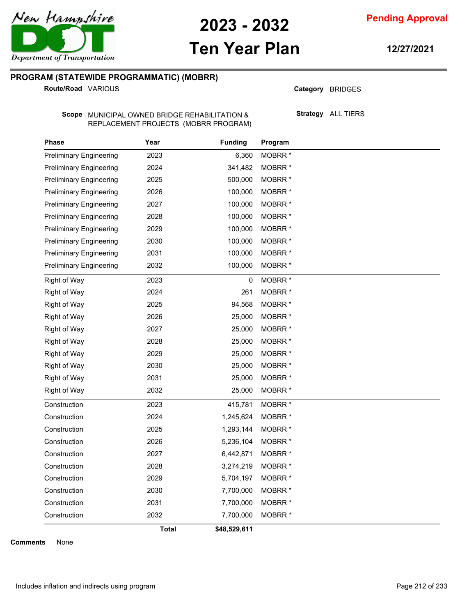

**Pending Approval**

# **Ten Year Plan**

**12/27/2021**

#### **PROGRAM (STATEWIDE PROGRAMMATIC) (MOBRR)**

**Route/Road VARIOUS** 

Category BRIDGES

Scope MUNICIPAL OWNED BRIDGE REHABILITATION & REPLACEMENT PROJECTS (MOBRR PROGRAM) **Strategy** ALL TIERS

| <b>Phase</b>                   | Year         | <b>Funding</b> | Program            |  |
|--------------------------------|--------------|----------------|--------------------|--|
| <b>Preliminary Engineering</b> | 2023         | 6,360          | MOBRR <sup>*</sup> |  |
| <b>Preliminary Engineering</b> | 2024         | 341,482        | MOBRR <sup>*</sup> |  |
| <b>Preliminary Engineering</b> | 2025         | 500,000        | MOBRR <sup>*</sup> |  |
| <b>Preliminary Engineering</b> | 2026         | 100,000        | MOBRR <sup>*</sup> |  |
| <b>Preliminary Engineering</b> | 2027         | 100,000        | MOBRR <sup>*</sup> |  |
| <b>Preliminary Engineering</b> | 2028         | 100,000        | MOBRR <sup>*</sup> |  |
| <b>Preliminary Engineering</b> | 2029         | 100,000        | MOBRR <sup>*</sup> |  |
| <b>Preliminary Engineering</b> | 2030         | 100,000        | <b>MOBRR</b> *     |  |
| <b>Preliminary Engineering</b> | 2031         | 100,000        | MOBRR <sup>*</sup> |  |
| <b>Preliminary Engineering</b> | 2032         | 100,000        | MOBRR <sup>*</sup> |  |
| <b>Right of Way</b>            | 2023         | 0              | MOBRR <sup>*</sup> |  |
| Right of Way                   | 2024         | 261            | MOBRR <sup>*</sup> |  |
| Right of Way                   | 2025         | 94,568         | <b>MOBRR</b> *     |  |
| <b>Right of Way</b>            | 2026         | 25,000         | MOBRR <sup>*</sup> |  |
| Right of Way                   | 2027         | 25,000         | MOBRR <sup>*</sup> |  |
| Right of Way                   | 2028         | 25,000         | MOBRR <sup>*</sup> |  |
| <b>Right of Way</b>            | 2029         | 25,000         | MOBRR <sup>*</sup> |  |
| <b>Right of Way</b>            | 2030         | 25,000         | MOBRR <sup>*</sup> |  |
| Right of Way                   | 2031         | 25,000         | MOBRR <sup>*</sup> |  |
| <b>Right of Way</b>            | 2032         | 25,000         | MOBRR <sup>*</sup> |  |
| Construction                   | 2023         | 415,781        | MOBRR <sup>*</sup> |  |
| Construction                   | 2024         | 1,245,624      | <b>MOBRR</b> *     |  |
| Construction                   | 2025         | 1,293,144      | MOBRR <sup>*</sup> |  |
| Construction                   | 2026         | 5,236,104      | MOBRR <sup>*</sup> |  |
| Construction                   | 2027         | 6,442,871      | MOBRR <sup>*</sup> |  |
| Construction                   | 2028         | 3,274,219      | MOBRR <sup>*</sup> |  |
| Construction                   | 2029         | 5,704,197      | MOBRR <sup>*</sup> |  |
| Construction                   | 2030         | 7,700,000      | MOBRR <sup>*</sup> |  |
| Construction                   | 2031         | 7,700,000      | MOBRR <sup>*</sup> |  |
| Construction                   | 2032         | 7,700,000      | MOBRR <sup>*</sup> |  |
|                                | <b>Total</b> | \$48,529,611   |                    |  |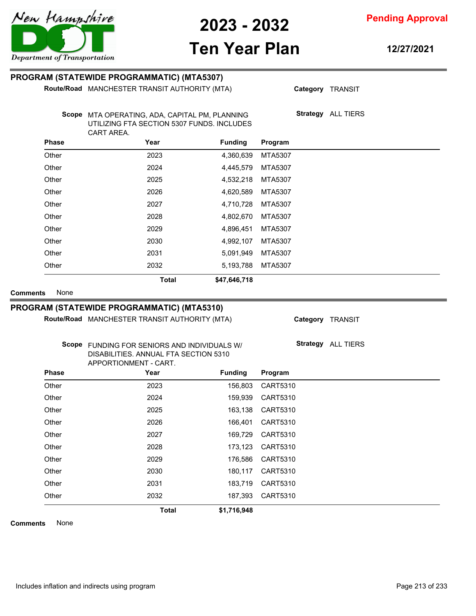

**Pending Approval**

# **Ten Year Plan**

**12/27/2021**

#### **PROGRAM (STATEWIDE PROGRAMMATIC) (MTA5307)**

**Route/Road** MANCHESTER TRANSIT AUTHORITY (MTA)

**Category** TRANSIT

**Strategy** ALL TIERS

Scope MTA OPERATING, ADA, CAPITAL PM, PLANNING UTILIZING FTA SECTION 5307 FUNDS. INCLUDES CART AREA.

| <b>Phase</b> | Year         | <b>Funding</b> | Program |
|--------------|--------------|----------------|---------|
| Other        | 2023         | 4,360,639      | MTA5307 |
| Other        | 2024         | 4,445,579      | MTA5307 |
| Other        | 2025         | 4,532,218      | MTA5307 |
| Other        | 2026         | 4,620,589      | MTA5307 |
| Other        | 2027         | 4,710,728      | MTA5307 |
| Other        | 2028         | 4,802,670      | MTA5307 |
| Other        | 2029         | 4,896,451      | MTA5307 |
| Other        | 2030         | 4,992,107      | MTA5307 |
| Other        | 2031         | 5,091,949      | MTA5307 |
| Other        | 2032         | 5,193,788      | MTA5307 |
|              | <b>Total</b> | \$47,646,718   |         |

**Comments** None

#### **PROGRAM (STATEWIDE PROGRAMMATIC) (MTA5310)**

**Route/Road** MANCHESTER TRANSIT AUTHORITY (MTA)

**Category** TRANSIT

**Strategy** ALL TIERS

FUNDING FOR SENIORS AND INDIVIDUALS W/ **Scope** DISABILITIES. ANNUAL FTA SECTION 5310 APPORTIONMENT - CART.

|       | AFFUNTIUNINENT - CANT. |                |          |  |
|-------|------------------------|----------------|----------|--|
| Phase | Year                   | <b>Funding</b> | Program  |  |
| Other | 2023                   | 156,803        | CART5310 |  |
| Other | 2024                   | 159,939        | CART5310 |  |
| Other | 2025                   | 163,138        | CART5310 |  |
| Other | 2026                   | 166,401        | CART5310 |  |
| Other | 2027                   | 169,729        | CART5310 |  |
| Other | 2028                   | 173,123        | CART5310 |  |
| Other | 2029                   | 176,586        | CART5310 |  |
| Other | 2030                   | 180,117        | CART5310 |  |
| Other | 2031                   | 183,719        | CART5310 |  |
| Other | 2032                   | 187,393        | CART5310 |  |
|       | <b>Total</b>           | \$1,716,948    |          |  |

**Comments** None

Includes inflation and indirects using program Page 213 of 233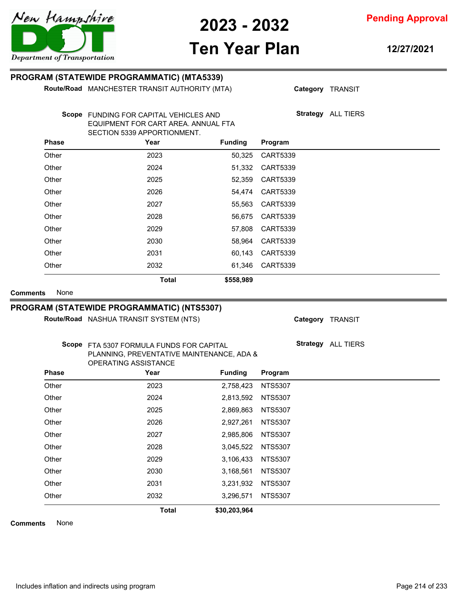

**Pending Approval**

# **Ten Year Plan**

**12/27/2021**

#### **PROGRAM (STATEWIDE PROGRAMMATIC) (MTA5339)**

**Route/Road** MANCHESTER TRANSIT AUTHORITY (MTA)

**Category** TRANSIT

**Strategy** ALL TIERS

Scope FUNDING FOR CAPITAL VEHICLES AND EQUIPMENT FOR CART AREA. ANNUAL FTA SECTION 5339 APPORTIONMENT.

| <b>Phase</b> | Year         | <b>Funding</b> | Program         |  |
|--------------|--------------|----------------|-----------------|--|
| Other        | 2023         | 50,325         | <b>CART5339</b> |  |
| Other        | 2024         | 51,332         | <b>CART5339</b> |  |
| Other        | 2025         | 52,359         | <b>CART5339</b> |  |
| Other        | 2026         | 54,474         | <b>CART5339</b> |  |
| Other        | 2027         | 55,563         | <b>CART5339</b> |  |
| Other        | 2028         | 56,675         | <b>CART5339</b> |  |
| Other        | 2029         | 57,808         | <b>CART5339</b> |  |
| Other        | 2030         | 58,964         | <b>CART5339</b> |  |
| Other        | 2031         | 60,143         | <b>CART5339</b> |  |
| Other        | 2032         | 61,346         | <b>CART5339</b> |  |
|              | <b>Total</b> | \$558,989      |                 |  |

**Comments** None

#### **PROGRAM (STATEWIDE PROGRAMMATIC) (NTS5307)**

**Route/Road** NASHUA TRANSIT SYSTEM (NTS)

**Category** TRANSIT

**Strategy** ALL TIERS

Scope FTA 5307 FORMULA FUNDS FOR CAPITAL PLANNING, PREVENTATIVE MAINTENANCE, ADA & OPERATING ASSISTANCE

| <b>Phase</b> | Year         | <b>Funding</b> | Program        |
|--------------|--------------|----------------|----------------|
| Other        | 2023         | 2,758,423      | <b>NTS5307</b> |
| Other        | 2024         | 2,813,592      | <b>NTS5307</b> |
| Other        | 2025         | 2,869,863      | <b>NTS5307</b> |
| Other        | 2026         | 2,927,261      | <b>NTS5307</b> |
| Other        | 2027         | 2,985,806      | <b>NTS5307</b> |
| Other        | 2028         | 3,045,522      | <b>NTS5307</b> |
| Other        | 2029         | 3,106,433      | <b>NTS5307</b> |
| Other        | 2030         | 3,168,561      | <b>NTS5307</b> |
| Other        | 2031         | 3,231,932      | <b>NTS5307</b> |
| Other        | 2032         | 3,296,571      | <b>NTS5307</b> |
|              | <b>Total</b> | \$30,203,964   |                |

**Comments** None

Includes inflation and indirects using program Page 214 of 233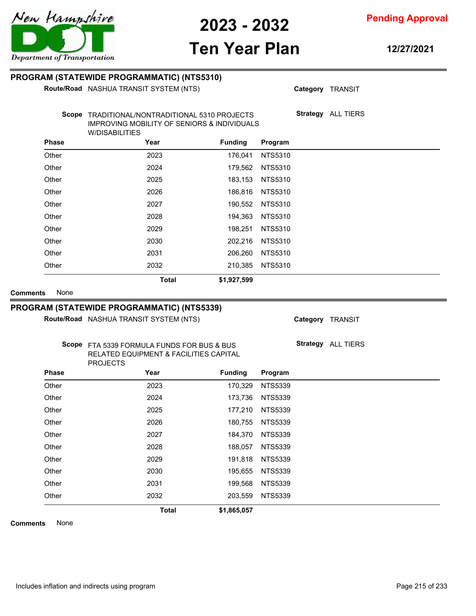**Pending Approval**

# **Ten Year Plan**

**12/27/2021**

|                                                                                      | Route/Road NASHUA TRANSIT SYSTEM (NTS)                                                                                 |                |                | Category TRANSIT          |
|--------------------------------------------------------------------------------------|------------------------------------------------------------------------------------------------------------------------|----------------|----------------|---------------------------|
|                                                                                      | Scope TRADITIONAL/NONTRADITIONAL 5310 PROJECTS<br>IMPROVING MOBILITY OF SENIORS & INDIVIDUALS<br><b>W/DISABILITIES</b> |                |                | <b>Strategy</b> ALL TIERS |
| <b>Phase</b>                                                                         | Year                                                                                                                   | <b>Funding</b> | Program        |                           |
| Other                                                                                | 2023                                                                                                                   | 176,041        | <b>NTS5310</b> |                           |
| Other                                                                                | 2024                                                                                                                   | 179,562        | <b>NTS5310</b> |                           |
| Other                                                                                | 2025                                                                                                                   | 183,153        | <b>NTS5310</b> |                           |
| Other                                                                                | 2026                                                                                                                   | 186,816        | <b>NTS5310</b> |                           |
| Other                                                                                | 2027                                                                                                                   | 190,552        | <b>NTS5310</b> |                           |
| Other                                                                                | 2028                                                                                                                   | 194,363        | <b>NTS5310</b> |                           |
| Other                                                                                | 2029                                                                                                                   | 198,251        | <b>NTS5310</b> |                           |
| Other                                                                                | 2030                                                                                                                   | 202,216        | NTS5310        |                           |
| Other                                                                                | 2031                                                                                                                   | 206,260        | <b>NTS5310</b> |                           |
| Other                                                                                | 2032                                                                                                                   | 210,385        | NTS5310        |                           |
|                                                                                      |                                                                                                                        |                |                |                           |
| None                                                                                 | <b>Total</b><br>PROGRAM (STATEWIDE PROGRAMMATIC) (NTS5339)<br>Route/Road NASHUA TRANSIT SYSTEM (NTS)                   | \$1,927,599    |                | Category TRANSIT          |
| <b>Comments</b>                                                                      | Scope FTA 5339 FORMULA FUNDS FOR BUS & BUS<br>RELATED EQUIPMENT & FACILITIES CAPITAL                                   |                |                | Strategy ALL TIERS        |
|                                                                                      | <b>PROJECTS</b><br>Year                                                                                                | <b>Funding</b> | Program        |                           |
|                                                                                      | 2023                                                                                                                   | 170,329        | <b>NTS5339</b> |                           |
|                                                                                      | 2024                                                                                                                   | 173,736        | <b>NTS5339</b> |                           |
|                                                                                      | 2025                                                                                                                   | 177,210        | <b>NTS5339</b> |                           |
|                                                                                      | 2026                                                                                                                   | 180,755        | <b>NTS5339</b> |                           |
|                                                                                      | 2027                                                                                                                   | 184,370        | <b>NTS5339</b> |                           |
|                                                                                      | 2028                                                                                                                   | 188,057        | <b>NTS5339</b> |                           |
|                                                                                      | 2029                                                                                                                   | 191,818        | <b>NTS5339</b> |                           |
| <b>Phase</b><br>Other<br>Other<br>Other<br>Other<br>Other<br>Other<br>Other<br>Other | 2030                                                                                                                   | 195,655        | <b>NTS5339</b> |                           |
| Other                                                                                | 2031                                                                                                                   | 199,568        | <b>NTS5339</b> |                           |
| Other                                                                                | 2032                                                                                                                   | 203,559        | <b>NTS5339</b> |                           |
|                                                                                      | <b>Total</b>                                                                                                           | \$1,865,057    |                |                           |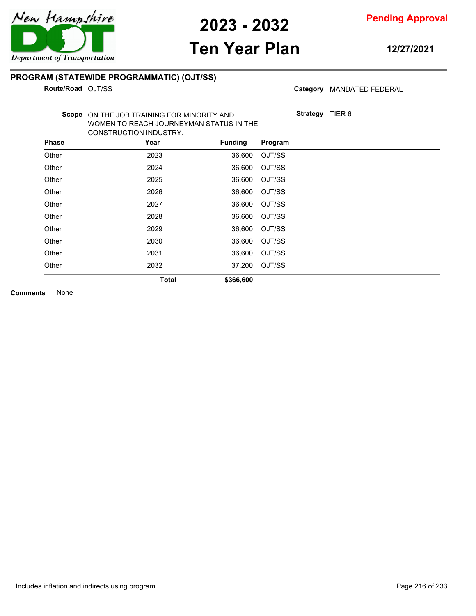

# **Ten Year Plan**

**12/27/2021**

#### **PROGRAM (STATEWIDE PROGRAMMATIC) (OJT/SS)**

**Route/Road OJT/SS** 

Category MANDATED FEDERAL

**Strategy** TIER 6

Scope ON THE JOB TRAINING FOR MINORITY AND WOMEN TO REACH JOURNEYMAN STATUS IN THE CONSTRUCTION INDUSTRY.

| <b>Phase</b> | Year         | <b>Funding</b> | Program |
|--------------|--------------|----------------|---------|
| Other        | 2023         | 36,600         | OJT/SS  |
| Other        | 2024         | 36,600         | OJT/SS  |
| Other        | 2025         | 36,600         | OJT/SS  |
| Other        | 2026         | 36,600         | OJT/SS  |
| Other        | 2027         | 36,600         | OJT/SS  |
| Other        | 2028         | 36,600         | OJT/SS  |
| Other        | 2029         | 36,600         | OJT/SS  |
| Other        | 2030         | 36,600         | OJT/SS  |
| Other        | 2031         | 36,600         | OJT/SS  |
| Other        | 2032         | 37,200         | OJT/SS  |
|              | <b>Total</b> | \$366,600      |         |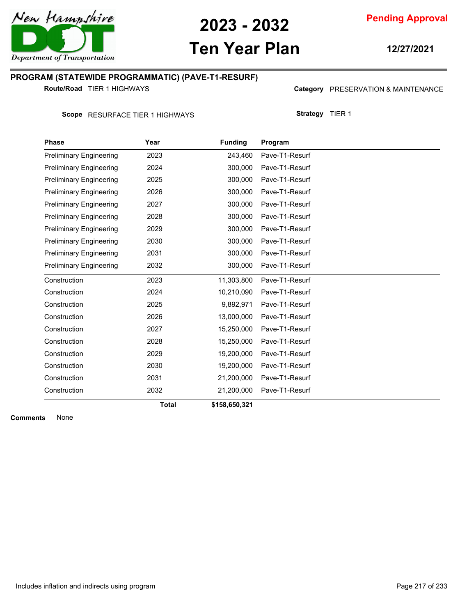

# **Ten Year Plan**

**12/27/2021**

### **PROGRAM (STATEWIDE PROGRAMMATIC) (PAVE-T1-RESURF)**

**Route/Road** TIER 1 HIGHWAYS

Category PRESERVATION & MAINTENANCE

Scope RESURFACE TIER 1 HIGHWAYS

| <b>Strategy</b> | TIER 1 |
|-----------------|--------|
|-----------------|--------|

| <b>Phase</b>                   | Year         | <b>Funding</b> | Program        |
|--------------------------------|--------------|----------------|----------------|
| <b>Preliminary Engineering</b> | 2023         | 243,460        | Pave-T1-Resurf |
| <b>Preliminary Engineering</b> | 2024         | 300.000        | Pave-T1-Resurf |
| <b>Preliminary Engineering</b> | 2025         | 300,000        | Pave-T1-Resurf |
| <b>Preliminary Engineering</b> | 2026         | 300,000        | Pave-T1-Resurf |
| <b>Preliminary Engineering</b> | 2027         | 300.000        | Pave-T1-Resurf |
| <b>Preliminary Engineering</b> | 2028         | 300,000        | Pave-T1-Resurf |
| <b>Preliminary Engineering</b> | 2029         | 300,000        | Pave-T1-Resurf |
| <b>Preliminary Engineering</b> | 2030         | 300,000        | Pave-T1-Resurf |
| <b>Preliminary Engineering</b> | 2031         | 300,000        | Pave-T1-Resurf |
| <b>Preliminary Engineering</b> | 2032         | 300,000        | Pave-T1-Resurf |
| Construction                   | 2023         | 11,303,800     | Pave-T1-Resurf |
| Construction                   | 2024         | 10,210,090     | Pave-T1-Resurf |
| Construction                   | 2025         | 9,892,971      | Pave-T1-Resurf |
| Construction                   | 2026         | 13,000,000     | Pave-T1-Resurf |
| Construction                   | 2027         | 15,250,000     | Pave-T1-Resurf |
| Construction                   | 2028         | 15,250,000     | Pave-T1-Resurf |
| Construction                   | 2029         | 19,200,000     | Pave-T1-Resurf |
| Construction                   | 2030         | 19,200,000     | Pave-T1-Resurf |
| Construction                   | 2031         | 21,200,000     | Pave-T1-Resurf |
| Construction                   | 2032         | 21,200,000     | Pave-T1-Resurf |
|                                | <b>Total</b> | \$158,650,321  |                |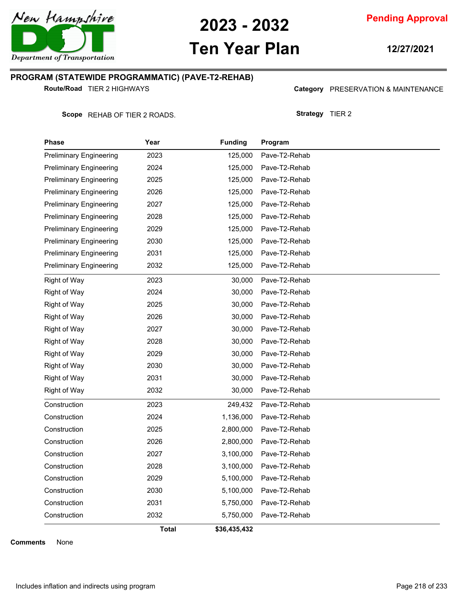

# **Ten Year Plan**

**12/27/2021**

#### **PROGRAM (STATEWIDE PROGRAMMATIC) (PAVE-T2-REHAB)**

**Route/Road** TIER 2 HIGHWAYS

Category PRESERVATION & MAINTENANCE

**Strategy** TIER 2

Scope REHAB OF TIER 2 ROADS.

| Phase                          | Year  | <b>Funding</b> | Program       |
|--------------------------------|-------|----------------|---------------|
| <b>Preliminary Engineering</b> | 2023  | 125,000        | Pave-T2-Rehab |
| Preliminary Engineering        | 2024  | 125,000        | Pave-T2-Rehab |
| Preliminary Engineering        | 2025  | 125,000        | Pave-T2-Rehab |
| Preliminary Engineering        | 2026  | 125,000        | Pave-T2-Rehab |
| Preliminary Engineering        | 2027  | 125,000        | Pave-T2-Rehab |
| <b>Preliminary Engineering</b> | 2028  | 125,000        | Pave-T2-Rehab |
| Preliminary Engineering        | 2029  | 125,000        | Pave-T2-Rehab |
| Preliminary Engineering        | 2030  | 125,000        | Pave-T2-Rehab |
| <b>Preliminary Engineering</b> | 2031  | 125,000        | Pave-T2-Rehab |
| <b>Preliminary Engineering</b> | 2032  | 125,000        | Pave-T2-Rehab |
| Right of Way                   | 2023  | 30,000         | Pave-T2-Rehab |
| Right of Way                   | 2024  | 30,000         | Pave-T2-Rehab |
| Right of Way                   | 2025  | 30,000         | Pave-T2-Rehab |
| <b>Right of Way</b>            | 2026  | 30,000         | Pave-T2-Rehab |
| Right of Way                   | 2027  | 30,000         | Pave-T2-Rehab |
| Right of Way                   | 2028  | 30,000         | Pave-T2-Rehab |
| <b>Right of Way</b>            | 2029  | 30,000         | Pave-T2-Rehab |
| Right of Way                   | 2030  | 30,000         | Pave-T2-Rehab |
| Right of Way                   | 2031  | 30,000         | Pave-T2-Rehab |
| <b>Right of Way</b>            | 2032  | 30,000         | Pave-T2-Rehab |
| Construction                   | 2023  | 249,432        | Pave-T2-Rehab |
| Construction                   | 2024  | 1,136,000      | Pave-T2-Rehab |
| Construction                   | 2025  | 2,800,000      | Pave-T2-Rehab |
| Construction                   | 2026  | 2,800,000      | Pave-T2-Rehab |
| Construction                   | 2027  | 3,100,000      | Pave-T2-Rehab |
| Construction                   | 2028  | 3,100,000      | Pave-T2-Rehab |
| Construction                   | 2029  | 5,100,000      | Pave-T2-Rehab |
| Construction                   | 2030  | 5,100,000      | Pave-T2-Rehab |
| Construction                   | 2031  | 5,750,000      | Pave-T2-Rehab |
| Construction                   | 2032  | 5,750,000      | Pave-T2-Rehab |
|                                | Total | \$36,435,432   |               |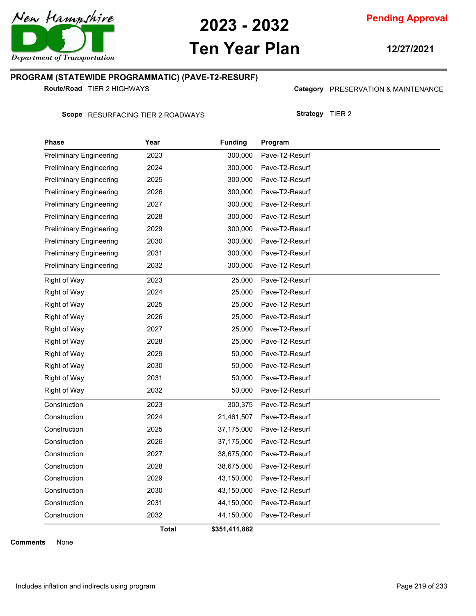

# **Ten Year Plan**

**12/27/2021**

#### **PROGRAM (STATEWIDE PROGRAMMATIC) (PAVE-T2-RESURF)**

**Route/Road** TIER 2 HIGHWAYS

Category PRESERVATION & MAINTENANCE

Scope RESURFACING TIER 2 ROADWAYS

| <b>Strategy</b> | TIER <sub>2</sub> |
|-----------------|-------------------|
|-----------------|-------------------|

| Phase                          | Year  | <b>Funding</b> | Program        |
|--------------------------------|-------|----------------|----------------|
| <b>Preliminary Engineering</b> | 2023  | 300,000        | Pave-T2-Resurf |
| <b>Preliminary Engineering</b> | 2024  | 300,000        | Pave-T2-Resurf |
| <b>Preliminary Engineering</b> | 2025  | 300,000        | Pave-T2-Resurf |
| <b>Preliminary Engineering</b> | 2026  | 300,000        | Pave-T2-Resurf |
| <b>Preliminary Engineering</b> | 2027  | 300,000        | Pave-T2-Resurf |
| <b>Preliminary Engineering</b> | 2028  | 300,000        | Pave-T2-Resurf |
| <b>Preliminary Engineering</b> | 2029  | 300,000        | Pave-T2-Resurf |
| <b>Preliminary Engineering</b> | 2030  | 300,000        | Pave-T2-Resurf |
| <b>Preliminary Engineering</b> | 2031  | 300,000        | Pave-T2-Resurf |
| <b>Preliminary Engineering</b> | 2032  | 300,000        | Pave-T2-Resurf |
| Right of Way                   | 2023  | 25,000         | Pave-T2-Resurf |
| Right of Way                   | 2024  | 25,000         | Pave-T2-Resurf |
| Right of Way                   | 2025  | 25,000         | Pave-T2-Resurf |
| <b>Right of Way</b>            | 2026  | 25,000         | Pave-T2-Resurf |
| <b>Right of Way</b>            | 2027  | 25,000         | Pave-T2-Resurf |
| <b>Right of Way</b>            | 2028  | 25,000         | Pave-T2-Resurf |
| <b>Right of Way</b>            | 2029  | 50,000         | Pave-T2-Resurf |
| Right of Way                   | 2030  | 50,000         | Pave-T2-Resurf |
| Right of Way                   | 2031  | 50,000         | Pave-T2-Resurf |
| <b>Right of Way</b>            | 2032  | 50,000         | Pave-T2-Resurf |
| Construction                   | 2023  | 300,375        | Pave-T2-Resurf |
| Construction                   | 2024  | 21,461,507     | Pave-T2-Resurf |
| Construction                   | 2025  | 37,175,000     | Pave-T2-Resurf |
| Construction                   | 2026  | 37,175,000     | Pave-T2-Resurf |
| Construction                   | 2027  | 38,675,000     | Pave-T2-Resurf |
| Construction                   | 2028  | 38,675,000     | Pave-T2-Resurf |
| Construction                   | 2029  | 43,150,000     | Pave-T2-Resurf |
| Construction                   | 2030  | 43,150,000     | Pave-T2-Resurf |
| Construction                   | 2031  | 44,150,000     | Pave-T2-Resurf |
| Construction                   | 2032  | 44,150,000     | Pave-T2-Resurf |
|                                | Total | \$351,411,882  |                |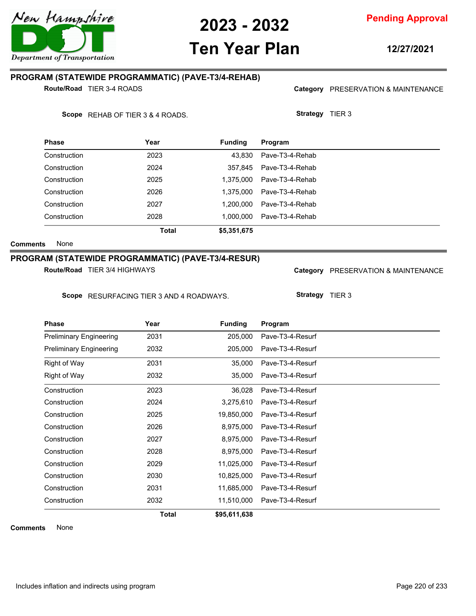

# **Ten Year Plan**

**Pending Approval**

### **PROGRAM (STATEWIDE PROGRAMMATIC) (PAVE-T3/4-REHAB)**

**Route/Road** TIER 3-4 ROADS

Scope REHAB OF TIER 3 & 4 ROADS.

| <b>Phase</b> | Year  | <b>Funding</b> | Program         |
|--------------|-------|----------------|-----------------|
| Construction | 2023  | 43.830         | Pave-T3-4-Rehab |
| Construction | 2024  | 357.845        | Pave-T3-4-Rehab |
| Construction | 2025  | 1.375.000      | Pave-T3-4-Rehab |
| Construction | 2026  | 1.375.000      | Pave-T3-4-Rehab |
| Construction | 2027  | 1.200.000      | Pave-T3-4-Rehab |
| Construction | 2028  | 1.000.000      | Pave-T3-4-Rehab |
|              | Total | \$5,351,675    |                 |

**Comments** None

#### **PROGRAM (STATEWIDE PROGRAMMATIC) (PAVE-T3/4-RESUR)**

**Route/Road** TIER 3/4 HIGHWAYS

| <b>Phase</b>                   | Year         | <b>Funding</b> | Program          |  |
|--------------------------------|--------------|----------------|------------------|--|
| <b>Preliminary Engineering</b> | 2031         | 205,000        | Pave-T3-4-Resurf |  |
| <b>Preliminary Engineering</b> | 2032         | 205,000        | Pave-T3-4-Resurf |  |
| Right of Way                   | 2031         | 35,000         | Pave-T3-4-Resurf |  |
| Right of Way                   | 2032         | 35,000         | Pave-T3-4-Resurf |  |
| Construction                   | 2023         | 36,028         | Pave-T3-4-Resurf |  |
| Construction                   | 2024         | 3,275,610      | Pave-T3-4-Resurf |  |
| Construction                   | 2025         | 19,850,000     | Pave-T3-4-Resurf |  |
| Construction                   | 2026         | 8,975,000      | Pave-T3-4-Resurf |  |
| Construction                   | 2027         | 8,975,000      | Pave-T3-4-Resurf |  |
| Construction                   | 2028         | 8,975,000      | Pave-T3-4-Resurf |  |
| Construction                   | 2029         | 11,025,000     | Pave-T3-4-Resurf |  |
| Construction                   | 2030         | 10,825,000     | Pave-T3-4-Resurf |  |
| Construction                   | 2031         | 11,685,000     | Pave-T3-4-Resurf |  |
| Construction                   | 2032         | 11,510,000     | Pave-T3-4-Resurf |  |
|                                | <b>Total</b> | \$95,611,638   |                  |  |

**Comments** None

| Scope RESURFACING TIER 3 AND 4 ROADWAYS. |      |                | <b>Strategy</b><br>TIER 3 |  |
|------------------------------------------|------|----------------|---------------------------|--|
| <b>Phase</b>                             | Year | <b>Funding</b> | Program                   |  |
| <b>Preliminary Engineering</b>           | 2031 | 205,000        | Pave-T3-4-Resurf          |  |
| <b>Preliminary Engineering</b>           | 2032 | 205,000        | Pave-T3-4-Resurf          |  |
| Right of Way                             | 2031 | 35,000         | Pave-T3-4-Resurf          |  |
| Right of Way                             | 2032 | 35.000         | Pave-T3-4-Resurf          |  |
| Construction                             | 2023 | 36,028         | Pave-T3-4-Resurf          |  |
| Construction                             | 2024 | 3,275,610      | Pave-T3-4-Resurf          |  |
| Construction                             | 2025 | 19,850,000     | Pave-T3-4-Resurf          |  |
| Construction                             | 2026 | 8,975,000      | Pave-T3-4-Resurf          |  |
| Construction                             | 2027 | 8,975,000      | Pave-T3-4-Resurf          |  |
| Construction                             | 2028 | 8,975,000      | Pave-T3-4-Resurf          |  |
| Construction                             | 2029 | 11,025,000     | Pave-T3-4-Resurf          |  |



**12/27/2021**

Category PRESERVATION & MAINTENANCE

Category PRESERVATION & MAINTENANCE

**Strategy** TIER 3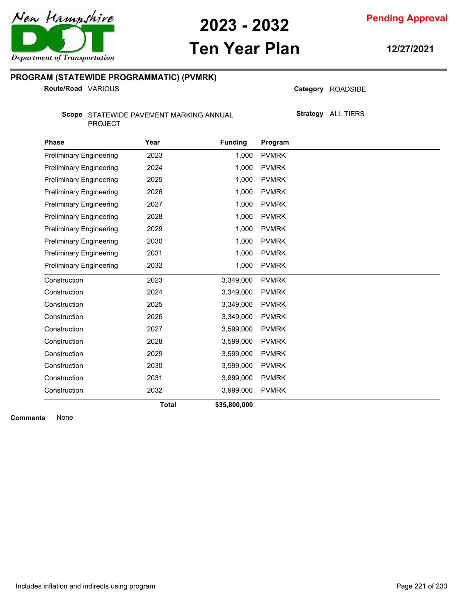New Hampshire

**2023 - 2032**

**Pending Approval**

# **Ten Year Plan**

**12/27/2021**

### **PROGRAM (STATEWIDE PROGRAMMATIC) (PVMRK)**

**Route/Road VARIOUS** 

Category ROADSIDE

**Strategy** ALL TIERS

Scope STATEWIDE PAVEMENT MARKING ANNUAL PROJECT

| <b>Phase</b>                   | Year         | <b>Funding</b> | Program      |
|--------------------------------|--------------|----------------|--------------|
| <b>Preliminary Engineering</b> | 2023         | 1,000          | <b>PVMRK</b> |
| <b>Preliminary Engineering</b> | 2024         | 1,000          | <b>PVMRK</b> |
| <b>Preliminary Engineering</b> | 2025         | 1,000          | <b>PVMRK</b> |
| <b>Preliminary Engineering</b> | 2026         | 1,000          | <b>PVMRK</b> |
| <b>Preliminary Engineering</b> | 2027         | 1,000          | <b>PVMRK</b> |
| <b>Preliminary Engineering</b> | 2028         | 1,000          | <b>PVMRK</b> |
| <b>Preliminary Engineering</b> | 2029         | 1,000          | <b>PVMRK</b> |
| <b>Preliminary Engineering</b> | 2030         | 1,000          | <b>PVMRK</b> |
| <b>Preliminary Engineering</b> | 2031         | 1,000          | <b>PVMRK</b> |
| <b>Preliminary Engineering</b> | 2032         | 1,000          | <b>PVMRK</b> |
| Construction                   | 2023         | 3,349,000      | <b>PVMRK</b> |
| Construction                   | 2024         | 3,349,000      | <b>PVMRK</b> |
| Construction                   | 2025         | 3,349,000      | <b>PVMRK</b> |
| Construction                   | 2026         | 3,349,000      | <b>PVMRK</b> |
| Construction                   | 2027         | 3,599,000      | <b>PVMRK</b> |
| Construction                   | 2028         | 3,599,000      | <b>PVMRK</b> |
| Construction                   | 2029         | 3,599,000      | <b>PVMRK</b> |
| Construction                   | 2030         | 3,599,000      | <b>PVMRK</b> |
| Construction                   | 2031         | 3,999,000      | <b>PVMRK</b> |
| Construction                   | 2032         | 3,999,000      | <b>PVMRK</b> |
|                                | <b>Total</b> | \$35,800,000   |              |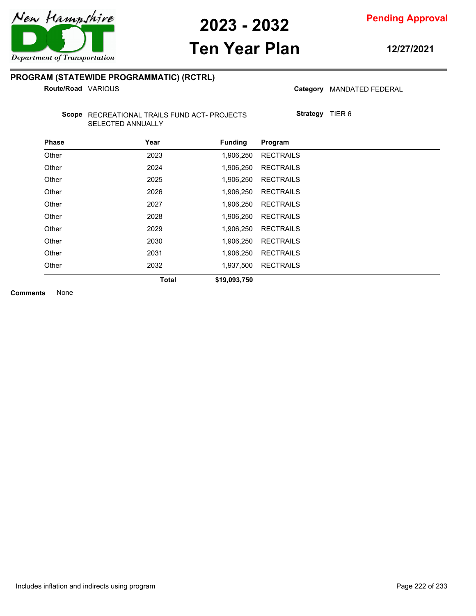

# **Ten Year Plan**

**12/27/2021**

#### **PROGRAM (STATEWIDE PROGRAMMATIC) (RCTRL)**

**Route/Road VARIOUS** 

Category MANDATED FEDERAL

Scope RECREATIONAL TRAILS FUND ACT- PROJECTS SELECTED ANNUALLY

**Strategy** TIER 6

| <b>Phase</b> | Year         | <b>Funding</b> | Program          |
|--------------|--------------|----------------|------------------|
| Other        | 2023         | 1,906,250      | <b>RECTRAILS</b> |
| Other        | 2024         | 1,906,250      | <b>RECTRAILS</b> |
| Other        | 2025         | 1,906,250      | <b>RECTRAILS</b> |
| Other        | 2026         | 1,906,250      | <b>RECTRAILS</b> |
| Other        | 2027         | 1,906,250      | <b>RECTRAILS</b> |
| Other        | 2028         | 1,906,250      | <b>RECTRAILS</b> |
| Other        | 2029         | 1,906,250      | <b>RECTRAILS</b> |
| Other        | 2030         | 1.906.250      | <b>RECTRAILS</b> |
| Other        | 2031         | 1,906,250      | <b>RECTRAILS</b> |
| Other        | 2032         | 1,937,500      | <b>RECTRAILS</b> |
|              | <b>Total</b> | \$19,093,750   |                  |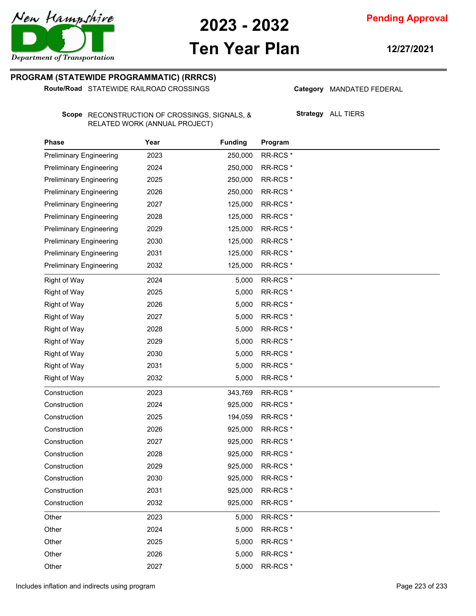

# **Ten Year Plan**

**12/27/2021**

### **PROGRAM (STATEWIDE PROGRAMMATIC) (RRRCS)**

**Route/Road** STATEWIDE RAILROAD CROSSINGS

Category MANDATED FEDERAL

Scope RECONSTRUCTION OF CROSSINGS, SIGNALS, & RELATED WORK (ANNUAL PROJECT)

**Strategy** ALL TIERS

| Phase                          | Year | <b>Funding</b> | Program             |  |
|--------------------------------|------|----------------|---------------------|--|
| <b>Preliminary Engineering</b> | 2023 | 250,000        | RR-RCS <sup>*</sup> |  |
| <b>Preliminary Engineering</b> | 2024 | 250,000        | RR-RCS <sup>*</sup> |  |
| <b>Preliminary Engineering</b> | 2025 | 250,000        | RR-RCS <sup>*</sup> |  |
| <b>Preliminary Engineering</b> | 2026 | 250,000        | RR-RCS <sup>*</sup> |  |
| <b>Preliminary Engineering</b> | 2027 | 125,000        | RR-RCS <sup>*</sup> |  |
| <b>Preliminary Engineering</b> | 2028 | 125,000        | RR-RCS <sup>*</sup> |  |
| <b>Preliminary Engineering</b> | 2029 | 125,000        | RR-RCS <sup>*</sup> |  |
| <b>Preliminary Engineering</b> | 2030 | 125,000        | RR-RCS <sup>*</sup> |  |
| <b>Preliminary Engineering</b> | 2031 | 125,000        | RR-RCS <sup>*</sup> |  |
| <b>Preliminary Engineering</b> | 2032 | 125,000        | RR-RCS <sup>*</sup> |  |
| <b>Right of Way</b>            | 2024 | 5,000          | RR-RCS <sup>*</sup> |  |
| <b>Right of Way</b>            | 2025 | 5,000          | RR-RCS <sup>*</sup> |  |
| <b>Right of Way</b>            | 2026 | 5,000          | RR-RCS <sup>*</sup> |  |
| Right of Way                   | 2027 | 5,000          | RR-RCS <sup>*</sup> |  |
| <b>Right of Way</b>            | 2028 | 5,000          | RR-RCS <sup>*</sup> |  |
| <b>Right of Way</b>            | 2029 | 5,000          | RR-RCS <sup>*</sup> |  |
| <b>Right of Way</b>            | 2030 | 5,000          | RR-RCS <sup>*</sup> |  |
| Right of Way                   | 2031 | 5,000          | RR-RCS <sup>*</sup> |  |
| <b>Right of Way</b>            | 2032 | 5,000          | RR-RCS <sup>*</sup> |  |
| Construction                   | 2023 | 343,769        | RR-RCS <sup>*</sup> |  |
| Construction                   | 2024 | 925,000        | RR-RCS <sup>*</sup> |  |
| Construction                   | 2025 | 194,059        | RR-RCS <sup>*</sup> |  |
| Construction                   | 2026 | 925,000        | RR-RCS <sup>*</sup> |  |
| Construction                   | 2027 | 925,000        | RR-RCS <sup>*</sup> |  |
| Construction                   | 2028 | 925,000        | RR-RCS <sup>*</sup> |  |
| Construction                   | 2029 | 925,000        | RR-RCS <sup>*</sup> |  |
| Construction                   | 2030 | 925,000        | RR-RCS <sup>*</sup> |  |
| Construction                   | 2031 | 925,000        | RR-RCS <sup>*</sup> |  |
| Construction                   | 2032 | 925,000        | RR-RCS <sup>*</sup> |  |
| Other                          | 2023 | 5,000          | RR-RCS <sup>*</sup> |  |
| Other                          | 2024 | 5,000          | RR-RCS <sup>*</sup> |  |
| Other                          | 2025 | 5,000          | RR-RCS <sup>*</sup> |  |
| Other                          | 2026 | 5,000          | RR-RCS <sup>*</sup> |  |
| Other                          | 2027 | 5,000          | RR-RCS <sup>*</sup> |  |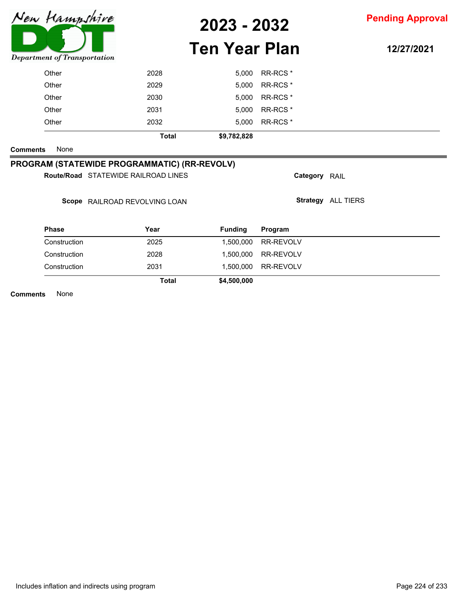

# **Ten Year Plan**

**12/27/2021**

**Comments** None

### **PROGRAM (STATEWIDE PROGRAMMATIC) (RR-REVOLV)**

Route/Road STATEWIDE RAILROAD LINES

Scope RAILROAD REVOLVING LOAN

| <b>Phase</b> | Year  | <b>Funding</b> | Program             |  |
|--------------|-------|----------------|---------------------|--|
| Construction | 2025  |                | 1,500,000 RR-REVOLV |  |
| Construction | 2028  |                | 1,500,000 RR-REVOLV |  |
| Construction | 2031  |                | 1,500,000 RR-REVOLV |  |
|              | Total | \$4,500,000    |                     |  |

**Category** RAIL

**Strategy** ALL TIERS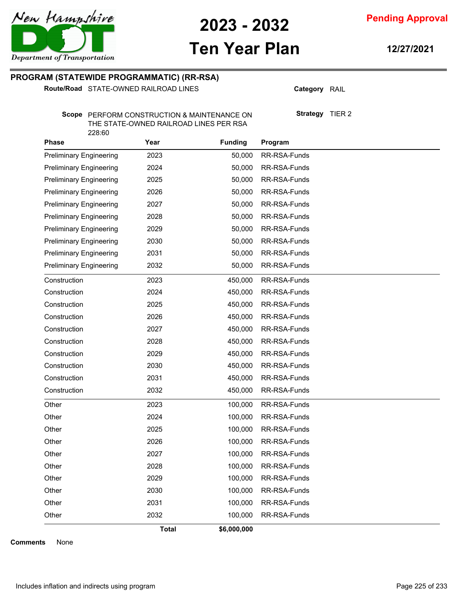

**Pending Approval**

# **Ten Year Plan**

**12/27/2021**

#### **PROGRAM (STATEWIDE PROGRAMMATIC) (RR-RSA)**

Route/Road STATE-OWNED RAILROAD LINES

**Category** RAIL

**Strategy** TIER 2

Scope PERFORM CONSTRUCTION & MAINTENANCE ON THE STATE-OWNED RAILROAD LINES PER RSA 228:60

| Phase                          | Year  | <b>Funding</b> | Program      |
|--------------------------------|-------|----------------|--------------|
| <b>Preliminary Engineering</b> | 2023  | 50,000         | RR-RSA-Funds |
| <b>Preliminary Engineering</b> | 2024  | 50,000         | RR-RSA-Funds |
| <b>Preliminary Engineering</b> | 2025  | 50,000         | RR-RSA-Funds |
| <b>Preliminary Engineering</b> | 2026  | 50,000         | RR-RSA-Funds |
| <b>Preliminary Engineering</b> | 2027  | 50,000         | RR-RSA-Funds |
| <b>Preliminary Engineering</b> | 2028  | 50,000         | RR-RSA-Funds |
| <b>Preliminary Engineering</b> | 2029  | 50,000         | RR-RSA-Funds |
| <b>Preliminary Engineering</b> | 2030  | 50,000         | RR-RSA-Funds |
| <b>Preliminary Engineering</b> | 2031  | 50,000         | RR-RSA-Funds |
| <b>Preliminary Engineering</b> | 2032  | 50,000         | RR-RSA-Funds |
| Construction                   | 2023  | 450,000        | RR-RSA-Funds |
| Construction                   | 2024  | 450,000        | RR-RSA-Funds |
| Construction                   | 2025  | 450,000        | RR-RSA-Funds |
| Construction                   | 2026  | 450,000        | RR-RSA-Funds |
| Construction                   | 2027  | 450,000        | RR-RSA-Funds |
| Construction                   | 2028  | 450,000        | RR-RSA-Funds |
| Construction                   | 2029  | 450,000        | RR-RSA-Funds |
| Construction                   | 2030  | 450,000        | RR-RSA-Funds |
| Construction                   | 2031  | 450,000        | RR-RSA-Funds |
| Construction                   | 2032  | 450,000        | RR-RSA-Funds |
| Other                          | 2023  | 100,000        | RR-RSA-Funds |
| Other                          | 2024  | 100,000        | RR-RSA-Funds |
| Other                          | 2025  | 100,000        | RR-RSA-Funds |
| Other                          | 2026  | 100,000        | RR-RSA-Funds |
| Other                          | 2027  | 100,000        | RR-RSA-Funds |
| Other                          | 2028  | 100,000        | RR-RSA-Funds |
| Other                          | 2029  | 100,000        | RR-RSA-Funds |
| Other                          | 2030  | 100,000        | RR-RSA-Funds |
| Other                          | 2031  | 100,000        | RR-RSA-Funds |
| Other                          | 2032  | 100,000        | RR-RSA-Funds |
|                                | Total | \$6,000,000    |              |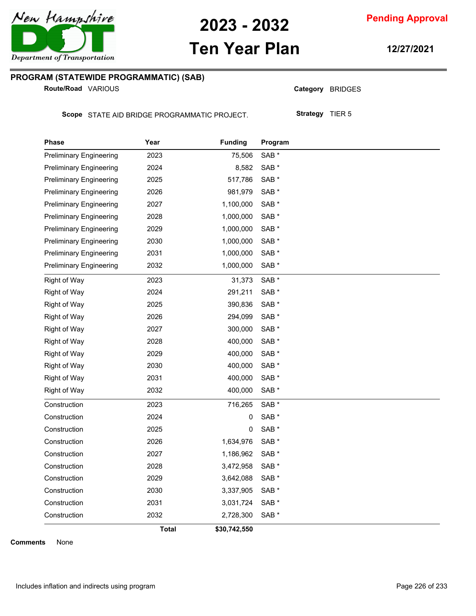

**Pending Approval**

### **Ten Year Plan**

**12/27/2021**

### **PROGRAM (STATEWIDE PROGRAMMATIC) (SAB)**

**Route/Road VARIOUS** 

Category BRIDGES

Scope STATE AID BRIDGE PROGRAMMATIC PROJECT.

**Strategy** TIER 5

| <b>Phase</b>                   | Year         | <b>Funding</b> | Program |
|--------------------------------|--------------|----------------|---------|
| <b>Preliminary Engineering</b> | 2023         | 75,506         | SAB *   |
| <b>Preliminary Engineering</b> | 2024         | 8,582          | SAB *   |
| <b>Preliminary Engineering</b> | 2025         | 517,786        | SAB *   |
| <b>Preliminary Engineering</b> | 2026         | 981,979        | SAB *   |
| <b>Preliminary Engineering</b> | 2027         | 1,100,000      | SAB *   |
| <b>Preliminary Engineering</b> | 2028         | 1,000,000      | SAB *   |
| <b>Preliminary Engineering</b> | 2029         | 1,000,000      | SAB *   |
| <b>Preliminary Engineering</b> | 2030         | 1,000,000      | SAB *   |
| <b>Preliminary Engineering</b> | 2031         | 1,000,000      | SAB *   |
| <b>Preliminary Engineering</b> | 2032         | 1,000,000      | SAB *   |
| <b>Right of Way</b>            | 2023         | 31,373         | SAB *   |
| <b>Right of Way</b>            | 2024         | 291,211        | SAB *   |
| <b>Right of Way</b>            | 2025         | 390,836        | SAB *   |
| <b>Right of Way</b>            | 2026         | 294,099        | SAB *   |
| <b>Right of Way</b>            | 2027         | 300,000        | SAB *   |
| <b>Right of Way</b>            | 2028         | 400,000        | SAB *   |
| <b>Right of Way</b>            | 2029         | 400,000        | SAB *   |
| <b>Right of Way</b>            | 2030         | 400,000        | SAB *   |
| <b>Right of Way</b>            | 2031         | 400,000        | SAB *   |
| <b>Right of Way</b>            | 2032         | 400,000        | SAB *   |
| Construction                   | 2023         | 716,265        | SAB *   |
| Construction                   | 2024         | 0              | SAB *   |
| Construction                   | 2025         | 0              | SAB *   |
| Construction                   | 2026         | 1,634,976      | SAB *   |
| Construction                   | 2027         | 1,186,962      | SAB *   |
| Construction                   | 2028         | 3,472,958      | SAB *   |
| Construction                   | 2029         | 3,642,088      | SAB *   |
| Construction                   | 2030         | 3,337,905      | SAB *   |
| Construction                   | 2031         | 3,031,724      | SAB *   |
| Construction                   | 2032         | 2,728,300      | SAB *   |
|                                | <b>Total</b> | \$30,742,550   |         |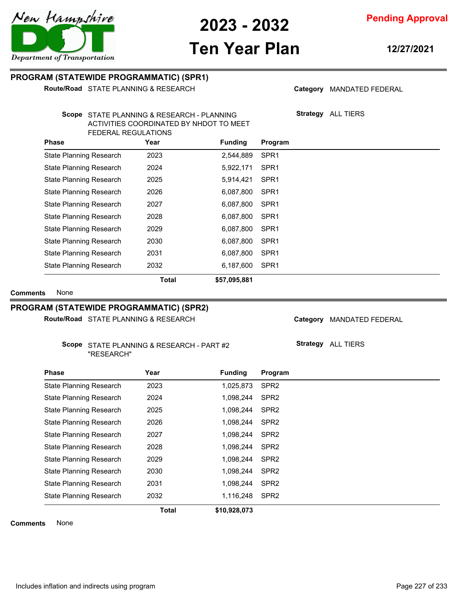

# **Ten Year Plan**

**12/27/2021**

#### **PROGRAM (STATEWIDE PROGRAMMATIC) (SPR1)**

**Route/Road** STATE PLANNING & RESEARCH

Category MANDATED FEDERAL

**Strategy** ALL TIERS

Scope STATE PLANNING & RESEARCH - PLANNING ACTIVITIES COORDINATED BY NHDOT TO MEET FEDERAL REGULATIONS

| <b>Phase</b>                   | Year         | <b>Funding</b> | Program          |
|--------------------------------|--------------|----------------|------------------|
| <b>State Planning Research</b> | 2023         | 2,544,889      | SPR <sub>1</sub> |
| <b>State Planning Research</b> | 2024         | 5,922,171      | SPR <sub>1</sub> |
| <b>State Planning Research</b> | 2025         | 5,914,421      | SPR <sub>1</sub> |
| <b>State Planning Research</b> | 2026         | 6,087,800      | SPR <sub>1</sub> |
| <b>State Planning Research</b> | 2027         | 6,087,800      | SPR <sub>1</sub> |
| State Planning Research        | 2028         | 6,087,800      | SPR <sub>1</sub> |
| <b>State Planning Research</b> | 2029         | 6,087,800      | SPR <sub>1</sub> |
| <b>State Planning Research</b> | 2030         | 6,087,800      | SPR <sub>1</sub> |
| <b>State Planning Research</b> | 2031         | 6,087,800      | SPR <sub>1</sub> |
| <b>State Planning Research</b> | 2032         | 6,187,600      | SPR <sub>1</sub> |
|                                | <b>Total</b> | \$57,095,881   |                  |

**Comments** None

### **PROGRAM (STATEWIDE PROGRAMMATIC) (SPR2)**

Route/Road STATE PLANNING & RESEARCH

#### Scope STATE PLANNING & RESEARCH - PART #2 "RESEARCH"

Category MANDATED FEDERAL

**Strategy** ALL TIERS

| <b>Phase</b>                   | Year         | <b>Funding</b> | Program          |
|--------------------------------|--------------|----------------|------------------|
| <b>State Planning Research</b> | 2023         | 1,025,873      | SPR <sub>2</sub> |
| State Planning Research        | 2024         | 1,098,244      | SPR <sub>2</sub> |
| State Planning Research        | 2025         | 1,098,244      | SPR <sub>2</sub> |
| <b>State Planning Research</b> | 2026         | 1,098,244      | SPR <sub>2</sub> |
| State Planning Research        | 2027         | 1.098.244      | SPR <sub>2</sub> |
| State Planning Research        | 2028         | 1.098.244      | SPR <sub>2</sub> |
| <b>State Planning Research</b> | 2029         | 1.098.244      | SPR <sub>2</sub> |
| State Planning Research        | 2030         | 1,098,244      | SPR <sub>2</sub> |
| State Planning Research        | 2031         | 1,098,244      | SPR <sub>2</sub> |
| <b>State Planning Research</b> | 2032         | 1,116,248      | SPR <sub>2</sub> |
|                                | <b>Total</b> | \$10,928,073   |                  |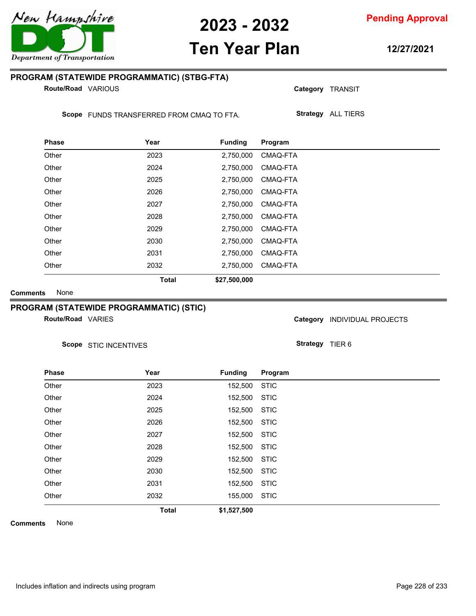# **Ten Year Plan**

#### **PROGRAM (STATEWIDE PROGRAMMATIC) (STBG-FTA)**

**Route/Road VARIOUS** 

Scope FUNDS TRANSFERRED FROM CMAQ TO FTA.

| <b>Phase</b> | Year         | <b>Funding</b> | Program  |  |
|--------------|--------------|----------------|----------|--|
| Other        | 2023         | 2,750,000      | CMAQ-FTA |  |
| Other        | 2024         | 2,750,000      | CMAQ-FTA |  |
| Other        | 2025         | 2,750,000      | CMAQ-FTA |  |
| Other        | 2026         | 2,750,000      | CMAQ-FTA |  |
| Other        | 2027         | 2,750,000      | CMAQ-FTA |  |
| Other        | 2028         | 2,750,000      | CMAQ-FTA |  |
| Other        | 2029         | 2,750,000      | CMAQ-FTA |  |
| Other        | 2030         | 2,750,000      | CMAQ-FTA |  |
| Other        | 2031         | 2,750,000      | CMAQ-FTA |  |
| Other        | 2032         | 2,750,000      | CMAQ-FTA |  |
|              | <b>Total</b> | \$27,500,000   |          |  |

**Comments** None

#### **PROGRAM (STATEWIDE PROGRAMMATIC) (STIC)**

**Route/Road VARIES** 

Scope STIC INCENTIVES

**Strategy** TIER 6

Category **INDIVIDUAL PROJECTS** 

**Category** TRANSIT

**Strategy** ALL TIERS

| <b>Phase</b> | Year         | <b>Funding</b> | Program     |
|--------------|--------------|----------------|-------------|
| Other        | 2023         | 152,500        | <b>STIC</b> |
| Other        | 2024         | 152,500        | <b>STIC</b> |
| Other        | 2025         | 152,500        | <b>STIC</b> |
| Other        | 2026         | 152,500        | <b>STIC</b> |
| Other        | 2027         | 152,500        | <b>STIC</b> |
| Other        | 2028         | 152,500        | <b>STIC</b> |
| Other        | 2029         | 152,500        | <b>STIC</b> |
| Other        | 2030         | 152,500        | <b>STIC</b> |
| Other        | 2031         | 152,500        | <b>STIC</b> |
| Other        | 2032         | 155,000        | <b>STIC</b> |
|              | <b>Total</b> | \$1,527,500    |             |

**Comments** None



**12/27/2021**

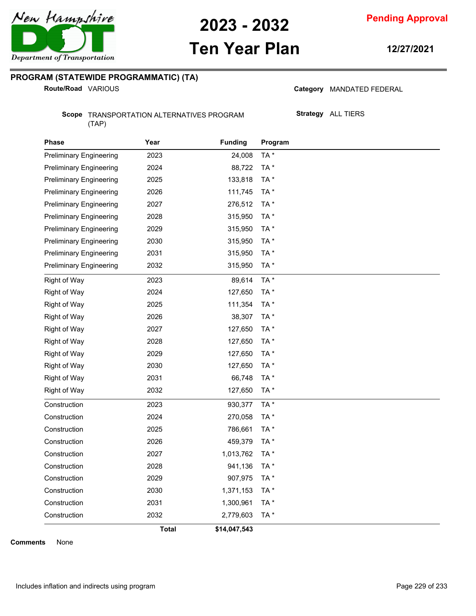

# **Ten Year Plan**

**12/27/2021**

### **PROGRAM (STATEWIDE PROGRAMMATIC) (TA)**

**Route/Road VARIOUS** 

Category MANDATED FEDERAL

Scope TRANSPORTATION ALTERNATIVES PROGRAM (TAP)

**Strategy** ALL TIERS

| <b>Phase</b>                   | Year         | <b>Funding</b> | Program |
|--------------------------------|--------------|----------------|---------|
| <b>Preliminary Engineering</b> | 2023         | 24,008         | TA*     |
| <b>Preliminary Engineering</b> | 2024         | 88,722         | TA*     |
| <b>Preliminary Engineering</b> | 2025         | 133,818        | TA*     |
| <b>Preliminary Engineering</b> | 2026         | 111,745        | TA*     |
| <b>Preliminary Engineering</b> | 2027         | 276,512        | TA*     |
| <b>Preliminary Engineering</b> | 2028         | 315,950        | TA*     |
| <b>Preliminary Engineering</b> | 2029         | 315,950        | TA*     |
| <b>Preliminary Engineering</b> | 2030         | 315,950        | TA*     |
| <b>Preliminary Engineering</b> | 2031         | 315,950        | TA*     |
| <b>Preliminary Engineering</b> | 2032         | 315,950        | TA*     |
| <b>Right of Way</b>            | 2023         | 89,614         | TA*     |
| <b>Right of Way</b>            | 2024         | 127,650        | TA*     |
| Right of Way                   | 2025         | 111,354        | TA*     |
| Right of Way                   | 2026         | 38,307         | TA*     |
| Right of Way                   | 2027         | 127,650        | TA*     |
| <b>Right of Way</b>            | 2028         | 127,650        | TA*     |
| Right of Way                   | 2029         | 127,650        | TA*     |
| <b>Right of Way</b>            | 2030         | 127,650        | TA*     |
| <b>Right of Way</b>            | 2031         | 66,748         | TA*     |
| <b>Right of Way</b>            | 2032         | 127,650        | TA*     |
| Construction                   | 2023         | 930,377        | TA*     |
| Construction                   | 2024         | 270,058        | TA*     |
| Construction                   | 2025         | 786,661        | TA*     |
| Construction                   | 2026         | 459,379        | TA*     |
| Construction                   | 2027         | 1,013,762      | TA*     |
| Construction                   | 2028         | 941,136        | TA*     |
| Construction                   | 2029         | 907,975        | TA*     |
| Construction                   | 2030         | 1,371,153      | TA*     |
| Construction                   | 2031         | 1,300,961      | TA*     |
| Construction                   | 2032         | 2,779,603      | TA*     |
|                                | <b>Total</b> | \$14,047,543   |         |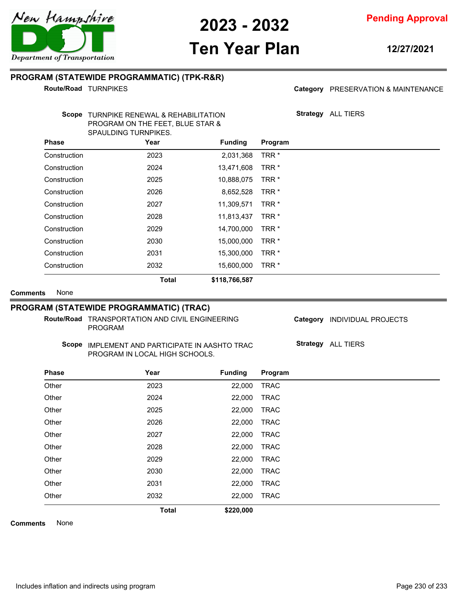

# **Ten Year Plan**

**12/27/2021**

#### **PROGRAM (STATEWIDE PROGRAMMATIC) (TPK-R&R)**

**Route/Road TURNPIKES** 

#### Category PRESERVATION & MAINTENANCE

**Strategy** ALL TIERS

Scope TURNPIKE RENEWAL & REHABILITATION PROGRAM ON THE FEET, BLUE STAR & SPAULDING TURNPIKES.

| <b>Phase</b> | Year         | <b>Funding</b> | Program          |  |
|--------------|--------------|----------------|------------------|--|
| Construction | 2023         | 2,031,368      | TRR <sup>*</sup> |  |
| Construction | 2024         | 13,471,608     | TRR <sup>*</sup> |  |
| Construction | 2025         | 10,888,075     | TRR <sup>*</sup> |  |
| Construction | 2026         | 8,652,528      | TRR <sup>*</sup> |  |
| Construction | 2027         | 11,309,571     | TRR <sup>*</sup> |  |
| Construction | 2028         | 11,813,437     | TRR <sup>*</sup> |  |
| Construction | 2029         | 14,700,000     | TRR <sup>*</sup> |  |
| Construction | 2030         | 15,000,000     | TRR <sup>*</sup> |  |
| Construction | 2031         | 15,300,000     | TRR <sup>*</sup> |  |
| Construction | 2032         | 15,600,000     | TRR <sup>*</sup> |  |
|              | <b>Total</b> | \$118,766,587  |                  |  |

**Comments** None

#### **PROGRAM (STATEWIDE PROGRAMMATIC) (TRAC)**

Route/Road TRANSPORTATION AND CIVIL ENGINEERING PROGRAM

Category **INDIVIDUAL PROJECTS** 

Scope IMPLEMENT AND PARTICIPATE IN AASHTO TRAC PROGRAM IN LOCAL HIGH SCHOOLS.

**Strategy** ALL TIERS

| <b>Phase</b> | Year         | <b>Funding</b> | Program     |
|--------------|--------------|----------------|-------------|
| Other        | 2023         | 22,000         | <b>TRAC</b> |
| Other        | 2024         | 22,000         | <b>TRAC</b> |
| Other        | 2025         | 22,000         | <b>TRAC</b> |
| Other        | 2026         | 22,000         | <b>TRAC</b> |
| Other        | 2027         | 22,000         | <b>TRAC</b> |
| Other        | 2028         | 22,000         | <b>TRAC</b> |
| Other        | 2029         | 22,000         | <b>TRAC</b> |
| Other        | 2030         | 22,000         | <b>TRAC</b> |
| Other        | 2031         | 22,000         | <b>TRAC</b> |
| Other        | 2032         | 22,000         | <b>TRAC</b> |
|              | <b>Total</b> | \$220,000      |             |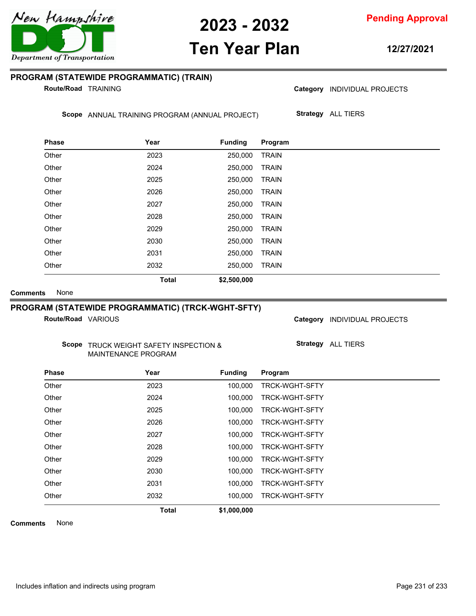

**Pending Approval**

### **Ten Year Plan**

**12/27/2021**

#### **PROGRAM (STATEWIDE PROGRAMMATIC) (TRAIN)**

**Route/Road TRAINING** 

Category **INDIVIDUAL PROJECTS** 

Scope ANNUAL TRAINING PROGRAM (ANNUAL PROJECT)

**Strategy** ALL TIERS

| <b>Phase</b> | Year         | <b>Funding</b> | Program      |  |
|--------------|--------------|----------------|--------------|--|
| Other        | 2023         | 250,000        | <b>TRAIN</b> |  |
| Other        | 2024         | 250,000        | <b>TRAIN</b> |  |
| Other        | 2025         | 250,000        | <b>TRAIN</b> |  |
| Other        | 2026         | 250.000        | <b>TRAIN</b> |  |
| Other        | 2027         | 250,000        | <b>TRAIN</b> |  |
| Other        | 2028         | 250,000        | <b>TRAIN</b> |  |
| Other        | 2029         | 250,000        | <b>TRAIN</b> |  |
| Other        | 2030         | 250,000        | <b>TRAIN</b> |  |
| Other        | 2031         | 250,000        | <b>TRAIN</b> |  |
| Other        | 2032         | 250,000        | <b>TRAIN</b> |  |
|              | <b>Total</b> | \$2,500,000    |              |  |

**Comments** None

#### **PROGRAM (STATEWIDE PROGRAMMATIC) (TRCK-WGHT-SFTY)**

**Route/Road VARIOUS** 

Category **INDIVIDUAL PROJECTS** 

Scope TRUCK WEIGHT SAFETY INSPECTION & MAINTENANCE PROGRAM

**Strategy** ALL TIERS

| <b>Phase</b> | Year         | <b>Funding</b> | Program               |
|--------------|--------------|----------------|-----------------------|
| Other        | 2023         | 100.000        | <b>TRCK-WGHT-SFTY</b> |
| Other        | 2024         | 100.000        | <b>TRCK-WGHT-SFTY</b> |
| Other        | 2025         | 100.000        | <b>TRCK-WGHT-SFTY</b> |
| Other        | 2026         | 100.000        | <b>TRCK-WGHT-SFTY</b> |
| Other        | 2027         | 100.000        | <b>TRCK-WGHT-SFTY</b> |
| Other        | 2028         | 100.000        | <b>TRCK-WGHT-SFTY</b> |
| Other        | 2029         | 100.000        | <b>TRCK-WGHT-SFTY</b> |
| Other        | 2030         | 100.000        | <b>TRCK-WGHT-SFTY</b> |
| Other        | 2031         | 100.000        | <b>TRCK-WGHT-SFTY</b> |
| Other        | 2032         | 100.000        | <b>TRCK-WGHT-SFTY</b> |
|              | <b>Total</b> | \$1,000,000    |                       |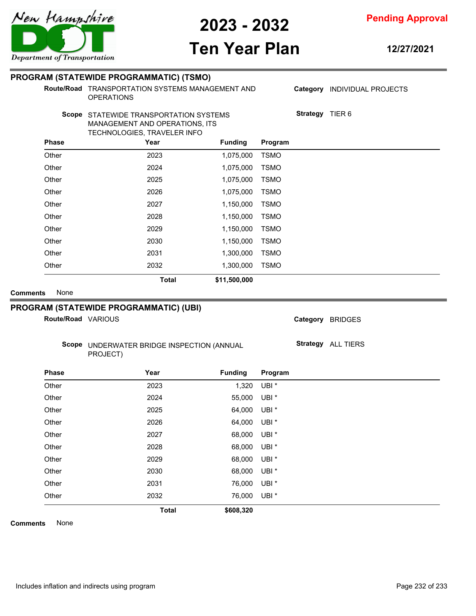# **Ten Year Plan**

**12/27/2021**

**Route/Road TRANSPORTATION SYSTEMS MANAGEMENT AND** OPERATIONS

**Strategy** TIER 6

Category **INDIVIDUAL PROJECTS** 

#### Scope STATEWIDE TRANSPORTATION SYSTEMS MANAGEMENT AND OPERATIONS, ITS TECHNOLOGIES, TRAVELER INFO

| <b>Phase</b> | Year         | <b>Funding</b> | Program     |  |
|--------------|--------------|----------------|-------------|--|
| Other        | 2023         | 1,075,000      | <b>TSMO</b> |  |
| Other        | 2024         | 1,075,000      | <b>TSMO</b> |  |
| Other        | 2025         | 1,075,000      | <b>TSMO</b> |  |
| Other        | 2026         | 1,075,000      | <b>TSMO</b> |  |
| Other        | 2027         | 1,150,000      | <b>TSMO</b> |  |
| Other        | 2028         | 1,150,000      | <b>TSMO</b> |  |
| Other        | 2029         | 1,150,000      | <b>TSMO</b> |  |
| Other        | 2030         | 1,150,000      | <b>TSMO</b> |  |
| Other        | 2031         | 1,300,000      | <b>TSMO</b> |  |
| Other        | 2032         | 1,300,000      | <b>TSMO</b> |  |
|              | <b>Total</b> | \$11,500,000   |             |  |

**Comments** None

#### **PROGRAM (STATEWIDE PROGRAMMATIC) (UBI)**

**Route/Road VARIOUS** 

Category BRIDGES

Scope UNDERWATER BRIDGE INSPECTION (ANNUAL PROJECT)

**Strategy** ALL TIERS

| <b>Phase</b> | Year         | <b>Funding</b> | Program          |  |
|--------------|--------------|----------------|------------------|--|
| Other        | 2023         | 1,320          | UBI <sup>*</sup> |  |
| Other        | 2024         | 55,000         | UBI <sup>*</sup> |  |
| Other        | 2025         | 64,000         | UBI <sup>*</sup> |  |
| Other        | 2026         | 64,000         | $UBI^*$          |  |
| Other        | 2027         | 68,000         | UBI <sup>*</sup> |  |
| Other        | 2028         | 68,000         | UBI *            |  |
| Other        | 2029         | 68,000         | UBI <sup>*</sup> |  |
| Other        | 2030         | 68,000         | UBI <sup>*</sup> |  |
| Other        | 2031         | 76,000         | UBI *            |  |
| Other        | 2032         | 76,000         | UBI <sup>*</sup> |  |
|              | <b>Total</b> | \$608,320      |                  |  |